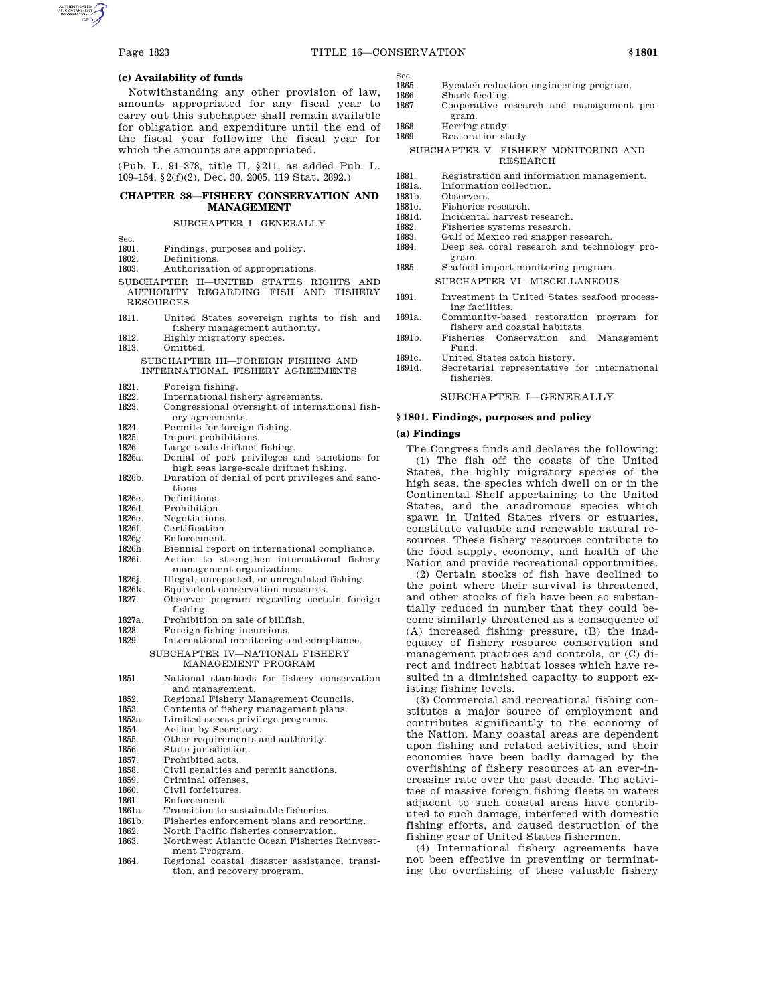## **(c) Availability of funds**

Notwithstanding any other provision of law, amounts appropriated for any fiscal year to carry out this subchapter shall remain available for obligation and expenditure until the end of the fiscal year following the fiscal year for which the amounts are appropriated.

(Pub. L. 91–378, title II, §211, as added Pub. L. 109–154, §2(f)(2), Dec. 30, 2005, 119 Stat. 2892.)

## **CHAPTER 38—FISHERY CONSERVATION AND MANAGEMENT**

## SUBCHAPTER I—GENERALLY

| Sec.                          |                                                                              | 1883.<br>1884.   | G<br>D                  |
|-------------------------------|------------------------------------------------------------------------------|------------------|-------------------------|
| 1801.<br>1802.                | Findings, purposes and policy.<br>Definitions.                               |                  |                         |
| 1803.                         | Authorization of appropriations.                                             | 1885.            | S <sub>0</sub>          |
| <b>SUBCHAPTER</b>             | II—UNITED<br>STATES<br>RIGHTS<br>AND                                         |                  | $\mathbf{S} \mathbf{U}$ |
| AUTHORITY<br><b>RESOURCES</b> | REGARDING FISH AND<br>FISHERY                                                | 1891.            | Ir                      |
| 1811.                         | United States sovereign rights to fish and<br>fishery management authority.  | 1891a.           | $\mathbf{C}$            |
| 1812.<br>1813.                | Highly migratory species.<br>Omitted.                                        | 1891b.           | $\mathbf{F}$            |
|                               | SUBCHAPTER III-FOREIGN FISHING AND<br>INTERNATIONAL FISHERY AGREEMENTS       | 1891c.<br>1891d. | U<br>S <sub>0</sub>     |
| 1821.                         | Foreign fishing.                                                             |                  |                         |
| 1822.                         | International fishery agreements.                                            |                  | S.                      |
| 1823.                         | Congressional oversight of international fish-                               |                  |                         |
|                               | ery agreements.                                                              | § 1801. Fin      |                         |
| 1824.<br>1825.                | Permits for foreign fishing.<br>Import prohibitions.                         | (a) Findin       |                         |
| 1826.                         | Large-scale driftnet fishing.                                                | The Con          |                         |
| 1826a.                        | Denial of port privileges and sanctions for                                  |                  | $(1)$ Th                |
|                               | high seas large-scale driftnet fishing.                                      | States,          |                         |
| 1826b.                        | Duration of denial of port privileges and sanc-                              | high sea         |                         |
| 1826c.                        | tions.<br>Definitions.                                                       | Contine:         |                         |
| 1826d.                        | Prohibition.                                                                 | States.          |                         |
| 1826e.                        | Negotiations.                                                                | spawn i          |                         |
| 1826f.                        | Certification.                                                               | constitu         |                         |
| 1826g.                        | Enforcement.                                                                 | sources.         |                         |
| 1826h.                        | Biennial report on international compliance.                                 | the food         |                         |
| 1826i.                        | Action to strengthen international fishery                                   | Nation a         |                         |
| 1826i.                        | management organizations.<br>Illegal, unreported, or unregulated fishing.    |                  | $(2)$ Ce                |
| 1826k.                        | Equivalent conservation measures.                                            | the poir         |                         |
| 1827.                         | Observer program regarding certain foreign                                   | and oth          |                         |
|                               | fishing.                                                                     | tially re        |                         |
| 1827a.                        | Prohibition on sale of billfish.                                             | come siı         |                         |
| 1828.                         | Foreign fishing incursions.                                                  | $(A)$ incr       |                         |
| 1829.                         | International monitoring and compliance.                                     | equacy           |                         |
|                               | SUBCHAPTER IV-NATIONAL FISHERY                                               | managei          |                         |
|                               | MANAGEMENT PROGRAM                                                           | rect and         |                         |
| 1851.                         | National standards for fishery conservation                                  | sulted iı        |                         |
|                               | and management.                                                              | isting fi        |                         |
| 1852.<br>1853.                | Regional Fishery Management Councils.                                        |                  | $(3)$ Co <sub>1</sub>   |
| 1853a.                        | Contents of fishery management plans.<br>Limited access privilege programs.  | stitutes         |                         |
| 1854.                         | Action by Secretary.                                                         | contribu         |                         |
| 1855.                         | Other requirements and authority.                                            | the Nati         |                         |
| 1856.                         | State jurisdiction.                                                          | upon fis         |                         |
| 1857.                         | Prohibited acts.                                                             | economi          |                         |
| 1858.                         | Civil penalties and permit sanctions.                                        | overfish         |                         |
| 1859.<br>1860.                | Criminal offenses.<br>Civil forfeitures.                                     | creasing         |                         |
| 1861.                         | Enforcement.                                                                 | ties of n        |                         |
| 1861a.                        | Transition to sustainable fisheries.                                         | adjacent         |                         |
| 1861b.                        | Fisheries enforcement plans and reporting.                                   | uted to          |                         |
| 1862.                         | North Pacific fisheries conservation.                                        | fishing          |                         |
| 1863.                         | Northwest Atlantic Ocean Fisheries Reinvest-                                 | fishing g        |                         |
|                               | ment Program.                                                                | not beer         | $(4)$ In                |
| 1864.                         | Regional coastal disaster assistance, transi-<br>tion, and recovery program. | ing the          |                         |

- Sec.<br>1865 1865. Bycatch reduction engineering program.<br>1866 Shark feeding
- Shark feeding.
- 1867. Cooperative research and management program.
- 1868. Herring study.
- 1869. Restoration study.

#### SUBCHAPTER V—FISHERY MONITORING AND RESEARCH

- 1881. Registration and information management.<br>1881a Information collection
- Information collection.
- 1881b. Observers.<br>1881c. Fisheries i
- 1881c. Fisheries research.<br>1881d. Incidental harvest
- 1881d. Incidental harvest research.
- 1882. Fisheries systems research.
- ulf of Mexico red snapper research. eep sea coral research and technology pro-
- gram. eafood import monitoring program.
	-
	- SUBCHAPTER VI—MISCELLANEOUS
- nvestment in United States seafood processing facilities.
- ommunity-based restoration program for fishery and coastal habitats.
- isheries Conservation and Management Fund.
- nited States catch history.
- ecretarial representative for international fisheries.

#### UBCHAPTER I—GENERALLY

## **§ 1801. Findings, purposes and policy**

#### **(a) Findings**

gress finds and declares the following: (1) The fish off the coasts of the United the highly migratory species of the is, the species which dwell on or in the ntal Shelf appertaining to the United and the anadromous species which n United States rivers or estuaries, te valuable and renewable natural re-These fishery resources contribute to d supply, economy, and health of the and provide recreational opportunities.

rtain stocks of fish have declined to at where their survival is threatened, er stocks of fish have been so substaneduced in number that they could bemilarly threatened as a consequence of eased fishing pressure, (B) the inadof fishery resource conservation and ment practices and controls, or (C) diindirect habitat losses which have ren a diminished capacity to support exshing levels.

mmercial and recreational fishing cona major source of employment and ates significantly to the economy of tion. Many coastal areas are dependent hing and related activities, and their ies have been badly damaged by the ing of fishery resources at an ever-inrate over the past decade. The activinassive foreign fishing fleets in waters t to such coastal areas have contribsuch damage, interfered with domestic efforts, and caused destruction of the gear of United States fishermen.

ternational fishery agreements have n effective in preventing or terminating the overfishing of these valuable fishery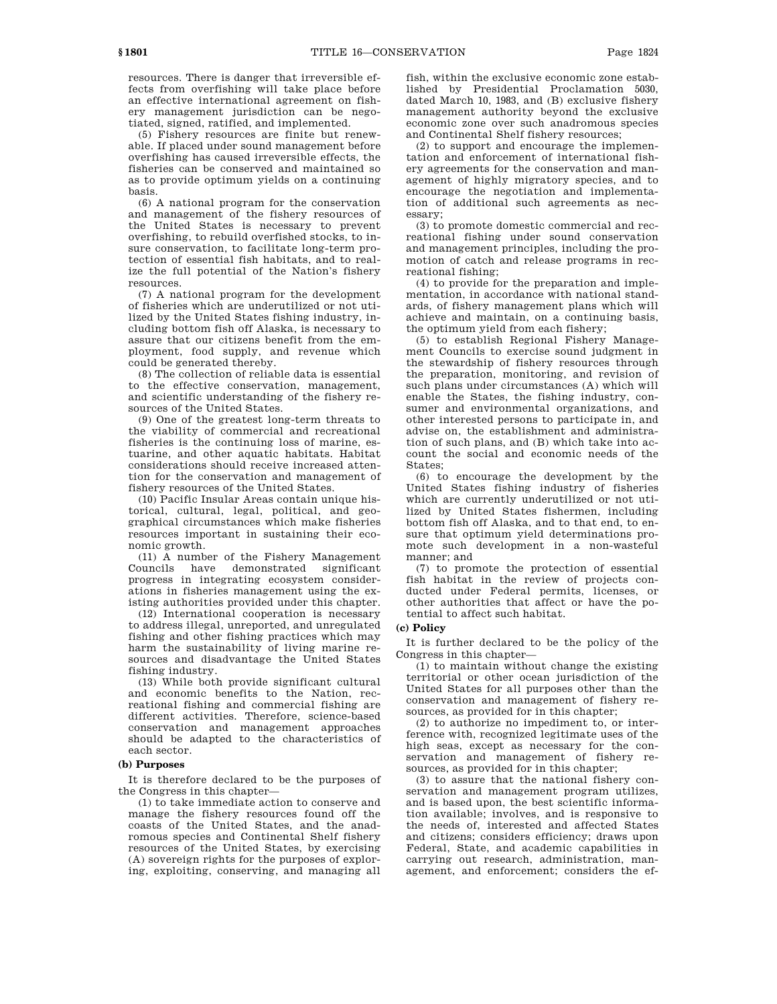resources. There is danger that irreversible effects from overfishing will take place before an effective international agreement on fishery management jurisdiction can be negotiated, signed, ratified, and implemented.

(5) Fishery resources are finite but renewable. If placed under sound management before overfishing has caused irreversible effects, the fisheries can be conserved and maintained so as to provide optimum yields on a continuing basis.

(6) A national program for the conservation and management of the fishery resources of the United States is necessary to prevent overfishing, to rebuild overfished stocks, to insure conservation, to facilitate long-term protection of essential fish habitats, and to realize the full potential of the Nation's fishery resources.

(7) A national program for the development of fisheries which are underutilized or not utilized by the United States fishing industry, including bottom fish off Alaska, is necessary to assure that our citizens benefit from the employment, food supply, and revenue which could be generated thereby.

(8) The collection of reliable data is essential to the effective conservation, management, and scientific understanding of the fishery resources of the United States.

(9) One of the greatest long-term threats to the viability of commercial and recreational fisheries is the continuing loss of marine, estuarine, and other aquatic habitats. Habitat considerations should receive increased attention for the conservation and management of fishery resources of the United States.

(10) Pacific Insular Areas contain unique historical, cultural, legal, political, and geographical circumstances which make fisheries resources important in sustaining their economic growth.

(11) A number of the Fishery Management Councils have demonstrated significant progress in integrating ecosystem considerations in fisheries management using the existing authorities provided under this chapter.

(12) International cooperation is necessary to address illegal, unreported, and unregulated fishing and other fishing practices which may harm the sustainability of living marine resources and disadvantage the United States fishing industry.

(13) While both provide significant cultural and economic benefits to the Nation, recreational fishing and commercial fishing are different activities. Therefore, science-based conservation and management approaches should be adapted to the characteristics of each sector.

## **(b) Purposes**

It is therefore declared to be the purposes of the Congress in this chapter—

(1) to take immediate action to conserve and manage the fishery resources found off the coasts of the United States, and the anadromous species and Continental Shelf fishery resources of the United States, by exercising (A) sovereign rights for the purposes of exploring, exploiting, conserving, and managing all

fish, within the exclusive economic zone established by Presidential Proclamation 5030, dated March 10, 1983, and (B) exclusive fishery management authority beyond the exclusive economic zone over such anadromous species and Continental Shelf fishery resources;

(2) to support and encourage the implementation and enforcement of international fishery agreements for the conservation and management of highly migratory species, and to encourage the negotiation and implementation of additional such agreements as necessary;

(3) to promote domestic commercial and recreational fishing under sound conservation and management principles, including the promotion of catch and release programs in recreational fishing;

(4) to provide for the preparation and implementation, in accordance with national standards, of fishery management plans which will achieve and maintain, on a continuing basis, the optimum yield from each fishery;

(5) to establish Regional Fishery Management Councils to exercise sound judgment in the stewardship of fishery resources through the preparation, monitoring, and revision of such plans under circumstances (A) which will enable the States, the fishing industry, consumer and environmental organizations, and other interested persons to participate in, and advise on, the establishment and administration of such plans, and (B) which take into account the social and economic needs of the States;

(6) to encourage the development by the United States fishing industry of fisheries which are currently underutilized or not utilized by United States fishermen, including bottom fish off Alaska, and to that end, to ensure that optimum yield determinations promote such development in a non-wasteful manner; and

(7) to promote the protection of essential fish habitat in the review of projects conducted under Federal permits, licenses, or other authorities that affect or have the potential to affect such habitat.

## **(c) Policy**

It is further declared to be the policy of the Congress in this chapter—

(1) to maintain without change the existing territorial or other ocean jurisdiction of the United States for all purposes other than the conservation and management of fishery resources, as provided for in this chapter;

(2) to authorize no impediment to, or interference with, recognized legitimate uses of the high seas, except as necessary for the conservation and management of fishery resources, as provided for in this chapter;

(3) to assure that the national fishery conservation and management program utilizes, and is based upon, the best scientific information available; involves, and is responsive to the needs of, interested and affected States and citizens; considers efficiency; draws upon Federal, State, and academic capabilities in carrying out research, administration, management, and enforcement; considers the ef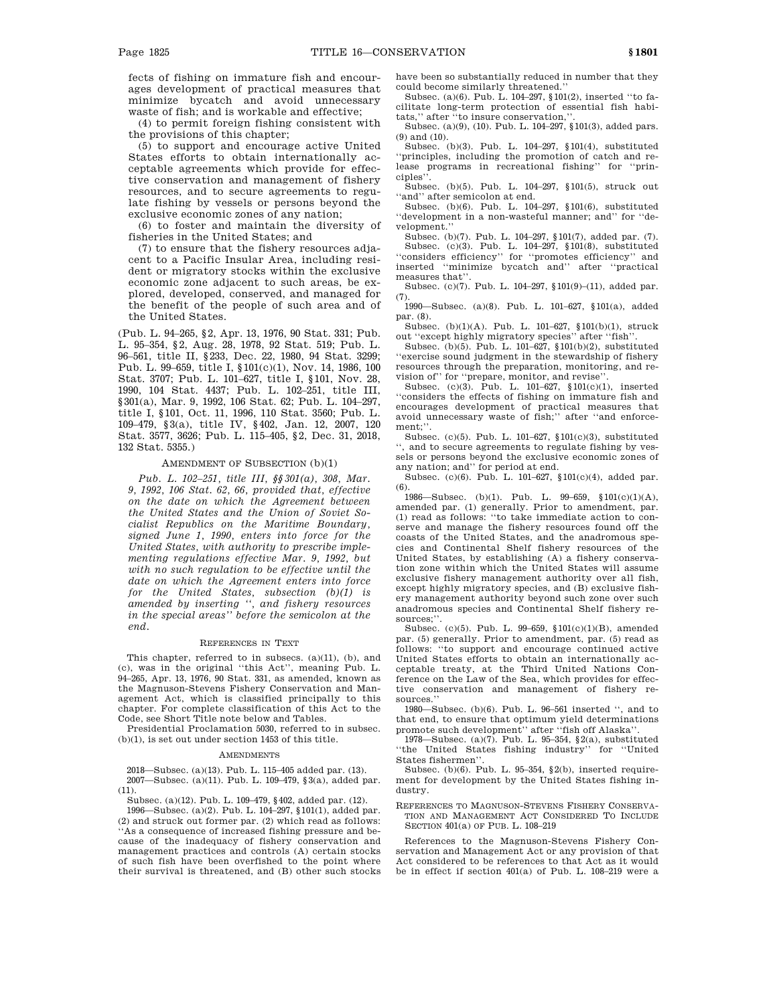fects of fishing on immature fish and encourages development of practical measures that minimize bycatch and avoid unnecessary waste of fish; and is workable and effective;

(4) to permit foreign fishing consistent with the provisions of this chapter;

(5) to support and encourage active United States efforts to obtain internationally acceptable agreements which provide for effective conservation and management of fishery resources, and to secure agreements to regulate fishing by vessels or persons beyond the exclusive economic zones of any nation;

(6) to foster and maintain the diversity of fisheries in the United States; and

(7) to ensure that the fishery resources adjacent to a Pacific Insular Area, including resident or migratory stocks within the exclusive economic zone adjacent to such areas, be explored, developed, conserved, and managed for the benefit of the people of such area and of the United States.

(Pub. L. 94–265, §2, Apr. 13, 1976, 90 Stat. 331; Pub. L. 95–354, §2, Aug. 28, 1978, 92 Stat. 519; Pub. L. 96–561, title II, §233, Dec. 22, 1980, 94 Stat. 3299; Pub. L. 99–659, title I, §101(c)(1), Nov. 14, 1986, 100 Stat. 3707; Pub. L. 101–627, title I, §101, Nov. 28, 1990, 104 Stat. 4437; Pub. L. 102–251, title III, §301(a), Mar. 9, 1992, 106 Stat. 62; Pub. L. 104–297, title I, §101, Oct. 11, 1996, 110 Stat. 3560; Pub. L. 109–479, §3(a), title IV, §402, Jan. 12, 2007, 120 Stat. 3577, 3626; Pub. L. 115–405, §2, Dec. 31, 2018, 132 Stat. 5355.)

## AMENDMENT OF SUBSECTION (b)(1)

*Pub. L. 102–251, title III, §§301(a), 308, Mar. 9, 1992, 106 Stat. 62, 66, provided that, effective on the date on which the Agreement between the United States and the Union of Soviet Socialist Republics on the Maritime Boundary, signed June 1, 1990, enters into force for the United States, with authority to prescribe implementing regulations effective Mar. 9, 1992, but with no such regulation to be effective until the date on which the Agreement enters into force for the United States, subsection (b)(1) is amended by inserting '', and fishery resources in the special areas'' before the semicolon at the end.*

#### REFERENCES IN TEXT

This chapter, referred to in subsecs. (a)(11), (b), and (c), was in the original ''this Act'', meaning Pub. L. 94–265, Apr. 13, 1976, 90 Stat. 331, as amended, known as the Magnuson-Stevens Fishery Conservation and Management Act, which is classified principally to this chapter. For complete classification of this Act to the Code, see Short Title note below and Tables.

Presidential Proclamation 5030, referred to in subsec.  $(b)(1)$ , is set out under section 1453 of this title.

#### AMENDMENTS

2018—Subsec. (a)(13). Pub. L. 115–405 added par. (13). 2007—Subsec. (a)(11). Pub. L. 109–479, §3(a), added par. (11).

Subsec. (a)(12). Pub. L. 109–479, §402, added par. (12).

1996—Subsec. (a)(2). Pub. L. 104–297, §101(1), added par. (2) and struck out former par. (2) which read as follows: 'As a consequence of increased fishing pressure and because of the inadequacy of fishery conservation and management practices and controls (A) certain stocks of such fish have been overfished to the point where their survival is threatened, and (B) other such stocks have been so substantially reduced in number that they could become similarly threatened.''

Subsec. (a)(6). Pub. L. 104–297, §101(2), inserted ''to facilitate long-term protection of essential fish habitats,'' after ''to insure conservation,''.

Subsec. (a)(9), (10). Pub. L. 104–297, §101(3), added pars. (9) and (10).

Subsec. (b)(3). Pub. L. 104–297, §101(4), substituted ''principles, including the promotion of catch and release programs in recreational fishing'' for ''principles'

Subsec. (b)(5). Pub. L. 104–297, §101(5), struck out "and" after semicolon at end.

Subsec. (b)(6). Pub. L. 104–297, §101(6), substituted ''development in a non-wasteful manner; and'' for ''development.''

Subsec. (b)(7). Pub. L. 104–297, §101(7), added par. (7). Subsec. (c)(3). Pub. L. 104–297, §101(8), substituted ''considers efficiency'' for ''promotes efficiency'' and inserted ''minimize bycatch and'' after ''practical measures that'

Subsec. (c)(7). Pub. L. 104–297, §101(9)–(11), added par. (7).

1990—Subsec. (a)(8). Pub. L. 101–627, §101(a), added par. (8).

Subsec. (b)(1)(A). Pub. L. 101–627, §101(b)(1), struck out ''except highly migratory species'' after ''fish''.

Subsec. (b)(5). Pub. L. 101–627, §101(b)(2), substituted 'exercise sound judgment in the stewardship of fishery resources through the preparation, monitoring, and revision of'' for ''prepare, monitor, and revise''.

Subsec. (c)(3). Pub. L. 101–627, §101(c)(1), inserted ''considers the effects of fishing on immature fish and encourages development of practical measures that avoid unnecessary waste of fish;'' after ''and enforcement;''.

Subsec. (c)(5). Pub. L. 101–627, §101(c)(3), substituted  $\frac{1}{2}$ , and to secure agreements to regulate fishing by vessels or persons beyond the exclusive economic zones of any nation; and'' for period at end.

Subsec. (c)(6). Pub. L. 101–627, §101(c)(4), added par. (6).

1986—Subsec. (b)(1). Pub. L. 99–659,  $$101(c)(1)(A),$ amended par. (1) generally. Prior to amendment, par. (1) read as follows: ''to take immediate action to conserve and manage the fishery resources found off the coasts of the United States, and the anadromous species and Continental Shelf fishery resources of the United States, by establishing (A) a fishery conservation zone within which the United States will assume exclusive fishery management authority over all fish, except highly migratory species, and (B) exclusive fishery management authority beyond such zone over such anadromous species and Continental Shelf fishery resources;''.

Subsec. (c)(5). Pub. L. 99–659, §101(c)(1)(B), amended par. (5) generally. Prior to amendment, par. (5) read as follows: ''to support and encourage continued active United States efforts to obtain an internationally acceptable treaty, at the Third United Nations Conference on the Law of the Sea, which provides for effective conservation and management of fishery resources.''

1980—Subsec. (b)(6). Pub. L. 96–561 inserted '', and to that end, to ensure that optimum yield determinations promote such development'' after ''fish off Alaska''.

1978—Subsec. (a)(7). Pub. L. 95–354,  $\S$ 2(a), substituted the United States fishing industry" for "United" "the United States fishing industry" States fishermen''.

Subsec. (b)(6). Pub. L. 95-354,  $\S2(b)$ , inserted requirement for development by the United States fishing industry.

REFERENCES TO MAGNUSON-STEVENS FISHERY CONSERVA-TION AND MANAGEMENT ACT CONSIDERED TO INCLUDE SECTION 401(a) OF PUB. L. 108–219

References to the Magnuson-Stevens Fishery Conservation and Management Act or any provision of that Act considered to be references to that Act as it would be in effect if section 401(a) of Pub. L. 108–219 were a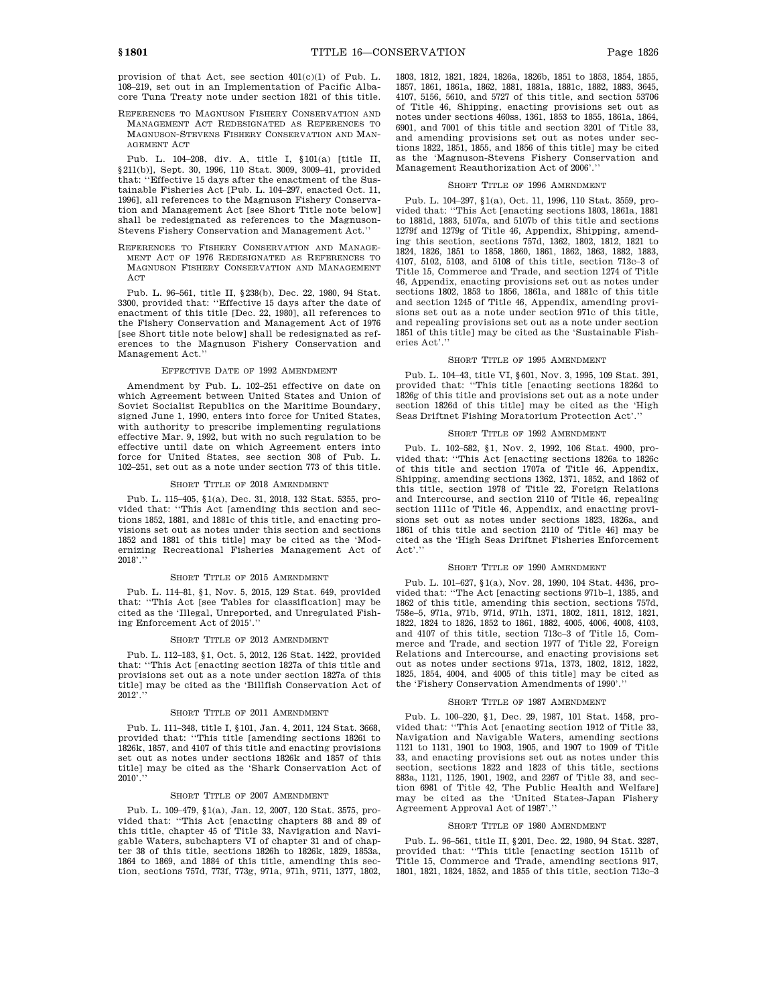REFERENCES TO MAGNUSON FISHERY CONSERVATION AND MANAGEMENT ACT REDESIGNATED AS REFERENCES TO MAGNUSON-STEVENS FISHERY CONSERVATION AND MAN-AGEMENT ACT

core Tuna Treaty note under section 1821 of this title.

Pub. L. 104–208, div. A, title I, §101(a) [title II, §211(b)], Sept. 30, 1996, 110 Stat. 3009, 3009–41, provided that: ''Effective 15 days after the enactment of the Sustainable Fisheries Act [Pub. L. 104–297, enacted Oct. 11, 1996], all references to the Magnuson Fishery Conservation and Management Act [see Short Title note below] shall be redesignated as references to the Magnuson-Stevens Fishery Conservation and Management Act.''

REFERENCES TO FISHERY CONSERVATION AND MANAGE-MENT ACT OF 1976 REDESIGNATED AS REFERENCES TO MAGNUSON FISHERY CONSERVATION AND MANAGEMENT ACT

Pub. L. 96–561, title II, §238(b), Dec. 22, 1980, 94 Stat. 3300, provided that: ''Effective 15 days after the date of enactment of this title [Dec. 22, 1980], all references to the Fishery Conservation and Management Act of 1976 [see Short title note below] shall be redesignated as references to the Magnuson Fishery Conservation and Management Act.''

## EFFECTIVE DATE OF 1992 AMENDMENT

Amendment by Pub. L. 102–251 effective on date on which Agreement between United States and Union of Soviet Socialist Republics on the Maritime Boundary, signed June 1, 1990, enters into force for United States, with authority to prescribe implementing regulations effective Mar. 9, 1992, but with no such regulation to be effective until date on which Agreement enters into force for United States, see section 308 of Pub. L. 102–251, set out as a note under section 773 of this title.

#### SHORT TITLE OF 2018 AMENDMENT

Pub. L. 115–405, §1(a), Dec. 31, 2018, 132 Stat. 5355, provided that: ''This Act [amending this section and sections 1852, 1881, and 1881c of this title, and enacting provisions set out as notes under this section and sections 1852 and 1881 of this title] may be cited as the 'Modernizing Recreational Fisheries Management Act of 2018'.''

#### SHORT TITLE OF 2015 AMENDMENT

Pub. L. 114–81, §1, Nov. 5, 2015, 129 Stat. 649, provided that: ''This Act [see Tables for classification] may be cited as the 'Illegal, Unreported, and Unregulated Fishing Enforcement Act of 2015'.''

#### SHORT TITLE OF 2012 AMENDMENT

Pub. L. 112–183, §1, Oct. 5, 2012, 126 Stat. 1422, provided that: ''This Act [enacting section 1827a of this title and provisions set out as a note under section 1827a of this title] may be cited as the 'Billfish Conservation Act of 2012'.''

#### SHORT TITLE OF 2011 AMENDMENT

Pub. L. 111–348, title I, §101, Jan. 4, 2011, 124 Stat. 3668, provided that: ''This title [amending sections 1826i to 1826k, 1857, and 4107 of this title and enacting provisions set out as notes under sections 1826k and 1857 of this title] may be cited as the 'Shark Conservation Act of  $2010'$ 

#### SHORT TITLE OF 2007 AMENDMENT

Pub. L. 109–479, §1(a), Jan. 12, 2007, 120 Stat. 3575, provided that: ''This Act [enacting chapters 88 and 89 of this title, chapter 45 of Title 33, Navigation and Navigable Waters, subchapters VI of chapter 31 and of chapter 38 of this title, sections 1826h to 1826k, 1829, 1853a, 1864 to 1869, and 1884 of this title, amending this section, sections 757d, 773f, 773g, 971a, 971h, 971i, 1377, 1802,

#### SHORT TITLE OF 1996 AMENDMENT

Pub. L. 104–297, §1(a), Oct. 11, 1996, 110 Stat. 3559, provided that: ''This Act [enacting sections 1803, 1861a, 1881 to 1881d, 1883, 5107a, and 5107b of this title and sections 1279f and 1279g of Title 46, Appendix, Shipping, amending this section, sections 757d, 1362, 1802, 1812, 1821 to 1824, 1826, 1851 to 1858, 1860, 1861, 1862, 1863, 1882, 1883, 4107, 5102, 5103, and 5108 of this title, section 713c–3 of Title 15, Commerce and Trade, and section 1274 of Title 46, Appendix, enacting provisions set out as notes under sections 1802, 1853 to 1856, 1861a, and 1881c of this title and section 1245 of Title 46, Appendix, amending provisions set out as a note under section 971c of this title, and repealing provisions set out as a note under section 1851 of this title] may be cited as the 'Sustainable Fisheries Act'.

#### SHORT TITLE OF 1995 AMENDMENT

Pub. L. 104–43, title VI, §601, Nov. 3, 1995, 109 Stat. 391, provided that: ''This title [enacting sections 1826d to 1826g of this title and provisions set out as a note under section 1826d of this title] may be cited as the 'High Seas Driftnet Fishing Moratorium Protection Act'.''

#### SHORT TITLE OF 1992 AMENDMENT

Pub. L. 102–582, §1, Nov. 2, 1992, 106 Stat. 4900, provided that: ''This Act [enacting sections 1826a to 1826c of this title and section 1707a of Title 46, Appendix, Shipping, amending sections 1362, 1371, 1852, and 1862 of this title, section 1978 of Title 22, Foreign Relations and Intercourse, and section 2110 of Title 46, repealing section 1111c of Title 46, Appendix, and enacting provisions set out as notes under sections 1823, 1826a, and 1861 of this title and section 2110 of Title 46] may be cited as the 'High Seas Driftnet Fisheries Enforcement Act'.''

#### SHORT TITLE OF 1990 AMENDMENT

Pub. L. 101–627, §1(a), Nov. 28, 1990, 104 Stat. 4436, provided that: ''The Act [enacting sections 971b–1, 1385, and 1862 of this title, amending this section, sections 757d, 758e–5, 971a, 971b, 971d, 971h, 1371, 1802, 1811, 1812, 1821, 1822, 1824 to 1826, 1852 to 1861, 1882, 4005, 4006, 4008, 4103, and 4107 of this title, section 713c–3 of Title 15, Commerce and Trade, and section 1977 of Title 22, Foreign Relations and Intercourse, and enacting provisions set out as notes under sections 971a, 1373, 1802, 1812, 1822, 1825, 1854, 4004, and 4005 of this title] may be cited as the 'Fishery Conservation Amendments of 1990'.''

#### SHORT TITLE OF 1987 AMENDMENT

Pub. L. 100–220, §1, Dec. 29, 1987, 101 Stat. 1458, provided that: ''This Act [enacting section 1912 of Title 33, Navigation and Navigable Waters, amending sections 1121 to 1131, 1901 to 1903, 1905, and 1907 to 1909 of Title 33, and enacting provisions set out as notes under this section, sections 1822 and 1823 of this title, sections 883a, 1121, 1125, 1901, 1902, and 2267 of Title 33, and section 6981 of Title 42, The Public Health and Welfare] may be cited as the 'United States-Japan Fishery Agreement Approval Act of 1987'.''

#### SHORT TITLE OF 1980 AMENDMENT

Pub. L. 96–561, title II, §201, Dec. 22, 1980, 94 Stat. 3287, provided that: ''This title [enacting section 1511b of Title 15, Commerce and Trade, amending sections 917, 1801, 1821, 1824, 1852, and 1855 of this title, section 713c–3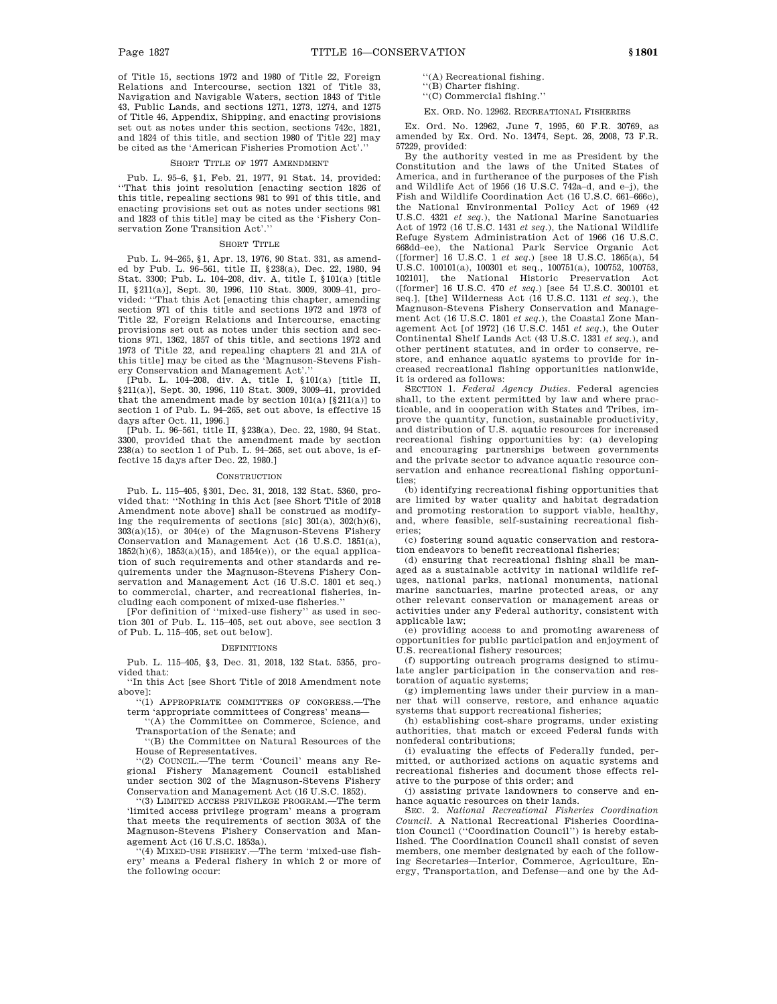of Title 15, sections 1972 and 1980 of Title 22, Foreign Relations and Intercourse, section 1321 of Title 33, Navigation and Navigable Waters, section 1843 of Title 43, Public Lands, and sections 1271, 1273, 1274, and 1275 of Title 46, Appendix, Shipping, and enacting provisions set out as notes under this section, sections 742c, 1821, and 1824 of this title, and section 1980 of Title 22] may be cited as the 'American Fisheries Promotion Act'.''

#### SHORT TITLE OF 1977 AMENDMENT

Pub. L. 95–6, §1, Feb. 21, 1977, 91 Stat. 14, provided: ''That this joint resolution [enacting section 1826 of this title, repealing sections 981 to 991 of this title, and enacting provisions set out as notes under sections 981 and 1823 of this title] may be cited as the 'Fishery Conservation Zone Transition Act'.''

#### SHORT TITLE

Pub. L. 94–265, §1, Apr. 13, 1976, 90 Stat. 331, as amended by Pub. L. 96–561, title II, §238(a), Dec. 22, 1980, 94 Stat. 3300; Pub. L. 104–208, div. A, title I, §101(a) [title II, §211(a)], Sept. 30, 1996, 110 Stat. 3009, 3009–41, provided: ''That this Act [enacting this chapter, amending section 971 of this title and sections 1972 and 1973 of Title 22, Foreign Relations and Intercourse, enacting provisions set out as notes under this section and sections 971, 1362, 1857 of this title, and sections 1972 and 1973 of Title 22, and repealing chapters 21 and 21A of this title] may be cited as the 'Magnuson-Stevens Fishery Conservation and Management Act'.

[Pub. L. 104–208, div. A, title I, §101(a) [title II, §211(a)], Sept. 30, 1996, 110 Stat. 3009, 3009–41, provided that the amendment made by section  $101(a)$  [§211(a)] to section 1 of Pub. L. 94–265, set out above, is effective 15 days after Oct. 11, 1996.]

[Pub. L. 96–561, title II, §238(a), Dec. 22, 1980, 94 Stat. 3300, provided that the amendment made by section 238(a) to section 1 of Pub. L. 94–265, set out above, is effective 15 days after Dec. 22, 1980.]

#### **CONSTRUCTION**

Pub. L. 115–405, §301, Dec. 31, 2018, 132 Stat. 5360, provided that: ''Nothing in this Act [see Short Title of 2018 Amendment note above] shall be construed as modifying the requirements of sections [sic] 301(a), 302(h)(6), 303(a)(15), or 304(e) of the Magnuson-Stevens Fishery Conservation and Management Act (16 U.S.C. 1851(a), 1852(h)(6), 1853(a)(15), and 1854(e)), or the equal application of such requirements and other standards and requirements under the Magnuson-Stevens Fishery Conservation and Management Act (16 U.S.C. 1801 et seq.) to commercial, charter, and recreational fisheries, including each component of mixed-use fisheries.''

[For definition of ''mixed-use fishery'' as used in section 301 of Pub. L. 115–405, set out above, see section 3 of Pub. L. 115–405, set out below].

#### **DEFINITIONS**

Pub. L. 115–405, §3, Dec. 31, 2018, 132 Stat. 5355, provided that:

''In this Act [see Short Title of 2018 Amendment note above]:

''(1) APPROPRIATE COMMITTEES OF CONGRESS.—The term 'appropriate committees of Congress' means—

''(A) the Committee on Commerce, Science, and Transportation of the Senate; and

''(B) the Committee on Natural Resources of the House of Representatives.

''(2) COUNCIL.—The term 'Council' means any Regional Fishery Management Council established under section 302 of the Magnuson-Stevens Fishery Conservation and Management Act (16 U.S.C. 1852).

''(3) LIMITED ACCESS PRIVILEGE PROGRAM.—The term 'limited access privilege program' means a program that meets the requirements of section 303A of the Magnuson-Stevens Fishery Conservation and Management Act (16 U.S.C. 1853a).

'(4) MIXED-USE FISHERY.—The term 'mixed-use fishery' means a Federal fishery in which 2 or more of the following occur:

''(A) Recreational fishing.

''(B) Charter fishing. ''(C) Commercial fishing.''

#### EX. ORD. NO. 12962. RECREATIONAL FISHERIES

Ex. Ord. No. 12962, June 7, 1995, 60 F.R. 30769, as amended by Ex. Ord. No. 13474, Sept. 26, 2008, 73 F.R. 57229, provided:

By the authority vested in me as President by the Constitution and the laws of the United States of America, and in furtherance of the purposes of the Fish and Wildlife Act of 1956 (16 U.S.C. 742a–d, and e–j), the Fish and Wildlife Coordination Act (16 U.S.C. 661–666c), the National Environmental Policy Act of 1969 (42 U.S.C. 4321 *et seq*.), the National Marine Sanctuaries Act of 1972 (16 U.S.C. 1431 *et seq*.), the National Wildlife Refuge System Administration Act of 1966 (16 U.S.C. 668dd–ee), the National Park Service Organic Act ([former] 16 U.S.C. 1 *et seq*.) [see 18 U.S.C. 1865(a), 54 U.S.C. 100101(a), 100301 et seq., 100751(a), 100752, 100753, 102101], the National Historic Preservation Act ([former] 16 U.S.C. 470 *et seq*.) [see 54 U.S.C. 300101 et seq.], [the] Wilderness Act (16 U.S.C. 1131 *et seq*.), the Magnuson-Stevens Fishery Conservation and Management Act (16 U.S.C. 1801 *et seq*.), the Coastal Zone Management Act [of 1972] (16 U.S.C. 1451 *et seq*.), the Outer Continental Shelf Lands Act (43 U.S.C. 1331 *et seq*.), and other pertinent statutes, and in order to conserve, restore, and enhance aquatic systems to provide for increased recreational fishing opportunities nationwide, it is ordered as follows:

SECTION 1. *Federal Agency Duties*. Federal agencies shall, to the extent permitted by law and where practicable, and in cooperation with States and Tribes, improve the quantity, function, sustainable productivity, and distribution of U.S. aquatic resources for increased recreational fishing opportunities by: (a) developing and encouraging partnerships between governments and the private sector to advance aquatic resource conservation and enhance recreational fishing opportunities;

(b) identifying recreational fishing opportunities that are limited by water quality and habitat degradation and promoting restoration to support viable, healthy, and, where feasible, self-sustaining recreational fisheries;

(c) fostering sound aquatic conservation and restoration endeavors to benefit recreational fisheries;

(d) ensuring that recreational fishing shall be managed as a sustainable activity in national wildlife refuges, national parks, national monuments, national marine sanctuaries, marine protected areas, or any other relevant conservation or management areas or activities under any Federal authority, consistent with applicable law;

(e) providing access to and promoting awareness of opportunities for public participation and enjoyment of U.S. recreational fishery resources;

(f) supporting outreach programs designed to stimulate angler participation in the conservation and restoration of aquatic systems;

(g) implementing laws under their purview in a manner that will conserve, restore, and enhance aquatic systems that support recreational fisheries;

(h) establishing cost-share programs, under existing authorities, that match or exceed Federal funds with nonfederal contributions;

(i) evaluating the effects of Federally funded, permitted, or authorized actions on aquatic systems and recreational fisheries and document those effects relative to the purpose of this order; and

(j) assisting private landowners to conserve and enhance aquatic resources on their lands.

SEC. 2. *National Recreational Fisheries Coordination Council*. A National Recreational Fisheries Coordination Council (''Coordination Council'') is hereby established. The Coordination Council shall consist of seven members, one member designated by each of the following Secretaries—Interior, Commerce, Agriculture, Energy, Transportation, and Defense—and one by the Ad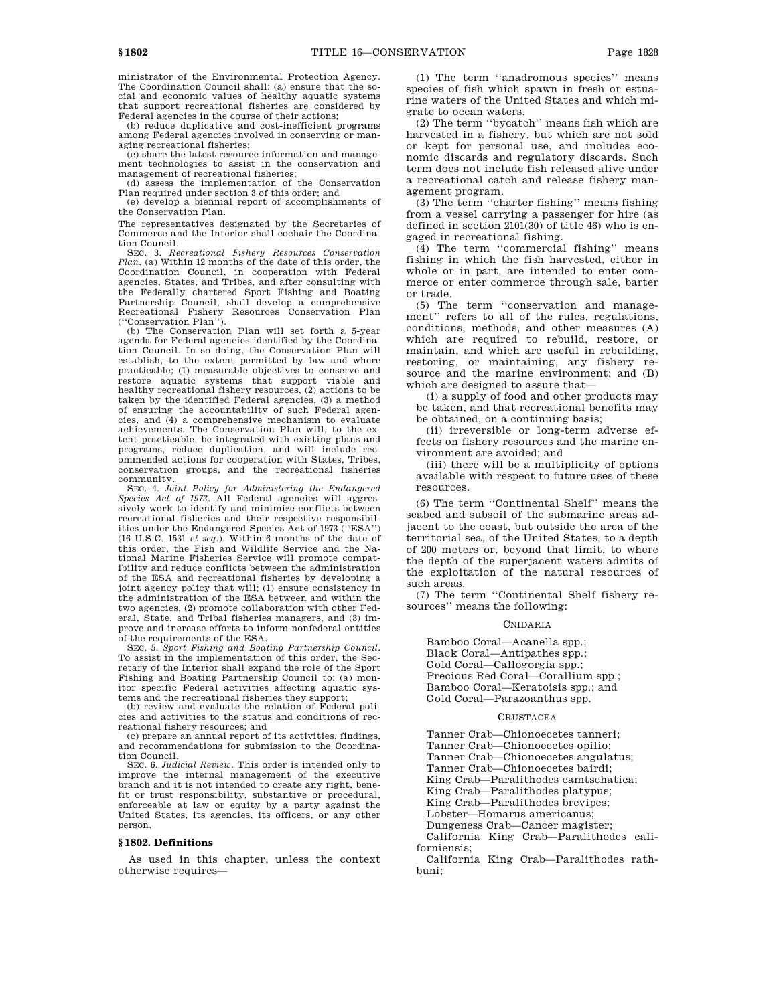ministrator of the Environmental Protection Agency. The Coordination Council shall: (a) ensure that the social and economic values of healthy aquatic systems that support recreational fisheries are considered by Federal agencies in the course of their actions;

(b) reduce duplicative and cost-inefficient programs among Federal agencies involved in conserving or managing recreational fisheries;

(c) share the latest resource information and management technologies to assist in the conservation and management of recreational fisheries;

(d) assess the implementation of the Conservation Plan required under section 3 of this order; and

(e) develop a biennial report of accomplishments of the Conservation Plan.

The representatives designated by the Secretaries of Commerce and the Interior shall cochair the Coordination Council.

SEC. 3. *Recreational Fishery Resources Conservation Plan*. (a) Within 12 months of the date of this order, the Coordination Council, in cooperation with Federal agencies, States, and Tribes, and after consulting with the Federally chartered Sport Fishing and Boating Partnership Council, shall develop a comprehensive Recreational Fishery Resources Conservation Plan (''Conservation Plan'').

(b) The Conservation Plan will set forth a 5-year agenda for Federal agencies identified by the Coordination Council. In so doing, the Conservation Plan will establish, to the extent permitted by law and where practicable; (1) measurable objectives to conserve and restore aquatic systems that support viable and healthy recreational fishery resources, (2) actions to be taken by the identified Federal agencies, (3) a method of ensuring the accountability of such Federal agencies, and (4) a comprehensive mechanism to evaluate achievements. The Conservation Plan will, to the extent practicable, be integrated with existing plans and programs, reduce duplication, and will include recommended actions for cooperation with States, Tribes, conservation groups, and the recreational fisheries community.

SEC. 4. *Joint Policy for Administering the Endangered Species Act of 1973*. All Federal agencies will aggressively work to identify and minimize conflicts between recreational fisheries and their respective responsibilities under the Endangered Species Act of 1973 (''ESA'') (16 U.S.C. 1531 *et seq*.). Within 6 months of the date of this order, the Fish and Wildlife Service and the National Marine Fisheries Service will promote compatibility and reduce conflicts between the administration of the ESA and recreational fisheries by developing a joint agency policy that will; (1) ensure consistency in the administration of the ESA between and within the two agencies, (2) promote collaboration with other Federal, State, and Tribal fisheries managers, and (3) improve and increase efforts to inform nonfederal entities of the requirements of the ESA.

SEC. 5. *Sport Fishing and Boating Partnership Council*. To assist in the implementation of this order, the Secretary of the Interior shall expand the role of the Sport Fishing and Boating Partnership Council to: (a) monitor specific Federal activities affecting aquatic systems and the recreational fisheries they support;

(b) review and evaluate the relation of Federal policies and activities to the status and conditions of recreational fishery resources; and

(c) prepare an annual report of its activities, findings, and recommendations for submission to the Coordination Council.

SEC. 6. *Judicial Review*. This order is intended only to improve the internal management of the executive branch and it is not intended to create any right, benefit or trust responsibility, substantive or procedural, enforceable at law or equity by a party against the United States, its agencies, its officers, or any other person.

## **§ 1802. Definitions**

As used in this chapter, unless the context otherwise requires—

(1) The term ''anadromous species'' means species of fish which spawn in fresh or estuarine waters of the United States and which migrate to ocean waters.

(2) The term ''bycatch'' means fish which are harvested in a fishery, but which are not sold or kept for personal use, and includes economic discards and regulatory discards. Such term does not include fish released alive under a recreational catch and release fishery management program.

(3) The term ''charter fishing'' means fishing from a vessel carrying a passenger for hire (as defined in section 2101(30) of title 46) who is engaged in recreational fishing.

(4) The term ''commercial fishing'' means fishing in which the fish harvested, either in whole or in part, are intended to enter commerce or enter commerce through sale, barter or trade.

(5) The term ''conservation and management'' refers to all of the rules, regulations, conditions, methods, and other measures (A) which are required to rebuild, restore, or maintain, and which are useful in rebuilding, restoring, or maintaining, any fishery resource and the marine environment; and (B) which are designed to assure that—

(i) a supply of food and other products may be taken, and that recreational benefits may be obtained, on a continuing basis;

(ii) irreversible or long-term adverse effects on fishery resources and the marine environment are avoided; and

(iii) there will be a multiplicity of options available with respect to future uses of these resources.

(6) The term ''Continental Shelf'' means the seabed and subsoil of the submarine areas adjacent to the coast, but outside the area of the territorial sea, of the United States, to a depth of 200 meters or, beyond that limit, to where the depth of the superjacent waters admits of the exploitation of the natural resources of such areas.

(7) The term ''Continental Shelf fishery resources'' means the following:

#### CNIDARIA

Bamboo Coral—Acanella spp.; Black Coral—Antipathes spp.; Gold Coral—Callogorgia spp.; Precious Red Coral—Corallium spp.; Bamboo Coral—Keratoisis spp.; and Gold Coral—Parazoanthus spp.

#### **CRUSTACEA**

Tanner Crab—Chionoecetes tanneri; Tanner Crab—Chionoecetes opilio; Tanner Crab—Chionoecetes angulatus; Tanner Crab—Chionoecetes bairdi; King Crab—Paralithodes camtschatica; King Crab—Paralithodes platypus; King Crab—Paralithodes brevipes; Lobster—Homarus americanus; Dungeness Crab—Cancer magister; California King Crab—Paralithodes californiensis;

California King Crab—Paralithodes rathbuni;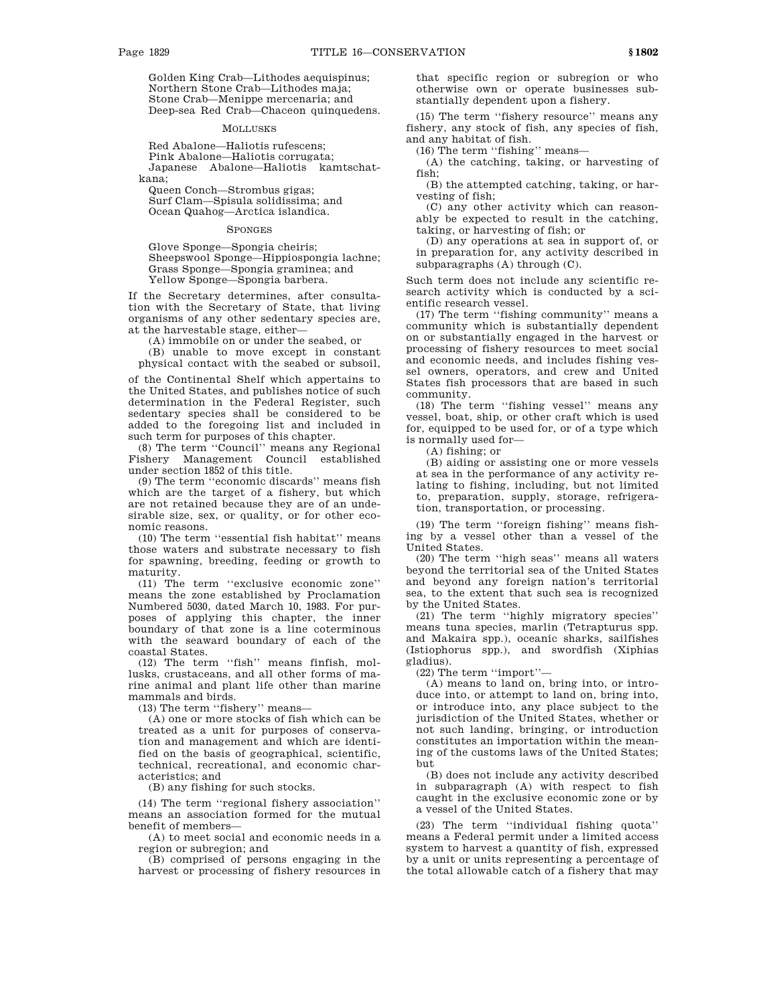Golden King Crab—Lithodes aequispinus; Northern Stone Crab—Lithodes maja; Stone Crab—Menippe mercenaria; and Deep-sea Red Crab—Chaceon quinquedens.

#### **MOLLUSKS**

Red Abalone—Haliotis rufescens;

Pink Abalone—Haliotis corrugata; Japanese Abalone—Haliotis kamtschatkana;

Queen Conch—Strombus gigas; Surf Clam—Spisula solidissima; and Ocean Quahog—Arctica islandica.

## SPONGES

Glove Sponge—Spongia cheiris; Sheepswool Sponge—Hippiospongia lachne; Grass Sponge—Spongia graminea; and Yellow Sponge—Spongia barbera.

If the Secretary determines, after consultation with the Secretary of State, that living organisms of any other sedentary species are, at the harvestable stage, either—

(A) immobile on or under the seabed, or

(B) unable to move except in constant physical contact with the seabed or subsoil,

of the Continental Shelf which appertains to the United States, and publishes notice of such determination in the Federal Register, such sedentary species shall be considered to be added to the foregoing list and included in such term for purposes of this chapter.

(8) The term ''Council'' means any Regional Fishery Management Council established under section 1852 of this title.

(9) The term ''economic discards'' means fish which are the target of a fishery, but which are not retained because they are of an undesirable size, sex, or quality, or for other economic reasons.

(10) The term ''essential fish habitat'' means those waters and substrate necessary to fish for spawning, breeding, feeding or growth to maturity.

(11) The term ''exclusive economic zone'' means the zone established by Proclamation Numbered 5030, dated March 10, 1983. For purposes of applying this chapter, the inner boundary of that zone is a line coterminous with the seaward boundary of each of the coastal States.

(12) The term ''fish'' means finfish, mollusks, crustaceans, and all other forms of marine animal and plant life other than marine mammals and birds.

(13) The term ''fishery'' means—

(A) one or more stocks of fish which can be treated as a unit for purposes of conservation and management and which are identified on the basis of geographical, scientific, technical, recreational, and economic characteristics; and

(B) any fishing for such stocks.

(14) The term ''regional fishery association'' means an association formed for the mutual benefit of members—

(A) to meet social and economic needs in a region or subregion; and

(B) comprised of persons engaging in the harvest or processing of fishery resources in that specific region or subregion or who otherwise own or operate businesses substantially dependent upon a fishery.

(15) The term ''fishery resource'' means any fishery, any stock of fish, any species of fish, and any habitat of fish.

(16) The term ''fishing'' means—

(A) the catching, taking, or harvesting of fish;

(B) the attempted catching, taking, or harvesting of fish;

(C) any other activity which can reasonably be expected to result in the catching, taking, or harvesting of fish; or

(D) any operations at sea in support of, or in preparation for, any activity described in subparagraphs (A) through (C).

Such term does not include any scientific research activity which is conducted by a scientific research vessel.

(17) The term ''fishing community'' means a community which is substantially dependent on or substantially engaged in the harvest or processing of fishery resources to meet social and economic needs, and includes fishing vessel owners, operators, and crew and United States fish processors that are based in such community.

(18) The term ''fishing vessel'' means any vessel, boat, ship, or other craft which is used for, equipped to be used for, or of a type which is normally used for—

(A) fishing; or

(B) aiding or assisting one or more vessels at sea in the performance of any activity relating to fishing, including, but not limited to, preparation, supply, storage, refrigeration, transportation, or processing.

(19) The term ''foreign fishing'' means fishing by a vessel other than a vessel of the United States.

(20) The term ''high seas'' means all waters beyond the territorial sea of the United States and beyond any foreign nation's territorial sea, to the extent that such sea is recognized by the United States.

(21) The term ''highly migratory species'' means tuna species, marlin (Tetrapturus spp. and Makaira spp.), oceanic sharks, sailfishes (Istiophorus spp.), and swordfish (Xiphias gladius).

(22) The term ''import''—

(A) means to land on, bring into, or introduce into, or attempt to land on, bring into, or introduce into, any place subject to the jurisdiction of the United States, whether or not such landing, bringing, or introduction constitutes an importation within the meaning of the customs laws of the United States; but

(B) does not include any activity described in subparagraph (A) with respect to fish caught in the exclusive economic zone or by a vessel of the United States.

(23) The term ''individual fishing quota'' means a Federal permit under a limited access system to harvest a quantity of fish, expressed by a unit or units representing a percentage of the total allowable catch of a fishery that may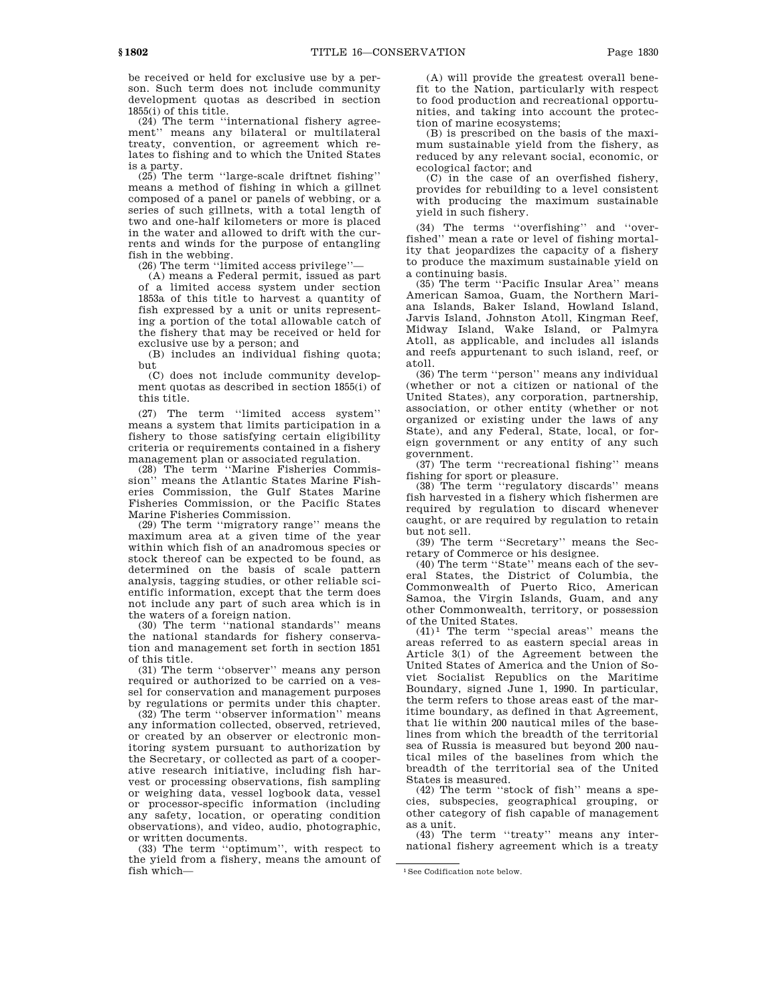be received or held for exclusive use by a person. Such term does not include community development quotas as described in section 1855(i) of this title.

(24) The term ''international fishery agreement'' means any bilateral or multilateral treaty, convention, or agreement which relates to fishing and to which the United States is a party.

(25) The term ''large-scale driftnet fishing'' means a method of fishing in which a gillnet composed of a panel or panels of webbing, or a series of such gillnets, with a total length of two and one-half kilometers or more is placed in the water and allowed to drift with the currents and winds for the purpose of entangling fish in the webbing.

(26) The term ''limited access privilege''—

(A) means a Federal permit, issued as part of a limited access system under section 1853a of this title to harvest a quantity of fish expressed by a unit or units representing a portion of the total allowable catch of the fishery that may be received or held for exclusive use by a person; and

(B) includes an individual fishing quota; but

(C) does not include community development quotas as described in section 1855(i) of this title.

(27) The term ''limited access system'' means a system that limits participation in a fishery to those satisfying certain eligibility criteria or requirements contained in a fishery management plan or associated regulation.

(28) The term ''Marine Fisheries Commission'' means the Atlantic States Marine Fisheries Commission, the Gulf States Marine Fisheries Commission, or the Pacific States Marine Fisheries Commission.

(29) The term ''migratory range'' means the maximum area at a given time of the year within which fish of an anadromous species or stock thereof can be expected to be found, as determined on the basis of scale pattern analysis, tagging studies, or other reliable scientific information, except that the term does not include any part of such area which is in the waters of a foreign nation.

(30) The term ''national standards'' means the national standards for fishery conservation and management set forth in section 1851 of this title.

(31) The term ''observer'' means any person required or authorized to be carried on a vessel for conservation and management purposes by regulations or permits under this chapter.

(32) The term ''observer information'' means any information collected, observed, retrieved, or created by an observer or electronic monitoring system pursuant to authorization by the Secretary, or collected as part of a cooperative research initiative, including fish harvest or processing observations, fish sampling or weighing data, vessel logbook data, vessel or processor-specific information (including any safety, location, or operating condition observations), and video, audio, photographic, or written documents.

(33) The term ''optimum'', with respect to the yield from a fishery, means the amount of fish which—

(A) will provide the greatest overall benefit to the Nation, particularly with respect to food production and recreational opportunities, and taking into account the protection of marine ecosystems;

(B) is prescribed on the basis of the maximum sustainable yield from the fishery, as reduced by any relevant social, economic, or ecological factor; and

(C) in the case of an overfished fishery, provides for rebuilding to a level consistent with producing the maximum sustainable yield in such fishery.

(34) The terms ''overfishing'' and ''overfished'' mean a rate or level of fishing mortality that jeopardizes the capacity of a fishery to produce the maximum sustainable yield on a continuing basis.

(35) The term ''Pacific Insular Area'' means American Samoa, Guam, the Northern Mariana Islands, Baker Island, Howland Island, Jarvis Island, Johnston Atoll, Kingman Reef, Midway Island, Wake Island, or Palmyra Atoll, as applicable, and includes all islands and reefs appurtenant to such island, reef, or atoll.

(36) The term ''person'' means any individual (whether or not a citizen or national of the United States), any corporation, partnership, association, or other entity (whether or not organized or existing under the laws of any State), and any Federal, State, local, or foreign government or any entity of any such government.

(37) The term ''recreational fishing'' means fishing for sport or pleasure.

(38) The term ''regulatory discards'' means fish harvested in a fishery which fishermen are required by regulation to discard whenever caught, or are required by regulation to retain but not sell.

(39) The term ''Secretary'' means the Secretary of Commerce or his designee.

(40) The term ''State'' means each of the several States, the District of Columbia, the Commonwealth of Puerto Rico, American Samoa, the Virgin Islands, Guam, and any other Commonwealth, territory, or possession of the United States.

 $(41)^1$  The term "special areas" means the areas referred to as eastern special areas in Article 3(1) of the Agreement between the United States of America and the Union of Soviet Socialist Republics on the Maritime Boundary, signed June 1, 1990. In particular, the term refers to those areas east of the maritime boundary, as defined in that Agreement, that lie within 200 nautical miles of the baselines from which the breadth of the territorial sea of Russia is measured but beyond 200 nautical miles of the baselines from which the breadth of the territorial sea of the United States is measured.

(42) The term ''stock of fish'' means a species, subspecies, geographical grouping, or other category of fish capable of management as a unit.

(43) The term ''treaty'' means any international fishery agreement which is a treaty

<sup>1</sup>See Codification note below.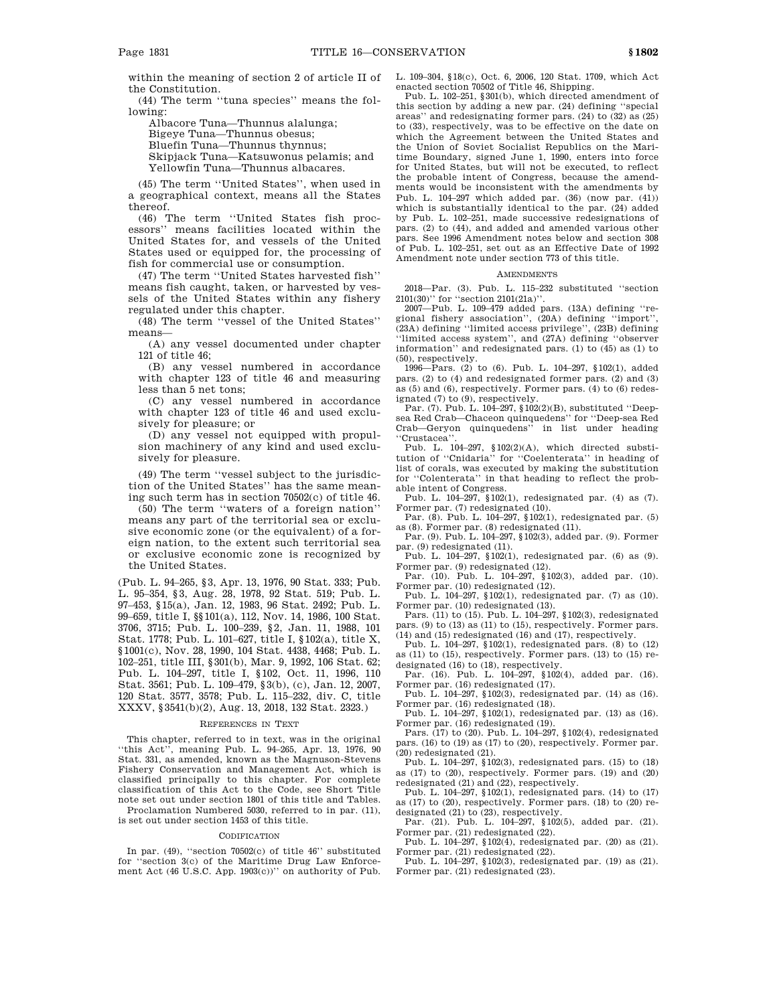within the meaning of section 2 of article II of the Constitution.

(44) The term ''tuna species'' means the following:

Albacore Tuna—Thunnus alalunga; Bigeye Tuna—Thunnus obesus; Bluefin Tuna—Thunnus thynnus; Skipjack Tuna—Katsuwonus pelamis; and Yellowfin Tuna—Thunnus albacares.

(45) The term ''United States'', when used in a geographical context, means all the States thereof.

(46) The term ''United States fish processors'' means facilities located within the United States for, and vessels of the United States used or equipped for, the processing of fish for commercial use or consumption.

(47) The term ''United States harvested fish'' means fish caught, taken, or harvested by vessels of the United States within any fishery regulated under this chapter.

(48) The term ''vessel of the United States'' means—

(A) any vessel documented under chapter 121 of title 46;

(B) any vessel numbered in accordance with chapter 123 of title 46 and measuring less than 5 net tons;

(C) any vessel numbered in accordance with chapter 123 of title 46 and used exclusively for pleasure; or

(D) any vessel not equipped with propulsion machinery of any kind and used exclusively for pleasure.

(49) The term ''vessel subject to the jurisdiction of the United States'' has the same meaning such term has in section 70502(c) of title 46.

(50) The term ''waters of a foreign nation'' means any part of the territorial sea or exclusive economic zone (or the equivalent) of a foreign nation, to the extent such territorial sea or exclusive economic zone is recognized by the United States.

(Pub. L. 94–265, §3, Apr. 13, 1976, 90 Stat. 333; Pub. L. 95–354, §3, Aug. 28, 1978, 92 Stat. 519; Pub. L. 97–453, §15(a), Jan. 12, 1983, 96 Stat. 2492; Pub. L. 99–659, title I, §§101(a), 112, Nov. 14, 1986, 100 Stat. 3706, 3715; Pub. L. 100–239, §2, Jan. 11, 1988, 101 Stat. 1778; Pub. L. 101–627, title I, §102(a), title X, §1001(c), Nov. 28, 1990, 104 Stat. 4438, 4468; Pub. L. 102–251, title III, §301(b), Mar. 9, 1992, 106 Stat. 62; Pub. L. 104–297, title I, §102, Oct. 11, 1996, 110 Stat. 3561; Pub. L. 109–479, §3(b), (c), Jan. 12, 2007, 120 Stat. 3577, 3578; Pub. L. 115–232, div. C, title XXXV, §3541(b)(2), Aug. 13, 2018, 132 Stat. 2323.)

#### REFERENCES IN TEXT

This chapter, referred to in text, was in the original ''this Act'', meaning Pub. L. 94–265, Apr. 13, 1976, 90 Stat. 331, as amended, known as the Magnuson-Stevens Fishery Conservation and Management Act, which is classified principally to this chapter. For complete classification of this Act to the Code, see Short Title note set out under section 1801 of this title and Tables.

Proclamation Numbered 5030, referred to in par. (11), is set out under section 1453 of this title.

#### **CODIFICATION**

In par. (49), ''section 70502(c) of title 46'' substituted for ''section 3(c) of the Maritime Drug Law Enforcement Act (46 U.S.C. App. 1903(c))'' on authority of Pub.

L. 109–304, §18(c), Oct. 6, 2006, 120 Stat. 1709, which Act enacted section 70502 of Title 46, Shipping.

Pub. L. 102–251, §301(b), which directed amendment of this section by adding a new par. (24) defining ''special areas'' and redesignating former pars. (24) to (32) as (25) to (33), respectively, was to be effective on the date on which the Agreement between the United States and the Union of Soviet Socialist Republics on the Maritime Boundary, signed June 1, 1990, enters into force for United States, but will not be executed, to reflect the probable intent of Congress, because the amendments would be inconsistent with the amendments by Pub. L. 104–297 which added par. (36) (now par. (41)) which is substantially identical to the par. (24) added by Pub. L. 102–251, made successive redesignations of pars. (2) to (44), and added and amended various other pars. See 1996 Amendment notes below and section 308 of Pub. L. 102–251, set out as an Effective Date of 1992 Amendment note under section 773 of this title.

#### **AMENDMENTS**

2018—Par. (3). Pub. L. 115–232 substituted ''section 2101(30)'' for ''section 2101(21a)''. 2007—Pub. L. 109–479 added pars. (13A) defining ''re-

gional fishery association'', (20A) defining ''import'', (23A) defining ''limited access privilege'', (23B) defining ''limited access system'', and (27A) defining ''observer information'' and redesignated pars. (1) to (45) as (1) to (50), respectively.

1996—Pars. (2) to (6). Pub. L. 104–297, §102(1), added pars. (2) to (4) and redesignated former pars. (2) and (3) as (5) and (6), respectively. Former pars. (4) to (6) redesignated (7) to (9), respectively.

Par. (7). Pub. L. 104–297, §102(2)(B), substituted ''Deepsea Red Crab—Chaceon quinquedens'' for ''Deep-sea Red Crab—Geryon quinquedens'' in list under heading

''Crustacea''. Pub. L. 104–297, §102(2)(A), which directed substitution of ''Cnidaria'' for ''Coelenterata'' in heading of list of corals, was executed by making the substitution for ''Colenterata'' in that heading to reflect the probable intent of Congress.

Pub. L. 104–297, §102(1), redesignated par. (4) as (7). Former par. (7) redesignated (10).

Par. (8). Pub. L. 104–297, §102(1), redesignated par. (5) as (8). Former par. (8) redesignated (11).

Par. (9). Pub. L. 104–297, §102(3), added par. (9). Former par. (9) redesignated (11).

Pub. L. 104–297, §102(1), redesignated par. (6) as (9). Former par. (9) redesignated (12).

Par. (10). Pub. L. 104–297, §102(3), added par. (10). Former par. (10) redesignated (12).

Pub. L. 104–297, §102(1), redesignated par. (7) as (10). Former par. (10) redesignated (13).

Pars. (11) to (15). Pub. L. 104–297, §102(3), redesignated pars. (9) to (13) as (11) to (15), respectively. Former pars.  $(14)$  and  $(15)$  redesignated  $(16)$  and  $(17)$ , respectively.

Pub. L. 104–297, §102(1), redesignated pars. (8) to (12) as (11) to (15), respectively. Former pars. (13) to (15) redesignated (16) to (18), respectively.

Par. (16). Pub. L. 104–297, §102(4), added par. (16). Former par. (16) redesignated (17).

Pub. L. 104–297, §102(3), redesignated par. (14) as (16). Former par. (16) redesignated (18).

Pub. L. 104–297, §102(1), redesignated par. (13) as (16). Former par. (16) redesignated (19).

Pars. (17) to (20). Pub. L. 104–297, §102(4), redesignated pars. (16) to (19) as (17) to (20), respectively. Former par. (20) redesignated (21).

Pub. L. 104–297, §102(3), redesignated pars. (15) to (18) as (17) to (20), respectively. Former pars. (19) and (20) redesignated (21) and (22), respectively.

Pub. L. 104–297, §102(1), redesignated pars. (14) to (17) as (17) to (20), respectively. Former pars. (18) to (20) redesignated (21) to (23), respectively.

Par. (21). Pub. L. 104–297, §102(5), added par. (21). Former par. (21) redesignated (22).

Pub. L. 104–297, §102(4), redesignated par. (20) as (21). Former par. (21) redesignated (22).

Pub. L. 104–297, §102(3), redesignated par. (19) as (21). Former par. (21) redesignated (23).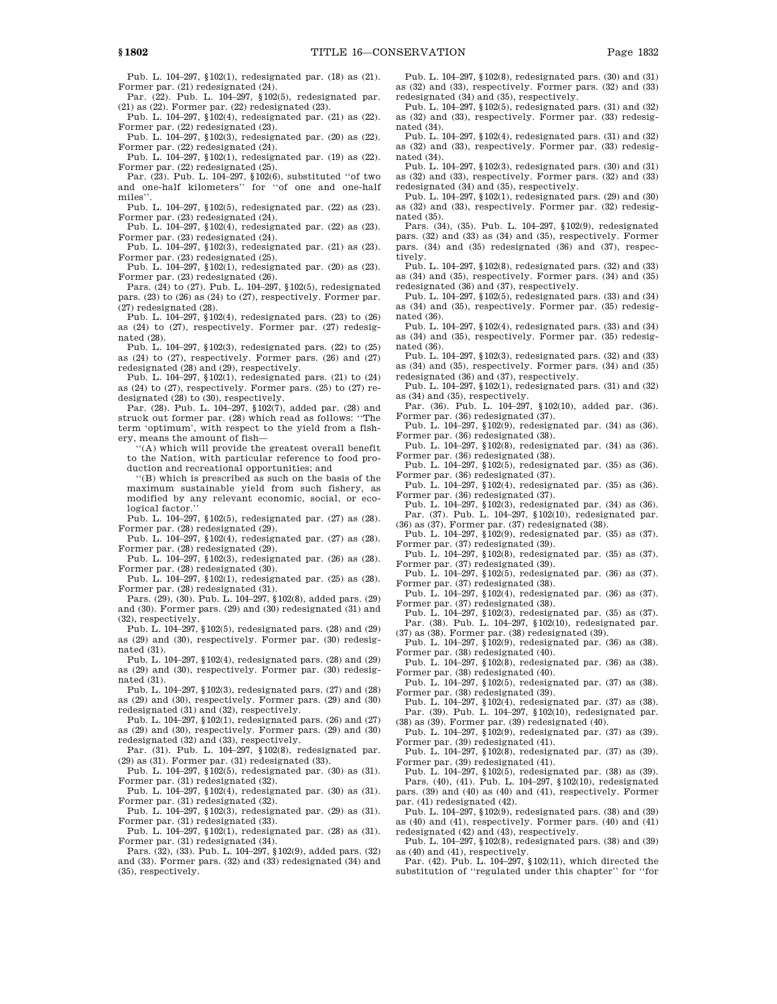Pub. L. 104–297, §102(1), redesignated par. (18) as (21). Former par. (21) redesignated (24).

Par. (22). Pub. L. 104–297, §102(5), redesignated par. (21) as (22). Former par. (22) redesignated (23).

Pub. L. 104–297, §102(4), redesignated par. (21) as (22). Former par. (22) redesignated (23).

Pub. L. 104–297, §102(3), redesignated par. (20) as (22). Former par. (22) redesignated (24).

Pub. L. 104–297, §102(1), redesignated par. (19) as (22). Former par. (22) redesignated (25).

Par. (23). Pub. L. 104–297, §102(6), substituted ''of two and one-half kilometers'' for ''of one and one-half miles

Pub. L. 104–297, §102(5), redesignated par. (22) as (23). Former par. (23) redesignated (24).

Pub. L. 104–297, §102(4), redesignated par. (22) as (23). Former par. (23) redesignated (24).

Pub. L. 104–297, §102(3), redesignated par. (21) as (23). Former par. (23) redesignated (25).

Pub. L. 104–297, §102(1), redesignated par. (20) as (23). Former par. (23) redesignated (26).

Pars. (24) to (27). Pub. L. 104–297, §102(5), redesignated pars. (23) to (26) as (24) to (27), respectively. Former par. (27) redesignated (28).

Pub. L. 104–297, §102(4), redesignated pars. (23) to (26) as (24) to (27), respectively. Former par. (27) redesignated (28).

Pub. L. 104–297, §102(3), redesignated pars. (22) to (25) as (24) to (27), respectively. Former pars. (26) and (27) redesignated (28) and (29), respectively.

Pub. L. 104–297, §102(1), redesignated pars. (21) to (24) as (24) to (27), respectively. Former pars. (25) to (27) redesignated (28) to (30), respectively.

Par. (28). Pub. L. 104–297, §102(7), added par. (28) and struck out former par. (28) which read as follows: ''The term 'optimum', with respect to the yield from a fishery, means the amount of fish—

'(A) which will provide the greatest overall benefit to the Nation, with particular reference to food production and recreational opportunities; and

''(B) which is prescribed as such on the basis of the maximum sustainable yield from such fishery, as modified by any relevant economic, social, or ecological factor.''

Pub. L. 104–297, §102(5), redesignated par. (27) as (28). Former par. (28) redesignated (29).

Pub. L. 104–297, §102(4), redesignated par. (27) as (28). Former par. (28) redesignated (29).

Pub. L. 104–297, §102(3), redesignated par. (26) as (28). Former par. (28) redesignated (30).

Pub. L. 104–297, §102(1), redesignated par. (25) as (28). Former par. (28) redesignated (31).

Pars. (29), (30). Pub. L. 104–297, §102(8), added pars. (29) and (30). Former pars. (29) and (30) redesignated (31) and (32), respectively.

Pub. L. 104–297, §102(5), redesignated pars. (28) and (29) as (29) and (30), respectively. Former par. (30) redesignated (31).

Pub. L. 104–297, §102(4), redesignated pars. (28) and (29) as (29) and (30), respectively. Former par. (30) redesignated (31).

Pub. L. 104–297, §102(3), redesignated pars. (27) and (28) as (29) and (30), respectively. Former pars. (29) and (30) redesignated (31) and (32), respectively.

Pub. L. 104–297, §102(1), redesignated pars. (26) and (27) as (29) and (30), respectively. Former pars. (29) and (30) redesignated (32) and (33), respectively.

Par. (31). Pub. L. 104–297, §102(8), redesignated par. (29) as (31). Former par. (31) redesignated (33).

Pub. L. 104–297, §102(5), redesignated par. (30) as (31). Former par. (31) redesignated (32).

Pub. L. 104–297, §102(4), redesignated par. (30) as (31). Former par. (31) redesignated (32).

Pub. L. 104–297, §102(3), redesignated par. (29) as (31). Former par. (31) redesignated (33).

Pub. L. 104–297, §102(1), redesignated par. (28) as (31). Former par. (31) redesignated (34).

Pars. (32), (33). Pub. L. 104–297, §102(9), added pars. (32) and (33). Former pars. (32) and (33) redesignated (34) and (35), respectively.

Pub. L. 104–297, §102(8), redesignated pars. (30) and (31) as (32) and (33), respectively. Former pars. (32) and (33) redesignated (34) and (35), respectively.

Pub. L. 104–297, §102(5), redesignated pars. (31) and (32) as (32) and (33), respectively. Former par. (33) redesignated (34).

Pub. L. 104–297, §102(4), redesignated pars. (31) and (32) as (32) and (33), respectively. Former par. (33) redesignated (34).

Pub. L. 104–297, §102(3), redesignated pars. (30) and (31) as (32) and (33), respectively. Former pars. (32) and (33) redesignated (34) and (35), respectively.

Pub. L. 104–297, §102(1), redesignated pars. (29) and (30) as (32) and (33), respectively. Former par. (32) redesignated (35).

Pars. (34), (35). Pub. L. 104–297, §102(9), redesignated pars. (32) and (33) as (34) and (35), respectively. Former pars. (34) and (35) redesignated (36) and (37), respectively.

Pub. L. 104–297, §102(8), redesignated pars. (32) and (33) as (34) and (35), respectively. Former pars. (34) and (35) redesignated (36) and (37), respectively.

Pub. L. 104–297, §102(5), redesignated pars. (33) and (34) as (34) and (35), respectively. Former par. (35) redesignated (36)

Pub. L. 104–297, §102(4), redesignated pars. (33) and (34) as (34) and (35), respectively. Former par. (35) redesignated (36).

Pub. L. 104–297, §102(3), redesignated pars. (32) and (33) as (34) and (35), respectively. Former pars. (34) and (35) redesignated (36) and (37), respectively.

Pub. L. 104–297, §102(1), redesignated pars. (31) and (32)

as (34) and (35), respectively. Par. (36). Pub. L. 104–297, §102(10), added par. (36). Former par. (36) redesignated (37).

Pub. L. 104–297, §102(9), redesignated par. (34) as (36). Former par. (36) redesignated (38).

Pub. L. 104–297, §102(8), redesignated par. (34) as (36). Former par. (36) redesignated (38).

Pub. L. 104–297, §102(5), redesignated par. (35) as (36). Former par. (36) redesignated (37).

Pub. L. 104–297, §102(4), redesignated par. (35) as (36). Former par. (36) redesignated (37).

Pub. L. 104–297, §102(3), redesignated par. (34) as (36). Par. (37). Pub. L. 104–297, §102(10), redesignated par. (36) as (37). Former par. (37) redesignated (38).

Pub. L. 104–297, §102(9), redesignated par. (35) as (37). Former par. (37) redesignated (39).

Pub. L. 104–297, §102(8), redesignated par. (35) as (37). Former par. (37) redesignated (39).

Pub. L. 104–297, §102(5), redesignated par. (36) as (37). Former par. (37) redesignated (38).

Pub. L. 104–297, §102(4), redesignated par. (36) as (37). Former par. (37) redesignated (38).

Pub. L. 104–297, §102(3), redesignated par. (35) as (37). Par. (38). Pub. L. 104-297, §102(10), redesignated par.  $(37)$  as  $(38)$ . Former par.  $(38)$  redesignated  $(39)$ .

Pub. L. 104–297, §102(9), redesignated par. (36) as (38).

Former par. (38) redesignated (40). Pub. L. 104–297, §102(8), redesignated par. (36) as (38).

Former par. (38) redesignated (40). Pub. L. 104–297, §102(5), redesignated par. (37) as (38). Former par. (38) redesignated (39).

Pub. L. 104–297, §102(4), redesignated par. (37) as (38). Par. (39). Pub. L. 104–297, §102(10), redesignated par.

(38) as (39). Former par. (39) redesignated (40). Pub. L. 104–297, §102(9), redesignated par. (37) as (39). Former par. (39) redesignated (41).

Pub. L. 104–297, §102(8), redesignated par. (37) as (39). Former par. (39) redesignated (41).

Pub. L. 104–297, §102(5), redesignated par. (38) as (39). Pars. (40), (41). Pub. L. 104–297, §102(10), redesignated pars. (39) and (40) as (40) and (41), respectively. Former par. (41) redesignated (42).

Pub. L. 104–297, §102(9), redesignated pars. (38) and (39) as (40) and (41), respectively. Former pars. (40) and (41) redesignated (42) and (43), respectively.

Pub. L. 104–297, §102(8), redesignated pars. (38) and (39) as (40) and (41), respectively.

Par. (42). Pub. L. 104–297, §102(11), which directed the substitution of ''regulated under this chapter'' for ''for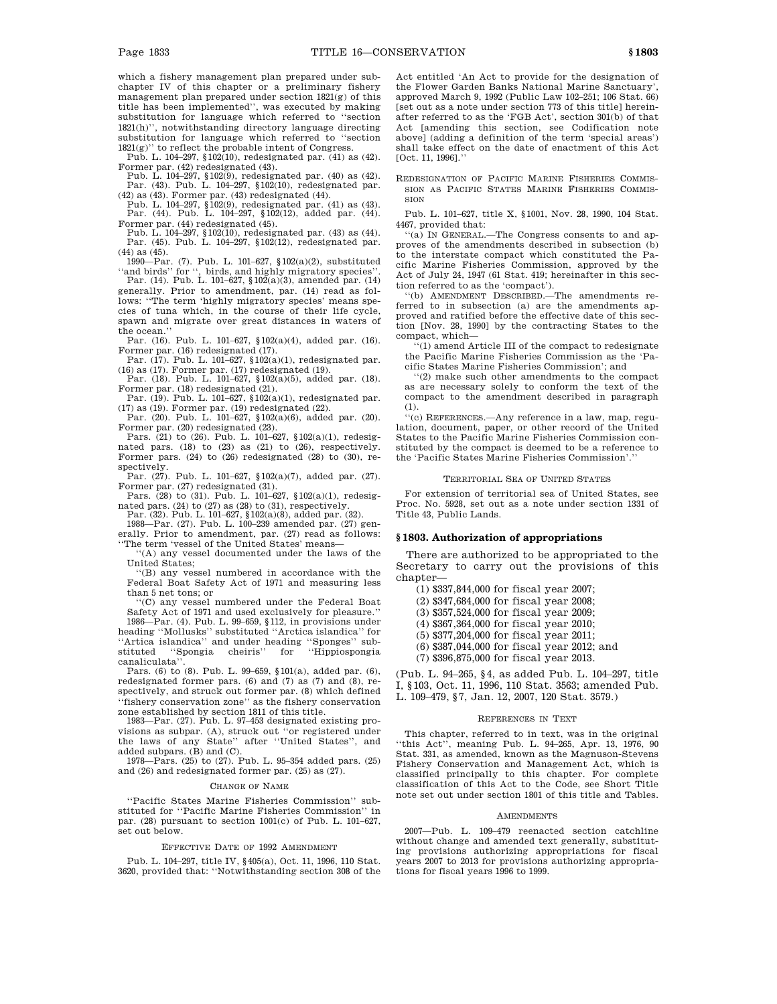which a fishery management plan prepared under subchapter IV of this chapter or a preliminary fishery management plan prepared under section 1821(g) of this title has been implemented'', was executed by making substitution for language which referred to ''section 1821(h)'', notwithstanding directory language directing substitution for language which referred to ''section 1821(g)'' to reflect the probable intent of Congress. Pub. L. 104–297, §102(10), redesignated par. (41) as (42).

Former par. (42) redesignated (43).

Pub. L. 104–297, §102(9), redesignated par. (40) as (42). Par. (43). Pub. L. 104–297, §102(10), redesignated par.

(42) as (43). Former par. (43) redesignated (44). Pub. L. 104–297, §102(9), redesignated par. (41) as (43). Par. (44). Pub. L. 104–297, §102(12), added par. (44). Former par. (44) redesignated (45).

Pub. L. 104–297, §102(10), redesignated par. (43) as (44). Par. (45). Pub. L. 104–297, §102(12), redesignated par.

(44) as (45). 1990—Par. (7). Pub. L. 101–627, §102(a)(2), substituted "and birds" for ", birds, and highly migratory species"

Par. (14). Pub. L. 101–627, §102(a)(3), amended par. (14) generally. Prior to amendment, par. (14) read as follows: ''The term 'highly migratory species' means species of tuna which, in the course of their life cycle, spawn and migrate over great distances in waters of the ocean.''

Par. (16). Pub. L. 101–627, §102(a)(4), added par. (16). Former par. (16) redesignated (17).

Par. (17). Pub. L. 101–627, §102(a)(1), redesignated par. (16) as (17). Former par. (17) redesignated (19).

Par. (18). Pub. L. 101–627, §102(a)(5), added par. (18). Former par. (18) redesignated (21). Par. (19). Pub. L. 101–627, §102(a)(1), redesignated par.

(17) as (19). Former par. (19) redesignated (22).

Par. (20). Pub. L. 101-627, §102(a)(6), added par. (20). Former par. (20) redesignated (23).

Pars. (21) to (26). Pub. L. 101–627, §102(a)(1), redesignated pars. (18) to (23) as (21) to (26), respectively. Former pars. (24) to (26) redesignated (28) to (30), re-

spectively. Par. (27). Pub. L. 101–627, §102(a)(7), added par. (27). Former par. (27) redesignated (31).

Pars. (28) to (31). Pub. L. 101–627, §102(a)(1), redesignated pars. (24) to (27) as (28) to (31), respectively.

Par. (32). Pub. L. 101–627, §102(a)(8), added par. (32). 1988—Par. (27). Pub. L. 100–239 amended par. (27) gen-

erally. Prior to amendment, par. (27) read as follows:

''The term 'vessel of the United States' means— ''(A) any vessel documented under the laws of the United States;

''(B) any vessel numbered in accordance with the Federal Boat Safety Act of 1971 and measuring less than 5 net tons; or

'(C) any vessel numbered under the Federal Boat Safety Act of 1971 and used exclusively for pleasure.'' 1986—Par. (4). Pub. L. 99–659, §112, in provisions under

heading ''Mollusks'' substituted ''Arctica islandica'' for ''Artica islandica'' and under heading ''Sponges'' substituted ''Spongia cheiris'' for ''Hippiospongia canaliculata''.

Pars. (6) to (8). Pub. L. 99–659, §101(a), added par. (6), redesignated former pars. (6) and (7) as (7) and (8), respectively, and struck out former par. (8) which defined ''fishery conservation zone'' as the fishery conservation zone established by section 1811 of this title.

1983—Par. (27). Pub. L. 97–453 designated existing provisions as subpar. (A), struck out ''or registered under the laws of any State'' after ''United States'', and added subpars. (B) and (C). 1978—Pars. (25) to (27). Pub. L. 95–354 added pars. (25)

and (26) and redesignated former par. (25) as (27).

#### CHANGE OF NAME

''Pacific States Marine Fisheries Commission'' substituted for ''Pacific Marine Fisheries Commission'' in par. (28) pursuant to section 1001(c) of Pub. L. 101–627, set out below.

## EFFECTIVE DATE OF 1992 AMENDMENT

Pub. L. 104–297, title IV, §405(a), Oct. 11, 1996, 110 Stat. 3620, provided that: ''Notwithstanding section 308 of the Act entitled 'An Act to provide for the designation of the Flower Garden Banks National Marine Sanctuary', approved March 9, 1992 (Public Law 102–251; 106 Stat. 66) [set out as a note under section 773 of this title] hereinafter referred to as the 'FGB Act', section 301(b) of that Act [amending this section, see Codification note above] (adding a definition of the term 'special areas') shall take effect on the date of enactment of this Act [Oct. 11, 1996].''

REDESIGNATION OF PACIFIC MARINE FISHERIES COMMIS-SION AS PACIFIC STATES MARINE FISHERIES COMMIS-**SION** 

Pub. L. 101–627, title X, §1001, Nov. 28, 1990, 104 Stat. 4467, provided that:

''(a) IN GENERAL.—The Congress consents to and approves of the amendments described in subsection (b) to the interstate compact which constituted the Pacific Marine Fisheries Commission, approved by the Act of July 24, 1947 (61 Stat. 419; hereinafter in this section referred to as the 'compact').

''(b) AMENDMENT DESCRIBED.—The amendments referred to in subsection (a) are the amendments approved and ratified before the effective date of this section [Nov. 28, 1990] by the contracting States to the compact, which—

''(1) amend Article III of the compact to redesignate the Pacific Marine Fisheries Commission as the 'Pacific States Marine Fisheries Commission'; and

''(2) make such other amendments to the compact as are necessary solely to conform the text of the compact to the amendment described in paragraph (1).

''(c) REFERENCES.—Any reference in a law, map, regulation, document, paper, or other record of the United States to the Pacific Marine Fisheries Commission constituted by the compact is deemed to be a reference to the 'Pacific States Marine Fisheries Commission'.''

## TERRITORIAL SEA OF UNITED STATES

For extension of territorial sea of United States, see Proc. No. 5928, set out as a note under section 1331 of Title 43, Public Lands.

#### **§ 1803. Authorization of appropriations**

There are authorized to be appropriated to the Secretary to carry out the provisions of this chapter—

(1) \$337,844,000 for fiscal year 2007;

(2) \$347,684,000 for fiscal year 2008;

(3) \$357,524,000 for fiscal year 2009;

(4) \$367,364,000 for fiscal year 2010;

(5) \$377,204,000 for fiscal year 2011;

(6) \$387,044,000 for fiscal year 2012; and

(7) \$396,875,000 for fiscal year 2013.

(Pub. L. 94–265, §4, as added Pub. L. 104–297, title I, §103, Oct. 11, 1996, 110 Stat. 3563; amended Pub. L. 109–479, §7, Jan. 12, 2007, 120 Stat. 3579.)

#### REFERENCES IN TEXT

This chapter, referred to in text, was in the original ''this Act'', meaning Pub. L. 94–265, Apr. 13, 1976, 90 Stat. 331, as amended, known as the Magnuson-Stevens Fishery Conservation and Management Act, which is classified principally to this chapter. For complete classification of this Act to the Code, see Short Title note set out under section 1801 of this title and Tables.

#### **AMENDMENTS**

2007—Pub. L. 109–479 reenacted section catchline without change and amended text generally, substituting provisions authorizing appropriations for fiscal years 2007 to 2013 for provisions authorizing appropriations for fiscal years 1996 to 1999.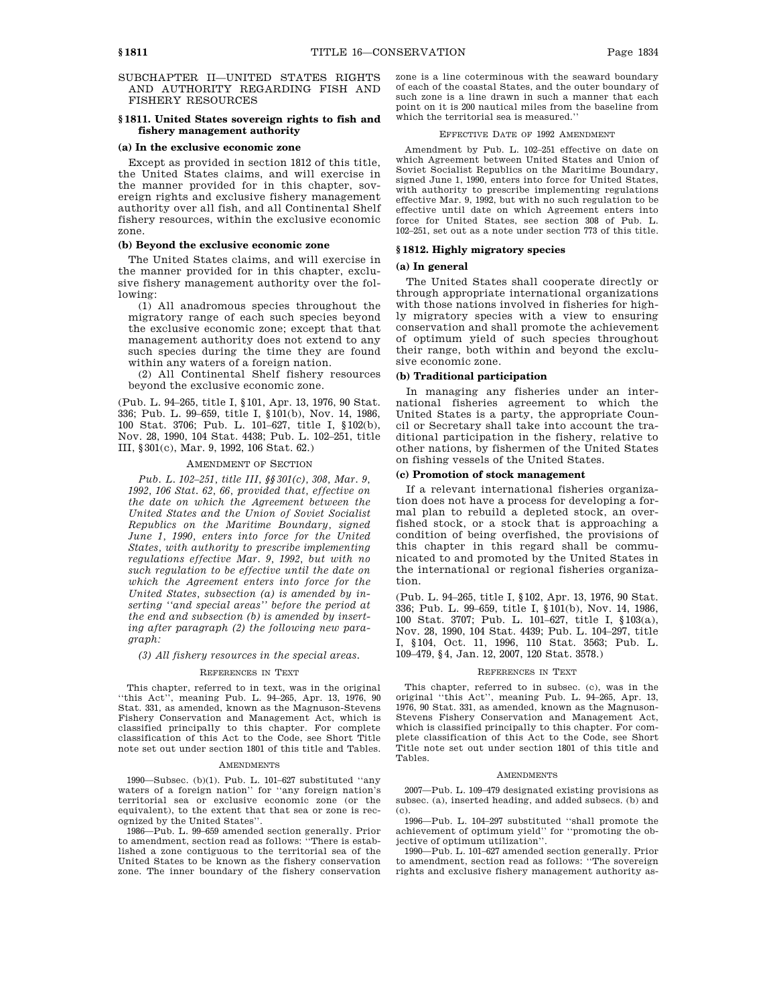## SUBCHAPTER II—UNITED STATES RIGHTS AND AUTHORITY REGARDING FISH AND FISHERY RESOURCES

## **§ 1811. United States sovereign rights to fish and fishery management authority**

## **(a) In the exclusive economic zone**

Except as provided in section 1812 of this title, the United States claims, and will exercise in the manner provided for in this chapter, sovereign rights and exclusive fishery management authority over all fish, and all Continental Shelf fishery resources, within the exclusive economic zone.

# **(b) Beyond the exclusive economic zone**

The United States claims, and will exercise in the manner provided for in this chapter, exclusive fishery management authority over the following:

(1) All anadromous species throughout the migratory range of each such species beyond the exclusive economic zone; except that that management authority does not extend to any such species during the time they are found within any waters of a foreign nation.

(2) All Continental Shelf fishery resources beyond the exclusive economic zone.

(Pub. L. 94–265, title I, §101, Apr. 13, 1976, 90 Stat. 336; Pub. L. 99–659, title I, §101(b), Nov. 14, 1986, 100 Stat. 3706; Pub. L. 101–627, title I, §102(b), Nov. 28, 1990, 104 Stat. 4438; Pub. L. 102–251, title III, §301(c), Mar. 9, 1992, 106 Stat. 62.)

## AMENDMENT OF SECTION

*Pub. L. 102–251, title III, §§301(c), 308, Mar. 9, 1992, 106 Stat. 62, 66, provided that, effective on the date on which the Agreement between the United States and the Union of Soviet Socialist Republics on the Maritime Boundary, signed June 1, 1990, enters into force for the United States, with authority to prescribe implementing regulations effective Mar. 9, 1992, but with no such regulation to be effective until the date on which the Agreement enters into force for the United States, subsection (a) is amended by inserting ''and special areas'' before the period at the end and subsection (b) is amended by inserting after paragraph (2) the following new paragraph:*

*(3) All fishery resources in the special areas.*

#### REFERENCES IN TEXT

This chapter, referred to in text, was in the original ''this Act'', meaning Pub. L. 94–265, Apr. 13, 1976, 90 Stat. 331, as amended, known as the Magnuson-Stevens Fishery Conservation and Management Act, which is classified principally to this chapter. For complete classification of this Act to the Code, see Short Title note set out under section 1801 of this title and Tables.

#### AMENDMENTS

1990—Subsec. (b)(1). Pub. L. 101–627 substituted ''any waters of a foreign nation'' for ''any foreign nation's territorial sea or exclusive economic zone (or the equivalent), to the extent that that sea or zone is recognized by the United States''.

1986—Pub. L. 99–659 amended section generally. Prior to amendment, section read as follows: ''There is established a zone contiguous to the territorial sea of the United States to be known as the fishery conservation zone. The inner boundary of the fishery conservation

zone is a line coterminous with the seaward boundary of each of the coastal States, and the outer boundary of such zone is a line drawn in such a manner that each point on it is 200 nautical miles from the baseline from which the territorial sea is measured.''

#### EFFECTIVE DATE OF 1992 AMENDMENT

Amendment by Pub. L. 102–251 effective on date on which Agreement between United States and Union of Soviet Socialist Republics on the Maritime Boundary, signed June 1, 1990, enters into force for United States, with authority to prescribe implementing regulations effective Mar. 9, 1992, but with no such regulation to be effective until date on which Agreement enters into force for United States, see section 308 of Pub. L. 102–251, set out as a note under section 773 of this title.

## **§ 1812. Highly migratory species**

## **(a) In general**

The United States shall cooperate directly or through appropriate international organizations with those nations involved in fisheries for highly migratory species with a view to ensuring conservation and shall promote the achievement of optimum yield of such species throughout their range, both within and beyond the exclusive economic zone.

# **(b) Traditional participation**

In managing any fisheries under an international fisheries agreement to which the United States is a party, the appropriate Council or Secretary shall take into account the traditional participation in the fishery, relative to other nations, by fishermen of the United States on fishing vessels of the United States.

## **(c) Promotion of stock management**

If a relevant international fisheries organization does not have a process for developing a formal plan to rebuild a depleted stock, an overfished stock, or a stock that is approaching a condition of being overfished, the provisions of this chapter in this regard shall be communicated to and promoted by the United States in the international or regional fisheries organization.

(Pub. L. 94–265, title I, §102, Apr. 13, 1976, 90 Stat. 336; Pub. L. 99–659, title I, §101(b), Nov. 14, 1986, 100 Stat. 3707; Pub. L. 101–627, title I, §103(a), Nov. 28, 1990, 104 Stat. 4439; Pub. L. 104–297, title I, §104, Oct. 11, 1996, 110 Stat. 3563; Pub. L. 109–479, §4, Jan. 12, 2007, 120 Stat. 3578.)

#### REFERENCES IN TEXT

This chapter, referred to in subsec. (c), was in the original ''this Act'', meaning Pub. L. 94–265, Apr. 13, 1976, 90 Stat. 331, as amended, known as the Magnuson-Stevens Fishery Conservation and Management Act, which is classified principally to this chapter. For complete classification of this Act to the Code, see Short Title note set out under section 1801 of this title and Tables.

#### **AMENDMENTS**

2007—Pub. L. 109–479 designated existing provisions as subsec. (a), inserted heading, and added subsecs. (b) and (c).

1996—Pub. L. 104–297 substituted ''shall promote the achievement of optimum yield'' for ''promoting the objective of optimum utilization''.

1990—Pub. L. 101–627 amended section generally. Prior to amendment, section read as follows: ''The sovereign rights and exclusive fishery management authority as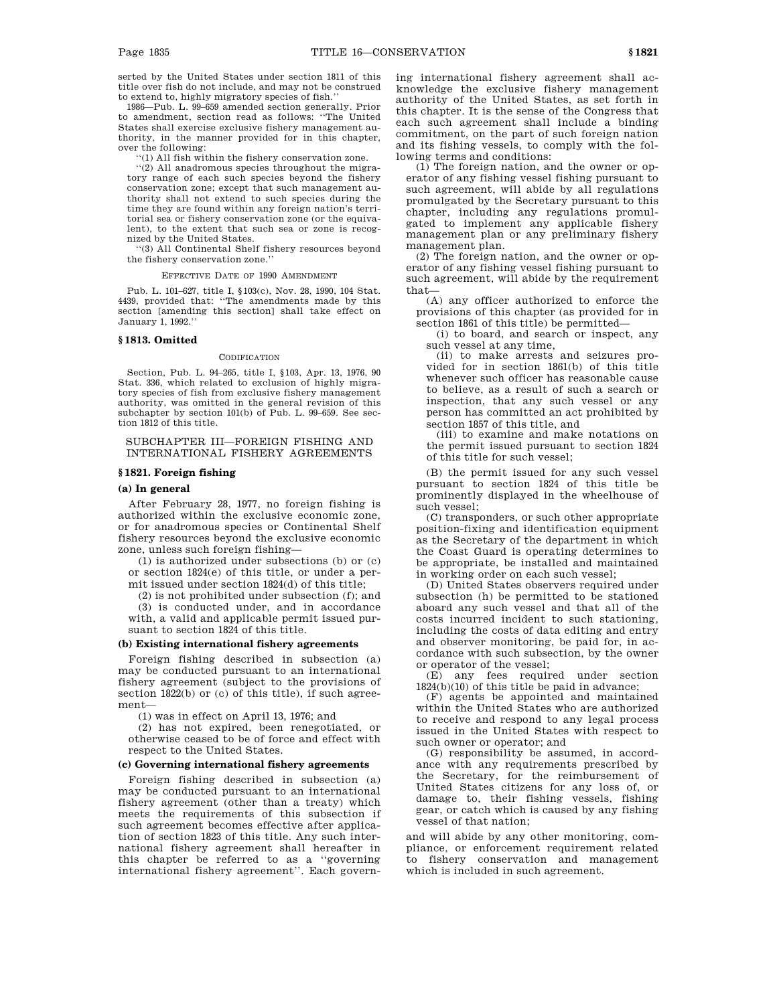serted by the United States under section 1811 of this title over fish do not include, and may not be construed to extend to, highly migratory species of fish.'

1986—Pub. L. 99–659 amended section generally. Prior to amendment, section read as follows: ''The United States shall exercise exclusive fishery management authority, in the manner provided for in this chapter, over the following:

'(1) All fish within the fishery conservation zone.

''(2) All anadromous species throughout the migratory range of each such species beyond the fishery conservation zone; except that such management authority shall not extend to such species during the time they are found within any foreign nation's territorial sea or fishery conservation zone (or the equivalent), to the extent that such sea or zone is recognized by the United States.

''(3) All Continental Shelf fishery resources beyond the fishery conservation zone.''

EFFECTIVE DATE OF 1990 AMENDMENT

Pub. L. 101–627, title I, §103(c), Nov. 28, 1990, 104 Stat. 4439, provided that: ''The amendments made by this section [amending this section] shall take effect on January 1, 1992.''

## **§ 1813. Omitted**

## CODIFICATION

Section, Pub. L. 94–265, title I, §103, Apr. 13, 1976, 90 Stat. 336, which related to exclusion of highly migratory species of fish from exclusive fishery management authority, was omitted in the general revision of this subchapter by section 101(b) of Pub. L. 99–659. See section 1812 of this title.

## SUBCHAPTER III—FOREIGN FISHING AND INTERNATIONAL FISHERY AGREEMENTS

## **§ 1821. Foreign fishing**

## **(a) In general**

After February 28, 1977, no foreign fishing is authorized within the exclusive economic zone, or for anadromous species or Continental Shelf fishery resources beyond the exclusive economic zone, unless such foreign fishing—

(1) is authorized under subsections (b) or (c) or section 1824(e) of this title, or under a permit issued under section 1824(d) of this title;

(2) is not prohibited under subsection (f); and

(3) is conducted under, and in accordance with, a valid and applicable permit issued pursuant to section 1824 of this title.

## **(b) Existing international fishery agreements**

Foreign fishing described in subsection (a) may be conducted pursuant to an international fishery agreement (subject to the provisions of section 1822(b) or (c) of this title), if such agreement—

(1) was in effect on April 13, 1976; and

(2) has not expired, been renegotiated, or otherwise ceased to be of force and effect with respect to the United States.

## **(c) Governing international fishery agreements**

Foreign fishing described in subsection (a) may be conducted pursuant to an international fishery agreement (other than a treaty) which meets the requirements of this subsection if such agreement becomes effective after application of section 1823 of this title. Any such international fishery agreement shall hereafter in this chapter be referred to as a ''governing international fishery agreement''. Each governing international fishery agreement shall acknowledge the exclusive fishery management authority of the United States, as set forth in this chapter. It is the sense of the Congress that each such agreement shall include a binding commitment, on the part of such foreign nation and its fishing vessels, to comply with the following terms and conditions:

(1) The foreign nation, and the owner or operator of any fishing vessel fishing pursuant to such agreement, will abide by all regulations promulgated by the Secretary pursuant to this chapter, including any regulations promulgated to implement any applicable fishery management plan or any preliminary fishery management plan.

(2) The foreign nation, and the owner or operator of any fishing vessel fishing pursuant to such agreement, will abide by the requirement that—

(A) any officer authorized to enforce the provisions of this chapter (as provided for in section 1861 of this title) be permitted—

(i) to board, and search or inspect, any such vessel at any time,

(ii) to make arrests and seizures provided for in section 1861(b) of this title whenever such officer has reasonable cause to believe, as a result of such a search or inspection, that any such vessel or any person has committed an act prohibited by section 1857 of this title, and

(iii) to examine and make notations on the permit issued pursuant to section 1824 of this title for such vessel;

(B) the permit issued for any such vessel pursuant to section 1824 of this title be prominently displayed in the wheelhouse of such vessel;

(C) transponders, or such other appropriate position-fixing and identification equipment as the Secretary of the department in which the Coast Guard is operating determines to be appropriate, be installed and maintained in working order on each such vessel;

(D) United States observers required under subsection (h) be permitted to be stationed aboard any such vessel and that all of the costs incurred incident to such stationing, including the costs of data editing and entry and observer monitoring, be paid for, in accordance with such subsection, by the owner or operator of the vessel;

(E) any fees required under section 1824(b)(10) of this title be paid in advance;

(F) agents be appointed and maintained within the United States who are authorized to receive and respond to any legal process issued in the United States with respect to such owner or operator; and

(G) responsibility be assumed, in accordance with any requirements prescribed by the Secretary, for the reimbursement of United States citizens for any loss of, or damage to, their fishing vessels, fishing gear, or catch which is caused by any fishing vessel of that nation;

and will abide by any other monitoring, compliance, or enforcement requirement related to fishery conservation and management which is included in such agreement.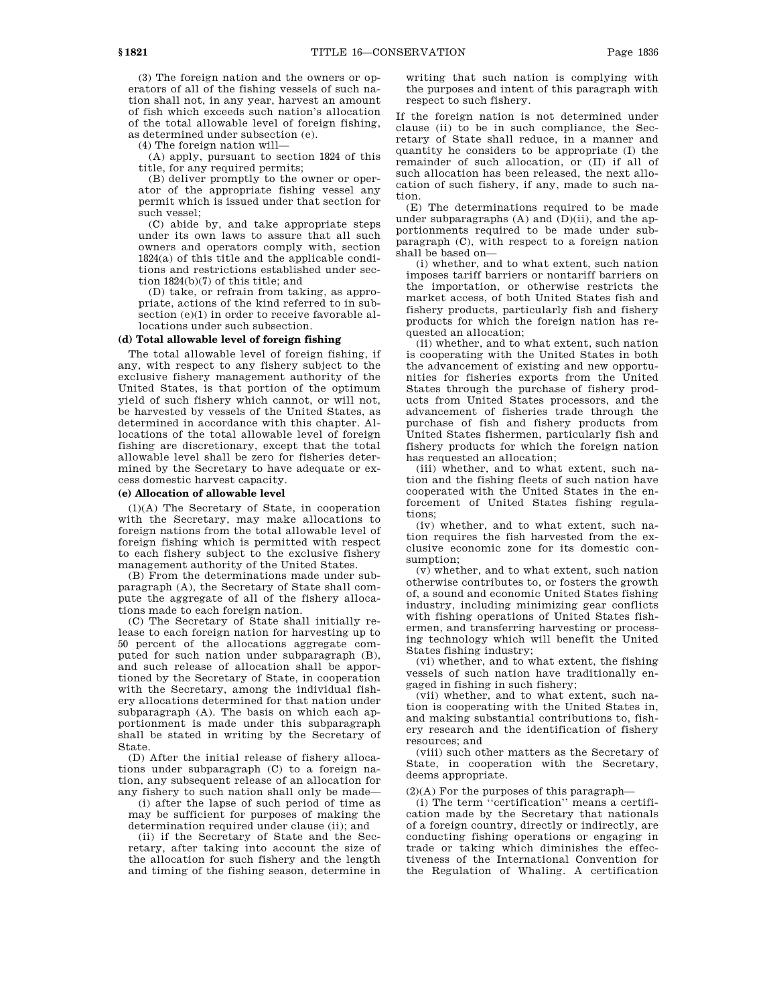(3) The foreign nation and the owners or operators of all of the fishing vessels of such nation shall not, in any year, harvest an amount of fish which exceeds such nation's allocation of the total allowable level of foreign fishing, as determined under subsection (e).

(4) The foreign nation will—

(A) apply, pursuant to section 1824 of this title, for any required permits;

(B) deliver promptly to the owner or operator of the appropriate fishing vessel any permit which is issued under that section for such vessel;

(C) abide by, and take appropriate steps under its own laws to assure that all such owners and operators comply with, section 1824(a) of this title and the applicable conditions and restrictions established under section 1824(b)(7) of this title; and

(D) take, or refrain from taking, as appropriate, actions of the kind referred to in subsection (e)(1) in order to receive favorable allocations under such subsection.

## **(d) Total allowable level of foreign fishing**

The total allowable level of foreign fishing, if any, with respect to any fishery subject to the exclusive fishery management authority of the United States, is that portion of the optimum yield of such fishery which cannot, or will not, be harvested by vessels of the United States, as determined in accordance with this chapter. Allocations of the total allowable level of foreign fishing are discretionary, except that the total allowable level shall be zero for fisheries determined by the Secretary to have adequate or excess domestic harvest capacity.

## **(e) Allocation of allowable level**

(1)(A) The Secretary of State, in cooperation with the Secretary, may make allocations to foreign nations from the total allowable level of foreign fishing which is permitted with respect to each fishery subject to the exclusive fishery management authority of the United States.

(B) From the determinations made under subparagraph (A), the Secretary of State shall compute the aggregate of all of the fishery allocations made to each foreign nation.

(C) The Secretary of State shall initially release to each foreign nation for harvesting up to 50 percent of the allocations aggregate computed for such nation under subparagraph (B), and such release of allocation shall be apportioned by the Secretary of State, in cooperation with the Secretary, among the individual fishery allocations determined for that nation under subparagraph (A). The basis on which each apportionment is made under this subparagraph shall be stated in writing by the Secretary of State.

(D) After the initial release of fishery allocations under subparagraph (C) to a foreign nation, any subsequent release of an allocation for any fishery to such nation shall only be made—

(i) after the lapse of such period of time as may be sufficient for purposes of making the determination required under clause (ii); and

(ii) if the Secretary of State and the Secretary, after taking into account the size of the allocation for such fishery and the length and timing of the fishing season, determine in

writing that such nation is complying with the purposes and intent of this paragraph with respect to such fishery.

If the foreign nation is not determined under clause (ii) to be in such compliance, the Secretary of State shall reduce, in a manner and quantity he considers to be appropriate (I) the remainder of such allocation, or (II) if all of such allocation has been released, the next allocation of such fishery, if any, made to such nation.

(E) The determinations required to be made under subparagraphs (A) and (D)(ii), and the apportionments required to be made under subparagraph (C), with respect to a foreign nation shall be based on—

(i) whether, and to what extent, such nation imposes tariff barriers or nontariff barriers on the importation, or otherwise restricts the market access, of both United States fish and fishery products, particularly fish and fishery products for which the foreign nation has requested an allocation;

(ii) whether, and to what extent, such nation is cooperating with the United States in both the advancement of existing and new opportunities for fisheries exports from the United States through the purchase of fishery products from United States processors, and the advancement of fisheries trade through the purchase of fish and fishery products from United States fishermen, particularly fish and fishery products for which the foreign nation has requested an allocation;

(iii) whether, and to what extent, such nation and the fishing fleets of such nation have cooperated with the United States in the enforcement of United States fishing regulations;

(iv) whether, and to what extent, such nation requires the fish harvested from the exclusive economic zone for its domestic consumption;

(v) whether, and to what extent, such nation otherwise contributes to, or fosters the growth of, a sound and economic United States fishing industry, including minimizing gear conflicts with fishing operations of United States fishermen, and transferring harvesting or processing technology which will benefit the United States fishing industry;

(vi) whether, and to what extent, the fishing vessels of such nation have traditionally engaged in fishing in such fishery;

(vii) whether, and to what extent, such nation is cooperating with the United States in, and making substantial contributions to, fishery research and the identification of fishery resources; and

(viii) such other matters as the Secretary of State, in cooperation with the Secretary, deems appropriate.

(2)(A) For the purposes of this paragraph—

(i) The term ''certification'' means a certification made by the Secretary that nationals of a foreign country, directly or indirectly, are conducting fishing operations or engaging in trade or taking which diminishes the effectiveness of the International Convention for the Regulation of Whaling. A certification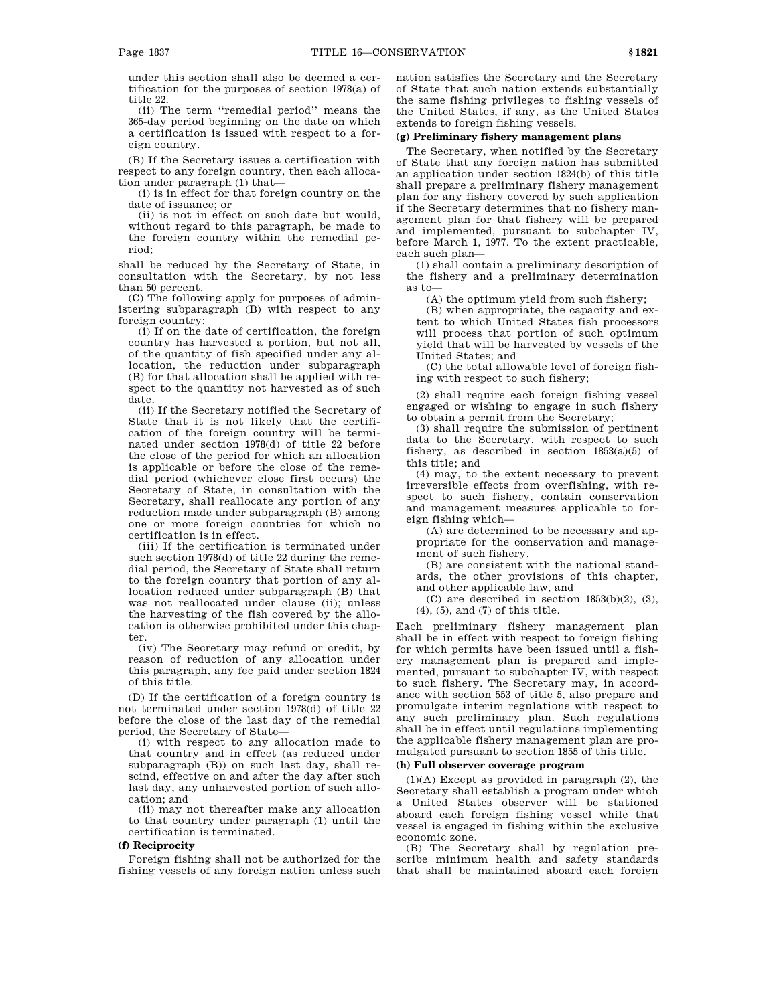under this section shall also be deemed a certification for the purposes of section 1978(a) of title 22.

(ii) The term ''remedial period'' means the 365-day period beginning on the date on which a certification is issued with respect to a foreign country.

(B) If the Secretary issues a certification with respect to any foreign country, then each allocation under paragraph (1) that—

(i) is in effect for that foreign country on the date of issuance; or

(ii) is not in effect on such date but would, without regard to this paragraph, be made to the foreign country within the remedial period;

shall be reduced by the Secretary of State, in consultation with the Secretary, by not less than 50 percent.

(C) The following apply for purposes of administering subparagraph (B) with respect to any foreign country:

(i) If on the date of certification, the foreign country has harvested a portion, but not all, of the quantity of fish specified under any allocation, the reduction under subparagraph (B) for that allocation shall be applied with respect to the quantity not harvested as of such date.

(ii) If the Secretary notified the Secretary of State that it is not likely that the certification of the foreign country will be terminated under section 1978(d) of title 22 before the close of the period for which an allocation is applicable or before the close of the remedial period (whichever close first occurs) the Secretary of State, in consultation with the Secretary, shall reallocate any portion of any reduction made under subparagraph (B) among one or more foreign countries for which no certification is in effect.

(iii) If the certification is terminated under such section 1978(d) of title 22 during the remedial period, the Secretary of State shall return to the foreign country that portion of any allocation reduced under subparagraph (B) that was not reallocated under clause (ii); unless the harvesting of the fish covered by the allocation is otherwise prohibited under this chapter.

(iv) The Secretary may refund or credit, by reason of reduction of any allocation under this paragraph, any fee paid under section 1824 of this title.

(D) If the certification of a foreign country is not terminated under section 1978(d) of title 22 before the close of the last day of the remedial period, the Secretary of State—

(i) with respect to any allocation made to that country and in effect (as reduced under subparagraph (B)) on such last day, shall rescind, effective on and after the day after such last day, any unharvested portion of such allocation; and

(ii) may not thereafter make any allocation to that country under paragraph (1) until the certification is terminated.

### **(f) Reciprocity**

Foreign fishing shall not be authorized for the fishing vessels of any foreign nation unless such nation satisfies the Secretary and the Secretary of State that such nation extends substantially the same fishing privileges to fishing vessels of the United States, if any, as the United States extends to foreign fishing vessels.

## **(g) Preliminary fishery management plans**

The Secretary, when notified by the Secretary of State that any foreign nation has submitted an application under section 1824(b) of this title shall prepare a preliminary fishery management plan for any fishery covered by such application if the Secretary determines that no fishery management plan for that fishery will be prepared and implemented, pursuant to subchapter IV, before March 1, 1977. To the extent practicable, each such plan—

(1) shall contain a preliminary description of the fishery and a preliminary determination as to—

(A) the optimum yield from such fishery;

(B) when appropriate, the capacity and extent to which United States fish processors will process that portion of such optimum yield that will be harvested by vessels of the United States; and

(C) the total allowable level of foreign fishing with respect to such fishery;

(2) shall require each foreign fishing vessel engaged or wishing to engage in such fishery to obtain a permit from the Secretary;

(3) shall require the submission of pertinent data to the Secretary, with respect to such fishery, as described in section  $1853(a)(5)$  of this title; and

(4) may, to the extent necessary to prevent irreversible effects from overfishing, with respect to such fishery, contain conservation and management measures applicable to foreign fishing which—

(A) are determined to be necessary and appropriate for the conservation and management of such fishery,

(B) are consistent with the national standards, the other provisions of this chapter, and other applicable law, and

(C) are described in section  $1853(b)(2)$ , (3), (4), (5), and (7) of this title.

Each preliminary fishery management plan shall be in effect with respect to foreign fishing for which permits have been issued until a fishery management plan is prepared and implemented, pursuant to subchapter IV, with respect to such fishery. The Secretary may, in accordance with section 553 of title 5, also prepare and promulgate interim regulations with respect to any such preliminary plan. Such regulations shall be in effect until regulations implementing the applicable fishery management plan are promulgated pursuant to section 1855 of this title.

## **(h) Full observer coverage program**

 $(1)(A)$  Except as provided in paragraph  $(2)$ , the Secretary shall establish a program under which a United States observer will be stationed aboard each foreign fishing vessel while that vessel is engaged in fishing within the exclusive economic zone.

(B) The Secretary shall by regulation prescribe minimum health and safety standards that shall be maintained aboard each foreign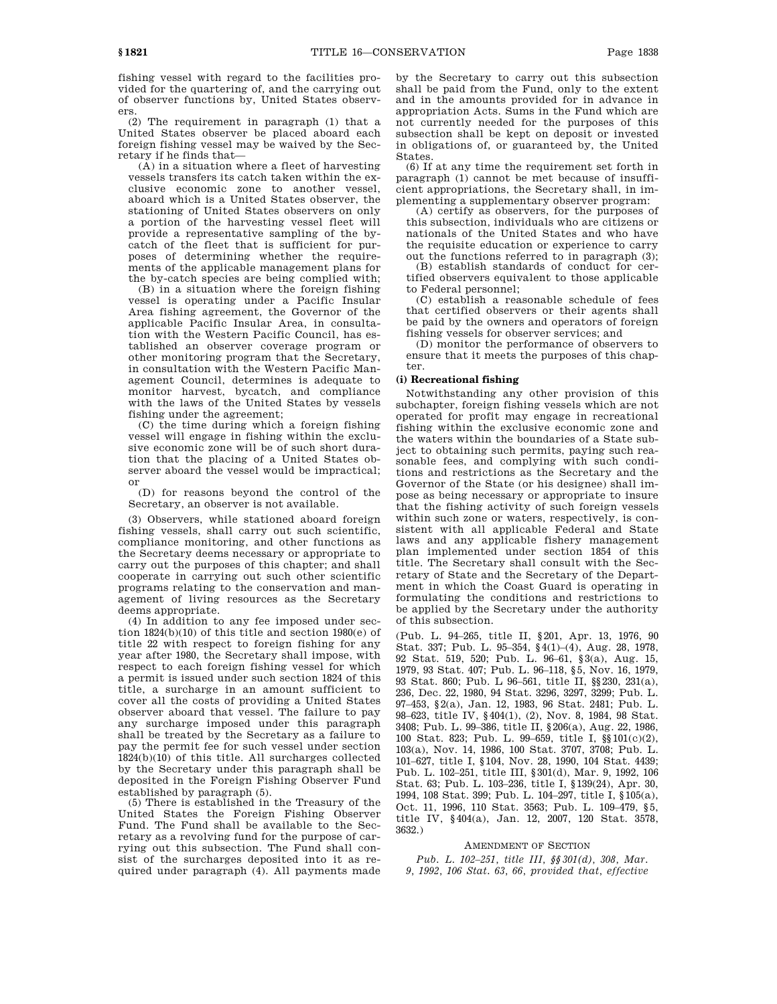fishing vessel with regard to the facilities provided for the quartering of, and the carrying out of observer functions by, United States observers.

(2) The requirement in paragraph (1) that a United States observer be placed aboard each foreign fishing vessel may be waived by the Secretary if he finds that—

(A) in a situation where a fleet of harvesting vessels transfers its catch taken within the exclusive economic zone to another vessel, aboard which is a United States observer, the stationing of United States observers on only a portion of the harvesting vessel fleet will provide a representative sampling of the bycatch of the fleet that is sufficient for purposes of determining whether the requirements of the applicable management plans for the by-catch species are being complied with;

(B) in a situation where the foreign fishing vessel is operating under a Pacific Insular Area fishing agreement, the Governor of the applicable Pacific Insular Area, in consultation with the Western Pacific Council, has established an observer coverage program or other monitoring program that the Secretary, in consultation with the Western Pacific Management Council, determines is adequate to monitor harvest, bycatch, and compliance with the laws of the United States by vessels fishing under the agreement;

(C) the time during which a foreign fishing vessel will engage in fishing within the exclusive economic zone will be of such short duration that the placing of a United States observer aboard the vessel would be impractical; or

(D) for reasons beyond the control of the Secretary, an observer is not available.

(3) Observers, while stationed aboard foreign fishing vessels, shall carry out such scientific, compliance monitoring, and other functions as the Secretary deems necessary or appropriate to carry out the purposes of this chapter; and shall cooperate in carrying out such other scientific programs relating to the conservation and management of living resources as the Secretary deems appropriate.

(4) In addition to any fee imposed under section 1824(b)(10) of this title and section 1980(e) of title 22 with respect to foreign fishing for any year after 1980, the Secretary shall impose, with respect to each foreign fishing vessel for which a permit is issued under such section 1824 of this title, a surcharge in an amount sufficient to cover all the costs of providing a United States observer aboard that vessel. The failure to pay any surcharge imposed under this paragraph shall be treated by the Secretary as a failure to pay the permit fee for such vessel under section 1824(b)(10) of this title. All surcharges collected by the Secretary under this paragraph shall be deposited in the Foreign Fishing Observer Fund established by paragraph (5).

(5) There is established in the Treasury of the United States the Foreign Fishing Observer Fund. The Fund shall be available to the Secretary as a revolving fund for the purpose of carrying out this subsection. The Fund shall consist of the surcharges deposited into it as required under paragraph (4). All payments made

by the Secretary to carry out this subsection shall be paid from the Fund, only to the extent and in the amounts provided for in advance in appropriation Acts. Sums in the Fund which are not currently needed for the purposes of this subsection shall be kept on deposit or invested in obligations of, or guaranteed by, the United States.

(6) If at any time the requirement set forth in paragraph (1) cannot be met because of insufficient appropriations, the Secretary shall, in implementing a supplementary observer program:

(A) certify as observers, for the purposes of this subsection, individuals who are citizens or nationals of the United States and who have the requisite education or experience to carry out the functions referred to in paragraph (3);

(B) establish standards of conduct for certified observers equivalent to those applicable to Federal personnel;

(C) establish a reasonable schedule of fees that certified observers or their agents shall be paid by the owners and operators of foreign fishing vessels for observer services; and

(D) monitor the performance of observers to ensure that it meets the purposes of this chapter.

#### **(i) Recreational fishing**

Notwithstanding any other provision of this subchapter, foreign fishing vessels which are not operated for profit may engage in recreational fishing within the exclusive economic zone and the waters within the boundaries of a State subject to obtaining such permits, paying such reasonable fees, and complying with such conditions and restrictions as the Secretary and the Governor of the State (or his designee) shall impose as being necessary or appropriate to insure that the fishing activity of such foreign vessels within such zone or waters, respectively, is consistent with all applicable Federal and State laws and any applicable fishery management plan implemented under section 1854 of this title. The Secretary shall consult with the Secretary of State and the Secretary of the Department in which the Coast Guard is operating in formulating the conditions and restrictions to be applied by the Secretary under the authority of this subsection.

(Pub. L. 94–265, title II, §201, Apr. 13, 1976, 90 Stat. 337; Pub. L. 95–354, §4(1)–(4), Aug. 28, 1978, 92 Stat. 519, 520; Pub. L. 96–61, §3(a), Aug. 15, 1979, 93 Stat. 407; Pub. L. 96–118, §5, Nov. 16, 1979, 93 Stat. 860; Pub. L 96–561, title II, §§230, 231(a), 236, Dec. 22, 1980, 94 Stat. 3296, 3297, 3299; Pub. L. 97–453, §2(a), Jan. 12, 1983, 96 Stat. 2481; Pub. L. 98–623, title IV, §404(1), (2), Nov. 8, 1984, 98 Stat. 3408; Pub. L. 99–386, title II, §206(a), Aug. 22, 1986, 100 Stat. 823; Pub. L. 99–659, title I, §§101(c)(2), 103(a), Nov. 14, 1986, 100 Stat. 3707, 3708; Pub. L. 101–627, title I, §104, Nov. 28, 1990, 104 Stat. 4439; Pub. L. 102–251, title III, §301(d), Mar. 9, 1992, 106 Stat. 63; Pub. L. 103–236, title I, §139(24), Apr. 30, 1994, 108 Stat. 399; Pub. L. 104–297, title I, §105(a), Oct. 11, 1996, 110 Stat. 3563; Pub. L. 109–479, §5, title IV, §404(a), Jan. 12, 2007, 120 Stat. 3578, 3632.)

#### AMENDMENT OF SECTION

*Pub. L. 102–251, title III, §§301(d), 308, Mar. 9, 1992, 106 Stat. 63, 66, provided that, effective*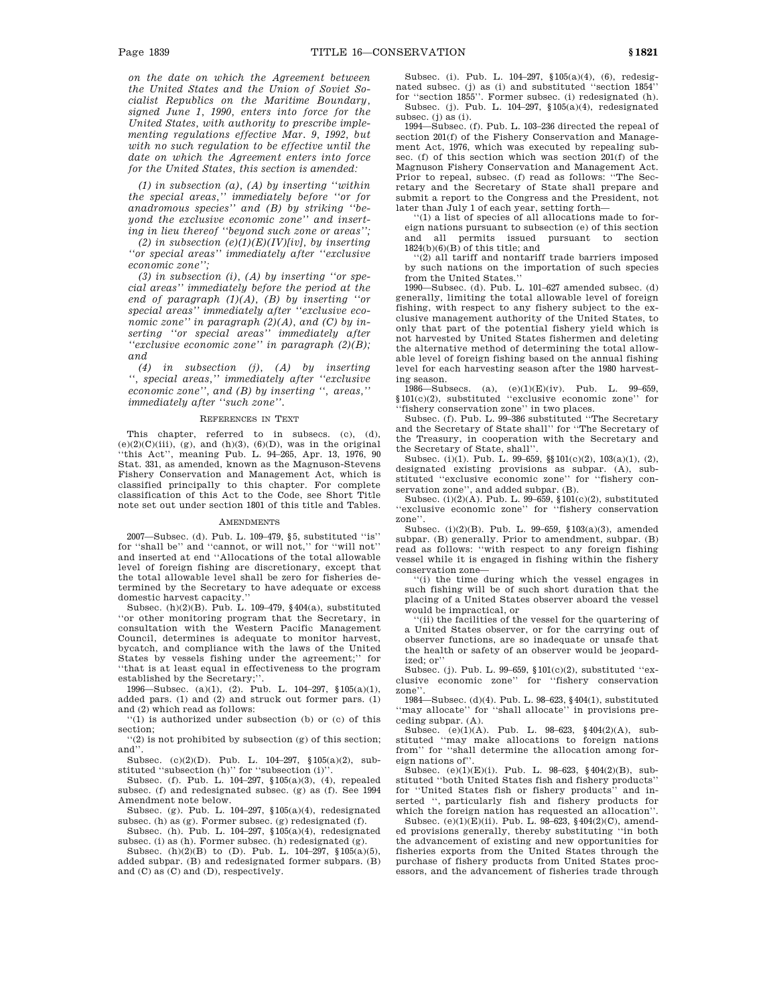*on the date on which the Agreement between the United States and the Union of Soviet Socialist Republics on the Maritime Boundary, signed June 1, 1990, enters into force for the United States, with authority to prescribe implementing regulations effective Mar. 9, 1992, but with no such regulation to be effective until the date on which the Agreement enters into force for the United States, this section is amended:*

*(1) in subsection (a), (A) by inserting ''within the special areas,'' immediately before ''or for anadromous species'' and (B) by striking ''beyond the exclusive economic zone'' and inserting in lieu thereof ''beyond such zone or areas'';*

*(2) in subsection (e)(1)(E)(IV)[iv], by inserting ''or special areas'' immediately after ''exclusive economic zone'';*

*(3) in subsection (i), (A) by inserting ''or special areas'' immediately before the period at the end of paragraph (1)(A), (B) by inserting ''or special areas'' immediately after ''exclusive economic zone'' in paragraph (2)(A), and (C) by inserting ''or special areas'' immediately after ''exclusive economic zone'' in paragraph (2)(B); and*

*(4) in subsection (j), (A) by inserting '', special areas,'' immediately after ''exclusive economic zone'', and (B) by inserting '', areas,'' immediately after ''such zone''.*

## REFERENCES IN TEXT

This chapter, referred to in subsecs. (c), (d),  $(e)(2)(C)(iii)$ ,  $(g)$ , and  $(h)(3)$ ,  $(6)(D)$ , was in the original ''this Act'', meaning Pub. L. 94–265, Apr. 13, 1976, 90 Stat. 331, as amended, known as the Magnuson-Stevens Fishery Conservation and Management Act, which is classified principally to this chapter. For complete classification of this Act to the Code, see Short Title note set out under section 1801 of this title and Tables.

#### **AMENDMENTS**

2007—Subsec. (d). Pub. L. 109–479, §5, substituted ''is'' for ''shall be'' and ''cannot, or will not,'' for ''will not'' and inserted at end ''Allocations of the total allowable level of foreign fishing are discretionary, except that the total allowable level shall be zero for fisheries determined by the Secretary to have adequate or excess domestic harvest capacity.'

Subsec. (h)(2)(B). Pub. L. 109–479, §404(a), substituted ''or other monitoring program that the Secretary, in consultation with the Western Pacific Management Council, determines is adequate to monitor harvest, bycatch, and compliance with the laws of the United States by vessels fishing under the agreement;'' for ''that is at least equal in effectiveness to the program established by the Secretary;"

1996—Subsec. (a)(1), (2). Pub. L. 104–297, §105(a)(1), added pars. (1) and (2) and struck out former pars. (1) and (2) which read as follows:

''(1) is authorized under subsection (b) or (c) of this section;

''(2) is not prohibited by subsection (g) of this section; and''.

Subsec. (c)(2)(D). Pub. L. 104–297, §105(a)(2), substituted ''subsection (h)'' for ''subsection (i)''.

Subsec. (f). Pub. L. 104–297,  $$105(a)(3)$ , (4), repealed subsec. (f) and redesignated subsec. (g) as (f). See 1994 Amendment note below.

Subsec. (g). Pub. L. 104–297, §105(a)(4), redesignated subsec. (h) as (g). Former subsec. (g) redesignated (f).

Subsec. (h). Pub. L. 104–297, §105(a)(4), redesignated subsec. (i) as (h). Former subsec. (h) redesignated  $(g)$ .

Subsec. (h)(2)(B) to (D). Pub. L. 104–297, §105(a)(5), added subpar. (B) and redesignated former subpars. (B) and (C) as (C) and (D), respectively.

Subsec. (i). Pub. L. 104–297, §105(a)(4), (6), redesignated subsec. (j) as (i) and substituted ''section 1854'' for "section 1855". Former subsec. (i) redesignated (h). Subsec. (j). Pub. L. 104–297, §105(a)(4), redesignated subsec. (j) as (i).

1994—Subsec. (f). Pub. L. 103–236 directed the repeal of section 201(f) of the Fishery Conservation and Management Act, 1976, which was executed by repealing subsec. (f) of this section which was section 201(f) of the Magnuson Fishery Conservation and Management Act. Prior to repeal, subsec. (f) read as follows: ''The Secretary and the Secretary of State shall prepare and submit a report to the Congress and the President, not later than July 1 of each year, setting forth—

''(1) a list of species of all allocations made to foreign nations pursuant to subsection (e) of this section and all permits issued pursuant to section  $1824(b)(6)(B)$  of this title; and

''(2) all tariff and nontariff trade barriers imposed by such nations on the importation of such species from the United States.''

1990—Subsec. (d). Pub. L. 101–627 amended subsec. (d) generally, limiting the total allowable level of foreign fishing, with respect to any fishery subject to the exclusive management authority of the United States, to only that part of the potential fishery yield which is not harvested by United States fishermen and deleting the alternative method of determining the total allowable level of foreign fishing based on the annual fishing level for each harvesting season after the 1980 harvesting season.

1986—Subsecs. (a),  $(e)(1)(E)(iv)$ . Pub. L. 99–659, §101(c)(2), substituted ''exclusive economic zone'' for ''fishery conservation zone'' in two places.

Subsec. (f). Pub. L. 99–386 substituted ''The Secretary and the Secretary of State shall'' for ''The Secretary of the Treasury, in cooperation with the Secretary and the Secretary of State, shall''.

Subsec. (i)(1). Pub. L. 99–659,  $\S$ 101(c)(2), 103(a)(1), (2), designated existing provisions as subpar. (A), substituted ''exclusive economic zone'' for ''fishery conservation zone'', and added subpar. (B).

Subsec. (i)(2)(A). Pub. L. 99–659, §101(c)(2), substituted ''exclusive economic zone'' for ''fishery conservation zone''.

Subsec. (i)(2)(B). Pub. L. 99–659, §103(a)(3), amended subpar. (B) generally. Prior to amendment, subpar. (B) read as follows: ''with respect to any foreign fishing vessel while it is engaged in fishing within the fishery conservation zone—

''(i) the time during which the vessel engages in such fishing will be of such short duration that the placing of a United States observer aboard the vessel would be impractical, or

''(ii) the facilities of the vessel for the quartering of a United States observer, or for the carrying out of observer functions, are so inadequate or unsafe that the health or safety of an observer would be jeopardized; or''

Subsec. (j). Pub. L. 99–659, §101(c)(2), substituted ''exclusive economic zone'' for ''fishery conservation zone''.

1984—Subsec. (d)(4). Pub. L. 98–623, §404(1), substituted ''may allocate'' for ''shall allocate'' in provisions preceding subpar. (A).

Subsec. (e)(1)(A). Pub. L. 98–623, §404(2)(A), substituted ''may make allocations to foreign nations from'' for ''shall determine the allocation among foreign nations of''.

Subsec. (e)(1)(E)(i). Pub. L. 98–623, §404(2)(B), substituted ''both United States fish and fishery products'' for ''United States fish or fishery products'' and inserted '', particularly fish and fishery products for which the foreign nation has requested an allocation''.

Subsec. (e)(1)(E)(ii). Pub. L. 98–623, §404(2)(C), amended provisions generally, thereby substituting ''in both the advancement of existing and new opportunities for fisheries exports from the United States through the purchase of fishery products from United States processors, and the advancement of fisheries trade through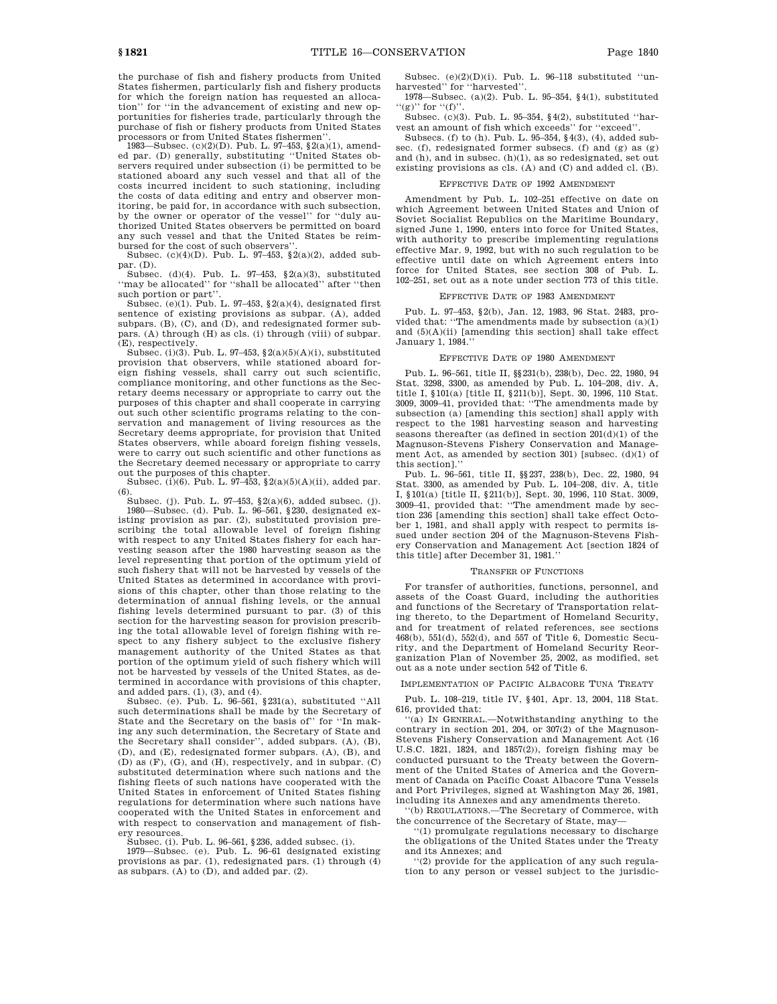the purchase of fish and fishery products from United States fishermen, particularly fish and fishery products for which the foreign nation has requested an allocation'' for ''in the advancement of existing and new opportunities for fisheries trade, particularly through the purchase of fish or fishery products from United States processors or from United States fishermen''.

1983—Subsec. (c)(2)(D). Pub. L. 97–453, §2(a)(1), amended par. (D) generally, substituting ''United States observers required under subsection (i) be permitted to be stationed aboard any such vessel and that all of the costs incurred incident to such stationing, including the costs of data editing and entry and observer monitoring, be paid for, in accordance with such subsection, by the owner or operator of the vessel'' for ''duly authorized United States observers be permitted on board any such vessel and that the United States be reimbursed for the cost of such observers''.

Subsec. (c)(4)(D). Pub. L. 97–453, §2(a)(2), added subpar. (D).

Subsec. (d)(4). Pub. L. 97–453,  $\S 2(a)(3)$ , substituted "may be allocated" for "shall be allocated" after "then such portion or part''.

Subsec. (e)(1). Pub. L. 97–453, §2(a)(4), designated first sentence of existing provisions as subpar. (A), added subpars. (B), (C), and (D), and redesignated former subpars. (A) through (H) as cls. (i) through (viii) of subpar.

(E), respectively.<br>Subsec. (i)(3). Pub. L. 97–453,  $(2(a)(5)(A)(i))$ , substituted provision that observers, while stationed aboard for-eign fishing vessels, shall carry out such scientific, compliance monitoring, and other functions as the Secretary deems necessary or appropriate to carry out the purposes of this chapter and shall cooperate in carrying out such other scientific programs relating to the conservation and management of living resources as the Secretary deems appropriate, for provision that United States observers, while aboard foreign fishing vessels, were to carry out such scientific and other functions as the Secretary deemed necessary or appropriate to carry out the purposes of this chapter.<br>Subsec. (i)(6). Pub. L. 97–453,  $\S 2(a)(5)(A)(ii)$ , added par.

(6).

Subsec. (j). Pub. L. 97–453, §2(a)(6), added subsec. (j). 1980—Subsec. (d). Pub. L. 96–561, §230, designated existing provision as par. (2), substituted provision prescribing the total allowable level of foreign fishing with respect to any United States fishery for each harvesting season after the 1980 harvesting season as the level representing that portion of the optimum yield of such fishery that will not be harvested by vessels of the United States as determined in accordance with provisions of this chapter, other than those relating to the determination of annual fishing levels, or the annual fishing levels determined pursuant to par. (3) of this section for the harvesting season for provision prescribing the total allowable level of foreign fishing with respect to any fishery subject to the exclusive fishery management authority of the United States as that portion of the optimum yield of such fishery which will not be harvested by vessels of the United States, as determined in accordance with provisions of this chapter, and added pars. (1), (3), and (4).

Subsec. (e). Pub. L. 96–561, §231(a), substituted ''All such determinations shall be made by the Secretary of State and the Secretary on the basis of'' for ''In making any such determination, the Secretary of State and the Secretary shall consider'', added subpars. (A), (B), (D), and (E), redesignated former subpars. (A), (B), and (D) as (F), (G), and (H), respectively, and in subpar. (C) substituted determination where such nations and the fishing fleets of such nations have cooperated with the United States in enforcement of United States fishing regulations for determination where such nations have cooperated with the United States in enforcement and with respect to conservation and management of fishery resources.

Subsec. (i). Pub. L. 96–561, §236, added subsec. (i).

1979—Subsec. (e). Pub. L. 96–61 designated existing provisions as par. (1), redesignated pars. (1) through (4) as subpars. (A) to (D), and added par. (2).

Subsec. (e)(2)(D)(i). Pub. L. 96–118 substituted ''unharvested'' for ''harvested''.

1978—Subsec. (a)(2). Pub. L. 95–354, §4(1), substituted '(g)'' for ''(f)''

Subsec. (c)(3). Pub. L. 95–354, §4(2), substituted ''harvest an amount of fish which exceeds'' for ''exceed''.

Subsecs. (f) to (h). Pub. L. 95–354, §4(3), (4), added subsec. (f), redesignated former subsecs. (f) and (g) as (g) and (h), and in subsec. (h)(1), as so redesignated, set out existing provisions as cls. (A) and (C) and added cl. (B).

#### EFFECTIVE DATE OF 1992 AMENDMENT

Amendment by Pub. L. 102–251 effective on date on which Agreement between United States and Union of Soviet Socialist Republics on the Maritime Boundary, signed June 1, 1990, enters into force for United States, with authority to prescribe implementing regulations effective Mar. 9, 1992, but with no such regulation to be effective until date on which Agreement enters into force for United States, see section 308 of Pub. L. 102–251, set out as a note under section 773 of this title.

#### EFFECTIVE DATE OF 1983 AMENDMENT

Pub. L. 97–453, §2(b), Jan. 12, 1983, 96 Stat. 2483, provided that: "The amendments made by subsection  $(a)(1)$ and  $(5)(A)(ii)$  [amending this section] shall take effect January 1, 1984.''

#### EFFECTIVE DATE OF 1980 AMENDMENT

Pub. L. 96–561, title II, §§231(b), 238(b), Dec. 22, 1980, 94 Stat. 3298, 3300, as amended by Pub. L. 104–208, div. A, title I, §101(a) [title II, §211(b)], Sept. 30, 1996, 110 Stat. 3009, 3009–41, provided that: ''The amendments made by subsection (a) [amending this section] shall apply with respect to the 1981 harvesting season and harvesting seasons thereafter (as defined in section 201(d)(1) of the Magnuson-Stevens Fishery Conservation and Management Act, as amended by section 301) [subsec. (d)(1) of this section].''

Pub. L. 96–561, title II, §§237, 238(b), Dec. 22, 1980, 94 Stat. 3300, as amended by Pub. L. 104–208, div. A, title I, §101(a) [title II, §211(b)], Sept. 30, 1996, 110 Stat. 3009, 3009–41, provided that: ''The amendment made by section 236 [amending this section] shall take effect October 1, 1981, and shall apply with respect to permits issued under section 204 of the Magnuson-Stevens Fishery Conservation and Management Act [section 1824 of this title] after December 31, 1981.''

#### TRANSFER OF FUNCTIONS

For transfer of authorities, functions, personnel, and assets of the Coast Guard, including the authorities and functions of the Secretary of Transportation relating thereto, to the Department of Homeland Security, and for treatment of related references, see sections 468(b), 551(d), 552(d), and 557 of Title 6, Domestic Security, and the Department of Homeland Security Reorganization Plan of November 25, 2002, as modified, set out as a note under section 542 of Title 6.

#### IMPLEMENTATION OF PACIFIC ALBACORE TUNA TREATY

Pub. L. 108–219, title IV, §401, Apr. 13, 2004, 118 Stat. 616, provided that:

''(a) IN GENERAL.—Notwithstanding anything to the contrary in section 201, 204, or 307(2) of the Magnuson-Stevens Fishery Conservation and Management Act (16 U.S.C. 1821, 1824, and 1857(2)), foreign fishing may be conducted pursuant to the Treaty between the Government of the United States of America and the Government of Canada on Pacific Coast Albacore Tuna Vessels and Port Privileges, signed at Washington May 26, 1981, including its Annexes and any amendments thereto.

''(b) REGULATIONS.—The Secretary of Commerce, with the concurrence of the Secretary of State, may—

'(1) promulgate regulations necessary to discharge the obligations of the United States under the Treaty and its Annexes; and

''(2) provide for the application of any such regulation to any person or vessel subject to the jurisdic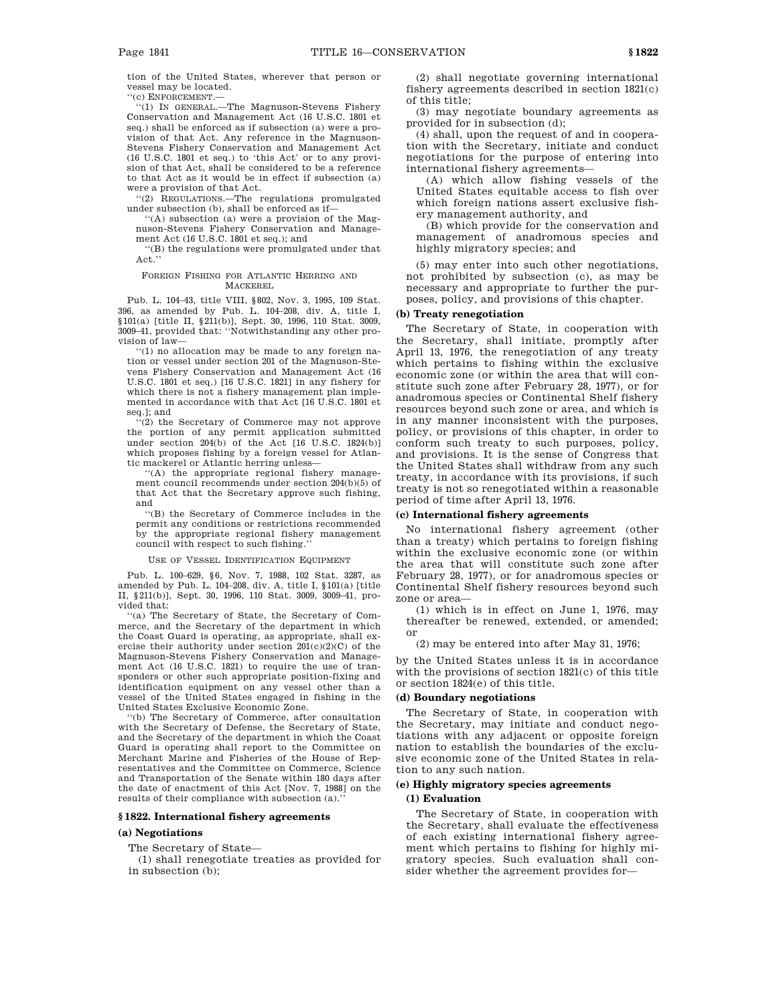tion of the United States, wherever that person or vessel may be located.

''(c) ENFORCEMENT.—

''(1) IN GENERAL.—The Magnuson-Stevens Fishery Conservation and Management Act (16 U.S.C. 1801 et seq.) shall be enforced as if subsection (a) were a provision of that Act. Any reference in the Magnuson-Stevens Fishery Conservation and Management Act (16 U.S.C. 1801 et seq.) to 'this Act' or to any provision of that Act, shall be considered to be a reference to that Act as it would be in effect if subsection (a) were a provision of that Act.

''(2) REGULATIONS.—The regulations promulgated under subsection (b), shall be enforced as if—

''(A) subsection (a) were a provision of the Magnuson-Stevens Fishery Conservation and Management Act (16 U.S.C. 1801 et seq.); and

''(B) the regulations were promulgated under that Act.''

## FOREIGN FISHING FOR ATLANTIC HERRING AND MACKEREL

Pub. L. 104–43, title VIII, §802, Nov. 3, 1995, 109 Stat. 396, as amended by Pub. L. 104–208, div. A, title I, §101(a) [title II, §211(b)], Sept. 30, 1996, 110 Stat. 3009, 3009–41, provided that: ''Notwithstanding any other provision of law—

''(1) no allocation may be made to any foreign nation or vessel under section 201 of the Magnuson-Stevens Fishery Conservation and Management Act (16 U.S.C. 1801 et seq.) [16 U.S.C. 1821] in any fishery for which there is not a fishery management plan implemented in accordance with that Act [16 U.S.C. 1801 et seq.]; and

''(2) the Secretary of Commerce may not approve the portion of any permit application submitted under section 204(b) of the Act [16 U.S.C. 1824(b)] which proposes fishing by a foreign vessel for Atlantic mackerel or Atlantic herring unless—

''(A) the appropriate regional fishery management council recommends under section 204(b)(5) of that Act that the Secretary approve such fishing, and

''(B) the Secretary of Commerce includes in the permit any conditions or restrictions recommended by the appropriate regional fishery management council with respect to such fishing.''

## USE OF VESSEL IDENTIFICATION EQUIPMENT

Pub. L. 100–629, §6, Nov. 7, 1988, 102 Stat. 3287, as amended by Pub. L. 104–208, div. A, title I, §101(a) [title II, §211(b)], Sept. 30, 1996, 110 Stat. 3009, 3009–41, provided that:

''(a) The Secretary of State, the Secretary of Commerce, and the Secretary of the department in which the Coast Guard is operating, as appropriate, shall exercise their authority under section  $201(c)(2)(C)$  of the Magnuson-Stevens Fishery Conservation and Management Act (16 U.S.C. 1821) to require the use of transponders or other such appropriate position-fixing and identification equipment on any vessel other than a vessel of the United States engaged in fishing in the United States Exclusive Economic Zone.

''(b) The Secretary of Commerce, after consultation with the Secretary of Defense, the Secretary of State, and the Secretary of the department in which the Coast Guard is operating shall report to the Committee on Merchant Marine and Fisheries of the House of Representatives and the Committee on Commerce, Science and Transportation of the Senate within 180 days after the date of enactment of this Act [Nov. 7, 1988] on the results of their compliance with subsection (a).

## **§ 1822. International fishery agreements**

## **(a) Negotiations**

The Secretary of State—

(1) shall renegotiate treaties as provided for in subsection (b);

(2) shall negotiate governing international fishery agreements described in section 1821(c) of this title;

(3) may negotiate boundary agreements as provided for in subsection (d);

(4) shall, upon the request of and in cooperation with the Secretary, initiate and conduct negotiations for the purpose of entering into international fishery agreements—

(A) which allow fishing vessels of the United States equitable access to fish over which foreign nations assert exclusive fishery management authority, and

(B) which provide for the conservation and management of anadromous species and highly migratory species; and

(5) may enter into such other negotiations, not prohibited by subsection (c), as may be necessary and appropriate to further the purposes, policy, and provisions of this chapter.

## **(b) Treaty renegotiation**

The Secretary of State, in cooperation with the Secretary, shall initiate, promptly after April 13, 1976, the renegotiation of any treaty which pertains to fishing within the exclusive economic zone (or within the area that will constitute such zone after February 28, 1977), or for anadromous species or Continental Shelf fishery resources beyond such zone or area, and which is in any manner inconsistent with the purposes, policy, or provisions of this chapter, in order to conform such treaty to such purposes, policy, and provisions. It is the sense of Congress that the United States shall withdraw from any such treaty, in accordance with its provisions, if such treaty is not so renegotiated within a reasonable period of time after April 13, 1976.

## **(c) International fishery agreements**

No international fishery agreement (other than a treaty) which pertains to foreign fishing within the exclusive economic zone (or within the area that will constitute such zone after February 28, 1977), or for anadromous species or Continental Shelf fishery resources beyond such zone or area—

(1) which is in effect on June 1, 1976, may thereafter be renewed, extended, or amended; or

(2) may be entered into after May 31, 1976;

by the United States unless it is in accordance with the provisions of section 1821(c) of this title or section 1824(e) of this title.

#### **(d) Boundary negotiations**

The Secretary of State, in cooperation with the Secretary, may initiate and conduct negotiations with any adjacent or opposite foreign nation to establish the boundaries of the exclusive economic zone of the United States in relation to any such nation.

# **(e) Highly migratory species agreements**

#### **(1) Evaluation**

The Secretary of State, in cooperation with the Secretary, shall evaluate the effectiveness of each existing international fishery agreement which pertains to fishing for highly migratory species. Such evaluation shall consider whether the agreement provides for—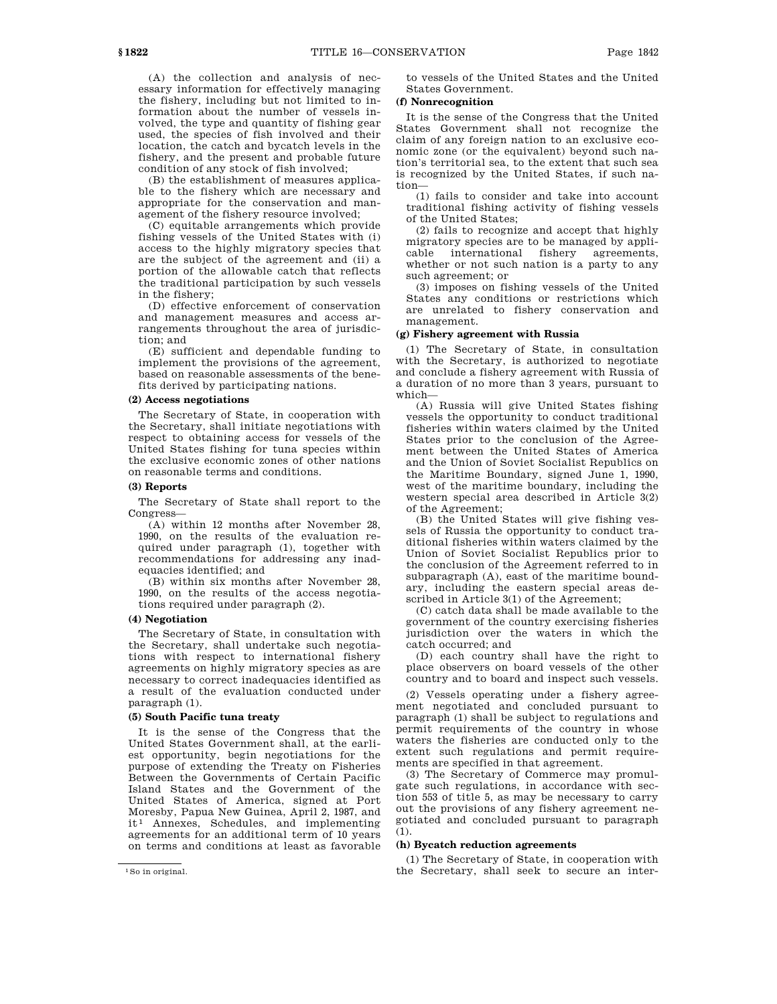(A) the collection and analysis of necessary information for effectively managing the fishery, including but not limited to information about the number of vessels involved, the type and quantity of fishing gear used, the species of fish involved and their location, the catch and bycatch levels in the fishery, and the present and probable future condition of any stock of fish involved;

(B) the establishment of measures applicable to the fishery which are necessary and appropriate for the conservation and management of the fishery resource involved;

(C) equitable arrangements which provide fishing vessels of the United States with (i) access to the highly migratory species that are the subject of the agreement and (ii) a portion of the allowable catch that reflects the traditional participation by such vessels in the fishery;

(D) effective enforcement of conservation and management measures and access arrangements throughout the area of jurisdiction; and

(E) sufficient and dependable funding to implement the provisions of the agreement, based on reasonable assessments of the benefits derived by participating nations.

## **(2) Access negotiations**

The Secretary of State, in cooperation with the Secretary, shall initiate negotiations with respect to obtaining access for vessels of the United States fishing for tuna species within the exclusive economic zones of other nations on reasonable terms and conditions.

## **(3) Reports**

The Secretary of State shall report to the Congress—

(A) within 12 months after November 28, 1990, on the results of the evaluation required under paragraph (1), together with recommendations for addressing any inadequacies identified; and

(B) within six months after November 28, 1990, on the results of the access negotiations required under paragraph (2).

## **(4) Negotiation**

The Secretary of State, in consultation with the Secretary, shall undertake such negotiations with respect to international fishery agreements on highly migratory species as are necessary to correct inadequacies identified as a result of the evaluation conducted under paragraph (1).

# **(5) South Pacific tuna treaty**

It is the sense of the Congress that the United States Government shall, at the earliest opportunity, begin negotiations for the purpose of extending the Treaty on Fisheries Between the Governments of Certain Pacific Island States and the Government of the United States of America, signed at Port Moresby, Papua New Guinea, April 2, 1987, and it<sup>1</sup> Annexes, Schedules, and implementing agreements for an additional term of 10 years on terms and conditions at least as favorable

to vessels of the United States and the United States Government.

### **(f) Nonrecognition**

It is the sense of the Congress that the United States Government shall not recognize the claim of any foreign nation to an exclusive economic zone (or the equivalent) beyond such nation's territorial sea, to the extent that such sea is recognized by the United States, if such nation—

(1) fails to consider and take into account traditional fishing activity of fishing vessels of the United States;

(2) fails to recognize and accept that highly migratory species are to be managed by applicable international fishery agreements, whether or not such nation is a party to any such agreement; or

(3) imposes on fishing vessels of the United States any conditions or restrictions which are unrelated to fishery conservation and management.

## **(g) Fishery agreement with Russia**

(1) The Secretary of State, in consultation with the Secretary, is authorized to negotiate and conclude a fishery agreement with Russia of a duration of no more than 3 years, pursuant to which—

(A) Russia will give United States fishing vessels the opportunity to conduct traditional fisheries within waters claimed by the United States prior to the conclusion of the Agreement between the United States of America and the Union of Soviet Socialist Republics on the Maritime Boundary, signed June 1, 1990, west of the maritime boundary, including the western special area described in Article 3(2) of the Agreement;

(B) the United States will give fishing vessels of Russia the opportunity to conduct traditional fisheries within waters claimed by the Union of Soviet Socialist Republics prior to the conclusion of the Agreement referred to in subparagraph (A), east of the maritime boundary, including the eastern special areas described in Article 3(1) of the Agreement;

(C) catch data shall be made available to the government of the country exercising fisheries jurisdiction over the waters in which the catch occurred; and

(D) each country shall have the right to place observers on board vessels of the other country and to board and inspect such vessels.

(2) Vessels operating under a fishery agreement negotiated and concluded pursuant to paragraph (1) shall be subject to regulations and permit requirements of the country in whose waters the fisheries are conducted only to the extent such regulations and permit requirements are specified in that agreement.

(3) The Secretary of Commerce may promulgate such regulations, in accordance with section 553 of title 5, as may be necessary to carry out the provisions of any fishery agreement negotiated and concluded pursuant to paragraph (1).

#### **(h) Bycatch reduction agreements**

(1) The Secretary of State, in cooperation with the Secretary, shall seek to secure an inter-

<sup>1</sup>So in original.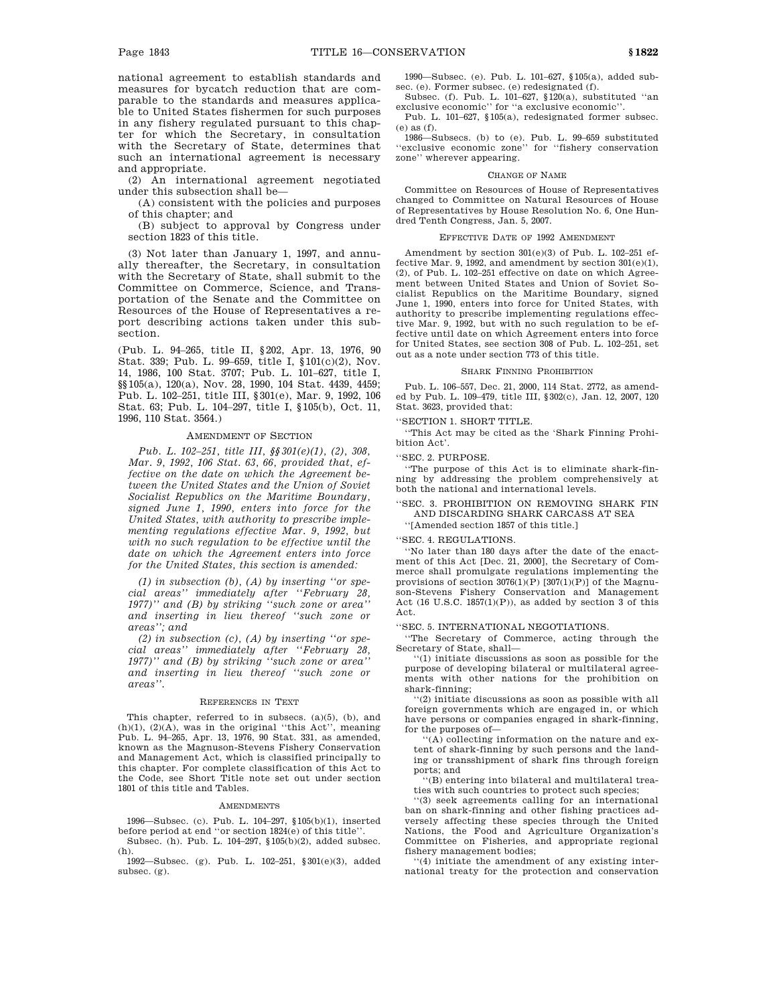national agreement to establish standards and measures for bycatch reduction that are comparable to the standards and measures applicable to United States fishermen for such purposes in any fishery regulated pursuant to this chapter for which the Secretary, in consultation with the Secretary of State, determines that such an international agreement is necessary and appropriate.

(2) An international agreement negotiated under this subsection shall be—

(A) consistent with the policies and purposes of this chapter; and

(B) subject to approval by Congress under section 1823 of this title.

(3) Not later than January 1, 1997, and annually thereafter, the Secretary, in consultation with the Secretary of State, shall submit to the Committee on Commerce, Science, and Transportation of the Senate and the Committee on Resources of the House of Representatives a report describing actions taken under this subsection.

(Pub. L. 94–265, title II, §202, Apr. 13, 1976, 90 Stat. 339; Pub. L. 99–659, title I, §101(c)(2), Nov. 14, 1986, 100 Stat. 3707; Pub. L. 101–627, title I, §§105(a), 120(a), Nov. 28, 1990, 104 Stat. 4439, 4459; Pub. L. 102–251, title III, §301(e), Mar. 9, 1992, 106 Stat. 63; Pub. L. 104–297, title I, §105(b), Oct. 11, 1996, 110 Stat. 3564.)

#### AMENDMENT OF SECTION

*Pub. L. 102–251, title III, §§301(e)(1), (2), 308, Mar. 9, 1992, 106 Stat. 63, 66, provided that, effective on the date on which the Agreement between the United States and the Union of Soviet Socialist Republics on the Maritime Boundary, signed June 1, 1990, enters into force for the United States, with authority to prescribe implementing regulations effective Mar. 9, 1992, but with no such regulation to be effective until the date on which the Agreement enters into force for the United States, this section is amended:*

*(1) in subsection (b), (A) by inserting ''or special areas'' immediately after ''February 28, 1977)'' and (B) by striking ''such zone or area'' and inserting in lieu thereof ''such zone or areas''; and*

*(2) in subsection (c), (A) by inserting ''or special areas'' immediately after ''February 28, 1977)'' and (B) by striking ''such zone or area'' and inserting in lieu thereof ''such zone or areas''.*

#### REFERENCES IN TEXT

This chapter, referred to in subsecs. (a)(5), (b), and  $(h)(1)$ ,  $(2)(\overline{A})$ , was in the original "this Act", meaning Pub. L. 94–265, Apr. 13, 1976, 90 Stat. 331, as amended, known as the Magnuson-Stevens Fishery Conservation and Management Act, which is classified principally to this chapter. For complete classification of this Act to the Code, see Short Title note set out under section 1801 of this title and Tables.

#### AMENDMENTS

1996—Subsec. (c). Pub. L. 104–297, §105(b)(1), inserted before period at end "or section  $1824(e)$  of this title".

Subsec. (h). Pub. L. 104–297, §105(b)(2), added subsec. (h).

1992—Subsec. (g). Pub. L. 102–251, §301(e)(3), added subsec. (g).

1990—Subsec. (e). Pub. L. 101–627, §105(a), added subsec. (e). Former subsec. (e) redesignated (f).

Subsec. (f). Pub. L. 101–627, §120(a), substituted ''an exclusive economic'' for ''a exclusive economic''. Pub. L. 101–627, §105(a), redesignated former subsec.

(e) as (f).

1986—Subsecs. (b) to (e). Pub. L. 99–659 substituted "exclusive economic zone" for "fishery conservation zone'' wherever appearing.

#### CHANGE OF NAME

Committee on Resources of House of Representatives changed to Committee on Natural Resources of House of Representatives by House Resolution No. 6, One Hundred Tenth Congress, Jan. 5, 2007.

## EFFECTIVE DATE OF 1992 AMENDMENT

Amendment by section 301(e)(3) of Pub. L. 102–251 effective Mar. 9, 1992, and amendment by section  $301(e)(1)$ , (2), of Pub. L. 102–251 effective on date on which Agreement between United States and Union of Soviet Socialist Republics on the Maritime Boundary, signed June 1, 1990, enters into force for United States, with authority to prescribe implementing regulations effective Mar. 9, 1992, but with no such regulation to be effective until date on which Agreement enters into force for United States, see section 308 of Pub. L. 102–251, set out as a note under section 773 of this title.

#### SHARK FINNING PROHIBITION

Pub. L. 106–557, Dec. 21, 2000, 114 Stat. 2772, as amended by Pub. L. 109–479, title III, §302(c), Jan. 12, 2007, 120 Stat. 3623, provided that:

''SECTION 1. SHORT TITLE.

''This Act may be cited as the 'Shark Finning Prohibition Act'.

''SEC. 2. PURPOSE.

''The purpose of this Act is to eliminate shark-finning by addressing the problem comprehensively at both the national and international levels.

''SEC. 3. PROHIBITION ON REMOVING SHARK FIN AND DISCARDING SHARK CARCASS AT SEA

''[Amended section 1857 of this title.]

''SEC. 4. REGULATIONS.

''No later than 180 days after the date of the enactment of this Act [Dec. 21, 2000], the Secretary of Commerce shall promulgate regulations implementing the provisions of section  $3076(1)(P)$  [307(1)(P)] of the Magnuson-Stevens Fishery Conservation and Management Act (16 U.S.C.  $1857(1)(P)$ ), as added by section 3 of this Act.

''SEC. 5. INTERNATIONAL NEGOTIATIONS.

''The Secretary of Commerce, acting through the Secretary of State, shall—

''(1) initiate discussions as soon as possible for the purpose of developing bilateral or multilateral agreements with other nations for the prohibition on shark-finning;

''(2) initiate discussions as soon as possible with all foreign governments which are engaged in, or which have persons or companies engaged in shark-finning, for the purposes of—

''(A) collecting information on the nature and extent of shark-finning by such persons and the landing or transshipment of shark fins through foreign ports; and

''(B) entering into bilateral and multilateral treaties with such countries to protect such species;

''(3) seek agreements calling for an international ban on shark-finning and other fishing practices adversely affecting these species through the United Nations, the Food and Agriculture Organization's Committee on Fisheries, and appropriate regional fishery management bodies;

''(4) initiate the amendment of any existing international treaty for the protection and conservation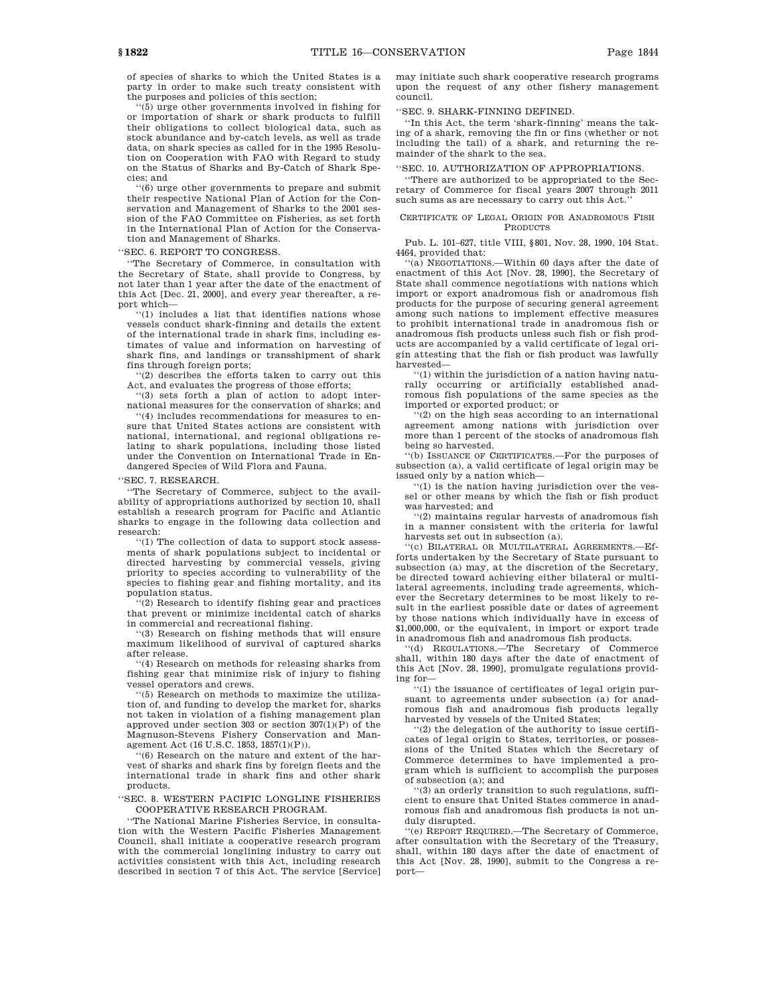of species of sharks to which the United States is a party in order to make such treaty consistent with the purposes and policies of this section;

''(5) urge other governments involved in fishing for or importation of shark or shark products to fulfill their obligations to collect biological data, such as stock abundance and by-catch levels, as well as trade data, on shark species as called for in the 1995 Resolution on Cooperation with FAO with Regard to study on the Status of Sharks and By-Catch of Shark Species; and

''(6) urge other governments to prepare and submit their respective National Plan of Action for the Conservation and Management of Sharks to the 2001 session of the FAO Committee on Fisheries, as set forth in the International Plan of Action for the Conservation and Management of Sharks.

''SEC. 6. REPORT TO CONGRESS.

''The Secretary of Commerce, in consultation with the Secretary of State, shall provide to Congress, by not later than 1 year after the date of the enactment of this Act [Dec. 21, 2000], and every year thereafter, a report which—

''(1) includes a list that identifies nations whose vessels conduct shark-finning and details the extent of the international trade in shark fins, including estimates of value and information on harvesting of shark fins, and landings or transshipment of shark fins through foreign ports;

''(2) describes the efforts taken to carry out this Act, and evaluates the progress of those efforts;

''(3) sets forth a plan of action to adopt international measures for the conservation of sharks; and ''(4) includes recommendations for measures to ensure that United States actions are consistent with national, international, and regional obligations relating to shark populations, including those listed under the Convention on International Trade in Endangered Species of Wild Flora and Fauna.

''SEC. 7. RESEARCH.

''The Secretary of Commerce, subject to the availability of appropriations authorized by section 10, shall establish a research program for Pacific and Atlantic sharks to engage in the following data collection and research:

''(1) The collection of data to support stock assessments of shark populations subject to incidental or directed harvesting by commercial vessels, giving priority to species according to vulnerability of the species to fishing gear and fishing mortality, and its population status.

''(2) Research to identify fishing gear and practices that prevent or minimize incidental catch of sharks in commercial and recreational fishing.

''(3) Research on fishing methods that will ensure maximum likelihood of survival of captured sharks after release.

''(4) Research on methods for releasing sharks from fishing gear that minimize risk of injury to fishing vessel operators and crews.

''(5) Research on methods to maximize the utilization of, and funding to develop the market for, sharks not taken in violation of a fishing management plan approved under section 303 or section 307(1)(P) of the Magnuson-Stevens Fishery Conservation and Management Act (16 U.S.C. 1853, 1857(1)(P)).

''(6) Research on the nature and extent of the harvest of sharks and shark fins by foreign fleets and the international trade in shark fins and other shark products.

''SEC. 8. WESTERN PACIFIC LONGLINE FISHERIES COOPERATIVE RESEARCH PROGRAM.

''The National Marine Fisheries Service, in consultation with the Western Pacific Fisheries Management Council, shall initiate a cooperative research program with the commercial longlining industry to carry out activities consistent with this Act, including research described in section 7 of this Act. The service [Service]

may initiate such shark cooperative research programs upon the request of any other fishery management council.

#### ''SEC. 9. SHARK-FINNING DEFINED.

''In this Act, the term 'shark-finning' means the taking of a shark, removing the fin or fins (whether or not including the tail) of a shark, and returning the remainder of the shark to the sea.

'SEC. 10. AUTHORIZATION OF APPROPRIATIONS.

''There are authorized to be appropriated to the Secretary of Commerce for fiscal years 2007 through 2011 such sums as are necessary to carry out this Act.

#### CERTIFICATE OF LEGAL ORIGIN FOR ANADROMOUS FISH **PRODUCTS**

Pub. L. 101–627, title VIII, §801, Nov. 28, 1990, 104 Stat. 4464, provided that:

''(a) NEGOTIATIONS.—Within 60 days after the date of enactment of this Act [Nov. 28, 1990], the Secretary of State shall commence negotiations with nations which import or export anadromous fish or anadromous fish products for the purpose of securing general agreement among such nations to implement effective measures to prohibit international trade in anadromous fish or anadromous fish products unless such fish or fish products are accompanied by a valid certificate of legal origin attesting that the fish or fish product was lawfully harvested—

''(1) within the jurisdiction of a nation having naturally occurring or artificially established anadromous fish populations of the same species as the imported or exported product; or

''(2) on the high seas according to an international agreement among nations with jurisdiction over more than 1 percent of the stocks of anadromous fish being so harvested.

''(b) ISSUANCE OF CERTIFICATES.—For the purposes of subsection (a), a valid certificate of legal origin may be issued only by a nation which—

''(1) is the nation having jurisdiction over the vessel or other means by which the fish or fish product was harvested; and

''(2) maintains regular harvests of anadromous fish in a manner consistent with the criteria for lawful harvests set out in subsection (a).

''(c) BILATERAL OR MULTILATERAL AGREEMENTS.—Efforts undertaken by the Secretary of State pursuant to subsection (a) may, at the discretion of the Secretary, be directed toward achieving either bilateral or multilateral agreements, including trade agreements, whichever the Secretary determines to be most likely to result in the earliest possible date or dates of agreement by those nations which individually have in excess of \$1,000,000, or the equivalent, in import or export trade in anadromous fish and anadromous fish products.

''(d) REGULATIONS.—The Secretary of Commerce shall, within 180 days after the date of enactment of this Act [Nov. 28, 1990], promulgate regulations providing for—

''(1) the issuance of certificates of legal origin pursuant to agreements under subsection (a) for anadromous fish and anadromous fish products legally harvested by vessels of the United States;

'(2) the delegation of the authority to issue certificates of legal origin to States, territories, or possessions of the United States which the Secretary of Commerce determines to have implemented a program which is sufficient to accomplish the purposes of subsection (a); and

''(3) an orderly transition to such regulations, sufficient to ensure that United States commerce in anadromous fish and anadromous fish products is not unduly disrupted.

''(e) REPORT REQUIRED.—The Secretary of Commerce, after consultation with the Secretary of the Treasury, shall, within 180 days after the date of enactment of this Act [Nov. 28, 1990], submit to the Congress a report—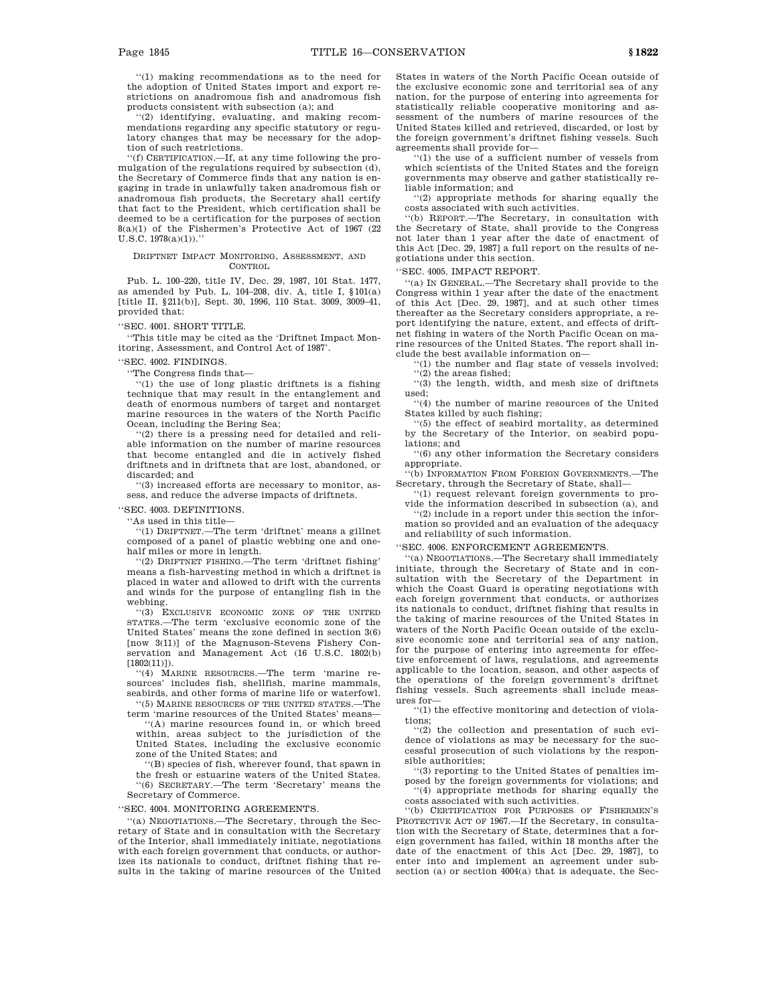''(1) making recommendations as to the need for the adoption of United States import and export restrictions on anadromous fish and anadromous fish products consistent with subsection (a); and

''(2) identifying, evaluating, and making recommendations regarding any specific statutory or regulatory changes that may be necessary for the adoption of such restrictions.

''(f) CERTIFICATION.—If, at any time following the promulgation of the regulations required by subsection (d), the Secretary of Commerce finds that any nation is engaging in trade in unlawfully taken anadromous fish or anadromous fish products, the Secretary shall certify that fact to the President, which certification shall be deemed to be a certification for the purposes of section 8(a)(1) of the Fishermen's Protective Act of 1967 (22 U.S.C.  $1978(a)(1)$ .

#### DRIFTNET IMPACT MONITORING, ASSESSMENT, AND CONTROL

Pub. L. 100–220, title IV, Dec. 29, 1987, 101 Stat. 1477, as amended by Pub. L.  $104-208$ , div. A, title I,  $$101(a)$ [title II, §211(b)], Sept. 30, 1996, 110 Stat. 3009, 3009–41, provided that:

''SEC. 4001. SHORT TITLE.

''This title may be cited as the 'Driftnet Impact Monitoring, Assessment, and Control Act of 1987'.

''SEC. 4002. FINDINGS.

''The Congress finds that—

''(1) the use of long plastic driftnets is a fishing technique that may result in the entanglement and death of enormous numbers of target and nontarget marine resources in the waters of the North Pacific Ocean, including the Bering Sea;

''(2) there is a pressing need for detailed and reliable information on the number of marine resources that become entangled and die in actively fished driftnets and in driftnets that are lost, abandoned, or discarded; and

''(3) increased efforts are necessary to monitor, assess, and reduce the adverse impacts of driftnets.

''SEC. 4003. DEFINITIONS.

''As used in this title—

''(1) DRIFTNET.—The term 'driftnet' means a gillnet composed of a panel of plastic webbing one and onehalf miles or more in length.

''(2) DRIFTNET FISHING.—The term 'driftnet fishing' means a fish-harvesting method in which a driftnet is placed in water and allowed to drift with the currents and winds for the purpose of entangling fish in the webbing.

''(3) EXCLUSIVE ECONOMIC ZONE OF THE UNITED STATES.—The term 'exclusive economic zone of the United States' means the zone defined in section 3(6) [now 3(11)] of the Magnuson-Stevens Fishery Conservation and Management Act (16 U.S.C. 1802(b)  $[1802(11)]$ .

''(4) MARINE RESOURCES.—The term 'marine resources' includes fish, shellfish, marine mammals, seabirds, and other forms of marine life or waterfowl.

''(5) MARINE RESOURCES OF THE UNITED STATES.—The term 'marine resources of the United States' means—

''(A) marine resources found in, or which breed within, areas subject to the jurisdiction of the United States, including the exclusive economic zone of the United States; and

''(B) species of fish, wherever found, that spawn in the fresh or estuarine waters of the United States. ''(6) SECRETARY.—The term 'Secretary' means the Secretary of Commerce.

''SEC. 4004. MONITORING AGREEMENTS.

''(a) NEGOTIATIONS.—The Secretary, through the Secretary of State and in consultation with the Secretary of the Interior, shall immediately initiate, negotiations with each foreign government that conducts, or authorizes its nationals to conduct, driftnet fishing that results in the taking of marine resources of the United States in waters of the North Pacific Ocean outside of the exclusive economic zone and territorial sea of any nation, for the purpose of entering into agreements for statistically reliable cooperative monitoring and assessment of the numbers of marine resources of the United States killed and retrieved, discarded, or lost by the foreign government's driftnet fishing vessels. Such agreements shall provide for—

'(1) the use of a sufficient number of vessels from which scientists of the United States and the foreign governments may observe and gather statistically reliable information; and

''(2) appropriate methods for sharing equally the costs associated with such activities.

''(b) REPORT.—The Secretary, in consultation with the Secretary of State, shall provide to the Congress not later than 1 year after the date of enactment of this Act [Dec. 29, 1987] a full report on the results of negotiations under this section.

## ''SEC. 4005. IMPACT REPORT.

''(a) IN GENERAL.—The Secretary shall provide to the Congress within 1 year after the date of the enactment of this Act [Dec. 29, 1987], and at such other times thereafter as the Secretary considers appropriate, a report identifying the nature, extent, and effects of driftnet fishing in waters of the North Pacific Ocean on marine resources of the United States. The report shall include the best available information on—

''(1) the number and flag state of vessels involved; ''(2) the areas fished;

''(3) the length, width, and mesh size of driftnets used;

''(4) the number of marine resources of the United States killed by such fishing;

''(5) the effect of seabird mortality, as determined by the Secretary of the Interior, on seabird populations; and

''(6) any other information the Secretary considers appropriate.

''(b) INFORMATION FROM FOREIGN GOVERNMENTS.—The Secretary, through the Secretary of State, shall—

''(1) request relevant foreign governments to provide the information described in subsection (a), and ''(2) include in a report under this section the information so provided and an evaluation of the adequacy

and reliability of such information. ''SEC. 4006. ENFORCEMENT AGREEMENTS.

''(a) NEGOTIATIONS.—The Secretary shall immediately initiate, through the Secretary of State and in consultation with the Secretary of the Department in which the Coast Guard is operating negotiations with each foreign government that conducts, or authorizes its nationals to conduct, driftnet fishing that results in the taking of marine resources of the United States in waters of the North Pacific Ocean outside of the exclusive economic zone and territorial sea of any nation, for the purpose of entering into agreements for effective enforcement of laws, regulations, and agreements applicable to the location, season, and other aspects of the operations of the foreign government's driftnet fishing vessels. Such agreements shall include measures for—

''(1) the effective monitoring and detection of violations;

''(2) the collection and presentation of such evidence of violations as may be necessary for the successful prosecution of such violations by the responsible authorities;

''(3) reporting to the United States of penalties imposed by the foreign governments for violations; and ''(4) appropriate methods for sharing equally the

costs associated with such activities.

''(b) CERTIFICATION FOR PURPOSES OF FISHERMEN'S PROTECTIVE ACT OF 1967.—If the Secretary, in consultation with the Secretary of State, determines that a foreign government has failed, within 18 months after the date of the enactment of this Act [Dec. 29, 1987], to enter into and implement an agreement under subsection (a) or section 4004(a) that is adequate, the Sec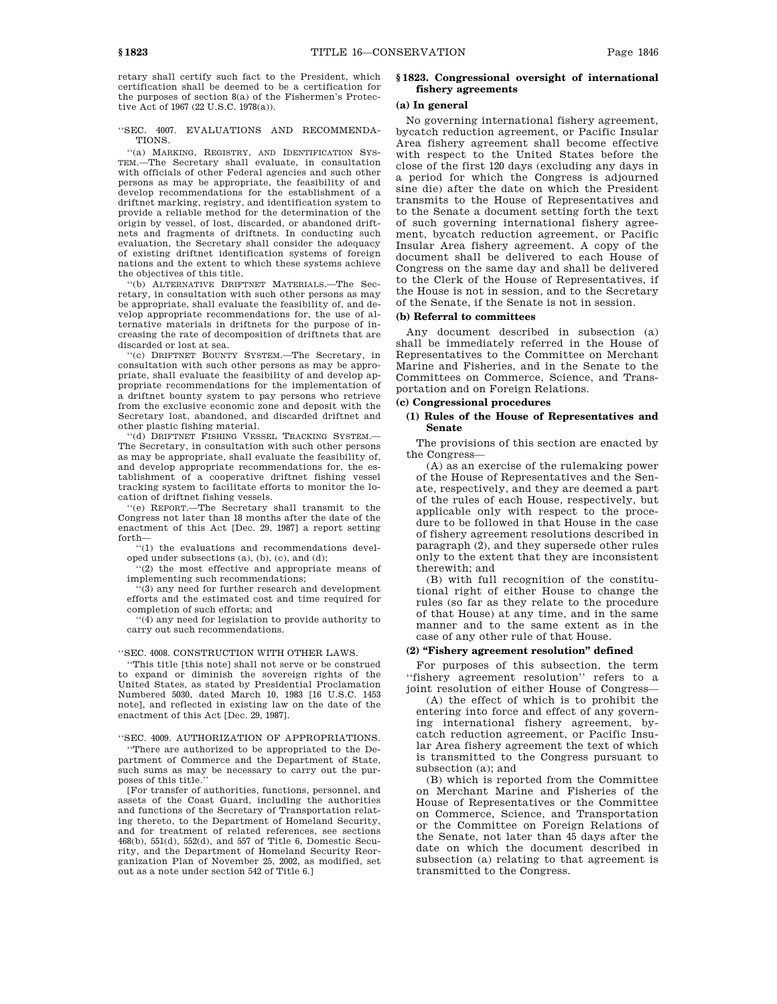retary shall certify such fact to the President, which certification shall be deemed to be a certification for the purposes of section 8(a) of the Fishermen's Protective Act of 1967 (22 U.S.C. 1978(a)).

''SEC. 4007. EVALUATIONS AND RECOMMENDA-TIONS.

''(a) MARKING, REGISTRY, AND IDENTIFICATION SYS-TEM.—The Secretary shall evaluate, in consultation with officials of other Federal agencies and such other persons as may be appropriate, the feasibility of and develop recommendations for the establishment of a driftnet marking, registry, and identification system to provide a reliable method for the determination of the origin by vessel, of lost, discarded, or abandoned driftnets and fragments of driftnets. In conducting such evaluation, the Secretary shall consider the adequacy of existing driftnet identification systems of foreign nations and the extent to which these systems achieve the objectives of this title.

''(b) ALTERNATIVE DRIFTNET MATERIALS.—The Secretary, in consultation with such other persons as may be appropriate, shall evaluate the feasibility of, and develop appropriate recommendations for, the use of alternative materials in driftnets for the purpose of increasing the rate of decomposition of driftnets that are discarded or lost at sea.

''(c) DRIFTNET BOUNTY SYSTEM.—The Secretary, in consultation with such other persons as may be appropriate, shall evaluate the feasibility of and develop appropriate recommendations for the implementation of a driftnet bounty system to pay persons who retrieve from the exclusive economic zone and deposit with the Secretary lost, abandoned, and discarded driftnet and other plastic fishing material.

''(d) DRIFTNET FISHING VESSEL TRACKING SYSTEM.— The Secretary, in consultation with such other persons as may be appropriate, shall evaluate the feasibility of, and develop appropriate recommendations for, the establishment of a cooperative driftnet fishing vessel tracking system to facilitate efforts to monitor the location of driftnet fishing vessels.

''(e) REPORT.—The Secretary shall transmit to the Congress not later than 18 months after the date of the enactment of this Act [Dec. 29, 1987] a report setting forth—

''(1) the evaluations and recommendations developed under subsections (a), (b), (c), and (d);

''(2) the most effective and appropriate means of implementing such recommendations;

'(3) any need for further research and development efforts and the estimated cost and time required for completion of such efforts; and

''(4) any need for legislation to provide authority to carry out such recommendations.

#### ''SEC. 4008. CONSTRUCTION WITH OTHER LAWS.

''This title [this note] shall not serve or be construed to expand or diminish the sovereign rights of the United States, as stated by Presidential Proclamation Numbered 5030, dated March 10, 1983 [16 U.S.C. 1453 note], and reflected in existing law on the date of the enactment of this Act [Dec. 29, 1987].

## ''SEC. 4009. AUTHORIZATION OF APPROPRIATIONS.

''There are authorized to be appropriated to the Department of Commerce and the Department of State, such sums as may be necessary to carry out the purposes of this title.''

[For transfer of authorities, functions, personnel, and assets of the Coast Guard, including the authorities and functions of the Secretary of Transportation relating thereto, to the Department of Homeland Security, and for treatment of related references, see sections 468(b), 551(d), 552(d), and 557 of Title 6, Domestic Security, and the Department of Homeland Security Reorganization Plan of November 25, 2002, as modified, set out as a note under section 542 of Title 6.]

## **§ 1823. Congressional oversight of international fishery agreements**

## **(a) In general**

No governing international fishery agreement, bycatch reduction agreement, or Pacific Insular Area fishery agreement shall become effective with respect to the United States before the close of the first 120 days (excluding any days in a period for which the Congress is adjourned sine die) after the date on which the President transmits to the House of Representatives and to the Senate a document setting forth the text of such governing international fishery agreement, bycatch reduction agreement, or Pacific Insular Area fishery agreement. A copy of the document shall be delivered to each House of Congress on the same day and shall be delivered to the Clerk of the House of Representatives, if the House is not in session, and to the Secretary of the Senate, if the Senate is not in session.

#### **(b) Referral to committees**

Any document described in subsection (a) shall be immediately referred in the House of Representatives to the Committee on Merchant Marine and Fisheries, and in the Senate to the Committees on Commerce, Science, and Transportation and on Foreign Relations.

# **(c) Congressional procedures**

# **(1) Rules of the House of Representatives and Senate**

The provisions of this section are enacted by the Congress—

(A) as an exercise of the rulemaking power of the House of Representatives and the Senate, respectively, and they are deemed a part of the rules of each House, respectively, but applicable only with respect to the procedure to be followed in that House in the case of fishery agreement resolutions described in paragraph (2), and they supersede other rules only to the extent that they are inconsistent therewith; and

(B) with full recognition of the constitutional right of either House to change the rules (so far as they relate to the procedure of that House) at any time, and in the same manner and to the same extent as in the case of any other rule of that House.

## **(2) ''Fishery agreement resolution'' defined**

For purposes of this subsection, the term ''fishery agreement resolution'' refers to a joint resolution of either House of Congress—

(A) the effect of which is to prohibit the entering into force and effect of any governing international fishery agreement, bycatch reduction agreement, or Pacific Insular Area fishery agreement the text of which is transmitted to the Congress pursuant to subsection (a); and

(B) which is reported from the Committee on Merchant Marine and Fisheries of the House of Representatives or the Committee on Commerce, Science, and Transportation or the Committee on Foreign Relations of the Senate, not later than 45 days after the date on which the document described in subsection (a) relating to that agreement is transmitted to the Congress.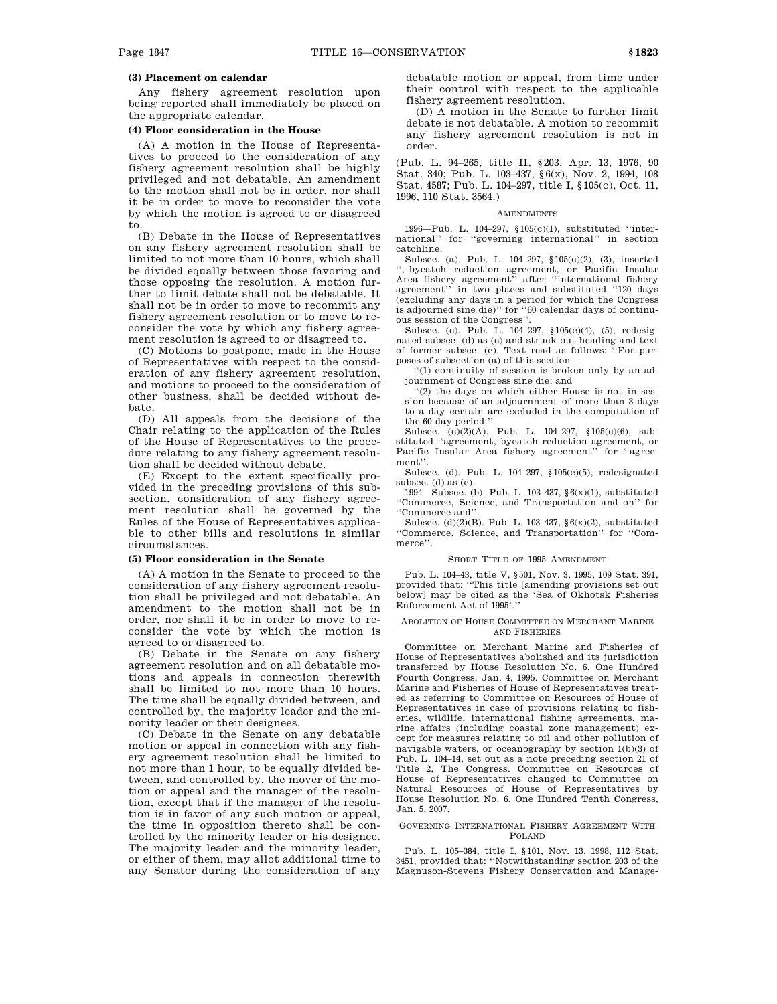# **(3) Placement on calendar**

Any fishery agreement resolution upon being reported shall immediately be placed on the appropriate calendar.

## **(4) Floor consideration in the House**

(A) A motion in the House of Representatives to proceed to the consideration of any fishery agreement resolution shall be highly privileged and not debatable. An amendment to the motion shall not be in order, nor shall it be in order to move to reconsider the vote by which the motion is agreed to or disagreed to.

(B) Debate in the House of Representatives on any fishery agreement resolution shall be limited to not more than 10 hours, which shall be divided equally between those favoring and those opposing the resolution. A motion further to limit debate shall not be debatable. It shall not be in order to move to recommit any fishery agreement resolution or to move to reconsider the vote by which any fishery agreement resolution is agreed to or disagreed to.

(C) Motions to postpone, made in the House of Representatives with respect to the consideration of any fishery agreement resolution, and motions to proceed to the consideration of other business, shall be decided without debate.

(D) All appeals from the decisions of the Chair relating to the application of the Rules of the House of Representatives to the procedure relating to any fishery agreement resolution shall be decided without debate.

(E) Except to the extent specifically provided in the preceding provisions of this subsection, consideration of any fishery agreement resolution shall be governed by the Rules of the House of Representatives applicable to other bills and resolutions in similar circumstances.

## **(5) Floor consideration in the Senate**

(A) A motion in the Senate to proceed to the consideration of any fishery agreement resolution shall be privileged and not debatable. An amendment to the motion shall not be in order, nor shall it be in order to move to reconsider the vote by which the motion is agreed to or disagreed to.

(B) Debate in the Senate on any fishery agreement resolution and on all debatable motions and appeals in connection therewith shall be limited to not more than 10 hours. The time shall be equally divided between, and controlled by, the majority leader and the minority leader or their designees.

(C) Debate in the Senate on any debatable motion or appeal in connection with any fishery agreement resolution shall be limited to not more than 1 hour, to be equally divided between, and controlled by, the mover of the motion or appeal and the manager of the resolution, except that if the manager of the resolution is in favor of any such motion or appeal, the time in opposition thereto shall be controlled by the minority leader or his designee. The majority leader and the minority leader, or either of them, may allot additional time to any Senator during the consideration of any

debatable motion or appeal, from time under their control with respect to the applicable fishery agreement resolution.

(D) A motion in the Senate to further limit debate is not debatable. A motion to recommit any fishery agreement resolution is not in order.

(Pub. L. 94–265, title II, §203, Apr. 13, 1976, 90 Stat. 340; Pub. L. 103–437, §6(x), Nov. 2, 1994, 108 Stat. 4587; Pub. L. 104–297, title I, §105(c), Oct. 11, 1996, 110 Stat. 3564.)

#### **AMENDMENTS**

1996—Pub. L. 104–297, §105(c)(1), substituted ''international'' for ''governing international'' in section catchline.

Subsec. (a). Pub. L. 104–297, §105(c)(2), (3), inserted '', bycatch reduction agreement, or Pacific Insular Area fishery agreement'' after ''international fishery agreement'' in two places and substituted ''120 days (excluding any days in a period for which the Congress is adjourned sine die)'' for ''60 calendar days of continuous session of the Congress''.

Subsec. (c). Pub. L. 104–297, §105(c)(4), (5), redesignated subsec. (d) as (c) and struck out heading and text of former subsec. (c). Text read as follows: ''For purposes of subsection (a) of this section—

''(1) continuity of session is broken only by an adjournment of Congress sine die; and

''(2) the days on which either House is not in session because of an adjournment of more than 3 days to a day certain are excluded in the computation of the 60-day period.''

Subsec. (c)(2)(A). Pub. L. 104–297, §105(c)(6), substituted ''agreement, bycatch reduction agreement, or Pacific Insular Area fishery agreement" for "agreement''.

Subsec. (d). Pub. L. 104–297, §105(c)(5), redesignated subsec. (d) as (c).

1994—Subsec. (b). Pub. L. 103–437, §6(x)(1), substituted 'Commerce, Science, and Transportation and on" for ''Commerce and''.

Subsec. (d)(2)(B). Pub. L. 103–437, §6(x)(2), substituted ''Commerce, Science, and Transportation'' for ''Commerce''.

## SHORT TITLE OF 1995 AMENDMENT

Pub. L. 104–43, title V, §501, Nov. 3, 1995, 109 Stat. 391, provided that: ''This title [amending provisions set out below] may be cited as the 'Sea of Okhotsk Fisheries Enforcement Act of 1995'.''

#### ABOLITION OF HOUSE COMMITTEE ON MERCHANT MARINE AND FISHERIES

Committee on Merchant Marine and Fisheries of House of Representatives abolished and its jurisdiction transferred by House Resolution No. 6, One Hundred Fourth Congress, Jan. 4, 1995. Committee on Merchant Marine and Fisheries of House of Representatives treated as referring to Committee on Resources of House of Representatives in case of provisions relating to fisheries, wildlife, international fishing agreements, marine affairs (including coastal zone management) except for measures relating to oil and other pollution of navigable waters, or oceanography by section 1(b)(3) of Pub. L. 104–14, set out as a note preceding section 21 of Title 2, The Congress. Committee on Resources of House of Representatives changed to Committee on Natural Resources of House of Representatives by House Resolution No. 6, One Hundred Tenth Congress, Jan. 5, 2007.

#### GOVERNING INTERNATIONAL FISHERY AGREEMENT WITH POLAND

Pub. L. 105–384, title I, §101, Nov. 13, 1998, 112 Stat. 3451, provided that: ''Notwithstanding section 203 of the Magnuson-Stevens Fishery Conservation and Manage-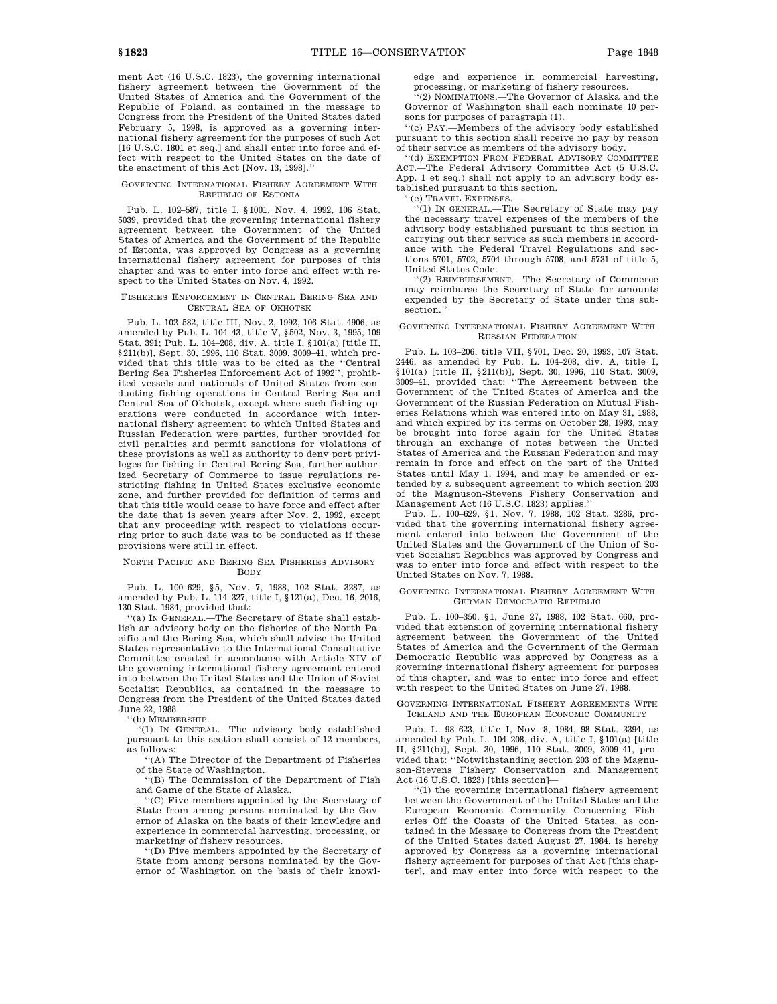ment Act (16 U.S.C. 1823), the governing international fishery agreement between the Government of the United States of America and the Government of the Republic of Poland, as contained in the message to Congress from the President of the United States dated February 5, 1998, is approved as a governing international fishery agreement for the purposes of such Act [16 U.S.C. 1801 et seq.] and shall enter into force and effect with respect to the United States on the date of the enactment of this Act [Nov. 13, 1998].''

#### GOVERNING INTERNATIONAL FISHERY AGREEMENT WITH REPUBLIC OF ESTONIA

Pub. L. 102–587, title I, §1001, Nov. 4, 1992, 106 Stat. 5039, provided that the governing international fishery agreement between the Government of the United States of America and the Government of the Republic of Estonia, was approved by Congress as a governing international fishery agreement for purposes of this chapter and was to enter into force and effect with respect to the United States on Nov. 4, 1992.

#### FISHERIES ENFORCEMENT IN CENTRAL BERING SEA AND CENTRAL SEA OF OKHOTSK

Pub. L. 102–582, title III, Nov. 2, 1992, 106 Stat. 4906, as amended by Pub. L. 104–43, title V, §502, Nov. 3, 1995, 109 Stat. 391; Pub. L. 104–208, div. A, title I, §101(a) [title II, §211(b)], Sept. 30, 1996, 110 Stat. 3009, 3009-41, which provided that this title was to be cited as the ''Central Bering Sea Fisheries Enforcement Act of 1992'', prohibited vessels and nationals of United States from conducting fishing operations in Central Bering Sea and Central Sea of Okhotsk, except where such fishing operations were conducted in accordance with international fishery agreement to which United States and Russian Federation were parties, further provided for civil penalties and permit sanctions for violations of these provisions as well as authority to deny port privileges for fishing in Central Bering Sea, further authorized Secretary of Commerce to issue regulations restricting fishing in United States exclusive economic zone, and further provided for definition of terms and that this title would cease to have force and effect after the date that is seven years after Nov. 2, 1992, except that any proceeding with respect to violations occurring prior to such date was to be conducted as if these provisions were still in effect.

#### NORTH PACIFIC AND BERING SEA FISHERIES ADVISORY BODY

Pub. L. 100–629, §5, Nov. 7, 1988, 102 Stat. 3287, as amended by Pub. L. 114–327, title I, §121(a), Dec. 16, 2016, 130 Stat. 1984, provided that:

''(a) IN GENERAL.—The Secretary of State shall establish an advisory body on the fisheries of the North Pacific and the Bering Sea, which shall advise the United States representative to the International Consultative Committee created in accordance with Article XIV of the governing international fishery agreement entered into between the United States and the Union of Soviet Socialist Republics, as contained in the message to Congress from the President of the United States dated June 22, 1988.

''(b) MEMBERSHIP.—

''(1) IN GENERAL.—The advisory body established pursuant to this section shall consist of 12 members, as follows:

''(A) The Director of the Department of Fisheries of the State of Washington.

''(B) The Commission of the Department of Fish and Game of the State of Alaska.

''(C) Five members appointed by the Secretary of State from among persons nominated by the Governor of Alaska on the basis of their knowledge and experience in commercial harvesting, processing, or marketing of fishery resources.

''(D) Five members appointed by the Secretary of State from among persons nominated by the Governor of Washington on the basis of their knowledge and experience in commercial harvesting, processing, or marketing of fishery resources.

'(2) NOMINATIONS.—The Governor of Alaska and the Governor of Washington shall each nominate 10 persons for purposes of paragraph (1).

''(c) PAY.—Members of the advisory body established pursuant to this section shall receive no pay by reason of their service as members of the advisory body.

''(d) EXEMPTION FROM FEDERAL ADVISORY COMMITTEE ACT.—The Federal Advisory Committee Act (5 U.S.C. App. 1 et seq.) shall not apply to an advisory body established pursuant to this section.

''(e) TRAVEL EXPENSES.—

''(1) IN GENERAL.—The Secretary of State may pay the necessary travel expenses of the members of the advisory body established pursuant to this section in carrying out their service as such members in accordance with the Federal Travel Regulations and sections 5701, 5702, 5704 through 5708, and 5731 of title 5, United States Code.

''(2) REIMBURSEMENT.—The Secretary of Commerce may reimburse the Secretary of State for amounts expended by the Secretary of State under this subsection.''

#### GOVERNING INTERNATIONAL FISHERY AGREEMENT WITH RUSSIAN FEDERATION

Pub. L. 103–206, title VII, §701, Dec. 20, 1993, 107 Stat. 2446, as amended by Pub. L. 104–208, div. A, title I, §101(a) [title II, §211(b)], Sept. 30, 1996, 110 Stat. 3009, 3009–41, provided that: ''The Agreement between the Government of the United States of America and the Government of the Russian Federation on Mutual Fisheries Relations which was entered into on May 31, 1988, and which expired by its terms on October 28, 1993, may be brought into force again for the United States through an exchange of notes between the United States of America and the Russian Federation and may remain in force and effect on the part of the United States until May 1, 1994, and may be amended or extended by a subsequent agreement to which section 203 of the Magnuson-Stevens Fishery Conservation and Management Act (16 U.S.C. 1823) applies.''

Pub. L. 100–629, §1, Nov. 7, 1988, 102 Stat. 3286, provided that the governing international fishery agreement entered into between the Government of the United States and the Government of the Union of Soviet Socialist Republics was approved by Congress and was to enter into force and effect with respect to the United States on Nov. 7, 1988.

#### GOVERNING INTERNATIONAL FISHERY AGREEMENT WITH GERMAN DEMOCRATIC REPUBLIC

Pub. L. 100–350, §1, June 27, 1988, 102 Stat. 660, provided that extension of governing international fishery agreement between the Government of the United States of America and the Government of the German Democratic Republic was approved by Congress as a governing international fishery agreement for purposes of this chapter, and was to enter into force and effect with respect to the United States on June 27, 1988.

GOVERNING INTERNATIONAL FISHERY AGREEMENTS WITH ICELAND AND THE EUROPEAN ECONOMIC COMMUNITY

Pub. L. 98–623, title I, Nov. 8, 1984, 98 Stat. 3394, as amended by Pub. L. 104–208, div. A, title I, §101(a) [title II, §211(b)], Sept. 30, 1996, 110 Stat. 3009, 3009–41, provided that: ''Notwithstanding section 203 of the Magnuson-Stevens Fishery Conservation and Management Act (16 U.S.C. 1823) [this section]—

''(1) the governing international fishery agreement between the Government of the United States and the European Economic Community Concerning Fisheries Off the Coasts of the United States, as contained in the Message to Congress from the President of the United States dated August 27, 1984, is hereby approved by Congress as a governing international fishery agreement for purposes of that Act [this chapter], and may enter into force with respect to the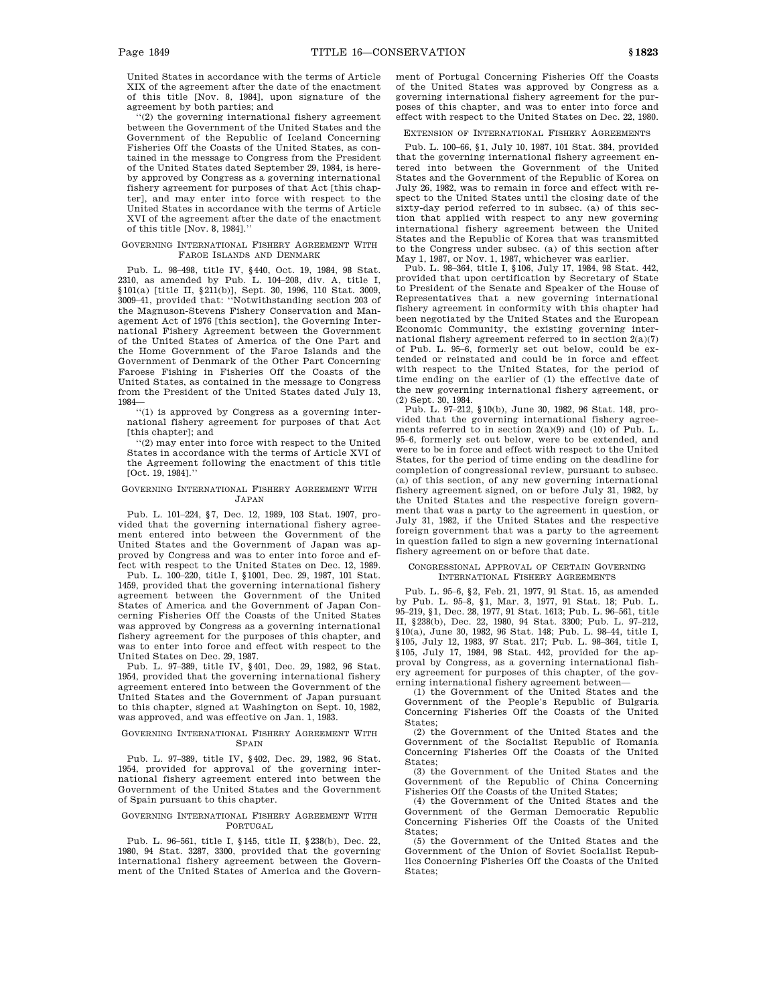United States in accordance with the terms of Article XIX of the agreement after the date of the enactment of this title [Nov. 8, 1984], upon signature of the agreement by both parties; and

''(2) the governing international fishery agreement between the Government of the United States and the Government of the Republic of Iceland Concerning Fisheries Off the Coasts of the United States, as contained in the message to Congress from the President of the United States dated September 29, 1984, is hereby approved by Congress as a governing international fishery agreement for purposes of that Act [this chapter], and may enter into force with respect to the United States in accordance with the terms of Article XVI of the agreement after the date of the enactment of this title [Nov. 8, 1984].''

#### GOVERNING INTERNATIONAL FISHERY AGREEMENT WITH FAROE ISLANDS AND DENMARK

Pub. L. 98–498, title IV, §440, Oct. 19, 1984, 98 Stat. 2310, as amended by Pub. L. 104–208, div. A, title I, §101(a) [title II, §211(b)], Sept. 30, 1996, 110 Stat. 3009, 3009–41, provided that: ''Notwithstanding section 203 of the Magnuson-Stevens Fishery Conservation and Management Act of 1976 [this section], the Governing International Fishery Agreement between the Government of the United States of America of the One Part and the Home Government of the Faroe Islands and the Government of Denmark of the Other Part Concerning Faroese Fishing in Fisheries Off the Coasts of the United States, as contained in the message to Congress from the President of the United States dated July 13, 1984—

''(1) is approved by Congress as a governing international fishery agreement for purposes of that Act [this chapter]; and

''(2) may enter into force with respect to the United States in accordance with the terms of Article XVI of the Agreement following the enactment of this title [Oct. 19, 1984].''

#### GOVERNING INTERNATIONAL FISHERY AGREEMENT WITH JAPAN

Pub. L. 101–224, §7, Dec. 12, 1989, 103 Stat. 1907, provided that the governing international fishery agreement entered into between the Government of the United States and the Government of Japan was approved by Congress and was to enter into force and effect with respect to the United States on Dec. 12, 1989.

Pub. L. 100–220, title I, §1001, Dec. 29, 1987, 101 Stat. 1459, provided that the governing international fishery agreement between the Government of the United States of America and the Government of Japan Concerning Fisheries Off the Coasts of the United States was approved by Congress as a governing international fishery agreement for the purposes of this chapter, and was to enter into force and effect with respect to the United States on Dec. 29, 1987.

Pub. L. 97–389, title IV, §401, Dec. 29, 1982, 96 Stat. 1954, provided that the governing international fishery agreement entered into between the Government of the United States and the Government of Japan pursuant to this chapter, signed at Washington on Sept. 10, 1982, was approved, and was effective on Jan. 1, 1983.

## GOVERNING INTERNATIONAL FISHERY AGREEMENT WITH SPAIN

Pub. L. 97–389, title IV, §402, Dec. 29, 1982, 96 Stat. 1954, provided for approval of the governing international fishery agreement entered into between the Government of the United States and the Government of Spain pursuant to this chapter.

#### GOVERNING INTERNATIONAL FISHERY AGREEMENT WITH PORTUGAL

Pub. L. 96–561, title I, §145, title II, §238(b), Dec. 22, 1980, 94 Stat. 3287, 3300, provided that the governing international fishery agreement between the Government of the United States of America and the Government of Portugal Concerning Fisheries Off the Coasts of the United States was approved by Congress as a governing international fishery agreement for the purposes of this chapter, and was to enter into force and effect with respect to the United States on Dec. 22, 1980.

#### EXTENSION OF INTERNATIONAL FISHERY AGREEMENTS

Pub. L. 100–66, §1, July 10, 1987, 101 Stat. 384, provided that the governing international fishery agreement entered into between the Government of the United States and the Government of the Republic of Korea on July 26, 1982, was to remain in force and effect with respect to the United States until the closing date of the sixty-day period referred to in subsec. (a) of this section that applied with respect to any new governing international fishery agreement between the United States and the Republic of Korea that was transmitted to the Congress under subsec. (a) of this section after

May 1, 1987, or Nov. 1, 1987, whichever was earlier. Pub. L. 98–364, title I, §106, July 17, 1984, 98 Stat. 442, provided that upon certification by Secretary of State to President of the Senate and Speaker of the House of Representatives that a new governing international fishery agreement in conformity with this chapter had been negotiated by the United States and the European Economic Community, the existing governing international fishery agreement referred to in section 2(a)(7) of Pub. L. 95–6, formerly set out below, could be ex-tended or reinstated and could be in force and effect with respect to the United States, for the period of time ending on the earlier of (1) the effective date of the new governing international fishery agreement, or (2) Sept. 30, 1984.

Pub. L. 97–212, §10(b), June 30, 1982, 96 Stat. 148, provided that the governing international fishery agreements referred to in section 2(a)(9) and (10) of Pub. L. 95–6, formerly set out below, were to be extended, and were to be in force and effect with respect to the United States, for the period of time ending on the deadline for completion of congressional review, pursuant to subsec. (a) of this section, of any new governing international fishery agreement signed, on or before July 31, 1982, by the United States and the respective foreign government that was a party to the agreement in question, or July 31, 1982, if the United States and the respective foreign government that was a party to the agreement in question failed to sign a new governing international fishery agreement on or before that date.

#### CONGRESSIONAL APPROVAL OF CERTAIN GOVERNING INTERNATIONAL FISHERY AGREEMENTS

Pub. L. 95–6, §2, Feb. 21, 1977, 91 Stat. 15, as amended by Pub. L. 95–8, §1, Mar. 3, 1977, 91 Stat. 18; Pub. L. 95–219, §1, Dec. 28, 1977, 91 Stat. 1613; Pub. L. 96–561, title II, §238(b), Dec. 22, 1980, 94 Stat. 3300; Pub. L. 97–212, §10(a), June 30, 1982, 96 Stat. 148; Pub. L. 98–44, title I, §105, July 12, 1983, 97 Stat. 217; Pub. L. 98–364, title I, §105, July 17, 1984, 98 Stat. 442, provided for the approval by Congress, as a governing international fishery agreement for purposes of this chapter, of the governing international fishery agreement between—

(1) the Government of the United States and the Government of the People's Republic of Bulgaria Concerning Fisheries Off the Coasts of the United States;

(2) the Government of the United States and the Government of the Socialist Republic of Romania Concerning Fisheries Off the Coasts of the United States;

(3) the Government of the United States and the Government of the Republic of China Concerning Fisheries Off the Coasts of the United States;

(4) the Government of the United States and the Government of the German Democratic Republic Concerning Fisheries Off the Coasts of the United States;

(5) the Government of the United States and the Government of the Union of Soviet Socialist Republics Concerning Fisheries Off the Coasts of the United States;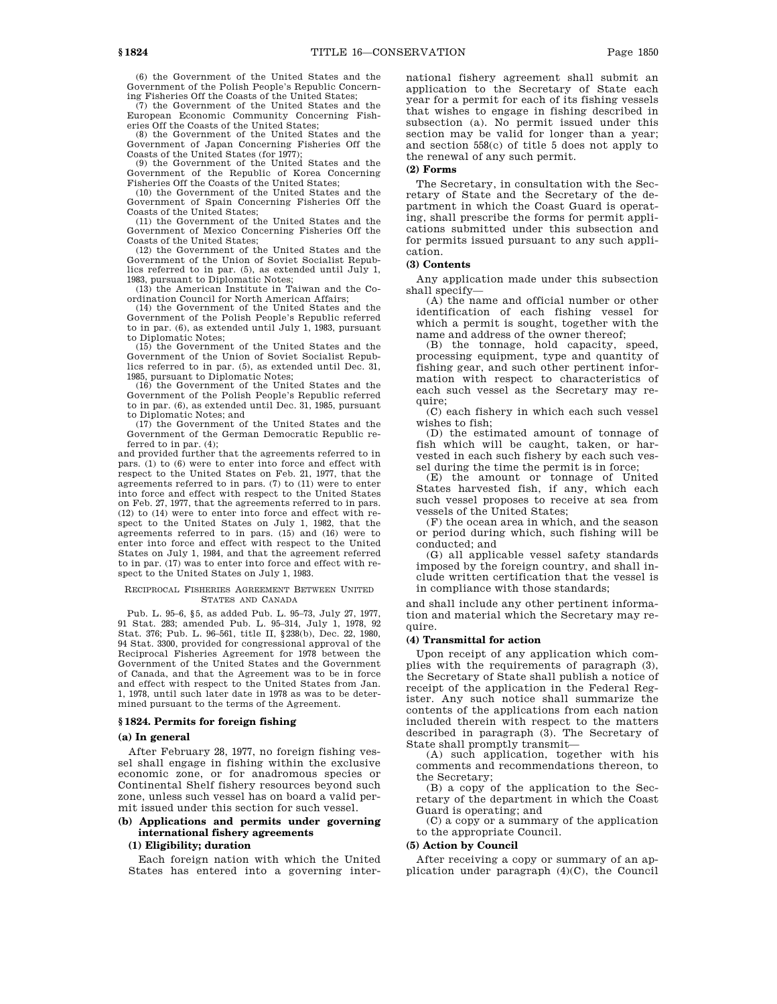(6) the Government of the United States and the Government of the Polish People's Republic Concerning Fisheries Off the Coasts of the United States;

(7) the Government of the United States and the European Economic Community Concerning Fish-eries Off the Coasts of the United States;

(8) the Government of the United States and the Government of Japan Concerning Fisheries Off the Coasts of the United States (for 1977);

(9) the Government of the United States and the Government of the Republic of Korea Concerning Fisheries Off the Coasts of the United States;

(10) the Government of the United States and the Government of Spain Concerning Fisheries Off the Coasts of the United States;

(11) the Government of the United States and the Government of Mexico Concerning Fisheries Off the Coasts of the United States;

(12) the Government of the United States and the Government of the Union of Soviet Socialist Republics referred to in par. (5), as extended until July 1,

1983, pursuant to Diplomatic Notes; (13) the American Institute in Taiwan and the Coordination Council for North American Affairs;

(14) the Government of the United States and the Government of the Polish People's Republic referred to in par. (6), as extended until July 1, 1983, pursuant to Diplomatic Notes;

(15) the Government of the United States and the Government of the Union of Soviet Socialist Republics referred to in par. (5), as extended until Dec. 31, 1985, pursuant to Diplomatic Notes;

(16) the Government of the United States and the Government of the Polish People's Republic referred to in par. (6), as extended until Dec. 31, 1985, pursuant to Diplomatic Notes; and

(17) the Government of the United States and the Government of the German Democratic Republic re-

ferred to in par. (4); and provided further that the agreements referred to in pars. (1) to (6) were to enter into force and effect with respect to the United States on Feb. 21, 1977, that the agreements referred to in pars. (7) to (11) were to enter into force and effect with respect to the United States on Feb. 27, 1977, that the agreements referred to in pars. (12) to (14) were to enter into force and effect with respect to the United States on July 1, 1982, that the agreements referred to in pars. (15) and (16) were to enter into force and effect with respect to the United States on July 1, 1984, and that the agreement referred to in par. (17) was to enter into force and effect with respect to the United States on July 1, 1983.

#### RECIPROCAL FISHERIES AGREEMENT BETWEEN UNITED STATES AND CANADA

Pub. L. 95–6, §5, as added Pub. L. 95–73, July 27, 1977, 91 Stat. 283; amended Pub. L. 95–314, July 1, 1978, 92 Stat. 376; Pub. L. 96–561, title II, §238(b), Dec. 22, 1980, 94 Stat. 3300, provided for congressional approval of the Reciprocal Fisheries Agreement for 1978 between the Government of the United States and the Government of Canada, and that the Agreement was to be in force and effect with respect to the United States from Jan. 1, 1978, until such later date in 1978 as was to be determined pursuant to the terms of the Agreement.

## **§ 1824. Permits for foreign fishing**

## **(a) In general**

After February 28, 1977, no foreign fishing vessel shall engage in fishing within the exclusive economic zone, or for anadromous species or Continental Shelf fishery resources beyond such zone, unless such vessel has on board a valid permit issued under this section for such vessel.

# **(b) Applications and permits under governing international fishery agreements**

## **(1) Eligibility; duration**

Each foreign nation with which the United States has entered into a governing international fishery agreement shall submit an application to the Secretary of State each year for a permit for each of its fishing vessels that wishes to engage in fishing described in subsection (a). No permit issued under this section may be valid for longer than a year; and section 558(c) of title 5 does not apply to the renewal of any such permit.

## **(2) Forms**

The Secretary, in consultation with the Secretary of State and the Secretary of the department in which the Coast Guard is operating, shall prescribe the forms for permit applications submitted under this subsection and for permits issued pursuant to any such application.

## **(3) Contents**

Any application made under this subsection shall specify—

(A) the name and official number or other identification of each fishing vessel for which a permit is sought, together with the name and address of the owner thereof;

(B) the tonnage, hold capacity, speed, processing equipment, type and quantity of fishing gear, and such other pertinent information with respect to characteristics of each such vessel as the Secretary may require;

(C) each fishery in which each such vessel wishes to fish;

(D) the estimated amount of tonnage of fish which will be caught, taken, or harvested in each such fishery by each such vessel during the time the permit is in force;

(E) the amount or tonnage of United States harvested fish, if any, which each such vessel proposes to receive at sea from vessels of the United States;

(F) the ocean area in which, and the season or period during which, such fishing will be conducted; and

(G) all applicable vessel safety standards imposed by the foreign country, and shall include written certification that the vessel is in compliance with those standards;

and shall include any other pertinent information and material which the Secretary may require.

## **(4) Transmittal for action**

Upon receipt of any application which complies with the requirements of paragraph (3), the Secretary of State shall publish a notice of receipt of the application in the Federal Register. Any such notice shall summarize the contents of the applications from each nation included therein with respect to the matters described in paragraph (3). The Secretary of State shall promptly transmit—

(A) such application, together with his comments and recommendations thereon, to the Secretary;

(B) a copy of the application to the Secretary of the department in which the Coast Guard is operating; and

(C) a copy or a summary of the application to the appropriate Council.

#### **(5) Action by Council**

After receiving a copy or summary of an application under paragraph (4)(C), the Council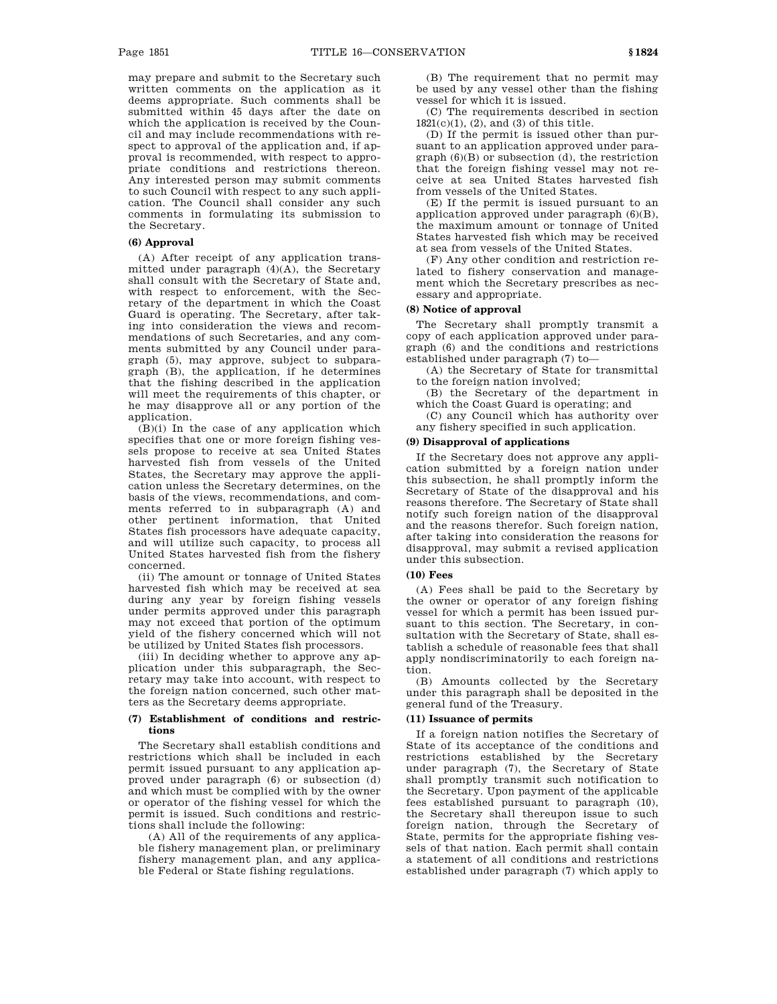may prepare and submit to the Secretary such written comments on the application as it deems appropriate. Such comments shall be submitted within 45 days after the date on which the application is received by the Council and may include recommendations with respect to approval of the application and, if approval is recommended, with respect to appropriate conditions and restrictions thereon. Any interested person may submit comments to such Council with respect to any such application. The Council shall consider any such comments in formulating its submission to the Secretary.

## **(6) Approval**

(A) After receipt of any application transmitted under paragraph (4)(A), the Secretary shall consult with the Secretary of State and, with respect to enforcement, with the Secretary of the department in which the Coast Guard is operating. The Secretary, after taking into consideration the views and recommendations of such Secretaries, and any comments submitted by any Council under paragraph (5), may approve, subject to subparagraph (B), the application, if he determines that the fishing described in the application will meet the requirements of this chapter, or he may disapprove all or any portion of the application.

(B)(i) In the case of any application which specifies that one or more foreign fishing vessels propose to receive at sea United States harvested fish from vessels of the United States, the Secretary may approve the application unless the Secretary determines, on the basis of the views, recommendations, and comments referred to in subparagraph (A) and other pertinent information, that United States fish processors have adequate capacity, and will utilize such capacity, to process all United States harvested fish from the fishery concerned.

(ii) The amount or tonnage of United States harvested fish which may be received at sea during any year by foreign fishing vessels under permits approved under this paragraph may not exceed that portion of the optimum yield of the fishery concerned which will not be utilized by United States fish processors.

(iii) In deciding whether to approve any application under this subparagraph, the Secretary may take into account, with respect to the foreign nation concerned, such other matters as the Secretary deems appropriate.

## **(7) Establishment of conditions and restrictions**

The Secretary shall establish conditions and restrictions which shall be included in each permit issued pursuant to any application approved under paragraph (6) or subsection (d) and which must be complied with by the owner or operator of the fishing vessel for which the permit is issued. Such conditions and restrictions shall include the following:

(A) All of the requirements of any applicable fishery management plan, or preliminary fishery management plan, and any applicable Federal or State fishing regulations.

(B) The requirement that no permit may be used by any vessel other than the fishing vessel for which it is issued.

(C) The requirements described in section  $1821(c)(1)$ ,  $(2)$ , and  $(3)$  of this title.

(D) If the permit is issued other than pursuant to an application approved under para $graph (6)(B)$  or subsection  $(d)$ , the restriction that the foreign fishing vessel may not receive at sea United States harvested fish from vessels of the United States.

(E) If the permit is issued pursuant to an application approved under paragraph (6)(B), the maximum amount or tonnage of United States harvested fish which may be received at sea from vessels of the United States.

(F) Any other condition and restriction related to fishery conservation and management which the Secretary prescribes as necessary and appropriate.

## **(8) Notice of approval**

The Secretary shall promptly transmit a copy of each application approved under paragraph (6) and the conditions and restrictions established under paragraph (7) to—

(A) the Secretary of State for transmittal to the foreign nation involved;

- (B) the Secretary of the department in which the Coast Guard is operating; and
- (C) any Council which has authority over any fishery specified in such application.

## **(9) Disapproval of applications**

If the Secretary does not approve any application submitted by a foreign nation under this subsection, he shall promptly inform the Secretary of State of the disapproval and his reasons therefore. The Secretary of State shall notify such foreign nation of the disapproval and the reasons therefor. Such foreign nation, after taking into consideration the reasons for disapproval, may submit a revised application under this subsection.

## **(10) Fees**

(A) Fees shall be paid to the Secretary by the owner or operator of any foreign fishing vessel for which a permit has been issued pursuant to this section. The Secretary, in consultation with the Secretary of State, shall establish a schedule of reasonable fees that shall apply nondiscriminatorily to each foreign nation.

(B) Amounts collected by the Secretary under this paragraph shall be deposited in the general fund of the Treasury.

## **(11) Issuance of permits**

If a foreign nation notifies the Secretary of State of its acceptance of the conditions and restrictions established by the Secretary under paragraph (7), the Secretary of State shall promptly transmit such notification to the Secretary. Upon payment of the applicable fees established pursuant to paragraph (10), the Secretary shall thereupon issue to such foreign nation, through the Secretary of State, permits for the appropriate fishing vessels of that nation. Each permit shall contain a statement of all conditions and restrictions established under paragraph (7) which apply to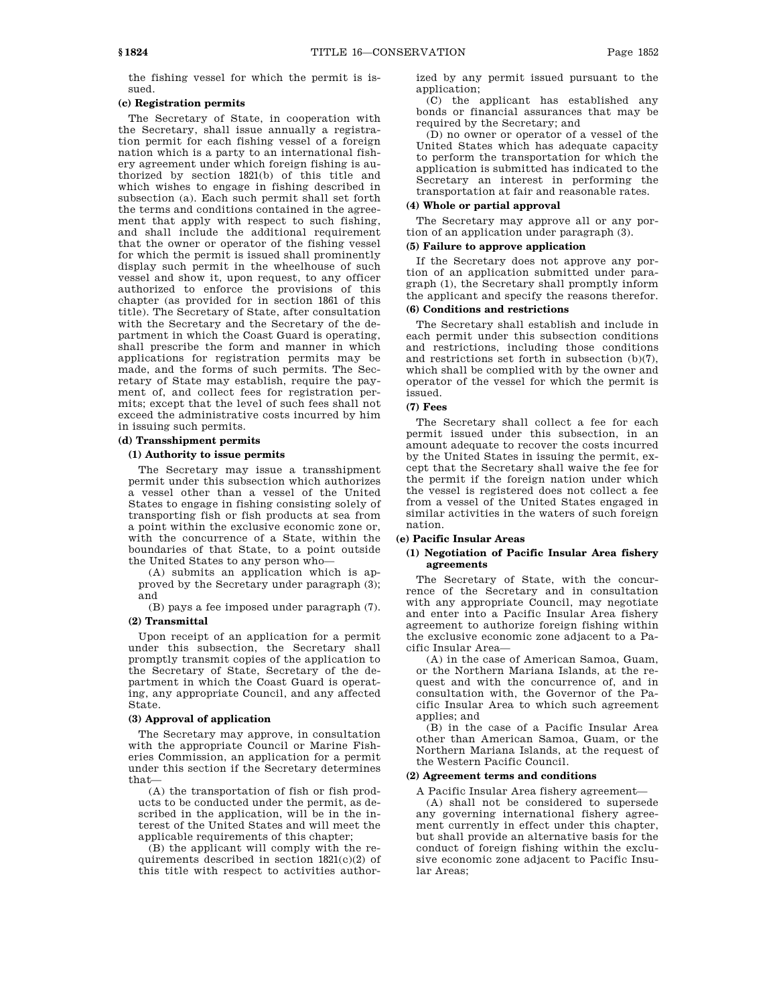the fishing vessel for which the permit is issued.

# **(c) Registration permits**

The Secretary of State, in cooperation with the Secretary, shall issue annually a registration permit for each fishing vessel of a foreign nation which is a party to an international fishery agreement under which foreign fishing is authorized by section 1821(b) of this title and which wishes to engage in fishing described in subsection (a). Each such permit shall set forth the terms and conditions contained in the agreement that apply with respect to such fishing, and shall include the additional requirement that the owner or operator of the fishing vessel for which the permit is issued shall prominently display such permit in the wheelhouse of such vessel and show it, upon request, to any officer authorized to enforce the provisions of this chapter (as provided for in section 1861 of this title). The Secretary of State, after consultation with the Secretary and the Secretary of the department in which the Coast Guard is operating, shall prescribe the form and manner in which applications for registration permits may be made, and the forms of such permits. The Secretary of State may establish, require the payment of, and collect fees for registration permits; except that the level of such fees shall not exceed the administrative costs incurred by him in issuing such permits.

# **(d) Transshipment permits**

## **(1) Authority to issue permits**

The Secretary may issue a transshipment permit under this subsection which authorizes a vessel other than a vessel of the United States to engage in fishing consisting solely of transporting fish or fish products at sea from a point within the exclusive economic zone or, with the concurrence of a State, within the boundaries of that State, to a point outside the United States to any person who—

(A) submits an application which is approved by the Secretary under paragraph (3); and

(B) pays a fee imposed under paragraph (7). **(2) Transmittal**

Upon receipt of an application for a permit under this subsection, the Secretary shall promptly transmit copies of the application to the Secretary of State, Secretary of the department in which the Coast Guard is operating, any appropriate Council, and any affected State.

## **(3) Approval of application**

The Secretary may approve, in consultation with the appropriate Council or Marine Fisheries Commission, an application for a permit under this section if the Secretary determines that—

(A) the transportation of fish or fish products to be conducted under the permit, as described in the application, will be in the interest of the United States and will meet the applicable requirements of this chapter;

(B) the applicant will comply with the requirements described in section  $1821(c)(2)$  of this title with respect to activities authorized by any permit issued pursuant to the application;

(C) the applicant has established any bonds or financial assurances that may be required by the Secretary; and

(D) no owner or operator of a vessel of the United States which has adequate capacity to perform the transportation for which the application is submitted has indicated to the Secretary an interest in performing the transportation at fair and reasonable rates.

# **(4) Whole or partial approval**

The Secretary may approve all or any portion of an application under paragraph (3).

## **(5) Failure to approve application**

If the Secretary does not approve any portion of an application submitted under paragraph (1), the Secretary shall promptly inform the applicant and specify the reasons therefor.

# **(6) Conditions and restrictions**

The Secretary shall establish and include in each permit under this subsection conditions and restrictions, including those conditions and restrictions set forth in subsection (b)(7), which shall be complied with by the owner and operator of the vessel for which the permit is issued.

## **(7) Fees**

The Secretary shall collect a fee for each permit issued under this subsection, in an amount adequate to recover the costs incurred by the United States in issuing the permit, except that the Secretary shall waive the fee for the permit if the foreign nation under which the vessel is registered does not collect a fee from a vessel of the United States engaged in similar activities in the waters of such foreign nation.

## **(e) Pacific Insular Areas**

## **(1) Negotiation of Pacific Insular Area fishery agreements**

The Secretary of State, with the concurrence of the Secretary and in consultation with any appropriate Council, may negotiate and enter into a Pacific Insular Area fishery agreement to authorize foreign fishing within the exclusive economic zone adjacent to a Pacific Insular Area—

(A) in the case of American Samoa, Guam, or the Northern Mariana Islands, at the request and with the concurrence of, and in consultation with, the Governor of the Pacific Insular Area to which such agreement applies; and

(B) in the case of a Pacific Insular Area other than American Samoa, Guam, or the Northern Mariana Islands, at the request of the Western Pacific Council.

## **(2) Agreement terms and conditions**

A Pacific Insular Area fishery agreement— (A) shall not be considered to supersede any governing international fishery agreement currently in effect under this chapter, but shall provide an alternative basis for the conduct of foreign fishing within the exclusive economic zone adjacent to Pacific Insular Areas;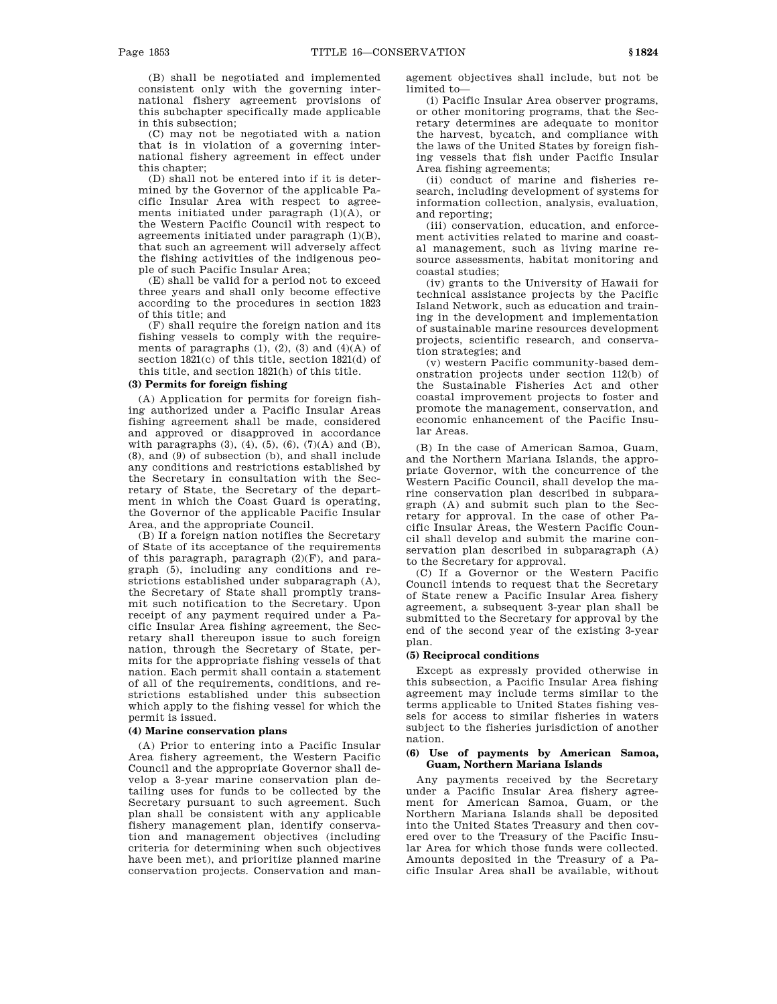(B) shall be negotiated and implemented consistent only with the governing international fishery agreement provisions of this subchapter specifically made applicable in this subsection;

(C) may not be negotiated with a nation that is in violation of a governing international fishery agreement in effect under this chapter;

(D) shall not be entered into if it is determined by the Governor of the applicable Pacific Insular Area with respect to agreements initiated under paragraph (1)(A), or the Western Pacific Council with respect to agreements initiated under paragraph (1)(B), that such an agreement will adversely affect the fishing activities of the indigenous people of such Pacific Insular Area;

(E) shall be valid for a period not to exceed three years and shall only become effective according to the procedures in section 1823 of this title; and

(F) shall require the foreign nation and its fishing vessels to comply with the requirements of paragraphs  $(1)$ ,  $(2)$ ,  $(3)$  and  $(4)(A)$  of section 1821(c) of this title, section 1821(d) of this title, and section 1821(h) of this title.

## **(3) Permits for foreign fishing**

(A) Application for permits for foreign fishing authorized under a Pacific Insular Areas fishing agreement shall be made, considered and approved or disapproved in accordance with paragraphs  $(3)$ ,  $(4)$ ,  $(5)$ ,  $(6)$ ,  $(7)(A)$  and  $(B)$ , (8), and (9) of subsection (b), and shall include any conditions and restrictions established by the Secretary in consultation with the Secretary of State, the Secretary of the department in which the Coast Guard is operating, the Governor of the applicable Pacific Insular Area, and the appropriate Council.

(B) If a foreign nation notifies the Secretary of State of its acceptance of the requirements of this paragraph, paragraph (2)(F), and paragraph (5), including any conditions and restrictions established under subparagraph (A), the Secretary of State shall promptly transmit such notification to the Secretary. Upon receipt of any payment required under a Pacific Insular Area fishing agreement, the Secretary shall thereupon issue to such foreign nation, through the Secretary of State, permits for the appropriate fishing vessels of that nation. Each permit shall contain a statement of all of the requirements, conditions, and restrictions established under this subsection which apply to the fishing vessel for which the permit is issued.

# **(4) Marine conservation plans**

(A) Prior to entering into a Pacific Insular Area fishery agreement, the Western Pacific Council and the appropriate Governor shall develop a 3-year marine conservation plan detailing uses for funds to be collected by the Secretary pursuant to such agreement. Such plan shall be consistent with any applicable fishery management plan, identify conservation and management objectives (including criteria for determining when such objectives have been met), and prioritize planned marine conservation projects. Conservation and management objectives shall include, but not be limited to—

(i) Pacific Insular Area observer programs, or other monitoring programs, that the Secretary determines are adequate to monitor the harvest, bycatch, and compliance with the laws of the United States by foreign fishing vessels that fish under Pacific Insular Area fishing agreements;

(ii) conduct of marine and fisheries research, including development of systems for information collection, analysis, evaluation, and reporting;

(iii) conservation, education, and enforcement activities related to marine and coastal management, such as living marine resource assessments, habitat monitoring and coastal studies;

(iv) grants to the University of Hawaii for technical assistance projects by the Pacific Island Network, such as education and training in the development and implementation of sustainable marine resources development projects, scientific research, and conservation strategies; and

(v) western Pacific community-based demonstration projects under section 112(b) of the Sustainable Fisheries Act and other coastal improvement projects to foster and promote the management, conservation, and economic enhancement of the Pacific Insular Areas.

(B) In the case of American Samoa, Guam, and the Northern Mariana Islands, the appropriate Governor, with the concurrence of the Western Pacific Council, shall develop the marine conservation plan described in subparagraph (A) and submit such plan to the Secretary for approval. In the case of other Pacific Insular Areas, the Western Pacific Council shall develop and submit the marine conservation plan described in subparagraph (A) to the Secretary for approval.

(C) If a Governor or the Western Pacific Council intends to request that the Secretary of State renew a Pacific Insular Area fishery agreement, a subsequent 3-year plan shall be submitted to the Secretary for approval by the end of the second year of the existing 3-year plan.

# **(5) Reciprocal conditions**

Except as expressly provided otherwise in this subsection, a Pacific Insular Area fishing agreement may include terms similar to the terms applicable to United States fishing vessels for access to similar fisheries in waters subject to the fisheries jurisdiction of another nation.

## **(6) Use of payments by American Samoa, Guam, Northern Mariana Islands**

Any payments received by the Secretary under a Pacific Insular Area fishery agreement for American Samoa, Guam, or the Northern Mariana Islands shall be deposited into the United States Treasury and then covered over to the Treasury of the Pacific Insular Area for which those funds were collected. Amounts deposited in the Treasury of a Pacific Insular Area shall be available, without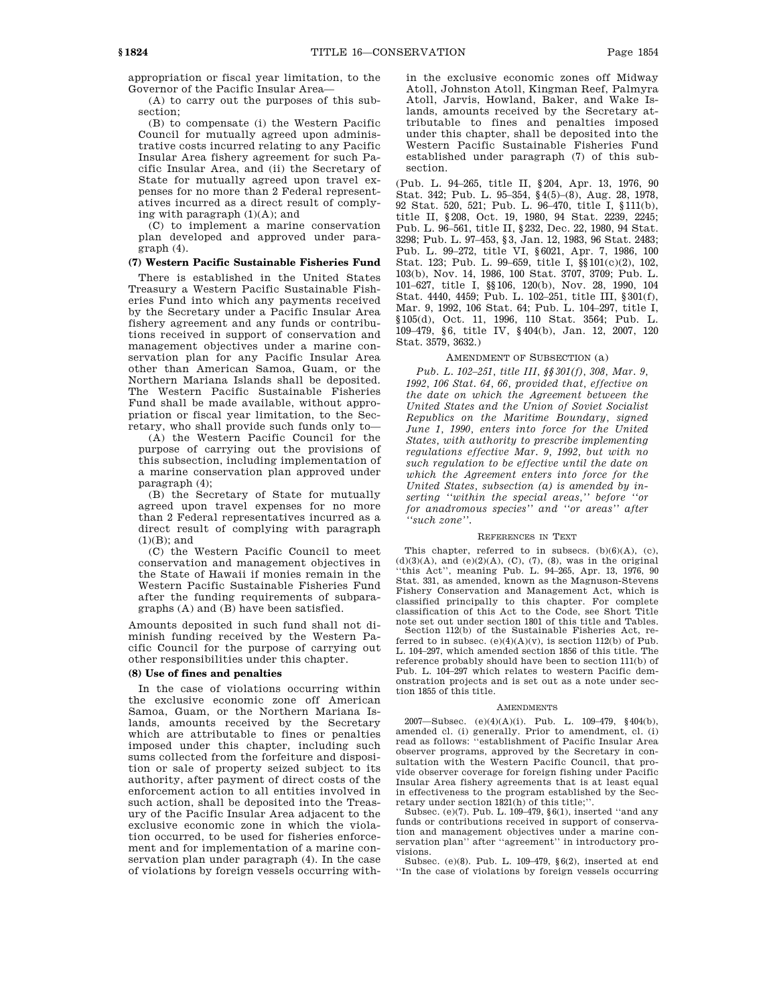appropriation or fiscal year limitation, to the Governor of the Pacific Insular Area—

(A) to carry out the purposes of this subsection;

(B) to compensate (i) the Western Pacific Council for mutually agreed upon administrative costs incurred relating to any Pacific Insular Area fishery agreement for such Pacific Insular Area, and (ii) the Secretary of State for mutually agreed upon travel expenses for no more than 2 Federal representatives incurred as a direct result of complying with paragraph  $(1)(A)$ ; and

(C) to implement a marine conservation plan developed and approved under paragraph (4).

# **(7) Western Pacific Sustainable Fisheries Fund**

There is established in the United States Treasury a Western Pacific Sustainable Fisheries Fund into which any payments received by the Secretary under a Pacific Insular Area fishery agreement and any funds or contributions received in support of conservation and management objectives under a marine conservation plan for any Pacific Insular Area other than American Samoa, Guam, or the Northern Mariana Islands shall be deposited. The Western Pacific Sustainable Fisheries Fund shall be made available, without appropriation or fiscal year limitation, to the Secretary, who shall provide such funds only to—

(A) the Western Pacific Council for the purpose of carrying out the provisions of this subsection, including implementation of a marine conservation plan approved under paragraph (4);

(B) the Secretary of State for mutually agreed upon travel expenses for no more than 2 Federal representatives incurred as a direct result of complying with paragraph  $(1)(B)$ ; and

(C) the Western Pacific Council to meet conservation and management objectives in the State of Hawaii if monies remain in the Western Pacific Sustainable Fisheries Fund after the funding requirements of subparagraphs (A) and (B) have been satisfied.

Amounts deposited in such fund shall not diminish funding received by the Western Pacific Council for the purpose of carrying out other responsibilities under this chapter.

## **(8) Use of fines and penalties**

In the case of violations occurring within the exclusive economic zone off American Samoa, Guam, or the Northern Mariana Islands, amounts received by the Secretary which are attributable to fines or penalties imposed under this chapter, including such sums collected from the forfeiture and disposition or sale of property seized subject to its authority, after payment of direct costs of the enforcement action to all entities involved in such action, shall be deposited into the Treasury of the Pacific Insular Area adjacent to the exclusive economic zone in which the violation occurred, to be used for fisheries enforcement and for implementation of a marine conservation plan under paragraph (4). In the case of violations by foreign vessels occurring within the exclusive economic zones off Midway Atoll, Johnston Atoll, Kingman Reef, Palmyra Atoll, Jarvis, Howland, Baker, and Wake Islands, amounts received by the Secretary attributable to fines and penalties imposed under this chapter, shall be deposited into the Western Pacific Sustainable Fisheries Fund established under paragraph (7) of this subsection.

(Pub. L. 94–265, title II, §204, Apr. 13, 1976, 90 Stat. 342; Pub. L. 95–354, §4(5)–(8), Aug. 28, 1978, 92 Stat. 520, 521; Pub. L. 96–470, title I, §111(b), title II, §208, Oct. 19, 1980, 94 Stat. 2239, 2245; Pub. L. 96–561, title II, §232, Dec. 22, 1980, 94 Stat. 3298; Pub. L. 97–453, §3, Jan. 12, 1983, 96 Stat. 2483; Pub. L. 99–272, title VI, §6021, Apr. 7, 1986, 100 Stat. 123; Pub. L. 99–659, title I, §§101(c)(2), 102, 103(b), Nov. 14, 1986, 100 Stat. 3707, 3709; Pub. L. 101–627, title I, §§106, 120(b), Nov. 28, 1990, 104 Stat. 4440, 4459; Pub. L. 102–251, title III, §301(f), Mar. 9, 1992, 106 Stat. 64; Pub. L. 104–297, title I, §105(d), Oct. 11, 1996, 110 Stat. 3564; Pub. L. 109–479, §6, title IV, §404(b), Jan. 12, 2007, 120 Stat. 3579, 3632.)

## AMENDMENT OF SUBSECTION (a)

*Pub. L. 102–251, title III, §§301(f), 308, Mar. 9, 1992, 106 Stat. 64, 66, provided that, effective on the date on which the Agreement between the United States and the Union of Soviet Socialist Republics on the Maritime Boundary, signed June 1, 1990, enters into force for the United States, with authority to prescribe implementing regulations effective Mar. 9, 1992, but with no such regulation to be effective until the date on which the Agreement enters into force for the United States, subsection (a) is amended by inserting ''within the special areas,'' before ''or for anadromous species'' and ''or areas'' after ''such zone''.*

## REFERENCES IN TEXT

This chapter, referred to in subsecs.  $(b)(6)(A)$ ,  $(c)$ ,  $(d)(3)(A)$ , and  $(e)(2)(A)$ ,  $(C)$ ,  $(7)$ ,  $(8)$ , was in the original ''this Act'', meaning Pub. L. 94–265, Apr. 13, 1976, 90 Stat. 331, as amended, known as the Magnuson-Stevens Fishery Conservation and Management Act, which is classified principally to this chapter. For complete classification of this Act to the Code, see Short Title note set out under section 1801 of this title and Tables.

Section 112(b) of the Sustainable Fisheries Act, referred to in subsec.  $(e)(4)(A)(v)$ , is section 112(b) of Pub. L. 104–297, which amended section 1856 of this title. The reference probably should have been to section 111(b) of Pub. L. 104–297 which relates to western Pacific demonstration projects and is set out as a note under section 1855 of this title.

#### **AMENDMENTS**

2007—Subsec. (e)(4)(A)(i). Pub. L. 109–479, §404(b), amended cl. (i) generally. Prior to amendment, cl. (i) read as follows: ''establishment of Pacific Insular Area observer programs, approved by the Secretary in consultation with the Western Pacific Council, that provide observer coverage for foreign fishing under Pacific Insular Area fishery agreements that is at least equal in effectiveness to the program established by the Secretary under section 1821(h) of this title;''.

Subsec. (e)(7). Pub. L. 109–479, §6(1), inserted ''and any funds or contributions received in support of conservation and management objectives under a marine conservation plan'' after ''agreement'' in introductory provisions.

Subsec. (e)(8). Pub. L. 109–479, §6(2), inserted at end ''In the case of violations by foreign vessels occurring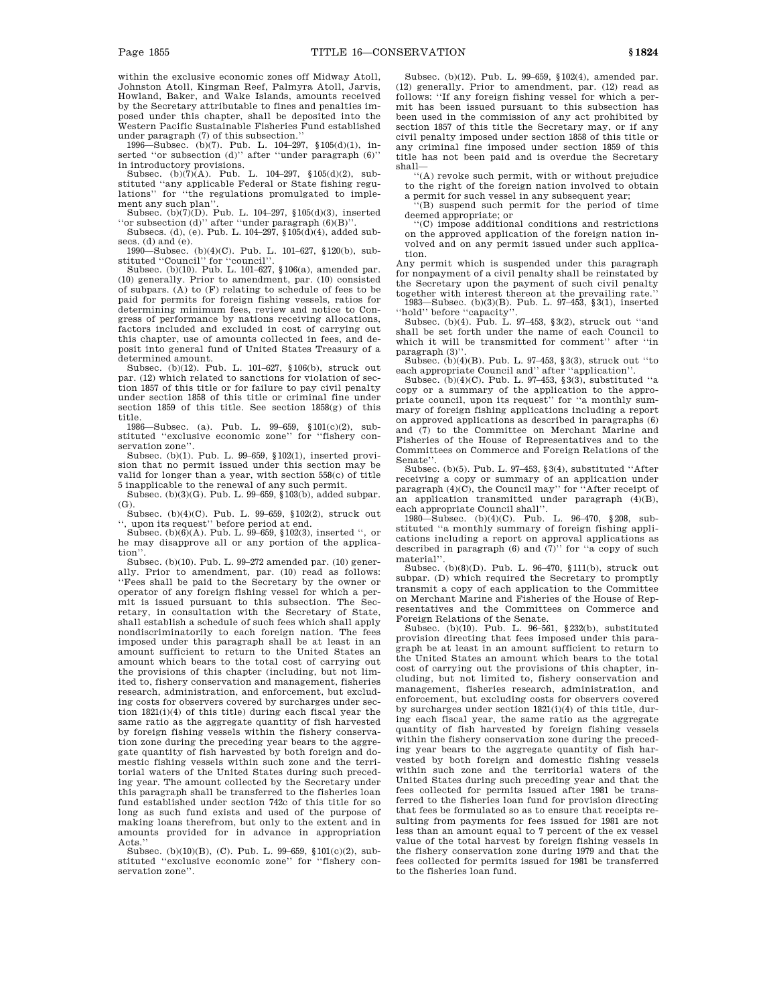within the exclusive economic zones off Midway Atoll, Johnston Atoll, Kingman Reef, Palmyra Atoll, Jarvis, Howland, Baker, and Wake Islands, amounts received by the Secretary attributable to fines and penalties imposed under this chapter, shall be deposited into the Western Pacific Sustainable Fisheries Fund established under paragraph (7) of this subsection.''

1996—Subsec. (b)(7). Pub. L. 104–297, §105(d)(1), in-serted ''or subsection (d)'' after ''under paragraph (6)'' in introductory provisions. Subsec. (b)(7)(A). Pub. L. 104–297, §105(d)(2), sub-

stituted ''any applicable Federal or State fishing regu-lations'' for ''the regulations promulgated to implement any such plan''.

Subsec. (b)(7)(D). Pub. L. 104–297, §105(d)(3), inserted "or subsection (d)" after "under paragraph (6)(B)".<br>Subsecs. (d), (e). Pub. L. 104–297, §105(d)(4), added sub-

secs. (d) and (e).<br>1990—Subsec. (b)(4)(C). Pub. L. 101–627, §120(b), sub-

stituted ''Council'' for ''council''. Subsec. (b)(10). Pub. L. 101–627, §106(a), amended par.

(10) generally. Prior to amendment, par. (10) consisted of subpars. (A) to (F) relating to schedule of fees to be paid for permits for foreign fishing vessels, ratios for determining minimum fees, review and notice to Congress of performance by nations receiving allocations, factors included and excluded in cost of carrying out this chapter, use of amounts collected in fees, and deposit into general fund of United States Treasury of a determined amount.

Subsec. (b)(12). Pub. L. 101–627, §106(b), struck out par. (12) which related to sanctions for violation of section 1857 of this title or for failure to pay civil penalty under section 1858 of this title or criminal fine under section 1859 of this title. See section 1858(g) of this title.

1986—Subsec. (a). Pub. L. 99–659, §101(c)(2), substituted ''exclusive economic zone'' for ''fishery conservation zone"

Subsec. (b)(1). Pub. L. 99–659, §102(1), inserted provision that no permit issued under this section may be valid for longer than a year, with section 558(c) of title 5 inapplicable to the renewal of any such permit.

Subsec. (b)(3)(G). Pub. L. 99–659, §103(b), added subpar.  $(G)$ .

Subsec. (b)(4)(C). Pub. L. 99–659, §102(2), struck out

", upon its request" before period at end.<br>Subsec.  $(b)(6)(A)$ . Pub. L.  $99-659$ ,  $102(3)$ , inserted ", or he may disapprove all or any portion of the application''.

Subsec. (b)(10). Pub. L. 99–272 amended par. (10) generally. Prior to amendment, par. (10) read as follows: ''Fees shall be paid to the Secretary by the owner or operator of any foreign fishing vessel for which a permit is issued pursuant to this subsection. The Secretary, in consultation with the Secretary of State, shall establish a schedule of such fees which shall apply nondiscriminatorily to each foreign nation. The fees imposed under this paragraph shall be at least in an amount sufficient to return to the United States an amount which bears to the total cost of carrying out the provisions of this chapter (including, but not limited to, fishery conservation and management, fisheries research, administration, and enforcement, but excluding costs for observers covered by surcharges under section 1821(i)(4) of this title) during each fiscal year the same ratio as the aggregate quantity of fish harvested by foreign fishing vessels within the fishery conservation zone during the preceding year bears to the aggregate quantity of fish harvested by both foreign and domestic fishing vessels within such zone and the territorial waters of the United States during such preceding year. The amount collected by the Secretary under this paragraph shall be transferred to the fisheries loan fund established under section 742c of this title for so long as such fund exists and used of the purpose of making loans therefrom, but only to the extent and in amounts provided for in advance in appropriation Acts.

Subsec. (b)(10)(B), (C). Pub. L. 99–659, §101(c)(2), substituted "exclusive economic zone" for "fishery conservation zone''.

Subsec. (b)(12). Pub. L. 99–659, §102(4), amended par. (12) generally. Prior to amendment, par. (12) read as follows: ''If any foreign fishing vessel for which a permit has been issued pursuant to this subsection has been used in the commission of any act prohibited by section 1857 of this title the Secretary may, or if any civil penalty imposed under section 1858 of this title or any criminal fine imposed under section 1859 of this title has not been paid and is overdue the Secretary shall—

''(A) revoke such permit, with or without prejudice to the right of the foreign nation involved to obtain

a permit for such vessel in any subsequent year; '(B) suspend such permit for the period of time

deemed appropriate; or ''(C) impose additional conditions and restrictions on the approved application of the foreign nation involved and on any permit issued under such application.

Any permit which is suspended under this paragraph for nonpayment of a civil penalty shall be reinstated by the Secretary upon the payment of such civil penalty together with interest thereon at the prevailing rate.

1983—Subsec. (b)(3)(B). Pub. L. 97–453, §3(1), inserted ''hold'' before ''capacity''. Subsec. (b)(4). Pub. L. 97–453, §3(2), struck out ''and shall be set forth under the name of each Council to

which it will be transmitted for comment'' after ''in paragraph (3)''.

Subsec.  $(b)(4)(B)$ . Pub. L. 97–453, §3(3), struck out "to each appropriate Council and'' after ''application''.

Subsec. (b)(4)(C). Pub. L. 97–453, §3(3), substituted ''a copy or a summary of the application to the appro-priate council, upon its request'' for ''a monthly summary of foreign fishing applications including a report on approved applications as described in paragraphs (6) and (7) to the Committee on Merchant Marine and Fisheries of the House of Representatives and to the Committees on Commerce and Foreign Relations of the Senate''.

Subsec. (b)(5). Pub. L. 97–453, §3(4), substituted ''After receiving a copy or summary of an application under paragraph  $(4)(C)$ , the Council may" for "After receipt of an application transmitted under paragraph (4)(B), each appropriate Council shall''.

1980—Subsec. (b)(4)(C). Pub. L. 96–470, §208, substituted ''a monthly summary of foreign fishing applications including a report on approval applications as described in paragraph  $(6)$  and  $(7)$ " for "a copy of such material''.

Subsec. (b)(8)(D). Pub. L. 96–470, §111(b), struck out subpar. (D) which required the Secretary to promptly transmit a copy of each application to the Committee on Merchant Marine and Fisheries of the House of Representatives and the Committees on Commerce and Foreign Relations of the Senate.

Subsec. (b)(10). Pub. L. 96–561, §232(b), substituted provision directing that fees imposed under this paragraph be at least in an amount sufficient to return to the United States an amount which bears to the total cost of carrying out the provisions of this chapter, including, but not limited to, fishery conservation and management, fisheries research, administration, and enforcement, but excluding costs for observers covered by surcharges under section 1821(i)(4) of this title, during each fiscal year, the same ratio as the aggregate quantity of fish harvested by foreign fishing vessels within the fishery conservation zone during the preceding year bears to the aggregate quantity of fish harvested by both foreign and domestic fishing vessels within such zone and the territorial waters of the United States during such preceding year and that the fees collected for permits issued after 1981 be transferred to the fisheries loan fund for provision directing that fees be formulated so as to ensure that receipts resulting from payments for fees issued for 1981 are not less than an amount equal to 7 percent of the ex vessel value of the total harvest by foreign fishing vessels in the fishery conservation zone during 1979 and that the fees collected for permits issued for 1981 be transferred to the fisheries loan fund.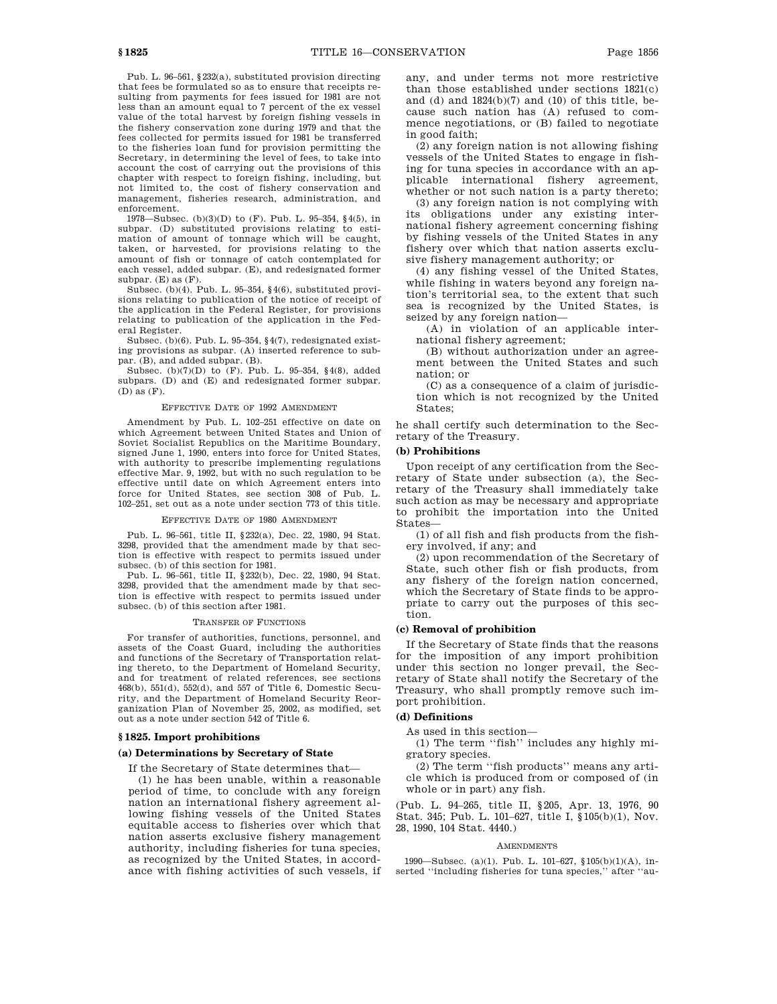Pub. L. 96–561, §232(a), substituted provision directing that fees be formulated so as to ensure that receipts resulting from payments for fees issued for 1981 are not less than an amount equal to 7 percent of the ex vessel value of the total harvest by foreign fishing vessels in the fishery conservation zone during 1979 and that the fees collected for permits issued for 1981 be transferred to the fisheries loan fund for provision permitting the Secretary, in determining the level of fees, to take into account the cost of carrying out the provisions of this chapter with respect to foreign fishing, including, but not limited to, the cost of fishery conservation and management, fisheries research, administration, and enforcement.

1978—Subsec. (b)(3)(D) to (F). Pub. L. 95–354, §4(5), in subpar. (D) substituted provisions relating to estimation of amount of tonnage which will be caught, taken, or harvested, for provisions relating to the amount of fish or tonnage of catch contemplated for each vessel, added subpar. (E), and redesignated former subpar.  $(E)$  as  $(F)$ .

Subsec. (b)(4). Pub. L. 95–354, §4(6), substituted provisions relating to publication of the notice of receipt of the application in the Federal Register, for provisions relating to publication of the application in the Federal Register.

Subsec. (b)(6). Pub. L. 95–354, §4(7), redesignated existing provisions as subpar. (A) inserted reference to subpar. (B), and added subpar. (B).

Subsec. (b)(7)(D) to (F). Pub. L. 95–354, §4(8), added subpars. (D) and (E) and redesignated former subpar.  $(D)$  as  $(F)$ .

#### EFFECTIVE DATE OF 1992 AMENDMENT

Amendment by Pub. L. 102–251 effective on date on which Agreement between United States and Union of Soviet Socialist Republics on the Maritime Boundary, signed June 1, 1990, enters into force for United States, with authority to prescribe implementing regulations effective Mar. 9, 1992, but with no such regulation to be effective until date on which Agreement enters into force for United States, see section 308 of Pub. L. 102–251, set out as a note under section 773 of this title.

#### EFFECTIVE DATE OF 1980 AMENDMENT

Pub. L. 96–561, title II, §232(a), Dec. 22, 1980, 94 Stat. 3298, provided that the amendment made by that section is effective with respect to permits issued under subsec. (b) of this section for 1981.

Pub. L. 96–561, title II, §232(b), Dec. 22, 1980, 94 Stat. 3298, provided that the amendment made by that section is effective with respect to permits issued under subsec. (b) of this section after 1981.

#### TRANSFER OF FUNCTIONS

For transfer of authorities, functions, personnel, and assets of the Coast Guard, including the authorities and functions of the Secretary of Transportation relating thereto, to the Department of Homeland Security, and for treatment of related references, see sections 468(b), 551(d), 552(d), and 557 of Title 6, Domestic Security, and the Department of Homeland Security Reorganization Plan of November 25, 2002, as modified, set out as a note under section 542 of Title 6.

#### **§ 1825. Import prohibitions**

#### **(a) Determinations by Secretary of State**

If the Secretary of State determines that—

(1) he has been unable, within a reasonable period of time, to conclude with any foreign nation an international fishery agreement allowing fishing vessels of the United States equitable access to fisheries over which that nation asserts exclusive fishery management authority, including fisheries for tuna species, as recognized by the United States, in accordance with fishing activities of such vessels, if any, and under terms not more restrictive than those established under sections 1821(c) and (d) and  $1824(b)(7)$  and  $(10)$  of this title, because such nation has (A) refused to commence negotiations, or (B) failed to negotiate in good faith;

(2) any foreign nation is not allowing fishing vessels of the United States to engage in fishing for tuna species in accordance with an applicable international fishery agreement, whether or not such nation is a party thereto;

(3) any foreign nation is not complying with its obligations under any existing international fishery agreement concerning fishing by fishing vessels of the United States in any fishery over which that nation asserts exclusive fishery management authority; or

(4) any fishing vessel of the United States, while fishing in waters beyond any foreign nation's territorial sea, to the extent that such sea is recognized by the United States, is seized by any foreign nation—

(A) in violation of an applicable international fishery agreement;

(B) without authorization under an agreement between the United States and such nation; or

(C) as a consequence of a claim of jurisdiction which is not recognized by the United States;

he shall certify such determination to the Secretary of the Treasury.

## **(b) Prohibitions**

Upon receipt of any certification from the Secretary of State under subsection (a), the Secretary of the Treasury shall immediately take such action as may be necessary and appropriate to prohibit the importation into the United States—

(1) of all fish and fish products from the fishery involved, if any; and

(2) upon recommendation of the Secretary of State, such other fish or fish products, from any fishery of the foreign nation concerned, which the Secretary of State finds to be appropriate to carry out the purposes of this section.

#### **(c) Removal of prohibition**

If the Secretary of State finds that the reasons for the imposition of any import prohibition under this section no longer prevail, the Secretary of State shall notify the Secretary of the Treasury, who shall promptly remove such import prohibition.

## **(d) Definitions**

# As used in this section—

(1) The term ''fish'' includes any highly migratory species.

(2) The term ''fish products'' means any article which is produced from or composed of (in whole or in part) any fish.

(Pub. L. 94–265, title II, §205, Apr. 13, 1976, 90 Stat. 345; Pub. L. 101–627, title I, §105(b)(1), Nov. 28, 1990, 104 Stat. 4440.)

#### AMENDMENTS

1990—Subsec. (a)(1). Pub. L. 101–627, §105(b)(1)(A), inserted ''including fisheries for tuna species,'' after ''au-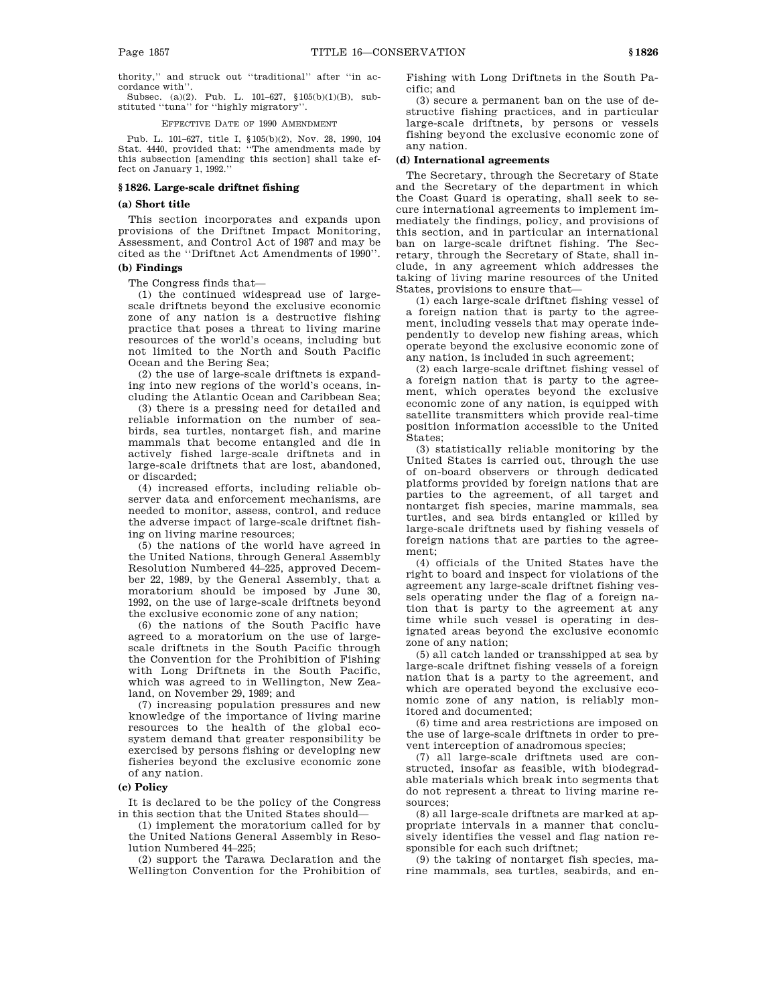thority,'' and struck out ''traditional'' after ''in accordance with'

Subsec. (a)(2). Pub. L. 101–627, §105(b)(1)(B), substituted ''tuna'' for ''highly migratory''.

## EFFECTIVE DATE OF 1990 AMENDMENT

Pub. L. 101–627, title I, §105(b)(2), Nov. 28, 1990, 104 Stat. 4440, provided that: ''The amendments made by this subsection [amending this section] shall take effect on January 1, 1992.''

# **§ 1826. Large-scale driftnet fishing**

## **(a) Short title**

This section incorporates and expands upon provisions of the Driftnet Impact Monitoring, Assessment, and Control Act of 1987 and may be cited as the ''Driftnet Act Amendments of 1990''. **(b) Findings**

The Congress finds that—

(1) the continued widespread use of largescale driftnets beyond the exclusive economic zone of any nation is a destructive fishing practice that poses a threat to living marine resources of the world's oceans, including but not limited to the North and South Pacific Ocean and the Bering Sea;

(2) the use of large-scale driftnets is expanding into new regions of the world's oceans, including the Atlantic Ocean and Caribbean Sea;

(3) there is a pressing need for detailed and reliable information on the number of seabirds, sea turtles, nontarget fish, and marine mammals that become entangled and die in actively fished large-scale driftnets and in large-scale driftnets that are lost, abandoned, or discarded;

(4) increased efforts, including reliable observer data and enforcement mechanisms, are needed to monitor, assess, control, and reduce the adverse impact of large-scale driftnet fishing on living marine resources;

(5) the nations of the world have agreed in the United Nations, through General Assembly Resolution Numbered 44–225, approved December 22, 1989, by the General Assembly, that a moratorium should be imposed by June 30, 1992, on the use of large-scale driftnets beyond the exclusive economic zone of any nation;

(6) the nations of the South Pacific have agreed to a moratorium on the use of largescale driftnets in the South Pacific through the Convention for the Prohibition of Fishing with Long Driftnets in the South Pacific, which was agreed to in Wellington, New Zealand, on November 29, 1989; and

(7) increasing population pressures and new knowledge of the importance of living marine resources to the health of the global ecosystem demand that greater responsibility be exercised by persons fishing or developing new fisheries beyond the exclusive economic zone of any nation.

## **(c) Policy**

It is declared to be the policy of the Congress in this section that the United States should—

(1) implement the moratorium called for by the United Nations General Assembly in Resolution Numbered 44–225;

(2) support the Tarawa Declaration and the Wellington Convention for the Prohibition of Fishing with Long Driftnets in the South Pacific; and

(3) secure a permanent ban on the use of destructive fishing practices, and in particular large-scale driftnets, by persons or vessels fishing beyond the exclusive economic zone of any nation.

## **(d) International agreements**

The Secretary, through the Secretary of State and the Secretary of the department in which the Coast Guard is operating, shall seek to secure international agreements to implement immediately the findings, policy, and provisions of this section, and in particular an international ban on large-scale driftnet fishing. The Secretary, through the Secretary of State, shall include, in any agreement which addresses the taking of living marine resources of the United States, provisions to ensure that—

(1) each large-scale driftnet fishing vessel of a foreign nation that is party to the agreement, including vessels that may operate independently to develop new fishing areas, which operate beyond the exclusive economic zone of any nation, is included in such agreement;

(2) each large-scale driftnet fishing vessel of a foreign nation that is party to the agreement, which operates beyond the exclusive economic zone of any nation, is equipped with satellite transmitters which provide real-time position information accessible to the United States;

(3) statistically reliable monitoring by the United States is carried out, through the use of on-board observers or through dedicated platforms provided by foreign nations that are parties to the agreement, of all target and nontarget fish species, marine mammals, sea turtles, and sea birds entangled or killed by large-scale driftnets used by fishing vessels of foreign nations that are parties to the agreement;

(4) officials of the United States have the right to board and inspect for violations of the agreement any large-scale driftnet fishing vessels operating under the flag of a foreign nation that is party to the agreement at any time while such vessel is operating in designated areas beyond the exclusive economic zone of any nation;

(5) all catch landed or transshipped at sea by large-scale driftnet fishing vessels of a foreign nation that is a party to the agreement, and which are operated beyond the exclusive economic zone of any nation, is reliably monitored and documented;

(6) time and area restrictions are imposed on the use of large-scale driftnets in order to prevent interception of anadromous species;

(7) all large-scale driftnets used are constructed, insofar as feasible, with biodegradable materials which break into segments that do not represent a threat to living marine resources;

(8) all large-scale driftnets are marked at appropriate intervals in a manner that conclusively identifies the vessel and flag nation responsible for each such driftnet;

(9) the taking of nontarget fish species, marine mammals, sea turtles, seabirds, and en-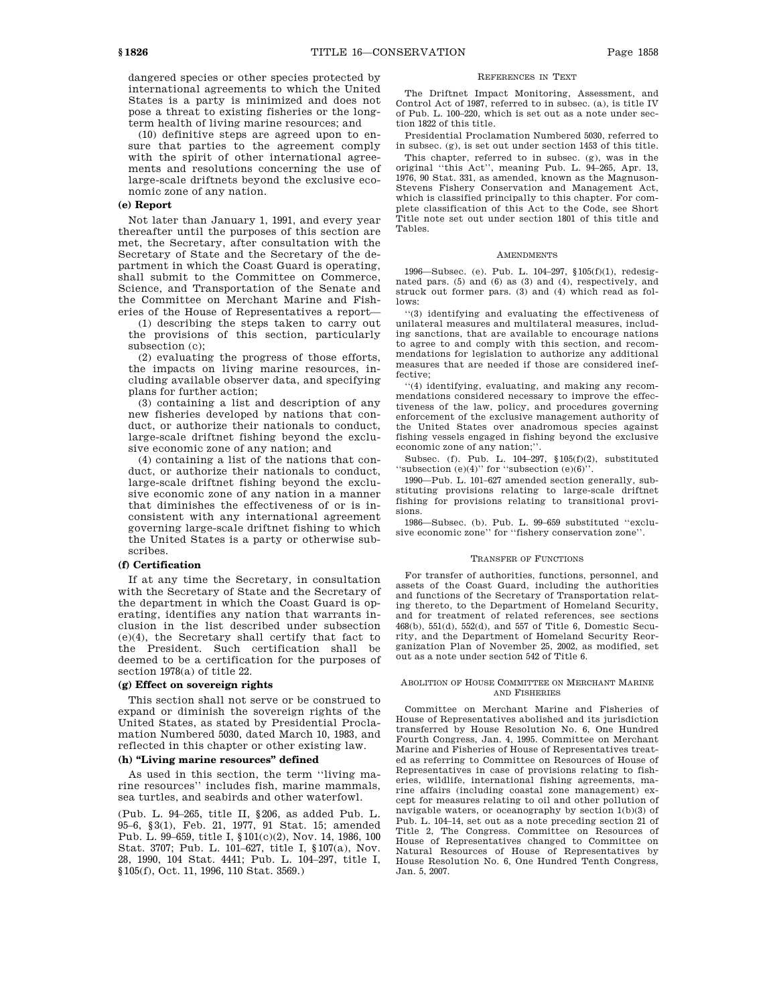dangered species or other species protected by international agreements to which the United States is a party is minimized and does not pose a threat to existing fisheries or the longterm health of living marine resources; and

(10) definitive steps are agreed upon to ensure that parties to the agreement comply with the spirit of other international agreements and resolutions concerning the use of large-scale driftnets beyond the exclusive economic zone of any nation.

## **(e) Report**

Not later than January 1, 1991, and every year thereafter until the purposes of this section are met, the Secretary, after consultation with the Secretary of State and the Secretary of the department in which the Coast Guard is operating, shall submit to the Committee on Commerce, Science, and Transportation of the Senate and the Committee on Merchant Marine and Fisheries of the House of Representatives a report—

(1) describing the steps taken to carry out the provisions of this section, particularly subsection (c);

(2) evaluating the progress of those efforts, the impacts on living marine resources, including available observer data, and specifying plans for further action;

(3) containing a list and description of any new fisheries developed by nations that conduct, or authorize their nationals to conduct, large-scale driftnet fishing beyond the exclusive economic zone of any nation; and

(4) containing a list of the nations that conduct, or authorize their nationals to conduct, large-scale driftnet fishing beyond the exclusive economic zone of any nation in a manner that diminishes the effectiveness of or is inconsistent with any international agreement governing large-scale driftnet fishing to which the United States is a party or otherwise subscribes.

## **(f) Certification**

If at any time the Secretary, in consultation with the Secretary of State and the Secretary of the department in which the Coast Guard is operating, identifies any nation that warrants inclusion in the list described under subsection (e)(4), the Secretary shall certify that fact to the President. Such certification shall be deemed to be a certification for the purposes of section 1978(a) of title 22.

## **(g) Effect on sovereign rights**

This section shall not serve or be construed to expand or diminish the sovereign rights of the United States, as stated by Presidential Proclamation Numbered 5030, dated March 10, 1983, and reflected in this chapter or other existing law.

## **(h) ''Living marine resources'' defined**

As used in this section, the term ''living marine resources'' includes fish, marine mammals, sea turtles, and seabirds and other waterfowl.

(Pub. L. 94–265, title II, §206, as added Pub. L. 95–6, §3(1), Feb. 21, 1977, 91 Stat. 15; amended Pub. L. 99–659, title I, §101(c)(2), Nov. 14, 1986, 100 Stat. 3707; Pub. L. 101–627, title I, §107(a), Nov. 28, 1990, 104 Stat. 4441; Pub. L. 104–297, title I, §105(f), Oct. 11, 1996, 110 Stat. 3569.)

#### REFERENCES IN TEXT

The Driftnet Impact Monitoring, Assessment, and Control Act of 1987, referred to in subsec. (a), is title IV of Pub. L. 100–220, which is set out as a note under section 1822 of this title.

Presidential Proclamation Numbered 5030, referred to in subsec. (g), is set out under section 1453 of this title.

This chapter, referred to in subsec. (g), was in the original ''this Act'', meaning Pub. L. 94–265, Apr. 13, 1976, 90 Stat. 331, as amended, known as the Magnuson-Stevens Fishery Conservation and Management Act, which is classified principally to this chapter. For complete classification of this Act to the Code, see Short Title note set out under section 1801 of this title and Tables.

#### **AMENDMENTS**

1996—Subsec. (e). Pub. L. 104–297, §105(f)(1), redesignated pars. (5) and (6) as (3) and (4), respectively, and struck out former pars. (3) and (4) which read as follows:

''(3) identifying and evaluating the effectiveness of unilateral measures and multilateral measures, including sanctions, that are available to encourage nations to agree to and comply with this section, and recommendations for legislation to authorize any additional measures that are needed if those are considered ineffective;

''(4) identifying, evaluating, and making any recommendations considered necessary to improve the effectiveness of the law, policy, and procedures governing enforcement of the exclusive management authority of the United States over anadromous species against fishing vessels engaged in fishing beyond the exclusive economic zone of any nation;''.

Subsec. (f). Pub. L. 104–297, §105(f)(2), substituted "subsection  $(e)(4)$ " for "subsection  $(e)(6)$ ".

1990—Pub. L. 101–627 amended section generally, substituting provisions relating to large-scale driftnet fishing for provisions relating to transitional provisions.

1986—Subsec. (b). Pub. L. 99–659 substituted ''exclusive economic zone'' for ''fishery conservation zone''.

#### TRANSFER OF FUNCTIONS

For transfer of authorities, functions, personnel, and assets of the Coast Guard, including the authorities and functions of the Secretary of Transportation relating thereto, to the Department of Homeland Security, and for treatment of related references, see sections 468(b), 551(d), 552(d), and 557 of Title 6, Domestic Security, and the Department of Homeland Security Reorganization Plan of November 25, 2002, as modified, set out as a note under section 542 of Title 6.

## ABOLITION OF HOUSE COMMITTEE ON MERCHANT MARINE AND FISHERIES

Committee on Merchant Marine and Fisheries of House of Representatives abolished and its jurisdiction transferred by House Resolution No. 6, One Hundred Fourth Congress, Jan. 4, 1995. Committee on Merchant Marine and Fisheries of House of Representatives treated as referring to Committee on Resources of House of Representatives in case of provisions relating to fisheries, wildlife, international fishing agreements, marine affairs (including coastal zone management) except for measures relating to oil and other pollution of navigable waters, or oceanography by section 1(b)(3) of Pub. L. 104–14, set out as a note preceding section 21 of Title 2, The Congress. Committee on Resources of House of Representatives changed to Committee on Natural Resources of House of Representatives by House Resolution No. 6, One Hundred Tenth Congress, Jan. 5, 2007.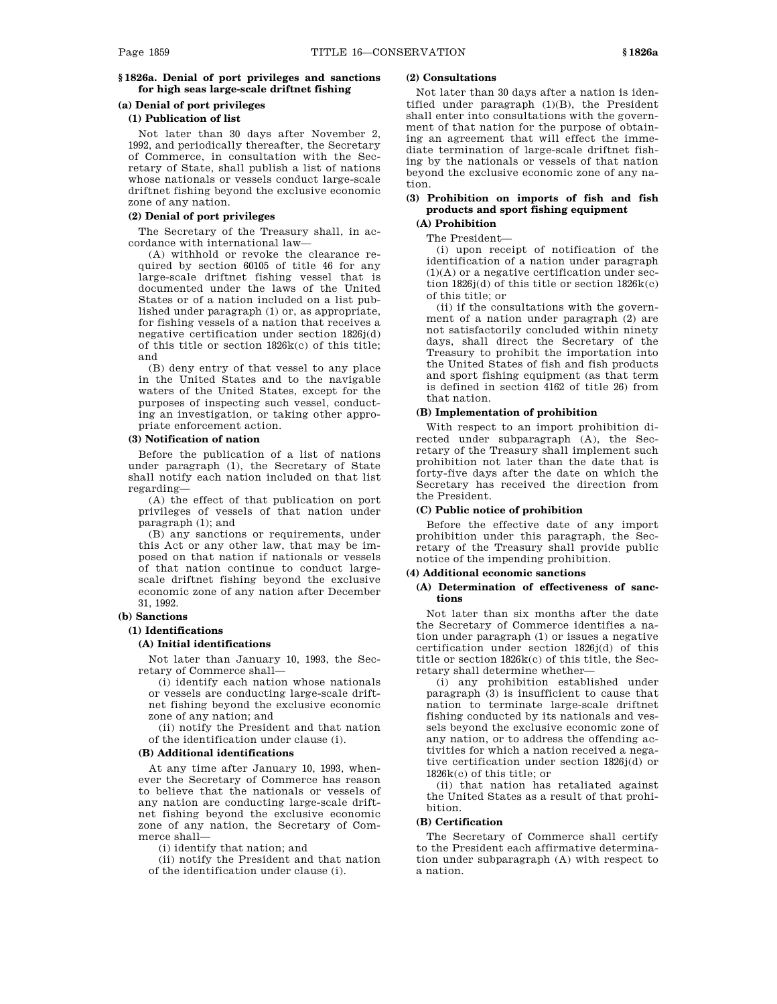## **§ 1826a. Denial of port privileges and sanctions for high seas large-scale driftnet fishing**

## **(a) Denial of port privileges**

## **(1) Publication of list**

Not later than 30 days after November 2, 1992, and periodically thereafter, the Secretary of Commerce, in consultation with the Secretary of State, shall publish a list of nations whose nationals or vessels conduct large-scale driftnet fishing beyond the exclusive economic zone of any nation.

## **(2) Denial of port privileges**

The Secretary of the Treasury shall, in accordance with international law—

(A) withhold or revoke the clearance required by section 60105 of title 46 for any large-scale driftnet fishing vessel that is documented under the laws of the United States or of a nation included on a list published under paragraph (1) or, as appropriate, for fishing vessels of a nation that receives a negative certification under section 1826j(d) of this title or section 1826k(c) of this title; and

(B) deny entry of that vessel to any place in the United States and to the navigable waters of the United States, except for the purposes of inspecting such vessel, conducting an investigation, or taking other appropriate enforcement action.

## **(3) Notification of nation**

Before the publication of a list of nations under paragraph (1), the Secretary of State shall notify each nation included on that list regarding—

(A) the effect of that publication on port privileges of vessels of that nation under paragraph (1); and

(B) any sanctions or requirements, under this Act or any other law, that may be imposed on that nation if nationals or vessels of that nation continue to conduct largescale driftnet fishing beyond the exclusive economic zone of any nation after December 31, 1992.

## **(b) Sanctions**

## **(1) Identifications**

### **(A) Initial identifications**

Not later than January 10, 1993, the Secretary of Commerce shall—

(i) identify each nation whose nationals or vessels are conducting large-scale driftnet fishing beyond the exclusive economic zone of any nation; and

(ii) notify the President and that nation of the identification under clause (i).

## **(B) Additional identifications**

At any time after January 10, 1993, whenever the Secretary of Commerce has reason to believe that the nationals or vessels of any nation are conducting large-scale driftnet fishing beyond the exclusive economic zone of any nation, the Secretary of Commerce shall—

(i) identify that nation; and

(ii) notify the President and that nation of the identification under clause (i).

## **(2) Consultations**

Not later than 30 days after a nation is identified under paragraph (1)(B), the President shall enter into consultations with the government of that nation for the purpose of obtaining an agreement that will effect the immediate termination of large-scale driftnet fishing by the nationals or vessels of that nation beyond the exclusive economic zone of any nation.

## **(3) Prohibition on imports of fish and fish products and sport fishing equipment**

# **(A) Prohibition**

The President—

(i) upon receipt of notification of the identification of a nation under paragraph  $(1)(A)$  or a negative certification under section 1826j(d) of this title or section 1826k(c) of this title; or

(ii) if the consultations with the government of a nation under paragraph (2) are not satisfactorily concluded within ninety days, shall direct the Secretary of the Treasury to prohibit the importation into the United States of fish and fish products and sport fishing equipment (as that term is defined in section 4162 of title 26) from that nation.

## **(B) Implementation of prohibition**

With respect to an import prohibition directed under subparagraph (A), the Secretary of the Treasury shall implement such prohibition not later than the date that is forty-five days after the date on which the Secretary has received the direction from the President.

### **(C) Public notice of prohibition**

Before the effective date of any import prohibition under this paragraph, the Secretary of the Treasury shall provide public notice of the impending prohibition.

## **(4) Additional economic sanctions**

## **(A) Determination of effectiveness of sanctions**

Not later than six months after the date the Secretary of Commerce identifies a nation under paragraph (1) or issues a negative certification under section 1826j(d) of this title or section 1826k(c) of this title, the Secretary shall determine whether—

(i) any prohibition established under paragraph (3) is insufficient to cause that nation to terminate large-scale driftnet fishing conducted by its nationals and vessels beyond the exclusive economic zone of any nation, or to address the offending activities for which a nation received a negative certification under section 1826j(d) or 1826k(c) of this title; or

(ii) that nation has retaliated against the United States as a result of that prohibition.

## **(B) Certification**

The Secretary of Commerce shall certify to the President each affirmative determination under subparagraph (A) with respect to a nation.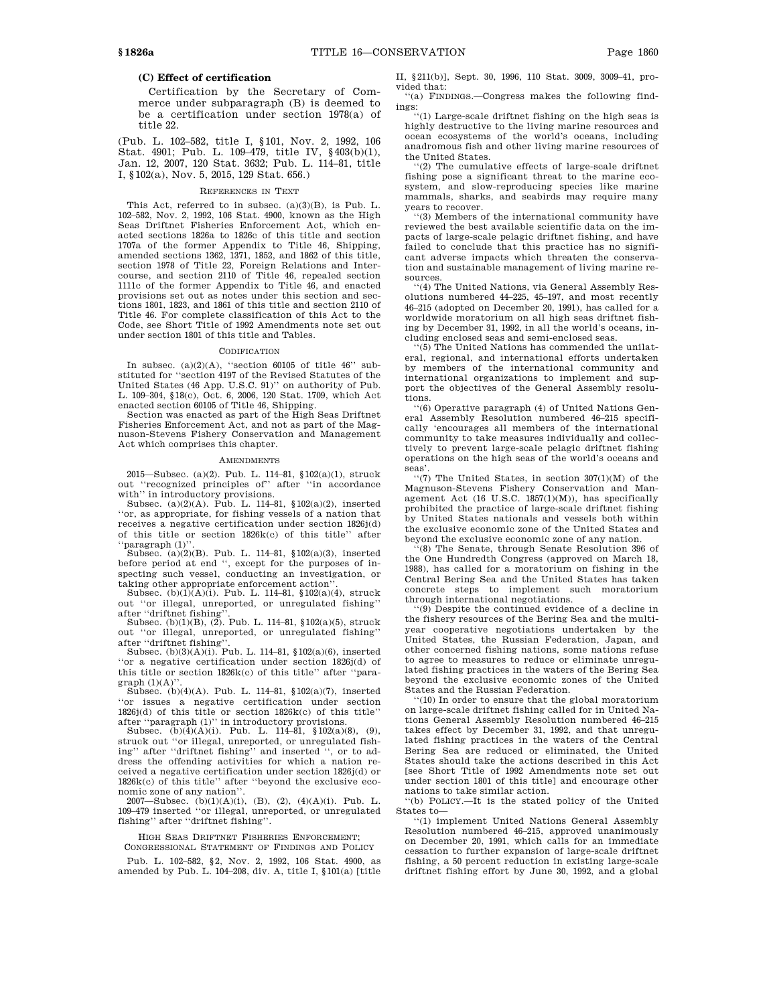## **(C) Effect of certification**

Certification by the Secretary of Commerce under subparagraph (B) is deemed to be a certification under section 1978(a) of title 22.

(Pub. L. 102–582, title I, §101, Nov. 2, 1992, 106 Stat. 4901; Pub. L. 109–479, title IV, §403(b)(1), Jan. 12, 2007, 120 Stat. 3632; Pub. L. 114–81, title I, §102(a), Nov. 5, 2015, 129 Stat. 656.)

### REFERENCES IN TEXT

This Act, referred to in subsec. (a)(3)(B), is Pub. L. 102–582, Nov. 2, 1992, 106 Stat. 4900, known as the High Seas Driftnet Fisheries Enforcement Act, which enacted sections 1826a to 1826c of this title and section 1707a of the former Appendix to Title 46, Shipping, amended sections 1362, 1371, 1852, and 1862 of this title, section 1978 of Title 22, Foreign Relations and Intercourse, and section 2110 of Title 46, repealed section 1111c of the former Appendix to Title 46, and enacted provisions set out as notes under this section and sections 1801, 1823, and 1861 of this title and section 2110 of Title 46. For complete classification of this Act to the Code, see Short Title of 1992 Amendments note set out under section 1801 of this title and Tables.

### CODIFICATION

In subsec.  $(a)(2)(A)$ , "section 60105 of title 46" substituted for "section 4197 of the Revised Statutes of the United States (46 App. U.S.C. 91)'' on authority of Pub. L. 109–304, §18(c), Oct. 6, 2006, 120 Stat. 1709, which Act enacted section 60105 of Title 46, Shipping.

Section was enacted as part of the High Seas Driftnet Fisheries Enforcement Act, and not as part of the Magnuson-Stevens Fishery Conservation and Management Act which comprises this chapter.

#### AMENDMENTS

2015—Subsec. (a)(2). Pub. L. 114–81, §102(a)(1), struck out ''recognized principles of'' after ''in accordance

with'' in introductory provisions. Subsec. (a)(2)(A). Pub. L. 114–81, §102(a)(2), inserted ''or, as appropriate, for fishing vessels of a nation that receives a negative certification under section  $1826 {\rm j(d)}$ of this title or section 1826k(c) of this title'' after ''paragraph (1)''.

Subsec. (a)(2)(B). Pub. L. 114–81, §102(a)(3), inserted before period at end '', except for the purposes of inspecting such vessel, conducting an investigation, or

taking other appropriate enforcement action''. Subsec. (b)(1)(A)(i). Pub. L. 114–81, §102(a)(4), struck out ''or illegal, unreported, or unregulated fishing'' after ''driftnet fishing''.

Subsec.  $(b)(1)(B)$ ,  $(2)$ . Pub. L. 114–81, §102 $(a)(5)$ , struck out ''or illegal, unreported, or unregulated fishing'' after ''driftnet fishing''.

Subsec.  $(b)(3)(A)(i)$ . Pub. L. 114–81, §102(a)(6), inserted ''or a negative certification under section 1826j(d) of this title or section 1826k(c) of this title'' after ''para $graph (1)(A)'$ 

Subsec. (b)(4)(A). Pub. L. 114–81, §102(a)(7), inserted ''or issues a negative certification under section 1826j(d) of this title or section 1826k(c) of this title'' after "paragraph  $(1)$ " in introductory provisions.<br>Subsec.  $(b)(4)(A)(i)$ . Pub. L. 114–81, §102(a)(8), (9),

struck out ''or illegal, unreported, or unregulated fishing'' after ''driftnet fishing'' and inserted '', or to address the offending activities for which a nation received a negative certification under section 1826j(d) or 1826k(c) of this title'' after ''beyond the exclusive economic zone of any nation''.

2007—Subsec.  $(b)(1)(A)(i)$ ,  $(B)$ ,  $(2)$ ,  $(4)(A)(i)$ . Pub. L. 109–479 inserted ''or illegal, unreported, or unregulated fishing'' after ''driftnet fishing''.

### HIGH SEAS DRIFTNET FISHERIES ENFORCEMENT; CONGRESSIONAL STATEMENT OF FINDINGS AND POLICY

Pub. L. 102–582, §2, Nov. 2, 1992, 106 Stat. 4900, as amended by Pub. L. 104–208, div. A, title I, §101(a) [title

II, §211(b)], Sept. 30, 1996, 110 Stat. 3009, 3009–41, provided that:

''(a) FINDINGS.—Congress makes the following findings:

''(1) Large-scale driftnet fishing on the high seas is highly destructive to the living marine resources and ocean ecosystems of the world's oceans, including anadromous fish and other living marine resources of the United States.

''(2) The cumulative effects of large-scale driftnet fishing pose a significant threat to the marine ecosystem, and slow-reproducing species like marine mammals, sharks, and seabirds may require many years to recover.

''(3) Members of the international community have reviewed the best available scientific data on the impacts of large-scale pelagic driftnet fishing, and have failed to conclude that this practice has no significant adverse impacts which threaten the conservation and sustainable management of living marine resources.

''(4) The United Nations, via General Assembly Resolutions numbered 44–225, 45–197, and most recently 46–215 (adopted on December 20, 1991), has called for a worldwide moratorium on all high seas driftnet fishing by December 31, 1992, in all the world's oceans, including enclosed seas and semi-enclosed seas.

''(5) The United Nations has commended the unilateral, regional, and international efforts undertaken by members of the international community and international organizations to implement and support the objectives of the General Assembly resolutions.

''(6) Operative paragraph (4) of United Nations General Assembly Resolution numbered 46–215 specifically 'encourages all members of the international community to take measures individually and collectively to prevent large-scale pelagic driftnet fishing operations on the high seas of the world's oceans and seas'.

 $''(7)$  The United States, in section 307(1)(M) of the Magnuson-Stevens Fishery Conservation and Management Act (16 U.S.C. 1857(1)(M)), has specifically prohibited the practice of large-scale driftnet fishing by United States nationals and vessels both within the exclusive economic zone of the United States and beyond the exclusive economic zone of any nation.

 $(8)$  The Senate, through Senate Resolution 396 of the One Hundredth Congress (approved on March 18, 1988), has called for a moratorium on fishing in the Central Bering Sea and the United States has taken concrete steps to implement such moratorium through international negotiations.

 $(9)$  Despite the continued evidence of a decline in the fishery resources of the Bering Sea and the multiyear cooperative negotiations undertaken by the United States, the Russian Federation, Japan, and other concerned fishing nations, some nations refuse to agree to measures to reduce or eliminate unregulated fishing practices in the waters of the Bering Sea beyond the exclusive economic zones of the United States and the Russian Federation.

''(10) In order to ensure that the global moratorium on large-scale driftnet fishing called for in United Nations General Assembly Resolution numbered 46–215 takes effect by December 31, 1992, and that unregulated fishing practices in the waters of the Central Bering Sea are reduced or eliminated, the United States should take the actions described in this Act [see Short Title of 1992 Amendments note set out under section 1801 of this title] and encourage other nations to take similar action.

''(b) POLICY.—It is the stated policy of the United States to—

''(1) implement United Nations General Assembly Resolution numbered 46–215, approved unanimously on December 20, 1991, which calls for an immediate cessation to further expansion of large-scale driftnet fishing, a 50 percent reduction in existing large-scale driftnet fishing effort by June 30, 1992, and a global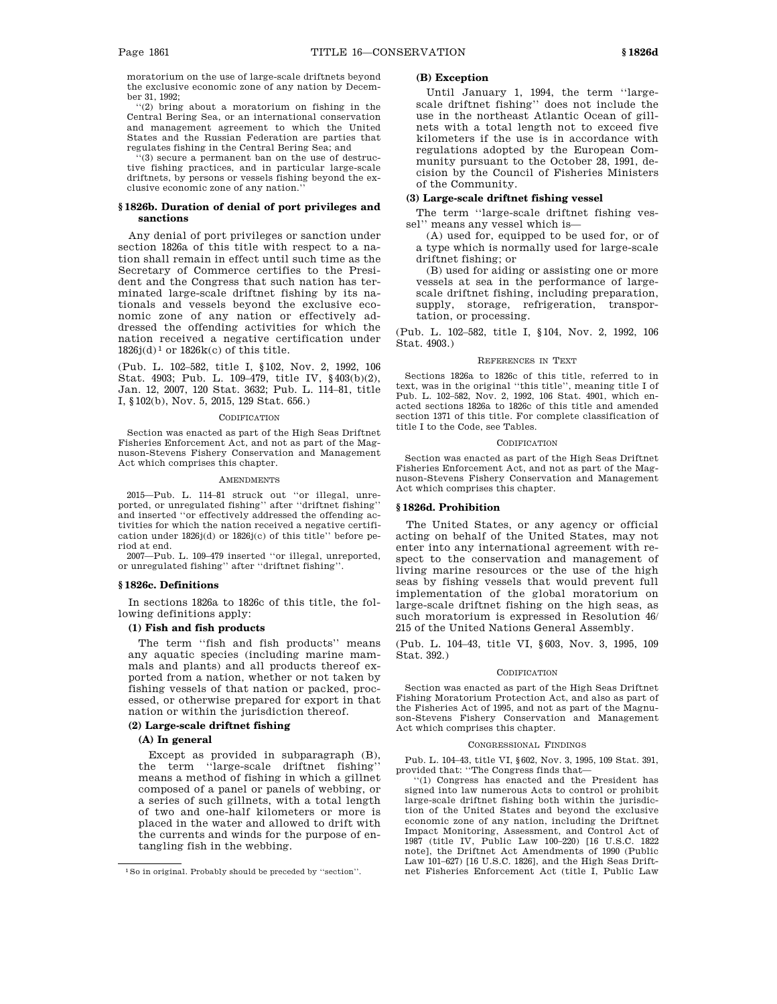moratorium on the use of large-scale driftnets beyond the exclusive economic zone of any nation by December 31, 1992;

''(2) bring about a moratorium on fishing in the Central Bering Sea, or an international conservation and management agreement to which the United States and the Russian Federation are parties that regulates fishing in the Central Bering Sea; and

 $(3)$  secure a permanent ban on the use of destructive fishing practices, and in particular large-scale driftnets, by persons or vessels fishing beyond the exclusive economic zone of any nation.''

## **§ 1826b. Duration of denial of port privileges and sanctions**

Any denial of port privileges or sanction under section 1826a of this title with respect to a nation shall remain in effect until such time as the Secretary of Commerce certifies to the President and the Congress that such nation has terminated large-scale driftnet fishing by its nationals and vessels beyond the exclusive economic zone of any nation or effectively addressed the offending activities for which the nation received a negative certification under  $1826j(d)^1$  or  $1826k(c)$  of this title.

(Pub. L. 102–582, title I, §102, Nov. 2, 1992, 106 Stat. 4903; Pub. L. 109–479, title IV, §403(b)(2), Jan. 12, 2007, 120 Stat. 3632; Pub. L. 114–81, title I, §102(b), Nov. 5, 2015, 129 Stat. 656.)

### CODIFICATION

Section was enacted as part of the High Seas Driftnet Fisheries Enforcement Act, and not as part of the Magnuson-Stevens Fishery Conservation and Management Act which comprises this chapter.

### AMENDMENTS

2015—Pub. L. 114–81 struck out ''or illegal, unreported, or unregulated fishing'' after ''driftnet fishing'' and inserted ''or effectively addressed the offending activities for which the nation received a negative certification under 1826j(d) or 1826j(c) of this title'' before period at end.

2007—Pub. L. 109–479 inserted ''or illegal, unreported, or unregulated fishing'' after ''driftnet fishing''.

## **§ 1826c. Definitions**

In sections 1826a to 1826c of this title, the following definitions apply:

### **(1) Fish and fish products**

The term "fish and fish products" means any aquatic species (including marine mammals and plants) and all products thereof exported from a nation, whether or not taken by fishing vessels of that nation or packed, processed, or otherwise prepared for export in that nation or within the jurisdiction thereof.

## **(2) Large-scale driftnet fishing**

## **(A) In general**

Except as provided in subparagraph (B), the term ''large-scale driftnet fishing'' means a method of fishing in which a gillnet composed of a panel or panels of webbing, or a series of such gillnets, with a total length of two and one-half kilometers or more is placed in the water and allowed to drift with the currents and winds for the purpose of entangling fish in the webbing.

## **(B) Exception**

Until January 1, 1994, the term ''largescale driftnet fishing'' does not include the use in the northeast Atlantic Ocean of gillnets with a total length not to exceed five kilometers if the use is in accordance with regulations adopted by the European Community pursuant to the October 28, 1991, decision by the Council of Fisheries Ministers of the Community.

## **(3) Large-scale driftnet fishing vessel**

The term ''large-scale driftnet fishing vessel'' means any vessel which is—

(A) used for, equipped to be used for, or of a type which is normally used for large-scale driftnet fishing; or

(B) used for aiding or assisting one or more vessels at sea in the performance of largescale driftnet fishing, including preparation, supply, storage, refrigeration, transportation, or processing.

(Pub. L. 102–582, title I, §104, Nov. 2, 1992, 106 Stat. 4903.)

### REFERENCES IN TEXT

Sections 1826a to 1826c of this title, referred to in text, was in the original ''this title'', meaning title I of Pub. L. 102–582, Nov. 2, 1992, 106 Stat. 4901, which enacted sections 1826a to 1826c of this title and amended section 1371 of this title. For complete classification of title I to the Code, see Tables.

#### **CODIFICATION**

Section was enacted as part of the High Seas Driftnet Fisheries Enforcement Act, and not as part of the Magnuson-Stevens Fishery Conservation and Management Act which comprises this chapter.

### **§ 1826d. Prohibition**

The United States, or any agency or official acting on behalf of the United States, may not enter into any international agreement with respect to the conservation and management of living marine resources or the use of the high seas by fishing vessels that would prevent full implementation of the global moratorium on large-scale driftnet fishing on the high seas, as such moratorium is expressed in Resolution 46/ 215 of the United Nations General Assembly.

(Pub. L. 104–43, title VI, §603, Nov. 3, 1995, 109 Stat. 392.)

### CODIFICATION

Section was enacted as part of the High Seas Driftnet Fishing Moratorium Protection Act, and also as part of the Fisheries Act of 1995, and not as part of the Magnuson-Stevens Fishery Conservation and Management Act which comprises this chapter.

### CONGRESSIONAL FINDINGS

Pub. L. 104–43, title VI, §602, Nov. 3, 1995, 109 Stat. 391, provided that: ''The Congress finds that—

''(1) Congress has enacted and the President has signed into law numerous Acts to control or prohibit large-scale driftnet fishing both within the jurisdiction of the United States and beyond the exclusive economic zone of any nation, including the Driftnet Impact Monitoring, Assessment, and Control Act of 1987 (title IV, Public Law 100–220) [16 U.S.C. 1822 note], the Driftnet Act Amendments of 1990 (Public Law 101–627) [16 U.S.C. 1826], and the High Seas Driftnet Fisheries Enforcement Act (title I, Public Law

<sup>1</sup>So in original. Probably should be preceded by ''section''.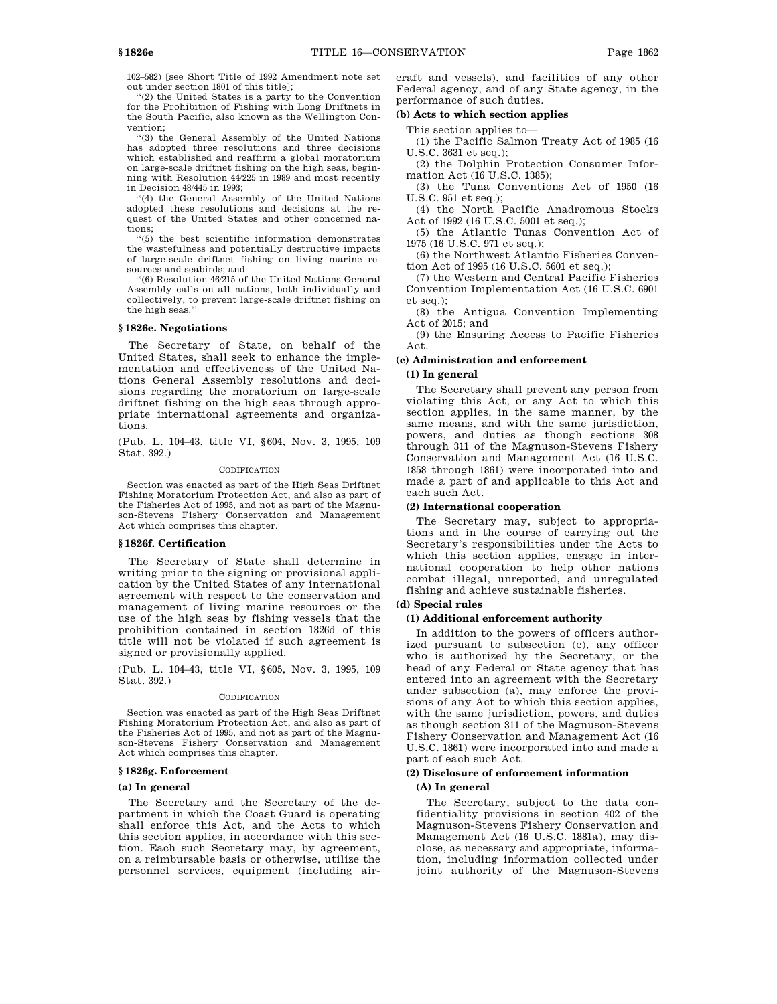102–582) [see Short Title of 1992 Amendment note set out under section 1801 of this title];

''(2) the United States is a party to the Convention for the Prohibition of Fishing with Long Driftnets in the South Pacific, also known as the Wellington Convention;

''(3) the General Assembly of the United Nations has adopted three resolutions and three decisions which established and reaffirm a global moratorium on large-scale driftnet fishing on the high seas, beginning with Resolution 44/225 in 1989 and most recently in Decision 48/445 in 1993;

''(4) the General Assembly of the United Nations adopted these resolutions and decisions at the request of the United States and other concerned nations;

''(5) the best scientific information demonstrates the wastefulness and potentially destructive impacts of large-scale driftnet fishing on living marine resources and seabirds; and

''(6) Resolution 46/215 of the United Nations General Assembly calls on all nations, both individually and collectively, to prevent large-scale driftnet fishing on the high seas.''

## **§ 1826e. Negotiations**

The Secretary of State, on behalf of the United States, shall seek to enhance the implementation and effectiveness of the United Nations General Assembly resolutions and decisions regarding the moratorium on large-scale driftnet fishing on the high seas through appropriate international agreements and organizations.

(Pub. L. 104–43, title VI, §604, Nov. 3, 1995, 109 Stat. 392.)

### CODIFICATION

Section was enacted as part of the High Seas Driftnet Fishing Moratorium Protection Act, and also as part of the Fisheries Act of 1995, and not as part of the Magnuson-Stevens Fishery Conservation and Management Act which comprises this chapter.

## **§ 1826f. Certification**

The Secretary of State shall determine in writing prior to the signing or provisional application by the United States of any international agreement with respect to the conservation and management of living marine resources or the use of the high seas by fishing vessels that the prohibition contained in section 1826d of this title will not be violated if such agreement is signed or provisionally applied.

(Pub. L. 104–43, title VI, §605, Nov. 3, 1995, 109 Stat. 392.)

#### **CODIFICATION**

Section was enacted as part of the High Seas Driftnet Fishing Moratorium Protection Act, and also as part of the Fisheries Act of 1995, and not as part of the Magnuson-Stevens Fishery Conservation and Management Act which comprises this chapter.

## **§ 1826g. Enforcement**

### **(a) In general**

The Secretary and the Secretary of the department in which the Coast Guard is operating shall enforce this Act, and the Acts to which this section applies, in accordance with this section. Each such Secretary may, by agreement, on a reimbursable basis or otherwise, utilize the personnel services, equipment (including aircraft and vessels), and facilities of any other Federal agency, and of any State agency, in the performance of such duties.

## **(b) Acts to which section applies**

This section applies to—

(1) the Pacific Salmon Treaty Act of 1985 (16 U.S.C. 3631 et seq.);

(2) the Dolphin Protection Consumer Information Act (16 U.S.C. 1385);

(3) the Tuna Conventions Act of 1950 (16 U.S.C. 951 et seq.);

(4) the North Pacific Anadromous Stocks Act of 1992 (16 U.S.C. 5001 et seq.);

(5) the Atlantic Tunas Convention Act of 1975 (16 U.S.C. 971 et seq.);

(6) the Northwest Atlantic Fisheries Convention Act of 1995 (16 U.S.C. 5601 et seq.);

(7) the Western and Central Pacific Fisheries Convention Implementation Act (16 U.S.C. 6901 et seq.);

(8) the Antigua Convention Implementing Act of 2015; and

(9) the Ensuring Access to Pacific Fisheries Act.

## **(c) Administration and enforcement**

## **(1) In general**

The Secretary shall prevent any person from violating this Act, or any Act to which this section applies, in the same manner, by the same means, and with the same jurisdiction, powers, and duties as though sections 308 through 311 of the Magnuson-Stevens Fishery Conservation and Management Act (16 U.S.C. 1858 through 1861) were incorporated into and made a part of and applicable to this Act and each such Act.

### **(2) International cooperation**

The Secretary may, subject to appropriations and in the course of carrying out the Secretary's responsibilities under the Acts to which this section applies, engage in international cooperation to help other nations combat illegal, unreported, and unregulated fishing and achieve sustainable fisheries.

## **(d) Special rules**

## **(1) Additional enforcement authority**

In addition to the powers of officers authorized pursuant to subsection (c), any officer who is authorized by the Secretary, or the head of any Federal or State agency that has entered into an agreement with the Secretary under subsection (a), may enforce the provisions of any Act to which this section applies, with the same jurisdiction, powers, and duties as though section 311 of the Magnuson-Stevens Fishery Conservation and Management Act (16 U.S.C. 1861) were incorporated into and made a part of each such Act.

## **(2) Disclosure of enforcement information**

## **(A) In general**

The Secretary, subject to the data confidentiality provisions in section 402 of the Magnuson-Stevens Fishery Conservation and Management Act (16 U.S.C. 1881a), may disclose, as necessary and appropriate, information, including information collected under joint authority of the Magnuson-Stevens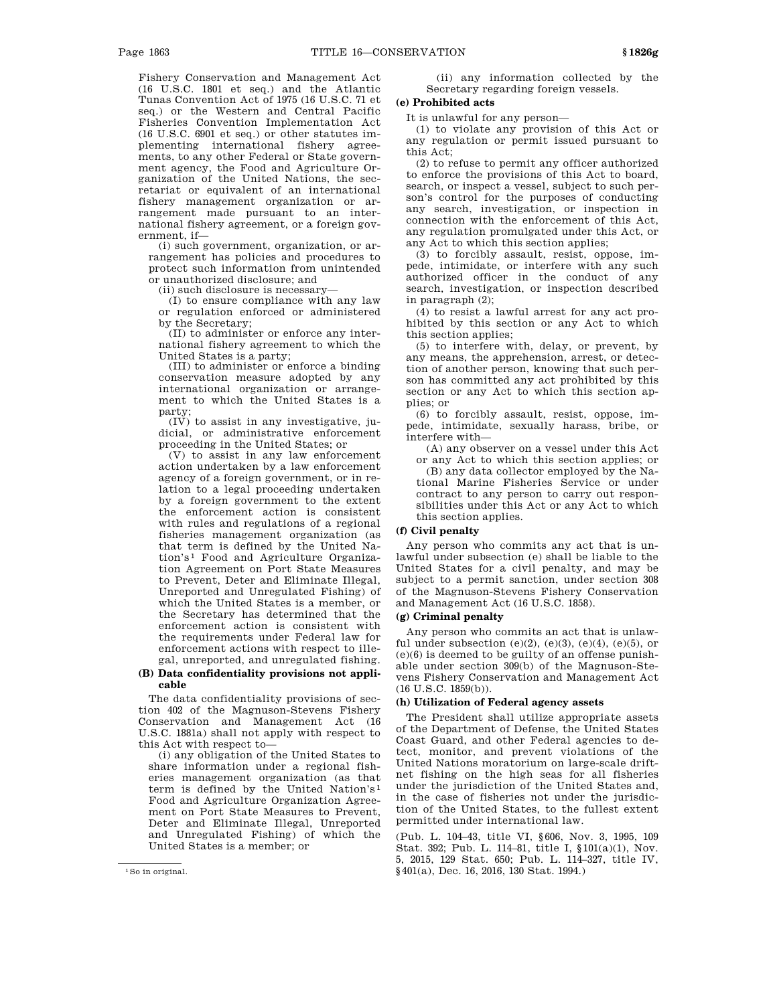Fishery Conservation and Management Act (16 U.S.C. 1801 et seq.) and the Atlantic Tunas Convention Act of 1975 (16 U.S.C. 71 et seq.) or the Western and Central Pacific Fisheries Convention Implementation Act (16 U.S.C. 6901 et seq.) or other statutes implementing international fishery agreements, to any other Federal or State government agency, the Food and Agriculture Organization of the United Nations, the secretariat or equivalent of an international fishery management organization or arrangement made pursuant to an international fishery agreement, or a foreign government, if—

(i) such government, organization, or arrangement has policies and procedures to protect such information from unintended or unauthorized disclosure; and

(ii) such disclosure is necessary—

(I) to ensure compliance with any law or regulation enforced or administered by the Secretary;

(II) to administer or enforce any international fishery agreement to which the United States is a party;

(III) to administer or enforce a binding conservation measure adopted by any international organization or arrangement to which the United States is a party;

(IV) to assist in any investigative, judicial, or administrative enforcement proceeding in the United States; or

(V) to assist in any law enforcement action undertaken by a law enforcement agency of a foreign government, or in relation to a legal proceeding undertaken by a foreign government to the extent the enforcement action is consistent with rules and regulations of a regional fisheries management organization (as that term is defined by the United Nation's<sup>1</sup> Food and Agriculture Organization Agreement on Port State Measures to Prevent, Deter and Eliminate Illegal, Unreported and Unregulated Fishing) of which the United States is a member, or the Secretary has determined that the enforcement action is consistent with the requirements under Federal law for enforcement actions with respect to illegal, unreported, and unregulated fishing.

## **(B) Data confidentiality provisions not applicable**

The data confidentiality provisions of section 402 of the Magnuson-Stevens Fishery Conservation and Management Act (16 U.S.C. 1881a) shall not apply with respect to this Act with respect to—

(i) any obligation of the United States to share information under a regional fisheries management organization (as that term is defined by the United Nation's<sup>1</sup> Food and Agriculture Organization Agreement on Port State Measures to Prevent, Deter and Eliminate Illegal, Unreported and Unregulated Fishing) of which the United States is a member; or

(ii) any information collected by the Secretary regarding foreign vessels.

### **(e) Prohibited acts**

It is unlawful for any person—

(1) to violate any provision of this Act or any regulation or permit issued pursuant to this Act;

(2) to refuse to permit any officer authorized to enforce the provisions of this Act to board, search, or inspect a vessel, subject to such person's control for the purposes of conducting any search, investigation, or inspection in connection with the enforcement of this Act, any regulation promulgated under this Act, or any Act to which this section applies;

(3) to forcibly assault, resist, oppose, impede, intimidate, or interfere with any such authorized officer in the conduct of any search, investigation, or inspection described in paragraph (2);

(4) to resist a lawful arrest for any act prohibited by this section or any Act to which this section applies;

(5) to interfere with, delay, or prevent, by any means, the apprehension, arrest, or detection of another person, knowing that such person has committed any act prohibited by this section or any Act to which this section applies; or

(6) to forcibly assault, resist, oppose, impede, intimidate, sexually harass, bribe, or interfere with—

(A) any observer on a vessel under this Act or any Act to which this section applies; or (B) any data collector employed by the National Marine Fisheries Service or under contract to any person to carry out responsibilities under this Act or any Act to which this section applies.

### **(f) Civil penalty**

Any person who commits any act that is unlawful under subsection (e) shall be liable to the United States for a civil penalty, and may be subject to a permit sanction, under section 308 of the Magnuson-Stevens Fishery Conservation and Management Act (16 U.S.C. 1858).

## **(g) Criminal penalty**

Any person who commits an act that is unlawful under subsection  $(e)(2)$ ,  $(e)(3)$ ,  $(e)(4)$ ,  $(e)(5)$ , or (e)(6) is deemed to be guilty of an offense punishable under section 309(b) of the Magnuson-Stevens Fishery Conservation and Management Act (16 U.S.C. 1859(b)).

## **(h) Utilization of Federal agency assets**

The President shall utilize appropriate assets of the Department of Defense, the United States Coast Guard, and other Federal agencies to detect, monitor, and prevent violations of the United Nations moratorium on large-scale driftnet fishing on the high seas for all fisheries under the jurisdiction of the United States and, in the case of fisheries not under the jurisdiction of the United States, to the fullest extent permitted under international law.

(Pub. L. 104–43, title VI, §606, Nov. 3, 1995, 109 Stat. 392; Pub. L. 114–81, title I, §101(a)(1), Nov. 5, 2015, 129 Stat. 650; Pub. L. 114–327, title IV, §401(a), Dec. 16, 2016, 130 Stat. 1994.)

<sup>1</sup>So in original.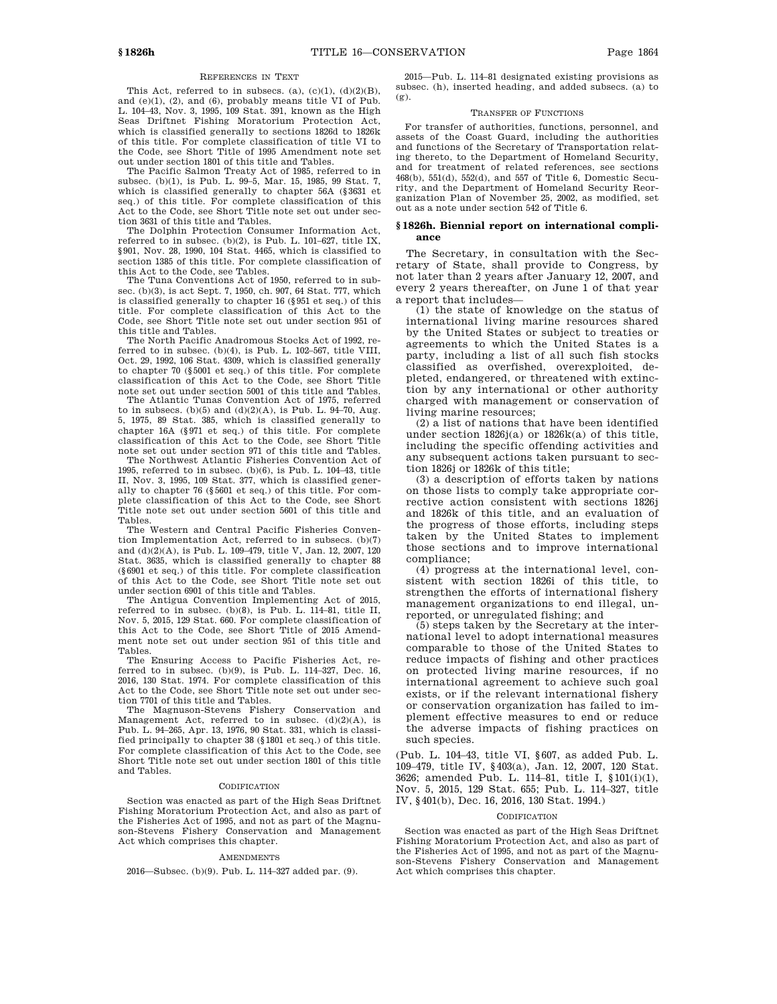#### REFERENCES IN TEXT

This Act, referred to in subsecs. (a),  $(c)(1)$ ,  $(d)(2)(B)$ , and (e)(1), (2), and (6), probably means title VI of Pub. L. 104–43, Nov. 3, 1995, 109 Stat. 391, known as the High Seas Driftnet Fishing Moratorium Protection Act, which is classified generally to sections 1826d to 1826k of this title. For complete classification of title VI to the Code, see Short Title of 1995 Amendment note set

out under section 1801 of this title and Tables. The Pacific Salmon Treaty Act of 1985, referred to in subsec. (b)(1), is Pub. L. 99–5, Mar. 15, 1985, 99 Stat. 7, which is classified generally to chapter 56A (§3631 et seq.) of this title. For complete classification of this Act to the Code, see Short Title note set out under section 3631 of this title and Tables.

The Dolphin Protection Consumer Information Act, referred to in subsec.  $(b)(2)$ , is Pub. L. 101-627, title IX, §901, Nov. 28, 1990, 104 Stat. 4465, which is classified to section 1385 of this title. For complete classification of this Act to the Code, see Tables.

The Tuna Conventions Act of 1950, referred to in subsec. (b)(3), is act Sept. 7, 1950, ch. 907, 64 Stat. 777, which is classified generally to chapter 16 (§951 et seq.) of this title. For complete classification of this Act to the Code, see Short Title note set out under section 951 of this title and Tables.

The North Pacific Anadromous Stocks Act of 1992, referred to in subsec. (b)(4), is Pub. L. 102–567, title VIII, Oct. 29, 1992, 106 Stat. 4309, which is classified generally to chapter 70 (§5001 et seq.) of this title. For complete classification of this Act to the Code, see Short Title note set out under section 5001 of this title and Tables.

The Atlantic Tunas Convention Act of 1975, referred to in subsecs. (b)(5) and (d)(2)(A), is Pub. L. 94–70, Aug. 5, 1975, 89 Stat. 385, which is classified generally to chapter 16A (§971 et seq.) of this title. For complete classification of this Act to the Code, see Short Title note set out under section 971 of this title and Tables.

The Northwest Atlantic Fisheries Convention Act of 1995, referred to in subsec. (b)(6), is Pub. L. 104–43, title II, Nov. 3, 1995, 109 Stat. 377, which is classified generally to chapter 76 (§5601 et seq.) of this title. For complete classification of this Act to the Code, see Short Title note set out under section 5601 of this title and Tables.

The Western and Central Pacific Fisheries Convention Implementation Act, referred to in subsecs. (b)(7) and (d)(2)(A), is Pub. L. 109–479, title V, Jan. 12, 2007, 120 Stat. 3635, which is classified generally to chapter 88 (§6901 et seq.) of this title. For complete classification of this Act to the Code, see Short Title note set out under section 6901 of this title and Tables.

The Antigua Convention Implementing Act of 2015, referred to in subsec. (b)(8), is Pub. L. 114–81, title II, Nov. 5, 2015, 129 Stat. 660. For complete classification of this Act to the Code, see Short Title of 2015 Amendment note set out under section 951 of this title and Tables.

The Ensuring Access to Pacific Fisheries Act, referred to in subsec. (b)(9), is Pub. L. 114–327, Dec. 16, 2016, 130 Stat. 1974. For complete classification of this Act to the Code, see Short Title note set out under section 7701 of this title and Tables.

The Magnuson-Stevens Fishery Conservation and Management Act, referred to in subsec. (d)(2)(A), is Pub. L. 94–265, Apr. 13, 1976, 90 Stat. 331, which is classified principally to chapter 38 (§1801 et seq.) of this title. For complete classification of this Act to the Code, see Short Title note set out under section 1801 of this title and Tables.

### CODIFICATION

Section was enacted as part of the High Seas Driftnet Fishing Moratorium Protection Act, and also as part of the Fisheries Act of 1995, and not as part of the Magnuson-Stevens Fishery Conservation and Management Act which comprises this chapter.

### **AMENDMENTS**

2016—Subsec. (b)(9). Pub. L. 114–327 added par. (9).

2015—Pub. L. 114–81 designated existing provisions as subsec. (h), inserted heading, and added subsecs. (a) to  $(g)$ .

### TRANSFER OF FUNCTIONS

For transfer of authorities, functions, personnel, and assets of the Coast Guard, including the authorities and functions of the Secretary of Transportation relating thereto, to the Department of Homeland Security, and for treatment of related references, see sections 468(b), 551(d), 552(d), and 557 of Title 6, Domestic Security, and the Department of Homeland Security Reorganization Plan of November 25, 2002, as modified, set out as a note under section 542 of Title 6.

### **§ 1826h. Biennial report on international compliance**

The Secretary, in consultation with the Secretary of State, shall provide to Congress, by not later than 2 years after January 12, 2007, and every 2 years thereafter, on June 1 of that year a report that includes—

(1) the state of knowledge on the status of international living marine resources shared by the United States or subject to treaties or agreements to which the United States is a party, including a list of all such fish stocks classified as overfished, overexploited, depleted, endangered, or threatened with extinction by any international or other authority charged with management or conservation of living marine resources;

(2) a list of nations that have been identified under section 1826j(a) or 1826k(a) of this title, including the specific offending activities and any subsequent actions taken pursuant to section 1826j or 1826k of this title;

(3) a description of efforts taken by nations on those lists to comply take appropriate corrective action consistent with sections 1826j and 1826k of this title, and an evaluation of the progress of those efforts, including steps taken by the United States to implement those sections and to improve international compliance;

(4) progress at the international level, consistent with section 1826i of this title, to strengthen the efforts of international fishery management organizations to end illegal, unreported, or unregulated fishing; and

(5) steps taken by the Secretary at the international level to adopt international measures comparable to those of the United States to reduce impacts of fishing and other practices on protected living marine resources, if no international agreement to achieve such goal exists, or if the relevant international fishery or conservation organization has failed to implement effective measures to end or reduce the adverse impacts of fishing practices on such species.

(Pub. L. 104–43, title VI, §607, as added Pub. L. 109–479, title IV, §403(a), Jan. 12, 2007, 120 Stat. 3626; amended Pub. L. 114–81, title I, §101(i)(1), Nov. 5, 2015, 129 Stat. 655; Pub. L. 114–327, title IV, §401(b), Dec. 16, 2016, 130 Stat. 1994.)

### **CODIFICATION**

Section was enacted as part of the High Seas Driftnet Fishing Moratorium Protection Act, and also as part of the Fisheries Act of 1995, and not as part of the Magnuson-Stevens Fishery Conservation and Management Act which comprises this chapter.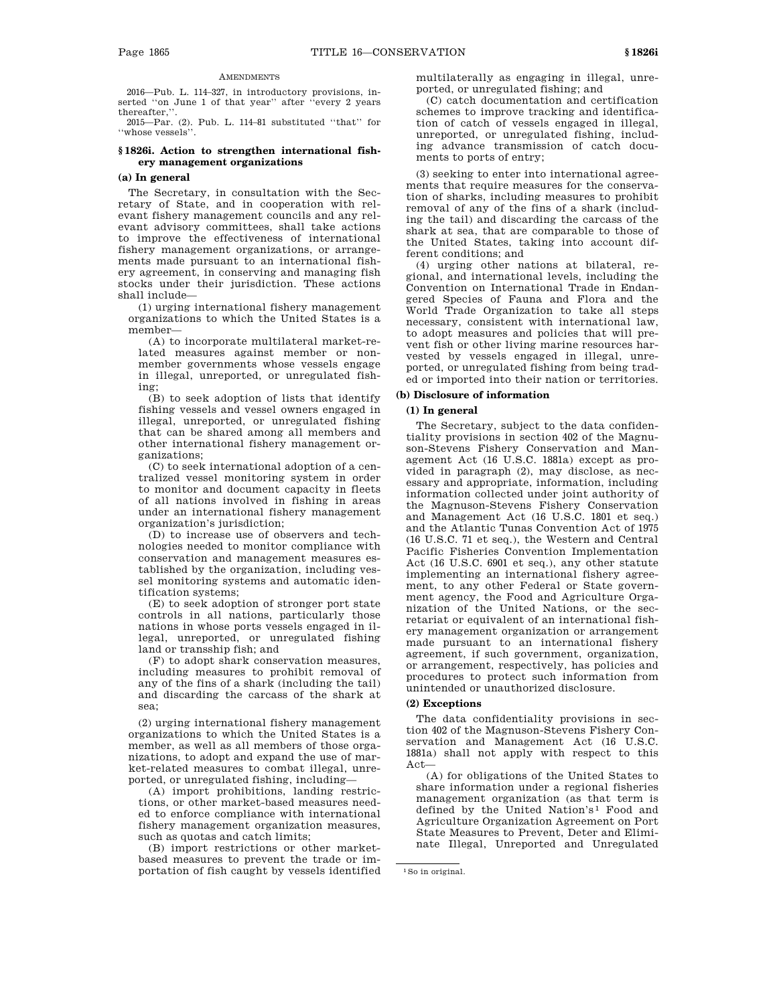### **AMENDMENTS**

2016—Pub. L. 114–327, in introductory provisions, inserted ''on June 1 of that year'' after ''every 2 years thereafter

2015—Par. (2). Pub. L. 114–81 substituted ''that'' for ''whose vessels''.

## **§ 1826i. Action to strengthen international fishery management organizations**

## **(a) In general**

The Secretary, in consultation with the Secretary of State, and in cooperation with relevant fishery management councils and any relevant advisory committees, shall take actions to improve the effectiveness of international fishery management organizations, or arrangements made pursuant to an international fishery agreement, in conserving and managing fish stocks under their jurisdiction. These actions shall include—

(1) urging international fishery management organizations to which the United States is a member—

(A) to incorporate multilateral market-related measures against member or nonmember governments whose vessels engage in illegal, unreported, or unregulated fishing;

(B) to seek adoption of lists that identify fishing vessels and vessel owners engaged in illegal, unreported, or unregulated fishing that can be shared among all members and other international fishery management organizations;

(C) to seek international adoption of a centralized vessel monitoring system in order to monitor and document capacity in fleets of all nations involved in fishing in areas under an international fishery management organization's jurisdiction;

(D) to increase use of observers and technologies needed to monitor compliance with conservation and management measures established by the organization, including vessel monitoring systems and automatic identification systems;

(E) to seek adoption of stronger port state controls in all nations, particularly those nations in whose ports vessels engaged in illegal, unreported, or unregulated fishing land or transship fish; and

(F) to adopt shark conservation measures, including measures to prohibit removal of any of the fins of a shark (including the tail) and discarding the carcass of the shark at sea;

(2) urging international fishery management organizations to which the United States is a member, as well as all members of those organizations, to adopt and expand the use of market-related measures to combat illegal, unreported, or unregulated fishing, including—

(A) import prohibitions, landing restrictions, or other market-based measures needed to enforce compliance with international fishery management organization measures, such as quotas and catch limits;

(B) import restrictions or other marketbased measures to prevent the trade or importation of fish caught by vessels identified multilaterally as engaging in illegal, unreported, or unregulated fishing; and

(C) catch documentation and certification schemes to improve tracking and identification of catch of vessels engaged in illegal, unreported, or unregulated fishing, including advance transmission of catch documents to ports of entry;

(3) seeking to enter into international agreements that require measures for the conservation of sharks, including measures to prohibit removal of any of the fins of a shark (including the tail) and discarding the carcass of the shark at sea, that are comparable to those of the United States, taking into account different conditions; and

(4) urging other nations at bilateral, regional, and international levels, including the Convention on International Trade in Endangered Species of Fauna and Flora and the World Trade Organization to take all steps necessary, consistent with international law, to adopt measures and policies that will prevent fish or other living marine resources harvested by vessels engaged in illegal, unreported, or unregulated fishing from being traded or imported into their nation or territories.

## **(b) Disclosure of information**

## **(1) In general**

The Secretary, subject to the data confidentiality provisions in section 402 of the Magnuson-Stevens Fishery Conservation and Management Act (16 U.S.C. 1881a) except as provided in paragraph (2), may disclose, as necessary and appropriate, information, including information collected under joint authority of the Magnuson-Stevens Fishery Conservation and Management Act (16 U.S.C. 1801 et seq.) and the Atlantic Tunas Convention Act of 1975 (16 U.S.C. 71 et seq.), the Western and Central Pacific Fisheries Convention Implementation Act (16 U.S.C. 6901 et seq.), any other statute implementing an international fishery agreement, to any other Federal or State government agency, the Food and Agriculture Organization of the United Nations, or the secretariat or equivalent of an international fishery management organization or arrangement made pursuant to an international fishery agreement, if such government, organization, or arrangement, respectively, has policies and procedures to protect such information from unintended or unauthorized disclosure.

## **(2) Exceptions**

The data confidentiality provisions in section 402 of the Magnuson-Stevens Fishery Conservation and Management Act (16 U.S.C. 1881a) shall not apply with respect to this Act—

(A) for obligations of the United States to share information under a regional fisheries management organization (as that term is defined by the United Nation's<sup>1</sup> Food and Agriculture Organization Agreement on Port State Measures to Prevent, Deter and Eliminate Illegal, Unreported and Unregulated

<sup>1</sup>So in original.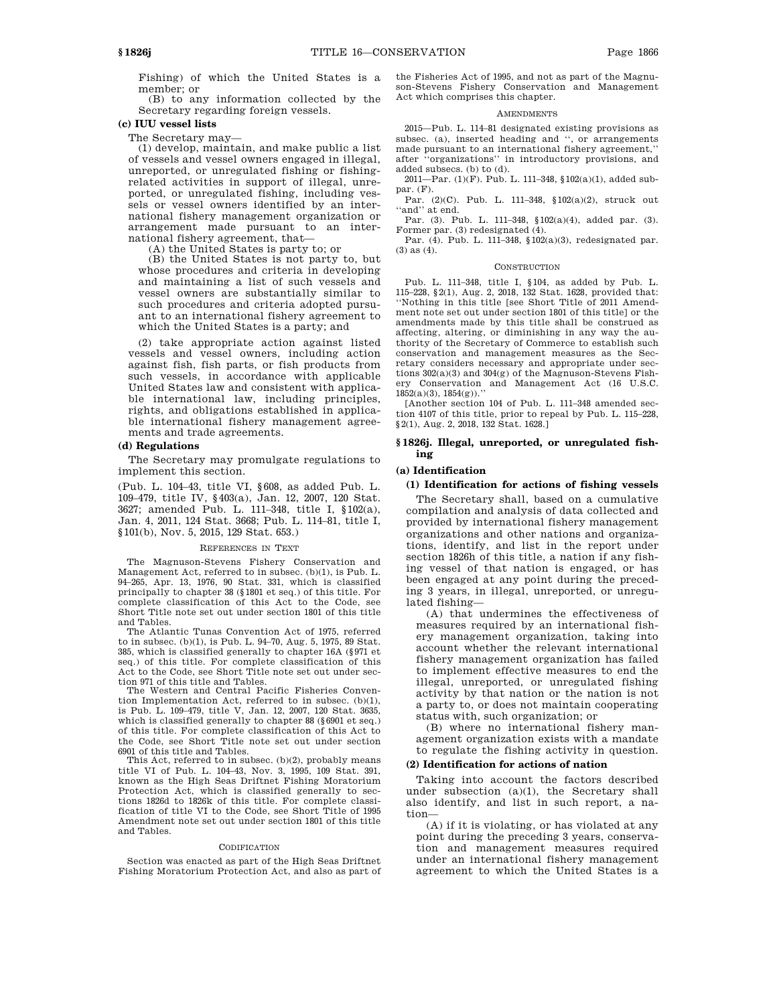Fishing) of which the United States is a member; or

(B) to any information collected by the Secretary regarding foreign vessels.

## **(c) IUU vessel lists**

The Secretary may—

(1) develop, maintain, and make public a list of vessels and vessel owners engaged in illegal, unreported, or unregulated fishing or fishingrelated activities in support of illegal, unreported, or unregulated fishing, including vessels or vessel owners identified by an international fishery management organization or arrangement made pursuant to an international fishery agreement, that—

(A) the United States is party to; or

(B) the United States is not party to, but whose procedures and criteria in developing and maintaining a list of such vessels and vessel owners are substantially similar to such procedures and criteria adopted pursuant to an international fishery agreement to which the United States is a party; and

(2) take appropriate action against listed vessels and vessel owners, including action against fish, fish parts, or fish products from such vessels, in accordance with applicable United States law and consistent with applicable international law, including principles, rights, and obligations established in applicable international fishery management agreements and trade agreements.

### **(d) Regulations**

The Secretary may promulgate regulations to implement this section.

(Pub. L. 104–43, title VI, §608, as added Pub. L. 109–479, title IV, §403(a), Jan. 12, 2007, 120 Stat. 3627; amended Pub. L. 111–348, title I, §102(a), Jan. 4, 2011, 124 Stat. 3668; Pub. L. 114–81, title I, §101(b), Nov. 5, 2015, 129 Stat. 653.)

### REFERENCES IN TEXT

The Magnuson-Stevens Fishery Conservation and Management Act, referred to in subsec. (b)(1), is Pub. L. 94–265, Apr. 13, 1976, 90 Stat. 331, which is classified principally to chapter 38 (§1801 et seq.) of this title. For complete classification of this Act to the Code, see Short Title note set out under section 1801 of this title and Tables.

The Atlantic Tunas Convention Act of 1975, referred to in subsec. (b)(1), is Pub. L. 94–70, Aug. 5, 1975, 89 Stat. 385, which is classified generally to chapter 16A (§971 et seq.) of this title. For complete classification of this Act to the Code, see Short Title note set out under section 971 of this title and Tables.

The Western and Central Pacific Fisheries Convention Implementation Act, referred to in subsec. (b)(1), is Pub. L. 109–479, title V, Jan. 12, 2007, 120 Stat. 3635, which is classified generally to chapter 88 (§6901 et seq.) of this title. For complete classification of this Act to the Code, see Short Title note set out under section 6901 of this title and Tables.

This Act, referred to in subsec. (b)(2), probably means title VI of Pub. L. 104–43, Nov. 3, 1995, 109 Stat. 391, known as the High Seas Driftnet Fishing Moratorium Protection Act, which is classified generally to sections 1826d to 1826k of this title. For complete classification of title VI to the Code, see Short Title of 1995 Amendment note set out under section 1801 of this title and Tables.

### **CODIFICATION**

Section was enacted as part of the High Seas Driftnet Fishing Moratorium Protection Act, and also as part of the Fisheries Act of 1995, and not as part of the Magnuson-Stevens Fishery Conservation and Management Act which comprises this chapter.

### **AMENDMENTS**

2015—Pub. L. 114–81 designated existing provisions as subsec. (a), inserted heading and '', or arrangements made pursuant to an international fishery agreement,'' after ''organizations'' in introductory provisions, and added subsecs. (b) to (d).

2011—Par. (1)(F). Pub. L. 111–348, §102(a)(1), added subpar. (F).

Par. (2)(C). Pub. L. 111–348, §102(a)(2), struck out "and" at end.

Par. (3). Pub. L. 111–348, §102(a)(4), added par. (3). Former par. (3) redesignated (4).

Par. (4). Pub. L. 111–348, §102(a)(3), redesignated par. (3) as (4).

### CONSTRUCTION

Pub. L. 111–348, title I, §104, as added by Pub. L. 115–228, §2(1), Aug. 2, 2018, 132 Stat. 1628, provided that: ''Nothing in this title [see Short Title of 2011 Amendment note set out under section 1801 of this title] or the amendments made by this title shall be construed as affecting, altering, or diminishing in any way the authority of the Secretary of Commerce to establish such conservation and management measures as the Secretary considers necessary and appropriate under sections 302(a)(3) and 304(g) of the Magnuson-Stevens Fishery Conservation and Management Act (16 U.S.C.  $1852(a)(3), 1854(g)).$ 

[Another section 104 of Pub. L. 111–348 amended section 4107 of this title, prior to repeal by Pub. L. 115–228, §2(1), Aug. 2, 2018, 132 Stat. 1628.]

### **§ 1826j. Illegal, unreported, or unregulated fishing**

### **(a) Identification**

### **(1) Identification for actions of fishing vessels**

The Secretary shall, based on a cumulative compilation and analysis of data collected and provided by international fishery management organizations and other nations and organizations, identify, and list in the report under section 1826h of this title, a nation if any fishing vessel of that nation is engaged, or has been engaged at any point during the preceding 3 years, in illegal, unreported, or unregulated fishing—

(A) that undermines the effectiveness of measures required by an international fishery management organization, taking into account whether the relevant international fishery management organization has failed to implement effective measures to end the illegal, unreported, or unregulated fishing activity by that nation or the nation is not a party to, or does not maintain cooperating status with, such organization; or

(B) where no international fishery management organization exists with a mandate to regulate the fishing activity in question.

### **(2) Identification for actions of nation**

Taking into account the factors described under subsection (a)(1), the Secretary shall also identify, and list in such report, a nation—

(A) if it is violating, or has violated at any point during the preceding 3 years, conservation and management measures required under an international fishery management agreement to which the United States is a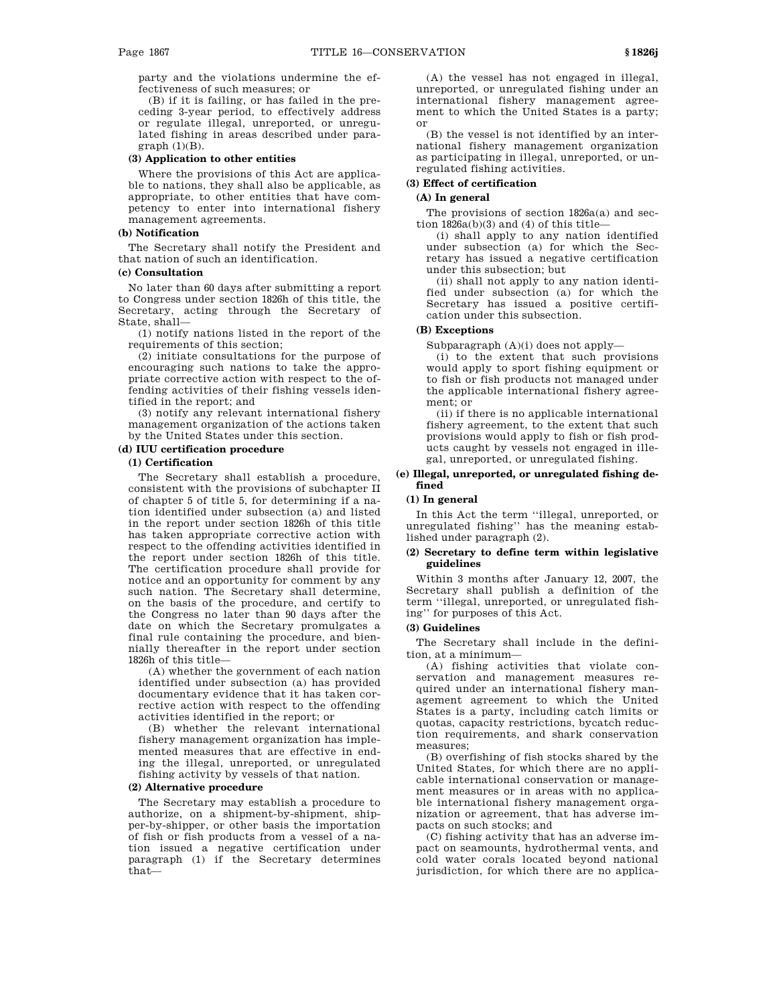party and the violations undermine the effectiveness of such measures; or

(B) if it is failing, or has failed in the preceding 3-year period, to effectively address or regulate illegal, unreported, or unregulated fishing in areas described under para $graph (1)(B)$ .

## **(3) Application to other entities**

Where the provisions of this Act are applicable to nations, they shall also be applicable, as appropriate, to other entities that have competency to enter into international fishery management agreements.

## **(b) Notification**

The Secretary shall notify the President and that nation of such an identification.

## **(c) Consultation**

No later than 60 days after submitting a report to Congress under section 1826h of this title, the Secretary, acting through the Secretary of State, shall—

(1) notify nations listed in the report of the requirements of this section;

(2) initiate consultations for the purpose of encouraging such nations to take the appropriate corrective action with respect to the offending activities of their fishing vessels identified in the report; and

(3) notify any relevant international fishery management organization of the actions taken by the United States under this section.

## **(d) IUU certification procedure**

## **(1) Certification**

The Secretary shall establish a procedure, consistent with the provisions of subchapter II of chapter 5 of title 5, for determining if a nation identified under subsection (a) and listed in the report under section 1826h of this title has taken appropriate corrective action with respect to the offending activities identified in the report under section 1826h of this title. The certification procedure shall provide for notice and an opportunity for comment by any such nation. The Secretary shall determine, on the basis of the procedure, and certify to the Congress no later than 90 days after the date on which the Secretary promulgates a final rule containing the procedure, and biennially thereafter in the report under section 1826h of this title—

(A) whether the government of each nation identified under subsection (a) has provided documentary evidence that it has taken corrective action with respect to the offending activities identified in the report; or

(B) whether the relevant international fishery management organization has implemented measures that are effective in ending the illegal, unreported, or unregulated fishing activity by vessels of that nation.

## **(2) Alternative procedure**

The Secretary may establish a procedure to authorize, on a shipment-by-shipment, shipper-by-shipper, or other basis the importation of fish or fish products from a vessel of a nation issued a negative certification under paragraph (1) if the Secretary determines that—

(A) the vessel has not engaged in illegal, unreported, or unregulated fishing under an international fishery management agreement to which the United States is a party; or

(B) the vessel is not identified by an international fishery management organization as participating in illegal, unreported, or unregulated fishing activities.

## **(3) Effect of certification**

## **(A) In general**

The provisions of section 1826a(a) and section  $1826a(b)(3)$  and  $(4)$  of this title-

(i) shall apply to any nation identified under subsection (a) for which the Secretary has issued a negative certification under this subsection; but

(ii) shall not apply to any nation identified under subsection (a) for which the Secretary has issued a positive certification under this subsection.

## **(B) Exceptions**

Subparagraph  $(A)(i)$  does not apply-

(i) to the extent that such provisions would apply to sport fishing equipment or to fish or fish products not managed under the applicable international fishery agreement; or

(ii) if there is no applicable international fishery agreement, to the extent that such provisions would apply to fish or fish products caught by vessels not engaged in illegal, unreported, or unregulated fishing.

## **(e) Illegal, unreported, or unregulated fishing defined**

## **(1) In general**

In this Act the term ''illegal, unreported, or unregulated fishing'' has the meaning established under paragraph (2).

## **(2) Secretary to define term within legislative guidelines**

Within 3 months after January 12, 2007, the Secretary shall publish a definition of the term ''illegal, unreported, or unregulated fishing'' for purposes of this Act.

## **(3) Guidelines**

The Secretary shall include in the definition, at a minimum—

(A) fishing activities that violate conservation and management measures required under an international fishery management agreement to which the United States is a party, including catch limits or quotas, capacity restrictions, bycatch reduction requirements, and shark conservation measures;

(B) overfishing of fish stocks shared by the United States, for which there are no applicable international conservation or management measures or in areas with no applicable international fishery management organization or agreement, that has adverse impacts on such stocks; and

(C) fishing activity that has an adverse impact on seamounts, hydrothermal vents, and cold water corals located beyond national jurisdiction, for which there are no applica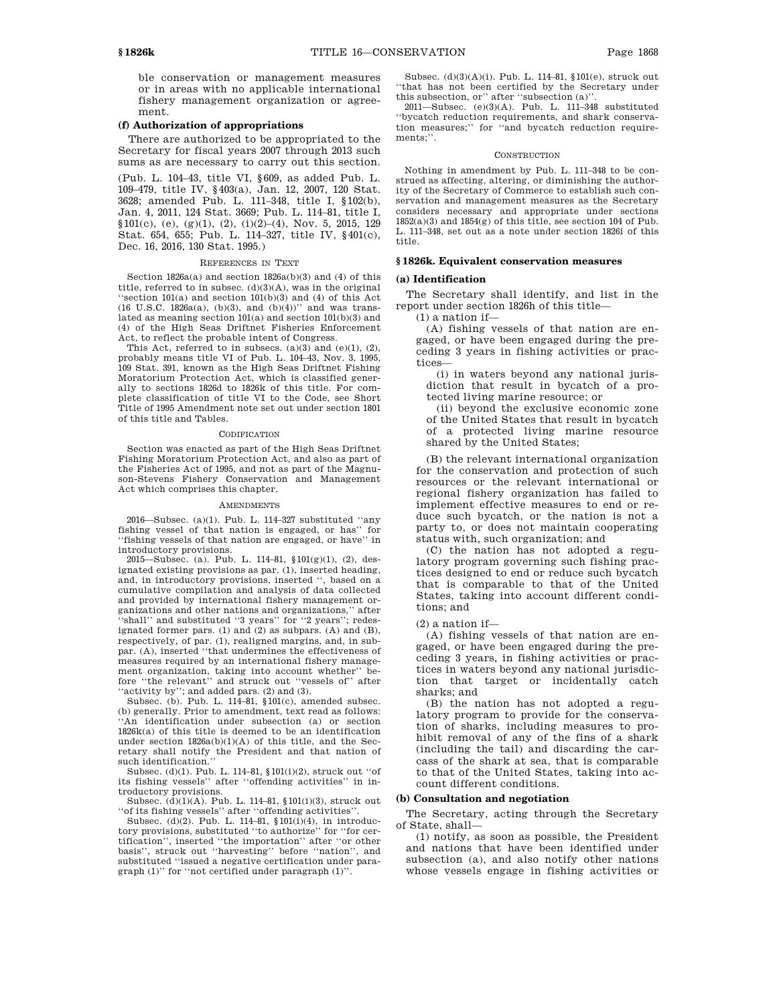ble conservation or management measures or in areas with no applicable international fishery management organization or agreement.

## **(f) Authorization of appropriations**

There are authorized to be appropriated to the Secretary for fiscal years 2007 through 2013 such sums as are necessary to carry out this section.

(Pub. L. 104–43, title VI, §609, as added Pub. L. 109–479, title IV, §403(a), Jan. 12, 2007, 120 Stat. 3628; amended Pub. L. 111–348, title I, §102(b), Jan. 4, 2011, 124 Stat. 3669; Pub. L. 114–81, title I, §101(c), (e), (g)(1), (2), (i)(2)–(4), Nov. 5, 2015, 129 Stat. 654, 655; Pub. L. 114–327, title IV, §401(c), Dec. 16, 2016, 130 Stat. 1995.)

### REFERENCES IN TEXT

Section  $1826a(a)$  and section  $1826a(b)(3)$  and (4) of this title, referred to in subsec.  $(d)(3)(A)$ , was in the original ''section 101(a) and section 101(b)(3) and (4) of this Act (16 U.S.C. 1826a(a), (b)(3), and (b)(4))'' and was translated as meaning section 101(a) and section 101(b)(3) and (4) of the High Seas Driftnet Fisheries Enforcement Act, to reflect the probable intent of Congress.

This Act, referred to in subsecs.  $(a)(3)$  and  $(e)(1)$ ,  $(2)$ , probably means title VI of Pub. L. 104–43, Nov. 3, 1995, 109 Stat. 391, known as the High Seas Driftnet Fishing Moratorium Protection Act, which is classified generally to sections 1826d to 1826k of this title. For complete classification of title VI to the Code, see Short Title of 1995 Amendment note set out under section 1801 of this title and Tables.

#### CODIFICATION

Section was enacted as part of the High Seas Driftnet Fishing Moratorium Protection Act, and also as part of the Fisheries Act of 1995, and not as part of the Magnuson-Stevens Fishery Conservation and Management Act which comprises this chapter.

#### **AMENDMENTS**

2016—Subsec. (a)(1). Pub. L. 114–327 substituted ''any fishing vessel of that nation is engaged, or has'' for ''fishing vessels of that nation are engaged, or have'' in introductory provisions.

2015—Subsec. (a). Pub. L. 114–81, §101(g)(1), (2), designated existing provisions as par. (1), inserted heading, and, in introductory provisions, inserted '', based on a cumulative compilation and analysis of data collected and provided by international fishery management organizations and other nations and organizations,'' after "shall" and substituted "3 years" for "2 years"; redesignated former pars. (1) and (2) as subpars. (A) and (B), respectively, of par. (1), realigned margins, and, in subpar. (A), inserted ''that undermines the effectiveness of measures required by an international fishery management organization, taking into account whether'' before ''the relevant'' and struck out ''vessels of'' after "activity by"; and added pars. (2) and (3).

Subsec. (b). Pub. L. 114–81, §101(c), amended subsec. (b) generally. Prior to amendment, text read as follows: ''An identification under subsection (a) or section 1826k(a) of this title is deemed to be an identification under section  $1826a(b)(1)(A)$  of this title, and the Secretary shall notify the President and that nation of such identification.''

Subsec. (d)(1). Pub. L. 114–81, §101(i)(2), struck out ''of its fishing vessels'' after ''offending activities'' in introductory provisions.

Subsec. (d)(1)(A). Pub. L. 114–81, §101(i)(3), struck out ''of its fishing vessels'' after ''offending activities''. Subsec. (d)(2). Pub. L. 114–81, §101(i)(4), in introduc-

tory provisions, substituted ''to authorize'' for ''for certification'', inserted ''the importation'' after ''or other basis'', struck out ''harvesting'' before ''nation'', and substituted "issued a negative certification under paragraph (1)'' for ''not certified under paragraph (1)''.

Subsec. (d)(3)(A)(i). Pub. L. 114–81, §101(e), struck out ''that has not been certified by the Secretary under this subsection, or'' after ''subsection (a)''.

2011—Subsec. (e)(3)(A). Pub. L. 111–348 substituted ''bycatch reduction requirements, and shark conservation measures;'' for ''and bycatch reduction requirements;''.

### **CONSTRUCTION**

Nothing in amendment by Pub. L. 111–348 to be construed as affecting, altering, or diminishing the authority of the Secretary of Commerce to establish such conservation and management measures as the Secretary considers necessary and appropriate under sections  $1852(a)(3)$  and  $1854(g)$  of this title, see section 104 of Pub. L. 111–348, set out as a note under section 1826i of this title.

## **§ 1826k. Equivalent conservation measures**

## **(a) Identification**

The Secretary shall identify, and list in the report under section 1826h of this title—

(1) a nation if—

(A) fishing vessels of that nation are engaged, or have been engaged during the preceding 3 years in fishing activities or practices—

(i) in waters beyond any national jurisdiction that result in bycatch of a protected living marine resource; or

(ii) beyond the exclusive economic zone of the United States that result in bycatch of a protected living marine resource shared by the United States;

(B) the relevant international organization for the conservation and protection of such resources or the relevant international or regional fishery organization has failed to implement effective measures to end or reduce such bycatch, or the nation is not a party to, or does not maintain cooperating status with, such organization; and

(C) the nation has not adopted a regulatory program governing such fishing practices designed to end or reduce such bycatch that is comparable to that of the United States, taking into account different conditions; and

(2) a nation if—

(A) fishing vessels of that nation are engaged, or have been engaged during the preceding 3 years, in fishing activities or practices in waters beyond any national jurisdiction that target or incidentally catch sharks; and

(B) the nation has not adopted a regulatory program to provide for the conservation of sharks, including measures to prohibit removal of any of the fins of a shark (including the tail) and discarding the carcass of the shark at sea, that is comparable to that of the United States, taking into account different conditions.

### **(b) Consultation and negotiation**

The Secretary, acting through the Secretary of State, shall—

(1) notify, as soon as possible, the President and nations that have been identified under subsection (a), and also notify other nations whose vessels engage in fishing activities or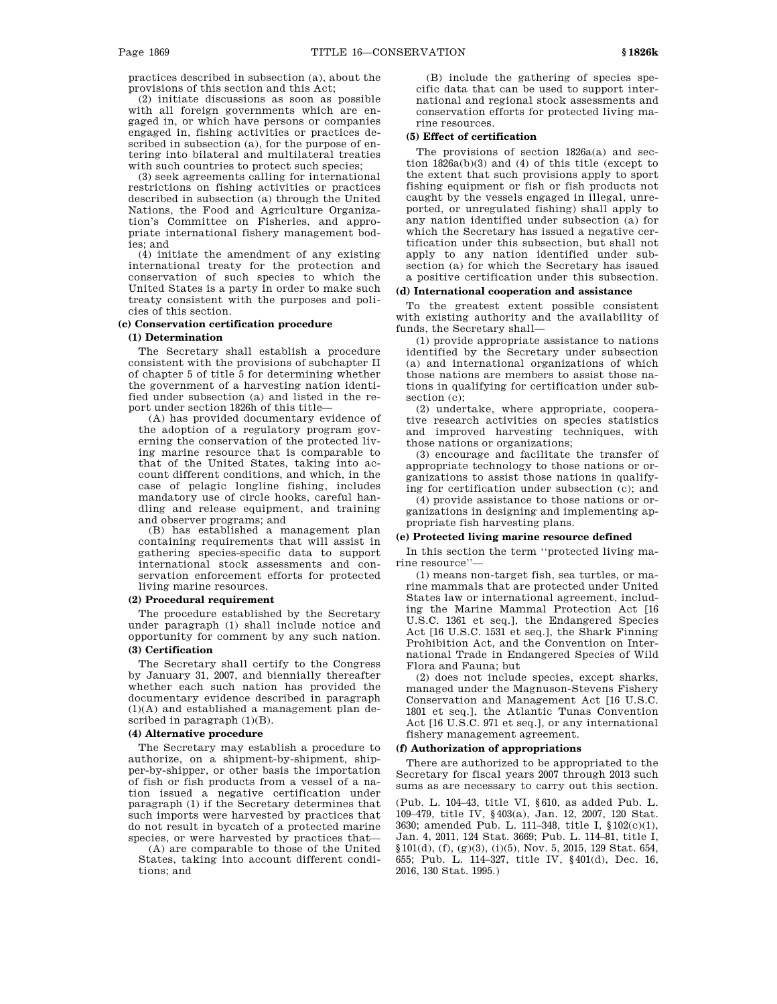practices described in subsection (a), about the provisions of this section and this Act;

(2) initiate discussions as soon as possible with all foreign governments which are engaged in, or which have persons or companies engaged in, fishing activities or practices described in subsection (a), for the purpose of entering into bilateral and multilateral treaties with such countries to protect such species;

(3) seek agreements calling for international restrictions on fishing activities or practices described in subsection (a) through the United Nations, the Food and Agriculture Organization's Committee on Fisheries, and appropriate international fishery management bodies; and

(4) initiate the amendment of any existing international treaty for the protection and conservation of such species to which the United States is a party in order to make such treaty consistent with the purposes and policies of this section.

### **(c) Conservation certification procedure**

### **(1) Determination**

The Secretary shall establish a procedure consistent with the provisions of subchapter II of chapter 5 of title 5 for determining whether the government of a harvesting nation identified under subsection (a) and listed in the report under section 1826h of this title—

(A) has provided documentary evidence of the adoption of a regulatory program governing the conservation of the protected living marine resource that is comparable to that of the United States, taking into account different conditions, and which, in the case of pelagic longline fishing, includes mandatory use of circle hooks, careful handling and release equipment, and training and observer programs; and

(B) has established a management plan containing requirements that will assist in gathering species-specific data to support international stock assessments and conservation enforcement efforts for protected living marine resources.

### **(2) Procedural requirement**

The procedure established by the Secretary under paragraph (1) shall include notice and opportunity for comment by any such nation.

## **(3) Certification**

The Secretary shall certify to the Congress by January 31, 2007, and biennially thereafter whether each such nation has provided the documentary evidence described in paragraph (1)(A) and established a management plan described in paragraph (1)(B).

## **(4) Alternative procedure**

The Secretary may establish a procedure to authorize, on a shipment-by-shipment, shipper-by-shipper, or other basis the importation of fish or fish products from a vessel of a nation issued a negative certification under paragraph (1) if the Secretary determines that such imports were harvested by practices that do not result in bycatch of a protected marine species, or were harvested by practices that—

(A) are comparable to those of the United States, taking into account different conditions; and

(B) include the gathering of species specific data that can be used to support international and regional stock assessments and conservation efforts for protected living marine resources.

## **(5) Effect of certification**

The provisions of section 1826a(a) and section 1826a(b)(3) and (4) of this title (except to the extent that such provisions apply to sport fishing equipment or fish or fish products not caught by the vessels engaged in illegal, unreported, or unregulated fishing) shall apply to any nation identified under subsection (a) for which the Secretary has issued a negative certification under this subsection, but shall not apply to any nation identified under subsection (a) for which the Secretary has issued a positive certification under this subsection.

### **(d) International cooperation and assistance**

To the greatest extent possible consistent with existing authority and the availability of funds, the Secretary shall—

(1) provide appropriate assistance to nations identified by the Secretary under subsection (a) and international organizations of which those nations are members to assist those nations in qualifying for certification under subsection (c):

(2) undertake, where appropriate, cooperative research activities on species statistics and improved harvesting techniques, with those nations or organizations;

(3) encourage and facilitate the transfer of appropriate technology to those nations or organizations to assist those nations in qualifying for certification under subsection (c); and

(4) provide assistance to those nations or organizations in designing and implementing appropriate fish harvesting plans.

## **(e) Protected living marine resource defined**

In this section the term ''protected living marine resource''.

(1) means non-target fish, sea turtles, or marine mammals that are protected under United States law or international agreement, including the Marine Mammal Protection Act [16 U.S.C. 1361 et seq.], the Endangered Species Act [16 U.S.C. 1531 et seq.], the Shark Finning Prohibition Act, and the Convention on International Trade in Endangered Species of Wild Flora and Fauna; but

(2) does not include species, except sharks, managed under the Magnuson-Stevens Fishery Conservation and Management Act [16 U.S.C. 1801 et seq.], the Atlantic Tunas Convention Act [16 U.S.C. 971 et seq.], or any international fishery management agreement.

### **(f) Authorization of appropriations**

There are authorized to be appropriated to the Secretary for fiscal years 2007 through 2013 such sums as are necessary to carry out this section.

(Pub. L. 104–43, title VI, §610, as added Pub. L. 109–479, title IV, §403(a), Jan. 12, 2007, 120 Stat. 3630; amended Pub. L. 111–348, title I, §102(c)(1), Jan. 4, 2011, 124 Stat. 3669; Pub. L. 114–81, title I, §101(d), (f), (g)(3), (i)(5), Nov. 5, 2015, 129 Stat. 654, 655; Pub. L. 114–327, title IV, §401(d), Dec. 16, 2016, 130 Stat. 1995.)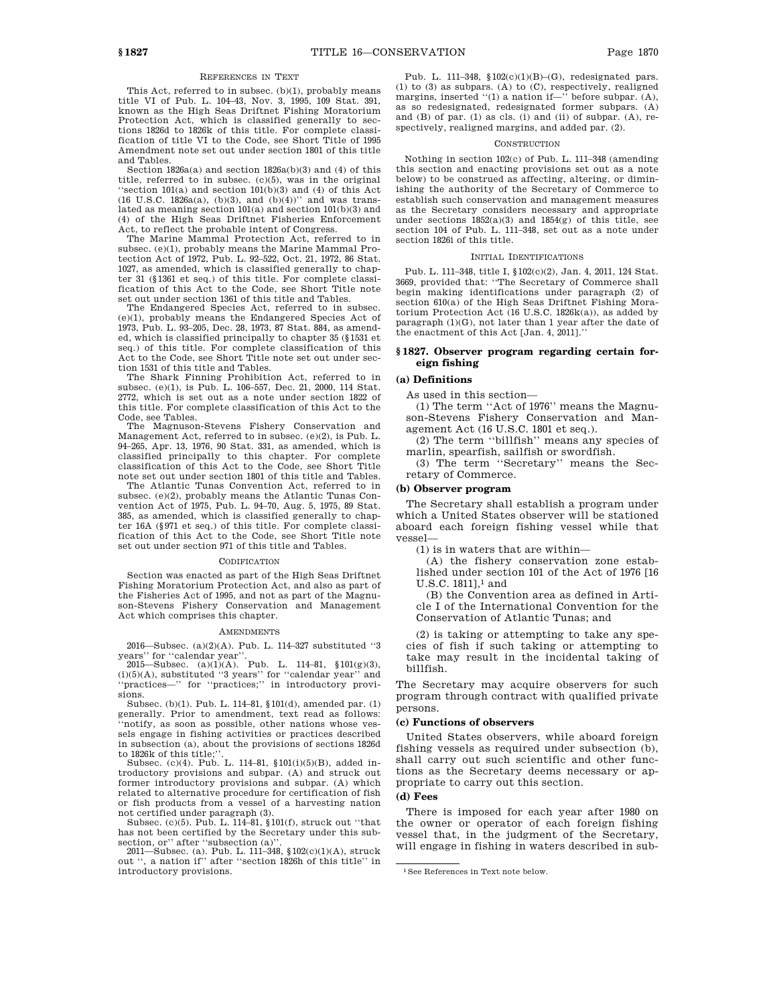### REFERENCES IN TEXT

This Act, referred to in subsec. (b)(1), probably means title VI of Pub. L. 104–43, Nov. 3, 1995, 109 Stat. 391, known as the High Seas Driftnet Fishing Moratorium Protection Act, which is classified generally to sections 1826d to 1826k of this title. For complete classification of title VI to the Code, see Short Title of 1995 Amendment note set out under section 1801 of this title and Tables.

Section 1826a(a) and section 1826a(b)(3) and (4) of this title, referred to in subsec. (c)(5), was in the original ''section 101(a) and section 101(b)(3) and (4) of this Act (16 U.S.C. 1826a(a), (b)(3), and (b)(4))" and was translated as meaning section  $101(a)$  and section  $101(b)(3)$  and (4) of the High Seas Driftnet Fisheries Enforcement Act, to reflect the probable intent of Congress.

The Marine Mammal Protection Act, referred to in subsec. (e)(1), probably means the Marine Mammal Protection Act of 1972, Pub. L. 92–522, Oct. 21, 1972, 86 Stat. 1027, as amended, which is classified generally to chapter 31 (§1361 et seq.) of this title. For complete classification of this Act to the Code, see Short Title note set out under section 1361 of this title and Tables.

The Endangered Species Act, referred to in subsec. (e)(1), probably means the Endangered Species Act of 1973, Pub. L. 93–205, Dec. 28, 1973, 87 Stat. 884, as amended, which is classified principally to chapter 35 (§1531 et seq.) of this title. For complete classification of this Act to the Code, see Short Title note set out under section 1531 of this title and Tables.

The Shark Finning Prohibition Act, referred to in subsec. (e)(1), is Pub. L. 106–557, Dec. 21, 2000, 114 Stat. 2772, which is set out as a note under section 1822 of this title. For complete classification of this Act to the Code, see Tables.

The Magnuson-Stevens Fishery Conservation and Management Act, referred to in subsec. (e)(2), is Pub. L. 94–265, Apr. 13, 1976, 90 Stat. 331, as amended, which is classified principally to this chapter. For complete classification of this Act to the Code, see Short Title note set out under section 1801 of this title and Tables.

The Atlantic Tunas Convention Act, referred to in subsec. (e)(2), probably means the Atlantic Tunas Convention Act of 1975, Pub. L. 94–70, Aug. 5, 1975, 89 Stat. 385, as amended, which is classified generally to chapter 16A (§971 et seq.) of this title. For complete classification of this Act to the Code, see Short Title note set out under section 971 of this title and Tables.

### CODIFICATION

Section was enacted as part of the High Seas Driftnet Fishing Moratorium Protection Act, and also as part of the Fisheries Act of 1995, and not as part of the Magnuson-Stevens Fishery Conservation and Management Act which comprises this chapter.

#### **AMENDMENTS**

2016—Subsec. (a)(2)(A). Pub. L. 114–327 substituted ''3 years'' for ''calendar year''.

2015—Subsec. (a)(1)(A). Pub. L. 114-81,  $$101(g)(3)$ , (i)(5)(A), substituted ''3 years'' for ''calendar year'' and ''practices—'' for ''practices;'' in introductory provisions.

Subsec. (b)(1). Pub. L. 114–81, §101(d), amended par. (1) generally. Prior to amendment, text read as follows: ''notify, as soon as possible, other nations whose vessels engage in fishing activities or practices described in subsection (a), about the provisions of sections 1826d to 1826k of this title;'

Subsec. (c)(4). Pub. L. 114–81, §101(i)(5)(B), added introductory provisions and subpar. (A) and struck out former introductory provisions and subpar. (A) which related to alternative procedure for certification of fish or fish products from a vessel of a harvesting nation not certified under paragraph (3). Subsec. (c)(5). Pub. L. 114–81, §101(f), struck out ''that

has not been certified by the Secretary under this subsection, or" after "subsection (a)".

2011—Subsec. (a). Pub. L. 111–348, §102(c)(1)(A), struck out '', a nation if'' after ''section 1826h of this title'' in introductory provisions.

Pub. L. 111–348, §102(c)(1)(B)–(G), redesignated pars. (1) to (3) as subpars. (A) to (C), respectively, realigned margins, inserted "(1) a nation if—" before subpar. (A), as so redesignated, redesignated former subpars. (A) and (B) of par. (1) as cls. (i) and (ii) of subpar. (A), respectively, realigned margins, and added par. (2).

## **CONSTRUCTION**

Nothing in section 102(c) of Pub. L. 111–348 (amending this section and enacting provisions set out as a note below) to be construed as affecting, altering, or diminishing the authority of the Secretary of Commerce to establish such conservation and management measures as the Secretary considers necessary and appropriate under sections  $1852(a)(3)$  and  $1854(g)$  of this title, see section 104 of Pub. L. 111–348, set out as a note under section 1826i of this title.

### INITIAL IDENTIFICATIONS

Pub. L. 111–348, title I, §102(c)(2), Jan. 4, 2011, 124 Stat. 3669, provided that: ''The Secretary of Commerce shall begin making identifications under paragraph (2) of section 610(a) of the High Seas Driftnet Fishing Moratorium Protection Act  $(16 \text{ U.S.C. } 1826\text{k(a)})$ , as added by paragraph (1)(G), not later than 1 year after the date of the enactment of this Act [Jan. 4, 2011].''

### **§ 1827. Observer program regarding certain foreign fishing**

### **(a) Definitions**

As used in this section—

(1) The term ''Act of 1976'' means the Magnuson-Stevens Fishery Conservation and Management Act (16 U.S.C. 1801 et seq.).

(2) The term ''billfish'' means any species of marlin, spearfish, sailfish or swordfish.

(3) The term ''Secretary'' means the Secretary of Commerce.

### **(b) Observer program**

The Secretary shall establish a program under which a United States observer will be stationed aboard each foreign fishing vessel while that vessel—

(1) is in waters that are within—

(A) the fishery conservation zone established under section 101 of the Act of 1976 [16 U.S.C. 1811], $1$  and

(B) the Convention area as defined in Article I of the International Convention for the Conservation of Atlantic Tunas; and

(2) is taking or attempting to take any species of fish if such taking or attempting to take may result in the incidental taking of billfish.

The Secretary may acquire observers for such program through contract with qualified private persons.

### **(c) Functions of observers**

United States observers, while aboard foreign fishing vessels as required under subsection (b), shall carry out such scientific and other functions as the Secretary deems necessary or appropriate to carry out this section.

## **(d) Fees**

There is imposed for each year after 1980 on the owner or operator of each foreign fishing vessel that, in the judgment of the Secretary, will engage in fishing in waters described in sub-

<sup>1</sup>See References in Text note below.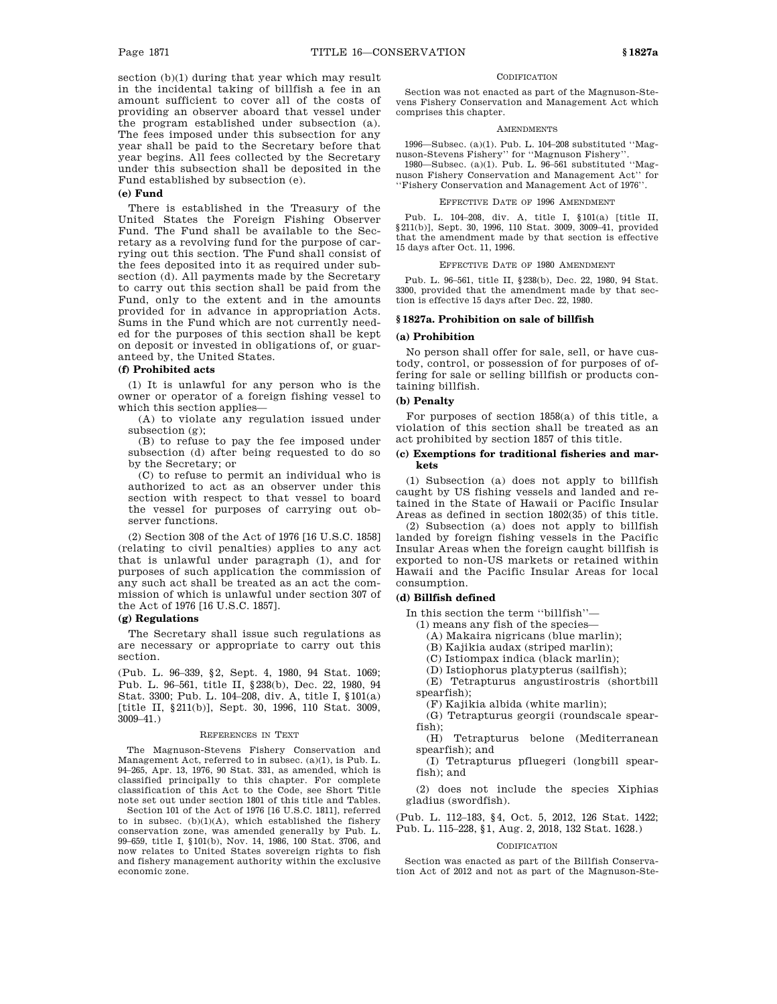section (b)(1) during that year which may result in the incidental taking of billfish a fee in an amount sufficient to cover all of the costs of providing an observer aboard that vessel under the program established under subsection (a). The fees imposed under this subsection for any year shall be paid to the Secretary before that year begins. All fees collected by the Secretary under this subsection shall be deposited in the Fund established by subsection (e).

### **(e) Fund**

There is established in the Treasury of the United States the Foreign Fishing Observer Fund. The Fund shall be available to the Secretary as a revolving fund for the purpose of carrying out this section. The Fund shall consist of the fees deposited into it as required under subsection (d). All payments made by the Secretary to carry out this section shall be paid from the Fund, only to the extent and in the amounts provided for in advance in appropriation Acts. Sums in the Fund which are not currently needed for the purposes of this section shall be kept on deposit or invested in obligations of, or guaranteed by, the United States.

## **(f) Prohibited acts**

(1) It is unlawful for any person who is the owner or operator of a foreign fishing vessel to which this section applies—

(A) to violate any regulation issued under subsection (g);

(B) to refuse to pay the fee imposed under subsection (d) after being requested to do so by the Secretary; or

(C) to refuse to permit an individual who is authorized to act as an observer under this section with respect to that vessel to board the vessel for purposes of carrying out observer functions.

(2) Section 308 of the Act of 1976 [16 U.S.C. 1858] (relating to civil penalties) applies to any act that is unlawful under paragraph (1), and for purposes of such application the commission of any such act shall be treated as an act the commission of which is unlawful under section 307 of the Act of 1976 [16 U.S.C. 1857].

## **(g) Regulations**

The Secretary shall issue such regulations as are necessary or appropriate to carry out this section.

(Pub. L. 96–339, §2, Sept. 4, 1980, 94 Stat. 1069; Pub. L. 96–561, title II, §238(b), Dec. 22, 1980, 94 Stat. 3300; Pub. L. 104–208, div. A, title I, §101(a) [title II, §211(b)], Sept. 30, 1996, 110 Stat. 3009, 3009–41.)

#### REFERENCES IN TEXT

The Magnuson-Stevens Fishery Conservation and Management Act, referred to in subsec. (a)(1), is Pub. L. 94–265, Apr. 13, 1976, 90 Stat. 331, as amended, which is classified principally to this chapter. For complete classification of this Act to the Code, see Short Title note set out under section 1801 of this title and Tables.

Section 101 of the Act of 1976 [16 U.S.C. 1811], referred to in subsec.  $(b)(1)(A)$ , which established the fishery conservation zone, was amended generally by Pub. L. 99–659, title I, §101(b), Nov. 14, 1986, 100 Stat. 3706, and now relates to United States sovereign rights to fish and fishery management authority within the exclusive economic zone.

### CODIFICATION

Section was not enacted as part of the Magnuson-Stevens Fishery Conservation and Management Act which comprises this chapter.

### **AMENDMENTS**

1996—Subsec. (a)(1). Pub. L. 104–208 substituted ''Magnuson-Stevens Fishery'' for ''Magnuson Fishery''.

1980—Subsec. (a)(1). Pub. L. 96–561 substituted ''Magnuson Fishery Conservation and Management Act'' for ''Fishery Conservation and Management Act of 1976''.

### EFFECTIVE DATE OF 1996 AMENDMENT

Pub. L. 104–208, div. A, title I, §101(a) [title II, §211(b)], Sept. 30, 1996, 110 Stat. 3009, 3009–41, provided that the amendment made by that section is effective 15 days after Oct. 11, 1996.

## EFFECTIVE DATE OF 1980 AMENDMENT

Pub. L. 96–561, title II, §238(b), Dec. 22, 1980, 94 Stat. 3300, provided that the amendment made by that section is effective 15 days after Dec. 22, 1980.

### **§ 1827a. Prohibition on sale of billfish**

## **(a) Prohibition**

No person shall offer for sale, sell, or have custody, control, or possession of for purposes of offering for sale or selling billfish or products containing billfish.

### **(b) Penalty**

For purposes of section 1858(a) of this title, a violation of this section shall be treated as an act prohibited by section 1857 of this title.

## **(c) Exemptions for traditional fisheries and markets**

(1) Subsection (a) does not apply to billfish caught by US fishing vessels and landed and retained in the State of Hawaii or Pacific Insular Areas as defined in section 1802(35) of this title.

(2) Subsection (a) does not apply to billfish landed by foreign fishing vessels in the Pacific Insular Areas when the foreign caught billfish is exported to non-US markets or retained within Hawaii and the Pacific Insular Areas for local consumption.

## **(d) Billfish defined**

In this section the term ''billfish''—

- (1) means any fish of the species—
	- (A) Makaira nigricans (blue marlin);
	- (B) Kajikia audax (striped marlin);
	- (C) Istiompax indica (black marlin);
	- (D) Istiophorus platypterus (sailfish);

(E) Tetrapturus angustirostris (shortbill spearfish);

- (F) Kajikia albida (white marlin);
- (G) Tetrapturus georgii (roundscale spearfish);

(H) Tetrapturus belone (Mediterranean spearfish); and

(I) Tetrapturus pfluegeri (longbill spearfish); and

(2) does not include the species Xiphias gladius (swordfish).

(Pub. L. 112–183, §4, Oct. 5, 2012, 126 Stat. 1422; Pub. L. 115–228, §1, Aug. 2, 2018, 132 Stat. 1628.)

### **CODIFICATION**

Section was enacted as part of the Billfish Conservation Act of 2012 and not as part of the Magnuson-Ste-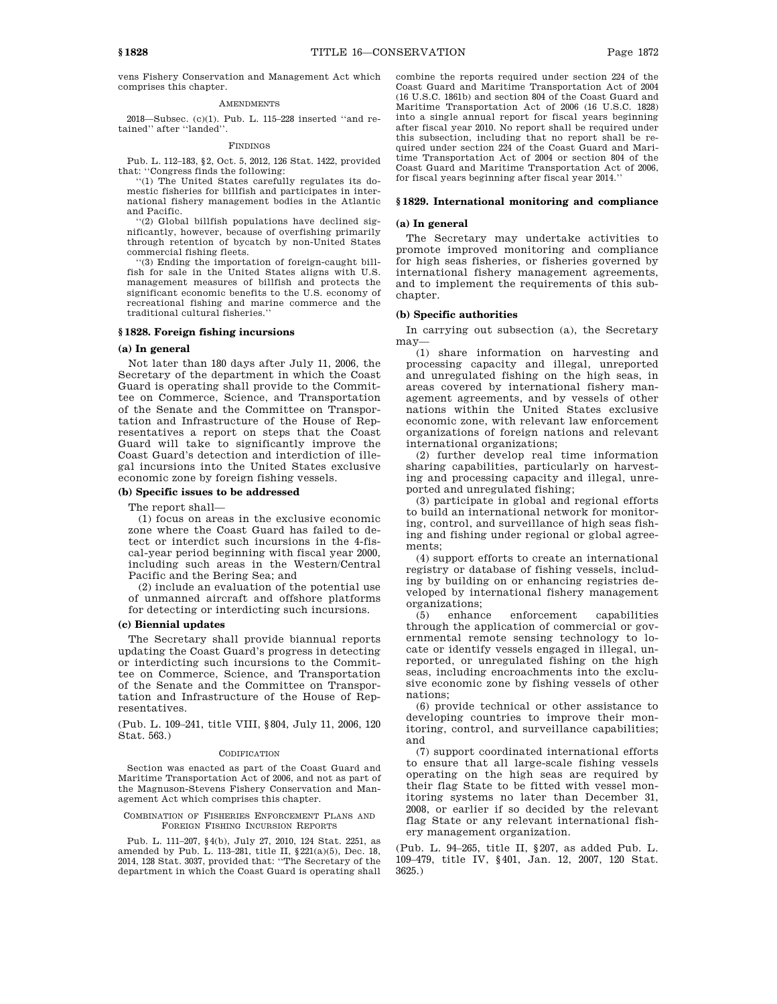vens Fishery Conservation and Management Act which comprises this chapter.

### **AMENDMENTS**

2018—Subsec. (c)(1). Pub. L. 115–228 inserted ''and retained'' after ''landed''.

### FINDINGS

Pub. L. 112–183, §2, Oct. 5, 2012, 126 Stat. 1422, provided that: ''Congress finds the following:

''(1) The United States carefully regulates its domestic fisheries for billfish and participates in international fishery management bodies in the Atlantic and Pacific.

'(2) Global billfish populations have declined significantly, however, because of overfishing primarily through retention of bycatch by non-United States commercial fishing fleets.

'(3) Ending the importation of foreign-caught billfish for sale in the United States aligns with U.S. management measures of billfish and protects the significant economic benefits to the U.S. economy of recreational fishing and marine commerce and the traditional cultural fisheries.''

## **§ 1828. Foreign fishing incursions**

### **(a) In general**

Not later than 180 days after July 11, 2006, the Secretary of the department in which the Coast Guard is operating shall provide to the Committee on Commerce, Science, and Transportation of the Senate and the Committee on Transportation and Infrastructure of the House of Representatives a report on steps that the Coast Guard will take to significantly improve the Coast Guard's detection and interdiction of illegal incursions into the United States exclusive economic zone by foreign fishing vessels.

### **(b) Specific issues to be addressed**

The report shall—

(1) focus on areas in the exclusive economic zone where the Coast Guard has failed to detect or interdict such incursions in the 4-fiscal-year period beginning with fiscal year 2000, including such areas in the Western/Central Pacific and the Bering Sea; and

(2) include an evaluation of the potential use of unmanned aircraft and offshore platforms for detecting or interdicting such incursions.

## **(c) Biennial updates**

The Secretary shall provide biannual reports updating the Coast Guard's progress in detecting or interdicting such incursions to the Committee on Commerce, Science, and Transportation of the Senate and the Committee on Transportation and Infrastructure of the House of Representatives.

(Pub. L. 109–241, title VIII, §804, July 11, 2006, 120 Stat. 563.)

### CODIFICATION

Section was enacted as part of the Coast Guard and Maritime Transportation Act of 2006, and not as part of the Magnuson-Stevens Fishery Conservation and Management Act which comprises this chapter.

### COMBINATION OF FISHERIES ENFORCEMENT PLANS AND FOREIGN FISHING INCURSION REPORTS

Pub. L. 111–207, §4(b), July 27, 2010, 124 Stat. 2251, as amended by Pub. L. 113–281, title II, §221(a)(5), Dec. 18, 2014, 128 Stat. 3037, provided that: ''The Secretary of the department in which the Coast Guard is operating shall

combine the reports required under section 224 of the Coast Guard and Maritime Transportation Act of 2004 (16 U.S.C. 1861b) and section 804 of the Coast Guard and Maritime Transportation Act of 2006 (16 U.S.C. 1828) into a single annual report for fiscal years beginning after fiscal year 2010. No report shall be required under this subsection, including that no report shall be required under section 224 of the Coast Guard and Maritime Transportation Act of 2004 or section 804 of the Coast Guard and Maritime Transportation Act of 2006, for fiscal years beginning after fiscal year 2014.''

### **§ 1829. International monitoring and compliance**

## **(a) In general**

The Secretary may undertake activities to promote improved monitoring and compliance for high seas fisheries, or fisheries governed by international fishery management agreements, and to implement the requirements of this subchapter.

## **(b) Specific authorities**

In carrying out subsection (a), the Secretary may—

(1) share information on harvesting and processing capacity and illegal, unreported and unregulated fishing on the high seas, in areas covered by international fishery management agreements, and by vessels of other nations within the United States exclusive economic zone, with relevant law enforcement organizations of foreign nations and relevant international organizations;

(2) further develop real time information sharing capabilities, particularly on harvesting and processing capacity and illegal, unreported and unregulated fishing;

(3) participate in global and regional efforts to build an international network for monitoring, control, and surveillance of high seas fishing and fishing under regional or global agreements;

(4) support efforts to create an international registry or database of fishing vessels, including by building on or enhancing registries developed by international fishery management organizations;

(5) enhance enforcement capabilities through the application of commercial or governmental remote sensing technology to locate or identify vessels engaged in illegal, unreported, or unregulated fishing on the high seas, including encroachments into the exclusive economic zone by fishing vessels of other nations;

(6) provide technical or other assistance to developing countries to improve their monitoring, control, and surveillance capabilities; and

(7) support coordinated international efforts to ensure that all large-scale fishing vessels operating on the high seas are required by their flag State to be fitted with vessel monitoring systems no later than December 31, 2008, or earlier if so decided by the relevant flag State or any relevant international fishery management organization.

(Pub. L. 94–265, title II, §207, as added Pub. L. 109–479, title IV, §401, Jan. 12, 2007, 120 Stat. 3625.)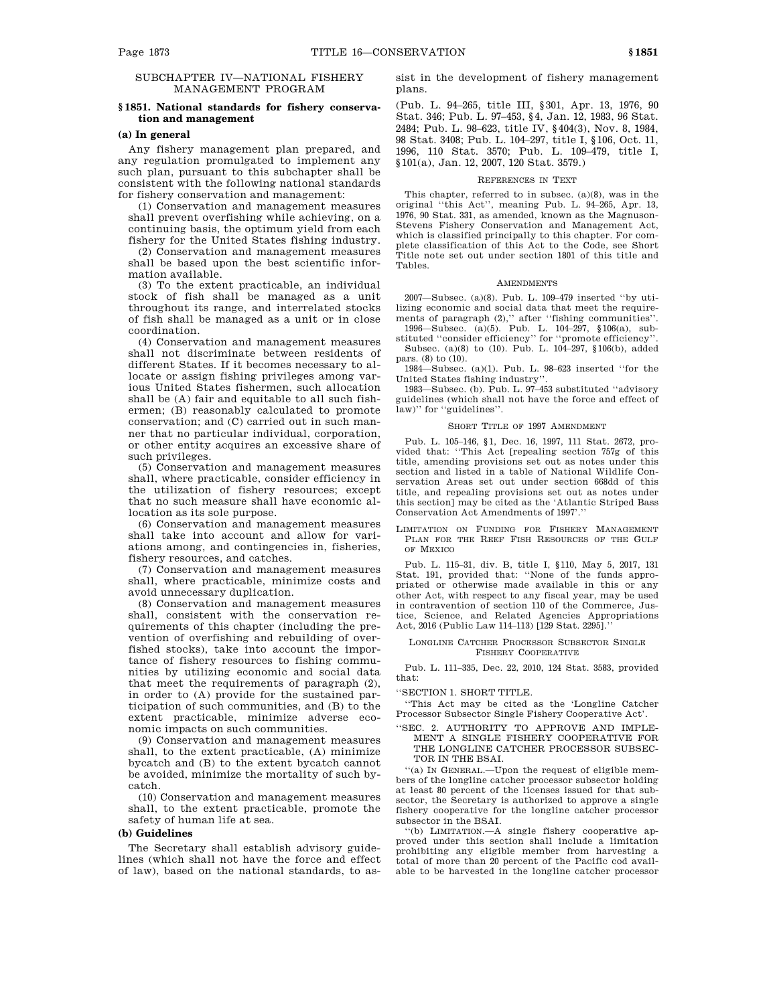## SUBCHAPTER IV—NATIONAL FISHERY MANAGEMENT PROGRAM

## **§ 1851. National standards for fishery conservation and management**

## **(a) In general**

Any fishery management plan prepared, and any regulation promulgated to implement any such plan, pursuant to this subchapter shall be consistent with the following national standards for fishery conservation and management:

(1) Conservation and management measures shall prevent overfishing while achieving, on a continuing basis, the optimum yield from each fishery for the United States fishing industry.

(2) Conservation and management measures shall be based upon the best scientific information available.

(3) To the extent practicable, an individual stock of fish shall be managed as a unit throughout its range, and interrelated stocks of fish shall be managed as a unit or in close coordination.

(4) Conservation and management measures shall not discriminate between residents of different States. If it becomes necessary to allocate or assign fishing privileges among various United States fishermen, such allocation shall be (A) fair and equitable to all such fishermen; (B) reasonably calculated to promote conservation; and (C) carried out in such manner that no particular individual, corporation, or other entity acquires an excessive share of such privileges.

(5) Conservation and management measures shall, where practicable, consider efficiency in the utilization of fishery resources; except that no such measure shall have economic allocation as its sole purpose.

(6) Conservation and management measures shall take into account and allow for variations among, and contingencies in, fisheries, fishery resources, and catches.

(7) Conservation and management measures shall, where practicable, minimize costs and avoid unnecessary duplication.

(8) Conservation and management measures shall, consistent with the conservation requirements of this chapter (including the prevention of overfishing and rebuilding of overfished stocks), take into account the importance of fishery resources to fishing communities by utilizing economic and social data that meet the requirements of paragraph (2), in order to (A) provide for the sustained participation of such communities, and (B) to the extent practicable, minimize adverse economic impacts on such communities.

(9) Conservation and management measures shall, to the extent practicable, (A) minimize bycatch and (B) to the extent bycatch cannot be avoided, minimize the mortality of such bycatch.

(10) Conservation and management measures shall, to the extent practicable, promote the safety of human life at sea.

### **(b) Guidelines**

The Secretary shall establish advisory guidelines (which shall not have the force and effect of law), based on the national standards, to assist in the development of fishery management plans.

(Pub. L. 94–265, title III, §301, Apr. 13, 1976, 90 Stat. 346; Pub. L. 97–453, §4, Jan. 12, 1983, 96 Stat. 2484; Pub. L. 98–623, title IV, §404(3), Nov. 8, 1984, 98 Stat. 3408; Pub. L. 104–297, title I, §106, Oct. 11, 1996, 110 Stat. 3570; Pub. L. 109–479, title I, §101(a), Jan. 12, 2007, 120 Stat. 3579.)

### REFERENCES IN TEXT

This chapter, referred to in subsec. (a)(8), was in the original ''this Act'', meaning Pub. L. 94–265, Apr. 13, 1976, 90 Stat. 331, as amended, known as the Magnuson-Stevens Fishery Conservation and Management Act, which is classified principally to this chapter. For complete classification of this Act to the Code, see Short Title note set out under section 1801 of this title and Tables.

### AMENDMENTS

2007—Subsec. (a)(8). Pub. L. 109–479 inserted ''by utilizing economic and social data that meet the requirements of paragraph  $(2)$ ," after "fishing communities".

1996—Subsec. (a)(5). Pub. L. 104–297, §106(a), substituted ''consider efficiency'' for ''promote efficiency''.

Subsec. (a)(8) to (10). Pub. L. 104–297, §106(b), added pars. (8) to (10). 1984—Subsec. (a)(1). Pub. L. 98–623 inserted ''for the

United States fishing industry

1983—Subsec. (b). Pub. L. 97–453 substituted ''advisory guidelines (which shall not have the force and effect of law)'' for ''guidelines''.

## SHORT TITLE OF 1997 AMENDMENT

Pub. L. 105–146, §1, Dec. 16, 1997, 111 Stat. 2672, provided that: ''This Act [repealing section 757g of this title, amending provisions set out as notes under this section and listed in a table of National Wildlife Conservation Areas set out under section 668dd of this title, and repealing provisions set out as notes under this section] may be cited as the 'Atlantic Striped Bass Conservation Act Amendments of 1997'.''

LIMITATION ON FUNDING FOR FISHERY MANAGEMENT PLAN FOR THE REEF FISH RESOURCES OF THE GULF OF MEXICO

Pub. L. 115–31, div. B, title I, §110, May 5, 2017, 131 Stat. 191, provided that: ''None of the funds appropriated or otherwise made available in this or any other Act, with respect to any fiscal year, may be used in contravention of section 110 of the Commerce, Justice, Science, and Related Agencies Appropriations Act, 2016 (Public Law 114–113) [129 Stat. 2295].

### LONGLINE CATCHER PROCESSOR SUBSECTOR SINGLE FISHERY COOPERATIVE

Pub. L. 111–335, Dec. 22, 2010, 124 Stat. 3583, provided that:

''SECTION 1. SHORT TITLE.

''This Act may be cited as the 'Longline Catcher Processor Subsector Single Fishery Cooperative Act'.

''SEC. 2. AUTHORITY TO APPROVE AND IMPLE-MENT A SINGLE FISHERY COOPERATIVE FOR THE LONGLINE CATCHER PROCESSOR SUBSEC-TOR IN THE BSAI.

''(a) IN GENERAL.—Upon the request of eligible members of the longline catcher processor subsector holding at least 80 percent of the licenses issued for that subsector, the Secretary is authorized to approve a single fishery cooperative for the longline catcher processor subsector in the BSAI.

''(b) LIMITATION.—A single fishery cooperative approved under this section shall include a limitation prohibiting any eligible member from harvesting a total of more than 20 percent of the Pacific cod available to be harvested in the longline catcher processor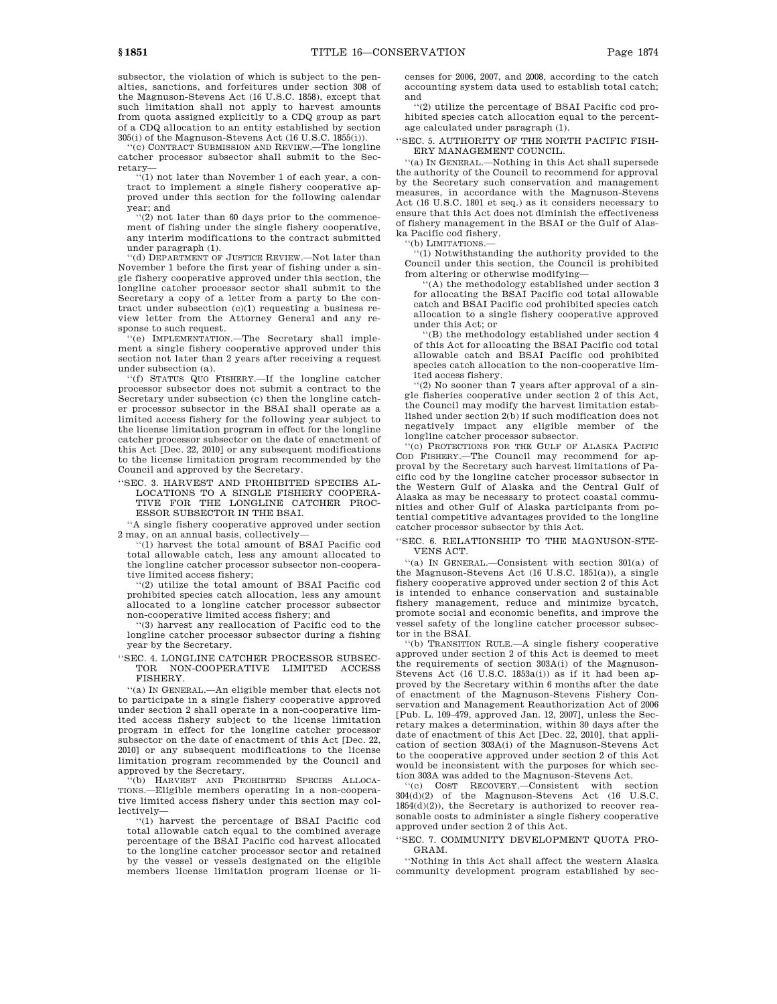subsector, the violation of which is subject to the penalties, sanctions, and forfeitures under section 308 of the Magnuson-Stevens Act (16 U.S.C. 1858), except that such limitation shall not apply to harvest amounts from quota assigned explicitly to a CDQ group as part of a CDQ allocation to an entity established by section 305(i) of the Magnuson-Stevens Act (16 U.S.C. 1855(i)).

'(c) CONTRACT SUBMISSION AND REVIEW.—The longline catcher processor subsector shall submit to the Secretary—

''(1) not later than November 1 of each year, a contract to implement a single fishery cooperative approved under this section for the following calendar year; and

''(2) not later than 60 days prior to the commencement of fishing under the single fishery cooperative, any interim modifications to the contract submitted under paragraph (1).

''(d) DEPARTMENT OF JUSTICE REVIEW.—Not later than November 1 before the first year of fishing under a single fishery cooperative approved under this section, the longline catcher processor sector shall submit to the Secretary a copy of a letter from a party to the contract under subsection (c)(1) requesting a business review letter from the Attorney General and any response to such request.

'(e) IMPLEMENTATION.—The Secretary shall implement a single fishery cooperative approved under this section not later than 2 years after receiving a request under subsection (a).

''(f) STATUS QUO FISHERY.—If the longline catcher processor subsector does not submit a contract to the Secretary under subsection (c) then the longline catcher processor subsector in the BSAI shall operate as a limited access fishery for the following year subject to the license limitation program in effect for the longline catcher processor subsector on the date of enactment of this Act [Dec. 22, 2010] or any subsequent modifications to the license limitation program recommended by the Council and approved by the Secretary.

''SEC. 3. HARVEST AND PROHIBITED SPECIES AL-LOCATIONS TO A SINGLE FISHERY COOPERA-TIVE FOR THE LONGLINE CATCHER PROC-ESSOR SUBSECTOR IN THE BSAI.

''A single fishery cooperative approved under section 2 may, on an annual basis, collectively—

''(1) harvest the total amount of BSAI Pacific cod total allowable catch, less any amount allocated to the longline catcher processor subsector non-cooperative limited access fishery;

''(2) utilize the total amount of BSAI Pacific cod prohibited species catch allocation, less any amount allocated to a longline catcher processor subsector non-cooperative limited access fishery; and

''(3) harvest any reallocation of Pacific cod to the longline catcher processor subsector during a fishing year by the Secretary.

''SEC. 4. LONGLINE CATCHER PROCESSOR SUBSEC-TOR NON-COOPERATIVE LIMITED FISHERY.

''(a) IN GENERAL.—An eligible member that elects not to participate in a single fishery cooperative approved under section 2 shall operate in a non-cooperative limited access fishery subject to the license limitation program in effect for the longline catcher processor subsector on the date of enactment of this Act [Dec. 22, 2010] or any subsequent modifications to the license limitation program recommended by the Council and approved by the Secretary.

(b) HARVEST AND PROHIBITED SPECIES ALLOCA-TIONS.—Eligible members operating in a non-cooperative limited access fishery under this section may collectively—

''(1) harvest the percentage of BSAI Pacific cod total allowable catch equal to the combined average percentage of the BSAI Pacific cod harvest allocated to the longline catcher processor sector and retained by the vessel or vessels designated on the eligible members license limitation program license or licenses for 2006, 2007, and 2008, according to the catch accounting system data used to establish total catch; and

''(2) utilize the percentage of BSAI Pacific cod prohibited species catch allocation equal to the percentage calculated under paragraph (1).

''SEC. 5. AUTHORITY OF THE NORTH PACIFIC FISH-ERY MANAGEMENT COUNCIL.

''(a) IN GENERAL.—Nothing in this Act shall supersede the authority of the Council to recommend for approval by the Secretary such conservation and management measures, in accordance with the Magnuson-Stevens Act (16 U.S.C. 1801 et seq.) as it considers necessary to ensure that this Act does not diminish the effectiveness of fishery management in the BSAI or the Gulf of Alaska Pacific cod fishery.

''(b) LIMITATIONS.—

''(1) Notwithstanding the authority provided to the Council under this section, the Council is prohibited from altering or otherwise modifying—

''(A) the methodology established under section 3 for allocating the BSAI Pacific cod total allowable catch and BSAI Pacific cod prohibited species catch allocation to a single fishery cooperative approved under this Act; or

'(B) the methodology established under section 4 of this Act for allocating the BSAI Pacific cod total allowable catch and BSAI Pacific cod prohibited species catch allocation to the non-cooperative limited access fishery.

''(2) No sooner than 7 years after approval of a single fisheries cooperative under section 2 of this Act, the Council may modify the harvest limitation established under section 2(b) if such modification does not negatively impact any eligible member of the longline catcher processor subsector.

''(c) PROTECTIONS FOR THE GULF OF ALASKA PACIFIC COD FISHERY.—The Council may recommend for approval by the Secretary such harvest limitations of Pacific cod by the longline catcher processor subsector in the Western Gulf of Alaska and the Central Gulf of Alaska as may be necessary to protect coastal communities and other Gulf of Alaska participants from potential competitive advantages provided to the longline catcher processor subsector by this Act.

''SEC. 6. RELATIONSHIP TO THE MAGNUSON-STE-VENS ACT.

''(a) IN GENERAL.—Consistent with section 301(a) of the Magnuson-Stevens Act (16 U.S.C. 1851(a)), a single fishery cooperative approved under section 2 of this Act is intended to enhance conservation and sustainable fishery management, reduce and minimize bycatch, promote social and economic benefits, and improve the vessel safety of the longline catcher processor subsector in the BSAI.

''(b) TRANSITION RULE.—A single fishery cooperative approved under section 2 of this Act is deemed to meet the requirements of section 303A(i) of the Magnuson-Stevens Act (16 U.S.C. 1853a(i)) as if it had been approved by the Secretary within 6 months after the date of enactment of the Magnuson-Stevens Fishery Conservation and Management Reauthorization Act of 2006 [Pub. L. 109–479, approved Jan. 12, 2007], unless the Secretary makes a determination, within 30 days after the date of enactment of this Act [Dec. 22, 2010], that application of section 303A(i) of the Magnuson-Stevens Act to the cooperative approved under section 2 of this Act would be inconsistent with the purposes for which section 303A was added to the Magnuson-Stevens Act.

''(c) COST RECOVERY.—Consistent with section 304(d)(2) of the Magnuson-Stevens Act (16 U.S.C. 1854(d)(2)), the Secretary is authorized to recover reasonable costs to administer a single fishery cooperative approved under section 2 of this Act.

''SEC. 7. COMMUNITY DEVELOPMENT QUOTA PRO-GRAM.

''Nothing in this Act shall affect the western Alaska community development program established by sec-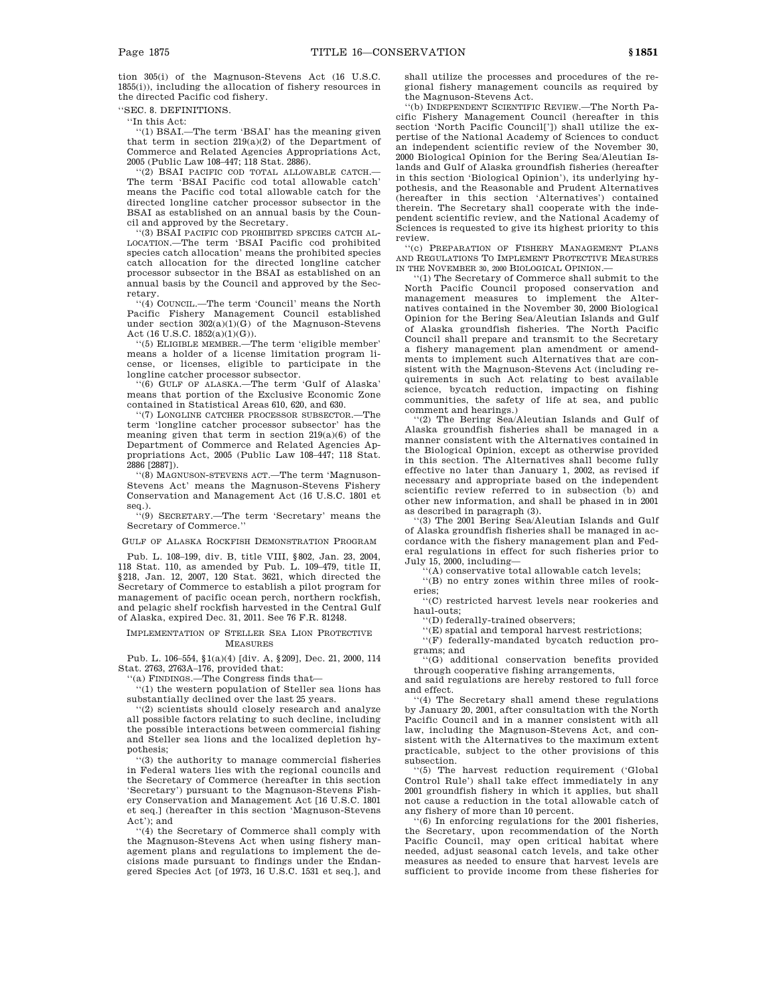tion 305(i) of the Magnuson-Stevens Act (16 U.S.C. 1855(i)), including the allocation of fishery resources in the directed Pacific cod fishery.

''SEC. 8. DEFINITIONS.

''In this Act:

''(1) BSAI.—The term 'BSAI' has the meaning given that term in section 219(a)(2) of the Department of Commerce and Related Agencies Appropriations Act, 2005 (Public Law 108–447; 118 Stat. 2886).

''(2) BSAI PACIFIC COD TOTAL ALLOWABLE CATCH.— The term 'BSAI Pacific cod total allowable catch' means the Pacific cod total allowable catch for the directed longline catcher processor subsector in the BSAI as established on an annual basis by the Council and approved by the Secretary.

''(3) BSAI PACIFIC COD PROHIBITED SPECIES CATCH AL-LOCATION.—The term 'BSAI Pacific cod prohibited species catch allocation' means the prohibited species catch allocation for the directed longline catcher processor subsector in the BSAI as established on an annual basis by the Council and approved by the Secretary.

''(4) COUNCIL.—The term 'Council' means the North Pacific Fishery Management Council established under section  $302(a)(1)(G)$  of the Magnuson-Stevens Act (16 U.S.C.  $1852(a)(1)(G)$ ).

''(5) ELIGIBLE MEMBER.—The term 'eligible member' means a holder of a license limitation program license, or licenses, eligible to participate in the longline catcher processor subsector.

''(6) GULF OF ALASKA.—The term 'Gulf of Alaska' means that portion of the Exclusive Economic Zone contained in Statistical Areas 610, 620, and 630.

''(7) LONGLINE CATCHER PROCESSOR SUBSECTOR.—The term 'longline catcher processor subsector' has the meaning given that term in section  $219(a)(6)$  of the Department of Commerce and Related Agencies Appropriations Act, 2005 (Public Law 108–447; 118 Stat. 2886 [2887]).

'(8) MAGNUSON-STEVENS ACT.—The term 'Magnuson-Stevens Act' means the Magnuson-Stevens Fishery Conservation and Management Act (16 U.S.C. 1801 et seq.).

''(9) SECRETARY.—The term 'Secretary' means the Secretary of Commerce.''

GULF OF ALASKA ROCKFISH DEMONSTRATION PROGRAM

Pub. L. 108–199, div. B, title VIII, §802, Jan. 23, 2004, 118 Stat. 110, as amended by Pub. L. 109–479, title II, §218, Jan. 12, 2007, 120 Stat. 3621, which directed the Secretary of Commerce to establish a pilot program for management of pacific ocean perch, northern rockfish, and pelagic shelf rockfish harvested in the Central Gulf of Alaska, expired Dec. 31, 2011. See 76 F.R. 81248.

### IMPLEMENTATION OF STELLER SEA LION PROTECTIVE MEASURES

Pub. L. 106–554, §1(a)(4) [div. A, §209], Dec. 21, 2000, 114 Stat. 2763, 2763A–176, provided that:

''(a) FINDINGS.—The Congress finds that—

''(1) the western population of Steller sea lions has substantially declined over the last 25 years.

''(2) scientists should closely research and analyze all possible factors relating to such decline, including the possible interactions between commercial fishing and Steller sea lions and the localized depletion hypothesis;

''(3) the authority to manage commercial fisheries in Federal waters lies with the regional councils and the Secretary of Commerce (hereafter in this section 'Secretary') pursuant to the Magnuson-Stevens Fishery Conservation and Management Act [16 U.S.C. 1801 et seq.] (hereafter in this section 'Magnuson-Stevens Act'); and

''(4) the Secretary of Commerce shall comply with the Magnuson-Stevens Act when using fishery management plans and regulations to implement the decisions made pursuant to findings under the Endangered Species Act [of 1973, 16 U.S.C. 1531 et seq.], and shall utilize the processes and procedures of the regional fishery management councils as required by the Magnuson-Stevens Act.

''(b) INDEPENDENT SCIENTIFIC REVIEW.—The North Pacific Fishery Management Council (hereafter in this section 'North Pacific Council[']) shall utilize the expertise of the National Academy of Sciences to conduct an independent scientific review of the November 30, 2000 Biological Opinion for the Bering Sea/Aleutian Islands and Gulf of Alaska groundfish fisheries (hereafter in this section 'Biological Opinion'), its underlying hypothesis, and the Reasonable and Prudent Alternatives (hereafter in this section 'Alternatives') contained therein. The Secretary shall cooperate with the independent scientific review, and the National Academy of Sciences is requested to give its highest priority to this review.

''(c) PREPARATION OF FISHERY MANAGEMENT PLANS AND REGULATIONS TO IMPLEMENT PROTECTIVE MEASURES IN THE NOVEMBER 30, 2000 BIOLOGICAL OPINION.

''(1) The Secretary of Commerce shall submit to the North Pacific Council proposed conservation and management measures to implement the Alternatives contained in the November 30, 2000 Biological Opinion for the Bering Sea/Aleutian Islands and Gulf of Alaska groundfish fisheries. The North Pacific Council shall prepare and transmit to the Secretary a fishery management plan amendment or amendments to implement such Alternatives that are consistent with the Magnuson-Stevens Act (including requirements in such Act relating to best available science, bycatch reduction, impacting on fishing communities, the safety of life at sea, and public comment and hearings.)

''(2) The Bering Sea/Aleutian Islands and Gulf of Alaska groundfish fisheries shall be managed in a manner consistent with the Alternatives contained in the Biological Opinion, except as otherwise provided in this section. The Alternatives shall become fully effective no later than January 1, 2002, as revised if necessary and appropriate based on the independent scientific review referred to in subsection (b) and other new information, and shall be phased in in 2001 as described in paragraph (3).

''(3) The 2001 Bering Sea/Aleutian Islands and Gulf of Alaska groundfish fisheries shall be managed in accordance with the fishery management plan and Federal regulations in effect for such fisheries prior to July 15, 2000, including—

''(A) conservative total allowable catch levels;

''(B) no entry zones within three miles of rook-

eries; ''(C) restricted harvest levels near rookeries and haul-outs;

''(D) federally-trained observers;

''(E) spatial and temporal harvest restrictions;

''(F) federally-mandated bycatch reduction programs; and

''(G) additional conservation benefits provided through cooperative fishing arrangements,

and said regulations are hereby restored to full force and effect.

''(4) The Secretary shall amend these regulations by January 20, 2001, after consultation with the North Pacific Council and in a manner consistent with all law, including the Magnuson-Stevens Act, and consistent with the Alternatives to the maximum extent practicable, subject to the other provisions of this subsection.

''(5) The harvest reduction requirement ('Global Control Rule') shall take effect immediately in any 2001 groundfish fishery in which it applies, but shall not cause a reduction in the total allowable catch of any fishery of more than 10 percent.

''(6) In enforcing regulations for the 2001 fisheries, the Secretary, upon recommendation of the North Pacific Council, may open critical habitat where needed, adjust seasonal catch levels, and take other measures as needed to ensure that harvest levels are sufficient to provide income from these fisheries for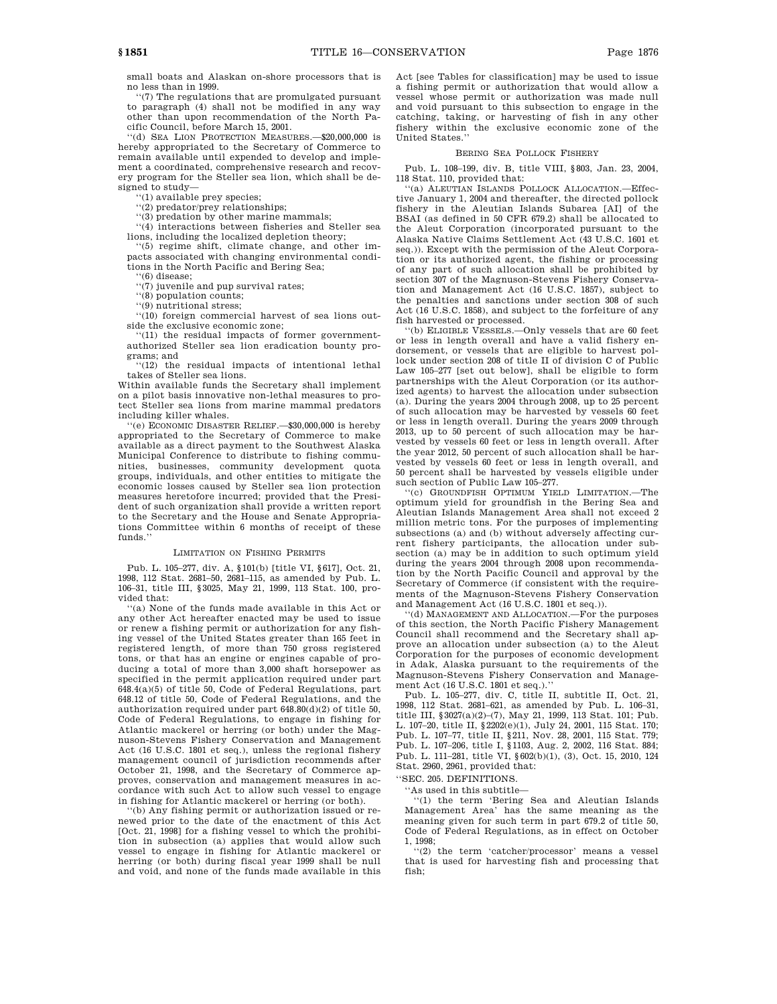$(7)$  The regulations that are promulgated pursuant to paragraph (4) shall not be modified in any way other than upon recommendation of the North Pacific Council, before March 15, 2001.

''(d) SEA LION PROTECTION MEASURES.—\$20,000,000 is hereby appropriated to the Secretary of Commerce to remain available until expended to develop and implement a coordinated, comprehensive research and recovery program for the Steller sea lion, which shall be designed to study—

''(1) available prey species;

''(2) predator/prey relationships;

''(3) predation by other marine mammals;

''(4) interactions between fisheries and Steller sea lions, including the localized depletion theory;

''(5) regime shift, climate change, and other impacts associated with changing environmental conditions in the North Pacific and Bering Sea;

''(6) disease;

''(7) juvenile and pup survival rates;

''(8) population counts;

''(9) nutritional stress;

''(10) foreign commercial harvest of sea lions outside the exclusive economic zone;

''(11) the residual impacts of former governmentauthorized Steller sea lion eradication bounty programs; and

''(12) the residual impacts of intentional lethal takes of Steller sea lions.

Within available funds the Secretary shall implement on a pilot basis innovative non-lethal measures to protect Steller sea lions from marine mammal predators including killer whales.

''(e) ECONOMIC DISASTER RELIEF.—\$30,000,000 is hereby appropriated to the Secretary of Commerce to make available as a direct payment to the Southwest Alaska Municipal Conference to distribute to fishing communities, businesses, community development quota groups, individuals, and other entities to mitigate the economic losses caused by Steller sea lion protection measures heretofore incurred; provided that the President of such organization shall provide a written report to the Secretary and the House and Senate Appropriations Committee within 6 months of receipt of these funds.''

### LIMITATION ON FISHING PERMITS

Pub. L. 105–277, div. A, §101(b) [title VI, §617], Oct. 21, 1998, 112 Stat. 2681–50, 2681–115, as amended by Pub. L. 106–31, title III, §3025, May 21, 1999, 113 Stat. 100, provided that:

''(a) None of the funds made available in this Act or any other Act hereafter enacted may be used to issue or renew a fishing permit or authorization for any fishing vessel of the United States greater than 165 feet in registered length, of more than 750 gross registered tons, or that has an engine or engines capable of producing a total of more than 3,000 shaft horsepower as specified in the permit application required under part 648.4(a)(5) of title 50, Code of Federal Regulations, part 648.12 of title 50, Code of Federal Regulations, and the authorization required under part 648.80(d)(2) of title 50, Code of Federal Regulations, to engage in fishing for Atlantic mackerel or herring (or both) under the Magnuson-Stevens Fishery Conservation and Management Act (16 U.S.C. 1801 et seq.), unless the regional fishery management council of jurisdiction recommends after October 21, 1998, and the Secretary of Commerce approves, conservation and management measures in accordance with such Act to allow such vessel to engage in fishing for Atlantic mackerel or herring (or both).

'(b) Any fishing permit or authorization issued or renewed prior to the date of the enactment of this Act [Oct. 21, 1998] for a fishing vessel to which the prohibition in subsection (a) applies that would allow such vessel to engage in fishing for Atlantic mackerel or herring (or both) during fiscal year 1999 shall be null and void, and none of the funds made available in this Act [see Tables for classification] may be used to issue a fishing permit or authorization that would allow a vessel whose permit or authorization was made null and void pursuant to this subsection to engage in the catching, taking, or harvesting of fish in any other fishery within the exclusive economic zone of the United States.''

### BERING SEA POLLOCK FISHERY

Pub. L. 108–199, div. B, title VIII, §803, Jan. 23, 2004, 118 Stat. 110, provided that:

''(a) ALEUTIAN ISLANDS POLLOCK ALLOCATION.—Effective January 1, 2004 and thereafter, the directed pollock fishery in the Aleutian Islands Subarea [AI] of the BSAI (as defined in 50 CFR 679.2) shall be allocated to the Aleut Corporation (incorporated pursuant to the Alaska Native Claims Settlement Act (43 U.S.C. 1601 et seq.)). Except with the permission of the Aleut Corporation or its authorized agent, the fishing or processing of any part of such allocation shall be prohibited by section 307 of the Magnuson-Stevens Fishery Conservation and Management Act (16 U.S.C. 1857), subject to the penalties and sanctions under section 308 of such Act (16 U.S.C. 1858), and subject to the forfeiture of any fish harvested or processed.

''(b) ELIGIBLE VESSELS.—Only vessels that are 60 feet or less in length overall and have a valid fishery endorsement, or vessels that are eligible to harvest pollock under section 208 of title II of division C of Public Law 105–277 [set out below], shall be eligible to form partnerships with the Aleut Corporation (or its authorized agents) to harvest the allocation under subsection (a). During the years 2004 through 2008, up to 25 percent of such allocation may be harvested by vessels 60 feet or less in length overall. During the years 2009 through 2013, up to 50 percent of such allocation may be harvested by vessels 60 feet or less in length overall. After the year 2012, 50 percent of such allocation shall be harvested by vessels 60 feet or less in length overall, and 50 percent shall be harvested by vessels eligible under such section of Public Law 105–277.

''(c) GROUNDFISH OPTIMUM YIELD LIMITATION.—The optimum yield for groundfish in the Bering Sea and Aleutian Islands Management Area shall not exceed 2 million metric tons. For the purposes of implementing subsections (a) and (b) without adversely affecting current fishery participants, the allocation under subsection (a) may be in addition to such optimum yield during the years 2004 through 2008 upon recommendation by the North Pacific Council and approval by the Secretary of Commerce (if consistent with the requirements of the Magnuson-Stevens Fishery Conservation and Management Act (16 U.S.C. 1801 et seq.)).

'(d) MANAGEMENT AND ALLOCATION.—For the purposes of this section, the North Pacific Fishery Management Council shall recommend and the Secretary shall approve an allocation under subsection (a) to the Aleut Corporation for the purposes of economic development in Adak, Alaska pursuant to the requirements of the Magnuson-Stevens Fishery Conservation and Management Act (16 U.S.C. 1801 et seq.).''

Pub. L. 105–277, div. C, title II, subtitle II, Oct. 21, 1998, 112 Stat. 2681–621, as amended by Pub. L. 106–31, title III, §3027(a)(2)–(7), May 21, 1999, 113 Stat. 101; Pub. L. 107–20, title II, §2202(e)(1), July 24, 2001, 115 Stat. 170; Pub. L. 107–77, title II, §211, Nov. 28, 2001, 115 Stat. 779; Pub. L. 107–206, title I, §1103, Aug. 2, 2002, 116 Stat. 884; Pub. L. 111–281, title VI, §602(b)(1), (3), Oct. 15, 2010, 124 Stat. 2960, 2961, provided that:

''SEC. 205. DEFINITIONS.

''As used in this subtitle—

''(1) the term 'Bering Sea and Aleutian Islands Management Area' has the same meaning as the meaning given for such term in part 679.2 of title 50, Code of Federal Regulations, as in effect on October 1, 1998;

''(2) the term 'catcher/processor' means a vessel that is used for harvesting fish and processing that fish;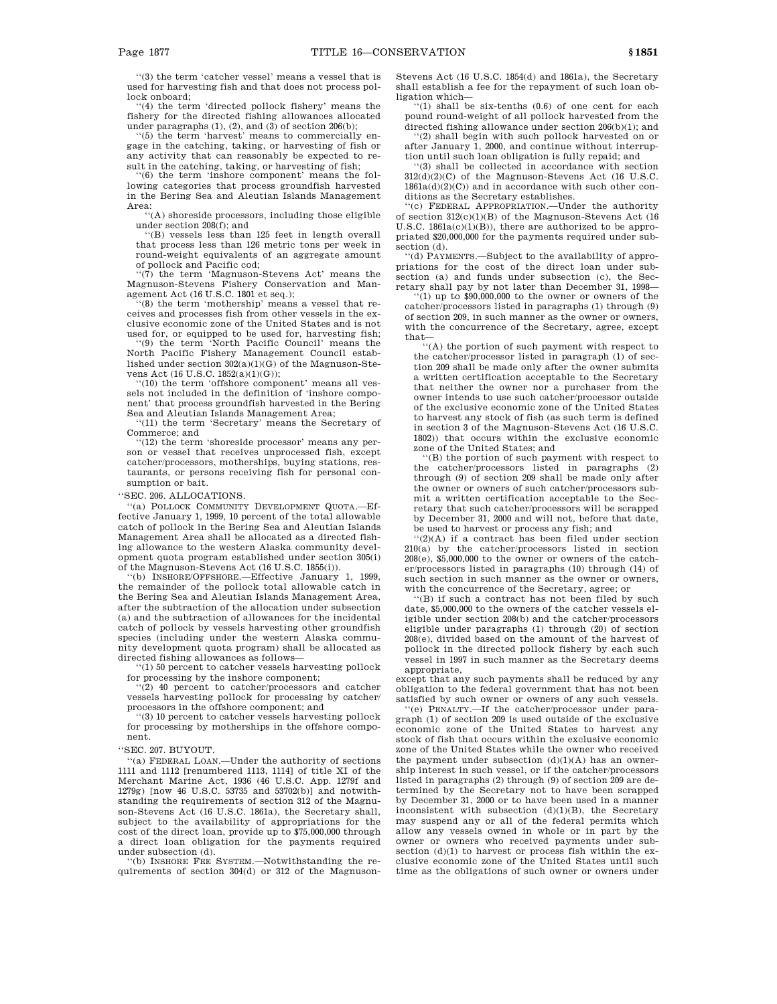''(3) the term 'catcher vessel' means a vessel that is used for harvesting fish and that does not process pollock onboard;

''(4) the term 'directed pollock fishery' means the fishery for the directed fishing allowances allocated under paragraphs  $(1)$ ,  $(2)$ , and  $(3)$  of section  $206(b)$ ;

''(5) the term 'harvest' means to commercially engage in the catching, taking, or harvesting of fish or any activity that can reasonably be expected to result in the catching, taking, or harvesting of fish;

 $(6)$  the term 'inshore component' means the following categories that process groundfish harvested in the Bering Sea and Aleutian Islands Management Area:

'(A) shoreside processors, including those eligible under section 208(f); and

''(B) vessels less than 125 feet in length overall that process less than 126 metric tons per week in round-weight equivalents of an aggregate amount of pollock and Pacific cod;

'(7) the term 'Magnuson-Stevens Act' means the Magnuson-Stevens Fishery Conservation and Management Act (16 U.S.C. 1801 et seq.);

''(8) the term 'mothership' means a vessel that receives and processes fish from other vessels in the exclusive economic zone of the United States and is not used for, or equipped to be used for, harvesting fish; ''(9) the term 'North Pacific Council' means the

North Pacific Fishery Management Council established under section 302(a)(1)(G) of the Magnuson-Stevens Act (16 U.S.C. 1852(a)(1)(G));

'(10) the term 'offshore component' means all vessels not included in the definition of 'inshore component' that process groundfish harvested in the Bering Sea and Aleutian Islands Management Area;

''(11) the term 'Secretary' means the Secretary of Commerce; and

''(12) the term 'shoreside processor' means any person or vessel that receives unprocessed fish, except catcher/processors, motherships, buying stations, restaurants, or persons receiving fish for personal consumption or bait.

''SEC. 206. ALLOCATIONS.

''(a) POLLOCK COMMUNITY DEVELOPMENT QUOTA.—Effective January 1, 1999, 10 percent of the total allowable catch of pollock in the Bering Sea and Aleutian Islands Management Area shall be allocated as a directed fishing allowance to the western Alaska community development quota program established under section 305(i) of the Magnuson-Stevens Act (16 U.S.C. 1855(i)).

''(b) INSHORE/OFFSHORE.—Effective January 1, 1999, the remainder of the pollock total allowable catch in the Bering Sea and Aleutian Islands Management Area, after the subtraction of the allocation under subsection (a) and the subtraction of allowances for the incidental catch of pollock by vessels harvesting other groundfish species (including under the western Alaska community development quota program) shall be allocated as directed fishing allowances as follows—

''(1) 50 percent to catcher vessels harvesting pollock

for processing by the inshore component;<br>"(2) 40 percent to catcher/processors and catcher vessels harvesting pollock for processing by catcher/ processors in the offshore component; and

''(3) 10 percent to catcher vessels harvesting pollock for processing by motherships in the offshore component.

''SEC. 207. BUYOUT.

''(a) FEDERAL LOAN.—Under the authority of sections 1111 and 1112 [renumbered 1113, 1114] of title XI of the Merchant Marine Act, 1936 (46 U.S.C. App. 1279f and 1279g) [now 46 U.S.C. 53735 and 53702(b)] and notwithstanding the requirements of section 312 of the Magnuson-Stevens Act (16 U.S.C. 1861a), the Secretary shall, subject to the availability of appropriations for the cost of the direct loan, provide up to \$75,000,000 through a direct loan obligation for the payments required

under subsection (d). ''(b) INSHORE FEE SYSTEM.—Notwithstanding the requirements of section 304(d) or 312 of the MagnusonStevens Act (16 U.S.C. 1854(d) and 1861a), the Secretary shall establish a fee for the repayment of such loan obligation which—

''(1) shall be six-tenths (0.6) of one cent for each pound round-weight of all pollock harvested from the directed fishing allowance under section 206(b)(1); and

''(2) shall begin with such pollock harvested on or after January 1, 2000, and continue without interruption until such loan obligation is fully repaid; and

''(3) shall be collected in accordance with section 312(d)(2)(C) of the Magnuson-Stevens Act (16 U.S.C.  $1861a(d)(2)(C)$  and in accordance with such other conditions as the Secretary establishes.

''(c) FEDERAL APPROPRIATION.—Under the authority of section 312(c)(1)(B) of the Magnuson-Stevens Act (16 U.S.C. 1861a(c)(1)(B)), there are authorized to be appropriated \$20,000,000 for the payments required under subsection (d).

''(d) PAYMENTS.—Subject to the availability of appropriations for the cost of the direct loan under subsection (a) and funds under subsection (c), the Secretary shall pay by not later than December 31, 1998—

''(1) up to \$90,000,000 to the owner or owners of the catcher/processors listed in paragraphs (1) through (9) of section 209, in such manner as the owner or owners, with the concurrence of the Secretary, agree, except that—

''(A) the portion of such payment with respect to the catcher/processor listed in paragraph (1) of section 209 shall be made only after the owner submits a written certification acceptable to the Secretary that neither the owner nor a purchaser from the owner intends to use such catcher/processor outside of the exclusive economic zone of the United States to harvest any stock of fish (as such term is defined in section 3 of the Magnuson-Stevens Act (16 U.S.C. 1802)) that occurs within the exclusive economic zone of the United States; and

''(B) the portion of such payment with respect to the catcher/processors listed in paragraphs (2) through (9) of section 209 shall be made only after the owner or owners of such catcher/processors submit a written certification acceptable to the Secretary that such catcher/processors will be scrapped by December 31, 2000 and will not, before that date, be used to harvest or process any fish; and

''(2)(A) if a contract has been filed under section 210(a) by the catcher/processors listed in section 208(e), \$5,000,000 to the owner or owners of the catcher/processors listed in paragraphs (10) through (14) of such section in such manner as the owner or owners, with the concurrence of the Secretary, agree; or

''(B) if such a contract has not been filed by such date, \$5,000,000 to the owners of the catcher vessels eligible under section 208(b) and the catcher/processors eligible under paragraphs (1) through (20) of section 208(e), divided based on the amount of the harvest of pollock in the directed pollock fishery by each such vessel in 1997 in such manner as the Secretary deems appropriate,

except that any such payments shall be reduced by any obligation to the federal government that has not been satisfied by such owner or owners of any such vessels.

''(e) PENALTY.—If the catcher/processor under paragraph (1) of section 209 is used outside of the exclusive economic zone of the United States to harvest any stock of fish that occurs within the exclusive economic zone of the United States while the owner who received the payment under subsection  $(d)(1)(A)$  has an ownership interest in such vessel, or if the catcher/processors listed in paragraphs (2) through (9) of section 209 are determined by the Secretary not to have been scrapped by December 31, 2000 or to have been used in a manner inconsistent with subsection (d)(1)(B), the Secretary may suspend any or all of the federal permits which allow any vessels owned in whole or in part by the owner or owners who received payments under subsection (d)(1) to harvest or process fish within the exclusive economic zone of the United States until such time as the obligations of such owner or owners under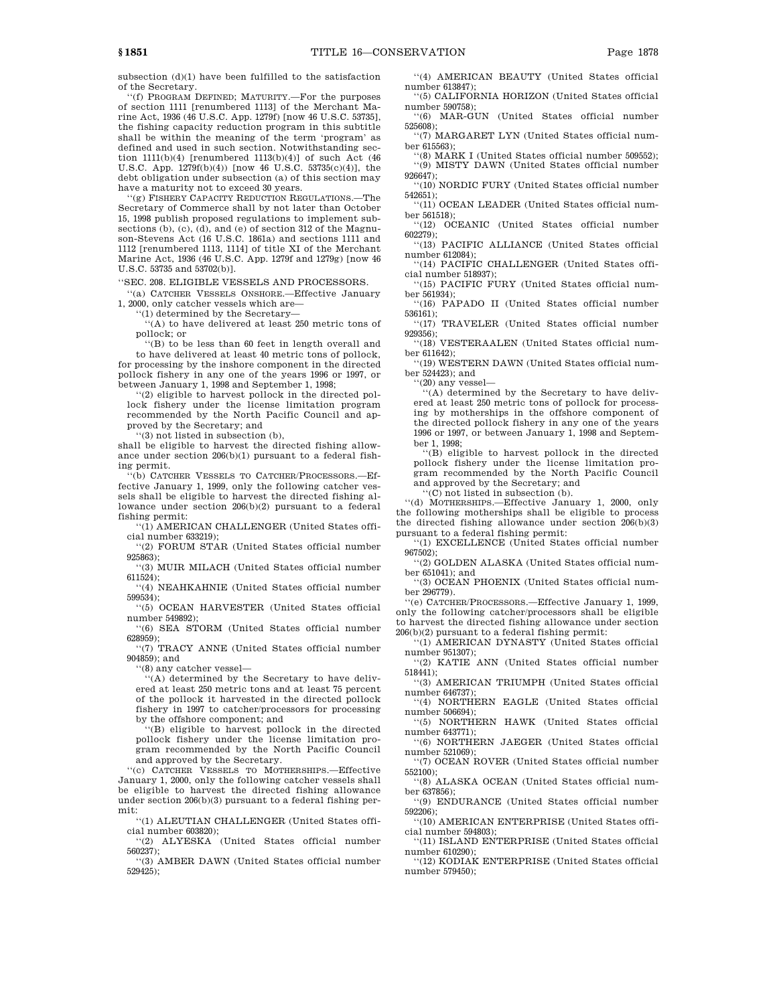subsection (d)(1) have been fulfilled to the satisfaction of the Secretary.

''(f) PROGRAM DEFINED; MATURITY.—For the purposes of section 1111 [renumbered 1113] of the Merchant Marine Act, 1936 (46 U.S.C. App. 1279f) [now 46 U.S.C. 53735], the fishing capacity reduction program in this subtitle shall be within the meaning of the term 'program' as defined and used in such section. Notwithstanding section  $1111(b)(4)$  [renumbered  $1113(b)(4)$ ] of such Act (46 U.S.C. App. 1279f(b)(4)) [now 46 U.S.C. 53735(c)(4)], the debt obligation under subsection (a) of this section may have a maturity not to exceed 30 years.

''(g) FISHERY CAPACITY REDUCTION REGULATIONS.—The Secretary of Commerce shall by not later than October 15, 1998 publish proposed regulations to implement subsections (b), (c), (d), and (e) of section 312 of the Magnuson-Stevens Act (16 U.S.C. 1861a) and sections 1111 and 1112 [renumbered 1113, 1114] of title XI of the Merchant Marine Act, 1936 (46 U.S.C. App. 1279f and 1279g) [now 46 U.S.C. 53735 and 53702(b)].

''SEC. 208. ELIGIBLE VESSELS AND PROCESSORS.

''(a) CATCHER VESSELS ONSHORE.—Effective January 1, 2000, only catcher vessels which are—

''(1) determined by the Secretary—

''(A) to have delivered at least 250 metric tons of pollock; or

''(B) to be less than 60 feet in length overall and to have delivered at least 40 metric tons of pollock, for processing by the inshore component in the directed pollock fishery in any one of the years 1996 or 1997, or between January 1, 1998 and September 1, 1998;

'(2) eligible to harvest pollock in the directed pollock fishery under the license limitation program recommended by the North Pacific Council and approved by the Secretary; and

(3) not listed in subsection (b),

shall be eligible to harvest the directed fishing allowance under section 206(b)(1) pursuant to a federal fishing permit.

''(b) CATCHER VESSELS TO CATCHER/PROCESSORS.—Effective January 1, 1999, only the following catcher vessels shall be eligible to harvest the directed fishing allowance under section 206(b)(2) pursuant to a federal fishing permit:

''(1) AMERICAN CHALLENGER (United States official number 633219);

''(2) FORUM STAR (United States official number  $925863$ 

''(3) MUIR MILACH (United States official number 611524);

''(4) NEAHKAHNIE (United States official number 599534);

''(5) OCEAN HARVESTER (United States official number 549892);

''(6) SEA STORM (United States official number 628959);

''(7) TRACY ANNE (United States official number 904859); and

''(8) any catcher vessel—

''(A) determined by the Secretary to have delivered at least 250 metric tons and at least 75 percent of the pollock it harvested in the directed pollock fishery in 1997 to catcher/processors for processing by the offshore component; and

'(B) eligible to harvest pollock in the directed pollock fishery under the license limitation program recommended by the North Pacific Council and approved by the Secretary.

''(c) CATCHER VESSELS TO MOTHERSHIPS.—Effective January 1, 2000, only the following catcher vessels shall be eligible to harvest the directed fishing allowance under section 206(b)(3) pursuant to a federal fishing permit:

''(1) ALEUTIAN CHALLENGER (United States official number 603820);

''(2) ALYESKA (United States official number 560237);

''(3) AMBER DAWN (United States official number 529425);

''(4) AMERICAN BEAUTY (United States official number 613847); ''(5) CALIFORNIA HORIZON (United States official

number 590758); ''(6) MAR-GUN (United States official number

525608); ''(7) MARGARET LYN (United States official number 615563);

''(8) MARK I (United States official number 509552); ''(9) MISTY DAWN (United States official number 926647);

''(10) NORDIC FURY (United States official number 542651);

''(11) OCEAN LEADER (United States official number 561518);

''(12) OCEANIC (United States official number 602279);

''(13) PACIFIC ALLIANCE (United States official number 612084)

''(14) PACIFIC CHALLENGER (United States official number 518937);

''(15) PACIFIC FURY (United States official number 561934);

''(16) PAPADO II (United States official number 536161);

''(17) TRAVELER (United States official number 929356);

''(18) VESTERAALEN (United States official number 611642);

''(19) WESTERN DAWN (United States official number 524423); and

 $'(20)$  any vessel—

''(A) determined by the Secretary to have delivered at least 250 metric tons of pollock for processing by motherships in the offshore component of the directed pollock fishery in any one of the years 1996 or 1997, or between January 1, 1998 and September 1, 1998;

''(B) eligible to harvest pollock in the directed pollock fishery under the license limitation program recommended by the North Pacific Council and approved by the Secretary; and

''(C) not listed in subsection (b).

''(d) MOTHERSHIPS.—Effective January 1, 2000, only the following motherships shall be eligible to process the directed fishing allowance under section 206(b)(3) pursuant to a federal fishing permit:

''(1) EXCELLENCE (United States official number 967502);

''(2) GOLDEN ALASKA (United States official number 651041); and

''(3) OCEAN PHOENIX (United States official number 296779).

''(e) CATCHER/PROCESSORS.—Effective January 1, 1999, only the following catcher/processors shall be eligible to harvest the directed fishing allowance under section 206(b)(2) pursuant to a federal fishing permit:

''(1) AMERICAN DYNASTY (United States official number 951307);

''(2) KATIE ANN (United States official number 518441); ''(3) AMERICAN TRIUMPH (United States official

number 646737); ''(4) NORTHERN EAGLE (United States official

number 506694); ''(5) NORTHERN HAWK (United States official

number 643771); ''(6) NORTHERN JAEGER (United States official number 521069);

''(7) OCEAN ROVER (United States official number 552100);

''(8) ALASKA OCEAN (United States official number 637856);

''(9) ENDURANCE (United States official number 592206);

''(10) AMERICAN ENTERPRISE (United States official number 594803);

''(11) ISLAND ENTERPRISE (United States official number 610290);

''(12) KODIAK ENTERPRISE (United States official number 579450);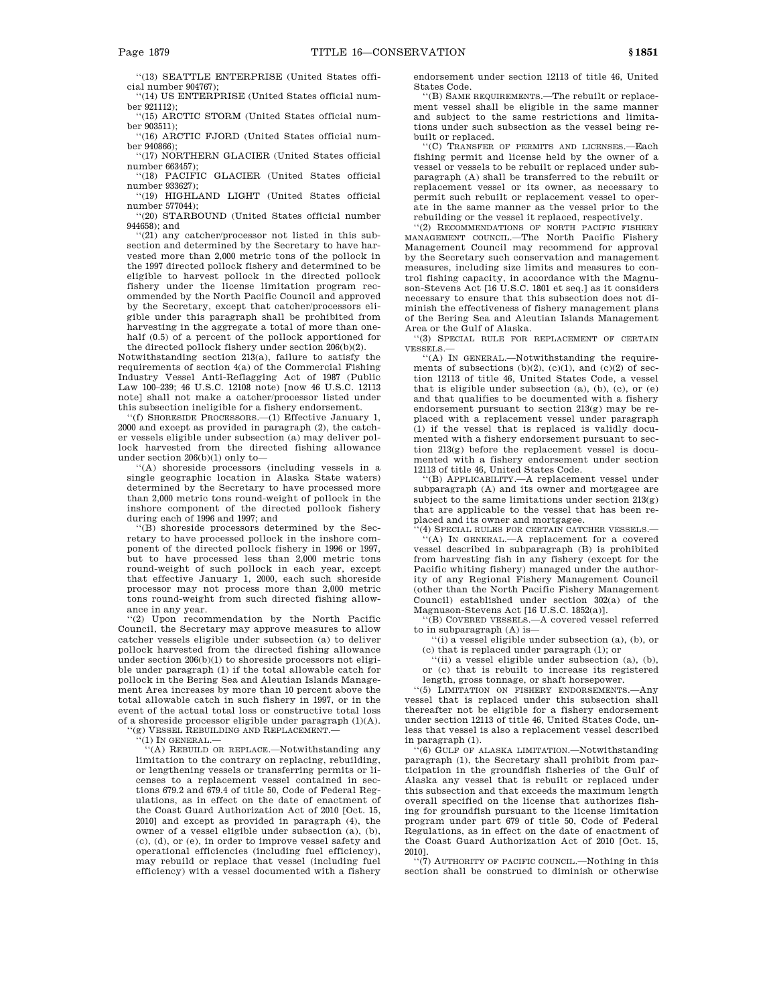''(13) SEATTLE ENTERPRISE (United States official number 904767);

''(14) US ENTERPRISE (United States official number 921112);

''(15) ARCTIC STORM (United States official number 903511);

''(16) ARCTIC FJORD (United States official number 940866);

''(17) NORTHERN GLACIER (United States official number 663457);

''(18) PACIFIC GLACIER (United States official number 933627);

'(19) HIGHLAND LIGHT (United States official number 577044);

''(20) STARBOUND (United States official number 944658); and

''(21) any catcher/processor not listed in this subsection and determined by the Secretary to have harvested more than 2,000 metric tons of the pollock in the 1997 directed pollock fishery and determined to be eligible to harvest pollock in the directed pollock fishery under the license limitation program recommended by the North Pacific Council and approved by the Secretary, except that catcher/processors eligible under this paragraph shall be prohibited from harvesting in the aggregate a total of more than onehalf (0.5) of a percent of the pollock apportioned for the directed pollock fishery under section 206(b)(2).

Notwithstanding section 213(a), failure to satisfy the requirements of section 4(a) of the Commercial Fishing Industry Vessel Anti-Reflagging Act of 1987 (Public Law 100–239; 46 U.S.C. 12108 note) [now 46 U.S.C. 12113 note] shall not make a catcher/processor listed under this subsection ineligible for a fishery endorsement.

''(f) SHORESIDE PROCESSORS.—(1) Effective January 1, 2000 and except as provided in paragraph (2), the catcher vessels eligible under subsection (a) may deliver pollock harvested from the directed fishing allowance under section 206(b)(1) only to—

''(A) shoreside processors (including vessels in a single geographic location in Alaska State waters) determined by the Secretary to have processed more than 2,000 metric tons round-weight of pollock in the inshore component of the directed pollock fishery during each of 1996 and 1997; and

''(B) shoreside processors determined by the Secretary to have processed pollock in the inshore component of the directed pollock fishery in 1996 or 1997, but to have processed less than 2,000 metric tons round-weight of such pollock in each year, except that effective January 1, 2000, each such shoreside processor may not process more than 2,000 metric tons round-weight from such directed fishing allowance in any year.

''(2) Upon recommendation by the North Pacific Council, the Secretary may approve measures to allow catcher vessels eligible under subsection (a) to deliver pollock harvested from the directed fishing allowance under section 206(b)(1) to shoreside processors not eligible under paragraph (1) if the total allowable catch for pollock in the Bering Sea and Aleutian Islands Management Area increases by more than 10 percent above the total allowable catch in such fishery in 1997, or in the event of the actual total loss or constructive total loss of a shoreside processor eligible under paragraph (1)(A). '(g) VESSEL REBUILDING AND REPLACEMENT.

 $'(1)$  IN GENERAL.-

'(A) REBUILD OR REPLACE.—Notwithstanding any limitation to the contrary on replacing, rebuilding, or lengthening vessels or transferring permits or licenses to a replacement vessel contained in sections 679.2 and 679.4 of title 50, Code of Federal Regulations, as in effect on the date of enactment of the Coast Guard Authorization Act of 2010 [Oct. 15, 2010] and except as provided in paragraph (4), the owner of a vessel eligible under subsection (a), (b), (c), (d), or (e), in order to improve vessel safety and operational efficiencies (including fuel efficiency), may rebuild or replace that vessel (including fuel efficiency) with a vessel documented with a fishery endorsement under section 12113 of title 46, United States Code.

''(B) SAME REQUIREMENTS.—The rebuilt or replacement vessel shall be eligible in the same manner and subject to the same restrictions and limitations under such subsection as the vessel being rebuilt or replaced.

''(C) TRANSFER OF PERMITS AND LICENSES.—Each fishing permit and license held by the owner of a vessel or vessels to be rebuilt or replaced under subparagraph (A) shall be transferred to the rebuilt or replacement vessel or its owner, as necessary to permit such rebuilt or replacement vessel to operate in the same manner as the vessel prior to the rebuilding or the vessel it replaced, respectively.

''(2) RECOMMENDATIONS OF NORTH PACIFIC FISHERY MANAGEMENT COUNCIL.—The North Pacific Fishery Management Council may recommend for approval by the Secretary such conservation and management measures, including size limits and measures to control fishing capacity, in accordance with the Magnuson-Stevens Act [16 U.S.C. 1801 et seq.] as it considers necessary to ensure that this subsection does not diminish the effectiveness of fishery management plans of the Bering Sea and Aleutian Islands Management Area or the Gulf of Alaska.

''(3) SPECIAL RULE FOR REPLACEMENT OF CERTAIN VESSELS.—

''(A) IN GENERAL.—Notwithstanding the requirements of subsections  $(b)(2)$ ,  $(c)(1)$ , and  $(c)(2)$  of section 12113 of title 46, United States Code, a vessel that is eligible under subsection (a), (b),  $(c)$ , or  $(e)$ and that qualifies to be documented with a fishery endorsement pursuant to section 213(g) may be replaced with a replacement vessel under paragraph (1) if the vessel that is replaced is validly documented with a fishery endorsement pursuant to section 213(g) before the replacement vessel is documented with a fishery endorsement under section 12113 of title 46, United States Code.

''(B) APPLICABILITY.—A replacement vessel under subparagraph (A) and its owner and mortgagee are subject to the same limitations under section  $213(e)$ that are applicable to the vessel that has been replaced and its owner and mortgagee.

(4) SPECIAL RULES FOR CERTAIN CATCHER VESSELS. ''(A) IN GENERAL.—A replacement for a covered vessel described in subparagraph (B) is prohibited from harvesting fish in any fishery (except for the Pacific whiting fishery) managed under the authority of any Regional Fishery Management Council (other than the North Pacific Fishery Management Council) established under section 302(a) of the Magnuson-Stevens Act [16 U.S.C. 1852(a)].

''(B) COVERED VESSELS.—A covered vessel referred to in subparagraph (A) is—

''(i) a vessel eligible under subsection (a), (b), or (c) that is replaced under paragraph (1); or

''(ii) a vessel eligible under subsection (a), (b),

or (c) that is rebuilt to increase its registered length, gross tonnage, or shaft horsepower.

''(5) LIMITATION ON FISHERY ENDORSEMENTS.—Any vessel that is replaced under this subsection shall thereafter not be eligible for a fishery endorsement under section 12113 of title 46, United States Code, unless that vessel is also a replacement vessel described in paragraph (1).

''(6) GULF OF ALASKA LIMITATION.—Notwithstanding paragraph (1), the Secretary shall prohibit from participation in the groundfish fisheries of the Gulf of Alaska any vessel that is rebuilt or replaced under this subsection and that exceeds the maximum length overall specified on the license that authorizes fishing for groundfish pursuant to the license limitation program under part 679 of title 50, Code of Federal Regulations, as in effect on the date of enactment of the Coast Guard Authorization Act of 2010 [Oct. 15, 2010].

''(7) AUTHORITY OF PACIFIC COUNCIL.—Nothing in this section shall be construed to diminish or otherwise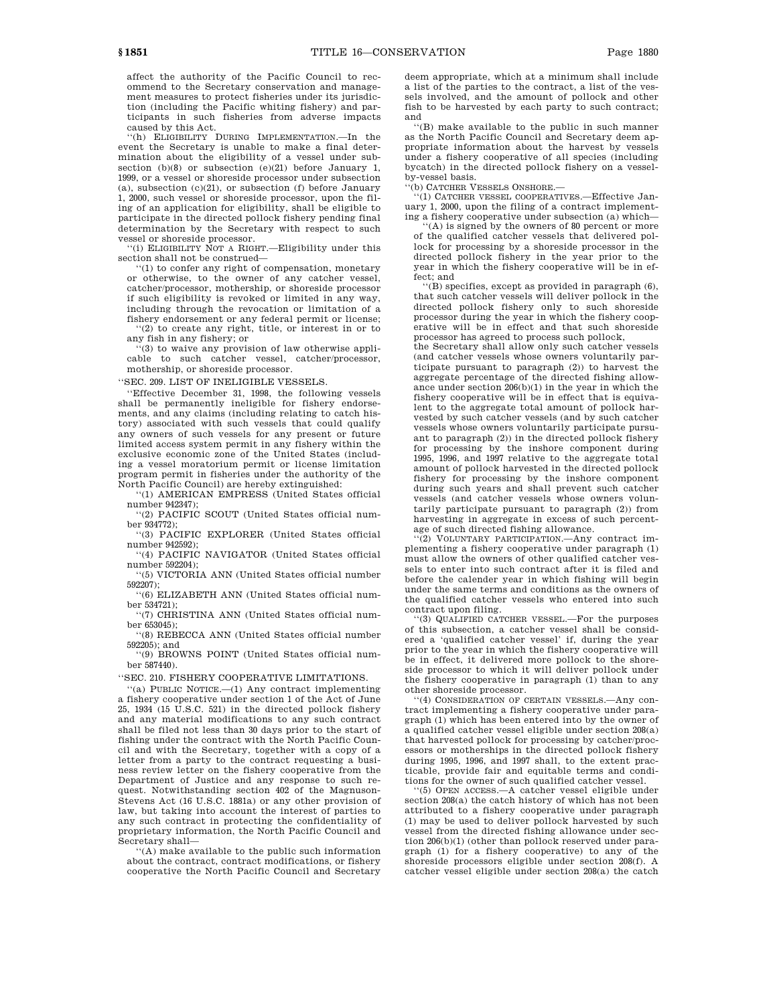affect the authority of the Pacific Council to recommend to the Secretary conservation and management measures to protect fisheries under its jurisdiction (including the Pacific whiting fishery) and participants in such fisheries from adverse impacts caused by this Act.

''(h) ELIGIBILITY DURING IMPLEMENTATION.—In the event the Secretary is unable to make a final determination about the eligibility of a vessel under subsection (b)(8) or subsection (e)(21) before January 1, 1999, or a vessel or shoreside processor under subsection (a), subsection (c)(21), or subsection (f) before January 1, 2000, such vessel or shoreside processor, upon the filing of an application for eligibility, shall be eligible to participate in the directed pollock fishery pending final determination by the Secretary with respect to such vessel or shoreside processor.

''(i) ELIGIBILITY NOT A RIGHT.—Eligibility under this section shall not be construed—

 $(1)$  to confer any right of compensation, monetary or otherwise, to the owner of any catcher vessel, catcher/processor, mothership, or shoreside processor if such eligibility is revoked or limited in any way, including through the revocation or limitation of a fishery endorsement or any federal permit or license;

''(2) to create any right, title, or interest in or to any fish in any fishery; or

 $(3)$  to waive any provision of law otherwise applicable to such catcher vessel, catcher/processor, mothership, or shoreside processor.

''SEC. 209. LIST OF INELIGIBLE VESSELS.

''Effective December 31, 1998, the following vessels shall be permanently ineligible for fishery endorsements, and any claims (including relating to catch history) associated with such vessels that could qualify any owners of such vessels for any present or future limited access system permit in any fishery within the exclusive economic zone of the United States (including a vessel moratorium permit or license limitation program permit in fisheries under the authority of the North Pacific Council) are hereby extinguished:

''(1) AMERICAN EMPRESS (United States official number 942347);

''(2) PACIFIC SCOUT (United States official number 934772);

''(3) PACIFIC EXPLORER (United States official number 942592);

''(4) PACIFIC NAVIGATOR (United States official number 592204);

''(5) VICTORIA ANN (United States official number 592207);

''(6) ELIZABETH ANN (United States official number 534721);

''(7) CHRISTINA ANN (United States official number 653045);

''(8) REBECCA ANN (United States official number 592205); and

''(9) BROWNS POINT (United States official number 587440).

''SEC. 210. FISHERY COOPERATIVE LIMITATIONS.

''(a) PUBLIC NOTICE.—(1) Any contract implementing a fishery cooperative under section 1 of the Act of June 25, 1934 (15 U.S.C. 521) in the directed pollock fishery and any material modifications to any such contract shall be filed not less than 30 days prior to the start of fishing under the contract with the North Pacific Council and with the Secretary, together with a copy of a letter from a party to the contract requesting a business review letter on the fishery cooperative from the Department of Justice and any response to such request. Notwithstanding section 402 of the Magnuson-Stevens Act (16 U.S.C. 1881a) or any other provision of law, but taking into account the interest of parties to any such contract in protecting the confidentiality of proprietary information, the North Pacific Council and Secretary shall—

'(A) make available to the public such information about the contract, contract modifications, or fishery cooperative the North Pacific Council and Secretary

deem appropriate, which at a minimum shall include a list of the parties to the contract, a list of the vessels involved, and the amount of pollock and other fish to be harvested by each party to such contract; and

''(B) make available to the public in such manner as the North Pacific Council and Secretary deem appropriate information about the harvest by vessels under a fishery cooperative of all species (including bycatch) in the directed pollock fishery on a vesselby-vessel basis.

''(b) CATCHER VESSELS ONSHORE.—

''(1) CATCHER VESSEL COOPERATIVES.—Effective January 1, 2000, upon the filing of a contract implementing a fishery cooperative under subsection (a) which—

''(A) is signed by the owners of 80 percent or more of the qualified catcher vessels that delivered pollock for processing by a shoreside processor in the directed pollock fishery in the year prior to the year in which the fishery cooperative will be in effect; and

''(B) specifies, except as provided in paragraph (6), that such catcher vessels will deliver pollock in the directed pollock fishery only to such shoreside processor during the year in which the fishery cooperative will be in effect and that such shoreside processor has agreed to process such pollock,

the Secretary shall allow only such catcher vessels (and catcher vessels whose owners voluntarily participate pursuant to paragraph (2)) to harvest the aggregate percentage of the directed fishing allowance under section 206(b)(1) in the year in which the fishery cooperative will be in effect that is equivalent to the aggregate total amount of pollock harvested by such catcher vessels (and by such catcher vessels whose owners voluntarily participate pursuant to paragraph (2)) in the directed pollock fishery for processing by the inshore component during 1995, 1996, and 1997 relative to the aggregate total amount of pollock harvested in the directed pollock fishery for processing by the inshore component during such years and shall prevent such catcher vessels (and catcher vessels whose owners voluntarily participate pursuant to paragraph (2)) from harvesting in aggregate in excess of such percentage of such directed fishing allowance.

''(2) VOLUNTARY PARTICIPATION.—Any contract implementing a fishery cooperative under paragraph (1) must allow the owners of other qualified catcher vessels to enter into such contract after it is filed and before the calender year in which fishing will begin under the same terms and conditions as the owners of the qualified catcher vessels who entered into such contract upon filing.

'(3) QUALIFIED CATCHER VESSEL.-For the purposes of this subsection, a catcher vessel shall be considered a 'qualified catcher vessel' if, during the year prior to the year in which the fishery cooperative will be in effect, it delivered more pollock to the shoreside processor to which it will deliver pollock under the fishery cooperative in paragraph (1) than to any other shoreside processor.

''(4) CONSIDERATION OF CERTAIN VESSELS.—Any contract implementing a fishery cooperative under paragraph (1) which has been entered into by the owner of a qualified catcher vessel eligible under section 208(a) that harvested pollock for processing by catcher/processors or motherships in the directed pollock fishery during 1995, 1996, and 1997 shall, to the extent practicable, provide fair and equitable terms and conditions for the owner of such qualified catcher vessel.

'(5) OPEN ACCESS.--A catcher vessel eligible under section 208(a) the catch history of which has not been attributed to a fishery cooperative under paragraph (1) may be used to deliver pollock harvested by such vessel from the directed fishing allowance under section 206(b)(1) (other than pollock reserved under paragraph (1) for a fishery cooperative) to any of the shoreside processors eligible under section 208(f). A catcher vessel eligible under section 208(a) the catch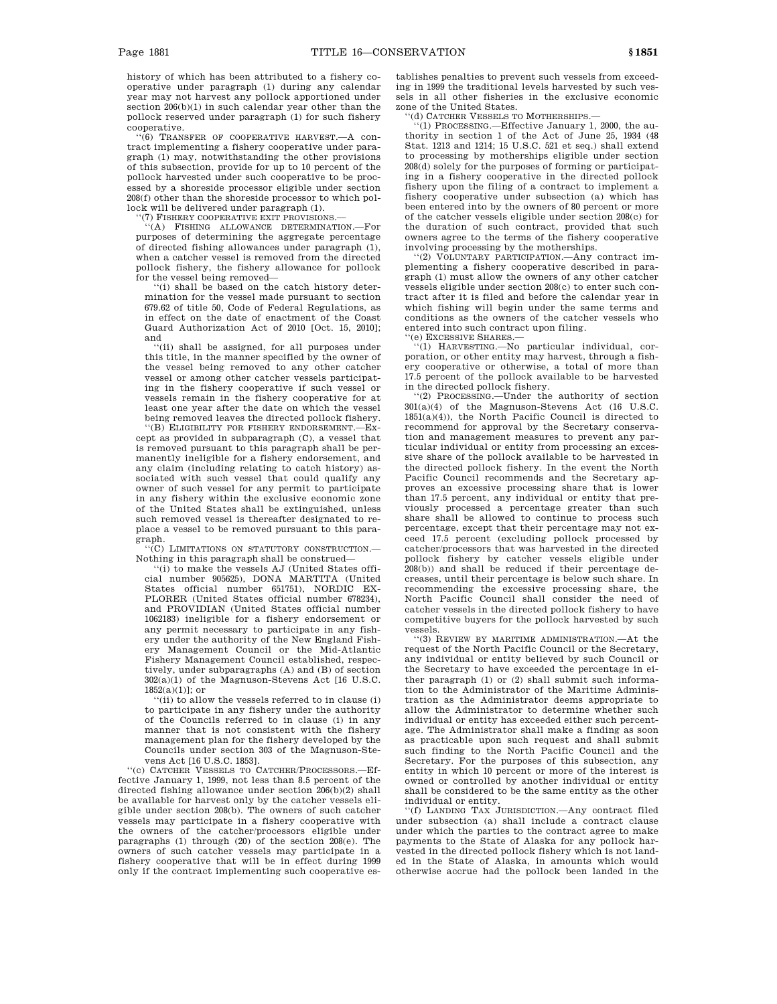history of which has been attributed to a fishery cooperative under paragraph (1) during any calendar year may not harvest any pollock apportioned under section 206(b)(1) in such calendar year other than the pollock reserved under paragraph (1) for such fishery cooperative.

''(6) TRANSFER OF COOPERATIVE HARVEST.—A contract implementing a fishery cooperative under paragraph (1) may, notwithstanding the other provisions of this subsection, provide for up to 10 percent of the pollock harvested under such cooperative to be processed by a shoreside processor eligible under section 208(f) other than the shoreside processor to which pollock will be delivered under paragraph (1).

'(7) FISHERY COOPERATIVE EXIT PROVISIONS.

''(A) FISHING ALLOWANCE DETERMINATION.—For purposes of determining the aggregate percentage of directed fishing allowances under paragraph (1), when a catcher vessel is removed from the directed pollock fishery, the fishery allowance for pollock for the vessel being removed-

''(i) shall be based on the catch history determination for the vessel made pursuant to section 679.62 of title 50, Code of Federal Regulations, as in effect on the date of enactment of the Coast Guard Authorization Act of 2010 [Oct. 15, 2010]; and

''(ii) shall be assigned, for all purposes under this title, in the manner specified by the owner of the vessel being removed to any other catcher vessel or among other catcher vessels participating in the fishery cooperative if such vessel or vessels remain in the fishery cooperative for at least one year after the date on which the vessel being removed leaves the directed pollock fishery.

''(B) ELIGIBILITY FOR FISHERY ENDORSEMENT.—Except as provided in subparagraph (C), a vessel that is removed pursuant to this paragraph shall be permanently ineligible for a fishery endorsement, and any claim (including relating to catch history) associated with such vessel that could qualify any owner of such vessel for any permit to participate in any fishery within the exclusive economic zone of the United States shall be extinguished, unless such removed vessel is thereafter designated to replace a vessel to be removed pursuant to this paragraph.

''(C) LIMITATIONS ON STATUTORY CONSTRUCTION.— Nothing in this paragraph shall be construed—

''(i) to make the vessels AJ (United States official number 905625), DONA MARTITA (United States official number 651751), NORDIC EX-PLORER (United States official number 678234), and PROVIDIAN (United States official number 1062183) ineligible for a fishery endorsement or any permit necessary to participate in any fishery under the authority of the New England Fishery Management Council or the Mid-Atlantic Fishery Management Council established, respectively, under subparagraphs (A) and (B) of section 302(a)(1) of the Magnuson-Stevens Act [16 U.S.C. 1852(a)(1)]; or

''(ii) to allow the vessels referred to in clause (i) to participate in any fishery under the authority of the Councils referred to in clause (i) in any manner that is not consistent with the fishery management plan for the fishery developed by the Councils under section 303 of the Magnuson-Stevens Act [16 U.S.C. 1853].

''(c) CATCHER VESSELS TO CATCHER/PROCESSORS.—Effective January 1, 1999, not less than 8.5 percent of the directed fishing allowance under section 206(b)(2) shall be available for harvest only by the catcher vessels eligible under section 208(b). The owners of such catcher vessels may participate in a fishery cooperative with the owners of the catcher/processors eligible under paragraphs (1) through (20) of the section 208(e). The owners of such catcher vessels may participate in a fishery cooperative that will be in effect during 1999 only if the contract implementing such cooperative establishes penalties to prevent such vessels from exceeding in 1999 the traditional levels harvested by such vessels in all other fisheries in the exclusive economic zone of the United States.

 $\lq$  CATCHER VESSELS TO MOTHERSHIPS.

'(1) PROCESSING.—Effective January 1, 2000, the authority in section 1 of the Act of June 25, 1934 (48 Stat. 1213 and 1214; 15 U.S.C. 521 et seq.) shall extend to processing by motherships eligible under section 208(d) solely for the purposes of forming or participating in a fishery cooperative in the directed pollock fishery upon the filing of a contract to implement a fishery cooperative under subsection (a) which has been entered into by the owners of 80 percent or more of the catcher vessels eligible under section 208(c) for the duration of such contract, provided that such owners agree to the terms of the fishery cooperative involving processing by the motherships.

''(2) VOLUNTARY PARTICIPATION.—Any contract implementing a fishery cooperative described in paragraph (1) must allow the owners of any other catcher vessels eligible under section 208(c) to enter such contract after it is filed and before the calendar year in which fishing will begin under the same terms and conditions as the owners of the catcher vessels who entered into such contract upon filing.

'(e) EXCESSIVE SHARES.

''(1) HARVESTING.—No particular individual, corporation, or other entity may harvest, through a fishery cooperative or otherwise, a total of more than 17.5 percent of the pollock available to be harvested in the directed pollock fishery.

''(2) PROCESSING.—Under the authority of section 301(a)(4) of the Magnuson-Stevens Act (16 U.S.C. 1851(a)(4)), the North Pacific Council is directed to recommend for approval by the Secretary conservation and management measures to prevent any particular individual or entity from processing an excessive share of the pollock available to be harvested in the directed pollock fishery. In the event the North Pacific Council recommends and the Secretary approves an excessive processing share that is lower than 17.5 percent, any individual or entity that previously processed a percentage greater than such share shall be allowed to continue to process such percentage, except that their percentage may not exceed 17.5 percent (excluding pollock processed by catcher/processors that was harvested in the directed pollock fishery by catcher vessels eligible under 208(b)) and shall be reduced if their percentage decreases, until their percentage is below such share. In recommending the excessive processing share, the North Pacific Council shall consider the need of catcher vessels in the directed pollock fishery to have competitive buyers for the pollock harvested by such vessels.

''(3) REVIEW BY MARITIME ADMINISTRATION.—At the request of the North Pacific Council or the Secretary, any individual or entity believed by such Council or the Secretary to have exceeded the percentage in either paragraph (1) or (2) shall submit such information to the Administrator of the Maritime Administration as the Administrator deems appropriate to allow the Administrator to determine whether such individual or entity has exceeded either such percentage. The Administrator shall make a finding as soon as practicable upon such request and shall submit such finding to the North Pacific Council and the Secretary. For the purposes of this subsection, any entity in which 10 percent or more of the interest is owned or controlled by another individual or entity shall be considered to be the same entity as the other individual or entity.

''(f) LANDING TAX JURISDICTION.—Any contract filed under subsection (a) shall include a contract clause under which the parties to the contract agree to make payments to the State of Alaska for any pollock harvested in the directed pollock fishery which is not landed in the State of Alaska, in amounts which would otherwise accrue had the pollock been landed in the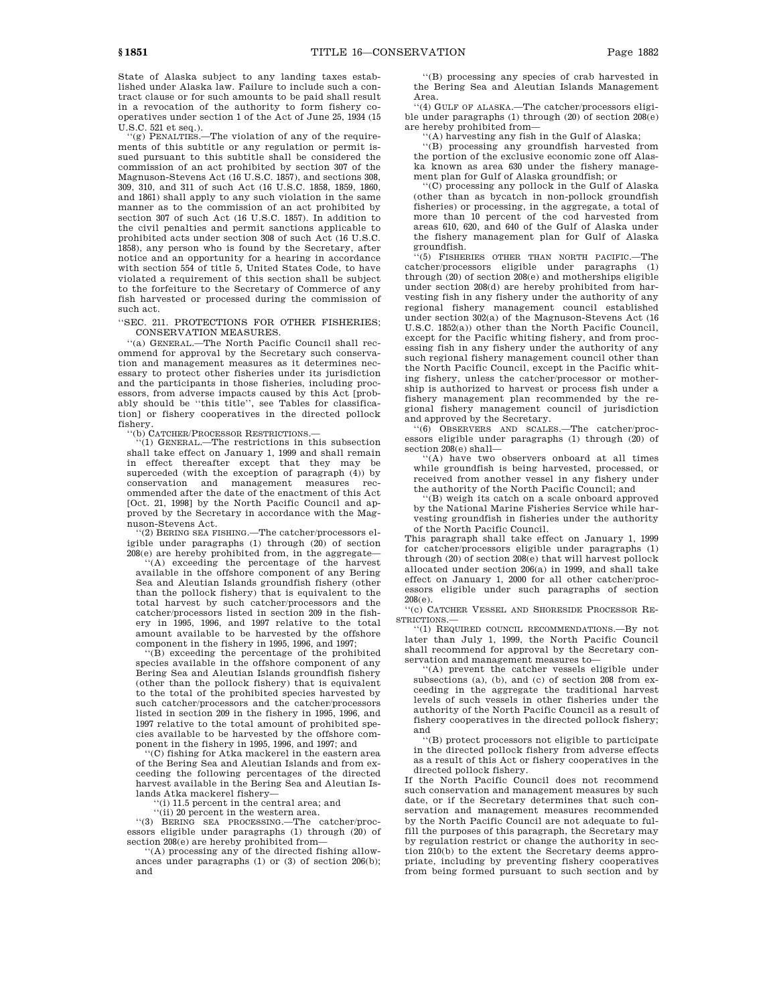State of Alaska subject to any landing taxes established under Alaska law. Failure to include such a contract clause or for such amounts to be paid shall result in a revocation of the authority to form fishery cooperatives under section 1 of the Act of June 25, 1934 (15 U.S.C. 521 et seq.).

''(g) PENALTIES.—The violation of any of the requirements of this subtitle or any regulation or permit issued pursuant to this subtitle shall be considered the commission of an act prohibited by section 307 of the Magnuson-Stevens Act (16 U.S.C. 1857), and sections 308, 309, 310, and 311 of such Act (16 U.S.C. 1858, 1859, 1860, and 1861) shall apply to any such violation in the same manner as to the commission of an act prohibited by section 307 of such Act (16 U.S.C. 1857). In addition to the civil penalties and permit sanctions applicable to prohibited acts under section 308 of such Act (16 U.S.C. 1858), any person who is found by the Secretary, after notice and an opportunity for a hearing in accordance with section 554 of title 5, United States Code, to have violated a requirement of this section shall be subject to the forfeiture to the Secretary of Commerce of any fish harvested or processed during the commission of such act.

''SEC. 211. PROTECTIONS FOR OTHER FISHERIES; CONSERVATION MEASURES.

''(a) GENERAL.—The North Pacific Council shall recommend for approval by the Secretary such conservation and management measures as it determines necessary to protect other fisheries under its jurisdiction and the participants in those fisheries, including processors, from adverse impacts caused by this Act [probably should be ''this title'', see Tables for classification] or fishery cooperatives in the directed pollock fishery.

'(b) CATCHER/PROCESSOR RESTRICTIONS.-

''(1) GENERAL.—The restrictions in this subsection shall take effect on January 1, 1999 and shall remain in effect thereafter except that they may be superceded (with the exception of paragraph (4)) by conservation and management measures recommended after the date of the enactment of this Act [Oct. 21, 1998] by the North Pacific Council and approved by the Secretary in accordance with the Magnuson-Stevens Act.

''(2) BERING SEA FISHING.—The catcher/processors eligible under paragraphs (1) through (20) of section 208(e) are hereby prohibited from, in the aggregate—

'(A) exceeding the percentage of the harvest available in the offshore component of any Bering Sea and Aleutian Islands groundfish fishery (other than the pollock fishery) that is equivalent to the total harvest by such catcher/processors and the catcher/processors listed in section 209 in the fishery in 1995, 1996, and 1997 relative to the total amount available to be harvested by the offshore component in the fishery in 1995, 1996, and 1997;

''(B) exceeding the percentage of the prohibited species available in the offshore component of any Bering Sea and Aleutian Islands groundfish fishery (other than the pollock fishery) that is equivalent to the total of the prohibited species harvested by such catcher/processors and the catcher/processors listed in section 209 in the fishery in 1995, 1996, and 1997 relative to the total amount of prohibited species available to be harvested by the offshore com-

ponent in the fishery in 1995, 1996, and 1997; and ''(C) fishing for Atka mackerel in the eastern area of the Bering Sea and Aleutian Islands and from exceeding the following percentages of the directed harvest available in the Bering Sea and Aleutian Islands Atka mackerel fishery—

'(i) 11.5 percent in the central area; and

''(ii) 20 percent in the western area. ''(3) BERING SEA PROCESSING.—The catcher/processors eligible under paragraphs (1) through (20) of section 208(e) are hereby prohibited from—

''(A) processing any of the directed fishing allowances under paragraphs (1) or (3) of section 206(b); and

''(B) processing any species of crab harvested in the Bering Sea and Aleutian Islands Management Area.

''(4) GULF OF ALASKA.—The catcher/processors eligible under paragraphs (1) through (20) of section 208(e) are hereby prohibited from—

''(A) harvesting any fish in the Gulf of Alaska;

''(B) processing any groundfish harvested from the portion of the exclusive economic zone off Alaska known as area 630 under the fishery management plan for Gulf of Alaska groundfish; or

''(C) processing any pollock in the Gulf of Alaska (other than as bycatch in non-pollock groundfish fisheries) or processing, in the aggregate, a total of more than 10 percent of the cod harvested from areas 610, 620, and 640 of the Gulf of Alaska under the fishery management plan for Gulf of Alaska groundfish.

''(5) FISHERIES OTHER THAN NORTH PACIFIC.—The catcher/processors eligible under paragraphs (1) through (20) of section 208(e) and motherships eligible under section 208(d) are hereby prohibited from harvesting fish in any fishery under the authority of any regional fishery management council established under section 302(a) of the Magnuson-Stevens Act (16 U.S.C. 1852(a)) other than the North Pacific Council, except for the Pacific whiting fishery, and from processing fish in any fishery under the authority of any such regional fishery management council other than the North Pacific Council, except in the Pacific whiting fishery, unless the catcher/processor or mothership is authorized to harvest or process fish under a fishery management plan recommended by the regional fishery management council of jurisdiction and approved by the Secretary.

''(6) OBSERVERS AND SCALES.—The catcher/processors eligible under paragraphs (1) through (20) of section 208(e) shall—

''(A) have two observers onboard at all times while groundfish is being harvested, processed, or received from another vessel in any fishery under the authority of the North Pacific Council; and

''(B) weigh its catch on a scale onboard approved by the National Marine Fisheries Service while harvesting groundfish in fisheries under the authority of the North Pacific Council.

This paragraph shall take effect on January 1, 1999 for catcher/processors eligible under paragraphs (1) through (20) of section 208(e) that will harvest pollock allocated under section 206(a) in 1999, and shall take effect on January 1, 2000 for all other catcher/processors eligible under such paragraphs of section 208(e).

'(c) CATCHER VESSEL AND SHORESIDE PROCESSOR RE-STRICTIONS.—

''(1) REQUIRED COUNCIL RECOMMENDATIONS.—By not later than July 1, 1999, the North Pacific Council shall recommend for approval by the Secretary conservation and management measures to—

''(A) prevent the catcher vessels eligible under subsections (a), (b), and (c) of section 208 from exceeding in the aggregate the traditional harvest levels of such vessels in other fisheries under the authority of the North Pacific Council as a result of fishery cooperatives in the directed pollock fishery; and

''(B) protect processors not eligible to participate in the directed pollock fishery from adverse effects as a result of this Act or fishery cooperatives in the directed pollock fishery.

If the North Pacific Council does not recommend such conservation and management measures by such date, or if the Secretary determines that such conservation and management measures recommended by the North Pacific Council are not adequate to fulfill the purposes of this paragraph, the Secretary may by regulation restrict or change the authority in section 210(b) to the extent the Secretary deems appropriate, including by preventing fishery cooperatives from being formed pursuant to such section and by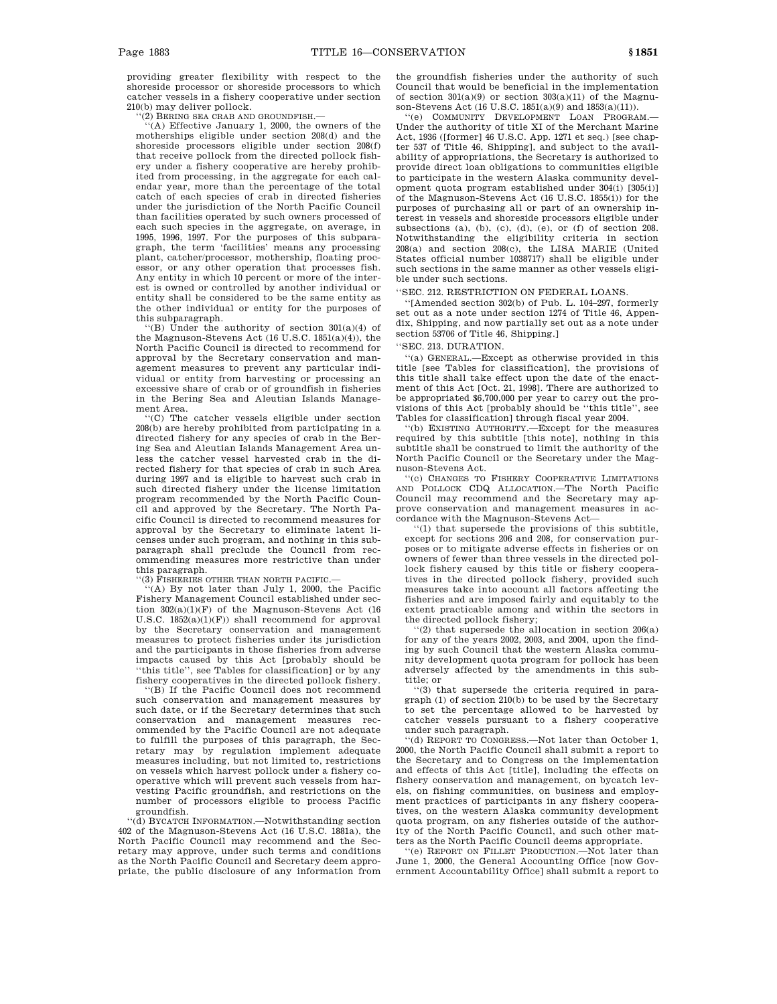providing greater flexibility with respect to the shoreside processor or shoreside processors to which catcher vessels in a fishery cooperative under section 210(b) may deliver pollock.

''(2) BERING SEA CRAB AND GROUNDFISH.— ''(A) Effective January 1, 2000, the owners of the motherships eligible under section 208(d) and the shoreside processors eligible under section 208(f) that receive pollock from the directed pollock fishery under a fishery cooperative are hereby prohibited from processing, in the aggregate for each calendar year, more than the percentage of the total catch of each species of crab in directed fisheries under the jurisdiction of the North Pacific Council than facilities operated by such owners processed of each such species in the aggregate, on average, in 1995, 1996, 1997. For the purposes of this subparagraph, the term 'facilities' means any processing plant, catcher/processor, mothership, floating processor, or any other operation that processes fish. Any entity in which 10 percent or more of the interest is owned or controlled by another individual or entity shall be considered to be the same entity as the other individual or entity for the purposes of this subparagraph.

''(B) Under the authority of section 301(a)(4) of the Magnuson-Stevens Act (16 U.S.C. 1851(a)(4)), the North Pacific Council is directed to recommend for approval by the Secretary conservation and management measures to prevent any particular individual or entity from harvesting or processing an excessive share of crab or of groundfish in fisheries in the Bering Sea and Aleutian Islands Management Area.

''(C) The catcher vessels eligible under section 208(b) are hereby prohibited from participating in a directed fishery for any species of crab in the Bering Sea and Aleutian Islands Management Area unless the catcher vessel harvested crab in the directed fishery for that species of crab in such Area during 1997 and is eligible to harvest such crab in such directed fishery under the license limitation program recommended by the North Pacific Council and approved by the Secretary. The North Pacific Council is directed to recommend measures for approval by the Secretary to eliminate latent licenses under such program, and nothing in this subparagraph shall preclude the Council from recommending measures more restrictive than under this paragraph.

''(3) FISHERIES OTHER THAN NORTH PACIFIC.—

 $(A)$  By not later than July 1, 2000, the Pacific Fishery Management Council established under section  $302(a)(1)(F)$  of the Magnuson-Stevens Act (16) U.S.C. 1852(a)(1)(F)) shall recommend for approval by the Secretary conservation and management measures to protect fisheries under its jurisdiction and the participants in those fisheries from adverse impacts caused by this Act [probably should be 'this title'', see Tables for classification] or by any fishery cooperatives in the directed pollock fishery.

''(B) If the Pacific Council does not recommend such conservation and management measures by such date, or if the Secretary determines that such conservation and management measures recommended by the Pacific Council are not adequate to fulfill the purposes of this paragraph, the Secretary may by regulation implement adequate measures including, but not limited to, restrictions on vessels which harvest pollock under a fishery cooperative which will prevent such vessels from harvesting Pacific groundfish, and restrictions on the number of processors eligible to process Pacific groundfish.

''(d) BYCATCH INFORMATION.—Notwithstanding section 402 of the Magnuson-Stevens Act (16 U.S.C. 1881a), the North Pacific Council may recommend and the Secretary may approve, under such terms and conditions as the North Pacific Council and Secretary deem appropriate, the public disclosure of any information from the groundfish fisheries under the authority of such Council that would be beneficial in the implementation of section  $301(a)(9)$  or section  $303(a)(11)$  of the Magnuson-Stevens Act (16 U.S.C. 1851(a)(9) and 1853(a)(11)).

''(e) COMMUNITY DEVELOPMENT LOAN PROGRAM.— Under the authority of title XI of the Merchant Marine Act, 1936 ([former] 46 U.S.C. App. 1271 et seq.) [see chapter 537 of Title 46, Shipping], and subject to the availability of appropriations, the Secretary is authorized to provide direct loan obligations to communities eligible to participate in the western Alaska community development quota program established under 304(i) [305(i)] of the Magnuson-Stevens Act (16 U.S.C. 1855(i)) for the purposes of purchasing all or part of an ownership interest in vessels and shoreside processors eligible under subsections (a), (b), (c), (d), (e), or (f) of section  $208$ . Notwithstanding the eligibility criteria in section 208(a) and section 208(c), the LISA MARIE (United States official number 1038717) shall be eligible under such sections in the same manner as other vessels eligible under such sections.

'SEC. 212. RESTRICTION ON FEDERAL LOANS.

''[Amended section 302(b) of Pub. L. 104–297, formerly set out as a note under section 1274 of Title 46, Appendix, Shipping, and now partially set out as a note under section 53706 of Title 46, Shipping.]

''SEC. 213. DURATION.

''(a) GENERAL.—Except as otherwise provided in this title [see Tables for classification], the provisions of this title shall take effect upon the date of the enactment of this Act [Oct. 21, 1998]. There are authorized to be appropriated \$6,700,000 per year to carry out the provisions of this Act [probably should be ''this title'', see Tables for classification] through fiscal year 2004.

''(b) EXISTING AUTHORITY.—Except for the measures required by this subtitle [this note], nothing in this subtitle shall be construed to limit the authority of the North Pacific Council or the Secretary under the Magnuson-Stevens Act.

''(c) CHANGES TO FISHERY COOPERATIVE LIMITATIONS AND POLLOCK CDQ ALLOCATION.—The North Pacific Council may recommend and the Secretary may approve conservation and management measures in accordance with the Magnuson-Stevens Act—

''(1) that supersede the provisions of this subtitle, except for sections 206 and 208, for conservation purposes or to mitigate adverse effects in fisheries or on owners of fewer than three vessels in the directed pollock fishery caused by this title or fishery cooperatives in the directed pollock fishery, provided such measures take into account all factors affecting the fisheries and are imposed fairly and equitably to the extent practicable among and within the sectors in the directed pollock fishery;

''(2) that supersede the allocation in section 206(a) for any of the years 2002, 2003, and 2004, upon the finding by such Council that the western Alaska community development quota program for pollock has been adversely affected by the amendments in this subtitle; or

 $(3)$  that supersede the criteria required in paragraph (1) of section 210(b) to be used by the Secretary to set the percentage allowed to be harvested by catcher vessels pursuant to a fishery cooperative under such paragraph.

''(d) REPORT TO CONGRESS.—Not later than October 1, 2000, the North Pacific Council shall submit a report to the Secretary and to Congress on the implementation and effects of this Act [title], including the effects on fishery conservation and management, on bycatch levels, on fishing communities, on business and employment practices of participants in any fishery cooperatives, on the western Alaska community development quota program, on any fisheries outside of the authority of the North Pacific Council, and such other matters as the North Pacific Council deems appropriate.

''(e) REPORT ON FILLET PRODUCTION.—Not later than June 1, 2000, the General Accounting Office [now Government Accountability Office] shall submit a report to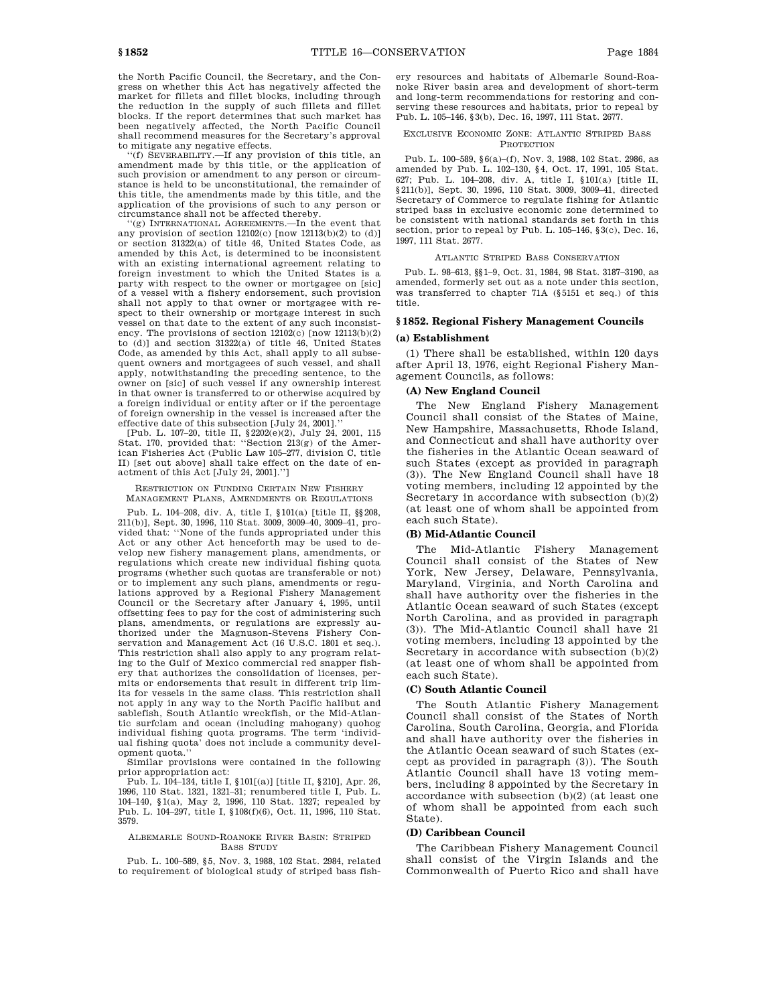the North Pacific Council, the Secretary, and the Congress on whether this Act has negatively affected the market for fillets and fillet blocks, including through the reduction in the supply of such fillets and fillet blocks. If the report determines that such market has been negatively affected, the North Pacific Council shall recommend measures for the Secretary's approval

to mitigate any negative effects. ''(f) SEVERABILITY.—If any provision of this title, an amendment made by this title, or the application of such provision or amendment to any person or circumstance is held to be unconstitutional, the remainder of this title, the amendments made by this title, and the application of the provisions of such to any person or circumstance shall not be affected thereby.

''(g) INTERNATIONAL AGREEMENTS.—In the event that any provision of section 12102(c) [now 12113(b)(2) to (d)] or section 31322(a) of title 46, United States Code, as amended by this Act, is determined to be inconsistent with an existing international agreement relating to foreign investment to which the United States is a party with respect to the owner or mortgagee on [sic] of a vessel with a fishery endorsement, such provision shall not apply to that owner or mortgagee with respect to their ownership or mortgage interest in such vessel on that date to the extent of any such inconsistency. The provisions of section 12102(c) [now 12113(b)(2) to (d)] and section 31322(a) of title 46, United States Code, as amended by this Act, shall apply to all subsequent owners and mortgagees of such vessel, and shall apply, notwithstanding the preceding sentence, to the owner on [sic] of such vessel if any ownership interest in that owner is transferred to or otherwise acquired by a foreign individual or entity after or if the percentage of foreign ownership in the vessel is increased after the

effective date of this subsection [July 24, 2001].'' [Pub. L. 107–20, title II, §2202(e)(2), July 24, 2001, 115 Stat. 170, provided that: ''Section 213(g) of the American Fisheries Act (Public Law 105–277, division C, title II) [set out above] shall take effect on the date of enactment of this Act [July 24, 2001].'']

RESTRICTION ON FUNDING CERTAIN NEW FISHERY MANAGEMENT PLANS, AMENDMENTS OR REGULATIONS

Pub. L. 104–208, div. A, title I, §101(a) [title II, §§208, 211(b)], Sept. 30, 1996, 110 Stat. 3009, 3009–40, 3009–41, provided that: ''None of the funds appropriated under this Act or any other Act henceforth may be used to develop new fishery management plans, amendments, or regulations which create new individual fishing quota programs (whether such quotas are transferable or not) or to implement any such plans, amendments or regulations approved by a Regional Fishery Management Council or the Secretary after January 4, 1995, until offsetting fees to pay for the cost of administering such plans, amendments, or regulations are expressly au-thorized under the Magnuson-Stevens Fishery Conservation and Management Act (16 U.S.C. 1801 et seq.). This restriction shall also apply to any program relating to the Gulf of Mexico commercial red snapper fishery that authorizes the consolidation of licenses, permits or endorsements that result in different trip limits for vessels in the same class. This restriction shall not apply in any way to the North Pacific halibut and sablefish, South Atlantic wreckfish, or the Mid-Atlantic surfclam and ocean (including mahogany) quohog individual fishing quota programs. The term 'individual fishing quota' does not include a community development quota.''

Similar provisions were contained in the following

prior appropriation act: Pub. L. 104–134, title I, §101[(a)] [title II, §210], Apr. 26, 1996, 110 Stat. 1321, 1321–31; renumbered title I, Pub. L. 104–140, §1(a), May 2, 1996, 110 Stat. 1327; repealed by Pub. L. 104–297, title I, §108(f)(6), Oct. 11, 1996, 110 Stat. 3579.

### ALBEMARLE SOUND-ROANOKE RIVER BASIN: STRIPED BASS STUDY

Pub. L. 100–589, §5, Nov. 3, 1988, 102 Stat. 2984, related to requirement of biological study of striped bass fishery resources and habitats of Albemarle Sound-Roanoke River basin area and development of short-term and long-term recommendations for restoring and conserving these resources and habitats, prior to repeal by Pub. L. 105–146, §3(b), Dec. 16, 1997, 111 Stat. 2677.

### EXCLUSIVE ECONOMIC ZONE: ATLANTIC STRIPED BASS **PROTECTION**

Pub. L. 100–589, §6(a)–(f), Nov. 3, 1988, 102 Stat. 2986, as amended by Pub. L. 102–130, §4, Oct. 17, 1991, 105 Stat. 627; Pub. L. 104–208, div. A, title I, §101(a) [title II, §211(b)], Sept. 30, 1996, 110 Stat. 3009, 3009–41, directed Secretary of Commerce to regulate fishing for Atlantic striped bass in exclusive economic zone determined to be consistent with national standards set forth in this section, prior to repeal by Pub. L. 105–146, §3(c), Dec. 16, 1997, 111 Stat. 2677.

### ATLANTIC STRIPED BASS CONSERVATION

Pub. L. 98–613, §§1–9, Oct. 31, 1984, 98 Stat. 3187–3190, as amended, formerly set out as a note under this section, was transferred to chapter 71A (§5151 et seq.) of this title.

## **§ 1852. Regional Fishery Management Councils**

## **(a) Establishment**

(1) There shall be established, within 120 days after April 13, 1976, eight Regional Fishery Management Councils, as follows:

## **(A) New England Council**

The New England Fishery Management Council shall consist of the States of Maine, New Hampshire, Massachusetts, Rhode Island, and Connecticut and shall have authority over the fisheries in the Atlantic Ocean seaward of such States (except as provided in paragraph (3)). The New England Council shall have 18 voting members, including 12 appointed by the Secretary in accordance with subsection (b)(2) (at least one of whom shall be appointed from each such State).

## **(B) Mid-Atlantic Council**

The Mid-Atlantic Fishery Management Council shall consist of the States of New York, New Jersey, Delaware, Pennsylvania, Maryland, Virginia, and North Carolina and shall have authority over the fisheries in the Atlantic Ocean seaward of such States (except North Carolina, and as provided in paragraph (3)). The Mid-Atlantic Council shall have 21 voting members, including 13 appointed by the Secretary in accordance with subsection (b)(2) (at least one of whom shall be appointed from each such State).

## **(C) South Atlantic Council**

The South Atlantic Fishery Management Council shall consist of the States of North Carolina, South Carolina, Georgia, and Florida and shall have authority over the fisheries in the Atlantic Ocean seaward of such States (except as provided in paragraph (3)). The South Atlantic Council shall have 13 voting members, including 8 appointed by the Secretary in accordance with subsection (b)(2) (at least one of whom shall be appointed from each such State).

## **(D) Caribbean Council**

The Caribbean Fishery Management Council shall consist of the Virgin Islands and the Commonwealth of Puerto Rico and shall have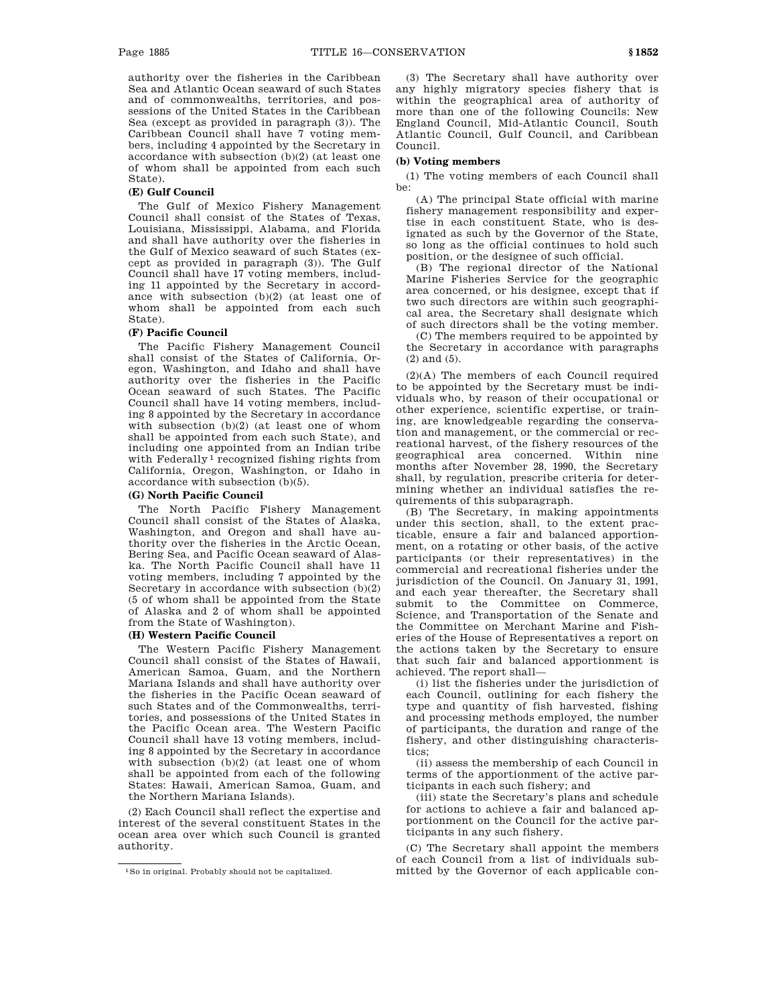authority over the fisheries in the Caribbean Sea and Atlantic Ocean seaward of such States and of commonwealths, territories, and possessions of the United States in the Caribbean Sea (except as provided in paragraph (3)). The Caribbean Council shall have 7 voting members, including 4 appointed by the Secretary in accordance with subsection (b)(2) (at least one of whom shall be appointed from each such State).

## **(E) Gulf Council**

The Gulf of Mexico Fishery Management Council shall consist of the States of Texas, Louisiana, Mississippi, Alabama, and Florida and shall have authority over the fisheries in the Gulf of Mexico seaward of such States (except as provided in paragraph (3)). The Gulf Council shall have 17 voting members, including 11 appointed by the Secretary in accordance with subsection (b)(2) (at least one of whom shall be appointed from each such State).

## **(F) Pacific Council**

The Pacific Fishery Management Council shall consist of the States of California, Oregon, Washington, and Idaho and shall have authority over the fisheries in the Pacific Ocean seaward of such States. The Pacific Council shall have 14 voting members, including 8 appointed by the Secretary in accordance with subsection (b)(2) (at least one of whom shall be appointed from each such State), and including one appointed from an Indian tribe with Federally<sup>1</sup> recognized fishing rights from California, Oregon, Washington, or Idaho in accordance with subsection (b)(5).

## **(G) North Pacific Council**

The North Pacific Fishery Management Council shall consist of the States of Alaska, Washington, and Oregon and shall have authority over the fisheries in the Arctic Ocean, Bering Sea, and Pacific Ocean seaward of Alaska. The North Pacific Council shall have 11 voting members, including 7 appointed by the Secretary in accordance with subsection (b)(2) (5 of whom shall be appointed from the State of Alaska and 2 of whom shall be appointed from the State of Washington).

## **(H) Western Pacific Council**

The Western Pacific Fishery Management Council shall consist of the States of Hawaii, American Samoa, Guam, and the Northern Mariana Islands and shall have authority over the fisheries in the Pacific Ocean seaward of such States and of the Commonwealths, territories, and possessions of the United States in the Pacific Ocean area. The Western Pacific Council shall have 13 voting members, including 8 appointed by the Secretary in accordance with subsection (b)(2) (at least one of whom shall be appointed from each of the following States: Hawaii, American Samoa, Guam, and the Northern Mariana Islands).

(2) Each Council shall reflect the expertise and interest of the several constituent States in the ocean area over which such Council is granted authority.

(3) The Secretary shall have authority over any highly migratory species fishery that is within the geographical area of authority of more than one of the following Councils: New England Council, Mid-Atlantic Council, South Atlantic Council, Gulf Council, and Caribbean Council.

## **(b) Voting members**

(1) The voting members of each Council shall be:

(A) The principal State official with marine fishery management responsibility and expertise in each constituent State, who is designated as such by the Governor of the State, so long as the official continues to hold such position, or the designee of such official.

(B) The regional director of the National Marine Fisheries Service for the geographic area concerned, or his designee, except that if two such directors are within such geographical area, the Secretary shall designate which of such directors shall be the voting member.

(C) The members required to be appointed by the Secretary in accordance with paragraphs (2) and (5).

(2)(A) The members of each Council required to be appointed by the Secretary must be individuals who, by reason of their occupational or other experience, scientific expertise, or training, are knowledgeable regarding the conservation and management, or the commercial or recreational harvest, of the fishery resources of the geographical area concerned. Within nine months after November 28, 1990, the Secretary shall, by regulation, prescribe criteria for determining whether an individual satisfies the requirements of this subparagraph.

(B) The Secretary, in making appointments under this section, shall, to the extent practicable, ensure a fair and balanced apportionment, on a rotating or other basis, of the active participants (or their representatives) in the commercial and recreational fisheries under the jurisdiction of the Council. On January 31, 1991, and each year thereafter, the Secretary shall submit to the Committee on Commerce, Science, and Transportation of the Senate and the Committee on Merchant Marine and Fisheries of the House of Representatives a report on the actions taken by the Secretary to ensure that such fair and balanced apportionment is achieved. The report shall—

(i) list the fisheries under the jurisdiction of each Council, outlining for each fishery the type and quantity of fish harvested, fishing and processing methods employed, the number of participants, the duration and range of the fishery, and other distinguishing characteristics;

(ii) assess the membership of each Council in terms of the apportionment of the active participants in each such fishery; and

(iii) state the Secretary's plans and schedule for actions to achieve a fair and balanced apportionment on the Council for the active participants in any such fishery.

(C) The Secretary shall appoint the members of each Council from a list of individuals submitted by the Governor of each applicable con-

<sup>1</sup>So in original. Probably should not be capitalized.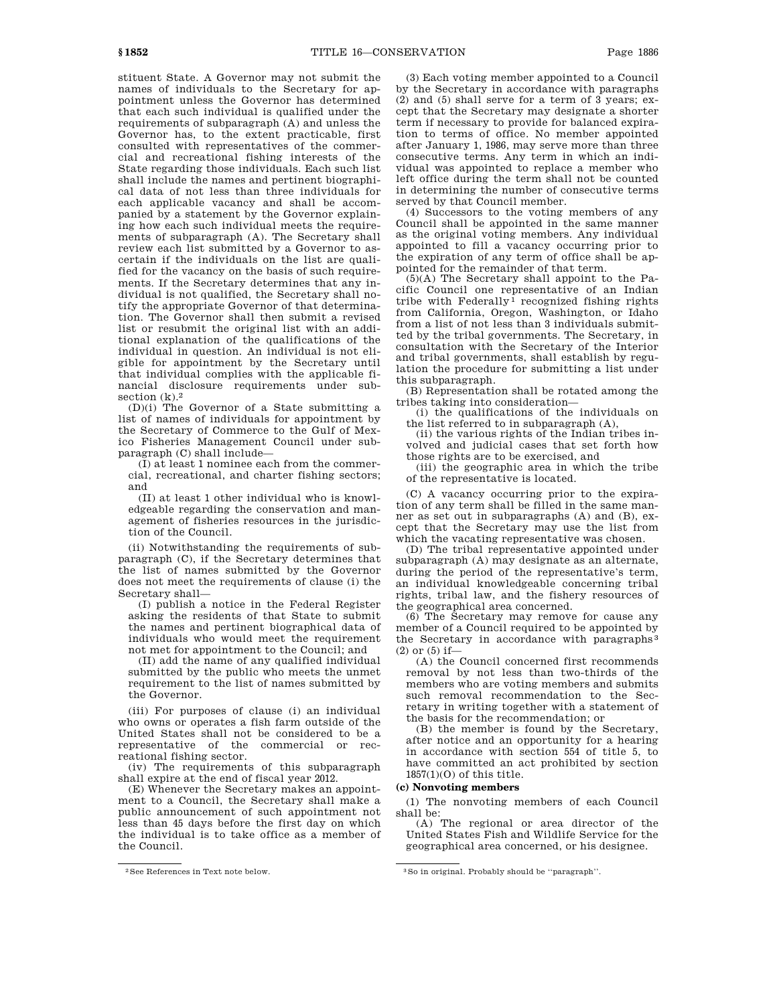stituent State. A Governor may not submit the names of individuals to the Secretary for appointment unless the Governor has determined that each such individual is qualified under the requirements of subparagraph (A) and unless the Governor has, to the extent practicable, first consulted with representatives of the commercial and recreational fishing interests of the State regarding those individuals. Each such list shall include the names and pertinent biographical data of not less than three individuals for each applicable vacancy and shall be accompanied by a statement by the Governor explaining how each such individual meets the requirements of subparagraph (A). The Secretary shall review each list submitted by a Governor to ascertain if the individuals on the list are qualified for the vacancy on the basis of such requirements. If the Secretary determines that any individual is not qualified, the Secretary shall notify the appropriate Governor of that determination. The Governor shall then submit a revised list or resubmit the original list with an additional explanation of the qualifications of the individual in question. An individual is not eligible for appointment by the Secretary until that individual complies with the applicable financial disclosure requirements under subsection  $(k)$ .<sup>2</sup>

(D)(i) The Governor of a State submitting a list of names of individuals for appointment by the Secretary of Commerce to the Gulf of Mexico Fisheries Management Council under subparagraph (C) shall include—

(I) at least 1 nominee each from the commercial, recreational, and charter fishing sectors; and

(II) at least 1 other individual who is knowledgeable regarding the conservation and management of fisheries resources in the jurisdiction of the Council.

(ii) Notwithstanding the requirements of subparagraph (C), if the Secretary determines that the list of names submitted by the Governor does not meet the requirements of clause (i) the Secretary shall—

(I) publish a notice in the Federal Register asking the residents of that State to submit the names and pertinent biographical data of individuals who would meet the requirement not met for appointment to the Council; and

(II) add the name of any qualified individual submitted by the public who meets the unmet requirement to the list of names submitted by the Governor.

(iii) For purposes of clause (i) an individual who owns or operates a fish farm outside of the United States shall not be considered to be a representative of the commercial or recreational fishing sector.

(iv) The requirements of this subparagraph shall expire at the end of fiscal year 2012.

(E) Whenever the Secretary makes an appointment to a Council, the Secretary shall make a public announcement of such appointment not less than 45 days before the first day on which the individual is to take office as a member of the Council.

(3) Each voting member appointed to a Council by the Secretary in accordance with paragraphs (2) and (5) shall serve for a term of 3 years; except that the Secretary may designate a shorter term if necessary to provide for balanced expiration to terms of office. No member appointed after January 1, 1986, may serve more than three consecutive terms. Any term in which an individual was appointed to replace a member who left office during the term shall not be counted in determining the number of consecutive terms served by that Council member.

(4) Successors to the voting members of any Council shall be appointed in the same manner as the original voting members. Any individual appointed to fill a vacancy occurring prior to the expiration of any term of office shall be appointed for the remainder of that term.

(5)(A) The Secretary shall appoint to the Pacific Council one representative of an Indian tribe with  $Federally<sup>1</sup> recognized fishing rights$ from California, Oregon, Washington, or Idaho from a list of not less than 3 individuals submitted by the tribal governments. The Secretary, in consultation with the Secretary of the Interior and tribal governments, shall establish by regulation the procedure for submitting a list under this subparagraph.

(B) Representation shall be rotated among the tribes taking into consideration—

(i) the qualifications of the individuals on the list referred to in subparagraph (A),

(ii) the various rights of the Indian tribes involved and judicial cases that set forth how those rights are to be exercised, and

(iii) the geographic area in which the tribe of the representative is located.

(C) A vacancy occurring prior to the expiration of any term shall be filled in the same manner as set out in subparagraphs (A) and (B), except that the Secretary may use the list from which the vacating representative was chosen.

(D) The tribal representative appointed under subparagraph (A) may designate as an alternate, during the period of the representative's term, an individual knowledgeable concerning tribal rights, tribal law, and the fishery resources of the geographical area concerned.

(6) The Secretary may remove for cause any member of a Council required to be appointed by the Secretary in accordance with paragraphs 3 (2) or (5) if—

(A) the Council concerned first recommends removal by not less than two-thirds of the members who are voting members and submits such removal recommendation to the Secretary in writing together with a statement of the basis for the recommendation; or

(B) the member is found by the Secretary, after notice and an opportunity for a hearing in accordance with section 554 of title 5, to have committed an act prohibited by section 1857(1)(O) of this title.

## **(c) Nonvoting members**

(1) The nonvoting members of each Council shall be:

(A) The regional or area director of the United States Fish and Wildlife Service for the geographical area concerned, or his designee.

<sup>2</sup>See References in Text note below. 3So in original. Probably should be ''paragraph''.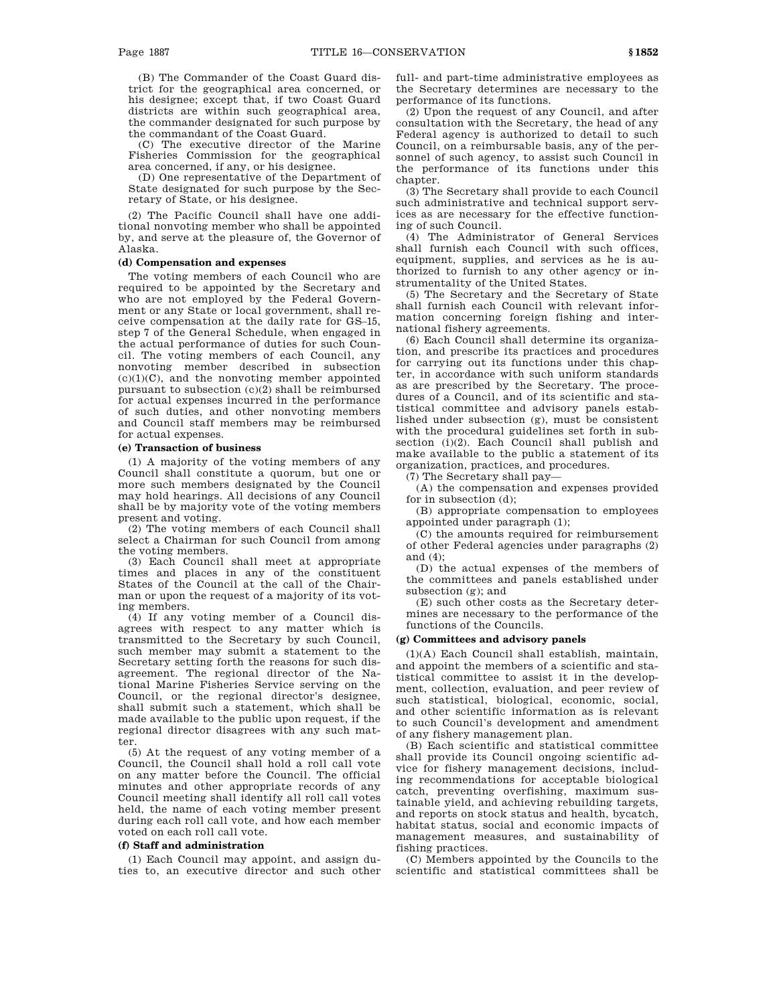(B) The Commander of the Coast Guard district for the geographical area concerned, or his designee; except that, if two Coast Guard districts are within such geographical area, the commander designated for such purpose by the commandant of the Coast Guard.

(C) The executive director of the Marine Fisheries Commission for the geographical area concerned, if any, or his designee.

(D) One representative of the Department of State designated for such purpose by the Secretary of State, or his designee.

(2) The Pacific Council shall have one additional nonvoting member who shall be appointed by, and serve at the pleasure of, the Governor of Alaska.

## **(d) Compensation and expenses**

The voting members of each Council who are required to be appointed by the Secretary and who are not employed by the Federal Government or any State or local government, shall receive compensation at the daily rate for GS–15, step 7 of the General Schedule, when engaged in the actual performance of duties for such Council. The voting members of each Council, any nonvoting member described in subsection  $(c)(1)(C)$ , and the nonvoting member appointed pursuant to subsection (c)(2) shall be reimbursed for actual expenses incurred in the performance of such duties, and other nonvoting members and Council staff members may be reimbursed for actual expenses.

## **(e) Transaction of business**

(1) A majority of the voting members of any Council shall constitute a quorum, but one or more such members designated by the Council may hold hearings. All decisions of any Council shall be by majority vote of the voting members present and voting.

(2) The voting members of each Council shall select a Chairman for such Council from among the voting members.

(3) Each Council shall meet at appropriate times and places in any of the constituent States of the Council at the call of the Chairman or upon the request of a majority of its voting members.

(4) If any voting member of a Council disagrees with respect to any matter which is transmitted to the Secretary by such Council, such member may submit a statement to the Secretary setting forth the reasons for such disagreement. The regional director of the National Marine Fisheries Service serving on the Council, or the regional director's designee, shall submit such a statement, which shall be made available to the public upon request, if the regional director disagrees with any such matter.

(5) At the request of any voting member of a Council, the Council shall hold a roll call vote on any matter before the Council. The official minutes and other appropriate records of any Council meeting shall identify all roll call votes held, the name of each voting member present during each roll call vote, and how each member voted on each roll call vote.

### **(f) Staff and administration**

(1) Each Council may appoint, and assign duties to, an executive director and such other full- and part-time administrative employees as the Secretary determines are necessary to the performance of its functions.

(2) Upon the request of any Council, and after consultation with the Secretary, the head of any Federal agency is authorized to detail to such Council, on a reimbursable basis, any of the personnel of such agency, to assist such Council in the performance of its functions under this chapter.

(3) The Secretary shall provide to each Council such administrative and technical support services as are necessary for the effective functioning of such Council.

(4) The Administrator of General Services shall furnish each Council with such offices, equipment, supplies, and services as he is authorized to furnish to any other agency or instrumentality of the United States.

(5) The Secretary and the Secretary of State shall furnish each Council with relevant information concerning foreign fishing and international fishery agreements.

(6) Each Council shall determine its organization, and prescribe its practices and procedures for carrying out its functions under this chapter, in accordance with such uniform standards as are prescribed by the Secretary. The procedures of a Council, and of its scientific and statistical committee and advisory panels established under subsection (g), must be consistent with the procedural guidelines set forth in subsection (i)(2). Each Council shall publish and make available to the public a statement of its organization, practices, and procedures.

(7) The Secretary shall pay—

(A) the compensation and expenses provided for in subsection  $(d)$ ;

(B) appropriate compensation to employees appointed under paragraph (1);

(C) the amounts required for reimbursement of other Federal agencies under paragraphs (2) and  $(4)$ 

(D) the actual expenses of the members of the committees and panels established under subsection (g); and

(E) such other costs as the Secretary determines are necessary to the performance of the functions of the Councils.

## **(g) Committees and advisory panels**

(1)(A) Each Council shall establish, maintain, and appoint the members of a scientific and statistical committee to assist it in the development, collection, evaluation, and peer review of such statistical, biological, economic, social, and other scientific information as is relevant to such Council's development and amendment of any fishery management plan.

(B) Each scientific and statistical committee shall provide its Council ongoing scientific advice for fishery management decisions, including recommendations for acceptable biological catch, preventing overfishing, maximum sustainable yield, and achieving rebuilding targets, and reports on stock status and health, bycatch, habitat status, social and economic impacts of management measures, and sustainability of fishing practices.

(C) Members appointed by the Councils to the scientific and statistical committees shall be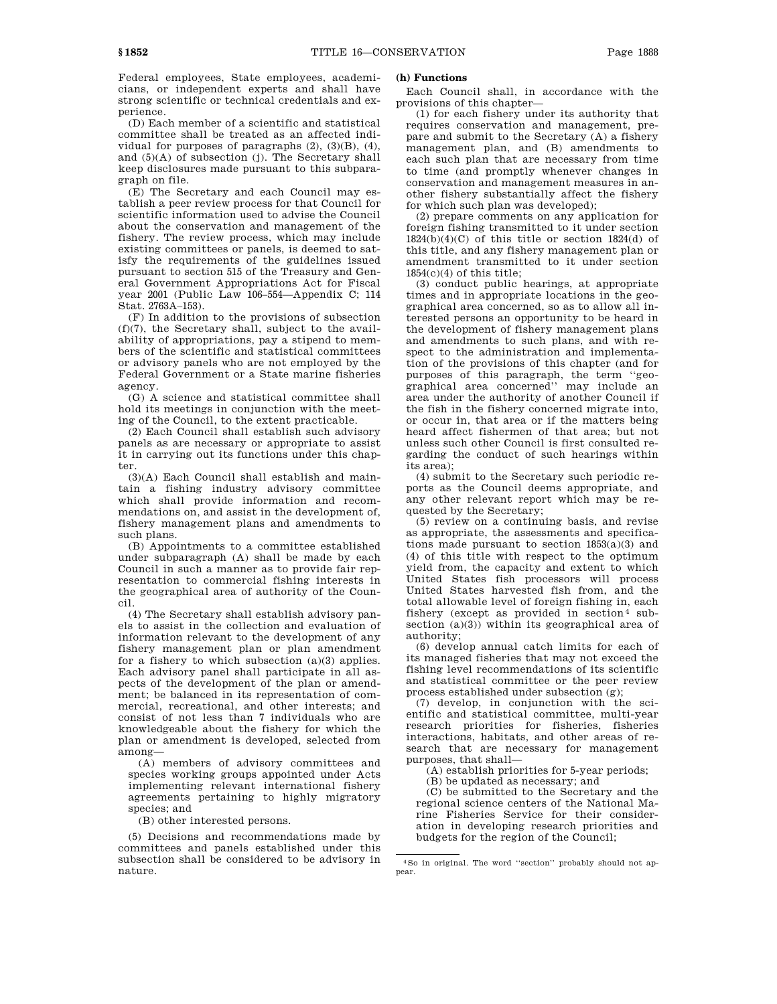Federal employees, State employees, academicians, or independent experts and shall have strong scientific or technical credentials and experience.

(D) Each member of a scientific and statistical committee shall be treated as an affected individual for purposes of paragraphs  $(2)$ ,  $(3)(B)$ ,  $(4)$ , and  $(5)(A)$  of subsection  $(j)$ . The Secretary shall keep disclosures made pursuant to this subparagraph on file.

(E) The Secretary and each Council may establish a peer review process for that Council for scientific information used to advise the Council about the conservation and management of the fishery. The review process, which may include existing committees or panels, is deemed to satisfy the requirements of the guidelines issued pursuant to section 515 of the Treasury and General Government Appropriations Act for Fiscal year 2001 (Public Law 106–554—Appendix C; 114 Stat. 2763A–153).

(F) In addition to the provisions of subsection (f)(7), the Secretary shall, subject to the availability of appropriations, pay a stipend to members of the scientific and statistical committees or advisory panels who are not employed by the Federal Government or a State marine fisheries agency.

(G) A science and statistical committee shall hold its meetings in conjunction with the meeting of the Council, to the extent practicable.

(2) Each Council shall establish such advisory panels as are necessary or appropriate to assist it in carrying out its functions under this chapter.

(3)(A) Each Council shall establish and maintain a fishing industry advisory committee which shall provide information and recommendations on, and assist in the development of, fishery management plans and amendments to such plans.

(B) Appointments to a committee established under subparagraph (A) shall be made by each Council in such a manner as to provide fair representation to commercial fishing interests in the geographical area of authority of the Council.

(4) The Secretary shall establish advisory panels to assist in the collection and evaluation of information relevant to the development of any fishery management plan or plan amendment for a fishery to which subsection  $(a)(3)$  applies. Each advisory panel shall participate in all aspects of the development of the plan or amendment; be balanced in its representation of commercial, recreational, and other interests; and consist of not less than 7 individuals who are knowledgeable about the fishery for which the plan or amendment is developed, selected from among—

(A) members of advisory committees and species working groups appointed under Acts implementing relevant international fishery agreements pertaining to highly migratory species; and

(B) other interested persons.

(5) Decisions and recommendations made by committees and panels established under this subsection shall be considered to be advisory in nature.

## **(h) Functions**

Each Council shall, in accordance with the provisions of this chapter—

(1) for each fishery under its authority that requires conservation and management, prepare and submit to the Secretary (A) a fishery management plan, and (B) amendments to each such plan that are necessary from time to time (and promptly whenever changes in conservation and management measures in another fishery substantially affect the fishery for which such plan was developed);

(2) prepare comments on any application for foreign fishing transmitted to it under section 1824(b)(4)(C) of this title or section 1824(d) of this title, and any fishery management plan or amendment transmitted to it under section  $1854(c)(4)$  of this title;

(3) conduct public hearings, at appropriate times and in appropriate locations in the geographical area concerned, so as to allow all interested persons an opportunity to be heard in the development of fishery management plans and amendments to such plans, and with respect to the administration and implementation of the provisions of this chapter (and for purposes of this paragraph, the term ''geographical area concerned'' may include an area under the authority of another Council if the fish in the fishery concerned migrate into, or occur in, that area or if the matters being heard affect fishermen of that area; but not unless such other Council is first consulted regarding the conduct of such hearings within its area);

(4) submit to the Secretary such periodic reports as the Council deems appropriate, and any other relevant report which may be requested by the Secretary;

(5) review on a continuing basis, and revise as appropriate, the assessments and specifications made pursuant to section 1853(a)(3) and (4) of this title with respect to the optimum yield from, the capacity and extent to which United States fish processors will process United States harvested fish from, and the total allowable level of foreign fishing in, each fishery (except as provided in section<sup>4</sup> subsection (a)(3)) within its geographical area of authority;

(6) develop annual catch limits for each of its managed fisheries that may not exceed the fishing level recommendations of its scientific and statistical committee or the peer review process established under subsection (g);

(7) develop, in conjunction with the scientific and statistical committee, multi-year research priorities for fisheries, fisheries interactions, habitats, and other areas of research that are necessary for management purposes, that shall—

(A) establish priorities for 5-year periods;

(B) be updated as necessary; and

(C) be submitted to the Secretary and the regional science centers of the National Marine Fisheries Service for their consideration in developing research priorities and budgets for the region of the Council;

<sup>4</sup>So in original. The word ''section'' probably should not appear.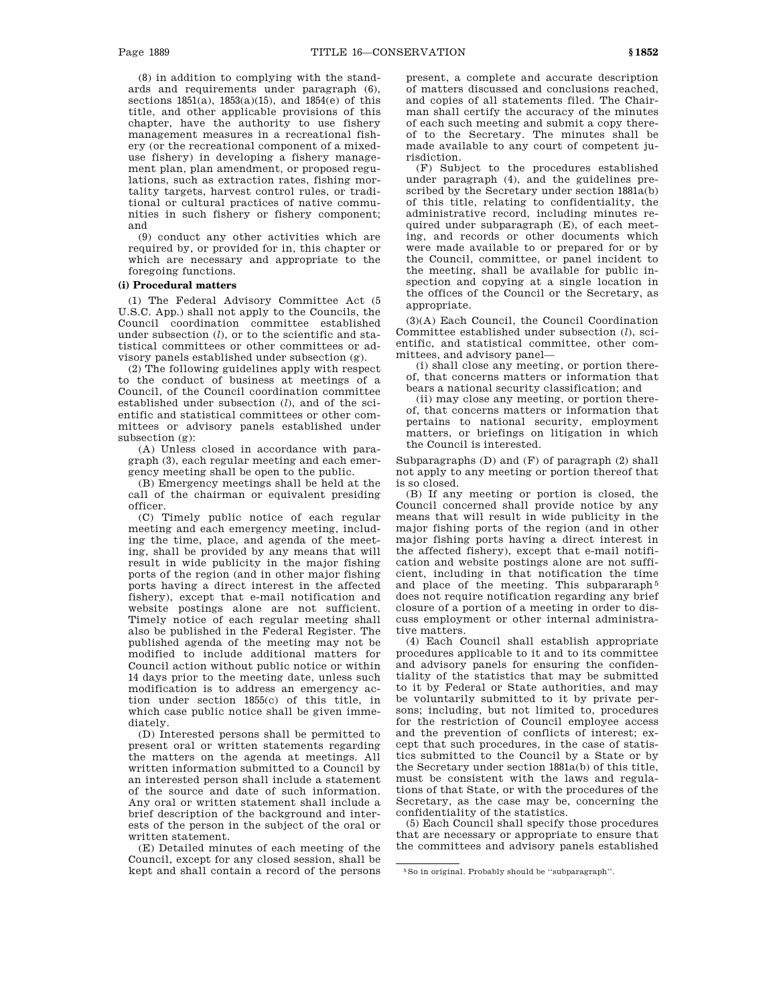(8) in addition to complying with the standards and requirements under paragraph (6), sections 1851(a), 1853(a)(15), and 1854(e) of this title, and other applicable provisions of this chapter, have the authority to use fishery management measures in a recreational fishery (or the recreational component of a mixeduse fishery) in developing a fishery management plan, plan amendment, or proposed regulations, such as extraction rates, fishing mortality targets, harvest control rules, or traditional or cultural practices of native communities in such fishery or fishery component; and

(9) conduct any other activities which are required by, or provided for in, this chapter or which are necessary and appropriate to the foregoing functions.

## **(i) Procedural matters**

(1) The Federal Advisory Committee Act (5 U.S.C. App.) shall not apply to the Councils, the Council coordination committee established under subsection (*l*), or to the scientific and statistical committees or other committees or advisory panels established under subsection (g).

(2) The following guidelines apply with respect to the conduct of business at meetings of a Council, of the Council coordination committee established under subsection (*l*), and of the scientific and statistical committees or other committees or advisory panels established under subsection (g):

(A) Unless closed in accordance with paragraph (3), each regular meeting and each emergency meeting shall be open to the public.

(B) Emergency meetings shall be held at the call of the chairman or equivalent presiding officer.

(C) Timely public notice of each regular meeting and each emergency meeting, including the time, place, and agenda of the meeting, shall be provided by any means that will result in wide publicity in the major fishing ports of the region (and in other major fishing ports having a direct interest in the affected fishery), except that e-mail notification and website postings alone are not sufficient. Timely notice of each regular meeting shall also be published in the Federal Register. The published agenda of the meeting may not be modified to include additional matters for Council action without public notice or within 14 days prior to the meeting date, unless such modification is to address an emergency action under section 1855(c) of this title, in which case public notice shall be given immediately.

(D) Interested persons shall be permitted to present oral or written statements regarding the matters on the agenda at meetings. All written information submitted to a Council by an interested person shall include a statement of the source and date of such information. Any oral or written statement shall include a brief description of the background and interests of the person in the subject of the oral or written statement.

(E) Detailed minutes of each meeting of the Council, except for any closed session, shall be kept and shall contain a record of the persons present, a complete and accurate description of matters discussed and conclusions reached, and copies of all statements filed. The Chairman shall certify the accuracy of the minutes of each such meeting and submit a copy thereof to the Secretary. The minutes shall be made available to any court of competent jurisdiction.

(F) Subject to the procedures established under paragraph (4), and the guidelines prescribed by the Secretary under section 1881a(b) of this title, relating to confidentiality, the administrative record, including minutes required under subparagraph (E), of each meeting, and records or other documents which were made available to or prepared for or by the Council, committee, or panel incident to the meeting, shall be available for public inspection and copying at a single location in the offices of the Council or the Secretary, as appropriate.

(3)(A) Each Council, the Council Coordination Committee established under subsection (*l*), scientific, and statistical committee, other committees, and advisory panel—

(i) shall close any meeting, or portion thereof, that concerns matters or information that bears a national security classification; and

(ii) may close any meeting, or portion thereof, that concerns matters or information that pertains to national security, employment matters, or briefings on litigation in which the Council is interested.

Subparagraphs (D) and (F) of paragraph (2) shall not apply to any meeting or portion thereof that is so closed.

(B) If any meeting or portion is closed, the Council concerned shall provide notice by any means that will result in wide publicity in the major fishing ports of the region (and in other major fishing ports having a direct interest in the affected fishery), except that e-mail notification and website postings alone are not sufficient, including in that notification the time and place of the meeting. This subpararaph<sup>5</sup> does not require notification regarding any brief closure of a portion of a meeting in order to discuss employment or other internal administrative matters.

(4) Each Council shall establish appropriate procedures applicable to it and to its committee and advisory panels for ensuring the confidentiality of the statistics that may be submitted to it by Federal or State authorities, and may be voluntarily submitted to it by private persons; including, but not limited to, procedures for the restriction of Council employee access and the prevention of conflicts of interest; except that such procedures, in the case of statistics submitted to the Council by a State or by the Secretary under section 1881a(b) of this title, must be consistent with the laws and regulations of that State, or with the procedures of the Secretary, as the case may be, concerning the confidentiality of the statistics.

(5) Each Council shall specify those procedures that are necessary or appropriate to ensure that the committees and advisory panels established

<sup>5</sup>So in original. Probably should be ''subparagraph''.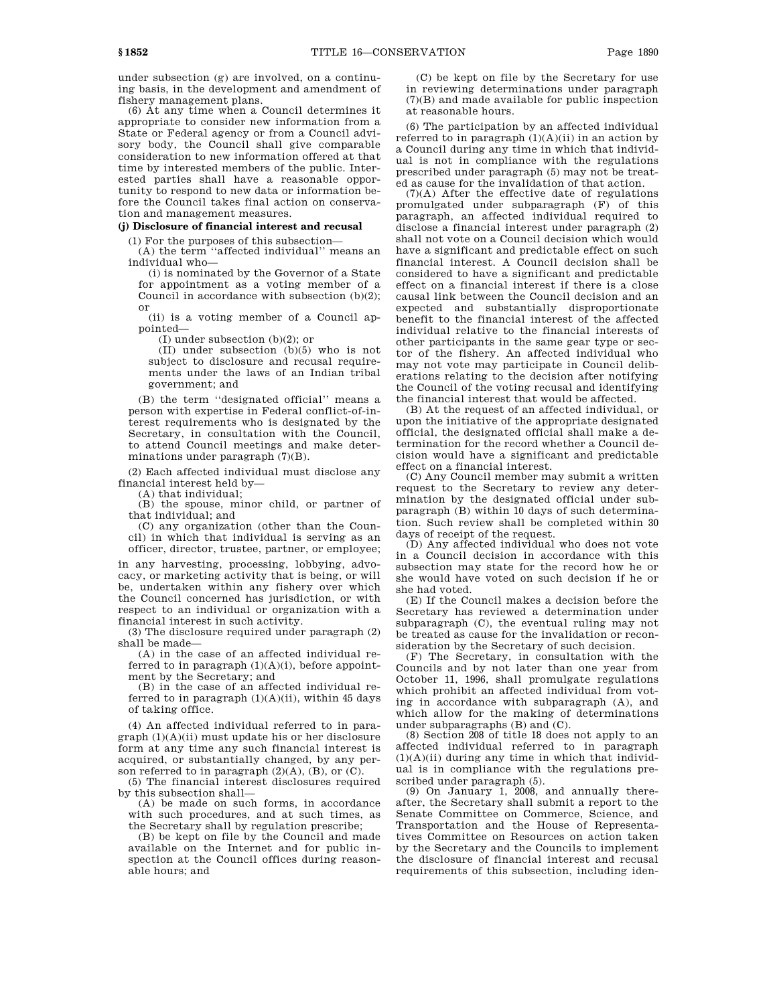under subsection (g) are involved, on a continuing basis, in the development and amendment of fishery management plans.

(6) At any time when a Council determines it appropriate to consider new information from a State or Federal agency or from a Council advisory body, the Council shall give comparable consideration to new information offered at that time by interested members of the public. Interested parties shall have a reasonable opportunity to respond to new data or information before the Council takes final action on conservation and management measures.

### **(j) Disclosure of financial interest and recusal**

(1) For the purposes of this subsection—

(A) the term ''affected individual'' means an individual who—

(i) is nominated by the Governor of a State for appointment as a voting member of a Council in accordance with subsection (b)(2); or

(ii) is a voting member of a Council appointed—

(I) under subsection (b)(2); or

(II) under subsection (b)(5) who is not subject to disclosure and recusal requirements under the laws of an Indian tribal government; and

(B) the term ''designated official'' means a person with expertise in Federal conflict-of-interest requirements who is designated by the Secretary, in consultation with the Council, to attend Council meetings and make determinations under paragraph (7)(B).

(2) Each affected individual must disclose any financial interest held by—

(A) that individual;

(B) the spouse, minor child, or partner of that individual; and

(C) any organization (other than the Council) in which that individual is serving as an officer, director, trustee, partner, or employee;

in any harvesting, processing, lobbying, advocacy, or marketing activity that is being, or will be, undertaken within any fishery over which the Council concerned has jurisdiction, or with respect to an individual or organization with a financial interest in such activity.

(3) The disclosure required under paragraph (2) shall be made—

(A) in the case of an affected individual referred to in paragraph  $(1)(A)(i)$ , before appointment by the Secretary; and

(B) in the case of an affected individual referred to in paragraph  $(1)(A)(ii)$ , within 45 days of taking office.

(4) An affected individual referred to in para $graph (1)(A)(ii) must update his or her disclosure$ form at any time any such financial interest is acquired, or substantially changed, by any person referred to in paragraph  $(2)(A)$ ,  $(B)$ , or  $(C)$ .

(5) The financial interest disclosures required by this subsection shall—

(A) be made on such forms, in accordance with such procedures, and at such times, as the Secretary shall by regulation prescribe;

(B) be kept on file by the Council and made available on the Internet and for public inspection at the Council offices during reasonable hours; and

(C) be kept on file by the Secretary for use in reviewing determinations under paragraph (7)(B) and made available for public inspection at reasonable hours.

(6) The participation by an affected individual referred to in paragraph  $(1)(A)(ii)$  in an action by a Council during any time in which that individual is not in compliance with the regulations prescribed under paragraph (5) may not be treated as cause for the invalidation of that action.

(7)(A) After the effective date of regulations promulgated under subparagraph (F) of this paragraph, an affected individual required to disclose a financial interest under paragraph (2) shall not vote on a Council decision which would have a significant and predictable effect on such financial interest. A Council decision shall be considered to have a significant and predictable effect on a financial interest if there is a close causal link between the Council decision and an expected and substantially disproportionate benefit to the financial interest of the affected individual relative to the financial interests of other participants in the same gear type or sector of the fishery. An affected individual who may not vote may participate in Council deliberations relating to the decision after notifying the Council of the voting recusal and identifying the financial interest that would be affected.

(B) At the request of an affected individual, or upon the initiative of the appropriate designated official, the designated official shall make a determination for the record whether a Council decision would have a significant and predictable effect on a financial interest.

(C) Any Council member may submit a written request to the Secretary to review any determination by the designated official under subparagraph (B) within 10 days of such determination. Such review shall be completed within 30 days of receipt of the request.

(D) Any affected individual who does not vote in a Council decision in accordance with this subsection may state for the record how he or she would have voted on such decision if he or she had voted.

(E) If the Council makes a decision before the Secretary has reviewed a determination under subparagraph (C), the eventual ruling may not be treated as cause for the invalidation or reconsideration by the Secretary of such decision.

(F) The Secretary, in consultation with the Councils and by not later than one year from October 11, 1996, shall promulgate regulations which prohibit an affected individual from voting in accordance with subparagraph (A), and which allow for the making of determinations under subparagraphs (B) and (C).

(8) Section 208 of title 18 does not apply to an affected individual referred to in paragraph  $(1)(A)(ii)$  during any time in which that individual is in compliance with the regulations prescribed under paragraph (5).

(9) On January 1, 2008, and annually thereafter, the Secretary shall submit a report to the Senate Committee on Commerce, Science, and Transportation and the House of Representatives Committee on Resources on action taken by the Secretary and the Councils to implement the disclosure of financial interest and recusal requirements of this subsection, including iden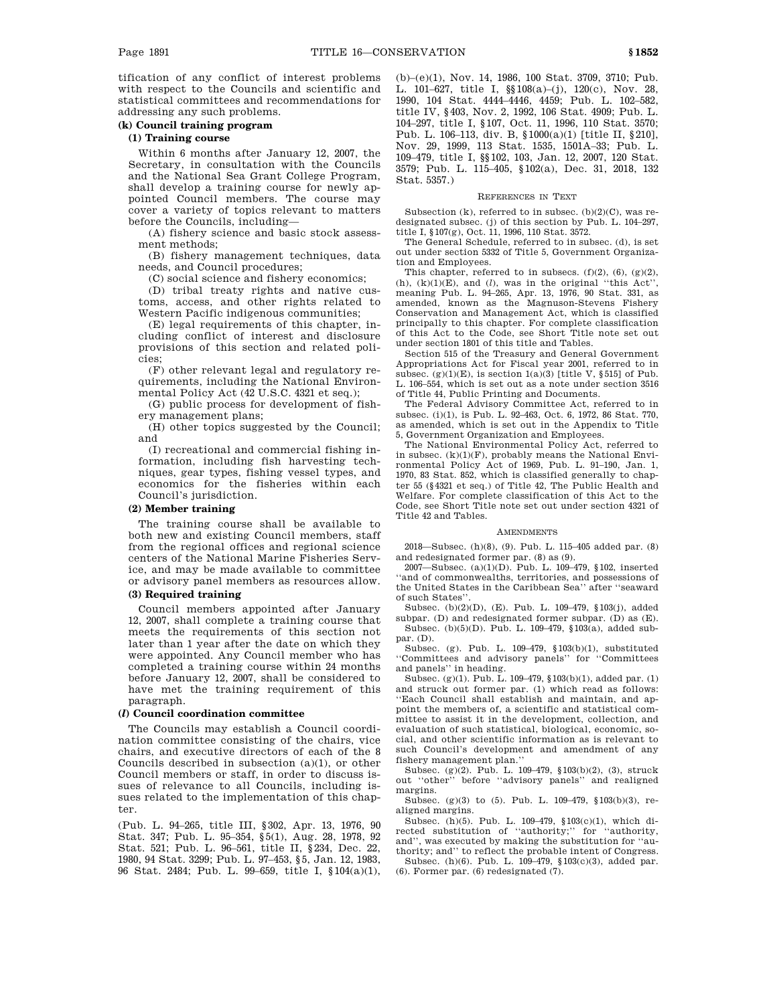tification of any conflict of interest problems with respect to the Councils and scientific and statistical committees and recommendations for addressing any such problems.

## **(k) Council training program**

## **(1) Training course**

Within 6 months after January 12, 2007, the Secretary, in consultation with the Councils and the National Sea Grant College Program, shall develop a training course for newly appointed Council members. The course may cover a variety of topics relevant to matters before the Councils, including—

(A) fishery science and basic stock assessment methods;

(B) fishery management techniques, data needs, and Council procedures;

(C) social science and fishery economics;

(D) tribal treaty rights and native customs, access, and other rights related to Western Pacific indigenous communities;

(E) legal requirements of this chapter, including conflict of interest and disclosure provisions of this section and related policies;

(F) other relevant legal and regulatory requirements, including the National Environmental Policy Act (42 U.S.C. 4321 et seq.);

(G) public process for development of fishery management plans;

(H) other topics suggested by the Council; and

(I) recreational and commercial fishing information, including fish harvesting techniques, gear types, fishing vessel types, and economics for the fisheries within each Council's jurisdiction.

## **(2) Member training**

The training course shall be available to both new and existing Council members, staff from the regional offices and regional science centers of the National Marine Fisheries Service, and may be made available to committee or advisory panel members as resources allow.

### **(3) Required training**

Council members appointed after January 12, 2007, shall complete a training course that meets the requirements of this section not later than 1 year after the date on which they were appointed. Any Council member who has completed a training course within 24 months before January 12, 2007, shall be considered to have met the training requirement of this paragraph.

### **(***l***) Council coordination committee**

The Councils may establish a Council coordination committee consisting of the chairs, vice chairs, and executive directors of each of the 8 Councils described in subsection (a)(1), or other Council members or staff, in order to discuss issues of relevance to all Councils, including issues related to the implementation of this chapter.

(Pub. L. 94–265, title III, §302, Apr. 13, 1976, 90 Stat. 347; Pub. L. 95–354, §5(1), Aug. 28, 1978, 92 Stat. 521; Pub. L. 96–561, title II, §234, Dec. 22, 1980, 94 Stat. 3299; Pub. L. 97–453, §5, Jan. 12, 1983, 96 Stat. 2484; Pub. L. 99–659, title I, §104(a)(1), (b)–(e)(1), Nov. 14, 1986, 100 Stat. 3709, 3710; Pub. L. 101–627, title I, §§108(a)–(j), 120(c), Nov. 28, 1990, 104 Stat. 4444–4446, 4459; Pub. L. 102–582, title IV, §403, Nov. 2, 1992, 106 Stat. 4909; Pub. L. 104–297, title I, §107, Oct. 11, 1996, 110 Stat. 3570; Pub. L. 106–113, div. B, §1000(a)(1) [title II, §210], Nov. 29, 1999, 113 Stat. 1535, 1501A–33; Pub. L. 109–479, title I, §§102, 103, Jan. 12, 2007, 120 Stat. 3579; Pub. L. 115–405, §102(a), Dec. 31, 2018, 132 Stat. 5357.)

### REFERENCES IN TEXT

Subsection  $(k)$ , referred to in subsec.  $(b)(2)(C)$ , was redesignated subsec. (j) of this section by Pub. L. 104–297, title I, §107(g), Oct. 11, 1996, 110 Stat. 3572.

The General Schedule, referred to in subsec. (d), is set out under section 5332 of Title 5, Government Organization and Employees.

This chapter, referred to in subsecs.  $(f)(2)$ ,  $(6)$ ,  $(g)(2)$ ,  $(h)$ ,  $(k)(1)(E)$ , and  $(l)$ , was in the original "this Act" meaning Pub. L. 94–265, Apr. 13, 1976, 90 Stat. 331, as amended, known as the Magnuson-Stevens Fishery Conservation and Management Act, which is classified principally to this chapter. For complete classification of this Act to the Code, see Short Title note set out under section 1801 of this title and Tables.

Section 515 of the Treasury and General Government Appropriations Act for Fiscal year 2001, referred to in subsec. (g)(1)(E), is section 1(a)(3) [title V, §515] of Pub. L. 106–554, which is set out as a note under section 3516 of Title 44, Public Printing and Documents.

The Federal Advisory Committee Act, referred to in subsec. (i)(1), is Pub. L. 92–463, Oct. 6, 1972, 86 Stat. 770, as amended, which is set out in the Appendix to Title 5, Government Organization and Employees.

The National Environmental Policy Act, referred to in subsec.  $(k)(1)(F)$ , probably means the National Environmental Policy Act of 1969, Pub. L. 91–190, Jan. 1, 1970, 83 Stat. 852, which is classified generally to chapter 55 (§4321 et seq.) of Title 42, The Public Health and Welfare. For complete classification of this Act to the Code, see Short Title note set out under section 4321 of Title 42 and Tables.

### **AMENDMENTS**

2018—Subsec. (h)(8), (9). Pub. L. 115–405 added par. (8) and redesignated former par. (8) as (9).

2007—Subsec. (a)(1)(D). Pub. L. 109–479, §102, inserted ''and of commonwealths, territories, and possessions of the United States in the Caribbean Sea'' after ''seaward of such States''.

Subsec. (b)(2)(D), (E). Pub. L. 109–479, §103(j), added subpar. (D) and redesignated former subpar. (D) as (E). Subsec. (b)(5)(D). Pub. L. 109–479, §103(a), added sub-

par. (D). Subsec. (g). Pub. L. 109–479, §103(b)(1), substituted ''Committees and advisory panels'' for ''Committees and panels'' in heading.

Subsec. (g)(1). Pub. L. 109–479, §103(b)(1), added par. (1) and struck out former par. (1) which read as follows: ''Each Council shall establish and maintain, and appoint the members of, a scientific and statistical committee to assist it in the development, collection, and evaluation of such statistical, biological, economic, social, and other scientific information as is relevant to such Council's development and amendment of any fishery management plan.''

Subsec. (g)(2). Pub. L. 109–479, §103(b)(2), (3), struck out ''other'' before ''advisory panels'' and realigned margins.

Subsec. (g)(3) to (5). Pub. L. 109–479, §103(b)(3), realigned margins.

Subsec. (h)(5). Pub. L. 109–479, §103(c)(1), which directed substitution of ''authority;'' for ''authority, rected substitution of "authority;" for "authority, and", was executed by making the substitution for "au-

thority; and'' to reflect the probable intent of Congress. Subsec. (h)(6). Pub. L. 109–479, §103(c)(3), added par. (6). Former par. (6) redesignated (7).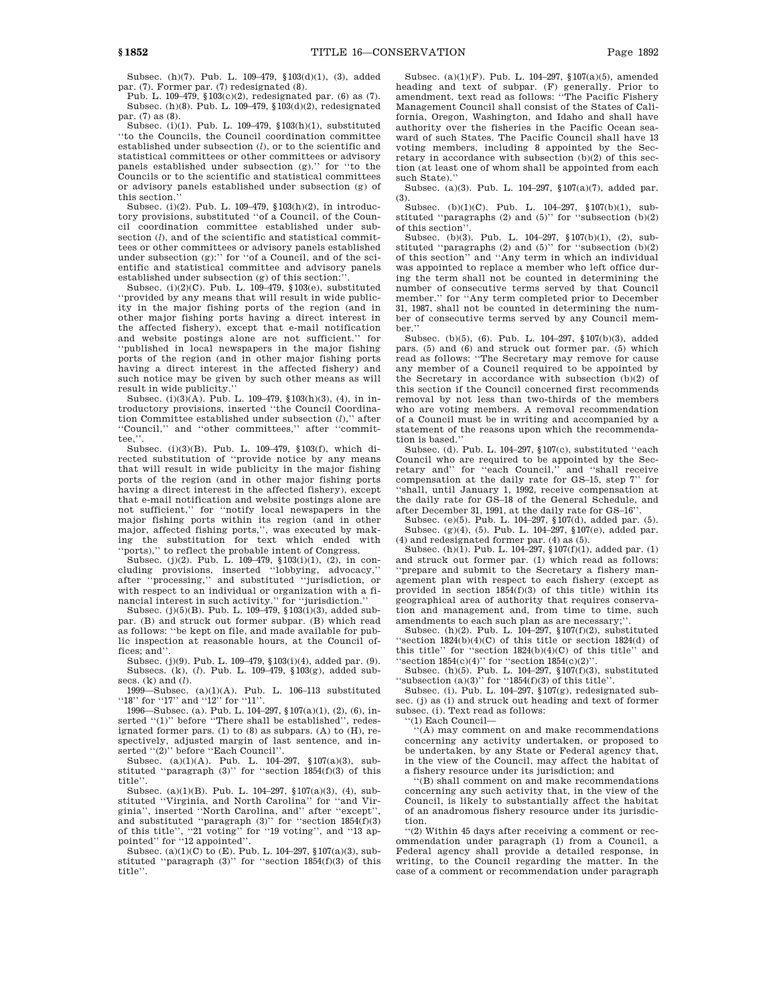Subsec. (h)(7). Pub. L. 109–479, §103(d)(1), (3), added par. (7). Former par. (7) redesignated (8).

Pub. L. 109–479, §103(c)(2), redesignated par. (6) as (7). Subsec. (h)(8). Pub. L. 109–479, §103(d)(2), redesignated par. (7) as (8).

Subsec. (i)(1). Pub. L. 109–479, §103(h)(1), substituted ''to the Councils, the Council coordination committee established under subsection (*l*), or to the scientific and statistical committees or other committees or advisory panels established under subsection (g).'' for ''to the Councils or to the scientific and statistical committees or advisory panels established under subsection (g) of this section.

Subsec. (i)(2). Pub. L. 109–479, §103(h)(2), in introductory provisions, substituted ''of a Council, of the Council coordination committee established under subsection (*l*), and of the scientific and statistical committees or other committees or advisory panels established under subsection (g):" for "of a Council, and of the scientific and statistical committee and advisory panels established under subsection (g) of this section:

Subsec. (i)(2)(C). Pub. L. 109–479, §103(e), substituted ''provided by any means that will result in wide publicity in the major fishing ports of the region (and in other major fishing ports having a direct interest in the affected fishery), except that e-mail notification and website postings alone are not sufficient.'' for ''published in local newspapers in the major fishing ports of the region (and in other major fishing ports having a direct interest in the affected fishery) and such notice may be given by such other means as will result in wide publicity.''

Subsec.  $(i)(3)(A)$ . Pub. L. 109–479, §103(h)(3), (4), in introductory provisions, inserted ''the Council Coordination Committee established under subsection (*l*),'' after ''Council,'' and ''other committees,'' after ''committee,''.

Subsec. (i)(3)(B). Pub. L. 109–479, §103(f), which directed substitution of "provide notice by any means" that will result in wide publicity in the major fishing ports of the region (and in other major fishing ports having a direct interest in the affected fishery), except that e-mail notification and website postings alone are not sufficient,'' for ''notify local newspapers in the major fishing ports within its region (and in other major, affected fishing ports,'', was executed by making the substitution for text which ended with ''ports),'' to reflect the probable intent of Congress.

Subsec. (j)(2). Pub. L. 109–479, §103(i)(1), (2), in concluding provisions, inserted ''lobbying, advocacy,'' after ''processing,'' and substituted ''jurisdiction, or with respect to an individual or organization with a financial interest in such activity.'' for ''jurisdiction.''

Subsec. (j)(5)(B). Pub. L. 109–479, §103(i)(3), added subpar. (B) and struck out former subpar. (B) which read as follows: ''be kept on file, and made available for public inspection at reasonable hours, at the Council offices; and''.

Subsec. (j)(9). Pub. L. 109–479, §103(i)(4), added par. (9). Subsecs. (k), (*l*). Pub. L. 109–479, §103(g), added subsecs. (k) and (*l*).

1999—Subsec. (a)(1)(A). Pub. L. 106–113 substituted ''18'' for ''17'' and ''12'' for ''11''.

1996—Subsec. (a). Pub. L. 104–297, §107(a)(1), (2), (6), inserted ''(1)'' before ''There shall be established'', redesignated former pars. (1) to (8) as subpars. (A) to (H), respectively, adjusted margin of last sentence, and in-

serted "(2)" before "Each Council".<br>Subsec. (a)(1)(A). Pub. L. 104–297, §107(a)(3), substituted "paragraph (3)" for "section  $1854(f)(3)$  of this title''.

Subsec. (a)(1)(B). Pub. L. 104–297, §107(a)(3), (4), substituted ''Virginia, and North Carolina'' for ''and Virginia'', inserted ''North Carolina, and'' after ''except'', and substituted ''paragraph (3)'' for ''section 1854(f)(3) of this title'', ''21 voting'' for ''19 voting'', and ''13 appointed'' for ''12 appointed''.

Subsec. (a)(1)(C) to (E). Pub. L.  $104-297$ ,  $$107(a)(3)$ , substituted "paragraph (3)" for "section 1854(f)(3) of this title''.

Subsec. (a)(1)(F). Pub. L. 104–297, §107(a)(5), amended heading and text of subpar. (F) generally. Prior to amendment, text read as follows: ''The Pacific Fishery Management Council shall consist of the States of California, Oregon, Washington, and Idaho and shall have authority over the fisheries in the Pacific Ocean seaward of such States. The Pacific Council shall have 13 voting members, including 8 appointed by the Secretary in accordance with subsection (b)(2) of this section (at least one of whom shall be appointed from each such State).''

Subsec. (a)(3). Pub. L. 104–297, §107(a)(7), added par. (3).

Subsec. (b)(1)(C). Pub. L. 104–297, §107(b)(1), substituted ''paragraphs (2) and (5)'' for ''subsection (b)(2) of this section''.

Subsec. (b)(3). Pub. L. 104–297, §107(b)(1), (2), substituted "paragraphs  $(2)$  and  $(5)$ " for "subsection  $(b)(2)$ of this section'' and ''Any term in which an individual was appointed to replace a member who left office during the term shall not be counted in determining the number of consecutive terms served by that Council member.'' for ''Any term completed prior to December 31, 1987, shall not be counted in determining the number of consecutive terms served by any Council member.

Subsec. (b)(5), (6). Pub. L. 104–297, §107(b)(3), added pars. (5) and (6) and struck out former par. (5) which read as follows: ''The Secretary may remove for cause any member of a Council required to be appointed by the Secretary in accordance with subsection (b)(2) of this section if the Council concerned first recommends removal by not less than two-thirds of the members who are voting members. A removal recommendation of a Council must be in writing and accompanied by a statement of the reasons upon which the recommendation is based.''

Subsec. (d). Pub. L. 104–297, §107(c), substituted ''each Council who are required to be appointed by the Secretary and'' for ''each Council,'' and ''shall receive compensation at the daily rate for GS–15, step 7'' for ''shall, until January 1, 1992, receive compensation at the daily rate for GS–18 of the General Schedule, and after December 31, 1991, at the daily rate for GS–16''.

Subsec. (e)(5). Pub. L. 104–297, §107(d), added par. (5). Subsec. (g)(4), (5). Pub. L. 104–297, §107(e), added par.

(4) and redesignated former par. (4) as (5). Subsec. (h)(1). Pub. L. 104–297, §107(f)(1), added par. (1) and struck out former par. (1) which read as follows: ''prepare and submit to the Secretary a fishery management plan with respect to each fishery (except as provided in section 1854(f)(3) of this title) within its geographical area of authority that requires conservation and management and, from time to time, such amendments to each such plan as are necessary;'

Subsec. (h)(2). Pub. L. 104–297, §107(f)(2), substituted 'section  $1824(b)(4)(C)$  of this title or section  $1824(d)$  of this title'' for "section  $1824(b)(4)(C)$  of this title" and "section  $1854(c)(4)$ " for "section  $1854(c)(2)$ ".

Subsec. (h)(5). Pub. L. 104–297, §107(f)(3), substituted "subsection  $(a)(3)$ " for "1854 $(f)(3)$  of this title".

Subsec. (i). Pub. L. 104–297, §107(g), redesignated subsec. (i) as (i) and struck out heading and text of former subsec. (i). Text read as follows:

''(1) Each Council—

 $\mathbf{H}^{(A)}$  may comment on and make recommendations concerning any activity undertaken, or proposed to be undertaken, by any State or Federal agency that, in the view of the Council, may affect the habitat of a fishery resource under its jurisdiction; and

''(B) shall comment on and make recommendations concerning any such activity that, in the view of the Council, is likely to substantially affect the habitat of an anadromous fishery resource under its jurisdiction.

''(2) Within 45 days after receiving a comment or recommendation under paragraph (1) from a Council, a Federal agency shall provide a detailed response, in writing, to the Council regarding the matter. In the case of a comment or recommendation under paragraph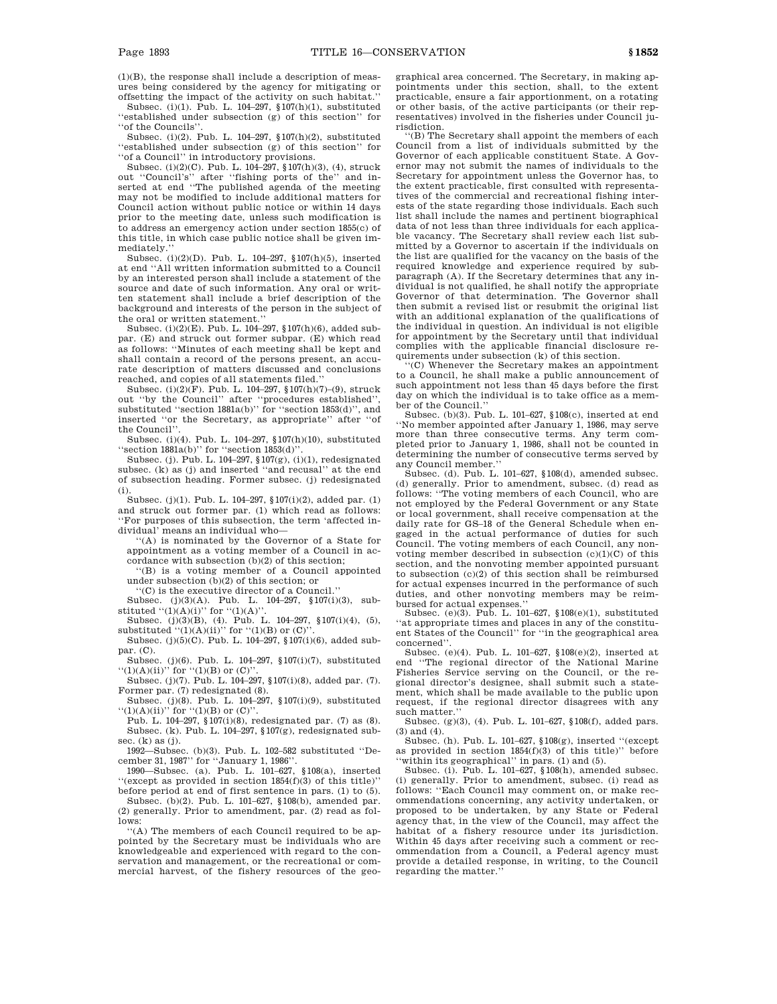(1)(B), the response shall include a description of measures being considered by the agency for mitigating or offsetting the impact of the activity on such habitat.''

Subsec. (i)(1). Pub. L. 104–297, §107(h)(1), substituted ''established under subsection (g) of this section'' for ''of the Councils''.

Subsec. (i)(2). Pub. L. 104–297, §107(h)(2), substituted ''established under subsection (g) of this section'' for ''of a Council'' in introductory provisions.

Subsec. (i)(2)(C). Pub. L. 104–297, §107(h)(3), (4), struck out ''Council's'' after ''fishing ports of the'' and inserted at end ''The published agenda of the meeting may not be modified to include additional matters for Council action without public notice or within 14 days prior to the meeting date, unless such modification is to address an emergency action under section 1855(c) of this title, in which case public notice shall be given immediately.

Subsec. (i)(2)(D). Pub. L. 104–297, §107(h)(5), inserted at end ''All written information submitted to a Council by an interested person shall include a statement of the source and date of such information. Any oral or written statement shall include a brief description of the background and interests of the person in the subject of the oral or written statement.''

Subsec. (i)(2)(E). Pub. L. 104–297, §107(h)(6), added subpar. (E) and struck out former subpar. (E) which read as follows: ''Minutes of each meeting shall be kept and shall contain a record of the persons present, an accurate description of matters discussed and conclusions reached, and copies of all statements filed.

Subsec. (i)(2)(F). Pub. L. 104–297, §107(h)(7)–(9), struck out ''by the Council'' after ''procedures established'', substituted "section 1881a(b)" for "section 1853(d)", and inserted ''or the Secretary, as appropriate'' after ''of the Council''.

Subsec. (i)(4). Pub. L. 104–297, §107(h)(10), substituted <code>''section 1881a(b)''</code> for <code>''section 1853(d)''</code>

Subsec. (j). Pub. L. 104–297, §107(g), (i)(1), redesignated subsec. (k) as (j) and inserted ''and recusal'' at the end of subsection heading. Former subsec. (j) redesignated (i).

Subsec. (j)(1). Pub. L. 104–297, §107(i)(2), added par. (1) and struck out former par. (1) which read as follows: ''For purposes of this subsection, the term 'affected individual' means an individual who—

''(A) is nominated by the Governor of a State for appointment as a voting member of a Council in accordance with subsection (b)(2) of this section;

''(B) is a voting member of a Council appointed under subsection (b)(2) of this section; or

''(C) is the executive director of a Council.''

Subsec. (j)(3)(A). Pub. L. 104–297, §107(i)(3), sub-

stituted "(1)(A)(i)" for "(1)(A)".<br>Subsec. (j)(3)(B), (4). Pub. L. 104–297, §107(i)(4), (5),<br>substituted "(1)(A)(ii)" for "(1)(B) or (C)".

Subsec. (j)(5)(C). Pub. L. 104–297, §107(i)(6), added subpar. (C).

Subsec. (j)(6). Pub. L. 104–297, §107(i)(7), substituted  $``(1)(A)(ii)"$  for  $''(1)(B)$  or  $(C)"$ .

Subsec. (j)(7). Pub. L. 104–297, §107(i)(8), added par. (7). Former par. (7) redesignated (8).

Subsec. (j)(8). Pub. L. 104–297, §107(i)(9), substituted  $``(1)(A)(ii)"$  for  $``(1)(B)$  or  $(C)"$ .

Pub. L. 104–297, §107(i)(8), redesignated par. (7) as (8). Subsec. (k). Pub. L. 104–297, §107(g), redesignated subsec.  $(k)$  as  $(i)$ .

1992—Subsec. (b)(3). Pub. L. 102–582 substituted ''De-cember 31, 1987'' for ''January 1, 1986''.

1990—Subsec. (a). Pub. L. 101–627, §108(a), inserted '(except as provided in section  $1854(f)(3)$  of this title)'' before period at end of first sentence in pars. (1) to (5).

Subsec. (b)(2). Pub. L. 101–627, §108(b), amended par. (2) generally. Prior to amendment, par. (2) read as follows:

''(A) The members of each Council required to be appointed by the Secretary must be individuals who are knowledgeable and experienced with regard to the conservation and management, or the recreational or commercial harvest, of the fishery resources of the geographical area concerned. The Secretary, in making appointments under this section, shall, to the extent practicable, ensure a fair apportionment, on a rotating or other basis, of the active participants (or their representatives) involved in the fisheries under Council jurisdiction.

''(B) The Secretary shall appoint the members of each Council from a list of individuals submitted by the Governor of each applicable constituent State. A Governor may not submit the names of individuals to the Secretary for appointment unless the Governor has, to the extent practicable, first consulted with representatives of the commercial and recreational fishing interests of the state regarding those individuals. Each such list shall include the names and pertinent biographical data of not less than three individuals for each applicable vacancy. The Secretary shall review each list submitted by a Governor to ascertain if the individuals on the list are qualified for the vacancy on the basis of the required knowledge and experience required by subparagraph (A). If the Secretary determines that any individual is not qualified, he shall notify the appropriate Governor of that determination. The Governor shall then submit a revised list or resubmit the original list with an additional explanation of the qualifications of the individual in question. An individual is not eligible for appointment by the Secretary until that individual complies with the applicable financial disclosure requirements under subsection (k) of this section.

''(C) Whenever the Secretary makes an appointment to a Council, he shall make a public announcement of such appointment not less than 45 days before the first day on which the individual is to take office as a member of the Council.''

Subsec. (b)(3). Pub. L. 101–627, §108(c), inserted at end ''No member appointed after January 1, 1986, may serve more than three consecutive terms. Any term completed prior to January 1, 1986, shall not be counted in determining the number of consecutive terms served by any Council member.''

Subsec. (d). Pub. L. 101–627, §108(d), amended subsec. (d) generally. Prior to amendment, subsec. (d) read as follows: ''The voting members of each Council, who are not employed by the Federal Government or any State or local government, shall receive compensation at the daily rate for GS–18 of the General Schedule when engaged in the actual performance of duties for such Council. The voting members of each Council, any nonvoting member described in subsection (c)(1)(C) of this section, and the nonvoting member appointed pursuant to subsection (c)(2) of this section shall be reimbursed for actual expenses incurred in the performance of such duties, and other nonvoting members may be reim-

bursed for actual expenses.'' Subsec. (e)(3). Pub. L. 101–627, §108(e)(1), substituted ''at appropriate times and places in any of the constitu-ent States of the Council'' for ''in the geographical area concerned''.

Subsec. (e)(4). Pub. L. 101–627, §108(e)(2), inserted at end ''The regional director of the National Marine Fisheries Service serving on the Council, or the regional director's designee, shall submit such a statement, which shall be made available to the public upon request, if the regional director disagrees with any such matter.''

Subsec. (g)(3), (4). Pub. L. 101–627, §108(f), added pars.

(3) and (4). Subsec. (h). Pub. L. 101–627, §108(g), inserted ''(except as provided in section  $1854(f)(3)$  of this title)" before

''within its geographical'' in pars. (1) and (5). Subsec. (i). Pub. L. 101–627, §108(h), amended subsec. (i) generally. Prior to amendment, subsec. (i) read as follows: ''Each Council may comment on, or make recommendations concerning, any activity undertaken, or proposed to be undertaken, by any State or Federal agency that, in the view of the Council, may affect the habitat of a fishery resource under its jurisdiction. Within 45 days after receiving such a comment or recommendation from a Council, a Federal agency must provide a detailed response, in writing, to the Council regarding the matter.''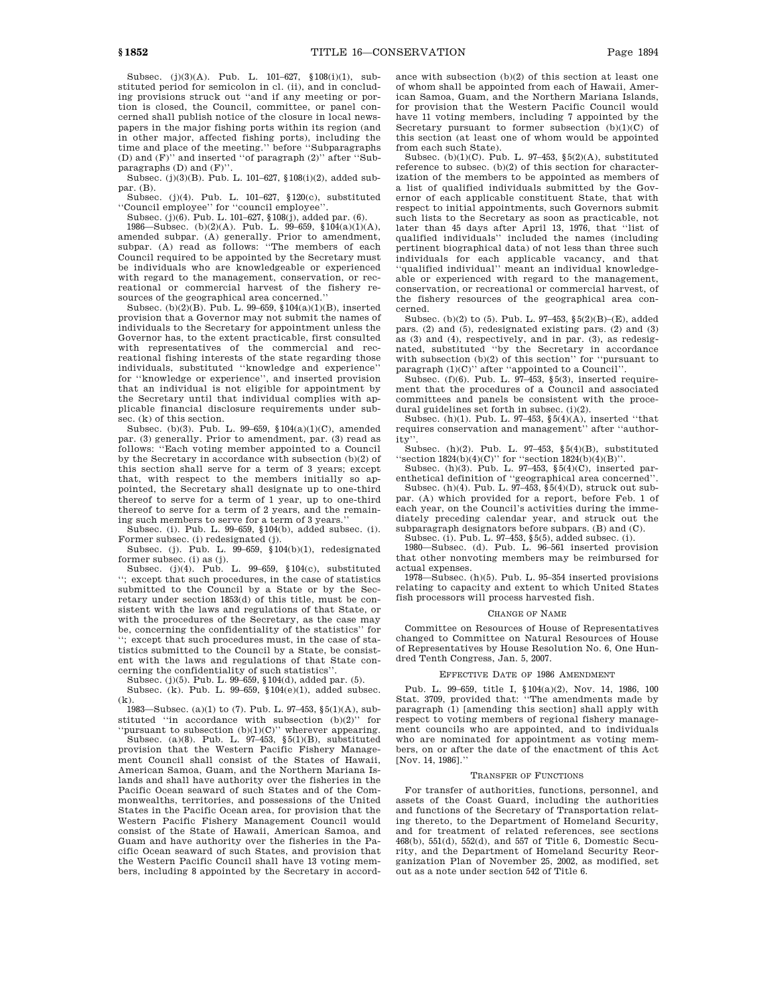Subsec. (j)(3)(A). Pub. L. 101–627, §108(i)(1), substituted period for semicolon in cl. (ii), and in concluding provisions struck out ''and if any meeting or portion is closed, the Council, committee, or panel concerned shall publish notice of the closure in local news-

papers in the major fishing ports within its region (and in other major, affected fishing ports), including the time and place of the meeting.'' before ''Subparagraphs (D) and (F)'' and inserted ''of paragraph (2)'' after ''Subparagraphs (D) and (F)'

Subsec. (j)(3)(B). Pub. L. 101–627, §108(i)(2), added subpar. (B).

Subsec. (j)(4). Pub. L. 101–627, §120(c), substituted ''Council employee'' for ''council employee''.

Subsec. (j)(6). Pub. L. 101–627, §108(j), added par. (6).

1986—Subsec. (b)(2)(A). Pub. L. 99–659, §104(a)(1)(A), amended subpar. (A) generally. Prior to amendment, subpar. (A) read as follows: ''The members of each Council required to be appointed by the Secretary must be individuals who are knowledgeable or experienced with regard to the management, conservation, or recreational or commercial harvest of the fishery resources of the geographical area concerned.''

Subsec. (b)(2)(B). Pub. L. 99–659, §104(a)(1)(B), inserted provision that a Governor may not submit the names of individuals to the Secretary for appointment unless the Governor has, to the extent practicable, first consulted with representatives of the commercial and recreational fishing interests of the state regarding those individuals, substituted ''knowledge and experience'' for ''knowledge or experience'', and inserted provision that an individual is not eligible for appointment by the Secretary until that individual complies with applicable financial disclosure requirements under subsec. (k) of this section.

Subsec. (b)(3). Pub. L. 99–659, §104(a)(1)(C), amended par. (3) generally. Prior to amendment, par. (3) read as follows: ''Each voting member appointed to a Council by the Secretary in accordance with subsection (b)(2) of this section shall serve for a term of 3 years; except that, with respect to the members initially so appointed, the Secretary shall designate up to one-third thereof to serve for a term of 1 year, up to one-third thereof to serve for a term of 2 years, and the remaining such members to serve for a term of 3 years.''

Subsec. (i). Pub. L. 99–659, §104(b), added subsec. (i). Former subsec. (i) redesignated (j).

Subsec. (j). Pub. L. 99–659,  $$104(b)(1)$ , redesignated former subsec. (i) as (j).

Subsec. (j)(4). Pub. L. 99–659, §104(c), substituted ''; except that such procedures, in the case of statistics submitted to the Council by a State or by the Secretary under section 1853(d) of this title, must be consistent with the laws and regulations of that State, or with the procedures of the Secretary, as the case may be, concerning the confidentiality of the statistics'' for ''; except that such procedures must, in the case of statistics submitted to the Council by a State, be consistent with the laws and regulations of that State con-

cerning the confidentiality of such statistics''. Subsec. (j)(5). Pub. L. 99–659, §104(d), added par. (5).

Subsec. (k). Pub. L. 99–659, §104(e)(1), added subsec.  $(k)$ .

1983—Subsec. (a)(1) to (7). Pub. L. 97–453, §5(1)(A), substituted ''in accordance with subsection (b)(2)'' for 'pursuant to subsection  $(b)(1)(C)$ " wherever appearing.

Subsec. (a)(8). Pub. L. 97-453,  $\S5(1)(B)$ , substituted provision that the Western Pacific Fishery Management Council shall consist of the States of Hawaii, American Samoa, Guam, and the Northern Mariana Islands and shall have authority over the fisheries in the Pacific Ocean seaward of such States and of the Commonwealths, territories, and possessions of the United States in the Pacific Ocean area, for provision that the Western Pacific Fishery Management Council would consist of the State of Hawaii, American Samoa, and Guam and have authority over the fisheries in the Pacific Ocean seaward of such States, and provision that the Western Pacific Council shall have 13 voting members, including 8 appointed by the Secretary in accordance with subsection (b)(2) of this section at least one of whom shall be appointed from each of Hawaii, American Samoa, Guam, and the Northern Mariana Islands, for provision that the Western Pacific Council would have 11 voting members, including 7 appointed by the Secretary pursuant to former subsection  $(b)(1)(C)$  of this section (at least one of whom would be appointed from each such State).

Subsec. (b)(1)(C). Pub. L. 97–453, §5(2)(A), substituted reference to subsec. (b)(2) of this section for characterization of the members to be appointed as members of a list of qualified individuals submitted by the Governor of each applicable constituent State, that with respect to initial appointments, such Governors submit such lists to the Secretary as soon as practicable, not later than 45 days after April 13, 1976, that ''list of qualified individuals'' included the names (including pertinent biographical data) of not less than three such individuals for each applicable vacancy, and that ''qualified individual'' meant an individual knowledgeable or experienced with regard to the management, conservation, or recreational or commercial harvest, of the fishery resources of the geographical area concerned.

Subsec. (b)(2) to (5). Pub. L. 97–453, §5(2)(B)–(E), added pars. (2) and (5), redesignated existing pars. (2) and (3) as (3) and (4), respectively, and in par. (3), as redesignated, substituted ''by the Secretary in accordance with subsection (b)(2) of this section'' for ''pursuant to paragraph (1)(C)'' after ''appointed to a Council''. Subsec. (f)(6). Pub. L. 97–453, §5(3), inserted require-

ment that the procedures of a Council and associated committees and panels be consistent with the procedural guidelines set forth in subsec. (i)(2).

Subsec. (h)(1). Pub. L. 97–453, §5(4)(A), inserted ''that requires conservation and management'' after ''authority.

Subsec. (h)(2). Pub. L. 97-453,  $\S5(4)(B)$ , substituted "section  $1824(b)(4)(C)$ " for "section  $1824(b)(4)(B)$ ".

Subsec. (h)(3). Pub. L. 97–453, §5(4)(C), inserted parenthetical definition of ''geographical area concerned''. Subsec. (h)(4). Pub. L. 97–453,  $\S5(4)(D)$ , struck out sub-

par. (A) which provided for a report, before Feb. 1 of each year, on the Council's activities during the immediately preceding calendar year, and struck out the subparagraph designators before subpars. (B) and (C).

Subsec. (i). Pub. L. 97–453, §5(5), added subsec. (i).

1980—Subsec. (d). Pub. L. 96–561 inserted provision that other nonvoting members may be reimbursed for actual expenses.

1978—Subsec. (h)(5). Pub. L. 95–354 inserted provisions relating to capacity and extent to which United States fish processors will process harvested fish.

#### CHANGE OF NAME

Committee on Resources of House of Representatives changed to Committee on Natural Resources of House of Representatives by House Resolution No. 6, One Hundred Tenth Congress, Jan. 5, 2007.

### EFFECTIVE DATE OF 1986 AMENDMENT

Pub. L. 99–659, title I, §104(a)(2), Nov. 14, 1986, 100 Stat. 3709, provided that: ''The amendments made by paragraph (1) [amending this section] shall apply with respect to voting members of regional fishery management councils who are appointed, and to individuals who are nominated for appointment as voting members, on or after the date of the enactment of this Act [Nov. 14, 1986].''

### TRANSFER OF FUNCTIONS

For transfer of authorities, functions, personnel, and assets of the Coast Guard, including the authorities and functions of the Secretary of Transportation relating thereto, to the Department of Homeland Security, and for treatment of related references, see sections 468(b), 551(d), 552(d), and 557 of Title 6, Domestic Security, and the Department of Homeland Security Reorganization Plan of November 25, 2002, as modified, set out as a note under section 542 of Title 6.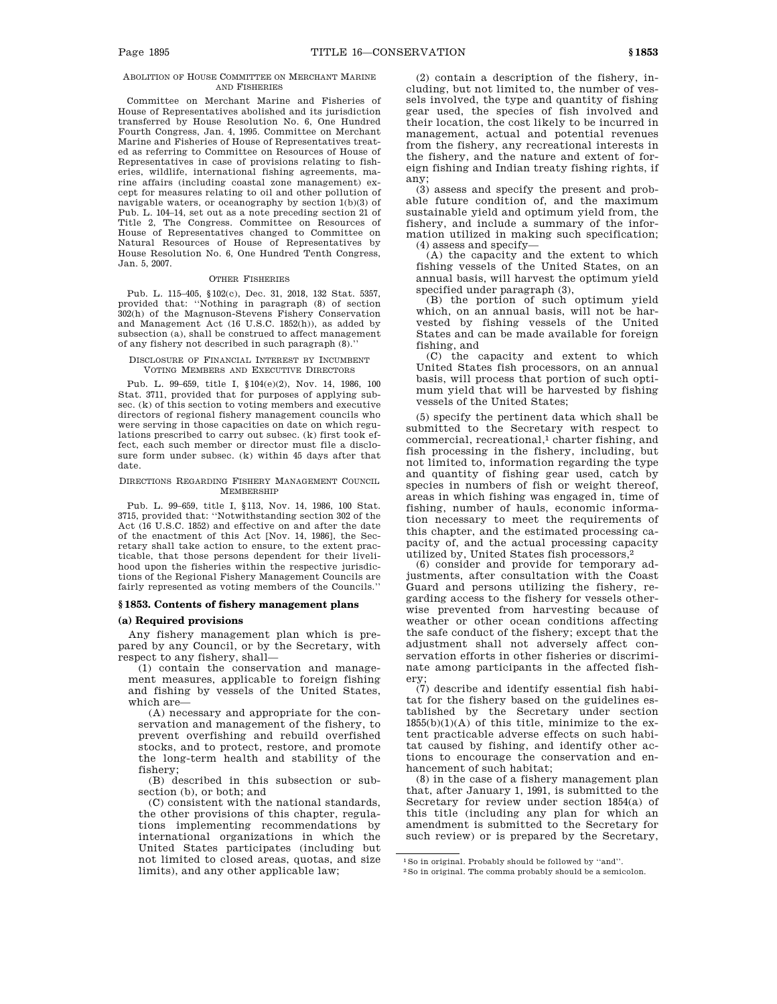#### ABOLITION OF HOUSE COMMITTEE ON MERCHANT MARINE AND FISHERIES

Committee on Merchant Marine and Fisheries of House of Representatives abolished and its jurisdiction transferred by House Resolution No. 6, One Hundred Fourth Congress, Jan. 4, 1995. Committee on Merchant Marine and Fisheries of House of Representatives treated as referring to Committee on Resources of House of Representatives in case of provisions relating to fisheries, wildlife, international fishing agreements, marine affairs (including coastal zone management) except for measures relating to oil and other pollution of navigable waters, or oceanography by section 1(b)(3) of Pub. L. 104–14, set out as a note preceding section 21 of Title 2, The Congress. Committee on Resources of House of Representatives changed to Committee on Natural Resources of House of Representatives by House Resolution No. 6, One Hundred Tenth Congress, Jan. 5, 2007.

#### OTHER FISHERIES

Pub. L. 115–405, §102(c), Dec. 31, 2018, 132 Stat. 5357, provided that: ''Nothing in paragraph (8) of section 302(h) of the Magnuson-Stevens Fishery Conservation and Management Act (16 U.S.C. 1852(h)), as added by subsection (a), shall be construed to affect management of any fishery not described in such paragraph (8).''

### DISCLOSURE OF FINANCIAL INTEREST BY INCUMBENT VOTING MEMBERS AND EXECUTIVE DIRECTORS

Pub. L. 99–659, title I, §104(e)(2), Nov. 14, 1986, 100 Stat. 3711, provided that for purposes of applying subsec. (k) of this section to voting members and executive directors of regional fishery management councils who were serving in those capacities on date on which regulations prescribed to carry out subsec. (k) first took effect, each such member or director must file a disclosure form under subsec. (k) within 45 days after that date.

#### DIRECTIONS REGARDING FISHERY MANAGEMENT COUNCIL MEMBERSHIP

Pub. L. 99–659, title I, §113, Nov. 14, 1986, 100 Stat. 3715, provided that: ''Notwithstanding section 302 of the Act (16 U.S.C. 1852) and effective on and after the date of the enactment of this Act [Nov. 14, 1986], the Secretary shall take action to ensure, to the extent practicable, that those persons dependent for their livelihood upon the fisheries within the respective jurisdictions of the Regional Fishery Management Councils are fairly represented as voting members of the Councils.''

# **§ 1853. Contents of fishery management plans**

### **(a) Required provisions**

Any fishery management plan which is prepared by any Council, or by the Secretary, with respect to any fishery, shall—

(1) contain the conservation and management measures, applicable to foreign fishing and fishing by vessels of the United States, which are—

(A) necessary and appropriate for the conservation and management of the fishery, to prevent overfishing and rebuild overfished stocks, and to protect, restore, and promote the long-term health and stability of the fishery;

(B) described in this subsection or subsection (b), or both; and

(C) consistent with the national standards, the other provisions of this chapter, regulations implementing recommendations by international organizations in which the United States participates (including but not limited to closed areas, quotas, and size limits), and any other applicable law;

(2) contain a description of the fishery, including, but not limited to, the number of vessels involved, the type and quantity of fishing gear used, the species of fish involved and their location, the cost likely to be incurred in management, actual and potential revenues from the fishery, any recreational interests in the fishery, and the nature and extent of foreign fishing and Indian treaty fishing rights, if any;

(3) assess and specify the present and probable future condition of, and the maximum sustainable yield and optimum yield from, the fishery, and include a summary of the information utilized in making such specification; (4) assess and specify—

(A) the capacity and the extent to which fishing vessels of the United States, on an annual basis, will harvest the optimum yield specified under paragraph (3),

(B) the portion of such optimum yield which, on an annual basis, will not be harvested by fishing vessels of the United States and can be made available for foreign fishing, and

(C) the capacity and extent to which United States fish processors, on an annual basis, will process that portion of such optimum yield that will be harvested by fishing vessels of the United States;

(5) specify the pertinent data which shall be submitted to the Secretary with respect to commercial, recreational,<sup>1</sup> charter fishing, and fish processing in the fishery, including, but not limited to, information regarding the type and quantity of fishing gear used, catch by species in numbers of fish or weight thereof, areas in which fishing was engaged in, time of fishing, number of hauls, economic information necessary to meet the requirements of this chapter, and the estimated processing capacity of, and the actual processing capacity utilized by, United States fish processors,2

(6) consider and provide for temporary adjustments, after consultation with the Coast Guard and persons utilizing the fishery, regarding access to the fishery for vessels otherwise prevented from harvesting because of weather or other ocean conditions affecting the safe conduct of the fishery; except that the adjustment shall not adversely affect conservation efforts in other fisheries or discriminate among participants in the affected fishery;

 $(7)$  describe and identify essential fish habitat for the fishery based on the guidelines established by the Secretary under section  $1855(b)(1)(A)$  of this title, minimize to the extent practicable adverse effects on such habitat caused by fishing, and identify other actions to encourage the conservation and enhancement of such habitat;

(8) in the case of a fishery management plan that, after January 1, 1991, is submitted to the Secretary for review under section 1854(a) of this title (including any plan for which an amendment is submitted to the Secretary for such review) or is prepared by the Secretary,

<sup>1</sup>So in original. Probably should be followed by ''and''.

<sup>2</sup>So in original. The comma probably should be a semicolon.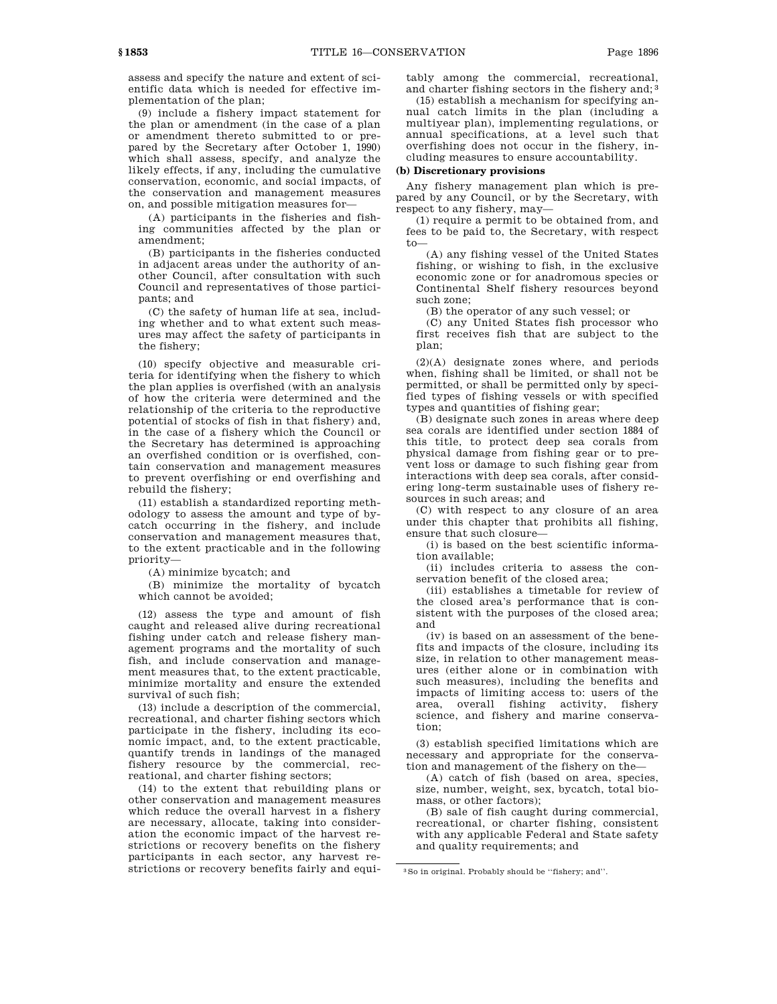assess and specify the nature and extent of scientific data which is needed for effective implementation of the plan;

(9) include a fishery impact statement for the plan or amendment (in the case of a plan or amendment thereto submitted to or prepared by the Secretary after October 1, 1990) which shall assess, specify, and analyze the likely effects, if any, including the cumulative conservation, economic, and social impacts, of the conservation and management measures on, and possible mitigation measures for—

(A) participants in the fisheries and fishing communities affected by the plan or amendment;

(B) participants in the fisheries conducted in adjacent areas under the authority of another Council, after consultation with such Council and representatives of those participants; and

(C) the safety of human life at sea, including whether and to what extent such measures may affect the safety of participants in the fishery;

(10) specify objective and measurable criteria for identifying when the fishery to which the plan applies is overfished (with an analysis of how the criteria were determined and the relationship of the criteria to the reproductive potential of stocks of fish in that fishery) and, in the case of a fishery which the Council or the Secretary has determined is approaching an overfished condition or is overfished, contain conservation and management measures to prevent overfishing or end overfishing and rebuild the fishery;

(11) establish a standardized reporting methodology to assess the amount and type of bycatch occurring in the fishery, and include conservation and management measures that, to the extent practicable and in the following priority—

(A) minimize bycatch; and

(B) minimize the mortality of bycatch which cannot be avoided;

(12) assess the type and amount of fish caught and released alive during recreational fishing under catch and release fishery management programs and the mortality of such fish, and include conservation and management measures that, to the extent practicable, minimize mortality and ensure the extended survival of such fish;

(13) include a description of the commercial, recreational, and charter fishing sectors which participate in the fishery, including its economic impact, and, to the extent practicable, quantify trends in landings of the managed fishery resource by the commercial, recreational, and charter fishing sectors;

(14) to the extent that rebuilding plans or other conservation and management measures which reduce the overall harvest in a fishery are necessary, allocate, taking into consideration the economic impact of the harvest restrictions or recovery benefits on the fishery participants in each sector, any harvest restrictions or recovery benefits fairly and equi-

tably among the commercial, recreational, and charter fishing sectors in the fishery and; 3

(15) establish a mechanism for specifying annual catch limits in the plan (including a multiyear plan), implementing regulations, or annual specifications, at a level such that overfishing does not occur in the fishery, including measures to ensure accountability.

# **(b) Discretionary provisions**

Any fishery management plan which is prepared by any Council, or by the Secretary, with respect to any fishery, may—

(1) require a permit to be obtained from, and fees to be paid to, the Secretary, with respect to—

(A) any fishing vessel of the United States fishing, or wishing to fish, in the exclusive economic zone or for anadromous species or Continental Shelf fishery resources beyond such zone;

(B) the operator of any such vessel; or

(C) any United States fish processor who first receives fish that are subject to the plan;

(2)(A) designate zones where, and periods when, fishing shall be limited, or shall not be permitted, or shall be permitted only by specified types of fishing vessels or with specified types and quantities of fishing gear;

(B) designate such zones in areas where deep sea corals are identified under section 1884 of this title, to protect deep sea corals from physical damage from fishing gear or to prevent loss or damage to such fishing gear from interactions with deep sea corals, after considering long-term sustainable uses of fishery resources in such areas; and

(C) with respect to any closure of an area under this chapter that prohibits all fishing, ensure that such closure—

(i) is based on the best scientific information available;

(ii) includes criteria to assess the conservation benefit of the closed area;

(iii) establishes a timetable for review of the closed area's performance that is consistent with the purposes of the closed area; and

(iv) is based on an assessment of the benefits and impacts of the closure, including its size, in relation to other management measures (either alone or in combination with such measures), including the benefits and impacts of limiting access to: users of the area, overall fishing activity, fishery science, and fishery and marine conservation;

(3) establish specified limitations which are necessary and appropriate for the conservation and management of the fishery on the—

(A) catch of fish (based on area, species, size, number, weight, sex, bycatch, total biomass, or other factors);

(B) sale of fish caught during commercial, recreational, or charter fishing, consistent with any applicable Federal and State safety and quality requirements; and

<sup>3</sup>So in original. Probably should be ''fishery; and''.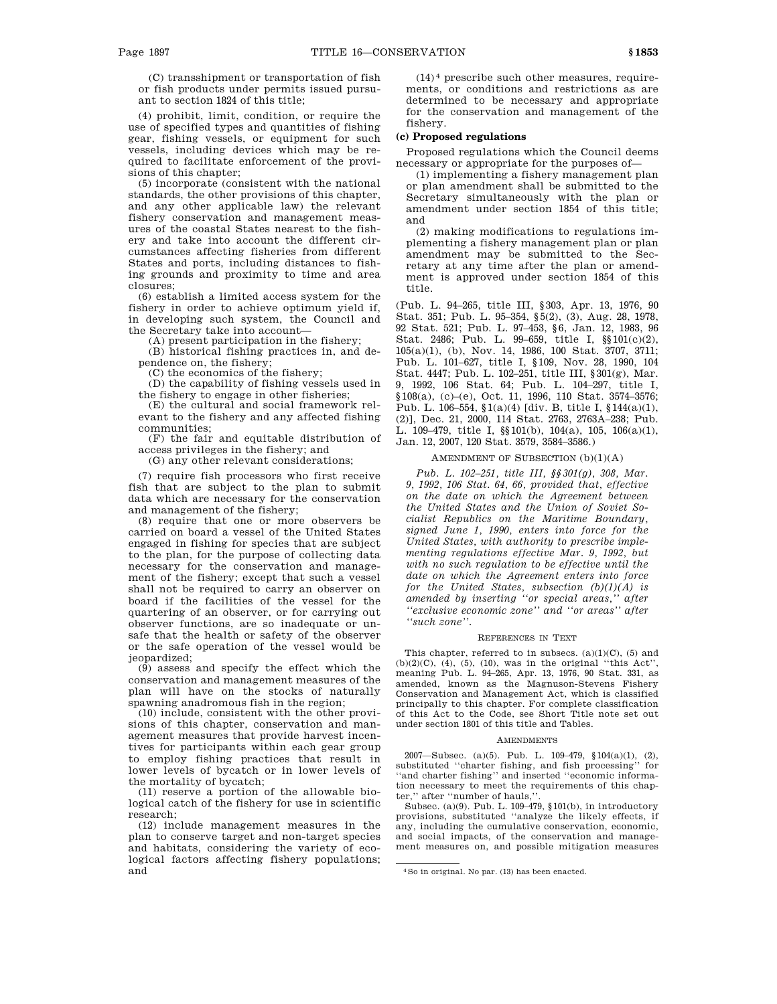(C) transshipment or transportation of fish or fish products under permits issued pursuant to section 1824 of this title;

(4) prohibit, limit, condition, or require the use of specified types and quantities of fishing gear, fishing vessels, or equipment for such vessels, including devices which may be required to facilitate enforcement of the provisions of this chapter;

(5) incorporate (consistent with the national standards, the other provisions of this chapter, and any other applicable law) the relevant fishery conservation and management measures of the coastal States nearest to the fishery and take into account the different circumstances affecting fisheries from different States and ports, including distances to fishing grounds and proximity to time and area closures;

(6) establish a limited access system for the fishery in order to achieve optimum yield if, in developing such system, the Council and the Secretary take into account—

(A) present participation in the fishery;

(B) historical fishing practices in, and dependence on, the fishery;

(C) the economics of the fishery;

(D) the capability of fishing vessels used in the fishery to engage in other fisheries;

(E) the cultural and social framework relevant to the fishery and any affected fishing communities;

(F) the fair and equitable distribution of access privileges in the fishery; and

(G) any other relevant considerations;

(7) require fish processors who first receive fish that are subject to the plan to submit data which are necessary for the conservation and management of the fishery;

(8) require that one or more observers be carried on board a vessel of the United States engaged in fishing for species that are subject to the plan, for the purpose of collecting data necessary for the conservation and management of the fishery; except that such a vessel shall not be required to carry an observer on board if the facilities of the vessel for the quartering of an observer, or for carrying out observer functions, are so inadequate or unsafe that the health or safety of the observer or the safe operation of the vessel would be jeopardized;

(9) assess and specify the effect which the conservation and management measures of the plan will have on the stocks of naturally spawning anadromous fish in the region;

(10) include, consistent with the other provisions of this chapter, conservation and management measures that provide harvest incentives for participants within each gear group to employ fishing practices that result in lower levels of bycatch or in lower levels of the mortality of bycatch;

(11) reserve a portion of the allowable biological catch of the fishery for use in scientific research;

(12) include management measures in the plan to conserve target and non-target species and habitats, considering the variety of ecological factors affecting fishery populations; and

 $(14)$ <sup>4</sup> prescribe such other measures, requirements, or conditions and restrictions as are determined to be necessary and appropriate for the conservation and management of the fishery.

# **(c) Proposed regulations**

Proposed regulations which the Council deems necessary or appropriate for the purposes of—

(1) implementing a fishery management plan or plan amendment shall be submitted to the Secretary simultaneously with the plan or amendment under section 1854 of this title; and

(2) making modifications to regulations implementing a fishery management plan or plan amendment may be submitted to the Secretary at any time after the plan or amendment is approved under section 1854 of this title.

(Pub. L. 94–265, title III, §303, Apr. 13, 1976, 90 Stat. 351; Pub. L. 95–354, §5(2), (3), Aug. 28, 1978, 92 Stat. 521; Pub. L. 97–453, §6, Jan. 12, 1983, 96 Stat. 2486; Pub. L. 99–659, title I, §§101(c)(2), 105(a)(1), (b), Nov. 14, 1986, 100 Stat. 3707, 3711; Pub. L. 101–627, title I, §109, Nov. 28, 1990, 104 Stat. 4447; Pub. L. 102–251, title III, §301(g), Mar. 9, 1992, 106 Stat. 64; Pub. L. 104–297, title I, §108(a), (c)–(e), Oct. 11, 1996, 110 Stat. 3574–3576; Pub. L. 106–554, §1(a)(4) [div. B, title I, §144(a)(1), (2)], Dec. 21, 2000, 114 Stat. 2763, 2763A–238; Pub. L. 109–479, title I, §§101(b), 104(a), 105, 106(a)(1), Jan. 12, 2007, 120 Stat. 3579, 3584–3586.)

# AMENDMENT OF SUBSECTION  $(b)(1)(A)$

*Pub. L. 102–251, title III, §§301(g), 308, Mar. 9, 1992, 106 Stat. 64, 66, provided that, effective on the date on which the Agreement between the United States and the Union of Soviet Socialist Republics on the Maritime Boundary, signed June 1, 1990, enters into force for the United States, with authority to prescribe implementing regulations effective Mar. 9, 1992, but with no such regulation to be effective until the date on which the Agreement enters into force for the United States, subsection (b)(1)(A) is amended by inserting ''or special areas,'' after ''exclusive economic zone'' and ''or areas'' after ''such zone''.*

#### REFERENCES IN TEXT

This chapter, referred to in subsecs.  $(a)(1)(C)$ ,  $(5)$  and  $(b)(2)(C)$ ,  $(4)$ ,  $(5)$ ,  $(10)$ , was in the original "this Act", meaning Pub. L. 94–265, Apr. 13, 1976, 90 Stat. 331, as amended, known as the Magnuson-Stevens Fishery Conservation and Management Act, which is classified principally to this chapter. For complete classification of this Act to the Code, see Short Title note set out under section 1801 of this title and Tables.

#### **AMENDMENTS**

2007—Subsec. (a)(5). Pub. L. 109–479, §104(a)(1), (2), substituted ''charter fishing, and fish processing'' for ''and charter fishing'' and inserted ''economic information necessary to meet the requirements of this chapter," after "number of hauls,

Subsec. (a)(9). Pub. L. 109–479, §101(b), in introductory provisions, substituted ''analyze the likely effects, if any, including the cumulative conservation, economic, and social impacts, of the conservation and management measures on, and possible mitigation measures

<sup>4</sup>So in original. No par. (13) has been enacted.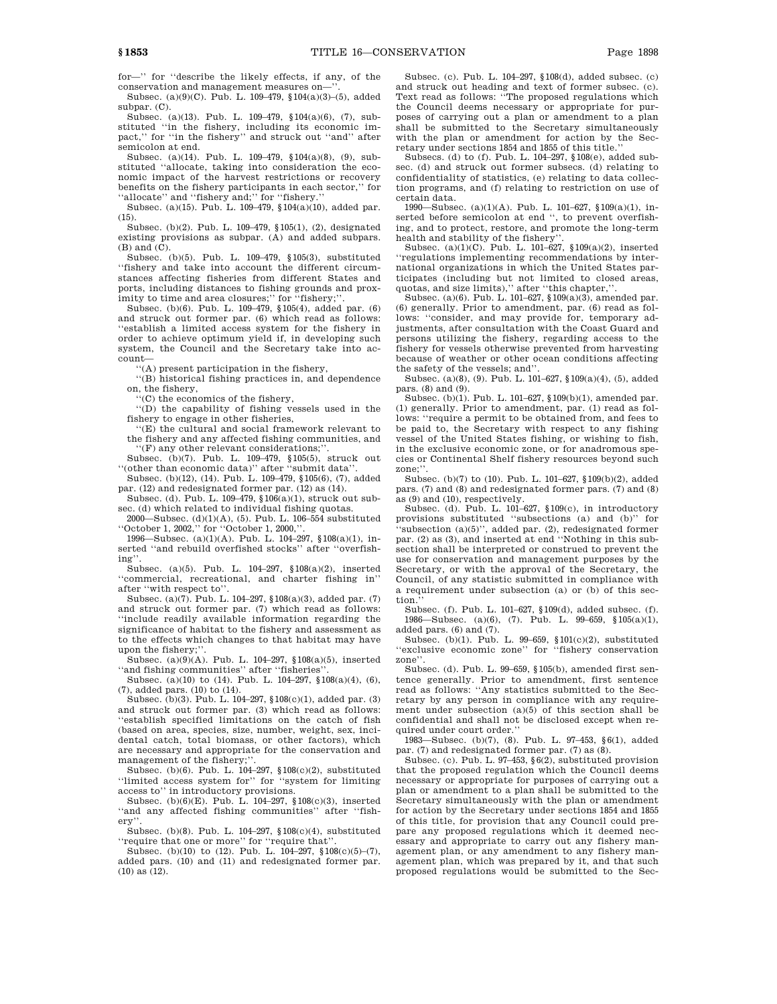for—'' for ''describe the likely effects, if any, of the conservation and management measures on-

Subsec. (a)(9)(C). Pub. L. 109–479, §104(a)(3)–(5), added subpar. (C).

Subsec. (a)(13). Pub. L. 109–479, §104(a)(6), (7), substituted ''in the fishery, including its economic impact,'' for ''in the fishery'' and struck out ''and'' after semicolon at end.

Subsec. (a)(14). Pub. L. 109–479, §104(a)(8), (9), substituted ''allocate, taking into consideration the economic impact of the harvest restrictions or recovery benefits on the fishery participants in each sector,'' for ''allocate'' and ''fishery and;'' for ''fishery.''

Subsec. (a)(15). Pub. L. 109–479, §104(a)(10), added par. (15).

Subsec. (b)(2). Pub. L. 109–479, §105(1), (2), designated existing provisions as subpar. (A) and added subpars. (B) and (C).

Subsec. (b)(5). Pub. L. 109–479, §105(3), substituted ''fishery and take into account the different circumstances affecting fisheries from different States and ports, including distances to fishing grounds and proximity to time and area closures;" for "fishery;

Subsec. (b)(6). Pub. L. 109–479, §105(4), added par. (6) and struck out former par. (6) which read as follows: 'establish a limited access system for the fishery in order to achieve optimum yield if, in developing such system, the Council and the Secretary take into account—

 $(A)$  present participation in the fishery,

''(B) historical fishing practices in, and dependence on, the fishery,

''(C) the economics of the fishery,

''(D) the capability of fishing vessels used in the fishery to engage in other fisheries,

''(E) the cultural and social framework relevant to the fishery and any affected fishing communities, and ''(F) any other relevant considerations;''.

Subsec. (b)(7). Pub. L. 109–479, §105(5), struck out ''(other than economic data)'' after ''submit data''.

Subsec. (b)(12), (14). Pub. L. 109–479, §105(6), (7), added par. (12) and redesignated former par. (12) as (14).

Subsec. (d). Pub. L. 109–479, §106(a)(1), struck out subsec. (d) which related to individual fishing quotas.

2000—Subsec. (d)(1)(A), (5). Pub. L. 106–554 substituted "October 1, 2002," for "October 1, 2000,"

1996—Subsec. (a)(1)(A). Pub. L. 104–297, §108(a)(1), inserted ''and rebuild overfished stocks'' after ''overfishing''.

Subsec. (a)(5). Pub. L. 104–297, §108(a)(2), inserted ''commercial, recreational, and charter fishing in'' after ''with respect to''.

Subsec. (a)(7). Pub. L. 104–297, §108(a)(3), added par. (7) and struck out former par. (7) which read as follows: ''include readily available information regarding the significance of habitat to the fishery and assessment as to the effects which changes to that habitat may have upon the fishery;'

Subsec. (a)(9)(A). Pub. L. 104–297, §108(a)(5), inserted ''and fishing communities'' after ''fisheries''.

Subsec. (a)(10) to (14). Pub. L. 104–297,  $$108(a)(4)$ , (6), (7), added pars. (10) to (14).

Subsec. (b)(3). Pub. L. 104–297, §108(c)(1), added par. (3) and struck out former par. (3) which read as follows: ''establish specified limitations on the catch of fish (based on area, species, size, number, weight, sex, incidental catch, total biomass, or other factors), which are necessary and appropriate for the conservation and management of the fishery;

Subsec. (b)(6). Pub. L. 104–297, §108(c)(2), substituted ''limited access system for'' for ''system for limiting access to'' in introductory provisions.

Subsec. (b)(6)(E). Pub. L. 104–297, §108(c)(3), inserted ''and any affected fishing communities'' after ''fishery''.

Subsec. (b)(8). Pub. L.  $104-297$ ,  $108(c)(4)$ , substituted ''require that one or more'' for ''require that''.

Subsec. (b)(10) to (12). Pub. L. 104-297, §108(c)(5)-(7), added pars. (10) and (11) and redesignated former par. (10) as (12).

Subsec. (c). Pub. L. 104–297, §108(d), added subsec. (c) and struck out heading and text of former subsec. (c). Text read as follows: "The proposed regulations which the Council deems necessary or appropriate for purposes of carrying out a plan or amendment to a plan shall be submitted to the Secretary simultaneously with the plan or amendment for action by the Secretary under sections 1854 and 1855 of this title.''

Subsecs. (d) to (f). Pub. L. 104–297, §108(e), added subsec. (d) and struck out former subsecs. (d) relating to confidentiality of statistics, (e) relating to data collection programs, and (f) relating to restriction on use of certain data.

1990—Subsec. (a)(1)(A). Pub. L. 101–627, §109(a)(1), inserted before semicolon at end ", to prevent overfishing, and to protect, restore, and promote the long-term health and stability of the fishery''.

Subsec. (a)(1)(C). Pub. L. 101–627, §109(a)(2), inserted ''regulations implementing recommendations by international organizations in which the United States participates (including but not limited to closed areas, quotas, and size limits),'' after ''this chapter,''.

Subsec. (a)(6). Pub. L. 101–627, §109(a)(3), amended par. (6) generally. Prior to amendment, par. (6) read as follows: ''consider, and may provide for, temporary adjustments, after consultation with the Coast Guard and persons utilizing the fishery, regarding access to the fishery for vessels otherwise prevented from harvesting because of weather or other ocean conditions affecting the safety of the vessels; and'

Subsec. (a)(8), (9). Pub. L. 101–627, §109(a)(4), (5), added pars. (8) and (9).

Subsec. (b)(1). Pub. L. 101–627, §109(b)(1), amended par. (1) generally. Prior to amendment, par. (1) read as follows: ''require a permit to be obtained from, and fees to be paid to, the Secretary with respect to any fishing vessel of the United States fishing, or wishing to fish, in the exclusive economic zone, or for anadromous species or Continental Shelf fishery resources beyond such zone;''.

Subsec. (b)(7) to (10). Pub. L. 101–627, §109(b)(2), added pars. (7) and (8) and redesignated former pars. (7) and (8) as (9) and (10), respectively.

Subsec. (d). Pub. L. 101–627,  $$109(c)$ , in introductory provisions substituted ''subsections (a) and (b)'' for ''subsection (a)(5)'', added par. (2), redesignated former par. (2) as (3), and inserted at end ''Nothing in this subsection shall be interpreted or construed to prevent the use for conservation and management purposes by the Secretary, or with the approval of the Secretary, the Council, of any statistic submitted in compliance with a requirement under subsection (a) or (b) of this section.

Subsec. (f). Pub. L. 101–627, §109(d), added subsec. (f). 1986—Subsec. (a)(6), (7). Pub. L. 99–659, §105(a)(1), added pars. (6) and (7).

Subsec. (b)(1). Pub. L. 99–659, §101(c)(2), substituted 'exclusive economic zone'' for "fishery conservation zone''.

Subsec. (d). Pub. L. 99–659, §105(b), amended first sentence generally. Prior to amendment, first sentence read as follows: ''Any statistics submitted to the Secretary by any person in compliance with any requirement under subsection  $(a)(5)$  of this section shall be confidential and shall not be disclosed except when required under court order.

1983—Subsec. (b)(7), (8). Pub. L. 97–453, §6(1), added par. (7) and redesignated former par. (7) as (8).

Subsec. (c). Pub. L. 97–453, §6(2), substituted provision that the proposed regulation which the Council deems necessary or appropriate for purposes of carrying out a plan or amendment to a plan shall be submitted to the Secretary simultaneously with the plan or amendment for action by the Secretary under sections 1854 and 1855 of this title, for provision that any Council could prepare any proposed regulations which it deemed necessary and appropriate to carry out any fishery management plan, or any amendment to any fishery management plan, which was prepared by it, and that such proposed regulations would be submitted to the Sec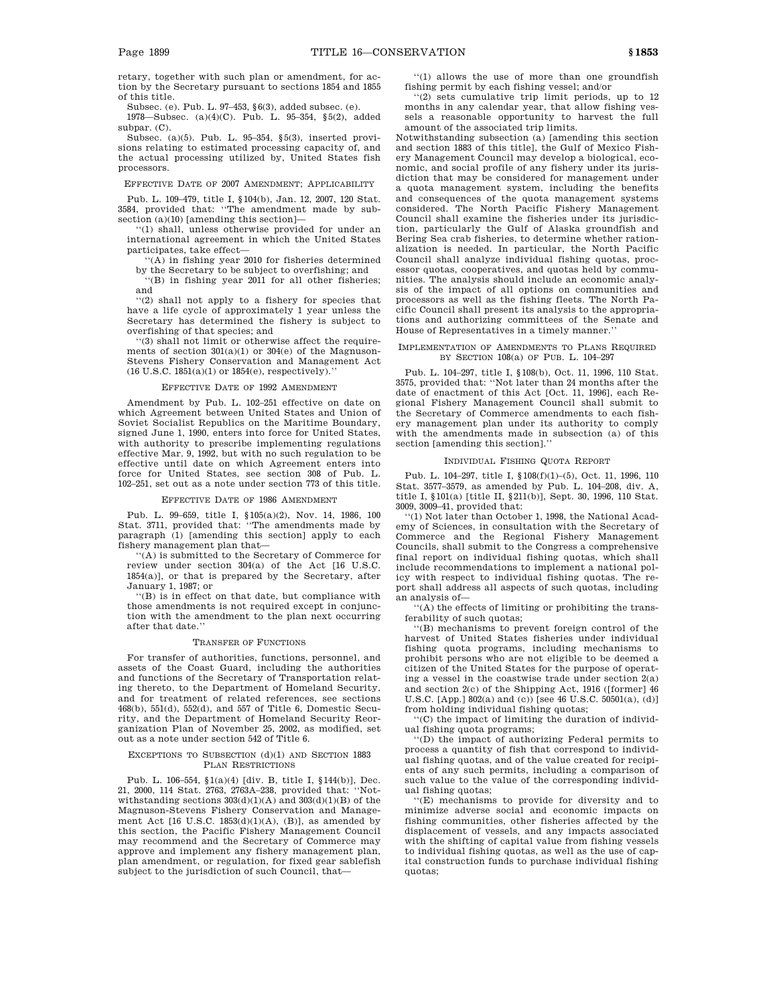retary, together with such plan or amendment, for action by the Secretary pursuant to sections 1854 and 1855 of this title.

Subsec. (e). Pub. L. 97–453, §6(3), added subsec. (e).

1978—Subsec. (a)(4)(C). Pub. L. 95–354, §5(2), added subpar. (C).

Subsec. (a)(5). Pub. L. 95–354, §5(3), inserted provisions relating to estimated processing capacity of, and the actual processing utilized by, United States fish processors.

EFFECTIVE DATE OF 2007 AMENDMENT; APPLICABILITY

Pub. L. 109–479, title I, §104(b), Jan. 12, 2007, 120 Stat. 3584, provided that: ''The amendment made by subsection (a)(10) [amending this section]-

''(1) shall, unless otherwise provided for under an international agreement in which the United States participates, take effect—

''(A) in fishing year 2010 for fisheries determined

by the Secretary to be subject to overfishing; and ''(B) in fishing year 2011 for all other fisheries;

and ''(2) shall not apply to a fishery for species that have a life cycle of approximately 1 year unless the Secretary has determined the fishery is subject to overfishing of that species; and

''(3) shall not limit or otherwise affect the requirements of section  $301(a)(1)$  or  $304(e)$  of the Magnuson-Stevens Fishery Conservation and Management Act (16 U.S.C. 1851(a)(1) or 1854(e), respectively).''

#### EFFECTIVE DATE OF 1992 AMENDMENT

Amendment by Pub. L. 102–251 effective on date on which Agreement between United States and Union of Soviet Socialist Republics on the Maritime Boundary, signed June 1, 1990, enters into force for United States, with authority to prescribe implementing regulations effective Mar. 9, 1992, but with no such regulation to be effective until date on which Agreement enters into force for United States, see section 308 of Pub. L. 102–251, set out as a note under section 773 of this title.

# EFFECTIVE DATE OF 1986 AMENDMENT

Pub. L. 99–659, title I, §105(a)(2), Nov. 14, 1986, 100 Stat. 3711, provided that: ''The amendments made by paragraph (1) [amending this section] apply to each fishery management plan that—

''(A) is submitted to the Secretary of Commerce for review under section 304(a) of the Act [16 U.S.C. 1854(a)], or that is prepared by the Secretary, after January 1, 1987; or

''(B) is in effect on that date, but compliance with those amendments is not required except in conjunction with the amendment to the plan next occurring after that date.''

#### TRANSFER OF FUNCTIONS

For transfer of authorities, functions, personnel, and assets of the Coast Guard, including the authorities and functions of the Secretary of Transportation relating thereto, to the Department of Homeland Security, and for treatment of related references, see sections 468(b), 551(d), 552(d), and 557 of Title 6, Domestic Security, and the Department of Homeland Security Reorganization Plan of November 25, 2002, as modified, set out as a note under section 542 of Title 6.

### EXCEPTIONS TO SUBSECTION (d)(1) AND SECTION 1883 PLAN RESTRICTIONS

Pub. L. 106–554, §1(a)(4) [div. B, title I, §144(b)], Dec. 21, 2000, 114 Stat. 2763, 2763A–238, provided that: ''Notwithstanding sections  $303(d)(1)(A)$  and  $303(d)(1)(B)$  of the Magnuson-Stevens Fishery Conservation and Management Act [16 U.S.C.  $1853(d)(1)(A)$ , (B)], as amended by this section, the Pacific Fishery Management Council may recommend and the Secretary of Commerce may approve and implement any fishery management plan, plan amendment, or regulation, for fixed gear sablefish subject to the jurisdiction of such Council, that—

''(1) allows the use of more than one groundfish fishing permit by each fishing vessel; and/or

''(2) sets cumulative trip limit periods, up to 12 months in any calendar year, that allow fishing vessels a reasonable opportunity to harvest the full amount of the associated trip limits.

Notwithstanding subsection (a) [amending this section and section 1883 of this title], the Gulf of Mexico Fishery Management Council may develop a biological, economic, and social profile of any fishery under its jurisdiction that may be considered for management under a quota management system, including the benefits and consequences of the quota management systems considered. The North Pacific Fishery Management Council shall examine the fisheries under its jurisdiction, particularly the Gulf of Alaska groundfish and Bering Sea crab fisheries, to determine whether rationalization is needed. In particular, the North Pacific Council shall analyze individual fishing quotas, processor quotas, cooperatives, and quotas held by communities. The analysis should include an economic analysis of the impact of all options on communities and processors as well as the fishing fleets. The North Pacific Council shall present its analysis to the appropriations and authorizing committees of the Senate and House of Representatives in a timely manner.''

#### IMPLEMENTATION OF AMENDMENTS TO PLANS REQUIRED BY SECTION 108(a) OF PUB. L. 104–297

Pub. L. 104–297, title I, §108(b), Oct. 11, 1996, 110 Stat. 3575, provided that: ''Not later than 24 months after the date of enactment of this Act [Oct. 11, 1996], each Regional Fishery Management Council shall submit to the Secretary of Commerce amendments to each fishery management plan under its authority to comply with the amendments made in subsection (a) of this section [amending this section].''

### INDIVIDUAL FISHING QUOTA REPORT

Pub. L. 104–297, title I, §108(f)(1)–(5), Oct. 11, 1996, 110 Stat. 3577–3579, as amended by Pub. L. 104–208, div. A, title I, §101(a) [title II, §211(b)], Sept. 30, 1996, 110 Stat. 3009, 3009–41, provided that:

''(1) Not later than October 1, 1998, the National Academy of Sciences, in consultation with the Secretary of Commerce and the Regional Fishery Management Councils, shall submit to the Congress a comprehensive final report on individual fishing quotas, which shall include recommendations to implement a national policy with respect to individual fishing quotas. The report shall address all aspects of such quotas, including an analysis of—

''(A) the effects of limiting or prohibiting the transferability of such quotas;

''(B) mechanisms to prevent foreign control of the harvest of United States fisheries under individual fishing quota programs, including mechanisms to prohibit persons who are not eligible to be deemed a citizen of the United States for the purpose of operating a vessel in the coastwise trade under section 2(a) and section 2(c) of the Shipping Act, 1916 ([former] 46 U.S.C. [App.] 802(a) and (c)) [see 46 U.S.C. 50501(a), (d)] from holding individual fishing quotas;

''(C) the impact of limiting the duration of individual fishing quota programs;

''(D) the impact of authorizing Federal permits to process a quantity of fish that correspond to individual fishing quotas, and of the value created for recipients of any such permits, including a comparison of such value to the value of the corresponding individual fishing quotas;

''(E) mechanisms to provide for diversity and to minimize adverse social and economic impacts on fishing communities, other fisheries affected by the displacement of vessels, and any impacts associated with the shifting of capital value from fishing vessels to individual fishing quotas, as well as the use of capital construction funds to purchase individual fishing quotas;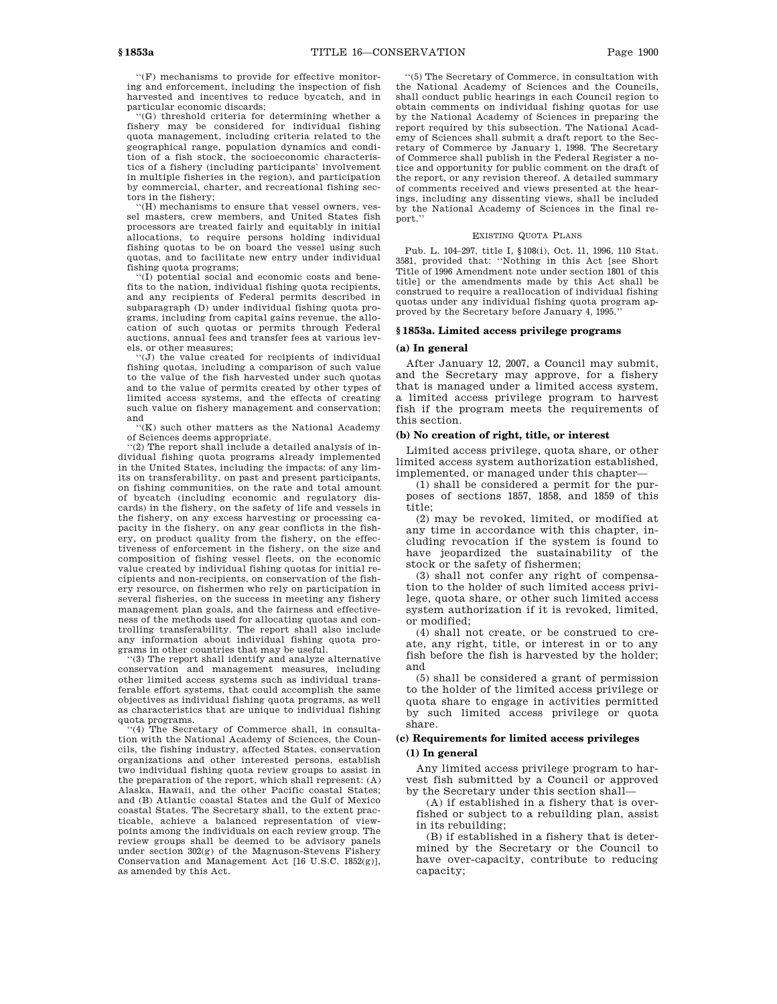''(F) mechanisms to provide for effective monitoring and enforcement, including the inspection of fish harvested and incentives to reduce bycatch, and in particular economic discards;

''(G) threshold criteria for determining whether a fishery may be considered for individual fishing quota management, including criteria related to the geographical range, population dynamics and condition of a fish stock, the socioeconomic characteristics of a fishery (including participants' involvement in multiple fisheries in the region), and participation by commercial, charter, and recreational fishing sectors in the fishery;

''(H) mechanisms to ensure that vessel owners, vessel masters, crew members, and United States fish processors are treated fairly and equitably in initial allocations, to require persons holding individual fishing quotas to be on board the vessel using such quotas, and to facilitate new entry under individual fishing quota programs;

''(I) potential social and economic costs and benefits to the nation, individual fishing quota recipients, and any recipients of Federal permits described in subparagraph (D) under individual fishing quota programs, including from capital gains revenue, the allocation of such quotas or permits through Federal auctions, annual fees and transfer fees at various levels, or other measures;

''(J) the value created for recipients of individual fishing quotas, including a comparison of such value to the value of the fish harvested under such quotas and to the value of permits created by other types of limited access systems, and the effects of creating such value on fishery management and conservation; and

''(K) such other matters as the National Academy of Sciences deems appropriate.

'(2) The report shall include a detailed analysis of individual fishing quota programs already implemented in the United States, including the impacts: of any limits on transferability, on past and present participants, on fishing communities, on the rate and total amount of bycatch (including economic and regulatory discards) in the fishery, on the safety of life and vessels in the fishery, on any excess harvesting or processing capacity in the fishery, on any gear conflicts in the fishery, on product quality from the fishery, on the effectiveness of enforcement in the fishery, on the size and composition of fishing vessel fleets, on the economic value created by individual fishing quotas for initial recipients and non-recipients, on conservation of the fishery resource, on fishermen who rely on participation in several fisheries, on the success in meeting any fishery management plan goals, and the fairness and effectiveness of the methods used for allocating quotas and controlling transferability. The report shall also include any information about individual fishing quota programs in other countries that may be useful.

'(3) The report shall identify and analyze alternative conservation and management measures, including other limited access systems such as individual transferable effort systems, that could accomplish the same objectives as individual fishing quota programs, as well as characteristics that are unique to individual fishing quota programs.

''(4) The Secretary of Commerce shall, in consultation with the National Academy of Sciences, the Councils, the fishing industry, affected States, conservation organizations and other interested persons, establish two individual fishing quota review groups to assist in the preparation of the report, which shall represent: (A) Alaska, Hawaii, and the other Pacific coastal States; and (B) Atlantic coastal States and the Gulf of Mexico coastal States. The Secretary shall, to the extent practicable, achieve a balanced representation of viewpoints among the individuals on each review group. The review groups shall be deemed to be advisory panels under section 302(g) of the Magnuson-Stevens Fishery Conservation and Management Act [16 U.S.C. 1852(g)], as amended by this Act.

''(5) The Secretary of Commerce, in consultation with the National Academy of Sciences and the Councils, shall conduct public hearings in each Council region to obtain comments on individual fishing quotas for use by the National Academy of Sciences in preparing the report required by this subsection. The National Academy of Sciences shall submit a draft report to the Secretary of Commerce by January 1, 1998. The Secretary of Commerce shall publish in the Federal Register a notice and opportunity for public comment on the draft of the report, or any revision thereof. A detailed summary of comments received and views presented at the hearings, including any dissenting views, shall be included by the National Academy of Sciences in the final report.

#### EXISTING QUOTA PLANS

Pub. L. 104–297, title I, §108(i), Oct. 11, 1996, 110 Stat. 3581, provided that: ''Nothing in this Act [see Short Title of 1996 Amendment note under section 1801 of this title] or the amendments made by this Act shall be construed to require a reallocation of individual fishing quotas under any individual fishing quota program approved by the Secretary before January 4, 1995.

# **§ 1853a. Limited access privilege programs**

### **(a) In general**

After January 12, 2007, a Council may submit, and the Secretary may approve, for a fishery that is managed under a limited access system, a limited access privilege program to harvest fish if the program meets the requirements of this section.

### **(b) No creation of right, title, or interest**

Limited access privilege, quota share, or other limited access system authorization established, implemented, or managed under this chapter—

(1) shall be considered a permit for the purposes of sections 1857, 1858, and 1859 of this title;

(2) may be revoked, limited, or modified at any time in accordance with this chapter, including revocation if the system is found to have jeopardized the sustainability of the stock or the safety of fishermen;

(3) shall not confer any right of compensation to the holder of such limited access privilege, quota share, or other such limited access system authorization if it is revoked, limited, or modified;

(4) shall not create, or be construed to create, any right, title, or interest in or to any fish before the fish is harvested by the holder; and

(5) shall be considered a grant of permission to the holder of the limited access privilege or quota share to engage in activities permitted by such limited access privilege or quota share.

# **(c) Requirements for limited access privileges (1) In general**

Any limited access privilege program to harvest fish submitted by a Council or approved by the Secretary under this section shall—

(A) if established in a fishery that is overfished or subject to a rebuilding plan, assist in its rebuilding;

(B) if established in a fishery that is determined by the Secretary or the Council to have over-capacity, contribute to reducing capacity;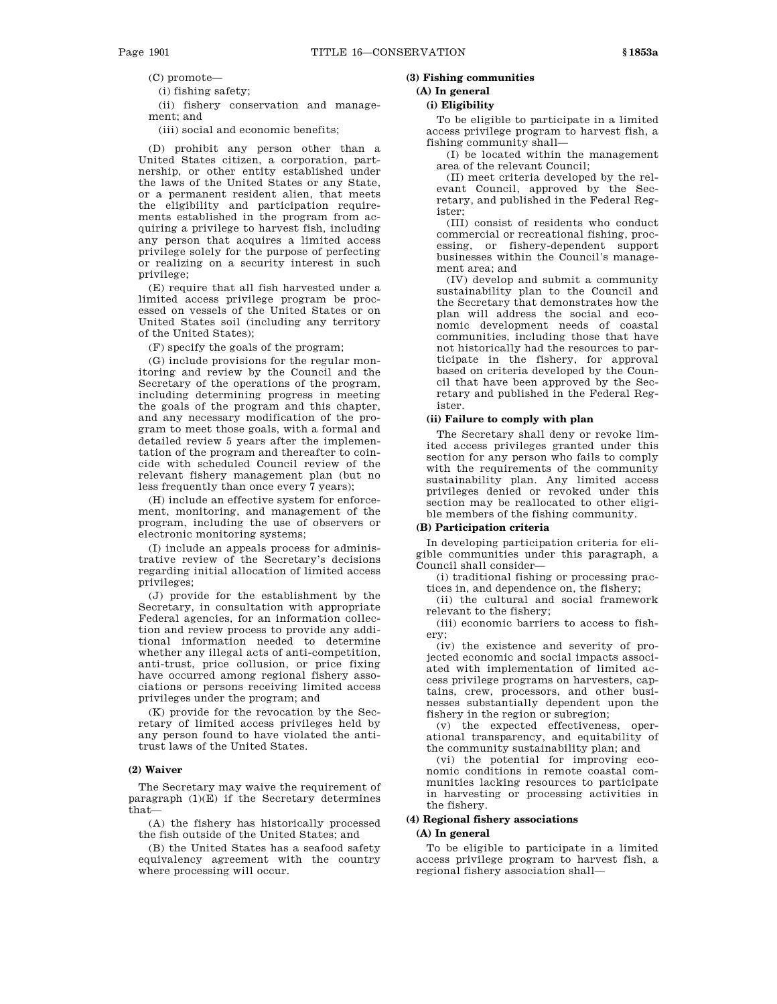(C) promote—

(i) fishing safety;

(ii) fishery conservation and management; and

(iii) social and economic benefits;

(D) prohibit any person other than a United States citizen, a corporation, partnership, or other entity established under the laws of the United States or any State, or a permanent resident alien, that meets the eligibility and participation requirements established in the program from acquiring a privilege to harvest fish, including any person that acquires a limited access privilege solely for the purpose of perfecting or realizing on a security interest in such privilege;

(E) require that all fish harvested under a limited access privilege program be processed on vessels of the United States or on United States soil (including any territory of the United States);

(F) specify the goals of the program;

(G) include provisions for the regular monitoring and review by the Council and the Secretary of the operations of the program, including determining progress in meeting the goals of the program and this chapter, and any necessary modification of the program to meet those goals, with a formal and detailed review 5 years after the implementation of the program and thereafter to coincide with scheduled Council review of the relevant fishery management plan (but no less frequently than once every 7 years);

(H) include an effective system for enforcement, monitoring, and management of the program, including the use of observers or electronic monitoring systems;

(I) include an appeals process for administrative review of the Secretary's decisions regarding initial allocation of limited access privileges;

(J) provide for the establishment by the Secretary, in consultation with appropriate Federal agencies, for an information collection and review process to provide any additional information needed to determine whether any illegal acts of anti-competition, anti-trust, price collusion, or price fixing have occurred among regional fishery associations or persons receiving limited access privileges under the program; and

(K) provide for the revocation by the Secretary of limited access privileges held by any person found to have violated the antitrust laws of the United States.

### **(2) Waiver**

The Secretary may waive the requirement of paragraph (1)(E) if the Secretary determines that—

(A) the fishery has historically processed the fish outside of the United States; and

(B) the United States has a seafood safety equivalency agreement with the country where processing will occur.

# **(3) Fishing communities**

# **(A) In general**

# **(i) Eligibility**

To be eligible to participate in a limited access privilege program to harvest fish, a fishing community shall—

(I) be located within the management area of the relevant Council;

(II) meet criteria developed by the relevant Council, approved by the Secretary, and published in the Federal Register;

(III) consist of residents who conduct commercial or recreational fishing, processing, or fishery-dependent support businesses within the Council's management area; and

(IV) develop and submit a community sustainability plan to the Council and the Secretary that demonstrates how the plan will address the social and economic development needs of coastal communities, including those that have not historically had the resources to participate in the fishery, for approval based on criteria developed by the Council that have been approved by the Secretary and published in the Federal Register.

# **(ii) Failure to comply with plan**

The Secretary shall deny or revoke limited access privileges granted under this section for any person who fails to comply with the requirements of the community sustainability plan. Any limited access privileges denied or revoked under this section may be reallocated to other eligible members of the fishing community.

# **(B) Participation criteria**

In developing participation criteria for eligible communities under this paragraph, a Council shall consider—

(i) traditional fishing or processing practices in, and dependence on, the fishery;

(ii) the cultural and social framework relevant to the fishery;

(iii) economic barriers to access to fishery;

(iv) the existence and severity of projected economic and social impacts associated with implementation of limited access privilege programs on harvesters, captains, crew, processors, and other businesses substantially dependent upon the fishery in the region or subregion;

(v) the expected effectiveness, operational transparency, and equitability of the community sustainability plan; and

(vi) the potential for improving economic conditions in remote coastal communities lacking resources to participate in harvesting or processing activities in the fishery.

# **(4) Regional fishery associations**

### **(A) In general**

To be eligible to participate in a limited access privilege program to harvest fish, a regional fishery association shall—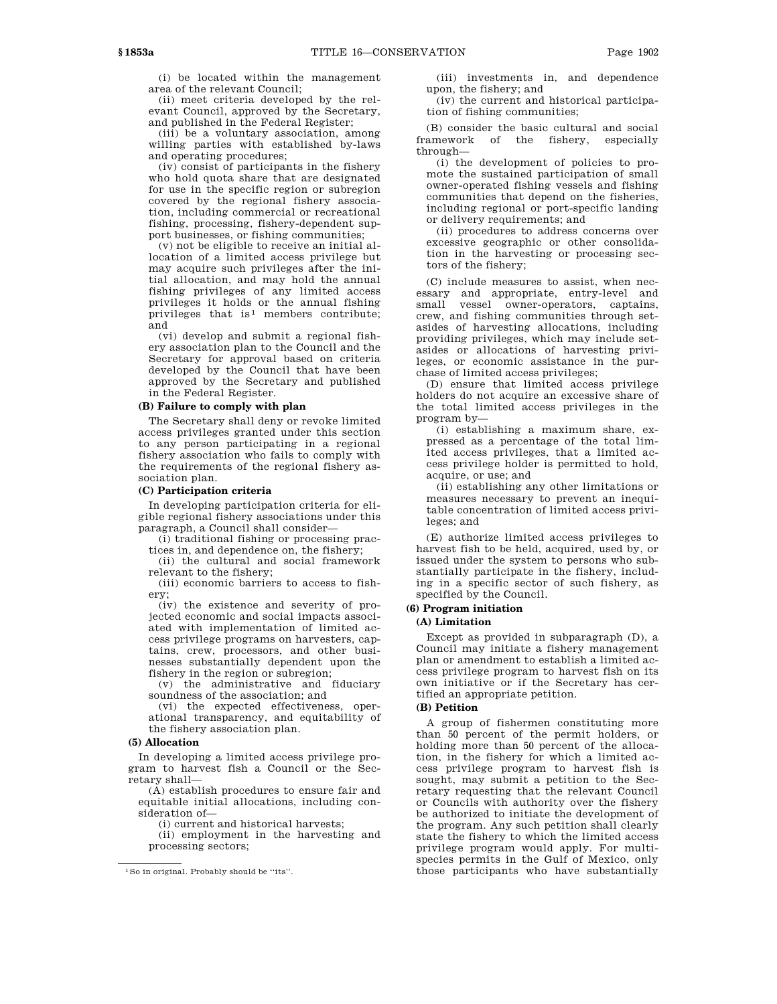(i) be located within the management area of the relevant Council;

(ii) meet criteria developed by the relevant Council, approved by the Secretary, and published in the Federal Register;

(iii) be a voluntary association, among willing parties with established by-laws and operating procedures;

(iv) consist of participants in the fishery who hold quota share that are designated for use in the specific region or subregion covered by the regional fishery association, including commercial or recreational fishing, processing, fishery-dependent support businesses, or fishing communities;

(v) not be eligible to receive an initial allocation of a limited access privilege but may acquire such privileges after the initial allocation, and may hold the annual fishing privileges of any limited access privileges it holds or the annual fishing privileges that  $is<sup>1</sup>$  members contribute; and

(vi) develop and submit a regional fishery association plan to the Council and the Secretary for approval based on criteria developed by the Council that have been approved by the Secretary and published in the Federal Register.

### **(B) Failure to comply with plan**

The Secretary shall deny or revoke limited access privileges granted under this section to any person participating in a regional fishery association who fails to comply with the requirements of the regional fishery association plan.

### **(C) Participation criteria**

In developing participation criteria for eligible regional fishery associations under this paragraph, a Council shall consider—

(i) traditional fishing or processing practices in, and dependence on, the fishery;

(ii) the cultural and social framework relevant to the fishery;

(iii) economic barriers to access to fishery;

(iv) the existence and severity of projected economic and social impacts associated with implementation of limited access privilege programs on harvesters, captains, crew, processors, and other businesses substantially dependent upon the fishery in the region or subregion;

(v) the administrative and fiduciary soundness of the association; and

(vi) the expected effectiveness, operational transparency, and equitability of the fishery association plan.

### **(5) Allocation**

In developing a limited access privilege program to harvest fish a Council or the Secretary shall—

(A) establish procedures to ensure fair and equitable initial allocations, including consideration of—

(i) current and historical harvests;

(ii) employment in the harvesting and processing sectors;

(iii) investments in, and dependence upon, the fishery; and

(iv) the current and historical participation of fishing communities;

(B) consider the basic cultural and social framework of the fishery, especially through—

(i) the development of policies to promote the sustained participation of small owner-operated fishing vessels and fishing communities that depend on the fisheries, including regional or port-specific landing or delivery requirements; and

(ii) procedures to address concerns over excessive geographic or other consolidation in the harvesting or processing sectors of the fishery;

(C) include measures to assist, when necessary and appropriate, entry-level and small vessel owner-operators, captains, crew, and fishing communities through setasides of harvesting allocations, including providing privileges, which may include setasides or allocations of harvesting privileges, or economic assistance in the purchase of limited access privileges;

(D) ensure that limited access privilege holders do not acquire an excessive share of the total limited access privileges in the program by—

(i) establishing a maximum share, expressed as a percentage of the total limited access privileges, that a limited access privilege holder is permitted to hold, acquire, or use; and

(ii) establishing any other limitations or measures necessary to prevent an inequitable concentration of limited access privileges; and

(E) authorize limited access privileges to harvest fish to be held, acquired, used by, or issued under the system to persons who substantially participate in the fishery, including in a specific sector of such fishery, as specified by the Council.

# **(6) Program initiation**

# **(A) Limitation**

Except as provided in subparagraph (D), a Council may initiate a fishery management plan or amendment to establish a limited access privilege program to harvest fish on its own initiative or if the Secretary has certified an appropriate petition.

### **(B) Petition**

A group of fishermen constituting more than 50 percent of the permit holders, or holding more than 50 percent of the allocation, in the fishery for which a limited access privilege program to harvest fish is sought, may submit a petition to the Secretary requesting that the relevant Council or Councils with authority over the fishery be authorized to initiate the development of the program. Any such petition shall clearly state the fishery to which the limited access privilege program would apply. For multispecies permits in the Gulf of Mexico, only those participants who have substantially

<sup>1</sup>So in original. Probably should be ''its''.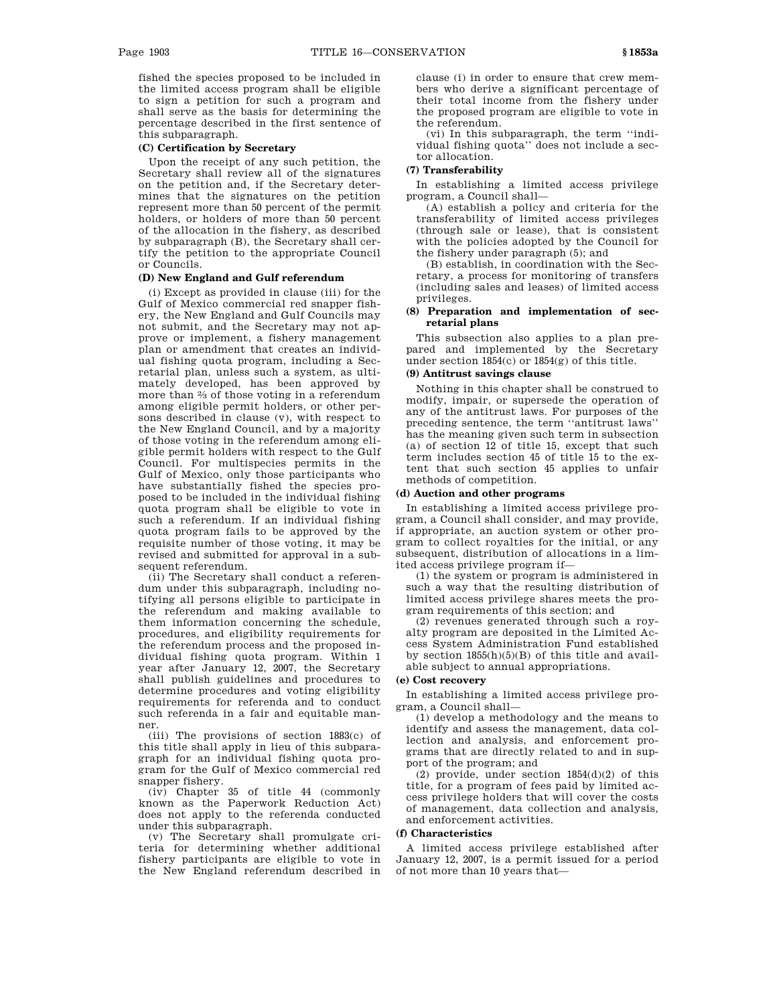fished the species proposed to be included in the limited access program shall be eligible to sign a petition for such a program and shall serve as the basis for determining the percentage described in the first sentence of this subparagraph.

# **(C) Certification by Secretary**

Upon the receipt of any such petition, the Secretary shall review all of the signatures on the petition and, if the Secretary determines that the signatures on the petition represent more than 50 percent of the permit holders, or holders of more than 50 percent of the allocation in the fishery, as described by subparagraph (B), the Secretary shall certify the petition to the appropriate Council or Councils.

# **(D) New England and Gulf referendum**

(i) Except as provided in clause (iii) for the Gulf of Mexico commercial red snapper fishery, the New England and Gulf Councils may not submit, and the Secretary may not approve or implement, a fishery management plan or amendment that creates an individual fishing quota program, including a Secretarial plan, unless such a system, as ultimately developed, has been approved by more than 2 ⁄3 of those voting in a referendum among eligible permit holders, or other persons described in clause (v), with respect to the New England Council, and by a majority of those voting in the referendum among eligible permit holders with respect to the Gulf Council. For multispecies permits in the Gulf of Mexico, only those participants who have substantially fished the species proposed to be included in the individual fishing quota program shall be eligible to vote in such a referendum. If an individual fishing quota program fails to be approved by the requisite number of those voting, it may be revised and submitted for approval in a subsequent referendum.

(ii) The Secretary shall conduct a referendum under this subparagraph, including notifying all persons eligible to participate in the referendum and making available to them information concerning the schedule, procedures, and eligibility requirements for the referendum process and the proposed individual fishing quota program. Within 1 year after January 12, 2007, the Secretary shall publish guidelines and procedures to determine procedures and voting eligibility requirements for referenda and to conduct such referenda in a fair and equitable manner.

(iii) The provisions of section 1883(c) of this title shall apply in lieu of this subparagraph for an individual fishing quota program for the Gulf of Mexico commercial red snapper fishery.

(iv) Chapter 35 of title 44 (commonly known as the Paperwork Reduction Act) does not apply to the referenda conducted under this subparagraph.

(v) The Secretary shall promulgate criteria for determining whether additional fishery participants are eligible to vote in the New England referendum described in clause (i) in order to ensure that crew members who derive a significant percentage of their total income from the fishery under the proposed program are eligible to vote in the referendum.

(vi) In this subparagraph, the term ''individual fishing quota'' does not include a sector allocation.

# **(7) Transferability**

In establishing a limited access privilege program, a Council shall—

(A) establish a policy and criteria for the transferability of limited access privileges (through sale or lease), that is consistent with the policies adopted by the Council for the fishery under paragraph (5); and

(B) establish, in coordination with the Secretary, a process for monitoring of transfers (including sales and leases) of limited access privileges.

# **(8) Preparation and implementation of secretarial plans**

This subsection also applies to a plan prepared and implemented by the Secretary under section 1854(c) or 1854(g) of this title.

# **(9) Antitrust savings clause**

Nothing in this chapter shall be construed to modify, impair, or supersede the operation of any of the antitrust laws. For purposes of the preceding sentence, the term ''antitrust laws'' has the meaning given such term in subsection (a) of section 12 of title 15, except that such term includes section 45 of title 15 to the extent that such section 45 applies to unfair methods of competition.

# **(d) Auction and other programs**

In establishing a limited access privilege program, a Council shall consider, and may provide, if appropriate, an auction system or other program to collect royalties for the initial, or any subsequent, distribution of allocations in a limited access privilege program if—

(1) the system or program is administered in such a way that the resulting distribution of limited access privilege shares meets the program requirements of this section; and

(2) revenues generated through such a royalty program are deposited in the Limited Access System Administration Fund established by section  $1855(h)(5)(B)$  of this title and available subject to annual appropriations.

### **(e) Cost recovery**

In establishing a limited access privilege program, a Council shall—

(1) develop a methodology and the means to identify and assess the management, data collection and analysis, and enforcement programs that are directly related to and in support of the program; and

(2) provide, under section 1854(d)(2) of this title, for a program of fees paid by limited access privilege holders that will cover the costs of management, data collection and analysis, and enforcement activities.

### **(f) Characteristics**

A limited access privilege established after January 12, 2007, is a permit issued for a period of not more than 10 years that—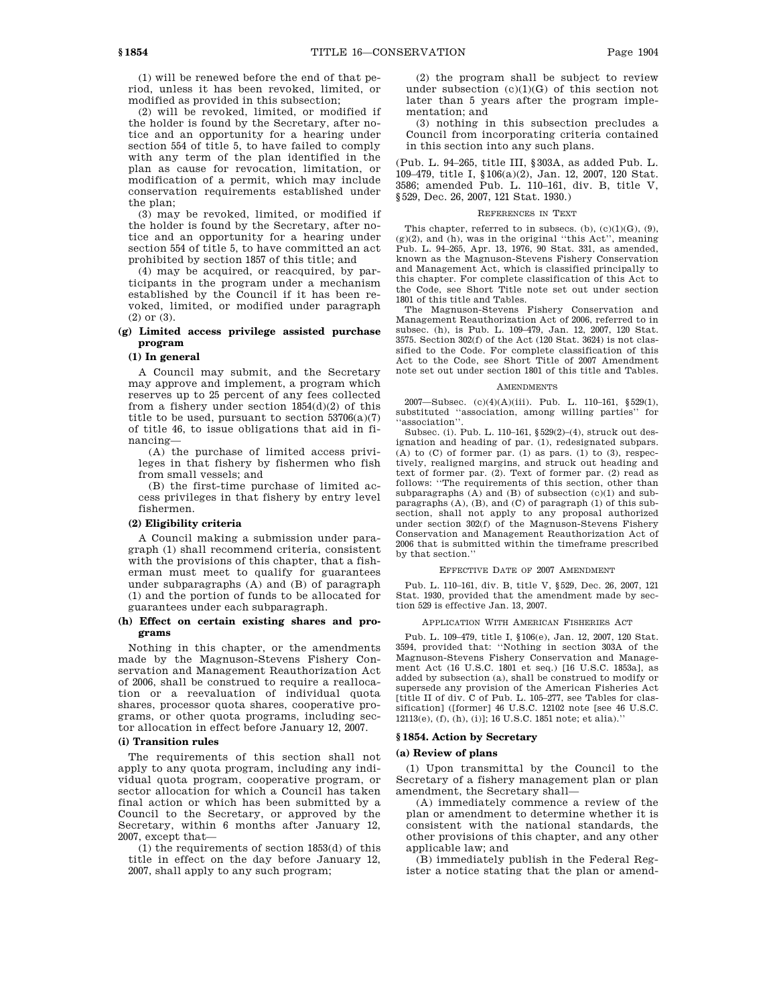(1) will be renewed before the end of that period, unless it has been revoked, limited, or modified as provided in this subsection;

(2) will be revoked, limited, or modified if the holder is found by the Secretary, after notice and an opportunity for a hearing under section 554 of title 5, to have failed to comply with any term of the plan identified in the plan as cause for revocation, limitation, or modification of a permit, which may include conservation requirements established under the plan;

(3) may be revoked, limited, or modified if the holder is found by the Secretary, after notice and an opportunity for a hearing under section 554 of title 5, to have committed an act prohibited by section 1857 of this title; and

(4) may be acquired, or reacquired, by participants in the program under a mechanism established by the Council if it has been revoked, limited, or modified under paragraph (2) or (3).

# **(g) Limited access privilege assisted purchase program**

### **(1) In general**

A Council may submit, and the Secretary may approve and implement, a program which reserves up to 25 percent of any fees collected from a fishery under section  $1854(d)(2)$  of this title to be used, pursuant to section  $53706(a)(7)$ of title 46, to issue obligations that aid in financing—

(A) the purchase of limited access privileges in that fishery by fishermen who fish from small vessels; and

(B) the first-time purchase of limited access privileges in that fishery by entry level fishermen.

# **(2) Eligibility criteria**

A Council making a submission under paragraph (1) shall recommend criteria, consistent with the provisions of this chapter, that a fisherman must meet to qualify for guarantees under subparagraphs (A) and (B) of paragraph (1) and the portion of funds to be allocated for guarantees under each subparagraph.

### **(h) Effect on certain existing shares and programs**

Nothing in this chapter, or the amendments made by the Magnuson-Stevens Fishery Conservation and Management Reauthorization Act of 2006, shall be construed to require a reallocation or a reevaluation of individual quota shares, processor quota shares, cooperative programs, or other quota programs, including sector allocation in effect before January 12, 2007.

#### **(i) Transition rules**

The requirements of this section shall not apply to any quota program, including any individual quota program, cooperative program, or sector allocation for which a Council has taken final action or which has been submitted by a Council to the Secretary, or approved by the Secretary, within 6 months after January 12, 2007, except that—

(1) the requirements of section  $1853(\mathrm{d})$  of this title in effect on the day before January 12, 2007, shall apply to any such program;

(2) the program shall be subject to review under subsection  $(c)(1)(G)$  of this section not later than 5 years after the program implementation; and

(3) nothing in this subsection precludes a Council from incorporating criteria contained in this section into any such plans.

(Pub. L. 94–265, title III, §303A, as added Pub. L. 109–479, title I, §106(a)(2), Jan. 12, 2007, 120 Stat. 3586; amended Pub. L. 110–161, div. B, title V, §529, Dec. 26, 2007, 121 Stat. 1930.)

### REFERENCES IN TEXT

This chapter, referred to in subsecs. (b),  $(c)(1)(G)$ ,  $(9)$ , (g)(2), and (h), was in the original ''this Act'', meaning Pub. L. 94–265, Apr. 13, 1976, 90 Stat. 331, as amended, known as the Magnuson-Stevens Fishery Conservation and Management Act, which is classified principally to this chapter. For complete classification of this Act to the Code, see Short Title note set out under section 1801 of this title and Tables.

The Magnuson-Stevens Fishery Conservation and Management Reauthorization Act of 2006, referred to in subsec. (h), is Pub. L. 109–479, Jan. 12, 2007, 120 Stat. 3575. Section 302(f) of the Act (120 Stat. 3624) is not classified to the Code. For complete classification of this Act to the Code, see Short Title of 2007 Amendment note set out under section 1801 of this title and Tables.

#### AMENDMENTS

2007—Subsec. (c)(4)(A)(iii). Pub. L. 110–161, §529(1), substituted ''association, among willing parties'' for 'association''

Subsec. (i). Pub. L. 110–161, §529(2)–(4), struck out designation and heading of par. (1), redesignated subpars.  $(A)$  to  $(C)$  of former par.  $(1)$  as pars.  $(1)$  to  $(3)$ , respectively, realigned margins, and struck out heading and text of former par. (2). Text of former par. (2) read as follows: ''The requirements of this section, other than subparagraphs (A) and (B) of subsection (c)(1) and subparagraphs (A), (B), and (C) of paragraph (1) of this subsection, shall not apply to any proposal authorized under section 302(f) of the Magnuson-Stevens Fishery Conservation and Management Reauthorization Act of 2006 that is submitted within the timeframe prescribed by that section.''

### EFFECTIVE DATE OF 2007 AMENDMENT

Pub. L. 110–161, div. B, title V, §529, Dec. 26, 2007, 121 Stat. 1930, provided that the amendment made by section 529 is effective Jan. 13, 2007.

### APPLICATION WITH AMERICAN FISHERIES ACT

Pub. L. 109–479, title I, §106(e), Jan. 12, 2007, 120 Stat. 3594, provided that: ''Nothing in section 303A of the Magnuson-Stevens Fishery Conservation and Management Act (16 U.S.C. 1801 et seq.) [16 U.S.C. 1853a], as added by subsection (a), shall be construed to modify or supersede any provision of the American Fisheries Act [title II of div. C of Pub. L. 105–277, see Tables for classification] ([former] 46 U.S.C. 12102 note [see 46 U.S.C. 12113(e), (f), (h), (i)]; 16 U.S.C. 1851 note; et alia).''

# **§ 1854. Action by Secretary**

# **(a) Review of plans**

(1) Upon transmittal by the Council to the Secretary of a fishery management plan or plan amendment, the Secretary shall—

(A) immediately commence a review of the plan or amendment to determine whether it is consistent with the national standards, the other provisions of this chapter, and any other applicable law; and

(B) immediately publish in the Federal Register a notice stating that the plan or amend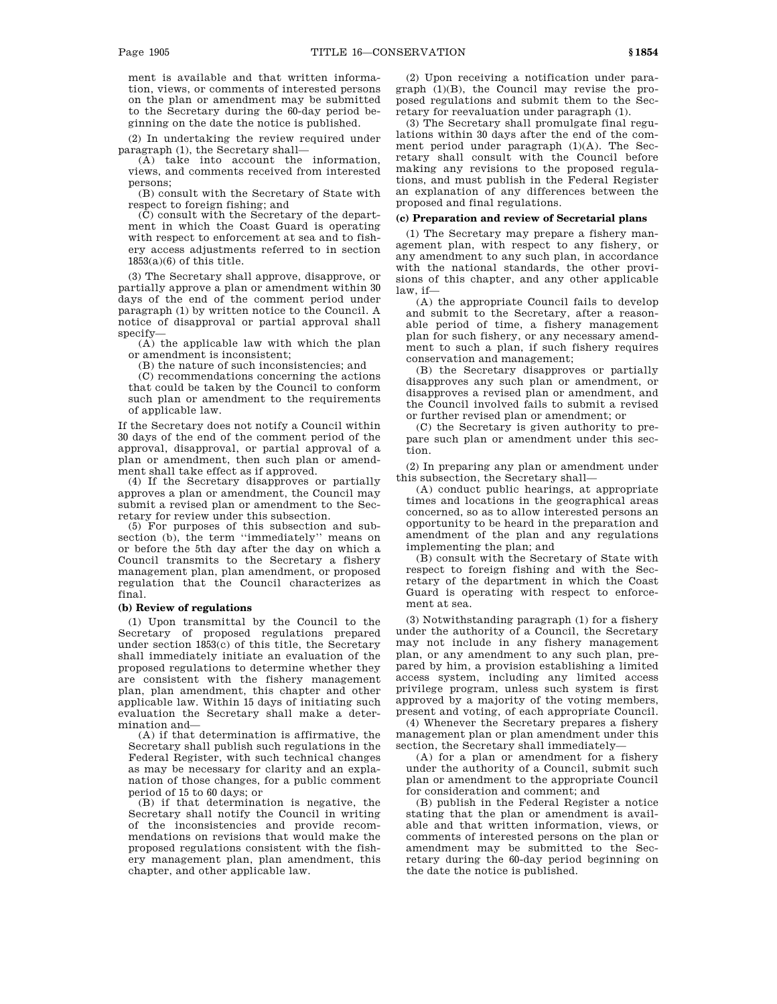ment is available and that written information, views, or comments of interested persons on the plan or amendment may be submitted to the Secretary during the 60-day period beginning on the date the notice is published.

(2) In undertaking the review required under paragraph (1), the Secretary shall—

(A) take into account the information, views, and comments received from interested persons;

(B) consult with the Secretary of State with respect to foreign fishing; and

(C) consult with the Secretary of the department in which the Coast Guard is operating with respect to enforcement at sea and to fishery access adjustments referred to in section  $1853(a)(6)$  of this title.

(3) The Secretary shall approve, disapprove, or partially approve a plan or amendment within 30 days of the end of the comment period under paragraph (1) by written notice to the Council. A notice of disapproval or partial approval shall specify—

(A) the applicable law with which the plan or amendment is inconsistent;

(B) the nature of such inconsistencies; and

(C) recommendations concerning the actions that could be taken by the Council to conform such plan or amendment to the requirements of applicable law.

If the Secretary does not notify a Council within 30 days of the end of the comment period of the approval, disapproval, or partial approval of a plan or amendment, then such plan or amendment shall take effect as if approved.

(4) If the Secretary disapproves or partially approves a plan or amendment, the Council may submit a revised plan or amendment to the Secretary for review under this subsection.

(5) For purposes of this subsection and subsection (b), the term ''immediately'' means on or before the 5th day after the day on which a Council transmits to the Secretary a fishery management plan, plan amendment, or proposed regulation that the Council characterizes as final.

# **(b) Review of regulations**

(1) Upon transmittal by the Council to the Secretary of proposed regulations prepared under section 1853(c) of this title, the Secretary shall immediately initiate an evaluation of the proposed regulations to determine whether they are consistent with the fishery management plan, plan amendment, this chapter and other applicable law. Within 15 days of initiating such evaluation the Secretary shall make a determination and—

(A) if that determination is affirmative, the Secretary shall publish such regulations in the Federal Register, with such technical changes as may be necessary for clarity and an explanation of those changes, for a public comment period of 15 to 60 days; or

(B) if that determination is negative, the Secretary shall notify the Council in writing of the inconsistencies and provide recommendations on revisions that would make the proposed regulations consistent with the fishery management plan, plan amendment, this chapter, and other applicable law.

(2) Upon receiving a notification under paragraph (1)(B), the Council may revise the proposed regulations and submit them to the Secretary for reevaluation under paragraph (1).

(3) The Secretary shall promulgate final regulations within 30 days after the end of the comment period under paragraph (1)(A). The Secretary shall consult with the Council before making any revisions to the proposed regulations, and must publish in the Federal Register an explanation of any differences between the proposed and final regulations.

# **(c) Preparation and review of Secretarial plans**

(1) The Secretary may prepare a fishery management plan, with respect to any fishery, or any amendment to any such plan, in accordance with the national standards, the other provisions of this chapter, and any other applicable law, if—

(A) the appropriate Council fails to develop and submit to the Secretary, after a reasonable period of time, a fishery management plan for such fishery, or any necessary amendment to such a plan, if such fishery requires conservation and management;

(B) the Secretary disapproves or partially disapproves any such plan or amendment, or disapproves a revised plan or amendment, and the Council involved fails to submit a revised or further revised plan or amendment; or

(C) the Secretary is given authority to prepare such plan or amendment under this section.

(2) In preparing any plan or amendment under this subsection, the Secretary shall—

(A) conduct public hearings, at appropriate times and locations in the geographical areas concerned, so as to allow interested persons an opportunity to be heard in the preparation and amendment of the plan and any regulations implementing the plan; and

(B) consult with the Secretary of State with respect to foreign fishing and with the Secretary of the department in which the Coast Guard is operating with respect to enforcement at sea.

(3) Notwithstanding paragraph (1) for a fishery under the authority of a Council, the Secretary may not include in any fishery management plan, or any amendment to any such plan, prepared by him, a provision establishing a limited access system, including any limited access privilege program, unless such system is first approved by a majority of the voting members, present and voting, of each appropriate Council.

(4) Whenever the Secretary prepares a fishery management plan or plan amendment under this section, the Secretary shall immediately—

(A) for a plan or amendment for a fishery under the authority of a Council, submit such plan or amendment to the appropriate Council for consideration and comment; and

(B) publish in the Federal Register a notice stating that the plan or amendment is available and that written information, views, or comments of interested persons on the plan or amendment may be submitted to the Secretary during the 60-day period beginning on the date the notice is published.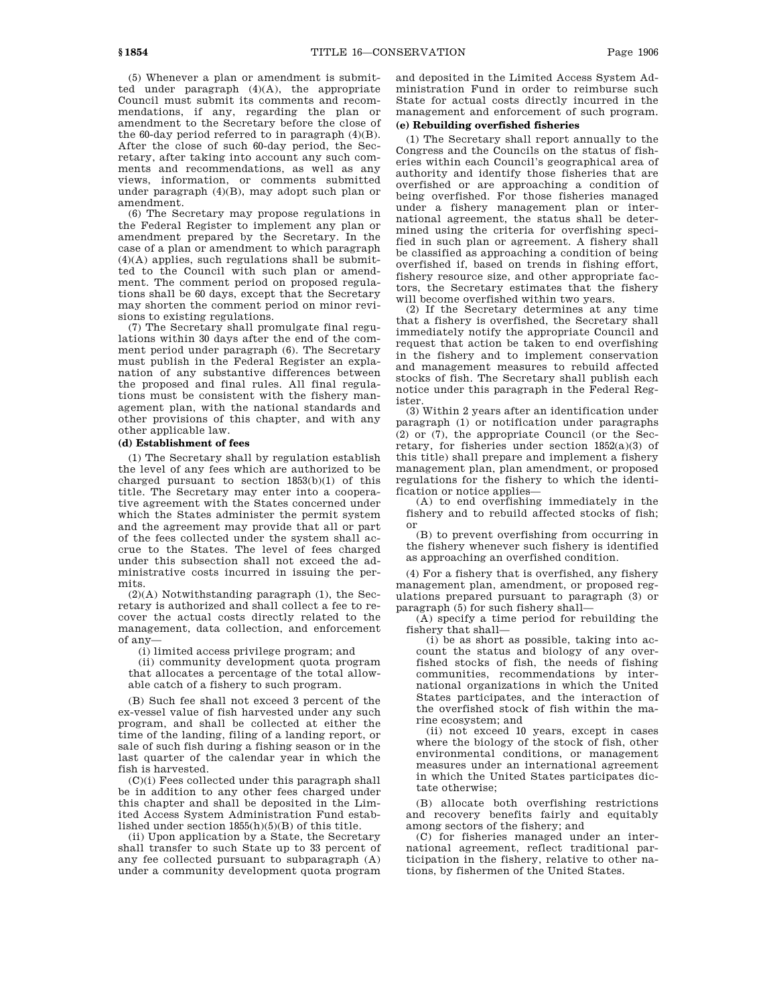(5) Whenever a plan or amendment is submitted under paragraph (4)(A), the appropriate Council must submit its comments and recommendations, if any, regarding the plan or amendment to the Secretary before the close of the 60-day period referred to in paragraph (4)(B). After the close of such 60-day period, the Secretary, after taking into account any such comments and recommendations, as well as any views, information, or comments submitted under paragraph (4)(B), may adopt such plan or amendment.

(6) The Secretary may propose regulations in the Federal Register to implement any plan or amendment prepared by the Secretary. In the case of a plan or amendment to which paragraph  $(4)(A)$  applies, such regulations shall be submitted to the Council with such plan or amendment. The comment period on proposed regulations shall be 60 days, except that the Secretary may shorten the comment period on minor revisions to existing regulations.

(7) The Secretary shall promulgate final regulations within 30 days after the end of the comment period under paragraph (6). The Secretary must publish in the Federal Register an explanation of any substantive differences between the proposed and final rules. All final regulations must be consistent with the fishery management plan, with the national standards and other provisions of this chapter, and with any other applicable law.

# **(d) Establishment of fees**

(1) The Secretary shall by regulation establish the level of any fees which are authorized to be charged pursuant to section 1853(b)(1) of this title. The Secretary may enter into a cooperative agreement with the States concerned under which the States administer the permit system and the agreement may provide that all or part of the fees collected under the system shall accrue to the States. The level of fees charged under this subsection shall not exceed the administrative costs incurred in issuing the permits.

 $(2)(A)$  Notwithstanding paragraph  $(1)$ , the Secretary is authorized and shall collect a fee to recover the actual costs directly related to the management, data collection, and enforcement of any—

(i) limited access privilege program; and

(ii) community development quota program that allocates a percentage of the total allowable catch of a fishery to such program.

(B) Such fee shall not exceed 3 percent of the ex-vessel value of fish harvested under any such program, and shall be collected at either the time of the landing, filing of a landing report, or sale of such fish during a fishing season or in the last quarter of the calendar year in which the fish is harvested.

(C)(i) Fees collected under this paragraph shall be in addition to any other fees charged under this chapter and shall be deposited in the Limited Access System Administration Fund established under section 1855(h)(5)(B) of this title.

(ii) Upon application by a State, the Secretary shall transfer to such State up to 33 percent of any fee collected pursuant to subparagraph (A) under a community development quota program

and deposited in the Limited Access System Administration Fund in order to reimburse such State for actual costs directly incurred in the management and enforcement of such program. **(e) Rebuilding overfished fisheries**

(1) The Secretary shall report annually to the Congress and the Councils on the status of fisheries within each Council's geographical area of authority and identify those fisheries that are overfished or are approaching a condition of being overfished. For those fisheries managed under a fishery management plan or international agreement, the status shall be determined using the criteria for overfishing specified in such plan or agreement. A fishery shall be classified as approaching a condition of being overfished if, based on trends in fishing effort, fishery resource size, and other appropriate factors, the Secretary estimates that the fishery will become overfished within two years.

(2) If the Secretary determines at any time that a fishery is overfished, the Secretary shall immediately notify the appropriate Council and request that action be taken to end overfishing in the fishery and to implement conservation and management measures to rebuild affected stocks of fish. The Secretary shall publish each notice under this paragraph in the Federal Register.

(3) Within 2 years after an identification under paragraph (1) or notification under paragraphs (2) or (7), the appropriate Council (or the Secretary, for fisheries under section  $1852(a)(3)$  of this title) shall prepare and implement a fishery management plan, plan amendment, or proposed regulations for the fishery to which the identification or notice applies—

(A) to end overfishing immediately in the fishery and to rebuild affected stocks of fish; or

(B) to prevent overfishing from occurring in the fishery whenever such fishery is identified as approaching an overfished condition.

(4) For a fishery that is overfished, any fishery management plan, amendment, or proposed regulations prepared pursuant to paragraph (3) or paragraph (5) for such fishery shall—

(A) specify a time period for rebuilding the fishery that shall—

(i) be as short as possible, taking into account the status and biology of any overfished stocks of fish, the needs of fishing communities, recommendations by international organizations in which the United States participates, and the interaction of the overfished stock of fish within the marine ecosystem; and

(ii) not exceed 10 years, except in cases where the biology of the stock of fish, other environmental conditions, or management measures under an international agreement in which the United States participates dictate otherwise;

(B) allocate both overfishing restrictions and recovery benefits fairly and equitably among sectors of the fishery; and

(C) for fisheries managed under an international agreement, reflect traditional participation in the fishery, relative to other nations, by fishermen of the United States.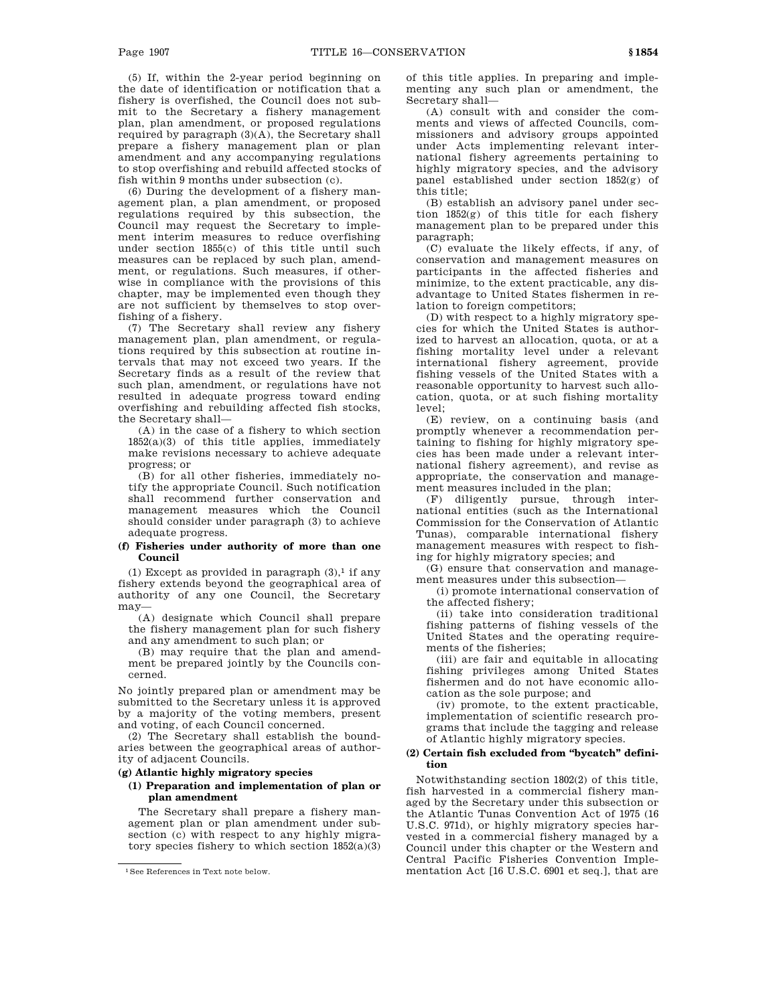(5) If, within the 2-year period beginning on the date of identification or notification that a fishery is overfished, the Council does not submit to the Secretary a fishery management plan, plan amendment, or proposed regulations required by paragraph  $(3)(A)$ , the Secretary shall prepare a fishery management plan or plan amendment and any accompanying regulations to stop overfishing and rebuild affected stocks of fish within 9 months under subsection (c).

(6) During the development of a fishery management plan, a plan amendment, or proposed regulations required by this subsection, the Council may request the Secretary to implement interim measures to reduce overfishing under section 1855(c) of this title until such measures can be replaced by such plan, amendment, or regulations. Such measures, if otherwise in compliance with the provisions of this chapter, may be implemented even though they are not sufficient by themselves to stop overfishing of a fishery.

(7) The Secretary shall review any fishery management plan, plan amendment, or regulations required by this subsection at routine intervals that may not exceed two years. If the Secretary finds as a result of the review that such plan, amendment, or regulations have not resulted in adequate progress toward ending overfishing and rebuilding affected fish stocks, the Secretary shall—

(A) in the case of a fishery to which section 1852(a)(3) of this title applies, immediately make revisions necessary to achieve adequate progress; or

(B) for all other fisheries, immediately notify the appropriate Council. Such notification shall recommend further conservation and management measures which the Council should consider under paragraph (3) to achieve adequate progress.

# **(f) Fisheries under authority of more than one Council**

(1) Except as provided in paragraph  $(3)$ ,<sup>1</sup> if any fishery extends beyond the geographical area of authority of any one Council, the Secretary may—

(A) designate which Council shall prepare the fishery management plan for such fishery and any amendment to such plan; or

(B) may require that the plan and amendment be prepared jointly by the Councils concerned.

No jointly prepared plan or amendment may be submitted to the Secretary unless it is approved by a majority of the voting members, present and voting, of each Council concerned.

(2) The Secretary shall establish the boundaries between the geographical areas of authority of adjacent Councils.

# **(g) Atlantic highly migratory species**

# **(1) Preparation and implementation of plan or plan amendment**

The Secretary shall prepare a fishery management plan or plan amendment under subsection (c) with respect to any highly migratory species fishery to which section  $1852(a)(3)$  of this title applies. In preparing and implementing any such plan or amendment, the Secretary shall—

(A) consult with and consider the comments and views of affected Councils, commissioners and advisory groups appointed under Acts implementing relevant international fishery agreements pertaining to highly migratory species, and the advisory panel established under section 1852(g) of this title;

(B) establish an advisory panel under section  $1852(g)$  of this title for each fishery management plan to be prepared under this paragraph;

(C) evaluate the likely effects, if any, of conservation and management measures on participants in the affected fisheries and minimize, to the extent practicable, any disadvantage to United States fishermen in relation to foreign competitors;

(D) with respect to a highly migratory species for which the United States is authorized to harvest an allocation, quota, or at a fishing mortality level under a relevant international fishery agreement, provide fishing vessels of the United States with a reasonable opportunity to harvest such allocation, quota, or at such fishing mortality  $level$ 

(E) review, on a continuing basis (and promptly whenever a recommendation pertaining to fishing for highly migratory species has been made under a relevant international fishery agreement), and revise as appropriate, the conservation and management measures included in the plan;

(F) diligently pursue, through international entities (such as the International Commission for the Conservation of Atlantic Tunas), comparable international fishery management measures with respect to fishing for highly migratory species; and

(G) ensure that conservation and management measures under this subsection—

(i) promote international conservation of the affected fishery;

(ii) take into consideration traditional fishing patterns of fishing vessels of the United States and the operating requirements of the fisheries;

(iii) are fair and equitable in allocating fishing privileges among United States fishermen and do not have economic allocation as the sole purpose; and

(iv) promote, to the extent practicable, implementation of scientific research programs that include the tagging and release of Atlantic highly migratory species.

# **(2) Certain fish excluded from ''bycatch'' definition**

Notwithstanding section 1802(2) of this title, fish harvested in a commercial fishery managed by the Secretary under this subsection or the Atlantic Tunas Convention Act of 1975 (16 U.S.C. 971d), or highly migratory species harvested in a commercial fishery managed by a Council under this chapter or the Western and Central Pacific Fisheries Convention Implementation Act [16 U.S.C. 6901 et seq.], that are

<sup>1</sup>See References in Text note below.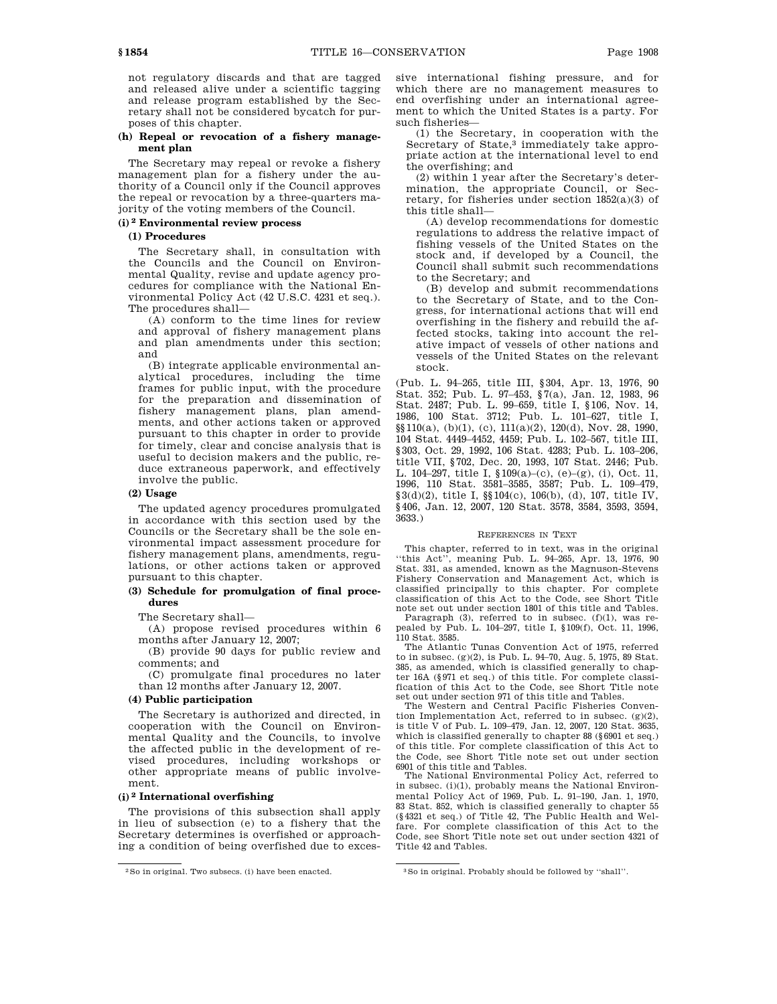not regulatory discards and that are tagged and released alive under a scientific tagging and release program established by the Secretary shall not be considered bycatch for purposes of this chapter.

# **(h) Repeal or revocation of a fishery management plan**

The Secretary may repeal or revoke a fishery management plan for a fishery under the authority of a Council only if the Council approves the repeal or revocation by a three-quarters majority of the voting members of the Council.

# **(i) 2 Environmental review process**

# **(1) Procedures**

The Secretary shall, in consultation with the Councils and the Council on Environmental Quality, revise and update agency procedures for compliance with the National Environmental Policy Act (42 U.S.C. 4231 et seq.). The procedures shall—

(A) conform to the time lines for review and approval of fishery management plans and plan amendments under this section; and

(B) integrate applicable environmental analytical procedures, including the time frames for public input, with the procedure for the preparation and dissemination of fishery management plans, plan amendments, and other actions taken or approved pursuant to this chapter in order to provide for timely, clear and concise analysis that is useful to decision makers and the public, reduce extraneous paperwork, and effectively involve the public.

### **(2) Usage**

The updated agency procedures promulgated in accordance with this section used by the Councils or the Secretary shall be the sole environmental impact assessment procedure for fishery management plans, amendments, regulations, or other actions taken or approved pursuant to this chapter.

### **(3) Schedule for promulgation of final procedures**

The Secretary shall—

(A) propose revised procedures within 6 months after January 12, 2007;

(B) provide 90 days for public review and comments; and

(C) promulgate final procedures no later than 12 months after January 12, 2007.

### **(4) Public participation**

The Secretary is authorized and directed, in cooperation with the Council on Environmental Quality and the Councils, to involve the affected public in the development of revised procedures, including workshops or other appropriate means of public involvement.

# **(i) 2 International overfishing**

The provisions of this subsection shall apply in lieu of subsection (e) to a fishery that the Secretary determines is overfished or approaching a condition of being overfished due to excessive international fishing pressure, and for which there are no management measures to end overfishing under an international agreement to which the United States is a party. For such fisheries—

(1) the Secretary, in cooperation with the Secretary of State,<sup>3</sup> immediately take appropriate action at the international level to end the overfishing; and

(2) within 1 year after the Secretary's determination, the appropriate Council, or Secretary, for fisheries under section 1852(a)(3) of this title shall—

(A) develop recommendations for domestic regulations to address the relative impact of fishing vessels of the United States on the stock and, if developed by a Council, the Council shall submit such recommendations to the Secretary; and

(B) develop and submit recommendations to the Secretary of State, and to the Congress, for international actions that will end overfishing in the fishery and rebuild the affected stocks, taking into account the relative impact of vessels of other nations and vessels of the United States on the relevant stock.

(Pub. L. 94–265, title III, §304, Apr. 13, 1976, 90 Stat. 352; Pub. L. 97–453, §7(a), Jan. 12, 1983, 96 Stat. 2487; Pub. L. 99–659, title I, §106, Nov. 14, 1986, 100 Stat. 3712; Pub. L. 101–627, title I, §§110(a), (b)(1), (c), 111(a)(2), 120(d), Nov. 28, 1990, 104 Stat. 4449–4452, 4459; Pub. L. 102–567, title III, §303, Oct. 29, 1992, 106 Stat. 4283; Pub. L. 103–206, title VII, §702, Dec. 20, 1993, 107 Stat. 2446; Pub. L. 104–297, title I, §109(a)–(c), (e)–(g), (i), Oct. 11, 1996, 110 Stat. 3581–3585, 3587; Pub. L. 109–479, §3(d)(2), title I, §§104(c), 106(b), (d), 107, title IV, §406, Jan. 12, 2007, 120 Stat. 3578, 3584, 3593, 3594, 3633.)

#### REFERENCES IN TEXT

This chapter, referred to in text, was in the original ''this Act'', meaning Pub. L. 94–265, Apr. 13, 1976, 90 Stat. 331, as amended, known as the Magnuson-Stevens Fishery Conservation and Management Act, which is classified principally to this chapter. For complete classification of this Act to the Code, see Short Title note set out under section 1801 of this title and Tables.

Paragraph (3), referred to in subsec. (f)(1), was repealed by Pub. L. 104–297, title I, §109(f), Oct. 11, 1996, 110 Stat. 3585.

The Atlantic Tunas Convention Act of 1975, referred to in subsec. (g)(2), is Pub. L. 94–70, Aug. 5, 1975, 89 Stat. 385, as amended, which is classified generally to chapter 16A (§971 et seq.) of this title. For complete classification of this Act to the Code, see Short Title note set out under section 971 of this title and Tables.

The Western and Central Pacific Fisheries Convention Implementation Act, referred to in subsec. (g)(2), is title V of Pub. L. 109–479, Jan. 12, 2007, 120 Stat. 3635, which is classified generally to chapter 88 (§6901 et seq.) of this title. For complete classification of this Act to the Code, see Short Title note set out under section 6901 of this title and Tables.

The National Environmental Policy Act, referred to in subsec. (i)(1), probably means the National Environmental Policy Act of 1969, Pub. L. 91–190, Jan. 1, 1970, 83 Stat. 852, which is classified generally to chapter 55 (§4321 et seq.) of Title 42, The Public Health and Welfare. For complete classification of this Act to the Code, see Short Title note set out under section 4321 of Title 42 and Tables.

<sup>2</sup>So in original. Two subsecs. (i) have been enacted. 3So in original. Probably should be followed by ''shall''.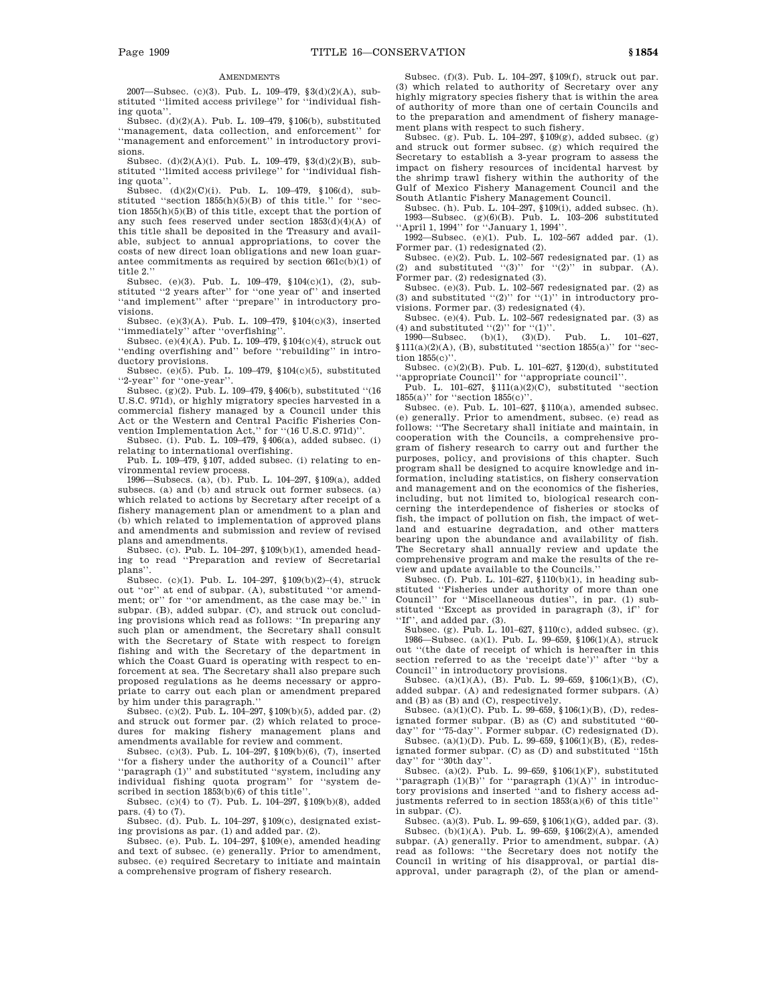### **AMENDMENTS**

2007—Subsec. (c)(3). Pub. L. 109–479, §3(d)(2)(A), substituted "limited access privilege" for "individual fishing quota''.

Subsec. (d)(2)(A). Pub. L. 109–479, §106(b), substituted ''management, data collection, and enforcement'' for ''management and enforcement'' in introductory provisions.

Subsec.  $(d)(2)(A)(i)$ . Pub. L. 109–479, §3 $(d)(2)(B)$ , substituted ''limited access privilege'' for ''individual fishing quota''.

Subsec.  $(d)(2)(C)(i)$ . Pub. L. 109-479, §106(d), substituted ''section 1855(h)(5)(B) of this title.'' for ''section 1855(h)(5)(B) of this title, except that the portion of any such fees reserved under section  $1853(\overline{d})(4)(A)$  of this title shall be deposited in the Treasury and available, subject to annual appropriations, to cover the costs of new direct loan obligations and new loan guarantee commitments as required by section 661c(b)(1) of title 2.''

Subsec. (e)(3). Pub. L. 109–479, §104(c)(1), (2), substituted "2 years after" for "one year of" and inserted 'and implement'' after "prepare" in introductory provisions.

Subsec. (e)(3)(A). Pub. L. 109–479, §104(c)(3), inserted ''immediately'' after ''overfishing''.

Subsec. (e)(4)(A). Pub. L. 109–479, §104(c)(4), struck out ''ending overfishing and'' before ''rebuilding'' in introductory provisions.

Subsec. (e)(5). Pub. L. 109–479, §104(c)(5), substituted ''2-year'' for ''one-year''.

Subsec. (g)(2). Pub. L. 109–479, §406(b), substituted ''(16 U.S.C. 971d), or highly migratory species harvested in a commercial fishery managed by a Council under this Act or the Western and Central Pacific Fisheries Convention Implementation Act,'' for ''(16 U.S.C. 971d)''.

Subsec. (i). Pub. L. 109–479, §406(a), added subsec. (i) relating to international overfishing.

Pub. L. 109–479, §107, added subsec. (i) relating to environmental review process.

1996—Subsecs. (a), (b). Pub. L. 104–297, §109(a), added subsecs. (a) and (b) and struck out former subsecs. (a) which related to actions by Secretary after receipt of a fishery management plan or amendment to a plan and (b) which related to implementation of approved plans and amendments and submission and review of revised plans and amendments.

Subsec. (c). Pub. L. 104–297, §109(b)(1), amended heading to read ''Preparation and review of Secretarial plans''.

Subsec. (c)(1). Pub. L. 104–297, §109(b)(2)–(4), struck out ''or'' at end of subpar. (A), substituted ''or amendment; or'' for ''or amendment, as the case may be.'' in subpar. (B), added subpar. (C), and struck out concluding provisions which read as follows: ''In preparing any such plan or amendment, the Secretary shall consult with the Secretary of State with respect to foreign fishing and with the Secretary of the department in which the Coast Guard is operating with respect to enforcement at sea. The Secretary shall also prepare such proposed regulations as he deems necessary or appropriate to carry out each plan or amendment prepared by him under this paragraph.''

Subsec. (c)(2). Pub. L. 104–297, §109(b)(5), added par. (2) and struck out former par. (2) which related to procedures for making fishery management plans and amendments available for review and comment.

Subsec. (c)(3). Pub. L. 104–297, §109(b)(6), (7), inserted ''for a fishery under the authority of a Council'' after ''paragraph (1)'' and substituted ''system, including any individual fishing quota program'' for ''system described in section  $1853(b)(6)$  of this title'

Subsec. (c)(4) to (7). Pub. L. 104–297, §109(b)(8), added pars. (4) to (7). Subsec. (d). Pub. L. 104–297, §109(c), designated exist-

ing provisions as par. (1) and added par. (2).

Subsec. (e). Pub. L. 104–297, §109(e), amended heading and text of subsec. (e) generally. Prior to amendment, subsec. (e) required Secretary to initiate and maintain a comprehensive program of fishery research.

Subsec. (f)(3). Pub. L. 104–297, §109(f), struck out par. (3) which related to authority of Secretary over any highly migratory species fishery that is within the area of authority of more than one of certain Councils and to the preparation and amendment of fishery management plans with respect to such fishery.

Subsec. (g). Pub. L. 104–297, §109(g), added subsec. (g) and struck out former subsec. (g) which required the Secretary to establish a 3-year program to assess the impact on fishery resources of incidental harvest by the shrimp trawl fishery within the authority of the Gulf of Mexico Fishery Management Council and the

South Atlantic Fishery Management Council. Subsec. (h). Pub. L. 104–297, §109(i), added subsec. (h). 1993—Subsec. (g)(6)(B). Pub. L. 103–206 substituted ''April 1, 1994'' for ''January 1, 1994''.

1992—Subsec. (e)(1). Pub. L. 102–567 added par. (1). Former par. (1) redesignated (2).

Subsec. (e)(2). Pub. L. 102–567 redesignated par. (1) as (2) and substituted " $(3)$ " for " $(2)$ " in subpar.  $(A)$ . Former par. (2) redesignated (3).

Subsec. (e)(3). Pub. L. 102–567 redesignated par. (2) as (3) and substituted " $(2)$ " for " $(1)$ " in introductory provisions. Former par. (3) redesignated (4).

Subsec. (e)(4). Pub. L. 102–567 redesignated par. (3) as

(4) and substituted ''(2)'' for ''(1)''. 1990—Subsec. (b)(1), (3)(D). Pub. L. 101–627,  $111(a)(2)(A)$ , (B), substituted "section 1855(a)" for "section 1855(c)''.

Subsec. (c)(2)(B). Pub. L. 101–627, §120(d), substituted ''appropriate Council'' for ''appropriate council''.

Pub. L. 101–627, §111(a)(2)(C), substituted ''section 1855(a)'' for ''section 1855(c)''.

Subsec. (e). Pub. L. 101–627, §110(a), amended subsec. (e) generally. Prior to amendment, subsec. (e) read as follows: ''The Secretary shall initiate and maintain, in cooperation with the Councils, a comprehensive program of fishery research to carry out and further the purposes, policy, and provisions of this chapter. Such program shall be designed to acquire knowledge and information, including statistics, on fishery conservation and management and on the economics of the fisheries, including, but not limited to, biological research concerning the interdependence of fisheries or stocks of fish, the impact of pollution on fish, the impact of wetland and estuarine degradation, and other matters bearing upon the abundance and availability of fish. The Secretary shall annually review and update the comprehensive program and make the results of the review and update available to the Councils.''

Subsec. (f). Pub. L. 101–627, §110(b)(1), in heading substituted ''Fisheries under authority of more than one Council'' for ''Miscellaneous duties'', in par. (1) substituted ''Except as provided in paragraph (3), if'' for ''If'', and added par. (3).

Subsec. (g). Pub. L. 101–627, §110(c), added subsec. (g). 1986—Subsec. (a)(1). Pub. L. 99–659, §106(1)(A), struck out ''(the date of receipt of which is hereafter in this section referred to as the 'receipt date')'' after ''by a Council'' in introductory provisions.

Subsec. (a)(1)(A), (B). Pub. L. 99-659,  $$106(1)(B)$ , (C), added subpar. (A) and redesignated former subpars. (A)

and (B) as (B) and (C), respectively. Subsec. (a)(1)(C). Pub. L. 99–659, §106(1)(B), (D), redesignated former subpar. (B) as (C) and substituted ''60-

day'' for ''75-day''. Former subpar. (C) redesignated (D). Subsec. (a)(1)(D). Pub. L. 99–659, §106(1)(B), (E), redesignated former subpar. (C) as (D) and substituted ''15th day" for "30th day"

Subsec. (a)(2). Pub. L. 99–659, §106(1)(F), substituted "paragraph  $(1)(B)$ " for "paragraph  $(1)(A)$ " in introductory provisions and inserted ''and to fishery access adjustments referred to in section 1853(a)(6) of this title'' in subpar. (C).

Subsec. (a)(3). Pub. L. 99–659, §106(1)(G), added par. (3). Subsec. (b)(1)(A). Pub. L. 99–659, §106(2)(A), amended subpar. (A) generally. Prior to amendment, subpar. (A) read as follows: ''the Secretary does not notify the Council in writing of his disapproval, or partial disapproval, under paragraph (2), of the plan or amend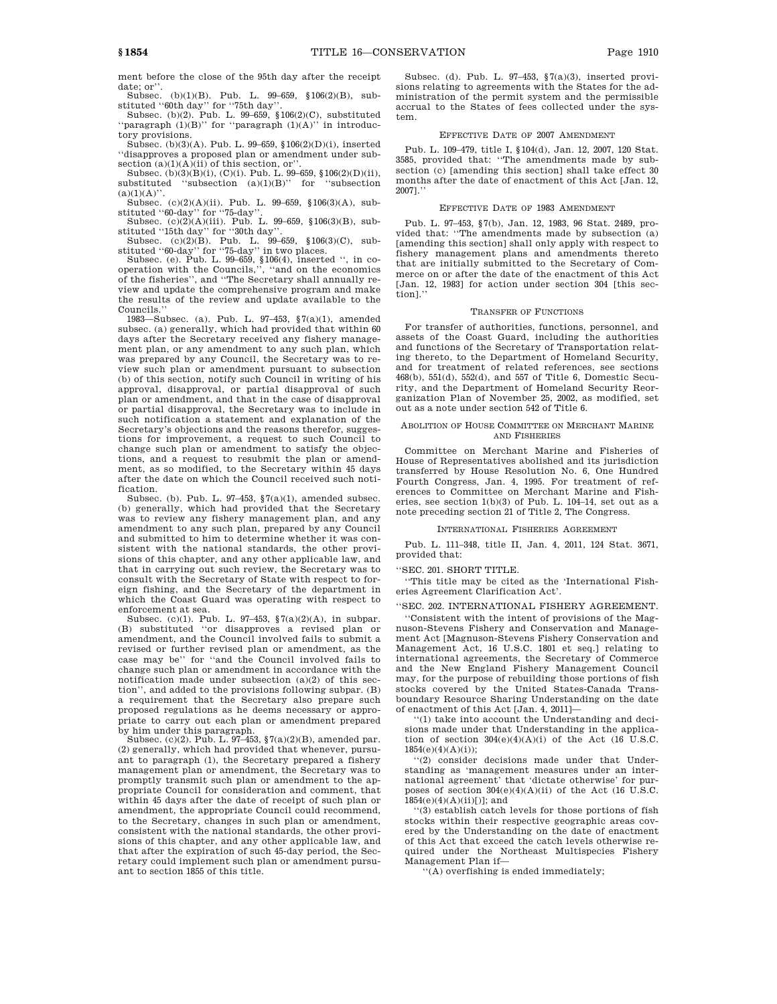ment before the close of the 95th day after the receipt date; or''.

Subsec. (b)(1)(B). Pub. L. 99–659, §106(2)(B), substituted "60th day" for "75th day".<br>Subsec. (b)(2). Pub. L. 99–659, §106(2)(C), substituted

"paragraph  $(1)(B)$ " for "paragraph  $(1)(A)$ " in introductory provisions.

Subsec.  $(b)(3)(A)$ . Pub. L. 99–659, §106(2)(D)(i), inserted ''disapproves a proposed plan or amendment under subsection  $(a)(1)(A)(ii)$  of this section, or".

Subsec. (b)(3)(B)(i), (C)(i). Pub. L. 99–659, §106(2)(D)(ii), substituted "subsection  $(a)(1)(B)$ " for "subsection

(a)(1)(A)''. Subsec. (c)(2)(A)(ii). Pub. L. 99–659, §106(3)(A), sub-stituted ''60-day'' for ''75-day''. Subsec. (c)(2)(A)(iii). Pub. L. 99–659, §106(3)(B), sub-

stituted "15th day" for "30th day".

Subsec. (c)(2)(B). Pub. L. 99–659, §106(3)(C), sub-stituted ''60-day'' for ''75-day'' in two places.

Subsec. (e). Pub. L. 99–659, §106(4), inserted ", in co-<br>operation with the Councils,", "and on the economics of the fisheries'', and ''The Secretary shall annually review and update the comprehensive program and make the results of the review and update available to the Councils.''

1983—Subsec. (a). Pub. L. 97–453, §7(a)(1), amended subsec. (a) generally, which had provided that within 60 days after the Secretary received any fishery management plan, or any amendment to any such plan, which was prepared by any Council, the Secretary was to review such plan or amendment pursuant to subsection (b) of this section, notify such Council in writing of his approval, disapproval, or partial disapproval of such plan or amendment, and that in the case of disapproval or partial disapproval, the Secretary was to include in such notification a statement and explanation of the Secretary's objections and the reasons therefor, suggestions for improvement, a request to such Council to change such plan or amendment to satisfy the objections, and a request to resubmit the plan or amendment, as so modified, to the Secretary within 45 days after the date on which the Council received such notification.

Subsec. (b). Pub. L. 97–453, §7(a)(1), amended subsec. (b) generally, which had provided that the Secretary was to review any fishery management plan, and any amendment to any such plan, prepared by any Council and submitted to him to determine whether it was consistent with the national standards, the other provisions of this chapter, and any other applicable law, and that in carrying out such review, the Secretary was to consult with the Secretary of State with respect to foreign fishing, and the Secretary of the department in which the Coast Guard was operating with respect to enforcement at sea.

Subsec. (c)(1). Pub. L. 97–453,  $\sqrt{7(a)(2)(A)}$ , in subpar. (B) substituted ''or disapproves a revised plan or amendment, and the Council involved fails to submit a revised or further revised plan or amendment, as the case may be'' for ''and the Council involved fails to change such plan or amendment in accordance with the notification made under subsection (a)(2) of this section'', and added to the provisions following subpar. (B) a requirement that the Secretary also prepare such proposed regulations as he deems necessary or appropriate to carry out each plan or amendment prepared

by him under this paragraph. Subsec. (c)(2). Pub. L. 97–453, §7(a)(2)(B), amended par. (2) generally, which had provided that whenever, pursuant to paragraph (1), the Secretary prepared a fishery management plan or amendment, the Secretary was to promptly transmit such plan or amendment to the appropriate Council for consideration and comment, that within 45 days after the date of receipt of such plan or amendment, the appropriate Council could recommend, to the Secretary, changes in such plan or amendment, consistent with the national standards, the other provisions of this chapter, and any other applicable law, and that after the expiration of such 45-day period, the Secretary could implement such plan or amendment pursuant to section 1855 of this title.

Subsec. (d). Pub. L. 97–453, §7(a)(3), inserted provisions relating to agreements with the States for the administration of the permit system and the permissible accrual to the States of fees collected under the system.

# EFFECTIVE DATE OF 2007 AMENDMENT

Pub. L. 109–479, title I, §104(d), Jan. 12, 2007, 120 Stat. 3585, provided that: ''The amendments made by subsection (c) [amending this section] shall take effect 30 months after the date of enactment of this Act [Jan. 12, 2007].''

### EFFECTIVE DATE OF 1983 AMENDMENT

Pub. L. 97–453, §7(b), Jan. 12, 1983, 96 Stat. 2489, provided that: ''The amendments made by subsection (a) [amending this section] shall only apply with respect to fishery management plans and amendments thereto that are initially submitted to the Secretary of Commerce on or after the date of the enactment of this Act [Jan. 12, 1983] for action under section 304 [this section].''

# TRANSFER OF FUNCTIONS

For transfer of authorities, functions, personnel, and assets of the Coast Guard, including the authorities and functions of the Secretary of Transportation relating thereto, to the Department of Homeland Security, and for treatment of related references, see sections 468(b), 551(d), 552(d), and 557 of Title 6, Domestic Security, and the Department of Homeland Security Reorganization Plan of November 25, 2002, as modified, set out as a note under section 542 of Title 6.

#### ABOLITION OF HOUSE COMMITTEE ON MERCHANT MARINE AND FISHERIES

Committee on Merchant Marine and Fisheries of House of Representatives abolished and its jurisdiction transferred by House Resolution No. 6, One Hundred Fourth Congress, Jan. 4, 1995. For treatment of references to Committee on Merchant Marine and Fisheries, see section 1(b)(3) of Pub. L. 104–14, set out as a note preceding section 21 of Title 2, The Congress.

# INTERNATIONAL FISHERIES AGREEMENT

Pub. L. 111–348, title II, Jan. 4, 2011, 124 Stat. 3671, provided that:

SEC. 201. SHORT TITLE.

''This title may be cited as the 'International Fisheries Agreement Clarification Act'.

''SEC. 202. INTERNATIONAL FISHERY AGREEMENT.

''Consistent with the intent of provisions of the Magnuson-Stevens Fishery and Conservation and Management Act [Magnuson-Stevens Fishery Conservation and Management Act, 16 U.S.C. 1801 et seq.] relating to international agreements, the Secretary of Commerce and the New England Fishery Management Council may, for the purpose of rebuilding those portions of fish stocks covered by the United States-Canada Transboundary Resource Sharing Understanding on the date of enactment of this Act [Jan. 4, 2011]—

''(1) take into account the Understanding and decisions made under that Understanding in the application of section  $304(e)(4)(A)(i)$  of the Act (16 U.S.C.  $1854(e)(4)(A)(i)$ ;

''(2) consider decisions made under that Understanding as 'management measures under an international agreement' that 'dictate otherwise' for purposes of section  $304(e)(4)(A)(ii)$  of the Act (16 U.S.C. 1854(e)(4)(A)(ii)[)]; and

''(3) establish catch levels for those portions of fish stocks within their respective geographic areas covered by the Understanding on the date of enactment of this Act that exceed the catch levels otherwise required under the Northeast Multispecies Fishery Management Plan if—

''(A) overfishing is ended immediately;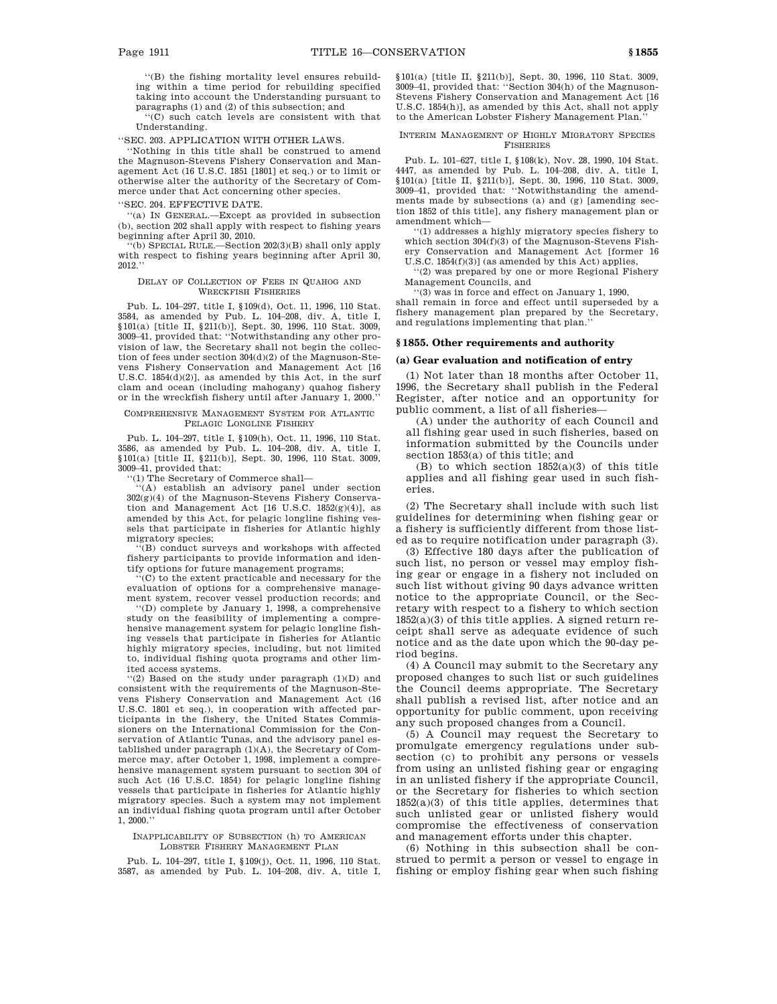''(B) the fishing mortality level ensures rebuilding within a time period for rebuilding specified taking into account the Understanding pursuant to paragraphs (1) and (2) of this subsection; and

''(C) such catch levels are consistent with that Understanding.

''SEC. 203. APPLICATION WITH OTHER LAWS.

''Nothing in this title shall be construed to amend the Magnuson-Stevens Fishery Conservation and Management Act (16 U.S.C. 1851 [1801] et seq.) or to limit or otherwise alter the authority of the Secretary of Commerce under that Act concerning other species.

# ''SEC. 204. EFFECTIVE DATE.

''(a) IN GENERAL.—Except as provided in subsection (b), section 202 shall apply with respect to fishing years beginning after April 30, 2010.

''(b) SPECIAL RULE.—Section 202(3)(B) shall only apply with respect to fishing years beginning after April 30, 2012.''

### DELAY OF COLLECTION OF FEES IN QUAHOG AND WRECKFISH FISHERIES

Pub. L. 104–297, title I, §109(d), Oct. 11, 1996, 110 Stat. 3584, as amended by Pub. L. 104–208, div. A, title I, §101(a) [title II, §211(b)], Sept. 30, 1996, 110 Stat. 3009, 3009–41, provided that: ''Notwithstanding any other provision of law, the Secretary shall not begin the collection of fees under section 304(d)(2) of the Magnuson-Stevens Fishery Conservation and Management Act [16 U.S.C. 1854(d)(2)], as amended by this Act, in the surf clam and ocean (including mahogany) quahog fishery or in the wreckfish fishery until after January 1, 2000.''

### COMPREHENSIVE MANAGEMENT SYSTEM FOR ATLANTIC PELAGIC LONGLINE FISHERY

Pub. L. 104–297, title I, §109(h), Oct. 11, 1996, 110 Stat. 3586, as amended by Pub. L. 104–208, div. A, title I, §101(a) [title II, §211(b)], Sept. 30, 1996, 110 Stat. 3009, 3009–41, provided that:

''(1) The Secretary of Commerce shall—

''(A) establish an advisory panel under section 302(g)(4) of the Magnuson-Stevens Fishery Conservation and Management Act [16 U.S.C. 1852(g)(4)], as amended by this Act, for pelagic longline fishing vessels that participate in fisheries for Atlantic highly migratory species;

(B) conduct surveys and workshops with affected fishery participants to provide information and identify options for future management programs;

''(C) to the extent practicable and necessary for the evaluation of options for a comprehensive management system, recover vessel production records; and

''(D) complete by January 1, 1998, a comprehensive study on the feasibility of implementing a comprehensive management system for pelagic longline fishing vessels that participate in fisheries for Atlantic highly migratory species, including, but not limited to, individual fishing quota programs and other limited access systems.

''(2) Based on the study under paragraph (1)(D) and consistent with the requirements of the Magnuson-Stevens Fishery Conservation and Management Act (16 U.S.C. 1801 et seq.), in cooperation with affected participants in the fishery, the United States Commissioners on the International Commission for the Conservation of Atlantic Tunas, and the advisory panel established under paragraph (1)(A), the Secretary of Commerce may, after October 1, 1998, implement a comprehensive management system pursuant to section 304 of such Act (16 U.S.C. 1854) for pelagic longline fishing vessels that participate in fisheries for Atlantic highly migratory species. Such a system may not implement an individual fishing quota program until after October 1, 2000.''

### INAPPLICABILITY OF SUBSECTION (h) TO AMERICAN LOBSTER FISHERY MANAGEMENT PLAN

Pub. L. 104–297, title I, §109(j), Oct. 11, 1996, 110 Stat. 3587, as amended by Pub. L. 104–208, div. A, title I, §101(a) [title II, §211(b)], Sept. 30, 1996, 110 Stat. 3009, 3009–41, provided that: ''Section 304(h) of the Magnuson-Stevens Fishery Conservation and Management Act [16 U.S.C. 1854(h)], as amended by this Act, shall not apply to the American Lobster Fishery Management Plan.

#### INTERIM MANAGEMENT OF HIGHLY MIGRATORY SPECIES **FISHERIES**

Pub. L. 101–627, title I, §108(k), Nov. 28, 1990, 104 Stat. 4447, as amended by Pub. L. 104–208, div. A, title I, §101(a) [title II, §211(b)], Sept. 30, 1996, 110 Stat. 3009, 3009–41, provided that: ''Notwithstanding the amendments made by subsections (a) and (g) [amending section 1852 of this title], any fishery management plan or amendment which—

''(1) addresses a highly migratory species fishery to which section 304(f)(3) of the Magnuson-Stevens Fishery Conservation and Management Act [former 16

U.S.C. 1854(f)(3)] (as amended by this Act) applies, ''(2) was prepared by one or more Regional Fishery Management Councils, and

''(3) was in force and effect on January 1, 1990,

shall remain in force and effect until superseded by a fishery management plan prepared by the Secretary, and regulations implementing that plan.''

### **§ 1855. Other requirements and authority**

# **(a) Gear evaluation and notification of entry**

(1) Not later than 18 months after October 11, 1996, the Secretary shall publish in the Federal Register, after notice and an opportunity for public comment, a list of all fisheries—

(A) under the authority of each Council and all fishing gear used in such fisheries, based on information submitted by the Councils under section 1853(a) of this title; and

(B) to which section  $1852(a)(3)$  of this title applies and all fishing gear used in such fisheries.

(2) The Secretary shall include with such list guidelines for determining when fishing gear or a fishery is sufficiently different from those listed as to require notification under paragraph (3).

(3) Effective 180 days after the publication of such list, no person or vessel may employ fishing gear or engage in a fishery not included on such list without giving 90 days advance written notice to the appropriate Council, or the Secretary with respect to a fishery to which section  $1852(a)(3)$  of this title applies. A signed return receipt shall serve as adequate evidence of such notice and as the date upon which the 90-day period begins.

(4) A Council may submit to the Secretary any proposed changes to such list or such guidelines the Council deems appropriate. The Secretary shall publish a revised list, after notice and an opportunity for public comment, upon receiving any such proposed changes from a Council.

(5) A Council may request the Secretary to promulgate emergency regulations under subsection (c) to prohibit any persons or vessels from using an unlisted fishing gear or engaging in an unlisted fishery if the appropriate Council, or the Secretary for fisheries to which section 1852(a)(3) of this title applies, determines that such unlisted gear or unlisted fishery would compromise the effectiveness of conservation and management efforts under this chapter.

(6) Nothing in this subsection shall be construed to permit a person or vessel to engage in fishing or employ fishing gear when such fishing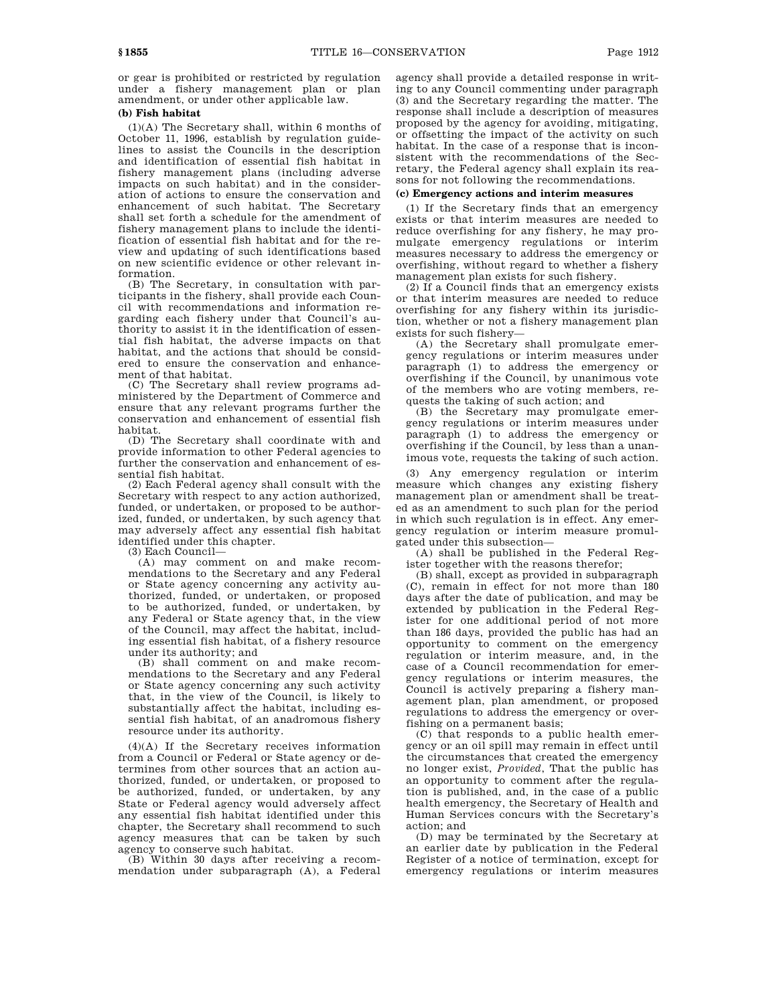or gear is prohibited or restricted by regulation under a fishery management plan or plan amendment, or under other applicable law.

# **(b) Fish habitat**

(1)(A) The Secretary shall, within 6 months of October 11, 1996, establish by regulation guidelines to assist the Councils in the description and identification of essential fish habitat in fishery management plans (including adverse impacts on such habitat) and in the consideration of actions to ensure the conservation and enhancement of such habitat. The Secretary shall set forth a schedule for the amendment of fishery management plans to include the identification of essential fish habitat and for the review and updating of such identifications based on new scientific evidence or other relevant information.

(B) The Secretary, in consultation with participants in the fishery, shall provide each Council with recommendations and information regarding each fishery under that Council's authority to assist it in the identification of essential fish habitat, the adverse impacts on that habitat, and the actions that should be considered to ensure the conservation and enhancement of that habitat.

(C) The Secretary shall review programs administered by the Department of Commerce and ensure that any relevant programs further the conservation and enhancement of essential fish habitat.

(D) The Secretary shall coordinate with and provide information to other Federal agencies to further the conservation and enhancement of essential fish habitat.

(2) Each Federal agency shall consult with the Secretary with respect to any action authorized, funded, or undertaken, or proposed to be authorized, funded, or undertaken, by such agency that may adversely affect any essential fish habitat identified under this chapter.

(3) Each Council—

(A) may comment on and make recommendations to the Secretary and any Federal or State agency concerning any activity authorized, funded, or undertaken, or proposed to be authorized, funded, or undertaken, by any Federal or State agency that, in the view of the Council, may affect the habitat, including essential fish habitat, of a fishery resource under its authority; and

(B) shall comment on and make recommendations to the Secretary and any Federal or State agency concerning any such activity that, in the view of the Council, is likely to substantially affect the habitat, including essential fish habitat, of an anadromous fishery resource under its authority.

(4)(A) If the Secretary receives information from a Council or Federal or State agency or determines from other sources that an action authorized, funded, or undertaken, or proposed to be authorized, funded, or undertaken, by any State or Federal agency would adversely affect any essential fish habitat identified under this chapter, the Secretary shall recommend to such agency measures that can be taken by such agency to conserve such habitat.

(B) Within 30 days after receiving a recommendation under subparagraph (A), a Federal agency shall provide a detailed response in writing to any Council commenting under paragraph (3) and the Secretary regarding the matter. The response shall include a description of measures proposed by the agency for avoiding, mitigating, or offsetting the impact of the activity on such habitat. In the case of a response that is inconsistent with the recommendations of the Secretary, the Federal agency shall explain its reasons for not following the recommendations.

# **(c) Emergency actions and interim measures**

(1) If the Secretary finds that an emergency exists or that interim measures are needed to reduce overfishing for any fishery, he may promulgate emergency regulations or interim measures necessary to address the emergency or overfishing, without regard to whether a fishery management plan exists for such fishery.

(2) If a Council finds that an emergency exists or that interim measures are needed to reduce overfishing for any fishery within its jurisdiction, whether or not a fishery management plan exists for such fishery—

(A) the Secretary shall promulgate emergency regulations or interim measures under paragraph (1) to address the emergency or overfishing if the Council, by unanimous vote of the members who are voting members, requests the taking of such action; and

(B) the Secretary may promulgate emergency regulations or interim measures under paragraph (1) to address the emergency or overfishing if the Council, by less than a unanimous vote, requests the taking of such action.

(3) Any emergency regulation or interim measure which changes any existing fishery management plan or amendment shall be treated as an amendment to such plan for the period in which such regulation is in effect. Any emergency regulation or interim measure promulgated under this subsection—

(A) shall be published in the Federal Register together with the reasons therefor;

(B) shall, except as provided in subparagraph (C), remain in effect for not more than 180 days after the date of publication, and may be extended by publication in the Federal Register for one additional period of not more than 186 days, provided the public has had an opportunity to comment on the emergency regulation or interim measure, and, in the case of a Council recommendation for emergency regulations or interim measures, the Council is actively preparing a fishery management plan, plan amendment, or proposed regulations to address the emergency or overfishing on a permanent basis;

(C) that responds to a public health emergency or an oil spill may remain in effect until the circumstances that created the emergency no longer exist, *Provided*, That the public has an opportunity to comment after the regulation is published, and, in the case of a public health emergency, the Secretary of Health and Human Services concurs with the Secretary's action; and

(D) may be terminated by the Secretary at an earlier date by publication in the Federal Register of a notice of termination, except for emergency regulations or interim measures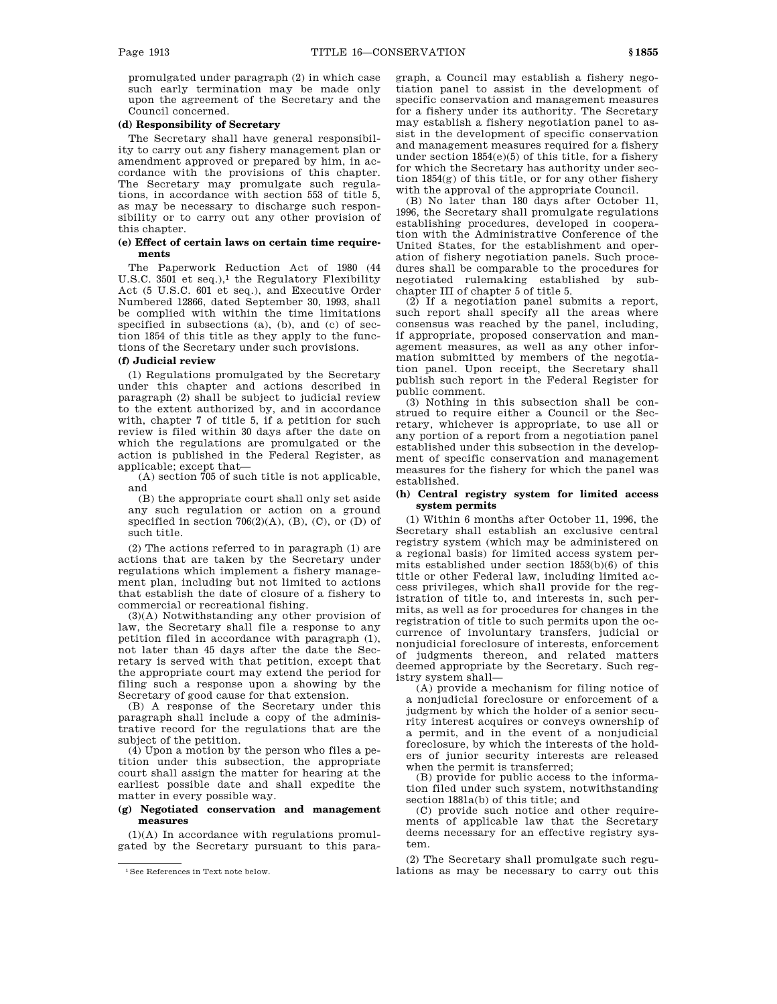promulgated under paragraph (2) in which case such early termination may be made only upon the agreement of the Secretary and the Council concerned.

# **(d) Responsibility of Secretary**

The Secretary shall have general responsibility to carry out any fishery management plan or amendment approved or prepared by him, in accordance with the provisions of this chapter. The Secretary may promulgate such regulations, in accordance with section 553 of title 5, as may be necessary to discharge such responsibility or to carry out any other provision of this chapter.

# **(e) Effect of certain laws on certain time requirements**

The Paperwork Reduction Act of 1980 (44 U.S.C. 3501 et seq.),<sup>1</sup> the Regulatory Flexibility Act (5 U.S.C. 601 et seq.), and Executive Order Numbered 12866, dated September 30, 1993, shall be complied with within the time limitations specified in subsections (a), (b), and (c) of section 1854 of this title as they apply to the functions of the Secretary under such provisions.

# **(f) Judicial review**

(1) Regulations promulgated by the Secretary under this chapter and actions described in paragraph (2) shall be subject to judicial review to the extent authorized by, and in accordance with, chapter 7 of title 5, if a petition for such review is filed within 30 days after the date on which the regulations are promulgated or the action is published in the Federal Register, as applicable; except that—

(A) section 705 of such title is not applicable, and

(B) the appropriate court shall only set aside any such regulation or action on a ground specified in section  $706(2)(A)$ , (B), (C), or (D) of such title.

(2) The actions referred to in paragraph (1) are actions that are taken by the Secretary under regulations which implement a fishery management plan, including but not limited to actions that establish the date of closure of a fishery to commercial or recreational fishing.

(3)(A) Notwithstanding any other provision of law, the Secretary shall file a response to any petition filed in accordance with paragraph (1), not later than 45 days after the date the Secretary is served with that petition, except that the appropriate court may extend the period for filing such a response upon a showing by the Secretary of good cause for that extension.

(B) A response of the Secretary under this paragraph shall include a copy of the administrative record for the regulations that are the subject of the petition.

(4) Upon a motion by the person who files a petition under this subsection, the appropriate court shall assign the matter for hearing at the earliest possible date and shall expedite the matter in every possible way.

# **(g) Negotiated conservation and management measures**

(1)(A) In accordance with regulations promulgated by the Secretary pursuant to this paragraph, a Council may establish a fishery negotiation panel to assist in the development of specific conservation and management measures for a fishery under its authority. The Secretary may establish a fishery negotiation panel to assist in the development of specific conservation and management measures required for a fishery under section 1854(e)(5) of this title, for a fishery for which the Secretary has authority under section 1854(g) of this title, or for any other fishery with the approval of the appropriate Council.

(B) No later than 180 days after October 11, 1996, the Secretary shall promulgate regulations establishing procedures, developed in cooperation with the Administrative Conference of the United States, for the establishment and operation of fishery negotiation panels. Such procedures shall be comparable to the procedures for negotiated rulemaking established by subchapter III of chapter 5 of title 5.

(2) If a negotiation panel submits a report, such report shall specify all the areas where consensus was reached by the panel, including, if appropriate, proposed conservation and management measures, as well as any other information submitted by members of the negotiation panel. Upon receipt, the Secretary shall publish such report in the Federal Register for public comment.

(3) Nothing in this subsection shall be construed to require either a Council or the Secretary, whichever is appropriate, to use all or any portion of a report from a negotiation panel established under this subsection in the development of specific conservation and management measures for the fishery for which the panel was established.

### **(h) Central registry system for limited access system permits**

(1) Within 6 months after October 11, 1996, the Secretary shall establish an exclusive central registry system (which may be administered on a regional basis) for limited access system permits established under section 1853(b)(6) of this title or other Federal law, including limited access privileges, which shall provide for the registration of title to, and interests in, such permits, as well as for procedures for changes in the registration of title to such permits upon the occurrence of involuntary transfers, judicial or nonjudicial foreclosure of interests, enforcement of judgments thereon, and related matters deemed appropriate by the Secretary. Such registry system shall—

(A) provide a mechanism for filing notice of a nonjudicial foreclosure or enforcement of a judgment by which the holder of a senior security interest acquires or conveys ownership of a permit, and in the event of a nonjudicial foreclosure, by which the interests of the holders of junior security interests are released when the permit is transferred;

(B) provide for public access to the information filed under such system, notwithstanding section 1881a(b) of this title; and

(C) provide such notice and other requirements of applicable law that the Secretary deems necessary for an effective registry system.

(2) The Secretary shall promulgate such regulations as may be necessary to carry out this

<sup>1</sup>See References in Text note below.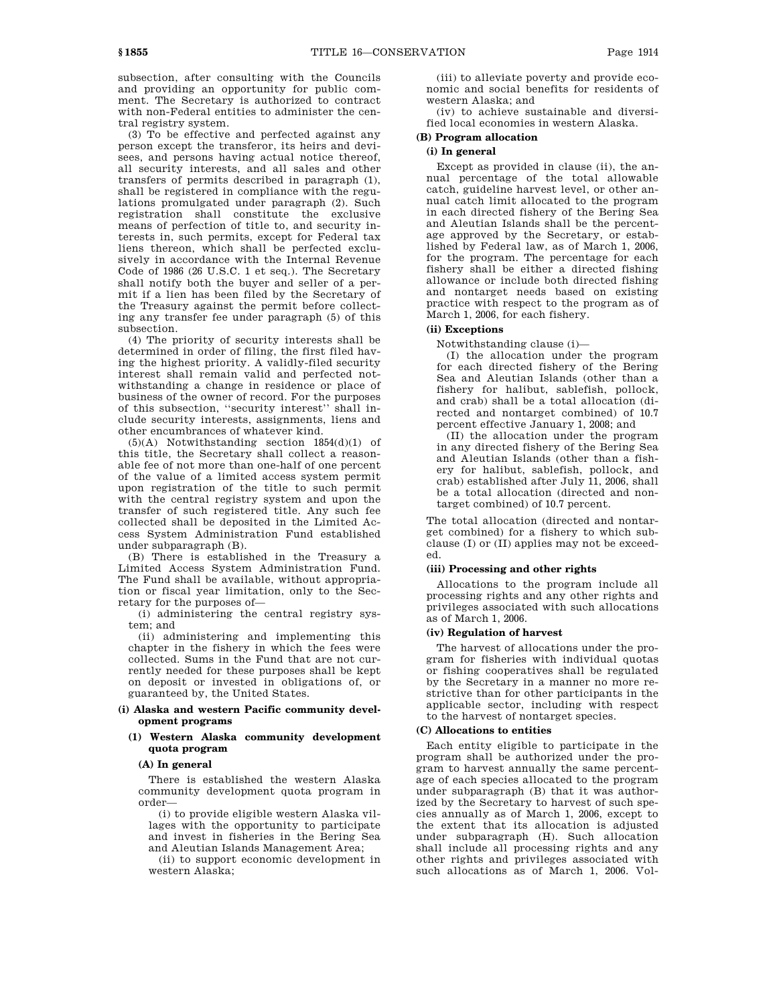subsection, after consulting with the Councils and providing an opportunity for public comment. The Secretary is authorized to contract with non-Federal entities to administer the central registry system.

(3) To be effective and perfected against any person except the transferor, its heirs and devisees, and persons having actual notice thereof, all security interests, and all sales and other transfers of permits described in paragraph (1), shall be registered in compliance with the regulations promulgated under paragraph (2). Such registration shall constitute the exclusive means of perfection of title to, and security interests in, such permits, except for Federal tax liens thereon, which shall be perfected exclusively in accordance with the Internal Revenue Code of 1986 (26 U.S.C. 1 et seq.). The Secretary shall notify both the buyer and seller of a permit if a lien has been filed by the Secretary of the Treasury against the permit before collecting any transfer fee under paragraph (5) of this subsection.

(4) The priority of security interests shall be determined in order of filing, the first filed having the highest priority. A validly-filed security interest shall remain valid and perfected notwithstanding a change in residence or place of business of the owner of record. For the purposes of this subsection, ''security interest'' shall include security interests, assignments, liens and other encumbrances of whatever kind.

 $(5)(A)$  Notwithstanding section  $1854(d)(1)$  of this title, the Secretary shall collect a reasonable fee of not more than one-half of one percent of the value of a limited access system permit upon registration of the title to such permit with the central registry system and upon the transfer of such registered title. Any such fee collected shall be deposited in the Limited Access System Administration Fund established under subparagraph (B).

(B) There is established in the Treasury a Limited Access System Administration Fund. The Fund shall be available, without appropriation or fiscal year limitation, only to the Secretary for the purposes of—

(i) administering the central registry system; and

(ii) administering and implementing this chapter in the fishery in which the fees were collected. Sums in the Fund that are not currently needed for these purposes shall be kept on deposit or invested in obligations of, or guaranteed by, the United States.

# **(i) Alaska and western Pacific community development programs**

# **(1) Western Alaska community development quota program**

### **(A) In general**

There is established the western Alaska community development quota program in order—

(i) to provide eligible western Alaska villages with the opportunity to participate and invest in fisheries in the Bering Sea and Aleutian Islands Management Area;

(ii) to support economic development in western Alaska;

(iii) to alleviate poverty and provide economic and social benefits for residents of western Alaska; and

(iv) to achieve sustainable and diversified local economies in western Alaska.

# **(B) Program allocation**

# **(i) In general**

Except as provided in clause (ii), the annual percentage of the total allowable catch, guideline harvest level, or other annual catch limit allocated to the program in each directed fishery of the Bering Sea and Aleutian Islands shall be the percentage approved by the Secretary, or established by Federal law, as of March 1, 2006, for the program. The percentage for each fishery shall be either a directed fishing allowance or include both directed fishing and nontarget needs based on existing practice with respect to the program as of March 1, 2006, for each fishery.

# **(ii) Exceptions**

Notwithstanding clause (i)—

(I) the allocation under the program for each directed fishery of the Bering Sea and Aleutian Islands (other than a fishery for halibut, sablefish, pollock, and crab) shall be a total allocation (directed and nontarget combined) of 10.7 percent effective January 1, 2008; and

(II) the allocation under the program in any directed fishery of the Bering Sea and Aleutian Islands (other than a fishery for halibut, sablefish, pollock, and crab) established after July 11, 2006, shall be a total allocation (directed and nontarget combined) of 10.7 percent.

The total allocation (directed and nontarget combined) for a fishery to which subclause (I) or (II) applies may not be exceeded.

# **(iii) Processing and other rights**

Allocations to the program include all processing rights and any other rights and privileges associated with such allocations as of March 1, 2006.

# **(iv) Regulation of harvest**

The harvest of allocations under the program for fisheries with individual quotas or fishing cooperatives shall be regulated by the Secretary in a manner no more restrictive than for other participants in the applicable sector, including with respect to the harvest of nontarget species.

# **(C) Allocations to entities**

Each entity eligible to participate in the program shall be authorized under the program to harvest annually the same percentage of each species allocated to the program under subparagraph (B) that it was authorized by the Secretary to harvest of such species annually as of March 1, 2006, except to the extent that its allocation is adjusted under subparagraph (H). Such allocation shall include all processing rights and any other rights and privileges associated with such allocations as of March 1, 2006. Vol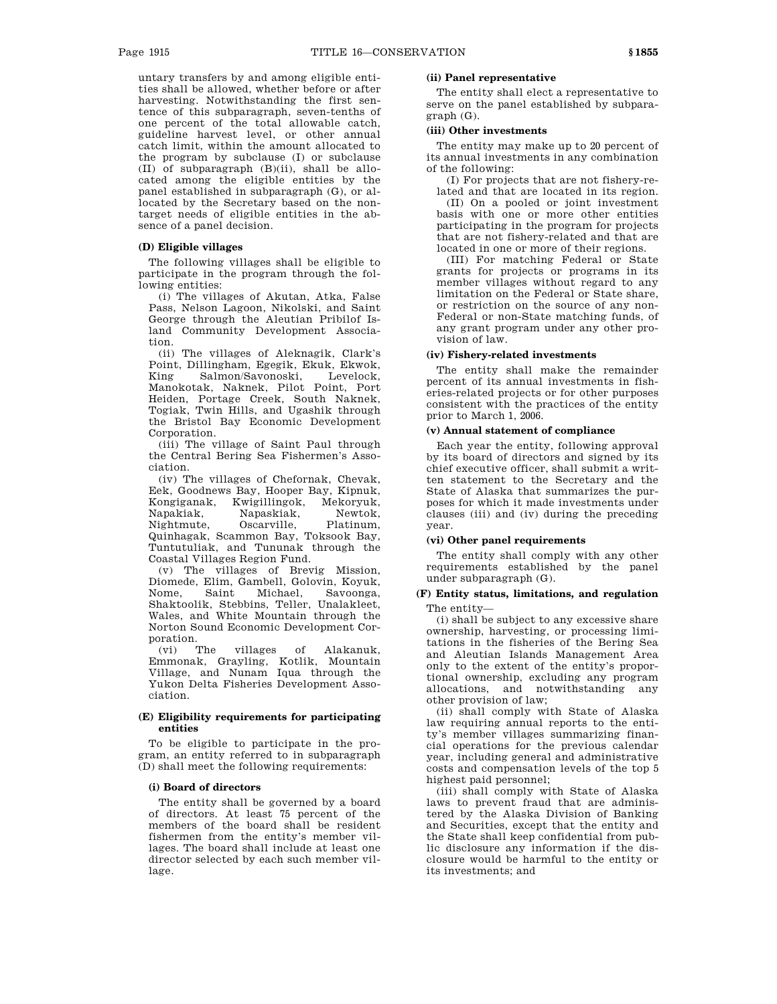untary transfers by and among eligible entities shall be allowed, whether before or after harvesting. Notwithstanding the first sentence of this subparagraph, seven-tenths of one percent of the total allowable catch, guideline harvest level, or other annual catch limit, within the amount allocated to the program by subclause (I) or subclause (II) of subparagraph (B)(ii), shall be allocated among the eligible entities by the panel established in subparagraph (G), or allocated by the Secretary based on the nontarget needs of eligible entities in the absence of a panel decision.

# **(D) Eligible villages**

The following villages shall be eligible to participate in the program through the following entities:

(i) The villages of Akutan, Atka, False Pass, Nelson Lagoon, Nikolski, and Saint George through the Aleutian Pribilof Island Community Development Association.

(ii) The villages of Aleknagik, Clark's Point, Dillingham, Egegik, Ekuk, Ekwok, King Salmon/Savonoski, Levelock, Manokotak, Naknek, Pilot Point, Port Heiden, Portage Creek, South Naknek, Togiak, Twin Hills, and Ugashik through the Bristol Bay Economic Development Corporation.

(iii) The village of Saint Paul through the Central Bering Sea Fishermen's Association.

(iv) The villages of Chefornak, Chevak, Eek, Goodnews Bay, Hooper Bay, Kipnuk, Kongiganak, Kwigillingok, Mekoryuk, Napakiak, Napaskiak, Newtok, Nightmute, Oscarville, Platinum, Quinhagak, Scammon Bay, Toksook Bay, Tuntutuliak, and Tununak through the Coastal Villages Region Fund.

(v) The villages of Brevig Mission, Diomede, Elim, Gambell, Golovin, Koyuk, Nome, Saint Michael, Savoonga, Shaktoolik, Stebbins, Teller, Unalakleet, Wales, and White Mountain through the Norton Sound Economic Development Corporation.

(vi) The villages of Alakanuk, Emmonak, Grayling, Kotlik, Mountain Village, and Nunam Iqua through the Yukon Delta Fisheries Development Association.

# **(E) Eligibility requirements for participating entities**

To be eligible to participate in the program, an entity referred to in subparagraph (D) shall meet the following requirements:

# **(i) Board of directors**

The entity shall be governed by a board of directors. At least 75 percent of the members of the board shall be resident fishermen from the entity's member villages. The board shall include at least one director selected by each such member village.

# **(ii) Panel representative**

The entity shall elect a representative to serve on the panel established by subparagraph (G).

# **(iii) Other investments**

The entity may make up to 20 percent of its annual investments in any combination of the following:

(I) For projects that are not fishery-related and that are located in its region.

(II) On a pooled or joint investment basis with one or more other entities participating in the program for projects that are not fishery-related and that are located in one or more of their regions.

(III) For matching Federal or State grants for projects or programs in its member villages without regard to any limitation on the Federal or State share, or restriction on the source of any non-Federal or non-State matching funds, of any grant program under any other provision of law.

# **(iv) Fishery-related investments**

The entity shall make the remainder percent of its annual investments in fisheries-related projects or for other purposes consistent with the practices of the entity prior to March 1, 2006.

# **(v) Annual statement of compliance**

Each year the entity, following approval by its board of directors and signed by its chief executive officer, shall submit a written statement to the Secretary and the State of Alaska that summarizes the purposes for which it made investments under clauses (iii) and (iv) during the preceding year.

### **(vi) Other panel requirements**

The entity shall comply with any other requirements established by the panel under subparagraph (G).

# **(F) Entity status, limitations, and regulation** The entity—

(i) shall be subject to any excessive share ownership, harvesting, or processing limitations in the fisheries of the Bering Sea and Aleutian Islands Management Area only to the extent of the entity's proportional ownership, excluding any program allocations, and notwithstanding any other provision of law;

(ii) shall comply with State of Alaska law requiring annual reports to the entity's member villages summarizing financial operations for the previous calendar year, including general and administrative costs and compensation levels of the top 5 highest paid personnel;

(iii) shall comply with State of Alaska laws to prevent fraud that are administered by the Alaska Division of Banking and Securities, except that the entity and the State shall keep confidential from public disclosure any information if the disclosure would be harmful to the entity or its investments; and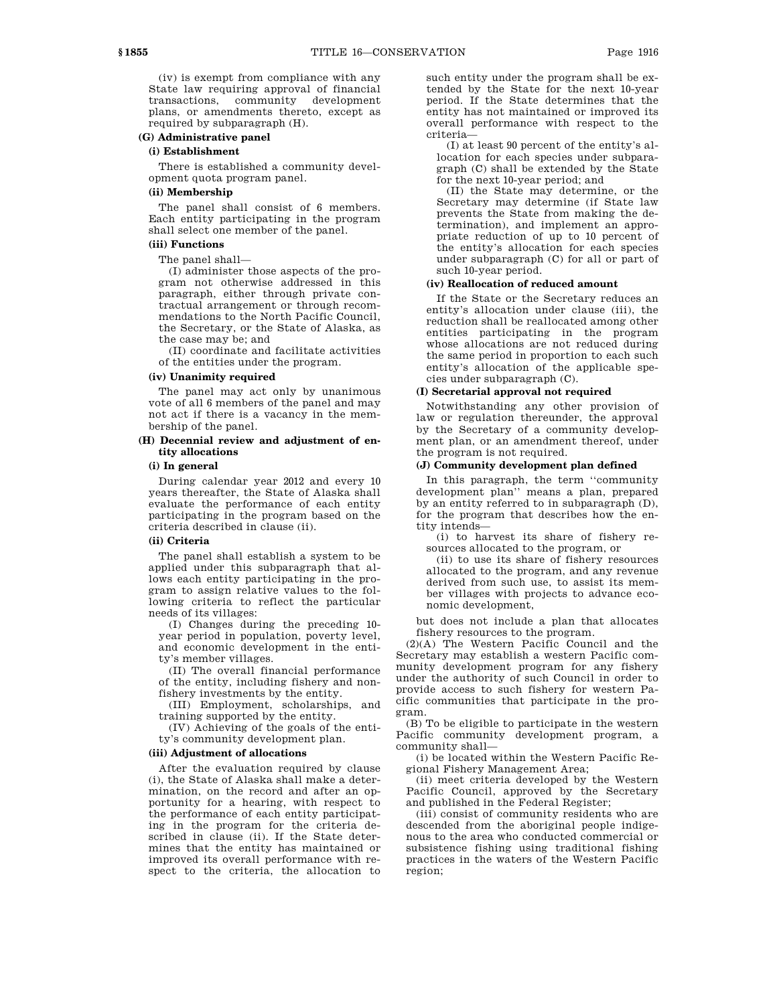(iv) is exempt from compliance with any State law requiring approval of financial transactions, community development plans, or amendments thereto, except as required by subparagraph (H).

# **(G) Administrative panel**

# **(i) Establishment**

There is established a community development quota program panel.

### **(ii) Membership**

The panel shall consist of 6 members. Each entity participating in the program shall select one member of the panel.

# **(iii) Functions**

The panel shall—

(I) administer those aspects of the program not otherwise addressed in this paragraph, either through private contractual arrangement or through recommendations to the North Pacific Council, the Secretary, or the State of Alaska, as the case may be; and

(II) coordinate and facilitate activities of the entities under the program.

### **(iv) Unanimity required**

The panel may act only by unanimous vote of all 6 members of the panel and may not act if there is a vacancy in the membership of the panel.

# **(H) Decennial review and adjustment of entity allocations**

# **(i) In general**

During calendar year 2012 and every 10 years thereafter, the State of Alaska shall evaluate the performance of each entity participating in the program based on the criteria described in clause (ii).

### **(ii) Criteria**

The panel shall establish a system to be applied under this subparagraph that allows each entity participating in the program to assign relative values to the following criteria to reflect the particular needs of its villages:

(I) Changes during the preceding 10 year period in population, poverty level, and economic development in the entity's member villages.

(II) The overall financial performance of the entity, including fishery and nonfishery investments by the entity.

(III) Employment, scholarships, and training supported by the entity.

(IV) Achieving of the goals of the entity's community development plan.

### **(iii) Adjustment of allocations**

After the evaluation required by clause (i), the State of Alaska shall make a determination, on the record and after an opportunity for a hearing, with respect to the performance of each entity participating in the program for the criteria described in clause (ii). If the State determines that the entity has maintained or improved its overall performance with respect to the criteria, the allocation to

such entity under the program shall be extended by the State for the next 10-year period. If the State determines that the entity has not maintained or improved its overall performance with respect to the criteria—

(I) at least 90 percent of the entity's allocation for each species under subparagraph (C) shall be extended by the State for the next 10-year period; and

(II) the State may determine, or the Secretary may determine (if State law prevents the State from making the determination), and implement an appropriate reduction of up to 10 percent of the entity's allocation for each species under subparagraph (C) for all or part of such 10-year period.

# **(iv) Reallocation of reduced amount**

If the State or the Secretary reduces an entity's allocation under clause (iii), the reduction shall be reallocated among other entities participating in the program whose allocations are not reduced during the same period in proportion to each such entity's allocation of the applicable species under subparagraph (C).

# **(I) Secretarial approval not required**

Notwithstanding any other provision of law or regulation thereunder, the approval by the Secretary of a community development plan, or an amendment thereof, under the program is not required.

# **(J) Community development plan defined**

In this paragraph, the term ''community development plan'' means a plan, prepared by an entity referred to in subparagraph (D), for the program that describes how the entity intends—

(i) to harvest its share of fishery resources allocated to the program, or

(ii) to use its share of fishery resources allocated to the program, and any revenue derived from such use, to assist its member villages with projects to advance economic development,

but does not include a plan that allocates fishery resources to the program.

(2)(A) The Western Pacific Council and the Secretary may establish a western Pacific community development program for any fishery under the authority of such Council in order to provide access to such fishery for western Pacific communities that participate in the program.

(B) To be eligible to participate in the western Pacific community development program, a community shall—

(i) be located within the Western Pacific Regional Fishery Management Area;

(ii) meet criteria developed by the Western Pacific Council, approved by the Secretary and published in the Federal Register;

(iii) consist of community residents who are descended from the aboriginal people indigenous to the area who conducted commercial or subsistence fishing using traditional fishing practices in the waters of the Western Pacific region;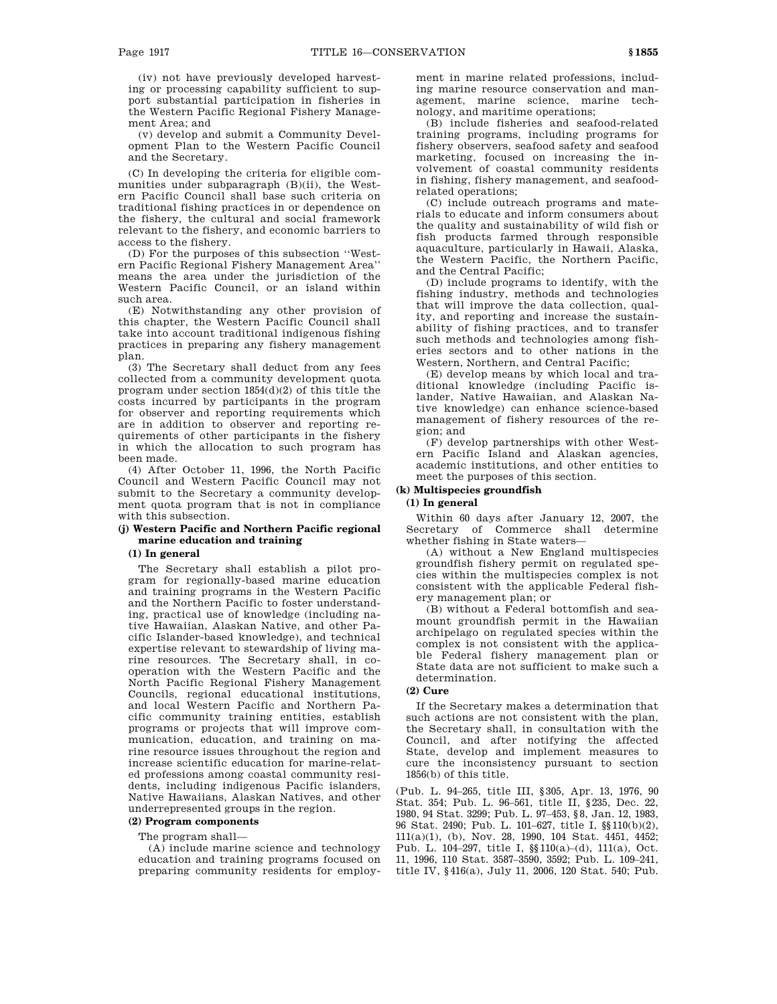(iv) not have previously developed harvesting or processing capability sufficient to support substantial participation in fisheries in the Western Pacific Regional Fishery Management Area; and

(v) develop and submit a Community Development Plan to the Western Pacific Council and the Secretary.

(C) In developing the criteria for eligible communities under subparagraph (B)(ii), the Western Pacific Council shall base such criteria on traditional fishing practices in or dependence on the fishery, the cultural and social framework relevant to the fishery, and economic barriers to access to the fishery.

(D) For the purposes of this subsection ''Western Pacific Regional Fishery Management Area'' means the area under the jurisdiction of the Western Pacific Council, or an island within such area.

(E) Notwithstanding any other provision of this chapter, the Western Pacific Council shall take into account traditional indigenous fishing practices in preparing any fishery management plan.

(3) The Secretary shall deduct from any fees collected from a community development quota program under section 1854(d)(2) of this title the costs incurred by participants in the program for observer and reporting requirements which are in addition to observer and reporting requirements of other participants in the fishery in which the allocation to such program has been made.

(4) After October 11, 1996, the North Pacific Council and Western Pacific Council may not submit to the Secretary a community development quota program that is not in compliance with this subsection.

# **(j) Western Pacific and Northern Pacific regional marine education and training**

### **(1) In general**

The Secretary shall establish a pilot program for regionally-based marine education and training programs in the Western Pacific and the Northern Pacific to foster understanding, practical use of knowledge (including native Hawaiian, Alaskan Native, and other Pacific Islander-based knowledge), and technical expertise relevant to stewardship of living marine resources. The Secretary shall, in cooperation with the Western Pacific and the North Pacific Regional Fishery Management Councils, regional educational institutions, and local Western Pacific and Northern Pacific community training entities, establish programs or projects that will improve communication, education, and training on marine resource issues throughout the region and increase scientific education for marine-related professions among coastal community residents, including indigenous Pacific islanders, Native Hawaiians, Alaskan Natives, and other underrepresented groups in the region.

# **(2) Program components**

# The program shall—

(A) include marine science and technology education and training programs focused on preparing community residents for employment in marine related professions, including marine resource conservation and management, marine science, marine technology, and maritime operations;

(B) include fisheries and seafood-related training programs, including programs for fishery observers, seafood safety and seafood marketing, focused on increasing the involvement of coastal community residents in fishing, fishery management, and seafoodrelated operations;

(C) include outreach programs and materials to educate and inform consumers about the quality and sustainability of wild fish or fish products farmed through responsible aquaculture, particularly in Hawaii, Alaska, the Western Pacific, the Northern Pacific, and the Central Pacific;

(D) include programs to identify, with the fishing industry, methods and technologies that will improve the data collection, quality, and reporting and increase the sustainability of fishing practices, and to transfer such methods and technologies among fisheries sectors and to other nations in the Western, Northern, and Central Pacific;

(E) develop means by which local and traditional knowledge (including Pacific islander, Native Hawaiian, and Alaskan Native knowledge) can enhance science-based management of fishery resources of the region; and

(F) develop partnerships with other Western Pacific Island and Alaskan agencies, academic institutions, and other entities to meet the purposes of this section.

# **(k) Multispecies groundfish**

# **(1) In general**

Within 60 days after January 12, 2007, the Secretary of Commerce shall determine whether fishing in State waters—

(A) without a New England multispecies groundfish fishery permit on regulated species within the multispecies complex is not consistent with the applicable Federal fishery management plan; or

(B) without a Federal bottomfish and seamount groundfish permit in the Hawaiian archipelago on regulated species within the complex is not consistent with the applicable Federal fishery management plan or State data are not sufficient to make such a determination.

# **(2) Cure**

If the Secretary makes a determination that such actions are not consistent with the plan, the Secretary shall, in consultation with the Council, and after notifying the affected State, develop and implement measures to cure the inconsistency pursuant to section 1856(b) of this title.

(Pub. L. 94–265, title III, §305, Apr. 13, 1976, 90 Stat. 354; Pub. L. 96–561, title II, §235, Dec. 22, 1980, 94 Stat. 3299; Pub. L. 97–453, §8, Jan. 12, 1983, 96 Stat. 2490; Pub. L. 101–627, title I, §§110(b)(2), 111(a)(1), (b), Nov. 28, 1990, 104 Stat. 4451, 4452; Pub. L. 104–297, title I, §§110(a)–(d), 111(a), Oct. 11, 1996, 110 Stat. 3587–3590, 3592; Pub. L. 109–241, title IV, §416(a), July 11, 2006, 120 Stat. 540; Pub.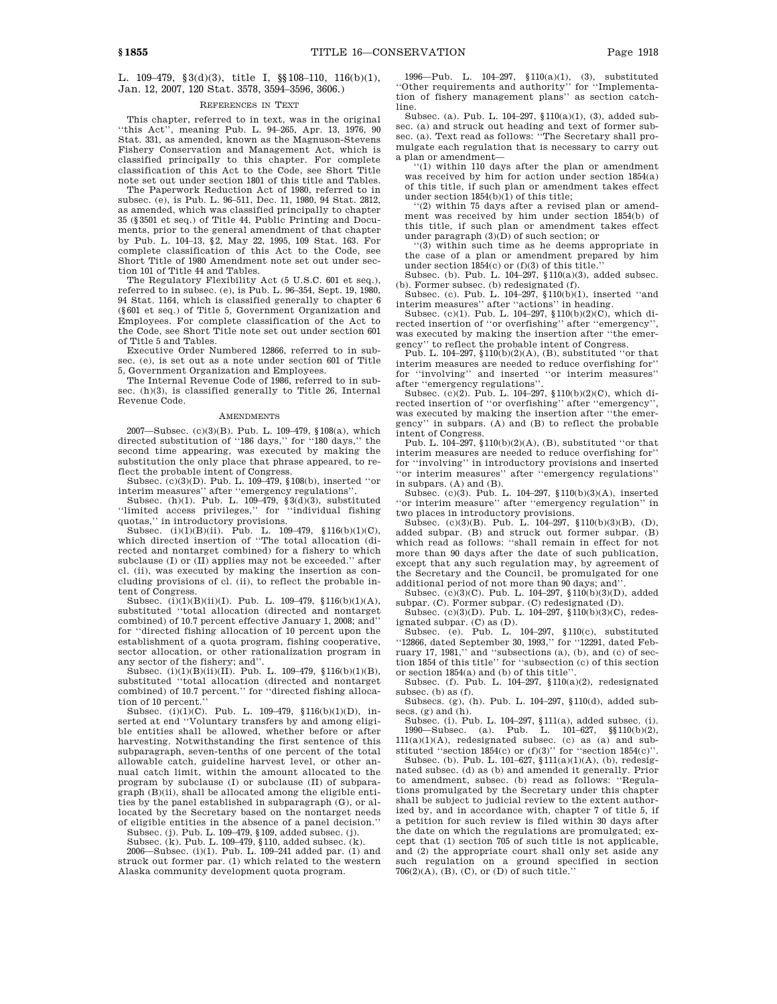### REFERENCES IN TEXT

This chapter, referred to in text, was in the original ''this Act'', meaning Pub. L. 94–265, Apr. 13, 1976, 90 Stat. 331, as amended, known as the Magnuson-Stevens Fishery Conservation and Management Act, which is classified principally to this chapter. For complete classification of this Act to the Code, see Short Title note set out under section 1801 of this title and Tables.

The Paperwork Reduction Act of 1980, referred to in subsec. (e), is Pub. L. 96–511, Dec. 11, 1980, 94 Stat. 2812, as amended, which was classified principally to chapter 35 (§3501 et seq.) of Title 44, Public Printing and Documents, prior to the general amendment of that chapter by Pub. L. 104–13, §2, May 22, 1995, 109 Stat. 163. For complete classification of this Act to the Code, see Short Title of 1980 Amendment note set out under section 101 of Title 44 and Tables.

The Regulatory Flexibility Act (5 U.S.C. 601 et seq.), referred to in subsec. (e), is Pub. L. 96–354, Sept. 19, 1980, 94 Stat. 1164, which is classified generally to chapter 6 (§601 et seq.) of Title 5, Government Organization and Employees. For complete classification of the Act to the Code, see Short Title note set out under section 601 of Title 5 and Tables.

Executive Order Numbered 12866, referred to in subsec. (e), is set out as a note under section 601 of Title 5, Government Organization and Employees.

The Internal Revenue Code of 1986, referred to in subsec. (h)(3), is classified generally to Title 26, Internal Revenue Code.

### AMENDMENTS

2007—Subsec. (c)(3)(B). Pub. L. 109–479, §108(a), which directed substitution of ''186 days,'' for ''180 days,'' the second time appearing, was executed by making the substitution the only place that phrase appeared, to reflect the probable intent of Congress.

Subsec. (c)(3)(D). Pub. L. 109–479, §108(b), inserted ''or interim measures'' after ''emergency regulations''.

Subsec. (h)(1). Pub. L. 109–479, §3(d)(3), substituted ''limited access privileges,'' for ''individual fishing quotas," in introductory provisions.<br>Subsec. (i)(1)(B)(ii). Pub. L. 109–479, §116(b)(1)(C),

which directed insertion of ''The total allocation (directed and nontarget combined) for a fishery to which subclause (I) or (II) applies may not be exceeded.'' after cl. (ii), was executed by making the insertion as concluding provisions of cl. (ii), to reflect the probable intent of Congress.

Subsec.  $(i)(1)(B)(ii)(I)$ . Pub. L. 109-479, §116(b)(1)(A), substituted ''total allocation (directed and nontarget combined) of 10.7 percent effective January 1, 2008; and'' for ''directed fishing allocation of 10 percent upon the establishment of a quota program, fishing cooperative, sector allocation, or other rationalization program in any sector of the fishery; and''.

Subsec. (i)(1)(B)(ii)(II). Pub. L. 109–479, §116(b)(1)(B), substituted ''total allocation (directed and nontarget combined) of 10.7 percent.'' for ''directed fishing allocation of 10 percent.

Subsec. (i)(1)(C). Pub. L. 109–479,  $116(b)(1)(D)$ , inserted at end ''Voluntary transfers by and among eligible entities shall be allowed, whether before or after harvesting. Notwithstanding the first sentence of this subparagraph, seven-tenths of one percent of the total allowable catch, guideline harvest level, or other annual catch limit, within the amount allocated to the program by subclause (I) or subclause (II) of subparagraph (B)(ii), shall be allocated among the eligible entities by the panel established in subparagraph (G), or allocated by the Secretary based on the nontarget needs of eligible entities in the absence of a panel decision.''

Subsec. (j). Pub. L. 109–479, §109, added subsec. (j).

Subsec. (k). Pub. L. 109–479, §110, added subsec. (k).

2006—Subsec. (i)(1). Pub. L. 109–241 added par. (1) and struck out former par. (1) which related to the western Alaska community development quota program.

1996—Pub. L. 104–297, §110(a)(1), (3), substituted ''Other requirements and authority'' for ''Implementation of fishery management plans'' as section catchline.

Subsec. (a). Pub. L. 104–297, §110(a)(1), (3), added subsec. (a) and struck out heading and text of former subsec. (a). Text read as follows: ''The Secretary shall promulgate each regulation that is necessary to carry out a plan or amendment—

''(1) within 110 days after the plan or amendment was received by him for action under section 1854(a) of this title, if such plan or amendment takes effect under section 1854(b)(1) of this title;

''(2) within 75 days after a revised plan or amendment was received by him under section 1854(b) of this title, if such plan or amendment takes effect under paragraph (3)(D) of such section; or

''(3) within such time as he deems appropriate in the case of a plan or amendment prepared by him under section 1854(c) or (f)(3) of this title.''

Subsec. (b). Pub. L. 104–297, §110(a)(3), added subsec. (b). Former subsec. (b) redesignated (f).

Subsec. (c). Pub. L. 104–297, §110(b)(1), inserted ''and interim measures'' after ''actions'' in heading.

Subsec. (c)(1). Pub. L. 104–297, §110(b)(2)(C), which directed insertion of ''or overfishing'' after ''emergency'', was executed by making the insertion after ''the emergency'' to reflect the probable intent of Congress.

Pub. L. 104–297,  $$110(b)(2)(A)$ , (B), substituted "or that interim measures are needed to reduce overfishing for'' for ''involving'' and inserted ''or interim measures'' after ''emergency regulations''.

Subsec. (c)(2). Pub. L. 104–297, §110(b)(2)(C), which directed insertion of ''or overfishing'' after ''emergency'', was executed by making the insertion after ''the emergency'' in subpars. (A) and (B) to reflect the probable intent of Congress.

Pub. L.  $104-297$ ,  $10(6)(2)(A)$ , (B), substituted "or that interim measures are needed to reduce overfishing for'' for ''involving'' in introductory provisions and inserted ''or interim measures'' after ''emergency regulations'' in subpars. (A) and (B).

Subsec. (c)(3). Pub. L. 104–297, §110(b)(3)(A), inserted ''or interim measure'' after ''emergency regulation'' in two places in introductory provisions.

Subsec. (c)(3)(B). Pub. L. 104–297, §110(b)(3)(B), (D), added subpar. (B) and struck out former subpar. (B) which read as follows: ''shall remain in effect for not more than 90 days after the date of such publication, except that any such regulation may, by agreement of the Secretary and the Council, be promulgated for one additional period of not more than 90 days; and''.

Subsec. (c)(3)(C). Pub. L. 104–297, §110(b)(3)(D), added

subpar. (C). Former subpar. (C) redesignated (D). Subsec. (c)(3)(D). Pub. L. 104–297, §110(b)(3)(C), redesignated subpar. (C) as (D).

Subsec. (e). Pub. L. 104–297, §110(c), substituted ''12866, dated September 30, 1993,'' for ''12291, dated February 17, 1981,'' and ''subsections (a), (b), and (c) of section 1854 of this title'' for ''subsection (c) of this section or section 1854(a) and (b) of this title''.

Subsec. (f). Pub. L. 104–297, §110(a)(2), redesignated subsec. (b) as (f).

Subsecs. (g), (h). Pub. L. 104–297, §110(d), added subsecs. (g) and (h).

Subsec. (i). Pub. L. 104–297, §111(a), added subsec. (i). 1990—Subsec. (a). Pub. L. 101–627, §§110(b)(2),  $111(a)(1)(A)$ , redesignated subsec. (c) as (a) and substituted ''section 1854(c) or (f)(3)'' for ''section 1854(c)''.

Subsec. (b). Pub. L. 101–627,  $$111(a)(1)(A), (b),$  redesignated subsec. (d) as (b) and amended it generally. Prior to amendment, subsec. (b) read as follows: ''Regulations promulgated by the Secretary under this chapter shall be subject to judicial review to the extent authorized by, and in accordance with, chapter 7 of title 5, if a petition for such review is filed within 30 days after the date on which the regulations are promulgated; except that (1) section 705 of such title is not applicable, and (2) the appropriate court shall only set aside any such regulation on a ground specified in section 706(2)(A), (B), (C), or (D) of such title.''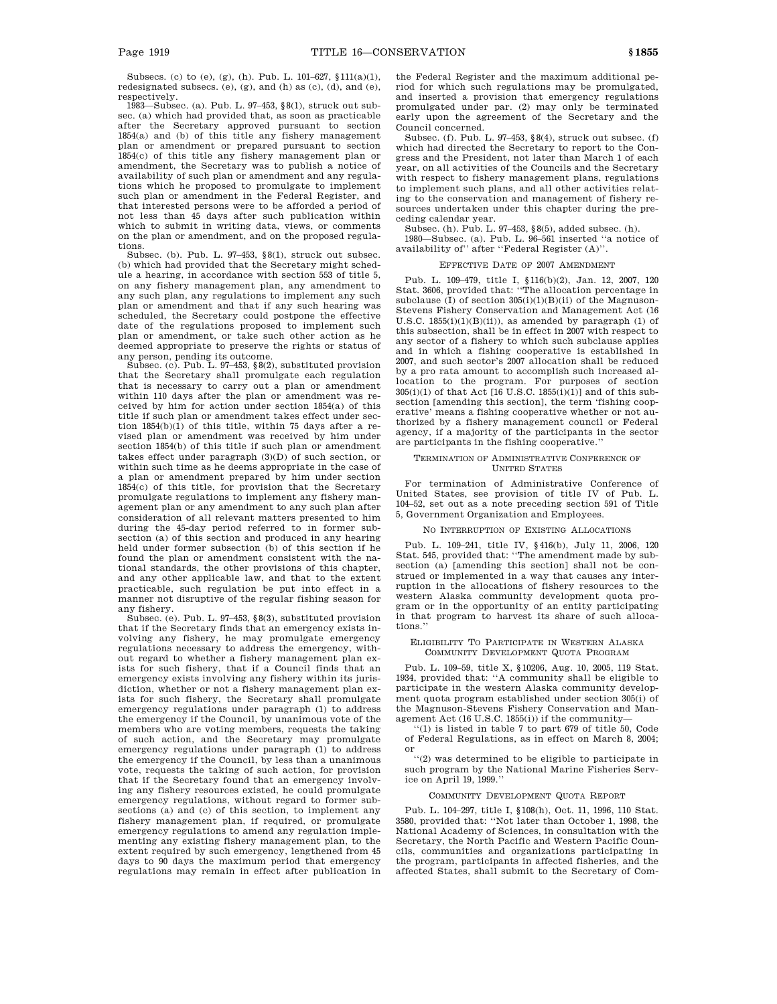Subsecs. (c) to (e), (g), (h). Pub. L. 101–627, §111(a)(1), redesignated subsecs. (e), (g), and (h) as (c), (d), and (e), respectively.

1983—Subsec. (a). Pub. L. 97–453, §8(1), struck out subsec. (a) which had provided that, as soon as practicable after the Secretary approved pursuant to section 1854(a) and (b) of this title any fishery management plan or amendment or prepared pursuant to section 1854(c) of this title any fishery management plan or amendment, the Secretary was to publish a notice of availability of such plan or amendment and any regulations which he proposed to promulgate to implement such plan or amendment in the Federal Register, and that interested persons were to be afforded a period of not less than 45 days after such publication within which to submit in writing data, views, or comments on the plan or amendment, and on the proposed regulations.

Subsec. (b). Pub. L. 97–453, §8(1), struck out subsec. (b) which had provided that the Secretary might schedule a hearing, in accordance with section 553 of title 5, on any fishery management plan, any amendment to any such plan, any regulations to implement any such plan or amendment and that if any such hearing was scheduled, the Secretary could postpone the effective date of the regulations proposed to implement such plan or amendment, or take such other action as he deemed appropriate to preserve the rights or status of any person, pending its outcome.

Subsec. (c). Pub. L. 97–453, §8(2), substituted provision that the Secretary shall promulgate each regulation that is necessary to carry out a plan or amendment within 110 days after the plan or amendment was received by him for action under section 1854(a) of this title if such plan or amendment takes effect under section 1854(b)(1) of this title, within 75 days after a revised plan or amendment was received by him under section 1854(b) of this title if such plan or amendment takes effect under paragraph (3)(D) of such section, or within such time as he deems appropriate in the case of a plan or amendment prepared by him under section 1854(c) of this title, for provision that the Secretary promulgate regulations to implement any fishery management plan or any amendment to any such plan after consideration of all relevant matters presented to him during the 45-day period referred to in former subsection (a) of this section and produced in any hearing held under former subsection (b) of this section if he found the plan or amendment consistent with the national standards, the other provisions of this chapter, and any other applicable law, and that to the extent practicable, such regulation be put into effect in a manner not disruptive of the regular fishing season for any fishery.

Subsec. (e). Pub. L. 97–453, §8(3), substituted provision that if the Secretary finds that an emergency exists involving any fishery, he may promulgate emergency regulations necessary to address the emergency, without regard to whether a fishery management plan exists for such fishery, that if a Council finds that an emergency exists involving any fishery within its jurisdiction, whether or not a fishery management plan exists for such fishery, the Secretary shall promulgate emergency regulations under paragraph (1) to address the emergency if the Council, by unanimous vote of the members who are voting members, requests the taking of such action, and the Secretary may promulgate emergency regulations under paragraph (1) to address the emergency if the Council, by less than a unanimous vote, requests the taking of such action, for provision that if the Secretary found that an emergency involving any fishery resources existed, he could promulgate emergency regulations, without regard to former subsections (a) and (c) of this section, to implement any fishery management plan, if required, or promulgate emergency regulations to amend any regulation implementing any existing fishery management plan, to the extent required by such emergency, lengthened from 45 days to 90 days the maximum period that emergency regulations may remain in effect after publication in

the Federal Register and the maximum additional period for which such regulations may be promulgated, and inserted a provision that emergency regulations promulgated under par. (2) may only be terminated early upon the agreement of the Secretary and the Council concerned.

Subsec. (f). Pub. L. 97–453, §8(4), struck out subsec. (f) which had directed the Secretary to report to the Congress and the President, not later than March 1 of each year, on all activities of the Councils and the Secretary with respect to fishery management plans, regulations to implement such plans, and all other activities relating to the conservation and management of fishery resources undertaken under this chapter during the preceding calendar year.

Subsec. (h). Pub. L. 97–453, §8(5), added subsec. (h).

1980—Subsec. (a). Pub. L. 96–561 inserted ''a notice of availability of'' after ''Federal Register (A)''.

### EFFECTIVE DATE OF 2007 AMENDMENT

Pub. L. 109–479, title I, §116(b)(2), Jan. 12, 2007, 120 Stat. 3606, provided that: ''The allocation percentage in subclause (I) of section  $305(i)(1)(B)(ii)$  of the Magnuson-Stevens Fishery Conservation and Management Act (16 U.S.C.  $1855(i)(1)(B)(ii)$ , as amended by paragraph (1) of this subsection, shall be in effect in 2007 with respect to any sector of a fishery to which such subclause applies and in which a fishing cooperative is established in 2007, and such sector's 2007 allocation shall be reduced by a pro rata amount to accomplish such increased allocation to the program. For purposes of section 305(i)(1) of that Act [16 U.S.C. 1855(i)(1)] and of this subsection [amending this section], the term 'fishing cooperative' means a fishing cooperative whether or not authorized by a fishery management council or Federal agency, if a majority of the participants in the sector are participants in the fishing cooperative.''

#### TERMINATION OF ADMINISTRATIVE CONFERENCE OF UNITED STATES

For termination of Administrative Conference of United States, see provision of title IV of Pub. L. 104–52, set out as a note preceding section 591 of Title 5, Government Organization and Employees.

#### NO INTERRUPTION OF EXISTING ALLOCATIONS

Pub. L. 109–241, title IV, §416(b), July 11, 2006, 120 Stat. 545, provided that: ''The amendment made by subsection (a) [amending this section] shall not be construed or implemented in a way that causes any interruption in the allocations of fishery resources to the western Alaska community development quota program or in the opportunity of an entity participating in that program to harvest its share of such allocations.''

#### ELIGIBILITY TO PARTICIPATE IN WESTERN ALASKA COMMUNITY DEVELOPMENT QUOTA PROGRAM

Pub. L. 109–59, title X, §10206, Aug. 10, 2005, 119 Stat. 1934, provided that: ''A community shall be eligible to participate in the western Alaska community development quota program established under section 305(i) of the Magnuson-Stevens Fishery Conservation and Management Act (16 U.S.C. 1855(i)) if the community—

''(1) is listed in table 7 to part 679 of title 50, Code of Federal Regulations, as in effect on March 8, 2004; or

''(2) was determined to be eligible to participate in such program by the National Marine Fisheries Service on April 19, 1999.''

### COMMUNITY DEVELOPMENT QUOTA REPORT

Pub. L. 104–297, title I, §108(h), Oct. 11, 1996, 110 Stat. 3580, provided that: ''Not later than October 1, 1998, the National Academy of Sciences, in consultation with the Secretary, the North Pacific and Western Pacific Councils, communities and organizations participating in the program, participants in affected fisheries, and the affected States, shall submit to the Secretary of Com-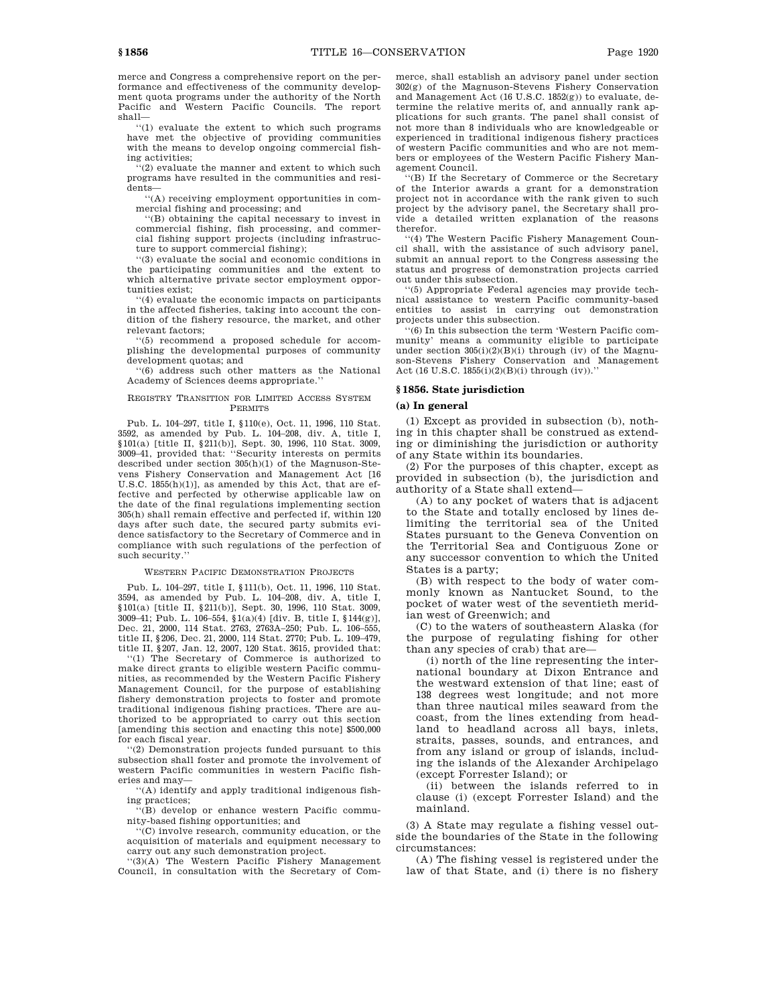merce and Congress a comprehensive report on the performance and effectiveness of the community development quota programs under the authority of the North Pacific and Western Pacific Councils. The report shall—

''(1) evaluate the extent to which such programs have met the objective of providing communities with the means to develop ongoing commercial fishing activities;

''(2) evaluate the manner and extent to which such programs have resulted in the communities and residents—

''(A) receiving employment opportunities in commercial fishing and processing; and

''(B) obtaining the capital necessary to invest in commercial fishing, fish processing, and commercial fishing support projects (including infrastructure to support commercial fishing);

''(3) evaluate the social and economic conditions in the participating communities and the extent to which alternative private sector employment opportunities exist;

''(4) evaluate the economic impacts on participants in the affected fisheries, taking into account the condition of the fishery resource, the market, and other relevant factors;

''(5) recommend a proposed schedule for accomplishing the developmental purposes of community development quotas; and

''(6) address such other matters as the National Academy of Sciences deems appropriate.''

### REGISTRY TRANSITION FOR LIMITED ACCESS SYSTEM PERMITS

Pub. L. 104–297, title I, §110(e), Oct. 11, 1996, 110 Stat. 3592, as amended by Pub. L. 104–208, div. A, title I, §101(a) [title II, §211(b)], Sept. 30, 1996, 110 Stat. 3009, 3009–41, provided that: ''Security interests on permits described under section 305(h)(1) of the Magnuson-Stevens Fishery Conservation and Management Act [16 U.S.C. 1855(h)(1)], as amended by this Act, that are effective and perfected by otherwise applicable law on the date of the final regulations implementing section 305(h) shall remain effective and perfected if, within 120 days after such date, the secured party submits evidence satisfactory to the Secretary of Commerce and in compliance with such regulations of the perfection of such security.''

#### WESTERN PACIFIC DEMONSTRATION PROJECTS

Pub. L. 104–297, title I, §111(b), Oct. 11, 1996, 110 Stat. 3594, as amended by Pub. L. 104–208, div. A, title I, §101(a) [title II, §211(b)], Sept. 30, 1996, 110 Stat. 3009, 3009–41; Pub. L. 106–554, §1(a)(4) [div. B, title I, §144(g)], Dec. 21, 2000, 114 Stat. 2763, 2763A–250; Pub. L. 106–555, title II, §206, Dec. 21, 2000, 114 Stat. 2770; Pub. L. 109–479, title II, §207, Jan. 12, 2007, 120 Stat. 3615, provided that:

''(1) The Secretary of Commerce is authorized to make direct grants to eligible western Pacific communities, as recommended by the Western Pacific Fishery Management Council, for the purpose of establishing fishery demonstration projects to foster and promote traditional indigenous fishing practices. There are authorized to be appropriated to carry out this section [amending this section and enacting this note] \$500,000 for each fiscal year.

'(2) Demonstration projects funded pursuant to this subsection shall foster and promote the involvement of western Pacific communities in western Pacific fisheries and may—

''(A) identify and apply traditional indigenous fishing practices;

''(B) develop or enhance western Pacific community-based fishing opportunities; and

''(C) involve research, community education, or the acquisition of materials and equipment necessary to

carry out any such demonstration project. ''(3)(A) The Western Pacific Fishery Management Council, in consultation with the Secretary of Commerce, shall establish an advisory panel under section 302(g) of the Magnuson-Stevens Fishery Conservation and Management Act (16 U.S.C. 1852(g)) to evaluate, determine the relative merits of, and annually rank applications for such grants. The panel shall consist of not more than 8 individuals who are knowledgeable or experienced in traditional indigenous fishery practices of western Pacific communities and who are not members or employees of the Western Pacific Fishery Management Council.

''(B) If the Secretary of Commerce or the Secretary of the Interior awards a grant for a demonstration project not in accordance with the rank given to such project by the advisory panel, the Secretary shall provide a detailed written explanation of the reasons therefor.

''(4) The Western Pacific Fishery Management Council shall, with the assistance of such advisory panel, submit an annual report to the Congress assessing the status and progress of demonstration projects carried out under this subsection.

''(5) Appropriate Federal agencies may provide technical assistance to western Pacific community-based entities to assist in carrying out demonstration projects under this subsection.

''(6) In this subsection the term 'Western Pacific community' means a community eligible to participate under section 305(i)(2)(B)(i) through (iv) of the Magnuson-Stevens Fishery Conservation and Management Act (16 U.S.C. 1855(i)(2)(B)(i) through (iv)).''

### **§ 1856. State jurisdiction**

### **(a) In general**

(1) Except as provided in subsection (b), nothing in this chapter shall be construed as extending or diminishing the jurisdiction or authority of any State within its boundaries.

(2) For the purposes of this chapter, except as provided in subsection (b), the jurisdiction and authority of a State shall extend—

(A) to any pocket of waters that is adjacent to the State and totally enclosed by lines delimiting the territorial sea of the United States pursuant to the Geneva Convention on the Territorial Sea and Contiguous Zone or any successor convention to which the United States is a party;

(B) with respect to the body of water commonly known as Nantucket Sound, to the pocket of water west of the seventieth meridian west of Greenwich; and

(C) to the waters of southeastern Alaska (for the purpose of regulating fishing for other than any species of crab) that are—

(i) north of the line representing the international boundary at Dixon Entrance and the westward extension of that line; east of 138 degrees west longitude; and not more than three nautical miles seaward from the coast, from the lines extending from headland to headland across all bays, inlets, straits, passes, sounds, and entrances, and from any island or group of islands, including the islands of the Alexander Archipelago (except Forrester Island); or

(ii) between the islands referred to in clause (i) (except Forrester Island) and the mainland.

(3) A State may regulate a fishing vessel outside the boundaries of the State in the following circumstances:

(A) The fishing vessel is registered under the law of that State, and (i) there is no fishery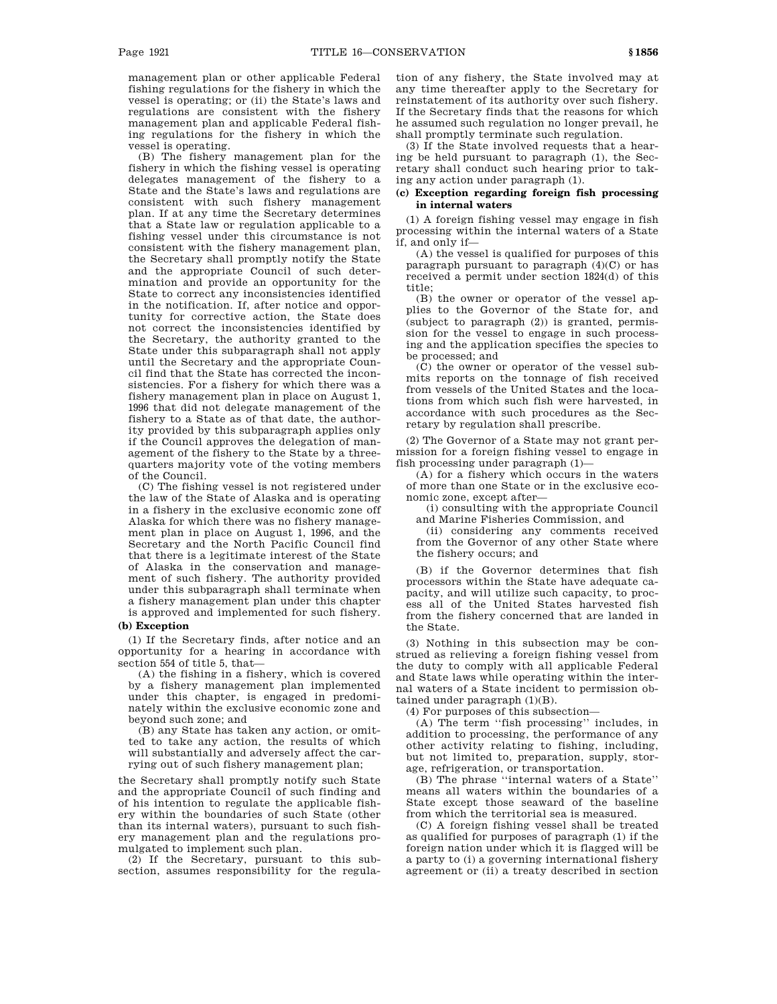management plan or other applicable Federal fishing regulations for the fishery in which the vessel is operating; or (ii) the State's laws and regulations are consistent with the fishery management plan and applicable Federal fishing regulations for the fishery in which the vessel is operating.

(B) The fishery management plan for the fishery in which the fishing vessel is operating delegates management of the fishery to a State and the State's laws and regulations are consistent with such fishery management plan. If at any time the Secretary determines that a State law or regulation applicable to a fishing vessel under this circumstance is not consistent with the fishery management plan, the Secretary shall promptly notify the State and the appropriate Council of such determination and provide an opportunity for the State to correct any inconsistencies identified in the notification. If, after notice and opportunity for corrective action, the State does not correct the inconsistencies identified by the Secretary, the authority granted to the State under this subparagraph shall not apply until the Secretary and the appropriate Council find that the State has corrected the inconsistencies. For a fishery for which there was a fishery management plan in place on August 1, 1996 that did not delegate management of the fishery to a State as of that date, the authority provided by this subparagraph applies only if the Council approves the delegation of management of the fishery to the State by a threequarters majority vote of the voting members of the Council.

(C) The fishing vessel is not registered under the law of the State of Alaska and is operating in a fishery in the exclusive economic zone off Alaska for which there was no fishery management plan in place on August 1, 1996, and the Secretary and the North Pacific Council find that there is a legitimate interest of the State of Alaska in the conservation and management of such fishery. The authority provided under this subparagraph shall terminate when a fishery management plan under this chapter is approved and implemented for such fishery.

# **(b) Exception**

(1) If the Secretary finds, after notice and an opportunity for a hearing in accordance with section 554 of title 5, that—

(A) the fishing in a fishery, which is covered by a fishery management plan implemented under this chapter, is engaged in predominately within the exclusive economic zone and beyond such zone; and

(B) any State has taken any action, or omitted to take any action, the results of which will substantially and adversely affect the carrying out of such fishery management plan;

the Secretary shall promptly notify such State and the appropriate Council of such finding and of his intention to regulate the applicable fishery within the boundaries of such State (other than its internal waters), pursuant to such fishery management plan and the regulations promulgated to implement such plan.

(2) If the Secretary, pursuant to this subsection, assumes responsibility for the regulation of any fishery, the State involved may at any time thereafter apply to the Secretary for reinstatement of its authority over such fishery. If the Secretary finds that the reasons for which he assumed such regulation no longer prevail, he shall promptly terminate such regulation.

(3) If the State involved requests that a hearing be held pursuant to paragraph (1), the Secretary shall conduct such hearing prior to taking any action under paragraph (1).

# **(c) Exception regarding foreign fish processing in internal waters**

(1) A foreign fishing vessel may engage in fish processing within the internal waters of a State if, and only if—

(A) the vessel is qualified for purposes of this paragraph pursuant to paragraph  $(4)(C)$  or has received a permit under section 1824(d) of this title;

(B) the owner or operator of the vessel applies to the Governor of the State for, and (subject to paragraph (2)) is granted, permission for the vessel to engage in such processing and the application specifies the species to be processed; and

(C) the owner or operator of the vessel submits reports on the tonnage of fish received from vessels of the United States and the locations from which such fish were harvested, in accordance with such procedures as the Secretary by regulation shall prescribe.

(2) The Governor of a State may not grant permission for a foreign fishing vessel to engage in fish processing under paragraph (1)—

(A) for a fishery which occurs in the waters of more than one State or in the exclusive economic zone, except after—

(i) consulting with the appropriate Council and Marine Fisheries Commission, and

(ii) considering any comments received from the Governor of any other State where the fishery occurs; and

(B) if the Governor determines that fish processors within the State have adequate capacity, and will utilize such capacity, to process all of the United States harvested fish from the fishery concerned that are landed in the State.

(3) Nothing in this subsection may be construed as relieving a foreign fishing vessel from the duty to comply with all applicable Federal and State laws while operating within the internal waters of a State incident to permission obtained under paragraph (1)(B).

(4) For purposes of this subsection—

(A) The term ''fish processing'' includes, in addition to processing, the performance of any other activity relating to fishing, including, but not limited to, preparation, supply, storage, refrigeration, or transportation.

(B) The phrase ''internal waters of a State'' means all waters within the boundaries of a State except those seaward of the baseline from which the territorial sea is measured.

(C) A foreign fishing vessel shall be treated as qualified for purposes of paragraph (1) if the foreign nation under which it is flagged will be a party to (i) a governing international fishery agreement or (ii) a treaty described in section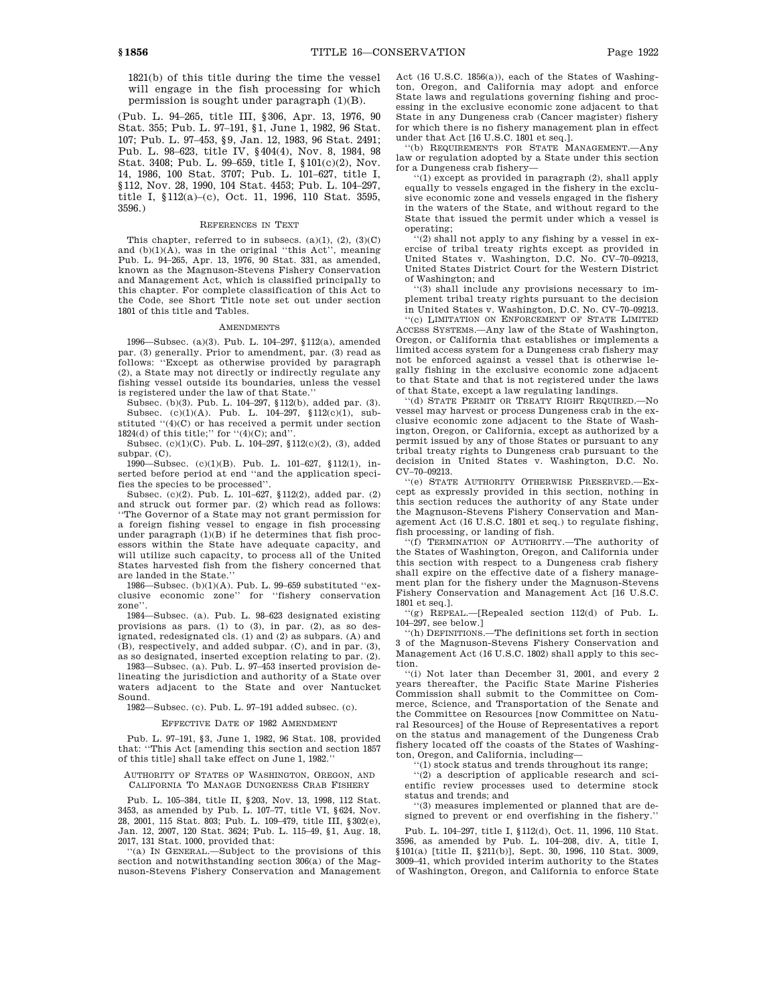1821(b) of this title during the time the vessel will engage in the fish processing for which permission is sought under paragraph (1)(B).

(Pub. L. 94–265, title III, §306, Apr. 13, 1976, 90 Stat. 355; Pub. L. 97–191, §1, June 1, 1982, 96 Stat. 107; Pub. L. 97–453, §9, Jan. 12, 1983, 96 Stat. 2491; Pub. L. 98–623, title IV, §404(4), Nov. 8, 1984, 98 Stat. 3408; Pub. L. 99–659, title I, §101(c)(2), Nov. 14, 1986, 100 Stat. 3707; Pub. L. 101–627, title I, §112, Nov. 28, 1990, 104 Stat. 4453; Pub. L. 104–297, title I, §112(a)–(c), Oct. 11, 1996, 110 Stat. 3595, 3596.)

# REFERENCES IN TEXT

This chapter, referred to in subsecs.  $(a)(1)$ ,  $(2)$ ,  $(3)(C)$ and (b)(1)(A), was in the original ''this Act'', meaning Pub. L. 94–265, Apr. 13, 1976, 90 Stat. 331, as amended, known as the Magnuson-Stevens Fishery Conservation and Management Act, which is classified principally to this chapter. For complete classification of this Act to the Code, see Short Title note set out under section 1801 of this title and Tables.

#### **AMENDMENTS**

1996—Subsec. (a)(3). Pub. L. 104–297, §112(a), amended par. (3) generally. Prior to amendment, par. (3) read as follows: ''Except as otherwise provided by paragraph (2), a State may not directly or indirectly regulate any fishing vessel outside its boundaries, unless the vessel is registered under the law of that State.''

Subsec. (b)(3). Pub. L. 104–297, §112(b), added par. (3). Subsec. (c)(1)(A). Pub. L. 104–297, §112(c)(1), substituted ''(4)(C) or has received a permit under section  $1824(d)$  of this title;" for " $(4)(C)$ ; and".

Subsec. (c)(1)(C). Pub. L. 104–297, §112(c)(2), (3), added subpar. (C).

1990—Subsec. (c)(1)(B). Pub. L. 101–627, §112(1), inserted before period at end ''and the application specifies the species to be processed''.

Subsec. (c)(2). Pub. L. 101–627, §112(2), added par. (2) and struck out former par. (2) which read as follows: ''The Governor of a State may not grant permission for a foreign fishing vessel to engage in fish processing under paragraph (1)(B) if he determines that fish processors within the State have adequate capacity, and will utilize such capacity, to process all of the United States harvested fish from the fishery concerned that are landed in the State.''

1986—Subsec. (b)(1)(A). Pub. L. 99–659 substituted ''exclusive economic zone'' for ''fishery conservation zone''.

1984—Subsec. (a). Pub. L. 98–623 designated existing provisions as pars. (1) to (3), in par. (2), as so designated, redesignated cls. (1) and (2) as subpars. (A) and (B), respectively, and added subpar. (C), and in par. (3), as so designated, inserted exception relating to par. (2).

1983—Subsec. (a). Pub. L. 97–453 inserted provision delineating the jurisdiction and authority of a State over waters adjacent to the State and over Nantucket Sound.

1982—Subsec. (c). Pub. L. 97–191 added subsec. (c).

### EFFECTIVE DATE OF 1982 AMENDMENT

Pub. L. 97–191, §3, June 1, 1982, 96 Stat. 108, provided that: ''This Act [amending this section and section 1857 of this title] shall take effect on June 1, 1982.''

#### AUTHORITY OF STATES OF WASHINGTON, OREGON, AND CALIFORNIA TO MANAGE DUNGENESS CRAB FISHERY

Pub. L. 105–384, title II, §203, Nov. 13, 1998, 112 Stat. 3453, as amended by Pub. L. 107–77, title VI, §624, Nov. 28, 2001, 115 Stat. 803; Pub. L. 109–479, title III, §302(e), Jan. 12, 2007, 120 Stat. 3624; Pub. L. 115–49, §1, Aug. 18, 2017, 131 Stat. 1000, provided that:

''(a) IN GENERAL.—Subject to the provisions of this section and notwithstanding section 306(a) of the Magnuson-Stevens Fishery Conservation and Management Act (16 U.S.C. 1856(a)), each of the States of Washington, Oregon, and California may adopt and enforce State laws and regulations governing fishing and processing in the exclusive economic zone adjacent to that State in any Dungeness crab (Cancer magister) fishery for which there is no fishery management plan in effect under that Act [16 U.S.C. 1801 et seq.].

''(b) REQUIREMENTS FOR STATE MANAGEMENT.—Any law or regulation adopted by a State under this section for a Dungeness crab fishery-

''(1) except as provided in paragraph (2), shall apply equally to vessels engaged in the fishery in the exclusive economic zone and vessels engaged in the fishery in the waters of the State, and without regard to the State that issued the permit under which a vessel is operating;

 $'(2)$  shall not apply to any fishing by a vessel in exercise of tribal treaty rights except as provided in United States v. Washington, D.C. No. CV–70–09213, United States District Court for the Western District of Washington; and

''(3) shall include any provisions necessary to implement tribal treaty rights pursuant to the decision in United States v. Washington, D.C. No. CV–70–09213.

''(c) LIMITATION ON ENFORCEMENT OF STATE LIMITED ACCESS SYSTEMS.—Any law of the State of Washington, Oregon, or California that establishes or implements a limited access system for a Dungeness crab fishery may not be enforced against a vessel that is otherwise legally fishing in the exclusive economic zone adjacent to that State and that is not registered under the laws of that State, except a law regulating landings.

''(d) STATE PERMIT OR TREATY RIGHT REQUIRED.—No vessel may harvest or process Dungeness crab in the exclusive economic zone adjacent to the State of Washington, Oregon, or California, except as authorized by a permit issued by any of those States or pursuant to any tribal treaty rights to Dungeness crab pursuant to the decision in United States v. Washington, D.C. No. CV–70–09213.

''(e) STATE AUTHORITY OTHERWISE PRESERVED.—Except as expressly provided in this section, nothing in this section reduces the authority of any State under the Magnuson-Stevens Fishery Conservation and Management Act (16 U.S.C. 1801 et seq.) to regulate fishing, fish processing, or landing of fish.

''(f) TERMINATION OF AUTHORITY.—The authority of the States of Washington, Oregon, and California under this section with respect to a Dungeness crab fishery shall expire on the effective date of a fishery management plan for the fishery under the Magnuson-Stevens Fishery Conservation and Management Act [16 U.S.C. 1801 et seq.].

 $''(g)$  REPEAL.—[Repealed section 112(d) of Pub. L. 104–297, see below.]

''(h) DEFINITIONS.—The definitions set forth in section 3 of the Magnuson-Stevens Fishery Conservation and Management Act (16 U.S.C. 1802) shall apply to this section.

''(i) Not later than December 31, 2001, and every 2 years thereafter, the Pacific State Marine Fisheries Commission shall submit to the Committee on Commerce, Science, and Transportation of the Senate and the Committee on Resources [now Committee on Natural Resources] of the House of Representatives a report on the status and management of the Dungeness Crab fishery located off the coasts of the States of Washington, Oregon, and California, including—

''(1) stock status and trends throughout its range;

''(2) a description of applicable research and scientific review processes used to determine stock status and trends; and

''(3) measures implemented or planned that are designed to prevent or end overfishing in the fishery.

Pub. L. 104–297, title I, §112(d), Oct. 11, 1996, 110 Stat. 3596, as amended by Pub. L. 104–208, div. A, title I, §101(a) [title II, §211(b)], Sept. 30, 1996, 110 Stat. 3009, 3009–41, which provided interim authority to the States of Washington, Oregon, and California to enforce State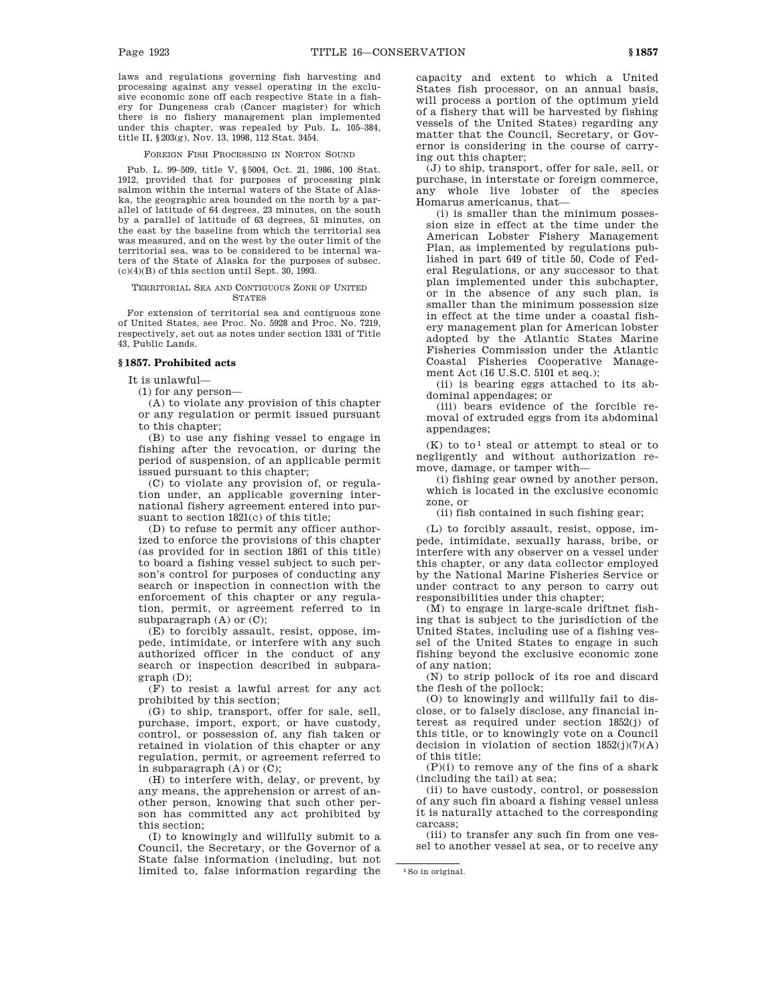laws and regulations governing fish harvesting and processing against any vessel operating in the exclusive economic zone off each respective State in a fishery for Dungeness crab (Cancer magister) for which there is no fishery management plan implemented under this chapter, was repealed by Pub. L. 105–384, title II, §203(g), Nov. 13, 1998, 112 Stat. 3454.

#### FOREIGN FISH PROCESSING IN NORTON SOUND

Pub. L. 99–509, title V, §5004, Oct. 21, 1986, 100 Stat. 1912, provided that for purposes of processing pink salmon within the internal waters of the State of Alaska, the geographic area bounded on the north by a parallel of latitude of 64 degrees, 23 minutes, on the south by a parallel of latitude of 63 degrees, 51 minutes, on the east by the baseline from which the territorial sea was measured, and on the west by the outer limit of the territorial sea, was to be considered to be internal waters of the State of Alaska for the purposes of subsec.  $(c)(4)(B)$  of this section until Sept. 30, 1993.

#### TERRITORIAL SEA AND CONTIGUOUS ZONE OF UNITED **STATES**

For extension of territorial sea and contiguous zone of United States, see Proc. No. 5928 and Proc. No. 7219, respectively, set out as notes under section 1331 of Title 43, Public Lands.

# **§ 1857. Prohibited acts**

It is unlawful—

(1) for any person—

(A) to violate any provision of this chapter or any regulation or permit issued pursuant to this chapter;

(B) to use any fishing vessel to engage in fishing after the revocation, or during the period of suspension, of an applicable permit issued pursuant to this chapter;

(C) to violate any provision of, or regulation under, an applicable governing international fishery agreement entered into pursuant to section 1821(c) of this title;

(D) to refuse to permit any officer authorized to enforce the provisions of this chapter (as provided for in section 1861 of this title) to board a fishing vessel subject to such person's control for purposes of conducting any search or inspection in connection with the enforcement of this chapter or any regulation, permit, or agreement referred to in subparagraph (A) or (C);

(E) to forcibly assault, resist, oppose, impede, intimidate, or interfere with any such authorized officer in the conduct of any search or inspection described in subparagraph (D);

(F) to resist a lawful arrest for any act prohibited by this section;

(G) to ship, transport, offer for sale, sell, purchase, import, export, or have custody, control, or possession of, any fish taken or retained in violation of this chapter or any regulation, permit, or agreement referred to in subparagraph (A) or (C);

(H) to interfere with, delay, or prevent, by any means, the apprehension or arrest of another person, knowing that such other person has committed any act prohibited by this section;

(I) to knowingly and willfully submit to a Council, the Secretary, or the Governor of a State false information (including, but not limited to, false information regarding the capacity and extent to which a United States fish processor, on an annual basis, will process a portion of the optimum yield of a fishery that will be harvested by fishing vessels of the United States) regarding any matter that the Council, Secretary, or Governor is considering in the course of carrying out this chapter;

(J) to ship, transport, offer for sale, sell, or purchase, in interstate or foreign commerce, any whole live lobster of the species Homarus americanus, that—

(i) is smaller than the minimum possession size in effect at the time under the American Lobster Fishery Management Plan, as implemented by regulations published in part 649 of title 50, Code of Federal Regulations, or any successor to that plan implemented under this subchapter, or in the absence of any such plan, is smaller than the minimum possession size in effect at the time under a coastal fishery management plan for American lobster adopted by the Atlantic States Marine Fisheries Commission under the Atlantic Coastal Fisheries Cooperative Management Act (16 U.S.C. 5101 et seq.);

(ii) is bearing eggs attached to its abdominal appendages; or

(iii) bears evidence of the forcible removal of extruded eggs from its abdominal appendages;

 $(K)$  to to<sup>1</sup> steal or attempt to steal or to negligently and without authorization remove, damage, or tamper with—

(i) fishing gear owned by another person, which is located in the exclusive economic zone, or

(ii) fish contained in such fishing gear;

(L) to forcibly assault, resist, oppose, impede, intimidate, sexually harass, bribe, or interfere with any observer on a vessel under this chapter, or any data collector employed by the National Marine Fisheries Service or under contract to any person to carry out responsibilities under this chapter;

(M) to engage in large-scale driftnet fishing that is subject to the jurisdiction of the United States, including use of a fishing vessel of the United States to engage in such fishing beyond the exclusive economic zone of any nation;

(N) to strip pollock of its roe and discard the flesh of the pollock;

(O) to knowingly and willfully fail to disclose, or to falsely disclose, any financial interest as required under section 1852(j) of this title, or to knowingly vote on a Council decision in violation of section  $1852(j)(7)(A)$ of this title;

(P)(i) to remove any of the fins of a shark (including the tail) at sea;

(ii) to have custody, control, or possession of any such fin aboard a fishing vessel unless it is naturally attached to the corresponding carcass;

(iii) to transfer any such fin from one vessel to another vessel at sea, or to receive any

<sup>1</sup>So in original.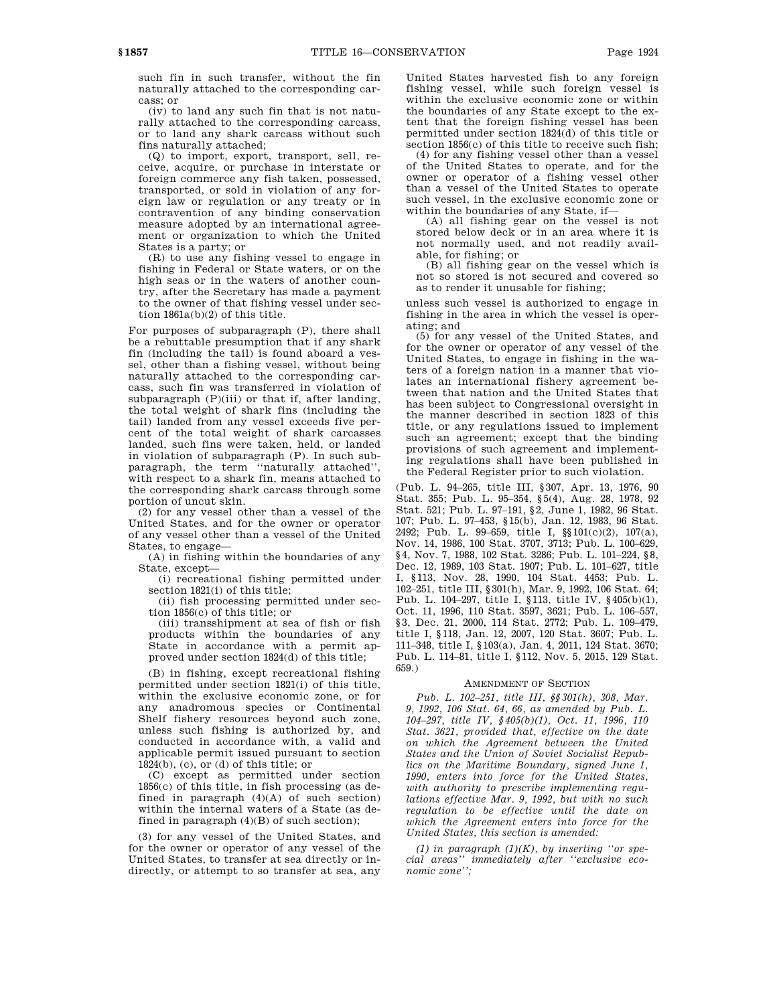such fin in such transfer, without the fin naturally attached to the corresponding carcass; or

(iv) to land any such fin that is not naturally attached to the corresponding carcass, or to land any shark carcass without such fins naturally attached;

(Q) to import, export, transport, sell, receive, acquire, or purchase in interstate or foreign commerce any fish taken, possessed, transported, or sold in violation of any foreign law or regulation or any treaty or in contravention of any binding conservation measure adopted by an international agreement or organization to which the United States is a party; or

(R) to use any fishing vessel to engage in fishing in Federal or State waters, or on the high seas or in the waters of another country, after the Secretary has made a payment to the owner of that fishing vessel under section 1861a(b)(2) of this title.

For purposes of subparagraph (P), there shall be a rebuttable presumption that if any shark fin (including the tail) is found aboard a vessel, other than a fishing vessel, without being naturally attached to the corresponding carcass, such fin was transferred in violation of subparagraph  $(P)(iii)$  or that if, after landing, the total weight of shark fins (including the tail) landed from any vessel exceeds five percent of the total weight of shark carcasses landed, such fins were taken, held, or landed in violation of subparagraph (P). In such subparagraph, the term ''naturally attached'', with respect to a shark fin, means attached to the corresponding shark carcass through some portion of uncut skin.

(2) for any vessel other than a vessel of the United States, and for the owner or operator of any vessel other than a vessel of the United States, to engage—

(A) in fishing within the boundaries of any State, except—

(i) recreational fishing permitted under section 1821(i) of this title;

(ii) fish processing permitted under section 1856(c) of this title; or

(iii) transshipment at sea of fish or fish products within the boundaries of any State in accordance with a permit approved under section 1824(d) of this title;

(B) in fishing, except recreational fishing permitted under section 1821(i) of this title, within the exclusive economic zone, or for any anadromous species or Continental Shelf fishery resources beyond such zone, unless such fishing is authorized by, and conducted in accordance with, a valid and applicable permit issued pursuant to section 1824(b), (c), or (d) of this title; or

(C) except as permitted under section 1856(c) of this title, in fish processing (as defined in paragraph  $(4)(A)$  of such section) within the internal waters of a State (as defined in paragraph (4)(B) of such section);

(3) for any vessel of the United States, and for the owner or operator of any vessel of the United States, to transfer at sea directly or indirectly, or attempt to so transfer at sea, any

United States harvested fish to any foreign fishing vessel, while such foreign vessel is within the exclusive economic zone or within the boundaries of any State except to the extent that the foreign fishing vessel has been permitted under section 1824(d) of this title or section 1856(c) of this title to receive such fish:

(4) for any fishing vessel other than a vessel of the United States to operate, and for the owner or operator of a fishing vessel other than a vessel of the United States to operate such vessel, in the exclusive economic zone or within the boundaries of any State, if—

(A) all fishing gear on the vessel is not stored below deck or in an area where it is not normally used, and not readily available, for fishing; or

(B) all fishing gear on the vessel which is not so stored is not secured and covered so as to render it unusable for fishing;

unless such vessel is authorized to engage in fishing in the area in which the vessel is operating; and

(5) for any vessel of the United States, and for the owner or operator of any vessel of the United States, to engage in fishing in the waters of a foreign nation in a manner that violates an international fishery agreement between that nation and the United States that has been subject to Congressional oversight in the manner described in section 1823 of this title, or any regulations issued to implement such an agreement; except that the binding provisions of such agreement and implementing regulations shall have been published in the Federal Register prior to such violation.

(Pub. L. 94–265, title III, §307, Apr. 13, 1976, 90 Stat. 355; Pub. L. 95–354, §5(4), Aug. 28, 1978, 92 Stat. 521; Pub. L. 97–191, §2, June 1, 1982, 96 Stat. 107; Pub. L. 97–453, §15(b), Jan. 12, 1983, 96 Stat. 2492; Pub. L. 99–659, title I, §§101(c)(2), 107(a), Nov. 14, 1986, 100 Stat. 3707, 3713; Pub. L. 100–629, §4, Nov. 7, 1988, 102 Stat. 3286; Pub. L. 101–224, §8, Dec. 12, 1989, 103 Stat. 1907; Pub. L. 101–627, title I, §113, Nov. 28, 1990, 104 Stat. 4453; Pub. L. 102–251, title III, §301(h), Mar. 9, 1992, 106 Stat. 64; Pub. L. 104–297, title I, §113, title IV, §405(b)(1), Oct. 11, 1996, 110 Stat. 3597, 3621; Pub. L. 106–557, §3, Dec. 21, 2000, 114 Stat. 2772; Pub. L. 109–479, title I, §118, Jan. 12, 2007, 120 Stat. 3607; Pub. L. 111–348, title I, §103(a), Jan. 4, 2011, 124 Stat. 3670; Pub. L. 114–81, title I, §112, Nov. 5, 2015, 129 Stat. 659.)

### AMENDMENT OF SECTION

*Pub. L. 102–251, title III, §§301(h), 308, Mar. 9, 1992, 106 Stat. 64, 66, as amended by Pub. L. 104–297, title IV, §405(b)(1), Oct. 11, 1996, 110 Stat. 3621, provided that, effective on the date on which the Agreement between the United States and the Union of Soviet Socialist Republics on the Maritime Boundary, signed June 1, 1990, enters into force for the United States, with authority to prescribe implementing regulations effective Mar. 9, 1992, but with no such regulation to be effective until the date on which the Agreement enters into force for the United States, this section is amended:*

*(1) in paragraph (1)(K), by inserting ''or special areas'' immediately after ''exclusive economic zone'';*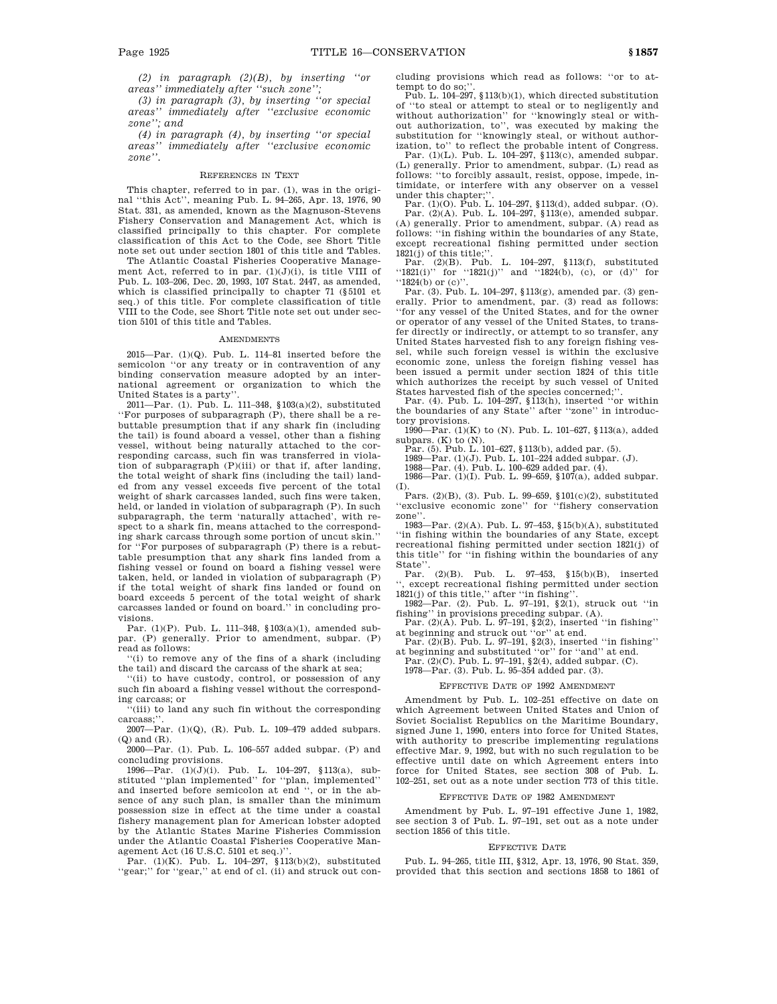*(2) in paragraph (2)(B), by inserting ''or areas'' immediately after ''such zone'';*

*(3) in paragraph (3), by inserting ''or special areas'' immediately after ''exclusive economic zone''; and*

*(4) in paragraph (4), by inserting ''or special areas'' immediately after ''exclusive economic zone''.*

### REFERENCES IN TEXT

This chapter, referred to in par. (1), was in the original ''this Act'', meaning Pub. L. 94–265, Apr. 13, 1976, 90 Stat. 331, as amended, known as the Magnuson-Stevens Fishery Conservation and Management Act, which is classified principally to this chapter. For complete classification of this Act to the Code, see Short Title note set out under section 1801 of this title and Tables.

The Atlantic Coastal Fisheries Cooperative Management Act, referred to in par.  $(1)(J)(i)$ , is title VIII of Pub. L. 103–206, Dec. 20, 1993, 107 Stat. 2447, as amended, which is classified principally to chapter 71 (§5101 et seq.) of this title. For complete classification of title VIII to the Code, see Short Title note set out under section 5101 of this title and Tables.

#### AMENDMENTS

2015—Par. (1)(Q). Pub. L. 114–81 inserted before the semicolon ''or any treaty or in contravention of any binding conservation measure adopted by an international agreement or organization to which the United States is a party''.

2011—Par. (1). Pub. L. 111–348, §103(a)(2), substituted ''For purposes of subparagraph (P), there shall be a rebuttable presumption that if any shark fin (including the tail) is found aboard a vessel, other than a fishing vessel, without being naturally attached to the corresponding carcass, such fin was transferred in violation of subparagraph (P)(iii) or that if, after landing, the total weight of shark fins (including the tail) landed from any vessel exceeds five percent of the total weight of shark carcasses landed, such fins were taken, held, or landed in violation of subparagraph (P). In such subparagraph, the term 'naturally attached', with respect to a shark fin, means attached to the corresponding shark carcass through some portion of uncut skin.'' for ''For purposes of subparagraph (P) there is a rebuttable presumption that any shark fins landed from a fishing vessel or found on board a fishing vessel were taken, held, or landed in violation of subparagraph (P) if the total weight of shark fins landed or found on board exceeds 5 percent of the total weight of shark carcasses landed or found on board.'' in concluding provisions.

Par. (1)(P). Pub. L. 111–348, §103(a)(1), amended subpar. (P) generally. Prior to amendment, subpar. (P) read as follows:

''(i) to remove any of the fins of a shark (including the tail) and discard the carcass of the shark at sea;

''(ii) to have custody, control, or possession of any such fin aboard a fishing vessel without the corresponding carcass; or

 $(iii)$  to land any such fin without the corresponding carcass;''.

2007—Par. (1)(Q), (R). Pub. L. 109–479 added subpars. (Q) and (R).

2000—Par. (1). Pub. L. 106–557 added subpar. (P) and concluding provisions.

1996—Par. (1)(J)(i). Pub. L. 104–297, §113(a), substituted ''plan implemented'' for ''plan, implemented'' and inserted before semicolon at end '', or in the absence of any such plan, is smaller than the minimum possession size in effect at the time under a coastal fishery management plan for American lobster adopted by the Atlantic States Marine Fisheries Commission under the Atlantic Coastal Fisheries Cooperative Man-

agement Act (16 U.S.C. 5101 et seq.)''. Par. (1)(K). Pub. L. 104–297, §113(b)(2), substituted "gear;" for "gear," at end of cl. (ii) and struck out concluding provisions which read as follows: ''or to attempt to do so;

Pub. L. 104–297, §113(b)(1), which directed substitution of ''to steal or attempt to steal or to negligently and without authorization'' for ''knowingly steal or with-out authorization, to'', was executed by making the substitution for ''knowingly steal, or without authorization, to'' to reflect the probable intent of Congress.<br>Par.  $(1)(L)$ . Pub. L.  $104-297$ ,  $13(c)$ , amended subpar.

(L) generally. Prior to amendment, subpar. (L) read as follows: ''to forcibly assault, resist, oppose, impede, intimidate, or interfere with any observer on a vessel under this chapter;''. Par. (1)(O). Pub. L. 104–297, §113(d), added subpar. (O).

Par. (2)(A). Pub. L. 104–297, §113(e), amended subpar. (A) generally. Prior to amendment, subpar. (A) read as follows: ''in fishing within the boundaries of any State, except recreational fishing permitted under section 1821(j) of this title;''.

Par. (2)(B). Pub. L. 104–297, §113(f), substituted ''1821(i)'' for ''1821(j)'' and ''1824(b), (c), or (d)'' for ''1824(b) or (c)''.

Par. (3). Pub. L. 104–297, §113(g), amended par. (3) generally. Prior to amendment, par. (3) read as follows: ''for any vessel of the United States, and for the owner or operator of any vessel of the United States, to transfer directly or indirectly, or attempt to so transfer, any United States harvested fish to any foreign fishing vessel, while such foreign vessel is within the exclusive economic zone, unless the foreign fishing vessel has been issued a permit under section 1824 of this title which authorizes the receipt by such vessel of United States harvested fish of the species concerned;'

Par. (4). Pub. L. 104–297,  $\S$ 113(h), inserted "or within the boundaries of any State'' after ''zone'' in introductory provisions.

1990—Par. (1)(K) to (N). Pub. L. 101–627, §113(a), added

subpars. (K) to (N). Par. (5). Pub. L. 101–627, §113(b), added par. (5). 1989—Par. (1)(J). Pub. L. 101–224 added subpar. (J).

1988—Par. (4). Pub. L. 100–629 added par. (4).

1986—Par. (1)(I). Pub. L. 99–659, §107(a), added subpar.

(I). Pars. (2)(B), (3). Pub. L. 99–659,  $$101(c)(2)$ , substituted "exclusive economic zone" for "fishery conservation"

zone''. 1983—Par. (2)(A). Pub. L. 97–453, §15(b)(A), substituted ''in fishing within the boundaries of any State, except recreational fishing permitted under section 1821(j) of this title'' for ''in fishing within the boundaries of any

State''. Par. (2)(B). Pub. L. 97–453, §15(b)(B), inserted '', except recreational fishing permitted under section 1821(j) of this title,'' after ''in fishing''. 1982—Par. (2). Pub. L. 97–191, §2(1), struck out ''in

fishing'' in provisions preceding subpar.  $(A)$ .<br>Par.  $(2)(A)$ . Pub. L. 97–191,  $\S(2)$ , inserted "in fishing" at beginning and struck out ''or'' at end.

Par. (2)(B). Pub. L. 97–191, §2(3), inserted ''in fishing'' at beginning and substituted ''or'' for ''and'' at end.

Par. (2)(C). Pub. L. 97–191, §2(4), added subpar. (C). 1978—Par. (3). Pub. L. 95–354 added par. (3).

# EFFECTIVE DATE OF 1992 AMENDMENT

Amendment by Pub. L. 102–251 effective on date on which Agreement between United States and Union of Soviet Socialist Republics on the Maritime Boundary, signed June 1, 1990, enters into force for United States, with authority to prescribe implementing regulations effective Mar. 9, 1992, but with no such regulation to be effective until date on which Agreement enters into force for United States, see section 308 of Pub. L. 102–251, set out as a note under section 773 of this title.

#### EFFECTIVE DATE OF 1982 AMENDMENT

Amendment by Pub. L. 97–191 effective June 1, 1982, see section 3 of Pub. L. 97–191, set out as a note under section 1856 of this title.

#### EFFECTIVE DATE

Pub. L. 94–265, title III, §312, Apr. 13, 1976, 90 Stat. 359, provided that this section and sections 1858 to 1861 of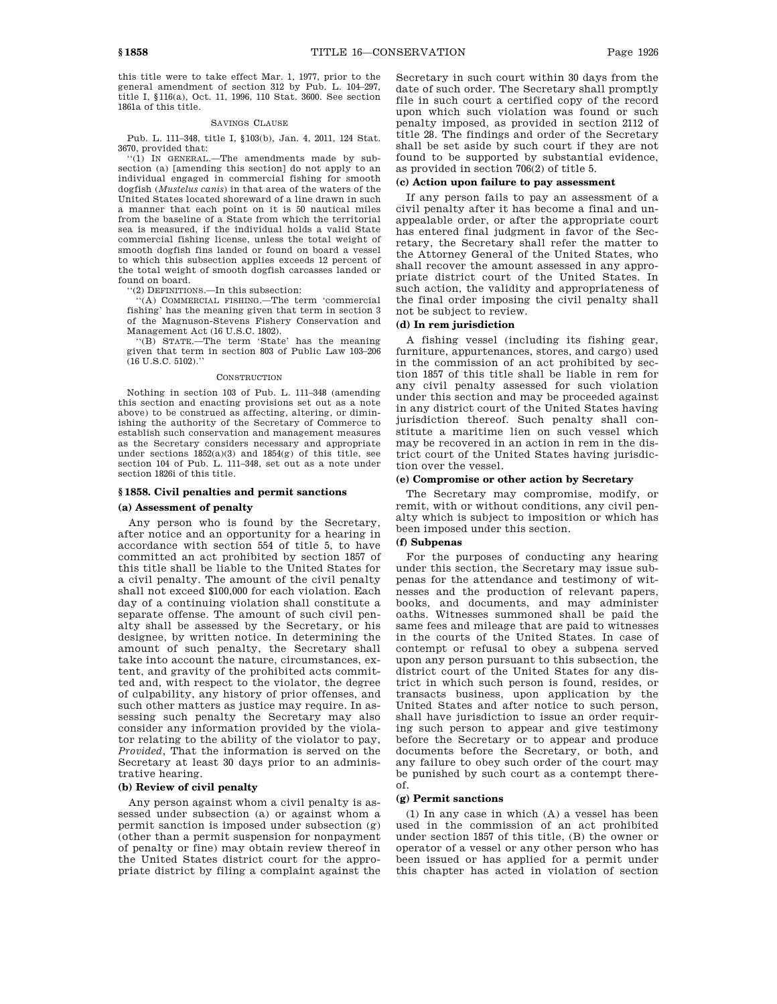this title were to take effect Mar. 1, 1977, prior to the general amendment of section 312 by Pub. L. 104–297, title I, §116(a), Oct. 11, 1996, 110 Stat. 3600. See section 1861a of this title.

#### SAVINGS CLAUSE

Pub. L. 111–348, title I, §103(b), Jan. 4, 2011, 124 Stat. 3670, provided that:

''(1) IN GENERAL.—The amendments made by subsection (a) [amending this section] do not apply to an individual engaged in commercial fishing for smooth dogfish (*Mustelus canis*) in that area of the waters of the United States located shoreward of a line drawn in such a manner that each point on it is 50 nautical miles from the baseline of a State from which the territorial sea is measured, if the individual holds a valid State commercial fishing license, unless the total weight of smooth dogfish fins landed or found on board a vessel to which this subsection applies exceeds 12 percent of the total weight of smooth dogfish carcasses landed or found on board.

''(2) DEFINITIONS.—In this subsection:

''(A) COMMERCIAL FISHING.—The term 'commercial fishing' has the meaning given that term in section 3 of the Magnuson-Stevens Fishery Conservation and Management Act (16 U.S.C. 1802).

''(B) STATE.—The term 'State' has the meaning given that term in section 803 of Public Law 103–206 (16 U.S.C. 5102).''

#### **CONSTRUCTION**

Nothing in section 103 of Pub. L. 111–348 (amending this section and enacting provisions set out as a note above) to be construed as affecting, altering, or diminishing the authority of the Secretary of Commerce to establish such conservation and management measures as the Secretary considers necessary and appropriate under sections  $1852(a)(3)$  and  $1854(g)$  of this title, see section 104 of Pub. L. 111–348, set out as a note under section 1826i of this title.

#### **§ 1858. Civil penalties and permit sanctions**

# **(a) Assessment of penalty**

Any person who is found by the Secretary, after notice and an opportunity for a hearing in accordance with section 554 of title 5, to have committed an act prohibited by section 1857 of this title shall be liable to the United States for a civil penalty. The amount of the civil penalty shall not exceed \$100,000 for each violation. Each day of a continuing violation shall constitute a separate offense. The amount of such civil penalty shall be assessed by the Secretary, or his designee, by written notice. In determining the amount of such penalty, the Secretary shall take into account the nature, circumstances, extent, and gravity of the prohibited acts committed and, with respect to the violator, the degree of culpability, any history of prior offenses, and such other matters as justice may require. In assessing such penalty the Secretary may also consider any information provided by the violator relating to the ability of the violator to pay, *Provided*, That the information is served on the Secretary at least 30 days prior to an administrative hearing.

# **(b) Review of civil penalty**

Any person against whom a civil penalty is assessed under subsection (a) or against whom a permit sanction is imposed under subsection (g) (other than a permit suspension for nonpayment of penalty or fine) may obtain review thereof in the United States district court for the appropriate district by filing a complaint against the Secretary in such court within 30 days from the date of such order. The Secretary shall promptly file in such court a certified copy of the record upon which such violation was found or such penalty imposed, as provided in section 2112 of title 28. The findings and order of the Secretary shall be set aside by such court if they are not found to be supported by substantial evidence, as provided in section 706(2) of title 5.

### **(c) Action upon failure to pay assessment**

If any person fails to pay an assessment of a civil penalty after it has become a final and unappealable order, or after the appropriate court has entered final judgment in favor of the Secretary, the Secretary shall refer the matter to the Attorney General of the United States, who shall recover the amount assessed in any appropriate district court of the United States. In such action, the validity and appropriateness of the final order imposing the civil penalty shall not be subject to review.

# **(d) In rem jurisdiction**

A fishing vessel (including its fishing gear, furniture, appurtenances, stores, and cargo) used in the commission of an act prohibited by section 1857 of this title shall be liable in rem for any civil penalty assessed for such violation under this section and may be proceeded against in any district court of the United States having jurisdiction thereof. Such penalty shall constitute a maritime lien on such vessel which may be recovered in an action in rem in the district court of the United States having jurisdiction over the vessel.

# **(e) Compromise or other action by Secretary**

The Secretary may compromise, modify, or remit, with or without conditions, any civil penalty which is subject to imposition or which has been imposed under this section.

# **(f) Subpenas**

For the purposes of conducting any hearing under this section, the Secretary may issue subpenas for the attendance and testimony of witnesses and the production of relevant papers, books, and documents, and may administer oaths. Witnesses summoned shall be paid the same fees and mileage that are paid to witnesses in the courts of the United States. In case of contempt or refusal to obey a subpena served upon any person pursuant to this subsection, the district court of the United States for any district in which such person is found, resides, or transacts business, upon application by the United States and after notice to such person, shall have jurisdiction to issue an order requiring such person to appear and give testimony before the Secretary or to appear and produce documents before the Secretary, or both, and any failure to obey such order of the court may be punished by such court as a contempt thereof.

# **(g) Permit sanctions**

(1) In any case in which (A) a vessel has been used in the commission of an act prohibited under section 1857 of this title, (B) the owner or operator of a vessel or any other person who has been issued or has applied for a permit under this chapter has acted in violation of section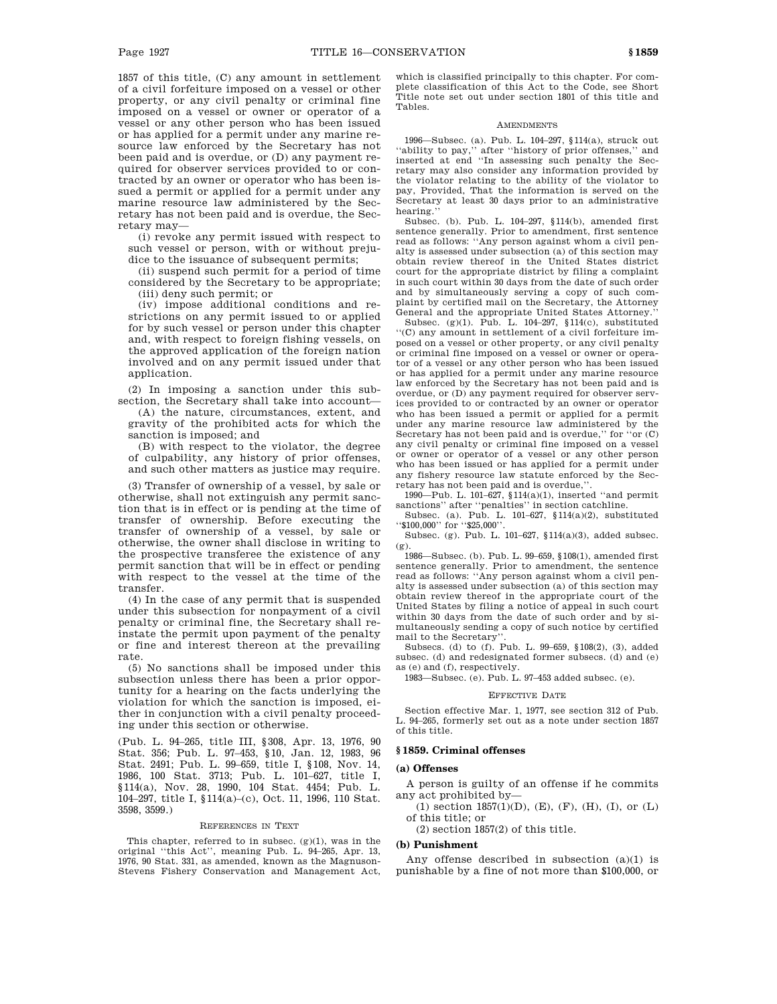1857 of this title, (C) any amount in settlement of a civil forfeiture imposed on a vessel or other property, or any civil penalty or criminal fine imposed on a vessel or owner or operator of a vessel or any other person who has been issued or has applied for a permit under any marine resource law enforced by the Secretary has not been paid and is overdue, or (D) any payment required for observer services provided to or contracted by an owner or operator who has been issued a permit or applied for a permit under any marine resource law administered by the Secretary has not been paid and is overdue, the Secretary may—

(i) revoke any permit issued with respect to such vessel or person, with or without prejudice to the issuance of subsequent permits;

(ii) suspend such permit for a period of time considered by the Secretary to be appropriate; (iii) deny such permit; or

(iv) impose additional conditions and re-

strictions on any permit issued to or applied for by such vessel or person under this chapter and, with respect to foreign fishing vessels, on the approved application of the foreign nation involved and on any permit issued under that application.

(2) In imposing a sanction under this subsection, the Secretary shall take into account—

(A) the nature, circumstances, extent, and gravity of the prohibited acts for which the sanction is imposed; and

(B) with respect to the violator, the degree of culpability, any history of prior offenses, and such other matters as justice may require.

(3) Transfer of ownership of a vessel, by sale or otherwise, shall not extinguish any permit sanction that is in effect or is pending at the time of transfer of ownership. Before executing the transfer of ownership of a vessel, by sale or otherwise, the owner shall disclose in writing to the prospective transferee the existence of any permit sanction that will be in effect or pending with respect to the vessel at the time of the transfer.

(4) In the case of any permit that is suspended under this subsection for nonpayment of a civil penalty or criminal fine, the Secretary shall reinstate the permit upon payment of the penalty or fine and interest thereon at the prevailing rate.

(5) No sanctions shall be imposed under this subsection unless there has been a prior opportunity for a hearing on the facts underlying the violation for which the sanction is imposed, either in conjunction with a civil penalty proceeding under this section or otherwise.

(Pub. L. 94–265, title III, §308, Apr. 13, 1976, 90 Stat. 356; Pub. L. 97–453, §10, Jan. 12, 1983, 96 Stat. 2491; Pub. L. 99–659, title I, §108, Nov. 14, 1986, 100 Stat. 3713; Pub. L. 101–627, title I, §114(a), Nov. 28, 1990, 104 Stat. 4454; Pub. L. 104–297, title I, §114(a)–(c), Oct. 11, 1996, 110 Stat. 3598, 3599.)

#### REFERENCES IN TEXT

This chapter, referred to in subsec. (g)(1), was in the original ''this Act'', meaning Pub. L. 94–265, Apr. 13, 1976, 90 Stat. 331, as amended, known as the Magnuson-Stevens Fishery Conservation and Management Act, which is classified principally to this chapter. For complete classification of this Act to the Code, see Short Title note set out under section 1801 of this title and Tables.

#### **AMENDMENTS**

1996—Subsec. (a). Pub. L. 104–297, §114(a), struck out ''ability to pay,'' after ''history of prior offenses,'' and inserted at end ''In assessing such penalty the Secretary may also consider any information provided by the violator relating to the ability of the violator to pay, Provided, That the information is served on the Secretary at least 30 days prior to an administrative hearing.

Subsec. (b). Pub. L. 104–297, §114(b), amended first sentence generally. Prior to amendment, first sentence read as follows: ''Any person against whom a civil penalty is assessed under subsection (a) of this section may obtain review thereof in the United States district court for the appropriate district by filing a complaint in such court within 30 days from the date of such order and by simultaneously serving a copy of such complaint by certified mail on the Secretary, the Attorney General and the appropriate United States Attorney.

Subsec. (g)(1). Pub. L. 104–297, §114(c), substituted ''(C) any amount in settlement of a civil forfeiture imposed on a vessel or other property, or any civil penalty or criminal fine imposed on a vessel or owner or operator of a vessel or any other person who has been issued or has applied for a permit under any marine resource law enforced by the Secretary has not been paid and is overdue, or (D) any payment required for observer services provided to or contracted by an owner or operator who has been issued a permit or applied for a permit under any marine resource law administered by the Secretary has not been paid and is overdue,'' for ''or (C) any civil penalty or criminal fine imposed on a vessel or owner or operator of a vessel or any other person who has been issued or has applied for a permit under any fishery resource law statute enforced by the Secretary has not been paid and is overdue,'

1990—Pub. L. 101–627, §114(a)(1), inserted ''and permit sanctions'' after ''penalties'' in section catchline.

Subsec. (a). Pub. L. 101–627, §114(a)(2), substituted ''\$100,000'' for ''\$25,000''.

Subsec. (g). Pub. L. 101–627, §114(a)(3), added subsec. (g).

1986—Subsec. (b). Pub. L. 99–659, §108(1), amended first sentence generally. Prior to amendment, the sentence read as follows: ''Any person against whom a civil penalty is assessed under subsection (a) of this section may obtain review thereof in the appropriate court of the United States by filing a notice of appeal in such court within 30 days from the date of such order and by simultaneously sending a copy of such notice by certified mail to the Secretary

Subsecs. (d) to (f). Pub. L. 99–659, §108(2), (3), added subsec. (d) and redesignated former subsecs. (d) and (e) as (e) and (f), respectively.

1983—Subsec. (e). Pub. L. 97–453 added subsec. (e).

### EFFECTIVE DATE

Section effective Mar. 1, 1977, see section 312 of Pub. L. 94–265, formerly set out as a note under section 1857 of this title.

# **§ 1859. Criminal offenses**

#### **(a) Offenses**

A person is guilty of an offense if he commits any act prohibited by—

(1) section 1857(1)(D), (E), (F), (H), (I), or (L) of this title; or

(2) section 1857(2) of this title.

# **(b) Punishment**

Any offense described in subsection (a)(1) is punishable by a fine of not more than \$100,000, or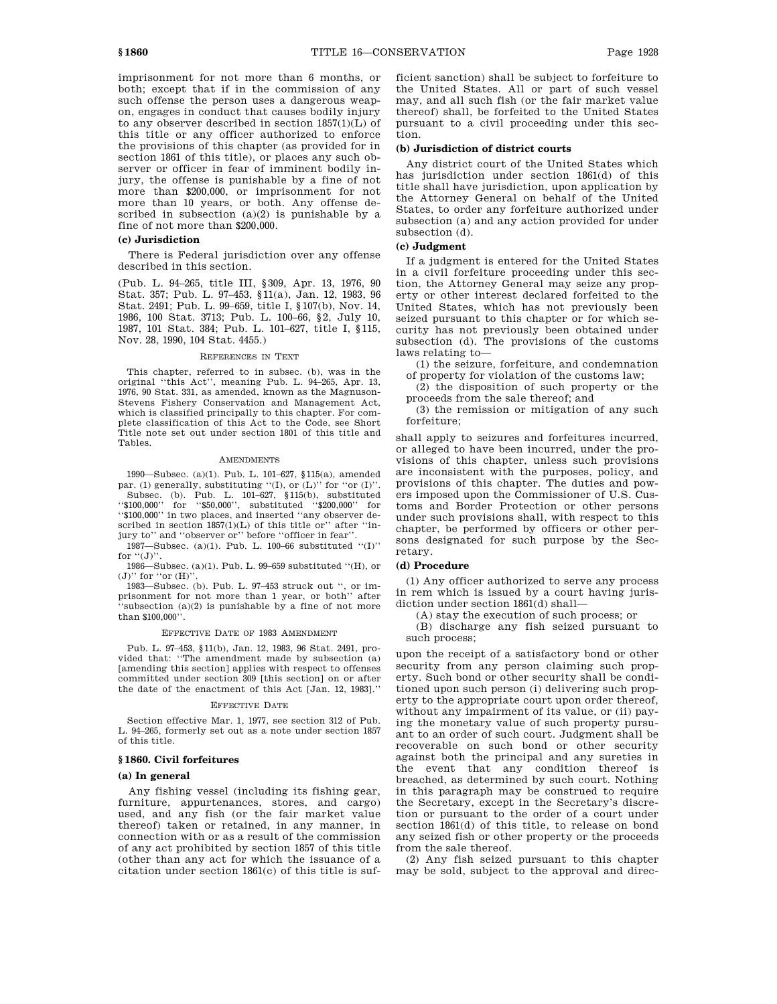imprisonment for not more than 6 months, or both; except that if in the commission of any such offense the person uses a dangerous weapon, engages in conduct that causes bodily injury to any observer described in section  $1857(1)(L)$  of this title or any officer authorized to enforce the provisions of this chapter (as provided for in section 1861 of this title), or places any such observer or officer in fear of imminent bodily injury, the offense is punishable by a fine of not more than \$200,000, or imprisonment for not more than 10 years, or both. Any offense described in subsection  $(a)(2)$  is punishable by a fine of not more than \$200,000.

### **(c) Jurisdiction**

There is Federal jurisdiction over any offense described in this section.

(Pub. L. 94–265, title III, §309, Apr. 13, 1976, 90 Stat. 357; Pub. L. 97–453, §11(a), Jan. 12, 1983, 96 Stat. 2491; Pub. L. 99–659, title I, §107(b), Nov. 14, 1986, 100 Stat. 3713; Pub. L. 100–66, §2, July 10, 1987, 101 Stat. 384; Pub. L. 101–627, title I, §115, Nov. 28, 1990, 104 Stat. 4455.)

#### REFERENCES IN TEXT

This chapter, referred to in subsec. (b), was in the original ''this Act'', meaning Pub. L. 94–265, Apr. 13, 1976, 90 Stat. 331, as amended, known as the Magnuson-Stevens Fishery Conservation and Management Act, which is classified principally to this chapter. For complete classification of this Act to the Code, see Short Title note set out under section 1801 of this title and Tables.

#### **AMENDMENTS**

1990—Subsec. (a)(1). Pub. L. 101–627, §115(a), amended par. (1) generally, substituting "(I), or  $(L)$ " for "or  $(I)$ ".

Subsec. (b). Pub. L. 101–627, §115(b), substituted ''\$100,000'' for ''\$50,000'', substituted ''\$200,000'' for ''\$100,000'' in two places, and inserted ''any observer described in section  $1857(1)(L)$  of this title or" after "injury to" and "observer or" before "officer in fear"

1987—Subsec. (a)(1). Pub. L. 100–66 substituted ''(I)'' for  $``(J)"$ .

1986—Subsec. (a)(1). Pub. L. 99–659 substituted ''(H), or  $(J)$ " for "or  $(H)$ "

1983—Subsec. (b). Pub. L. 97–453 struck out '', or imprisonment for not more than 1 year, or both'' after ''subsection (a)(2) is punishable by a fine of not more than \$100,000''.

# EFFECTIVE DATE OF 1983 AMENDMENT

Pub. L. 97–453, §11(b), Jan. 12, 1983, 96 Stat. 2491, provided that: ''The amendment made by subsection (a) [amending this section] applies with respect to offenses committed under section 309 [this section] on or after the date of the enactment of this Act [Jan. 12, 1983].''

#### EFFECTIVE DATE

Section effective Mar. 1, 1977, see section 312 of Pub. L. 94–265, formerly set out as a note under section 1857 of this title.

### **§ 1860. Civil forfeitures**

#### **(a) In general**

Any fishing vessel (including its fishing gear, furniture, appurtenances, stores, and cargo) used, and any fish (or the fair market value thereof) taken or retained, in any manner, in connection with or as a result of the commission of any act prohibited by section 1857 of this title (other than any act for which the issuance of a citation under section 1861(c) of this title is sufficient sanction) shall be subject to forfeiture to the United States. All or part of such vessel may, and all such fish (or the fair market value thereof) shall, be forfeited to the United States pursuant to a civil proceeding under this section.

### **(b) Jurisdiction of district courts**

Any district court of the United States which has jurisdiction under section 1861(d) of this title shall have jurisdiction, upon application by the Attorney General on behalf of the United States, to order any forfeiture authorized under subsection (a) and any action provided for under subsection (d).

### **(c) Judgment**

If a judgment is entered for the United States in a civil forfeiture proceeding under this section, the Attorney General may seize any property or other interest declared forfeited to the United States, which has not previously been seized pursuant to this chapter or for which security has not previously been obtained under subsection (d). The provisions of the customs laws relating to—

(1) the seizure, forfeiture, and condemnation of property for violation of the customs law;

(2) the disposition of such property or the proceeds from the sale thereof; and

(3) the remission or mitigation of any such forfeiture;

shall apply to seizures and forfeitures incurred, or alleged to have been incurred, under the provisions of this chapter, unless such provisions are inconsistent with the purposes, policy, and provisions of this chapter. The duties and powers imposed upon the Commissioner of U.S. Customs and Border Protection or other persons under such provisions shall, with respect to this chapter, be performed by officers or other persons designated for such purpose by the Secretary.

# **(d) Procedure**

(1) Any officer authorized to serve any process in rem which is issued by a court having jurisdiction under section 1861(d) shall—

(A) stay the execution of such process; or

(B) discharge any fish seized pursuant to such process;

upon the receipt of a satisfactory bond or other security from any person claiming such property. Such bond or other security shall be conditioned upon such person (i) delivering such property to the appropriate court upon order thereof, without any impairment of its value, or (ii) paying the monetary value of such property pursuant to an order of such court. Judgment shall be recoverable on such bond or other security against both the principal and any sureties in the event that any condition thereof is breached, as determined by such court. Nothing in this paragraph may be construed to require the Secretary, except in the Secretary's discretion or pursuant to the order of a court under section 1861(d) of this title, to release on bond any seized fish or other property or the proceeds from the sale thereof.

(2) Any fish seized pursuant to this chapter may be sold, subject to the approval and direc-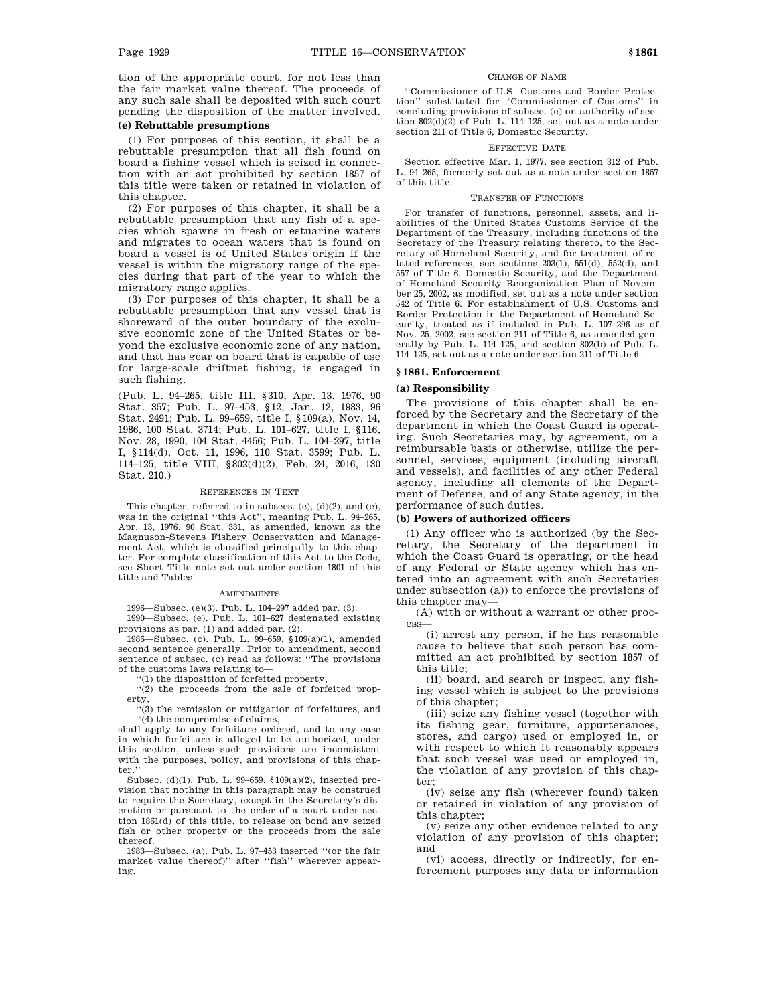tion of the appropriate court, for not less than the fair market value thereof. The proceeds of any such sale shall be deposited with such court pending the disposition of the matter involved.

# **(e) Rebuttable presumptions**

(1) For purposes of this section, it shall be a rebuttable presumption that all fish found on board a fishing vessel which is seized in connection with an act prohibited by section 1857 of this title were taken or retained in violation of this chapter.

(2) For purposes of this chapter, it shall be a rebuttable presumption that any fish of a species which spawns in fresh or estuarine waters and migrates to ocean waters that is found on board a vessel is of United States origin if the vessel is within the migratory range of the species during that part of the year to which the migratory range applies.

(3) For purposes of this chapter, it shall be a rebuttable presumption that any vessel that is shoreward of the outer boundary of the exclusive economic zone of the United States or beyond the exclusive economic zone of any nation, and that has gear on board that is capable of use for large-scale driftnet fishing, is engaged in such fishing.

(Pub. L. 94–265, title III, §310, Apr. 13, 1976, 90 Stat. 357; Pub. L. 97–453, §12, Jan. 12, 1983, 96 Stat. 2491; Pub. L. 99–659, title I, §109(a), Nov. 14, 1986, 100 Stat. 3714; Pub. L. 101–627, title I, §116, Nov. 28, 1990, 104 Stat. 4456; Pub. L. 104–297, title I, §114(d), Oct. 11, 1996, 110 Stat. 3599; Pub. L. 114–125, title VIII, §802(d)(2), Feb. 24, 2016, 130 Stat. 210.)

#### REFERENCES IN TEXT

This chapter, referred to in subsecs. (c),  $(d)(2)$ , and  $(e)$ was in the original ''this Act'', meaning Pub. L. 94–265, Apr. 13, 1976, 90 Stat. 331, as amended, known as the Magnuson-Stevens Fishery Conservation and Management Act, which is classified principally to this chapter. For complete classification of this Act to the Code, see Short Title note set out under section 1801 of this title and Tables.

#### **AMENDMENTS**

1996—Subsec. (e)(3). Pub. L. 104–297 added par. (3).

1990—Subsec. (e). Pub. L. 101–627 designated existing provisions as par. (1) and added par. (2).

1986—Subsec. (c). Pub. L. 99–659, §109(a)(1), amended second sentence generally. Prior to amendment, second sentence of subsec. (c) read as follows: ''The provisions of the customs laws relating to—

''(1) the disposition of forfeited property,

''(2) the proceeds from the sale of forfeited property,

''(3) the remission or mitigation of forfeitures, and ''(4) the compromise of claims,

shall apply to any forfeiture ordered, and to any case in which forfeiture is alleged to be authorized, under this section, unless such provisions are inconsistent with the purposes, policy, and provisions of this chapter.

Subsec. (d)(1). Pub. L. 99–659, §109(a)(2), inserted provision that nothing in this paragraph may be construed to require the Secretary, except in the Secretary's discretion or pursuant to the order of a court under section 1861(d) of this title, to release on bond any seized fish or other property or the proceeds from the sale thereof.

1983—Subsec. (a). Pub. L. 97–453 inserted ''(or the fair market value thereof)'' after ''fish'' wherever appearing.

#### CHANGE OF NAME

''Commissioner of U.S. Customs and Border Protection'' substituted for ''Commissioner of Customs'' in concluding provisions of subsec. (c) on authority of section  $802(d)(2)$  of Pub. L. 114-125, set out as a note under section 211 of Title 6, Domestic Security.

### EFFECTIVE DATE

Section effective Mar. 1, 1977, see section 312 of Pub. L. 94–265, formerly set out as a note under section 1857 of this title.

### TRANSFER OF FUNCTIONS

For transfer of functions, personnel, assets, and liabilities of the United States Customs Service of the Department of the Treasury, including functions of the Secretary of the Treasury relating thereto, to the Secretary of Homeland Security, and for treatment of related references, see sections 203(1), 551(d), 552(d), and 557 of Title 6, Domestic Security, and the Department of Homeland Security Reorganization Plan of November 25, 2002, as modified, set out as a note under section 542 of Title 6. For establishment of U.S. Customs and Border Protection in the Department of Homeland Security, treated as if included in Pub. L. 107–296 as of Nov. 25, 2002, see section 211 of Title 6, as amended generally by Pub. L. 114–125, and section 802(b) of Pub. L. 114–125, set out as a note under section 211 of Title 6.

### **§ 1861. Enforcement**

# **(a) Responsibility**

The provisions of this chapter shall be enforced by the Secretary and the Secretary of the department in which the Coast Guard is operating. Such Secretaries may, by agreement, on a reimbursable basis or otherwise, utilize the personnel, services, equipment (including aircraft and vessels), and facilities of any other Federal agency, including all elements of the Department of Defense, and of any State agency, in the performance of such duties.

#### **(b) Powers of authorized officers**

(1) Any officer who is authorized (by the Secretary, the Secretary of the department in which the Coast Guard is operating, or the head of any Federal or State agency which has entered into an agreement with such Secretaries under subsection (a)) to enforce the provisions of this chapter may—

(A) with or without a warrant or other process—

(i) arrest any person, if he has reasonable cause to believe that such person has committed an act prohibited by section 1857 of this title;

(ii) board, and search or inspect, any fishing vessel which is subject to the provisions of this chapter;

(iii) seize any fishing vessel (together with its fishing gear, furniture, appurtenances, stores, and cargo) used or employed in, or with respect to which it reasonably appears that such vessel was used or employed in, the violation of any provision of this chapter;

(iv) seize any fish (wherever found) taken or retained in violation of any provision of this chapter;

(v) seize any other evidence related to any violation of any provision of this chapter; and

(vi) access, directly or indirectly, for enforcement purposes any data or information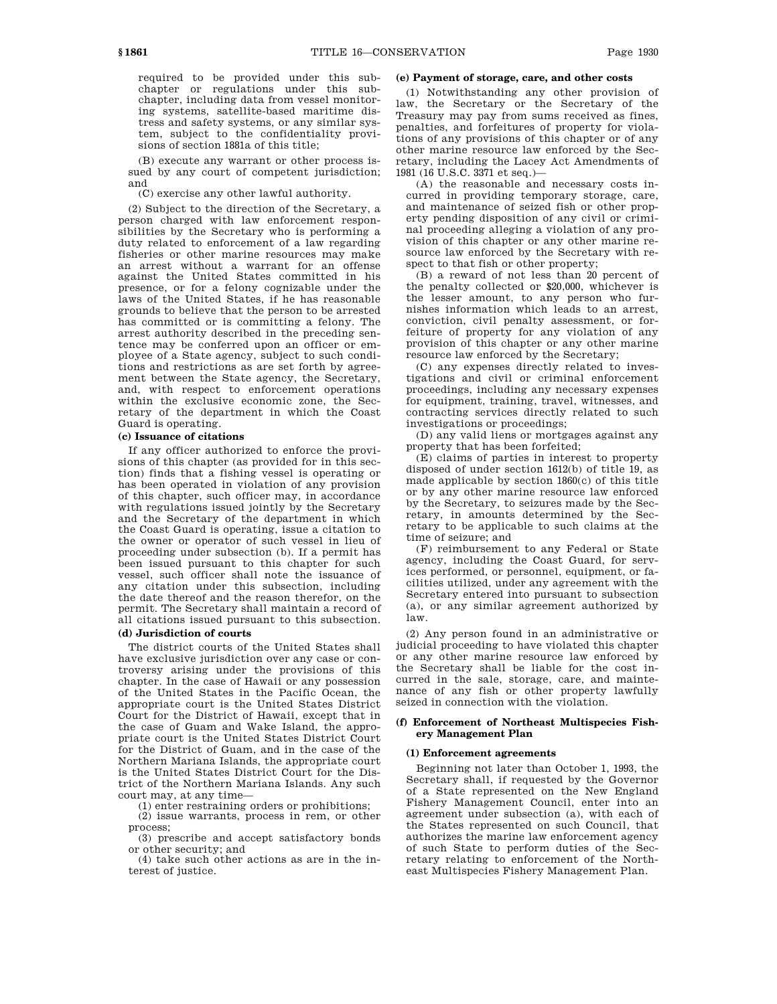required to be provided under this subchapter or regulations under this subchapter, including data from vessel monitoring systems, satellite-based maritime distress and safety systems, or any similar system, subject to the confidentiality provisions of section 1881a of this title;

(B) execute any warrant or other process issued by any court of competent jurisdiction; and

(C) exercise any other lawful authority.

(2) Subject to the direction of the Secretary, a person charged with law enforcement responsibilities by the Secretary who is performing a duty related to enforcement of a law regarding fisheries or other marine resources may make an arrest without a warrant for an offense against the United States committed in his presence, or for a felony cognizable under the laws of the United States, if he has reasonable grounds to believe that the person to be arrested has committed or is committing a felony. The arrest authority described in the preceding sentence may be conferred upon an officer or employee of a State agency, subject to such conditions and restrictions as are set forth by agreement between the State agency, the Secretary, and, with respect to enforcement operations within the exclusive economic zone, the Secretary of the department in which the Coast Guard is operating.

# **(c) Issuance of citations**

If any officer authorized to enforce the provisions of this chapter (as provided for in this section) finds that a fishing vessel is operating or has been operated in violation of any provision of this chapter, such officer may, in accordance with regulations issued jointly by the Secretary and the Secretary of the department in which the Coast Guard is operating, issue a citation to the owner or operator of such vessel in lieu of proceeding under subsection (b). If a permit has been issued pursuant to this chapter for such vessel, such officer shall note the issuance of any citation under this subsection, including the date thereof and the reason therefor, on the permit. The Secretary shall maintain a record of all citations issued pursuant to this subsection.

# **(d) Jurisdiction of courts**

The district courts of the United States shall have exclusive jurisdiction over any case or controversy arising under the provisions of this chapter. In the case of Hawaii or any possession of the United States in the Pacific Ocean, the appropriate court is the United States District Court for the District of Hawaii, except that in the case of Guam and Wake Island, the appropriate court is the United States District Court for the District of Guam, and in the case of the Northern Mariana Islands, the appropriate court is the United States District Court for the District of the Northern Mariana Islands. Any such court may, at any time—

(1) enter restraining orders or prohibitions;

(2) issue warrants, process in rem, or other process;

(3) prescribe and accept satisfactory bonds or other security; and

(4) take such other actions as are in the interest of justice.

# **(e) Payment of storage, care, and other costs**

(1) Notwithstanding any other provision of law, the Secretary or the Secretary of the Treasury may pay from sums received as fines, penalties, and forfeitures of property for violations of any provisions of this chapter or of any other marine resource law enforced by the Secretary, including the Lacey Act Amendments of 1981 (16 U.S.C. 3371 et seq.)—

(A) the reasonable and necessary costs incurred in providing temporary storage, care, and maintenance of seized fish or other property pending disposition of any civil or criminal proceeding alleging a violation of any provision of this chapter or any other marine resource law enforced by the Secretary with respect to that fish or other property;

(B) a reward of not less than 20 percent of the penalty collected or \$20,000, whichever is the lesser amount, to any person who furnishes information which leads to an arrest, conviction, civil penalty assessment, or forfeiture of property for any violation of any provision of this chapter or any other marine resource law enforced by the Secretary;

(C) any expenses directly related to investigations and civil or criminal enforcement proceedings, including any necessary expenses for equipment, training, travel, witnesses, and contracting services directly related to such investigations or proceedings;

(D) any valid liens or mortgages against any property that has been forfeited;

(E) claims of parties in interest to property disposed of under section 1612(b) of title 19, as made applicable by section 1860(c) of this title or by any other marine resource law enforced by the Secretary, to seizures made by the Secretary, in amounts determined by the Secretary to be applicable to such claims at the time of seizure; and

(F) reimbursement to any Federal or State agency, including the Coast Guard, for services performed, or personnel, equipment, or facilities utilized, under any agreement with the Secretary entered into pursuant to subsection (a), or any similar agreement authorized by law.

(2) Any person found in an administrative or judicial proceeding to have violated this chapter or any other marine resource law enforced by the Secretary shall be liable for the cost incurred in the sale, storage, care, and maintenance of any fish or other property lawfully seized in connection with the violation.

# **(f) Enforcement of Northeast Multispecies Fishery Management Plan**

# **(1) Enforcement agreements**

Beginning not later than October 1, 1993, the Secretary shall, if requested by the Governor of a State represented on the New England Fishery Management Council, enter into an agreement under subsection (a), with each of the States represented on such Council, that authorizes the marine law enforcement agency of such State to perform duties of the Secretary relating to enforcement of the Northeast Multispecies Fishery Management Plan.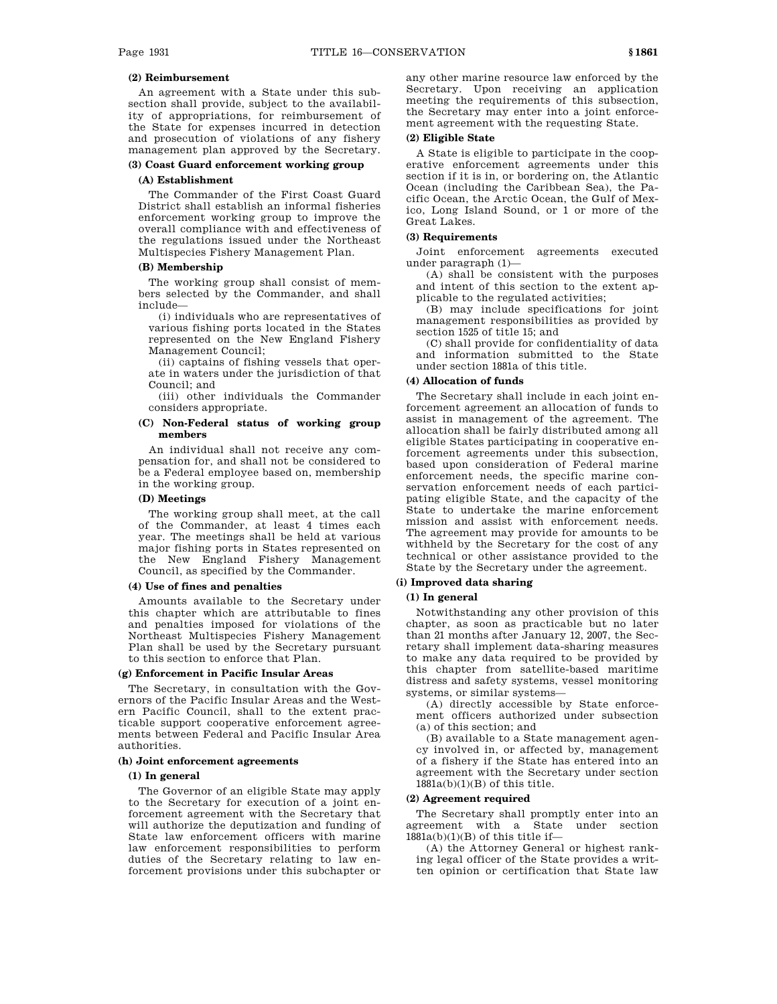# **(2) Reimbursement**

An agreement with a State under this subsection shall provide, subject to the availability of appropriations, for reimbursement of the State for expenses incurred in detection and prosecution of violations of any fishery management plan approved by the Secretary.

# **(3) Coast Guard enforcement working group**

# **(A) Establishment**

The Commander of the First Coast Guard District shall establish an informal fisheries enforcement working group to improve the overall compliance with and effectiveness of the regulations issued under the Northeast Multispecies Fishery Management Plan.

### **(B) Membership**

The working group shall consist of members selected by the Commander, and shall include—

(i) individuals who are representatives of various fishing ports located in the States represented on the New England Fishery Management Council;

(ii) captains of fishing vessels that operate in waters under the jurisdiction of that Council; and

(iii) other individuals the Commander considers appropriate.

# **(C) Non-Federal status of working group members**

An individual shall not receive any compensation for, and shall not be considered to be a Federal employee based on, membership in the working group.

# **(D) Meetings**

The working group shall meet, at the call of the Commander, at least 4 times each year. The meetings shall be held at various major fishing ports in States represented on the New England Fishery Management Council, as specified by the Commander.

# **(4) Use of fines and penalties**

Amounts available to the Secretary under this chapter which are attributable to fines and penalties imposed for violations of the Northeast Multispecies Fishery Management Plan shall be used by the Secretary pursuant to this section to enforce that Plan.

### **(g) Enforcement in Pacific Insular Areas**

The Secretary, in consultation with the Governors of the Pacific Insular Areas and the Western Pacific Council, shall to the extent practicable support cooperative enforcement agreements between Federal and Pacific Insular Area authorities.

# **(h) Joint enforcement agreements**

### **(1) In general**

The Governor of an eligible State may apply to the Secretary for execution of a joint enforcement agreement with the Secretary that will authorize the deputization and funding of State law enforcement officers with marine law enforcement responsibilities to perform duties of the Secretary relating to law enforcement provisions under this subchapter or

any other marine resource law enforced by the Secretary. Upon receiving an application meeting the requirements of this subsection, the Secretary may enter into a joint enforcement agreement with the requesting State.

# **(2) Eligible State**

A State is eligible to participate in the cooperative enforcement agreements under this section if it is in, or bordering on, the Atlantic Ocean (including the Caribbean Sea), the Pacific Ocean, the Arctic Ocean, the Gulf of Mexico, Long Island Sound, or 1 or more of the Great Lakes.

# **(3) Requirements**

Joint enforcement agreements executed under paragraph (1)—

(A) shall be consistent with the purposes and intent of this section to the extent applicable to the regulated activities;

(B) may include specifications for joint management responsibilities as provided by section 1525 of title 15; and

(C) shall provide for confidentiality of data and information submitted to the State under section 1881a of this title.

# **(4) Allocation of funds**

The Secretary shall include in each joint enforcement agreement an allocation of funds to assist in management of the agreement. The allocation shall be fairly distributed among all eligible States participating in cooperative enforcement agreements under this subsection, based upon consideration of Federal marine enforcement needs, the specific marine conservation enforcement needs of each participating eligible State, and the capacity of the State to undertake the marine enforcement mission and assist with enforcement needs. The agreement may provide for amounts to be withheld by the Secretary for the cost of any technical or other assistance provided to the State by the Secretary under the agreement.

### **(i) Improved data sharing**

# **(1) In general**

Notwithstanding any other provision of this chapter, as soon as practicable but no later than 21 months after January 12, 2007, the Secretary shall implement data-sharing measures to make any data required to be provided by this chapter from satellite-based maritime distress and safety systems, vessel monitoring systems, or similar systems—

(A) directly accessible by State enforcement officers authorized under subsection (a) of this section; and

(B) available to a State management agency involved in, or affected by, management of a fishery if the State has entered into an agreement with the Secretary under section  $1881a(b)(1)(B)$  of this title.

# **(2) Agreement required**

The Secretary shall promptly enter into an agreement with a State under section  $1881a(b)(1)(B)$  of this title if-

(A) the Attorney General or highest ranking legal officer of the State provides a written opinion or certification that State law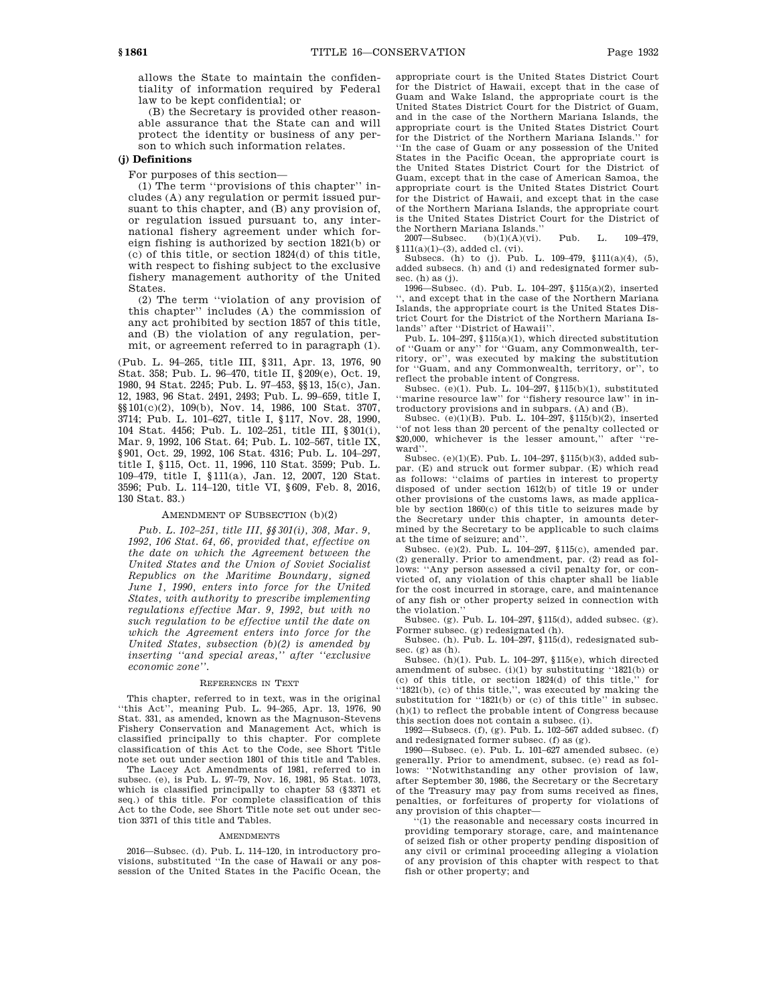allows the State to maintain the confidentiality of information required by Federal law to be kept confidential; or

(B) the Secretary is provided other reasonable assurance that the State can and will protect the identity or business of any person to which such information relates.

### **(j) Definitions**

For purposes of this section—

(1) The term ''provisions of this chapter'' includes (A) any regulation or permit issued pursuant to this chapter, and (B) any provision of, or regulation issued pursuant to, any international fishery agreement under which foreign fishing is authorized by section 1821(b) or (c) of this title, or section 1824(d) of this title, with respect to fishing subject to the exclusive fishery management authority of the United States.

(2) The term ''violation of any provision of this chapter'' includes (A) the commission of any act prohibited by section 1857 of this title, and (B) the violation of any regulation, permit, or agreement referred to in paragraph (1).

(Pub. L. 94–265, title III, §311, Apr. 13, 1976, 90 Stat. 358; Pub. L. 96–470, title II, §209(e), Oct. 19, 1980, 94 Stat. 2245; Pub. L. 97–453, §§13, 15(c), Jan. 12, 1983, 96 Stat. 2491, 2493; Pub. L. 99–659, title I, §§101(c)(2), 109(b), Nov. 14, 1986, 100 Stat. 3707, 3714; Pub. L. 101–627, title I, §117, Nov. 28, 1990, 104 Stat. 4456; Pub. L. 102–251, title III, §301(i), Mar. 9, 1992, 106 Stat. 64; Pub. L. 102–567, title IX, §901, Oct. 29, 1992, 106 Stat. 4316; Pub. L. 104–297, title I, §115, Oct. 11, 1996, 110 Stat. 3599; Pub. L. 109–479, title I, §111(a), Jan. 12, 2007, 120 Stat. 3596; Pub. L. 114–120, title VI, §609, Feb. 8, 2016, 130 Stat. 83.)

# AMENDMENT OF SUBSECTION (b)(2)

*Pub. L. 102–251, title III, §§301(i), 308, Mar. 9, 1992, 106 Stat. 64, 66, provided that, effective on the date on which the Agreement between the United States and the Union of Soviet Socialist Republics on the Maritime Boundary, signed June 1, 1990, enters into force for the United States, with authority to prescribe implementing regulations effective Mar. 9, 1992, but with no such regulation to be effective until the date on which the Agreement enters into force for the United States, subsection (b)(2) is amended by inserting ''and special areas,'' after ''exclusive economic zone''.*

### REFERENCES IN TEXT

This chapter, referred to in text, was in the original ''this Act'', meaning Pub. L. 94–265, Apr. 13, 1976, 90 Stat. 331, as amended, known as the Magnuson-Stevens Fishery Conservation and Management Act, which is classified principally to this chapter. For complete classification of this Act to the Code, see Short Title note set out under section 1801 of this title and Tables.

The Lacey Act Amendments of 1981, referred to in subsec. (e), is Pub. L. 97–79, Nov. 16, 1981, 95 Stat. 1073, which is classified principally to chapter 53 (§3371 et seq.) of this title. For complete classification of this Act to the Code, see Short Title note set out under section 3371 of this title and Tables.

#### **AMENDMENTS**

2016—Subsec. (d). Pub. L. 114–120, in introductory provisions, substituted ''In the case of Hawaii or any possession of the United States in the Pacific Ocean, the appropriate court is the United States District Court for the District of Hawaii, except that in the case of Guam and Wake Island, the appropriate court is the United States District Court for the District of Guam, and in the case of the Northern Mariana Islands, the appropriate court is the United States District Court for the District of the Northern Mariana Islands.'' for ''In the case of Guam or any possession of the United States in the Pacific Ocean, the appropriate court is the United States District Court for the District of Guam, except that in the case of American Samoa, the appropriate court is the United States District Court for the District of Hawaii, and except that in the case of the Northern Mariana Islands, the appropriate court is the United States District Court for the District of the Northern Mariana Islands.''<br> $2007 - Subsec.$  (b)(1)(A)(vi).

2007—Subsec. (b)(1)(A)(vi). Pub. L. 109–479, §111(a)(1)–(3), added cl. (vi).<br>
Subsecs. (h) to (j). Pub. L. 109–479, §111(a)(4), (5),

added subsecs. (h) and (i) and redesignated former subsec.  $(h)$  as  $(i)$ .

1996—Subsec. (d). Pub. L. 104–297, §115(a)(2), inserted '', and except that in the case of the Northern Mariana Islands, the appropriate court is the United States District Court for the District of the Northern Mariana Islands'' after ''District of Hawaii''.

Pub. L. 104–297, §115(a)(1), which directed substitution of ''Guam or any'' for ''Guam, any Commonwealth, territory, or'', was executed by making the substitution for ''Guam, and any Commonwealth, territory, or'', to reflect the probable intent of Congress.

Subsec. (e)(1). Pub. L. 104–297, §115(b)(1), substituted ''marine resource law'' for ''fishery resource law'' in introductory provisions and in subpars. (A) and (B).

Subsec. (e)(1)(B). Pub. L. 104–297, §115(b)(2), inserted ''of not less than 20 percent of the penalty collected or \$20,000, whichever is the lesser amount," after "reward''.

Subsec. (e)(1)(E). Pub. L. 104–297, §115(b)(3), added subpar. (E) and struck out former subpar. (E) which read as follows: ''claims of parties in interest to property disposed of under section 1612(b) of title 19 or under other provisions of the customs laws, as made applicable by section 1860(c) of this title to seizures made by the Secretary under this chapter, in amounts determined by the Secretary to be applicable to such claims at the time of seizure; and''.

Subsec. (e)(2). Pub. L. 104–297, §115(c), amended par. (2) generally. Prior to amendment, par. (2) read as follows: "Any person assessed a civil penalty for, or convicted of, any violation of this chapter shall be liable for the cost incurred in storage, care, and maintenance of any fish or other property seized in connection with the violation.

Subsec. (g). Pub. L. 104–297, §115(d), added subsec. (g). Former subsec. (g) redesignated (h).

Subsec. (h). Pub. L.  $104-297$ ,  $115(d)$ , redesignated subsec.  $(g)$  as  $(h)$ .

Subsec. (h)(1). Pub. L. 104–297, §115(e), which directed amendment of subsec.  $(i)(1)$  by substituting "1821(b) or (c) of this title, or section 1824(d) of this title,'' for ''1821(b), (c) of this title,'', was executed by making the substitution for ''1821(b) or (c) of this title'' in subsec.  $(\mathrm{h})(1)$  to reflect the probable intent of Congress because this section does not contain a subsec. (i).

1992—Subsecs. (f), (g). Pub. L. 102–567 added subsec. (f) and redesignated former subsec. (f) as (g).

1990—Subsec. (e). Pub. L. 101–627 amended subsec. (e) generally. Prior to amendment, subsec. (e) read as follows: ''Notwithstanding any other provision of law, after September 30, 1986, the Secretary or the Secretary of the Treasury may pay from sums received as fines, penalties, or forfeitures of property for violations of any provision of this chapter—

''(1) the reasonable and necessary costs incurred in providing temporary storage, care, and maintenance of seized fish or other property pending disposition of any civil or criminal proceeding alleging a violation of any provision of this chapter with respect to that fish or other property; and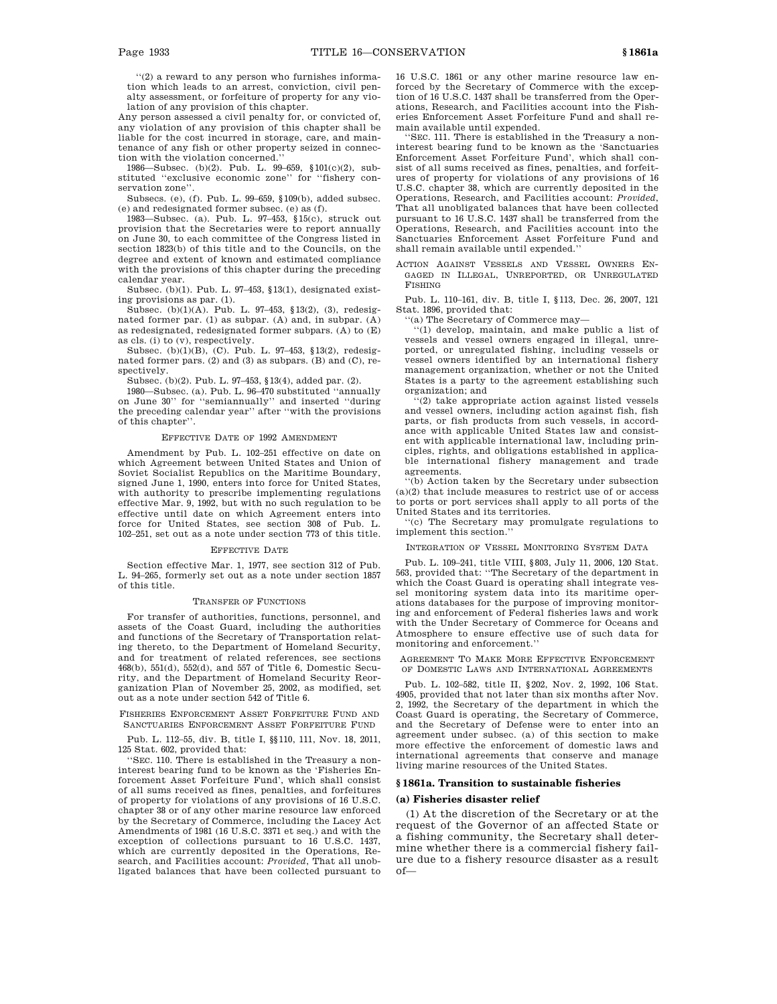''(2) a reward to any person who furnishes information which leads to an arrest, conviction, civil penalty assessment, or forfeiture of property for any violation of any provision of this chapter.

Any person assessed a civil penalty for, or convicted of, any violation of any provision of this chapter shall be liable for the cost incurred in storage, care, and maintenance of any fish or other property seized in connection with the violation concerned.''

1986—Subsec. (b)(2). Pub. L. 99–659, §101(c)(2), substituted ''exclusive economic zone'' for ''fishery conservation zone''.

Subsecs. (e), (f). Pub. L. 99–659, §109(b), added subsec. (e) and redesignated former subsec. (e) as (f).

1983—Subsec. (a). Pub. L. 97–453, §15(c), struck out provision that the Secretaries were to report annually on June 30, to each committee of the Congress listed in section 1823(b) of this title and to the Councils, on the degree and extent of known and estimated compliance with the provisions of this chapter during the preceding calendar year.

Subsec. (b)(1). Pub. L. 97–453, §13(1), designated existing provisions as par. (1).

Subsec. (b)(1)(A). Pub. L. 97–453, §13(2), (3), redesignated former par. (1) as subpar. (A) and, in subpar. (A) as redesignated, redesignated former subpars. (A) to (E) as cls. (i) to (v), respectively.

Subsec. (b)(1)(B), (C). Pub. L. 97–453, §13(2), redesignated former pars. (2) and (3) as subpars. (B) and (C), respectively.

Subsec. (b)(2). Pub. L. 97–453, §13(4), added par. (2).

1980—Subsec. (a). Pub. L. 96–470 substituted ''annually on June 30'' for ''semiannually'' and inserted ''during the preceding calendar year'' after ''with the provisions of this chapter''.

# EFFECTIVE DATE OF 1992 AMENDMENT

Amendment by Pub. L. 102–251 effective on date on which Agreement between United States and Union of Soviet Socialist Republics on the Maritime Boundary, signed June 1, 1990, enters into force for United States, with authority to prescribe implementing regulations effective Mar. 9, 1992, but with no such regulation to be effective until date on which Agreement enters into force for United States, see section 308 of Pub. L. 102–251, set out as a note under section 773 of this title.

#### EFFECTIVE DATE

Section effective Mar. 1, 1977, see section 312 of Pub. L. 94–265, formerly set out as a note under section 1857 of this title.

### TRANSFER OF FUNCTIONS

For transfer of authorities, functions, personnel, and assets of the Coast Guard, including the authorities and functions of the Secretary of Transportation relating thereto, to the Department of Homeland Security, and for treatment of related references, see sections 468(b), 551(d), 552(d), and 557 of Title 6, Domestic Security, and the Department of Homeland Security Reorganization Plan of November 25, 2002, as modified, set out as a note under section 542 of Title 6.

FISHERIES ENFORCEMENT ASSET FORFEITURE FUND AND SANCTUARIES ENFORCEMENT ASSET FORFEITURE FUND

Pub. L. 112–55, div. B, title I, §§110, 111, Nov. 18, 2011, 125 Stat. 602, provided that:

''SEC. 110. There is established in the Treasury a noninterest bearing fund to be known as the 'Fisheries Enforcement Asset Forfeiture Fund', which shall consist of all sums received as fines, penalties, and forfeitures of property for violations of any provisions of 16 U.S.C. chapter 38 or of any other marine resource law enforced by the Secretary of Commerce, including the Lacey Act Amendments of 1981 (16 U.S.C. 3371 et seq.) and with the exception of collections pursuant to 16 U.S.C. 1437, which are currently deposited in the Operations, Research, and Facilities account: *Provided*, That all unobligated balances that have been collected pursuant to

16 U.S.C. 1861 or any other marine resource law enforced by the Secretary of Commerce with the exception of 16 U.S.C. 1437 shall be transferred from the Operations, Research, and Facilities account into the Fisheries Enforcement Asset Forfeiture Fund and shall remain available until expended.

''SEC. 111. There is established in the Treasury a noninterest bearing fund to be known as the 'Sanctuaries Enforcement Asset Forfeiture Fund', which shall consist of all sums received as fines, penalties, and forfeitures of property for violations of any provisions of 16 U.S.C. chapter 38, which are currently deposited in the Operations, Research, and Facilities account: *Provided*, That all unobligated balances that have been collected pursuant to 16  $\overline{U}$ .S.C. 1437 shall be transferred from the Operations, Research, and Facilities account into the Sanctuaries Enforcement Asset Forfeiture Fund and shall remain available until expended.''

ACTION AGAINST VESSELS AND VESSEL OWNERS EN-GAGED IN ILLEGAL, UNREPORTED, OR UNREGULATED **FISHING** 

Pub. L. 110–161, div. B, title I, §113, Dec. 26, 2007, 121 Stat. 1896, provided that:

''(a) The Secretary of Commerce may—

''(1) develop, maintain, and make public a list of vessels and vessel owners engaged in illegal, unreported, or unregulated fishing, including vessels or vessel owners identified by an international fishery management organization, whether or not the United States is a party to the agreement establishing such organization; and

''(2) take appropriate action against listed vessels and vessel owners, including action against fish, fish parts, or fish products from such vessels, in accordance with applicable United States law and consistent with applicable international law, including principles, rights, and obligations established in applicable international fishery management and trade agreements.

''(b) Action taken by the Secretary under subsection (a)(2) that include measures to restrict use of or access to ports or port services shall apply to all ports of the United States and its territories.

''(c) The Secretary may promulgate regulations to implement this section.''

INTEGRATION OF VESSEL MONITORING SYSTEM DATA

Pub. L. 109–241, title VIII, §803, July 11, 2006, 120 Stat. 563, provided that: ''The Secretary of the department in which the Coast Guard is operating shall integrate vessel monitoring system data into its maritime operations databases for the purpose of improving monitoring and enforcement of Federal fisheries laws and work with the Under Secretary of Commerce for Oceans and Atmosphere to ensure effective use of such data for monitoring and enforcement.

AGREEMENT TO MAKE MORE EFFECTIVE ENFORCEMENT OF DOMESTIC LAWS AND INTERNATIONAL AGREEMENTS

Pub. L. 102–582, title II, §202, Nov. 2, 1992, 106 Stat. 4905, provided that not later than six months after Nov. 2, 1992, the Secretary of the department in which the Coast Guard is operating, the Secretary of Commerce, and the Secretary of Defense were to enter into an agreement under subsec. (a) of this section to make more effective the enforcement of domestic laws and international agreements that conserve and manage living marine resources of the United States.

# **§ 1861a. Transition to sustainable fisheries**

#### **(a) Fisheries disaster relief**

(1) At the discretion of the Secretary or at the request of the Governor of an affected State or a fishing community, the Secretary shall determine whether there is a commercial fishery failure due to a fishery resource disaster as a result of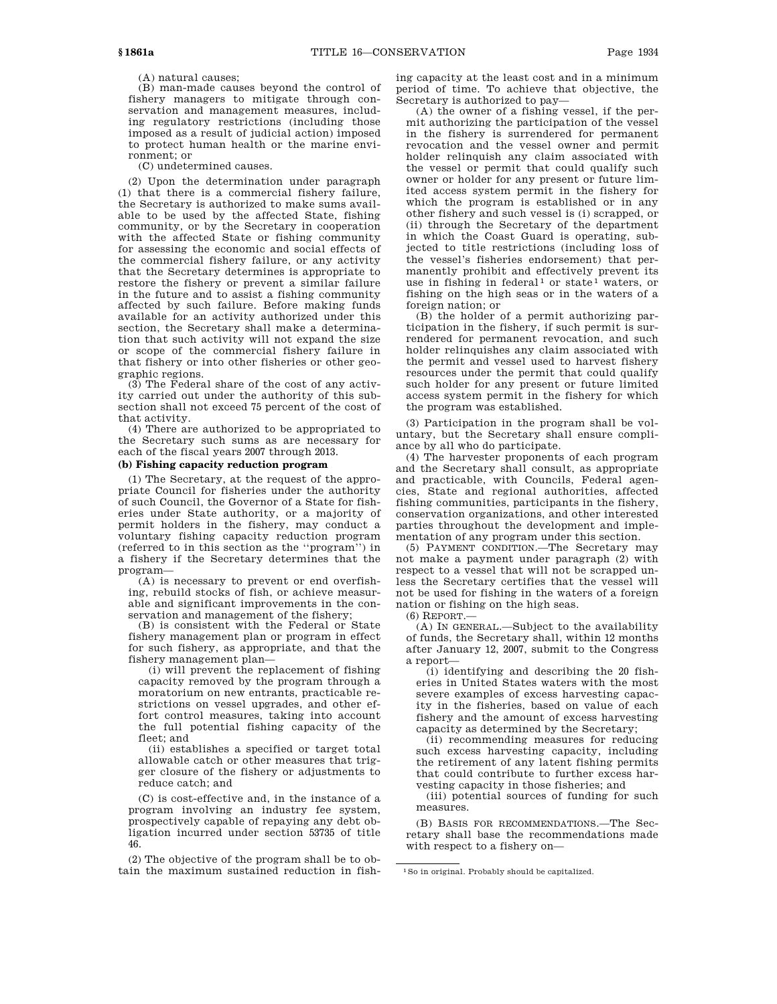(A) natural causes;

(B) man-made causes beyond the control of fishery managers to mitigate through conservation and management measures, including regulatory restrictions (including those imposed as a result of judicial action) imposed to protect human health or the marine environment; or

(C) undetermined causes.

(2) Upon the determination under paragraph (1) that there is a commercial fishery failure, the Secretary is authorized to make sums available to be used by the affected State, fishing community, or by the Secretary in cooperation with the affected State or fishing community for assessing the economic and social effects of the commercial fishery failure, or any activity that the Secretary determines is appropriate to restore the fishery or prevent a similar failure in the future and to assist a fishing community affected by such failure. Before making funds available for an activity authorized under this section, the Secretary shall make a determination that such activity will not expand the size or scope of the commercial fishery failure in that fishery or into other fisheries or other geographic regions.

(3) The Federal share of the cost of any activity carried out under the authority of this subsection shall not exceed 75 percent of the cost of that activity.

(4) There are authorized to be appropriated to the Secretary such sums as are necessary for each of the fiscal years 2007 through 2013.

# **(b) Fishing capacity reduction program**

(1) The Secretary, at the request of the appropriate Council for fisheries under the authority of such Council, the Governor of a State for fisheries under State authority, or a majority of permit holders in the fishery, may conduct a voluntary fishing capacity reduction program (referred to in this section as the ''program'') in a fishery if the Secretary determines that the program—

(A) is necessary to prevent or end overfishing, rebuild stocks of fish, or achieve measurable and significant improvements in the conservation and management of the fishery;

(B) is consistent with the Federal or State fishery management plan or program in effect for such fishery, as appropriate, and that the fishery management plan—

(i) will prevent the replacement of fishing capacity removed by the program through a moratorium on new entrants, practicable restrictions on vessel upgrades, and other effort control measures, taking into account the full potential fishing capacity of the fleet; and

(ii) establishes a specified or target total allowable catch or other measures that trigger closure of the fishery or adjustments to reduce catch; and

(C) is cost-effective and, in the instance of a program involving an industry fee system, prospectively capable of repaying any debt obligation incurred under section 53735 of title 46.

(2) The objective of the program shall be to obtain the maximum sustained reduction in fishing capacity at the least cost and in a minimum period of time. To achieve that objective, the Secretary is authorized to pay—

(A) the owner of a fishing vessel, if the permit authorizing the participation of the vessel in the fishery is surrendered for permanent revocation and the vessel owner and permit holder relinquish any claim associated with the vessel or permit that could qualify such owner or holder for any present or future limited access system permit in the fishery for which the program is established or in any other fishery and such vessel is (i) scrapped, or (ii) through the Secretary of the department in which the Coast Guard is operating, subjected to title restrictions (including loss of the vessel's fisheries endorsement) that permanently prohibit and effectively prevent its use in fishing in federal<sup>1</sup> or state<sup>1</sup> waters, or fishing on the high seas or in the waters of a foreign nation; or

(B) the holder of a permit authorizing participation in the fishery, if such permit is surrendered for permanent revocation, and such holder relinquishes any claim associated with the permit and vessel used to harvest fishery resources under the permit that could qualify such holder for any present or future limited access system permit in the fishery for which the program was established.

(3) Participation in the program shall be voluntary, but the Secretary shall ensure compliance by all who do participate.

(4) The harvester proponents of each program and the Secretary shall consult, as appropriate and practicable, with Councils, Federal agencies, State and regional authorities, affected fishing communities, participants in the fishery, conservation organizations, and other interested parties throughout the development and implementation of any program under this section.

(5) PAYMENT CONDITION.—The Secretary may not make a payment under paragraph (2) with respect to a vessel that will not be scrapped unless the Secretary certifies that the vessel will not be used for fishing in the waters of a foreign nation or fishing on the high seas.

 $(6)$  REPORT.

(A) IN GENERAL.—Subject to the availability of funds, the Secretary shall, within 12 months after January 12, 2007, submit to the Congress a report—

(i) identifying and describing the 20 fisheries in United States waters with the most severe examples of excess harvesting capacity in the fisheries, based on value of each fishery and the amount of excess harvesting capacity as determined by the Secretary;

(ii) recommending measures for reducing such excess harvesting capacity, including the retirement of any latent fishing permits that could contribute to further excess harvesting capacity in those fisheries; and

(iii) potential sources of funding for such measures.

(B) BASIS FOR RECOMMENDATIONS.—The Secretary shall base the recommendations made with respect to a fishery on—

<sup>1</sup>So in original. Probably should be capitalized.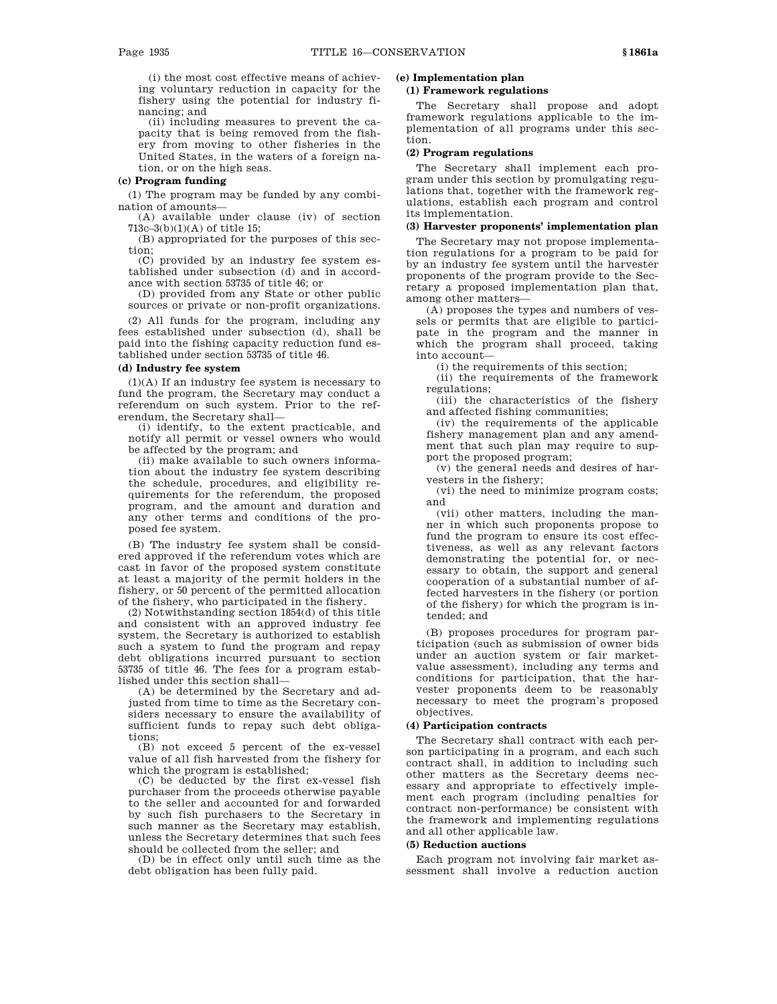(i) the most cost effective means of achieving voluntary reduction in capacity for the fishery using the potential for industry financing; and

(ii) including measures to prevent the capacity that is being removed from the fishery from moving to other fisheries in the United States, in the waters of a foreign nation, or on the high seas.

### **(c) Program funding**

(1) The program may be funded by any combination of amounts—

(A) available under clause (iv) of section 713c–3(b)(1)(A) of title 15;

(B) appropriated for the purposes of this section;

(C) provided by an industry fee system established under subsection (d) and in accordance with section 53735 of title 46; or

(D) provided from any State or other public sources or private or non-profit organizations.

(2) All funds for the program, including any fees established under subsection (d), shall be paid into the fishing capacity reduction fund established under section 53735 of title 46.

# **(d) Industry fee system**

(1)(A) If an industry fee system is necessary to fund the program, the Secretary may conduct a referendum on such system. Prior to the referendum, the Secretary shall—

(i) identify, to the extent practicable, and notify all permit or vessel owners who would be affected by the program; and

(ii) make available to such owners information about the industry fee system describing the schedule, procedures, and eligibility requirements for the referendum, the proposed program, and the amount and duration and any other terms and conditions of the proposed fee system.

(B) The industry fee system shall be considered approved if the referendum votes which are cast in favor of the proposed system constitute at least a majority of the permit holders in the fishery, or 50 percent of the permitted allocation of the fishery, who participated in the fishery.

(2) Notwithstanding section 1854(d) of this title and consistent with an approved industry fee system, the Secretary is authorized to establish such a system to fund the program and repay debt obligations incurred pursuant to section 53735 of title 46. The fees for a program established under this section shall—

(A) be determined by the Secretary and adjusted from time to time as the Secretary considers necessary to ensure the availability of sufficient funds to repay such debt obligations;

(B) not exceed 5 percent of the ex-vessel value of all fish harvested from the fishery for which the program is established;

(C) be deducted by the first ex-vessel fish purchaser from the proceeds otherwise payable to the seller and accounted for and forwarded by such fish purchasers to the Secretary in such manner as the Secretary may establish, unless the Secretary determines that such fees should be collected from the seller; and

(D) be in effect only until such time as the debt obligation has been fully paid.

# **(e) Implementation plan**

# **(1) Framework regulations**

The Secretary shall propose and adopt framework regulations applicable to the implementation of all programs under this section.

# **(2) Program regulations**

The Secretary shall implement each program under this section by promulgating regulations that, together with the framework regulations, establish each program and control its implementation.

# **(3) Harvester proponents' implementation plan**

The Secretary may not propose implementation regulations for a program to be paid for by an industry fee system until the harvester proponents of the program provide to the Secretary a proposed implementation plan that, among other matters—

(A) proposes the types and numbers of vessels or permits that are eligible to participate in the program and the manner in which the program shall proceed, taking into account—

(i) the requirements of this section;

(ii) the requirements of the framework regulations;

(iii) the characteristics of the fishery and affected fishing communities;

(iv) the requirements of the applicable fishery management plan and any amendment that such plan may require to support the proposed program;

(v) the general needs and desires of harvesters in the fishery;

(vi) the need to minimize program costs; and

(vii) other matters, including the manner in which such proponents propose to fund the program to ensure its cost effectiveness, as well as any relevant factors demonstrating the potential for, or necessary to obtain, the support and general cooperation of a substantial number of affected harvesters in the fishery (or portion of the fishery) for which the program is intended; and

(B) proposes procedures for program participation (such as submission of owner bids under an auction system or fair marketvalue assessment), including any terms and conditions for participation, that the harvester proponents deem to be reasonably necessary to meet the program's proposed objectives.

### **(4) Participation contracts**

The Secretary shall contract with each person participating in a program, and each such contract shall, in addition to including such other matters as the Secretary deems necessary and appropriate to effectively implement each program (including penalties for contract non-performance) be consistent with the framework and implementing regulations and all other applicable law.

# **(5) Reduction auctions**

Each program not involving fair market assessment shall involve a reduction auction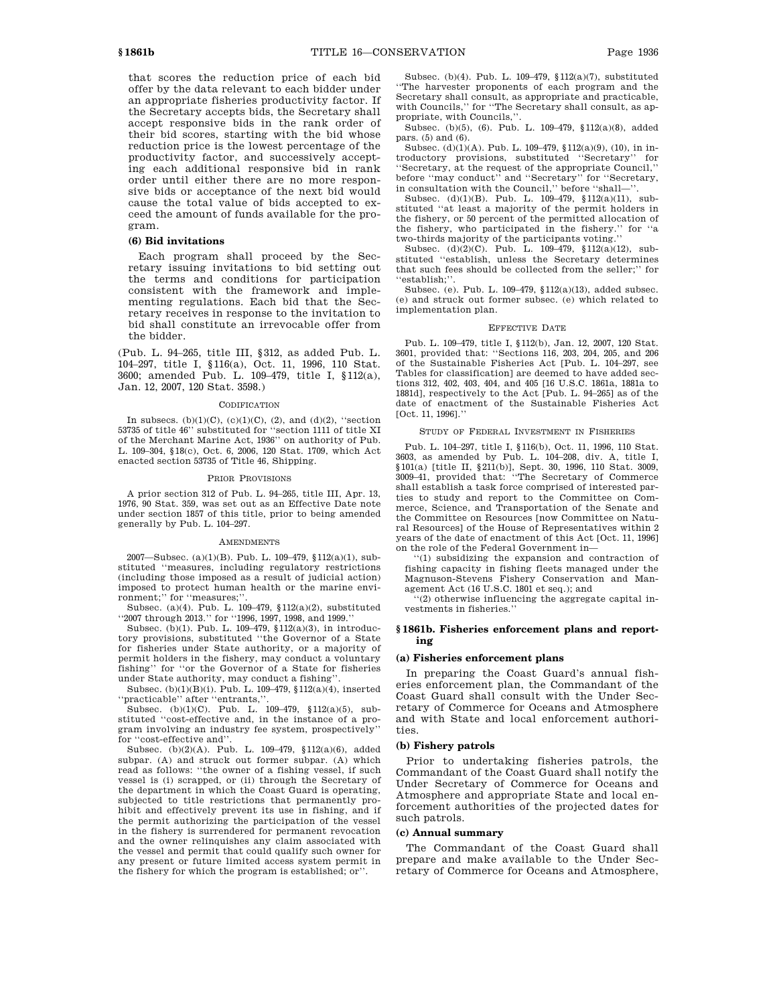that scores the reduction price of each bid offer by the data relevant to each bidder under an appropriate fisheries productivity factor. If the Secretary accepts bids, the Secretary shall accept responsive bids in the rank order of their bid scores, starting with the bid whose reduction price is the lowest percentage of the productivity factor, and successively accepting each additional responsive bid in rank order until either there are no more responsive bids or acceptance of the next bid would cause the total value of bids accepted to exceed the amount of funds available for the program.

### **(6) Bid invitations**

Each program shall proceed by the Secretary issuing invitations to bid setting out the terms and conditions for participation consistent with the framework and implementing regulations. Each bid that the Secretary receives in response to the invitation to bid shall constitute an irrevocable offer from the bidder.

(Pub. L. 94–265, title III, §312, as added Pub. L. 104–297, title I, §116(a), Oct. 11, 1996, 110 Stat. 3600; amended Pub. L. 109–479, title I, §112(a), Jan. 12, 2007, 120 Stat. 3598.)

#### **CODIFICATION**

In subsecs.  $(b)(1)(C)$ ,  $(c)(1)(C)$ ,  $(2)$ , and  $(d)(2)$ , "section 53735 of title 46'' substituted for ''section 1111 of title XI of the Merchant Marine Act, 1936'' on authority of Pub. L. 109–304, §18(c), Oct. 6, 2006, 120 Stat. 1709, which Act enacted section 53735 of Title 46, Shipping.

# PRIOR PROVISIONS

A prior section 312 of Pub. L. 94–265, title III, Apr. 13, 1976, 90 Stat. 359, was set out as an Effective Date note under section 1857 of this title, prior to being amended generally by Pub. L. 104–297.

### **AMENDMENTS**

2007—Subsec. (a)(1)(B). Pub. L. 109–479, §112(a)(1), substituted ''measures, including regulatory restrictions (including those imposed as a result of judicial action) imposed to protect human health or the marine environment;" for "measures;"

Subsec. (a)(4). Pub. L. 109–479, §112(a)(2), substituted ''2007 through 2013.'' for ''1996, 1997, 1998, and 1999.''

Subsec. (b)(1). Pub. L. 109–479, §112(a)(3), in introductory provisions, substituted ''the Governor of a State for fisheries under State authority, or a majority of permit holders in the fishery, may conduct a voluntary fishing'' for ''or the Governor of a State for fisheries under State authority, may conduct a fishing''.

Subsec. (b)(1)(B)(i). Pub. L. 109–479, §112(a)(4), inserted

''practicable'' after ''entrants,''. Subsec. (b)(1)(C). Pub. L. 109–479, §112(a)(5), substituted ''cost-effective and, in the instance of a program involving an industry fee system, prospectively'' for ''cost-effective and''.

Subsec. (b)(2)(A). Pub. L. 109–479, §112(a)(6), added subpar. (A) and struck out former subpar. (A) which read as follows: ''the owner of a fishing vessel, if such vessel is (i) scrapped, or (ii) through the Secretary of the department in which the Coast Guard is operating, subjected to title restrictions that permanently prohibit and effectively prevent its use in fishing, and if the permit authorizing the participation of the vessel in the fishery is surrendered for permanent revocation and the owner relinquishes any claim associated with the vessel and permit that could qualify such owner for any present or future limited access system permit in the fishery for which the program is established; or''.

Subsec. (b)(4). Pub. L. 109–479, §112(a)(7), substituted ''The harvester proponents of each program and the Secretary shall consult, as appropriate and practicable, with Councils,'' for ''The Secretary shall consult, as appropriate, with Councils,'

Subsec. (b)(5), (6). Pub. L. 109–479, §112(a)(8), added pars. (5) and (6).

Subsec. (d)(1)(A). Pub. L. 109–479, §112(a)(9), (10), in in-<br>coductory provisions. substituted "Secretary" for troductory provisions, substituted "Secretary" ''Secretary, at the request of the appropriate Council,'' before ''may conduct'' and ''Secretary'' for ''Secretary, in consultation with the Council," before "shall—

Subsec.  $(d)(1)(B)$ . Pub. L. 109–479, §112(a)(11), substituted ''at least a majority of the permit holders in the fishery, or 50 percent of the permitted allocation of the fishery, who participated in the fishery.'' for ''a two-thirds majority of the participants voting.

Subsec. (d)(2)(C). Pub. L. 109–479, §112(a)(12), substituted ''establish, unless the Secretary determines that such fees should be collected from the seller;'' for ''establish;''.

Subsec. (e). Pub. L. 109–479, §112(a)(13), added subsec. (e) and struck out former subsec. (e) which related to implementation plan.

#### EFFECTIVE DATE

Pub. L. 109–479, title I, §112(b), Jan. 12, 2007, 120 Stat. 3601, provided that: ''Sections 116, 203, 204, 205, and 206 of the Sustainable Fisheries Act [Pub. L. 104–297, see Tables for classification] are deemed to have added sections 312, 402, 403, 404, and 405 [16 U.S.C. 1861a, 1881a to 1881d], respectively to the Act [Pub. L. 94–265] as of the date of enactment of the Sustainable Fisheries Act [Oct. 11, 1996].'

### STUDY OF FEDERAL INVESTMENT IN FISHERIES

Pub. L. 104–297, title I, §116(b), Oct. 11, 1996, 110 Stat. 3603, as amended by Pub. L. 104–208, div. A, title I, §101(a) [title II, §211(b)], Sept. 30, 1996, 110 Stat. 3009, 3009–41, provided that: ''The Secretary of Commerce shall establish a task force comprised of interested parties to study and report to the Committee on Commerce, Science, and Transportation of the Senate and the Committee on Resources [now Committee on Natural Resources] of the House of Representatives within 2 years of the date of enactment of this Act [Oct. 11, 1996] on the role of the Federal Government in—

''(1) subsidizing the expansion and contraction of fishing capacity in fishing fleets managed under the Magnuson-Stevens Fishery Conservation and Management Act (16 U.S.C. 1801 et seq.); and

''(2) otherwise influencing the aggregate capital investments in fisheries.''

### **§ 1861b. Fisheries enforcement plans and reporting**

#### **(a) Fisheries enforcement plans**

In preparing the Coast Guard's annual fisheries enforcement plan, the Commandant of the Coast Guard shall consult with the Under Secretary of Commerce for Oceans and Atmosphere and with State and local enforcement authorities.

# **(b) Fishery patrols**

Prior to undertaking fisheries patrols, the Commandant of the Coast Guard shall notify the Under Secretary of Commerce for Oceans and Atmosphere and appropriate State and local enforcement authorities of the projected dates for such patrols.

### **(c) Annual summary**

The Commandant of the Coast Guard shall prepare and make available to the Under Secretary of Commerce for Oceans and Atmosphere,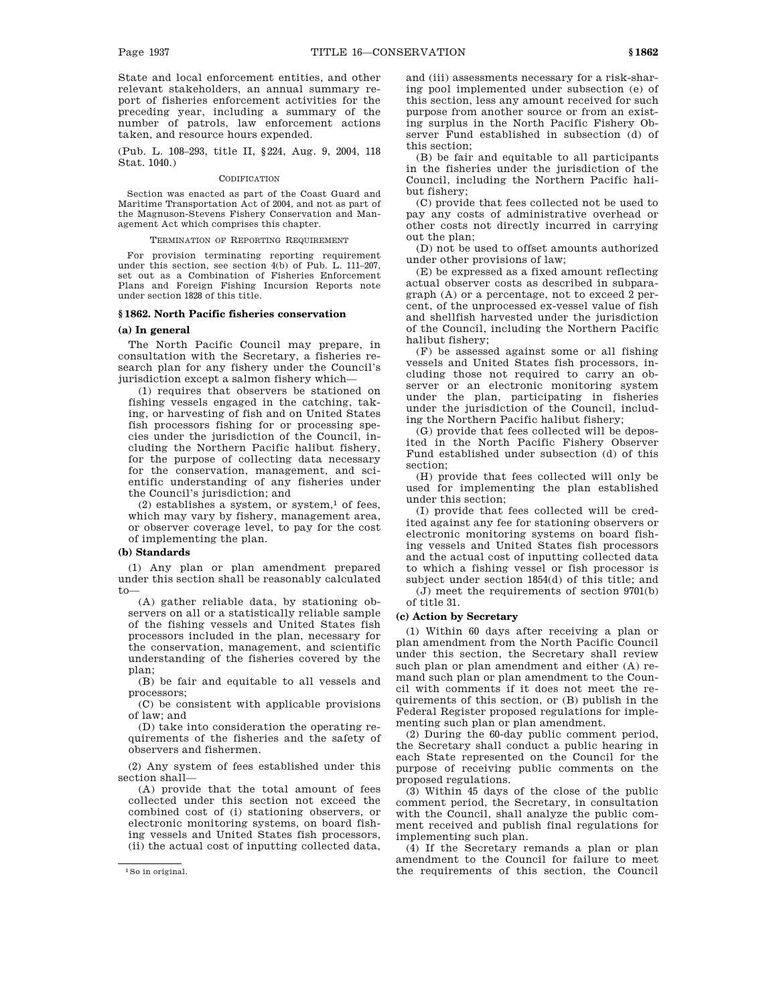State and local enforcement entities, and other relevant stakeholders, an annual summary report of fisheries enforcement activities for the preceding year, including a summary of the number of patrols, law enforcement actions taken, and resource hours expended.

(Pub. L. 108–293, title II, §224, Aug. 9, 2004, 118 Stat. 1040.)

### **CODIFICATION**

Section was enacted as part of the Coast Guard and Maritime Transportation Act of 2004, and not as part of the Magnuson-Stevens Fishery Conservation and Management Act which comprises this chapter.

#### TERMINATION OF REPORTING REQUIREMENT

For provision terminating reporting requirement under this section, see section 4(b) of Pub. L. 111–207, set out as a Combination of Fisheries Enforcement Plans and Foreign Fishing Incursion Reports note under section 1828 of this title.

# **§ 1862. North Pacific fisheries conservation**

### **(a) In general**

The North Pacific Council may prepare, in consultation with the Secretary, a fisheries research plan for any fishery under the Council's jurisdiction except a salmon fishery which—

(1) requires that observers be stationed on fishing vessels engaged in the catching, taking, or harvesting of fish and on United States fish processors fishing for or processing species under the jurisdiction of the Council, including the Northern Pacific halibut fishery, for the purpose of collecting data necessary for the conservation, management, and scientific understanding of any fisheries under the Council's jurisdiction; and

 $(2)$  establishes a system, or system,<sup>1</sup> of fees, which may vary by fishery, management area, or observer coverage level, to pay for the cost of implementing the plan.

### **(b) Standards**

(1) Any plan or plan amendment prepared under this section shall be reasonably calculated to—

(A) gather reliable data, by stationing observers on all or a statistically reliable sample of the fishing vessels and United States fish processors included in the plan, necessary for the conservation, management, and scientific understanding of the fisheries covered by the plan;

(B) be fair and equitable to all vessels and processors;

(C) be consistent with applicable provisions of law; and

(D) take into consideration the operating requirements of the fisheries and the safety of observers and fishermen.

(2) Any system of fees established under this section shall—

(A) provide that the total amount of fees collected under this section not exceed the combined cost of (i) stationing observers, or electronic monitoring systems, on board fishing vessels and United States fish processors, (ii) the actual cost of inputting collected data,

and (iii) assessments necessary for a risk-sharing pool implemented under subsection (e) of this section, less any amount received for such purpose from another source or from an existing surplus in the North Pacific Fishery Observer Fund established in subsection (d) of this section;

(B) be fair and equitable to all participants in the fisheries under the jurisdiction of the Council, including the Northern Pacific halibut fishery;

(C) provide that fees collected not be used to pay any costs of administrative overhead or other costs not directly incurred in carrying out the plan;

(D) not be used to offset amounts authorized under other provisions of law;

(E) be expressed as a fixed amount reflecting actual observer costs as described in subparagraph (A) or a percentage, not to exceed 2 percent, of the unprocessed ex-vessel value of fish and shellfish harvested under the jurisdiction of the Council, including the Northern Pacific halibut fishery;

(F) be assessed against some or all fishing vessels and United States fish processors, including those not required to carry an observer or an electronic monitoring system under the plan, participating in fisheries under the jurisdiction of the Council, including the Northern Pacific halibut fishery;

(G) provide that fees collected will be deposited in the North Pacific Fishery Observer Fund established under subsection (d) of this section;

(H) provide that fees collected will only be used for implementing the plan established under this section;

(I) provide that fees collected will be credited against any fee for stationing observers or electronic monitoring systems on board fishing vessels and United States fish processors and the actual cost of inputting collected data to which a fishing vessel or fish processor is subject under section 1854(d) of this title; and (J) meet the requirements of section 9701(b)

of title 31.

# **(c) Action by Secretary**

(1) Within 60 days after receiving a plan or plan amendment from the North Pacific Council under this section, the Secretary shall review such plan or plan amendment and either (A) remand such plan or plan amendment to the Council with comments if it does not meet the requirements of this section, or (B) publish in the Federal Register proposed regulations for implementing such plan or plan amendment.

(2) During the 60-day public comment period, the Secretary shall conduct a public hearing in each State represented on the Council for the purpose of receiving public comments on the proposed regulations.

(3) Within 45 days of the close of the public comment period, the Secretary, in consultation with the Council, shall analyze the public comment received and publish final regulations for implementing such plan.

(4) If the Secretary remands a plan or plan amendment to the Council for failure to meet the requirements of this section, the Council

<sup>1</sup>So in original.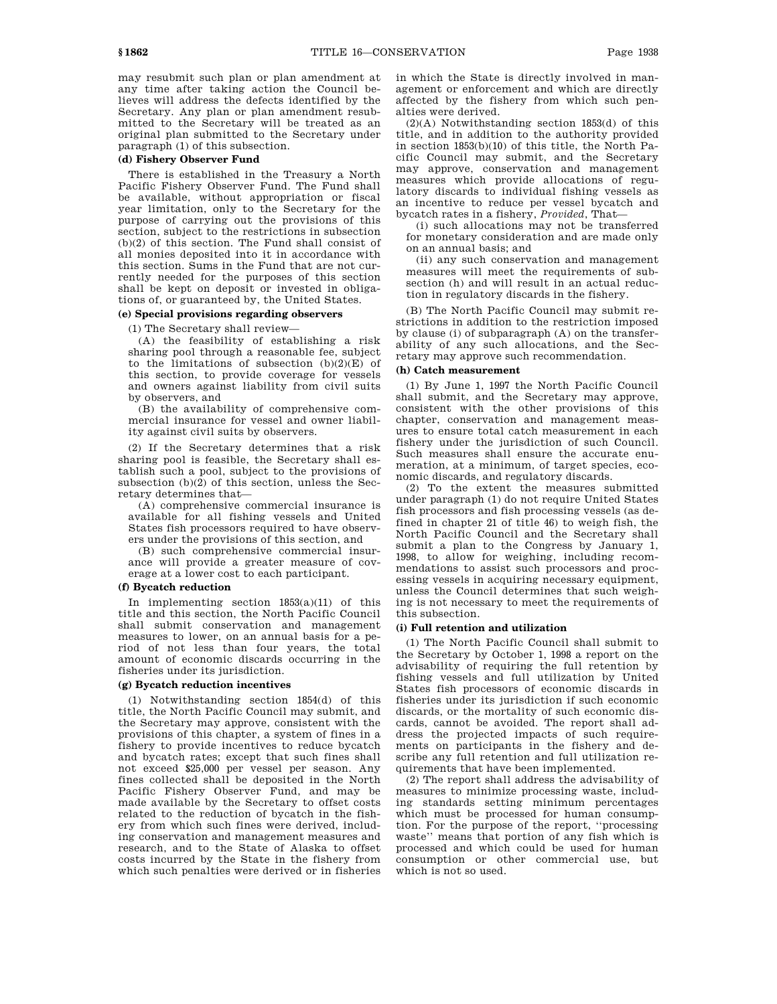may resubmit such plan or plan amendment at any time after taking action the Council believes will address the defects identified by the Secretary. Any plan or plan amendment resubmitted to the Secretary will be treated as an original plan submitted to the Secretary under paragraph (1) of this subsection.

# **(d) Fishery Observer Fund**

There is established in the Treasury a North Pacific Fishery Observer Fund. The Fund shall be available, without appropriation or fiscal year limitation, only to the Secretary for the purpose of carrying out the provisions of this section, subject to the restrictions in subsection (b)(2) of this section. The Fund shall consist of all monies deposited into it in accordance with this section. Sums in the Fund that are not currently needed for the purposes of this section shall be kept on deposit or invested in obligations of, or guaranteed by, the United States.

# **(e) Special provisions regarding observers**

(1) The Secretary shall review—

(A) the feasibility of establishing a risk sharing pool through a reasonable fee, subject to the limitations of subsection  $(b)(2)(E)$  of this section, to provide coverage for vessels and owners against liability from civil suits by observers, and

(B) the availability of comprehensive commercial insurance for vessel and owner liability against civil suits by observers.

(2) If the Secretary determines that a risk sharing pool is feasible, the Secretary shall establish such a pool, subject to the provisions of subsection (b)(2) of this section, unless the Secretary determines that—

(A) comprehensive commercial insurance is available for all fishing vessels and United States fish processors required to have observers under the provisions of this section, and

(B) such comprehensive commercial insurance will provide a greater measure of coverage at a lower cost to each participant.

### **(f) Bycatch reduction**

In implementing section  $1853(a)(11)$  of this title and this section, the North Pacific Council shall submit conservation and management measures to lower, on an annual basis for a period of not less than four years, the total amount of economic discards occurring in the fisheries under its jurisdiction.

# **(g) Bycatch reduction incentives**

(1) Notwithstanding section 1854(d) of this title, the North Pacific Council may submit, and the Secretary may approve, consistent with the provisions of this chapter, a system of fines in a fishery to provide incentives to reduce bycatch and bycatch rates; except that such fines shall not exceed \$25,000 per vessel per season. Any fines collected shall be deposited in the North Pacific Fishery Observer Fund, and may be made available by the Secretary to offset costs related to the reduction of bycatch in the fishery from which such fines were derived, including conservation and management measures and research, and to the State of Alaska to offset costs incurred by the State in the fishery from which such penalties were derived or in fisheries

in which the State is directly involved in management or enforcement and which are directly affected by the fishery from which such penalties were derived.

(2)(A) Notwithstanding section 1853(d) of this title, and in addition to the authority provided in section 1853(b)(10) of this title, the North Pacific Council may submit, and the Secretary may approve, conservation and management measures which provide allocations of regulatory discards to individual fishing vessels as an incentive to reduce per vessel bycatch and bycatch rates in a fishery, *Provided*, That—

(i) such allocations may not be transferred for monetary consideration and are made only on an annual basis; and

(ii) any such conservation and management measures will meet the requirements of subsection (h) and will result in an actual reduction in regulatory discards in the fishery.

(B) The North Pacific Council may submit restrictions in addition to the restriction imposed by clause (i) of subparagraph (A) on the transferability of any such allocations, and the Secretary may approve such recommendation.

# **(h) Catch measurement**

(1) By June 1, 1997 the North Pacific Council shall submit, and the Secretary may approve, consistent with the other provisions of this chapter, conservation and management measures to ensure total catch measurement in each fishery under the jurisdiction of such Council. Such measures shall ensure the accurate enumeration, at a minimum, of target species, economic discards, and regulatory discards.

(2) To the extent the measures submitted under paragraph (1) do not require United States fish processors and fish processing vessels (as defined in chapter 21 of title 46) to weigh fish, the North Pacific Council and the Secretary shall submit a plan to the Congress by January 1, 1998, to allow for weighing, including recommendations to assist such processors and processing vessels in acquiring necessary equipment, unless the Council determines that such weighing is not necessary to meet the requirements of this subsection.

### **(i) Full retention and utilization**

(1) The North Pacific Council shall submit to the Secretary by October 1, 1998 a report on the advisability of requiring the full retention by fishing vessels and full utilization by United States fish processors of economic discards in fisheries under its jurisdiction if such economic discards, or the mortality of such economic discards, cannot be avoided. The report shall address the projected impacts of such requirements on participants in the fishery and describe any full retention and full utilization requirements that have been implemented.

(2) The report shall address the advisability of measures to minimize processing waste, including standards setting minimum percentages which must be processed for human consumption. For the purpose of the report, ''processing waste'' means that portion of any fish which is processed and which could be used for human consumption or other commercial use, but which is not so used.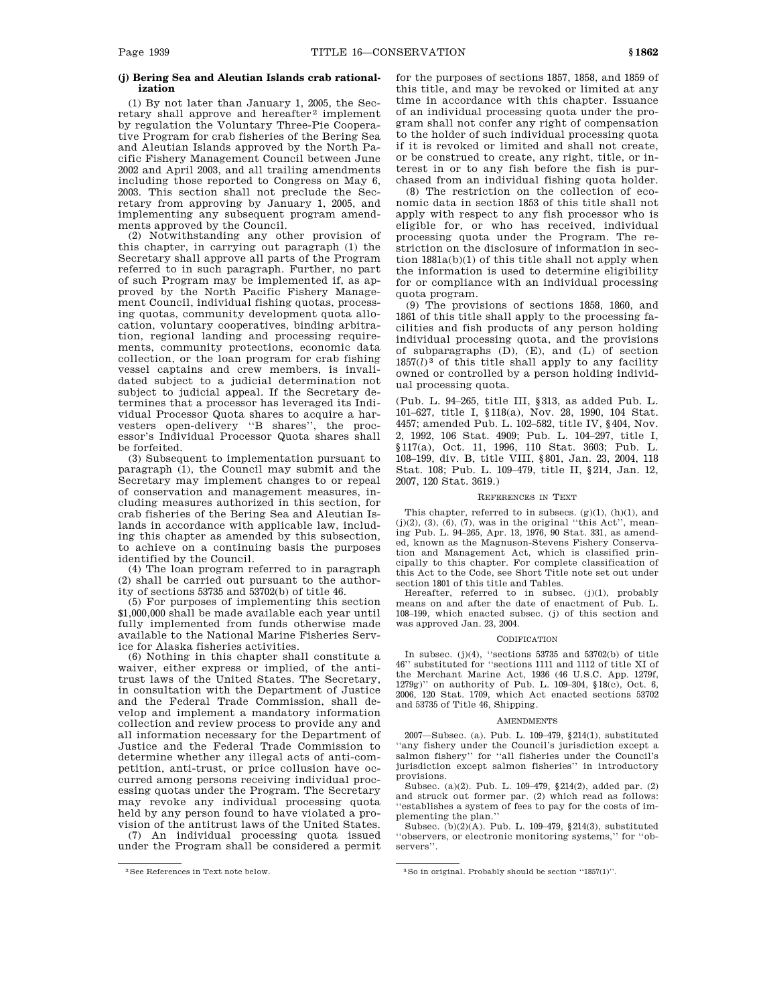# **(j) Bering Sea and Aleutian Islands crab rationalization**

(1) By not later than January 1, 2005, the Secretary shall approve and hereafter<sup>2</sup> implement by regulation the Voluntary Three-Pie Cooperative Program for crab fisheries of the Bering Sea and Aleutian Islands approved by the North Pacific Fishery Management Council between June 2002 and April 2003, and all trailing amendments including those reported to Congress on May 6, 2003. This section shall not preclude the Secretary from approving by January 1, 2005, and implementing any subsequent program amendments approved by the Council.

(2) Notwithstanding any other provision of this chapter, in carrying out paragraph (1) the Secretary shall approve all parts of the Program referred to in such paragraph. Further, no part of such Program may be implemented if, as approved by the North Pacific Fishery Management Council, individual fishing quotas, processing quotas, community development quota allocation, voluntary cooperatives, binding arbitration, regional landing and processing requirements, community protections, economic data collection, or the loan program for crab fishing vessel captains and crew members, is invalidated subject to a judicial determination not subject to judicial appeal. If the Secretary determines that a processor has leveraged its Individual Processor Quota shares to acquire a harvesters open-delivery ''B shares'', the processor's Individual Processor Quota shares shall be forfeited.

(3) Subsequent to implementation pursuant to paragraph (1), the Council may submit and the Secretary may implement changes to or repeal of conservation and management measures, including measures authorized in this section, for crab fisheries of the Bering Sea and Aleutian Islands in accordance with applicable law, including this chapter as amended by this subsection, to achieve on a continuing basis the purposes identified by the Council.

(4) The loan program referred to in paragraph (2) shall be carried out pursuant to the authority of sections 53735 and 53702(b) of title 46.

(5) For purposes of implementing this section \$1,000,000 shall be made available each year until fully implemented from funds otherwise made available to the National Marine Fisheries Service for Alaska fisheries activities.

(6) Nothing in this chapter shall constitute a waiver, either express or implied, of the antitrust laws of the United States. The Secretary, in consultation with the Department of Justice and the Federal Trade Commission, shall develop and implement a mandatory information collection and review process to provide any and all information necessary for the Department of Justice and the Federal Trade Commission to determine whether any illegal acts of anti-competition, anti-trust, or price collusion have occurred among persons receiving individual processing quotas under the Program. The Secretary may revoke any individual processing quota held by any person found to have violated a provision of the antitrust laws of the United States. (7) An individual processing quota issued under the Program shall be considered a permit for the purposes of sections 1857, 1858, and 1859 of this title, and may be revoked or limited at any time in accordance with this chapter. Issuance of an individual processing quota under the program shall not confer any right of compensation to the holder of such individual processing quota if it is revoked or limited and shall not create, or be construed to create, any right, title, or interest in or to any fish before the fish is purchased from an individual fishing quota holder.

(8) The restriction on the collection of economic data in section 1853 of this title shall not apply with respect to any fish processor who is eligible for, or who has received, individual processing quota under the Program. The restriction on the disclosure of information in section 1881a(b)(1) of this title shall not apply when the information is used to determine eligibility for or compliance with an individual processing quota program.

(9) The provisions of sections 1858, 1860, and 1861 of this title shall apply to the processing facilities and fish products of any person holding individual processing quota, and the provisions of subparagraphs (D), (E), and (L) of section  $1857(l)^3$  of this title shall apply to any facility owned or controlled by a person holding individual processing quota.

(Pub. L. 94–265, title III, §313, as added Pub. L. 101–627, title I, §118(a), Nov. 28, 1990, 104 Stat. 4457; amended Pub. L. 102–582, title IV, §404, Nov. 2, 1992, 106 Stat. 4909; Pub. L. 104–297, title I, §117(a), Oct. 11, 1996, 110 Stat. 3603; Pub. L. 108–199, div. B, title VIII, §801, Jan. 23, 2004, 118 Stat. 108; Pub. L. 109–479, title II, §214, Jan. 12, 2007, 120 Stat. 3619.)

#### REFERENCES IN TEXT

This chapter, referred to in subsecs.  $(g)(1)$ ,  $(h)(1)$ , and  $(j)(2)$ ,  $(3)$ ,  $(6)$ ,  $(7)$ , was in the original "this Act", meaning Pub. L. 94–265, Apr. 13, 1976, 90 Stat. 331, as amended, known as the Magnuson-Stevens Fishery Conservation and Management Act, which is classified principally to this chapter. For complete classification of this Act to the Code, see Short Title note set out under section 1801 of this title and Tables.

Hereafter, referred to in subsec. (i)(1), probably means on and after the date of enactment of Pub. L. 108–199, which enacted subsec. (j) of this section and was approved Jan. 23, 2004.

#### **CODIFICATION**

In subsec. (j)(4), "sections 53735 and 53702(b) of title 46'' substituted for ''sections 1111 and 1112 of title XI of the Merchant Marine Act, 1936 (46 U.S.C. App. 1279f, 1279g)'' on authority of Pub. L. 109–304, §18(c), Oct. 6, 2006, 120 Stat. 1709, which Act enacted sections 53702 and 53735 of Title 46, Shipping.

#### **AMENDMENTS**

2007—Subsec. (a). Pub. L. 109–479, §214(1), substituted ''any fishery under the Council's jurisdiction except a salmon fishery'' for ''all fisheries under the Council's jurisdiction except salmon fisheries'' in introductory provisions.

Subsec. (a)(2). Pub. L. 109–479, §214(2), added par. (2) and struck out former par. (2) which read as follows: ''establishes a system of fees to pay for the costs of implementing the plan.''

Subsec. (b)(2)(A). Pub. L. 109–479, §214(3), substituted ''observers, or electronic monitoring systems,'' for ''observers''.

<sup>&</sup>lt;sup>2</sup>See References in Text note below. <sup>3</sup>So in original. Probably should be section ''1857(1)'.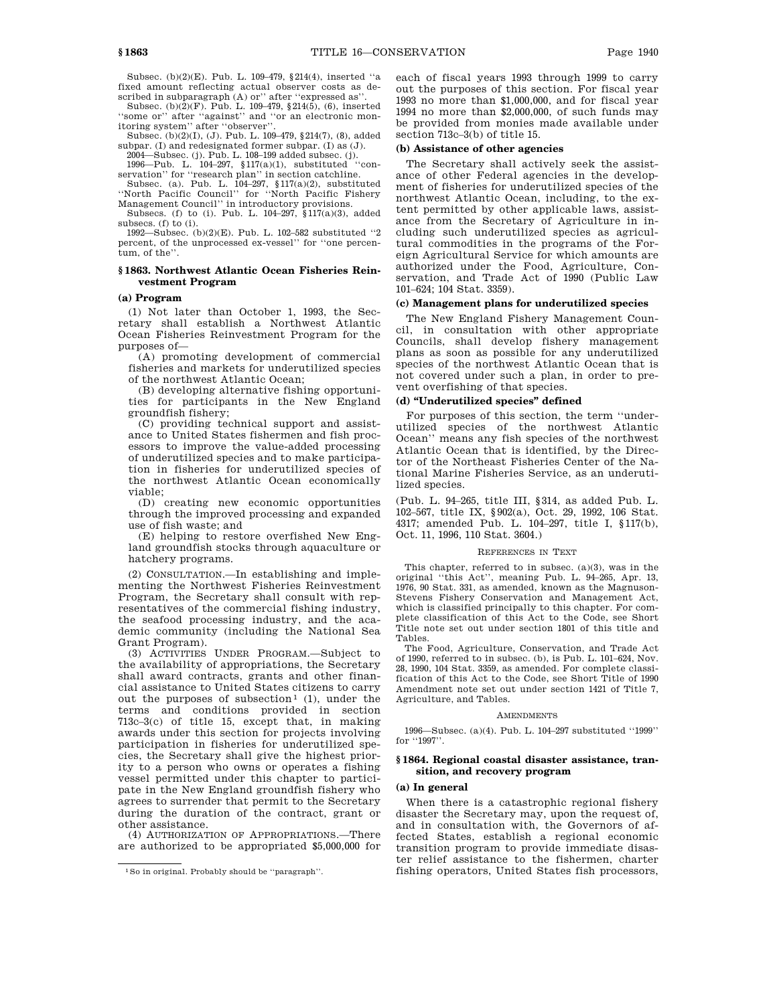Subsec. (b)(2)(E). Pub. L. 109–479, §214(4), inserted ''a fixed amount reflecting actual observer costs as described in subparagraph (A) or'' after ''expressed as''.

Subsec. (b) $(2)(F)$ . Pub. L. 109-479, §214(5), (6), inserted ''some or'' after ''against'' and ''or an electronic monitoring system'' after ''observer''.

Subsec. (b)(2)(I), (J). Pub. L. 109–479, §214(7), (8), added

subpar. (I) and redesignated former subpar. (I) as (J). 2004—Subsec. (j). Pub. L. 108–199 added subsec. (j). 1996—Pub. L. 104–297, §117(a)(1), substituted ''con-

servation" for "research plan" in section catchline. Subsec. (a). Pub. L. 104–297, §117(a)(2), substituted

''North Pacific Council'' for ''North Pacific Fishery Management Council'' in introductory provisions.

Subsecs. (f) to (i). Pub. L. 104–297, §117(a)(3), added subsecs. (f) to (i).

1992—Subsec. (b)(2)(E). Pub. L. 102–582 substituted ''2 percent, of the unprocessed ex-vessel'' for ''one percentum, of the''.

# **§ 1863. Northwest Atlantic Ocean Fisheries Reinvestment Program**

# **(a) Program**

(1) Not later than October 1, 1993, the Secretary shall establish a Northwest Atlantic Ocean Fisheries Reinvestment Program for the purposes of—

(A) promoting development of commercial fisheries and markets for underutilized species of the northwest Atlantic Ocean;

(B) developing alternative fishing opportunities for participants in the New England groundfish fishery;

(C) providing technical support and assistance to United States fishermen and fish processors to improve the value-added processing of underutilized species and to make participation in fisheries for underutilized species of the northwest Atlantic Ocean economically viable;

(D) creating new economic opportunities through the improved processing and expanded use of fish waste; and

(E) helping to restore overfished New England groundfish stocks through aquaculture or hatchery programs.

(2) CONSULTATION.—In establishing and implementing the Northwest Fisheries Reinvestment Program, the Secretary shall consult with representatives of the commercial fishing industry, the seafood processing industry, and the academic community (including the National Sea Grant Program).

(3) ACTIVITIES UNDER PROGRAM.—Subject to the availability of appropriations, the Secretary shall award contracts, grants and other financial assistance to United States citizens to carry out the purposes of subsection<sup>1</sup> (1), under the terms and conditions provided in section 713c–3(c) of title 15, except that, in making awards under this section for projects involving participation in fisheries for underutilized species, the Secretary shall give the highest priority to a person who owns or operates a fishing vessel permitted under this chapter to participate in the New England groundfish fishery who agrees to surrender that permit to the Secretary during the duration of the contract, grant or other assistance.

(4) AUTHORIZATION OF APPROPRIATIONS.—There are authorized to be appropriated \$5,000,000 for each of fiscal years 1993 through 1999 to carry out the purposes of this section. For fiscal year 1993 no more than \$1,000,000, and for fiscal year 1994 no more than \$2,000,000, of such funds may be provided from monies made available under section 713c–3(b) of title 15.

# **(b) Assistance of other agencies**

The Secretary shall actively seek the assistance of other Federal agencies in the development of fisheries for underutilized species of the northwest Atlantic Ocean, including, to the extent permitted by other applicable laws, assistance from the Secretary of Agriculture in including such underutilized species as agricultural commodities in the programs of the Foreign Agricultural Service for which amounts are authorized under the Food, Agriculture, Conservation, and Trade Act of 1990 (Public Law 101–624; 104 Stat. 3359).

# **(c) Management plans for underutilized species**

The New England Fishery Management Council, in consultation with other appropriate Councils, shall develop fishery management plans as soon as possible for any underutilized species of the northwest Atlantic Ocean that is not covered under such a plan, in order to prevent overfishing of that species.

# **(d) ''Underutilized species'' defined**

For purposes of this section, the term ''underutilized species of the northwest Atlantic Ocean'' means any fish species of the northwest Atlantic Ocean that is identified, by the Director of the Northeast Fisheries Center of the National Marine Fisheries Service, as an underutilized species.

(Pub. L. 94–265, title III, §314, as added Pub. L. 102–567, title IX, §902(a), Oct. 29, 1992, 106 Stat. 4317; amended Pub. L. 104–297, title I, §117(b), Oct. 11, 1996, 110 Stat. 3604.)

#### REFERENCES IN TEXT

This chapter, referred to in subsec. (a)(3), was in the original ''this Act'', meaning Pub. L. 94–265, Apr. 13, 1976, 90 Stat. 331, as amended, known as the Magnuson-Stevens Fishery Conservation and Management Act, which is classified principally to this chapter. For complete classification of this Act to the Code, see Short Title note set out under section 1801 of this title and Tables.

The Food, Agriculture, Conservation, and Trade Act of 1990, referred to in subsec. (b), is Pub. L. 101–624, Nov. 28, 1990, 104 Stat. 3359, as amended. For complete classification of this Act to the Code, see Short Title of 1990 Amendment note set out under section 1421 of Title 7, Agriculture, and Tables.

#### **AMENDMENTS**

1996—Subsec. (a)(4). Pub. L. 104–297 substituted ''1999'' for ''1997''.

# **§ 1864. Regional coastal disaster assistance, transition, and recovery program**

# **(a) In general**

When there is a catastrophic regional fishery disaster the Secretary may, upon the request of, and in consultation with, the Governors of affected States, establish a regional economic transition program to provide immediate disaster relief assistance to the fishermen, charter fishing operators, United States fish processors,

<sup>1</sup>So in original. Probably should be ''paragraph''.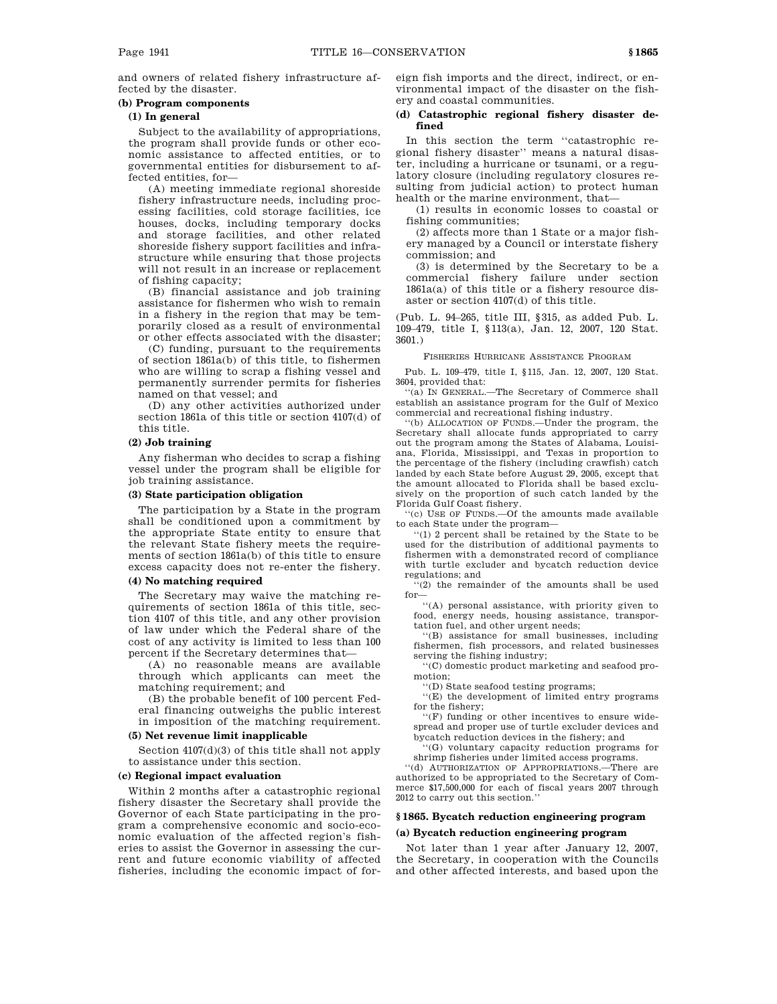and owners of related fishery infrastructure affected by the disaster.

# **(b) Program components**

# **(1) In general**

Subject to the availability of appropriations, the program shall provide funds or other economic assistance to affected entities, or to governmental entities for disbursement to affected entities, for—

(A) meeting immediate regional shoreside fishery infrastructure needs, including processing facilities, cold storage facilities, ice houses, docks, including temporary docks and storage facilities, and other related shoreside fishery support facilities and infrastructure while ensuring that those projects will not result in an increase or replacement of fishing capacity;

(B) financial assistance and job training assistance for fishermen who wish to remain in a fishery in the region that may be temporarily closed as a result of environmental or other effects associated with the disaster;

(C) funding, pursuant to the requirements of section 1861a(b) of this title, to fishermen who are willing to scrap a fishing vessel and permanently surrender permits for fisheries named on that vessel; and

(D) any other activities authorized under section 1861a of this title or section 4107(d) of this title.

# **(2) Job training**

Any fisherman who decides to scrap a fishing vessel under the program shall be eligible for job training assistance.

# **(3) State participation obligation**

The participation by a State in the program shall be conditioned upon a commitment by the appropriate State entity to ensure that the relevant State fishery meets the requirements of section 1861a(b) of this title to ensure excess capacity does not re-enter the fishery.

### **(4) No matching required**

The Secretary may waive the matching requirements of section 1861a of this title, section 4107 of this title, and any other provision of law under which the Federal share of the cost of any activity is limited to less than 100 percent if the Secretary determines that—

(A) no reasonable means are available through which applicants can meet the matching requirement; and

(B) the probable benefit of 100 percent Federal financing outweighs the public interest in imposition of the matching requirement.

# **(5) Net revenue limit inapplicable**

Section 4107(d)(3) of this title shall not apply to assistance under this section.

### **(c) Regional impact evaluation**

Within 2 months after a catastrophic regional fishery disaster the Secretary shall provide the Governor of each State participating in the program a comprehensive economic and socio-economic evaluation of the affected region's fisheries to assist the Governor in assessing the current and future economic viability of affected fisheries, including the economic impact of foreign fish imports and the direct, indirect, or environmental impact of the disaster on the fishery and coastal communities.

### **(d) Catastrophic regional fishery disaster defined**

In this section the term ''catastrophic regional fishery disaster'' means a natural disaster, including a hurricane or tsunami, or a regulatory closure (including regulatory closures resulting from judicial action) to protect human health or the marine environment, that—

(1) results in economic losses to coastal or fishing communities;

(2) affects more than 1 State or a major fishery managed by a Council or interstate fishery commission; and

(3) is determined by the Secretary to be a commercial fishery failure under section 1861a(a) of this title or a fishery resource disaster or section 4107(d) of this title.

(Pub. L. 94–265, title III, §315, as added Pub. L. 109–479, title I, §113(a), Jan. 12, 2007, 120 Stat. 3601.)

### FISHERIES HURRICANE ASSISTANCE PROGRAM

Pub. L. 109–479, title I, §115, Jan. 12, 2007, 120 Stat. 3604, provided that:

''(a) IN GENERAL.—The Secretary of Commerce shall establish an assistance program for the Gulf of Mexico commercial and recreational fishing industry.

''(b) ALLOCATION OF FUNDS.—Under the program, the Secretary shall allocate funds appropriated to carry out the program among the States of Alabama, Louisiana, Florida, Mississippi, and Texas in proportion to the percentage of the fishery (including crawfish) catch landed by each State before August 29, 2005, except that the amount allocated to Florida shall be based exclusively on the proportion of such catch landed by the Florida Gulf Coast fishery.

''(c) USE OF FUNDS.—Of the amounts made available to each State under the program—

''(1) 2 percent shall be retained by the State to be used for the distribution of additional payments to fishermen with a demonstrated record of compliance with turtle excluder and bycatch reduction device regulations; and

''(2) the remainder of the amounts shall be used for—

''(A) personal assistance, with priority given to food, energy needs, housing assistance, transportation fuel, and other urgent needs;

''(B) assistance for small businesses, including fishermen, fish processors, and related businesses serving the fishing industry;

''(C) domestic product marketing and seafood promotion;

''(D) State seafood testing programs;

''(E) the development of limited entry programs for the fishery;

''(F) funding or other incentives to ensure widespread and proper use of turtle excluder devices and bycatch reduction devices in the fishery; and

''(G) voluntary capacity reduction programs for shrimp fisheries under limited access programs.

''(d) AUTHORIZATION OF APPROPRIATIONS.—There are authorized to be appropriated to the Secretary of Com-

merce \$17,500,000 for each of fiscal years 2007 through 2012 to carry out this section.''

# **§ 1865. Bycatch reduction engineering program**

#### **(a) Bycatch reduction engineering program**

Not later than 1 year after January 12, 2007, the Secretary, in cooperation with the Councils and other affected interests, and based upon the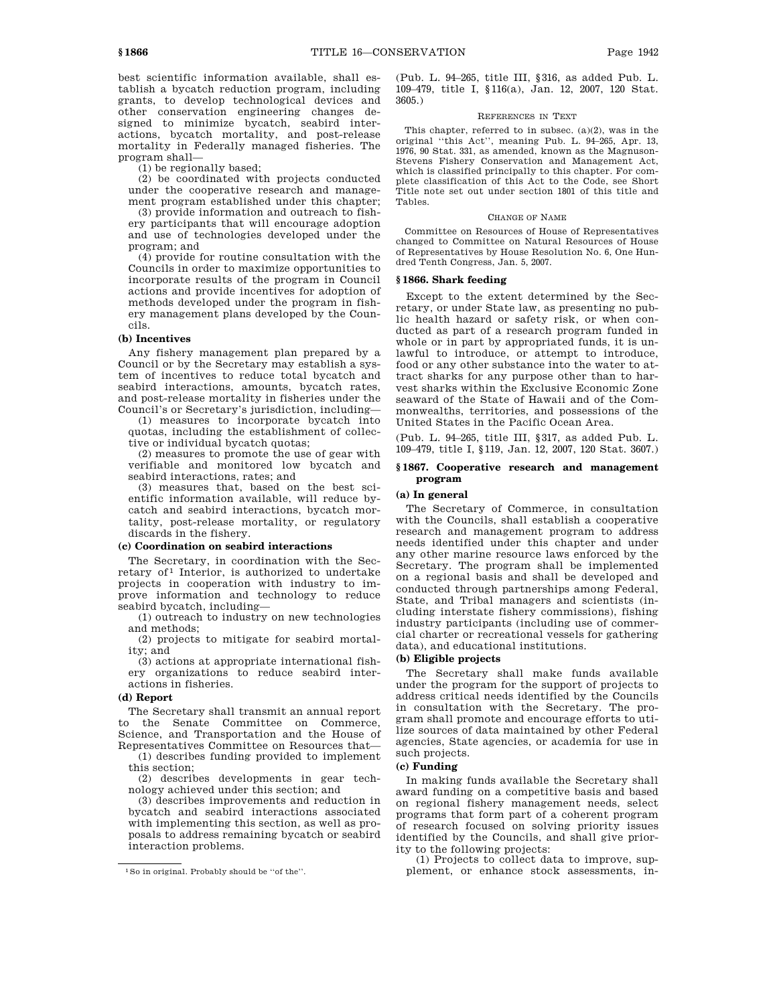best scientific information available, shall establish a bycatch reduction program, including grants, to develop technological devices and other conservation engineering changes designed to minimize bycatch, seabird interactions, bycatch mortality, and post-release mortality in Federally managed fisheries. The program shall—

(1) be regionally based;

(2) be coordinated with projects conducted under the cooperative research and management program established under this chapter;

(3) provide information and outreach to fishery participants that will encourage adoption and use of technologies developed under the program; and

(4) provide for routine consultation with the Councils in order to maximize opportunities to incorporate results of the program in Council actions and provide incentives for adoption of methods developed under the program in fishery management plans developed by the Councils.

### **(b) Incentives**

Any fishery management plan prepared by a Council or by the Secretary may establish a system of incentives to reduce total bycatch and seabird interactions, amounts, bycatch rates, and post-release mortality in fisheries under the Council's or Secretary's jurisdiction, including—

(1) measures to incorporate bycatch into quotas, including the establishment of collective or individual bycatch quotas;

(2) measures to promote the use of gear with verifiable and monitored low bycatch and seabird interactions, rates; and

(3) measures that, based on the best scientific information available, will reduce bycatch and seabird interactions, bycatch mortality, post-release mortality, or regulatory discards in the fishery.

### **(c) Coordination on seabird interactions**

The Secretary, in coordination with the Secretary of<sup>1</sup> Interior, is authorized to undertake projects in cooperation with industry to improve information and technology to reduce seabird bycatch, including—

(1) outreach to industry on new technologies and methods;

(2) projects to mitigate for seabird mortality; and

(3) actions at appropriate international fishery organizations to reduce seabird interactions in fisheries.

### **(d) Report**

The Secretary shall transmit an annual report to the Senate Committee on Commerce, Science, and Transportation and the House of Representatives Committee on Resources that—

(1) describes funding provided to implement this section;

(2) describes developments in gear technology achieved under this section; and

(3) describes improvements and reduction in bycatch and seabird interactions associated with implementing this section, as well as proposals to address remaining bycatch or seabird interaction problems.

(Pub. L. 94–265, title III, §316, as added Pub. L. 109–479, title I, §116(a), Jan. 12, 2007, 120 Stat. 3605.)

# REFERENCES IN TEXT

This chapter, referred to in subsec. (a)(2), was in the original ''this Act'', meaning Pub. L. 94–265, Apr. 13, 1976, 90 Stat. 331, as amended, known as the Magnuson-Stevens Fishery Conservation and Management Act, which is classified principally to this chapter. For complete classification of this Act to the Code, see Short Title note set out under section 1801 of this title and Tables.

### CHANGE OF NAME

Committee on Resources of House of Representatives changed to Committee on Natural Resources of House of Representatives by House Resolution No. 6, One Hundred Tenth Congress, Jan. 5, 2007.

### **§ 1866. Shark feeding**

Except to the extent determined by the Secretary, or under State law, as presenting no public health hazard or safety risk, or when conducted as part of a research program funded in whole or in part by appropriated funds, it is unlawful to introduce, or attempt to introduce, food or any other substance into the water to attract sharks for any purpose other than to harvest sharks within the Exclusive Economic Zone seaward of the State of Hawaii and of the Commonwealths, territories, and possessions of the United States in the Pacific Ocean Area.

(Pub. L. 94–265, title III, §317, as added Pub. L. 109–479, title I, §119, Jan. 12, 2007, 120 Stat. 3607.)

### **§ 1867. Cooperative research and management program**

### **(a) In general**

The Secretary of Commerce, in consultation with the Councils, shall establish a cooperative research and management program to address needs identified under this chapter and under any other marine resource laws enforced by the Secretary. The program shall be implemented on a regional basis and shall be developed and conducted through partnerships among Federal, State, and Tribal managers and scientists (including interstate fishery commissions), fishing industry participants (including use of commercial charter or recreational vessels for gathering data), and educational institutions.

#### **(b) Eligible projects**

The Secretary shall make funds available under the program for the support of projects to address critical needs identified by the Councils in consultation with the Secretary. The program shall promote and encourage efforts to utilize sources of data maintained by other Federal agencies, State agencies, or academia for use in such projects.

# **(c) Funding**

In making funds available the Secretary shall award funding on a competitive basis and based on regional fishery management needs, select programs that form part of a coherent program of research focused on solving priority issues identified by the Councils, and shall give priority to the following projects:

(1) Projects to collect data to improve, supplement, or enhance stock assessments, in-

<sup>1</sup>So in original. Probably should be ''of the''.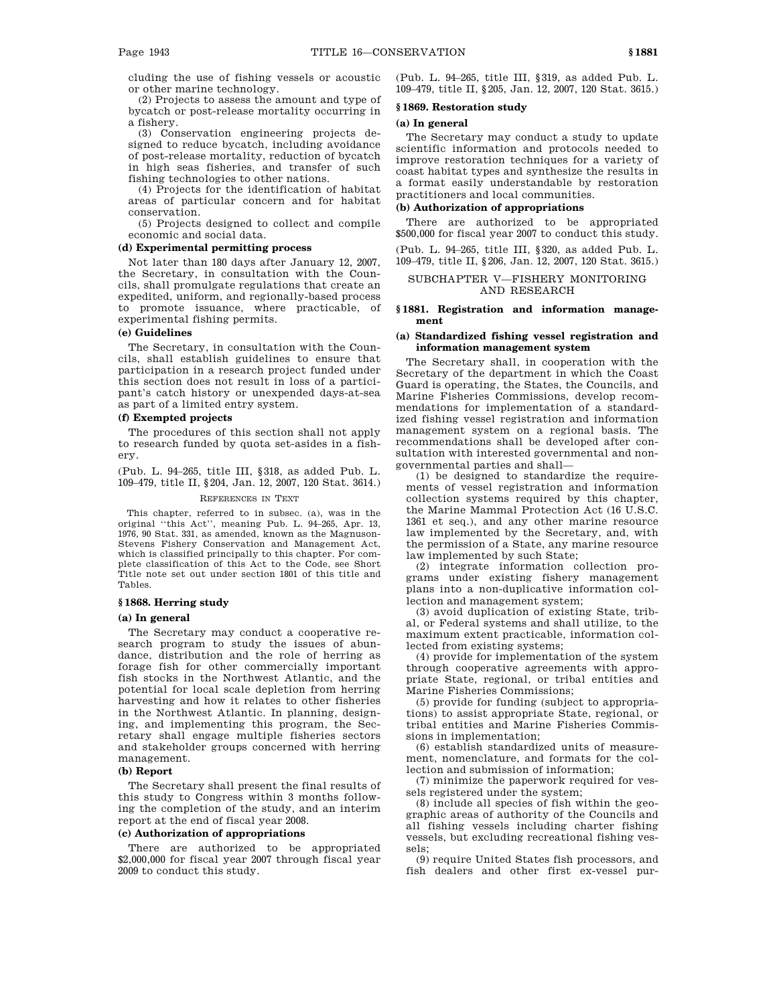cluding the use of fishing vessels or acoustic or other marine technology.

(2) Projects to assess the amount and type of bycatch or post-release mortality occurring in a fishery.

(3) Conservation engineering projects designed to reduce bycatch, including avoidance of post-release mortality, reduction of bycatch in high seas fisheries, and transfer of such fishing technologies to other nations.

(4) Projects for the identification of habitat areas of particular concern and for habitat conservation.

(5) Projects designed to collect and compile economic and social data.

# **(d) Experimental permitting process**

Not later than 180 days after January 12, 2007, the Secretary, in consultation with the Councils, shall promulgate regulations that create an expedited, uniform, and regionally-based process to promote issuance, where practicable, of experimental fishing permits.

# **(e) Guidelines**

The Secretary, in consultation with the Councils, shall establish guidelines to ensure that participation in a research project funded under this section does not result in loss of a participant's catch history or unexpended days-at-sea as part of a limited entry system.

### **(f) Exempted projects**

The procedures of this section shall not apply to research funded by quota set-asides in a fishery.

(Pub. L. 94–265, title III, §318, as added Pub. L. 109–479, title II, §204, Jan. 12, 2007, 120 Stat. 3614.)

# REFERENCES IN TEXT

This chapter, referred to in subsec. (a), was in the original ''this Act'', meaning Pub. L. 94–265, Apr. 13, 1976, 90 Stat. 331, as amended, known as the Magnuson-Stevens Fishery Conservation and Management Act, which is classified principally to this chapter. For complete classification of this Act to the Code, see Short Title note set out under section 1801 of this title and Tables.

# **§ 1868. Herring study**

# **(a) In general**

The Secretary may conduct a cooperative research program to study the issues of abundance, distribution and the role of herring as forage fish for other commercially important fish stocks in the Northwest Atlantic, and the potential for local scale depletion from herring harvesting and how it relates to other fisheries in the Northwest Atlantic. In planning, designing, and implementing this program, the Secretary shall engage multiple fisheries sectors and stakeholder groups concerned with herring management.

# **(b) Report**

The Secretary shall present the final results of this study to Congress within 3 months following the completion of the study, and an interim report at the end of fiscal year 2008.

# **(c) Authorization of appropriations**

There are authorized to be appropriated \$2,000,000 for fiscal year 2007 through fiscal year 2009 to conduct this study.

(Pub. L. 94–265, title III, §319, as added Pub. L. 109–479, title II, §205, Jan. 12, 2007, 120 Stat. 3615.)

#### **§ 1869. Restoration study**

# **(a) In general**

The Secretary may conduct a study to update scientific information and protocols needed to improve restoration techniques for a variety of coast habitat types and synthesize the results in a format easily understandable by restoration practitioners and local communities.

# **(b) Authorization of appropriations**

There are authorized to be appropriated \$500,000 for fiscal year 2007 to conduct this study. (Pub. L. 94–265, title III, §320, as added Pub. L.

109–479, title II, §206, Jan. 12, 2007, 120 Stat. 3615.)

# SUBCHAPTER V—FISHERY MONITORING AND RESEARCH

### **§ 1881. Registration and information management**

# **(a) Standardized fishing vessel registration and information management system**

The Secretary shall, in cooperation with the Secretary of the department in which the Coast Guard is operating, the States, the Councils, and Marine Fisheries Commissions, develop recommendations for implementation of a standardized fishing vessel registration and information management system on a regional basis. The recommendations shall be developed after consultation with interested governmental and nongovernmental parties and shall—

(1) be designed to standardize the requirements of vessel registration and information collection systems required by this chapter, the Marine Mammal Protection Act (16 U.S.C. 1361 et seq.), and any other marine resource law implemented by the Secretary, and, with the permission of a State, any marine resource law implemented by such State;

(2) integrate information collection programs under existing fishery management plans into a non-duplicative information collection and management system;

(3) avoid duplication of existing State, tribal, or Federal systems and shall utilize, to the maximum extent practicable, information collected from existing systems;

(4) provide for implementation of the system through cooperative agreements with appropriate State, regional, or tribal entities and Marine Fisheries Commissions;

(5) provide for funding (subject to appropriations) to assist appropriate State, regional, or tribal entities and Marine Fisheries Commissions in implementation;

(6) establish standardized units of measurement, nomenclature, and formats for the collection and submission of information;

(7) minimize the paperwork required for vessels registered under the system;

(8) include all species of fish within the geographic areas of authority of the Councils and all fishing vessels including charter fishing vessels, but excluding recreational fishing vessels;

(9) require United States fish processors, and fish dealers and other first ex-vessel pur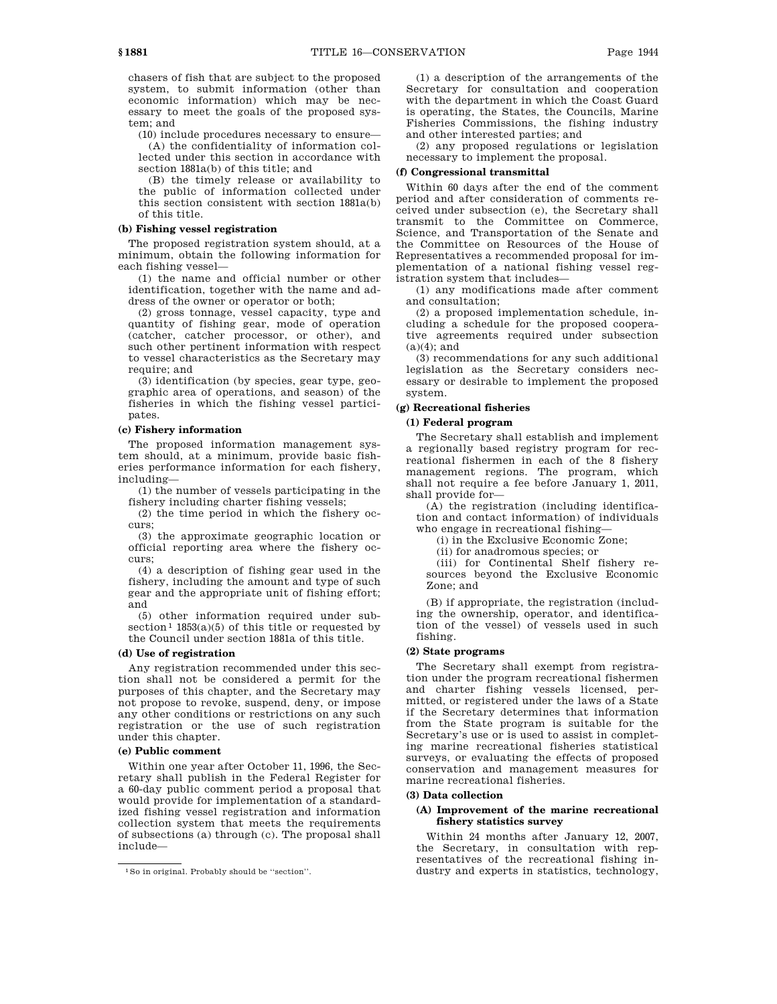chasers of fish that are subject to the proposed system, to submit information (other than economic information) which may be necessary to meet the goals of the proposed system; and

(10) include procedures necessary to ensure—

(A) the confidentiality of information collected under this section in accordance with section 1881a(b) of this title; and

(B) the timely release or availability to the public of information collected under this section consistent with section 1881a(b) of this title.

# **(b) Fishing vessel registration**

The proposed registration system should, at a minimum, obtain the following information for each fishing vessel—

(1) the name and official number or other identification, together with the name and address of the owner or operator or both;

(2) gross tonnage, vessel capacity, type and quantity of fishing gear, mode of operation (catcher, catcher processor, or other), and such other pertinent information with respect to vessel characteristics as the Secretary may require; and

(3) identification (by species, gear type, geographic area of operations, and season) of the fisheries in which the fishing vessel participates.

# **(c) Fishery information**

The proposed information management system should, at a minimum, provide basic fisheries performance information for each fishery, including—

(1) the number of vessels participating in the fishery including charter fishing vessels;

(2) the time period in which the fishery occurs;

(3) the approximate geographic location or official reporting area where the fishery occurs;

(4) a description of fishing gear used in the fishery, including the amount and type of such gear and the appropriate unit of fishing effort; and

(5) other information required under subsection<sup>1</sup> 1853(a)(5) of this title or requested by the Council under section 1881a of this title.

# **(d) Use of registration**

Any registration recommended under this section shall not be considered a permit for the purposes of this chapter, and the Secretary may not propose to revoke, suspend, deny, or impose any other conditions or restrictions on any such registration or the use of such registration under this chapter.

# **(e) Public comment**

Within one year after October 11, 1996, the Secretary shall publish in the Federal Register for a 60-day public comment period a proposal that would provide for implementation of a standardized fishing vessel registration and information collection system that meets the requirements of subsections (a) through (c). The proposal shall include—

(1) a description of the arrangements of the Secretary for consultation and cooperation with the department in which the Coast Guard is operating, the States, the Councils, Marine Fisheries Commissions, the fishing industry and other interested parties; and

(2) any proposed regulations or legislation necessary to implement the proposal.

### **(f) Congressional transmittal**

Within 60 days after the end of the comment period and after consideration of comments received under subsection (e), the Secretary shall transmit to the Committee on Commerce, Science, and Transportation of the Senate and the Committee on Resources of the House of Representatives a recommended proposal for implementation of a national fishing vessel registration system that includes—

(1) any modifications made after comment and consultation;

(2) a proposed implementation schedule, including a schedule for the proposed cooperative agreements required under subsection  $(a)(4)$ ; and

(3) recommendations for any such additional legislation as the Secretary considers necessary or desirable to implement the proposed system.

# **(g) Recreational fisheries**

# **(1) Federal program**

The Secretary shall establish and implement a regionally based registry program for recreational fishermen in each of the 8 fishery management regions. The program, which shall not require a fee before January 1, 2011, shall provide for—

(A) the registration (including identification and contact information) of individuals who engage in recreational fishing—

(i) in the Exclusive Economic Zone;

(ii) for anadromous species; or

(iii) for Continental Shelf fishery resources beyond the Exclusive Economic

Zone; and (B) if appropriate, the registration (includ-

ing the ownership, operator, and identification of the vessel) of vessels used in such fishing.

# **(2) State programs**

The Secretary shall exempt from registration under the program recreational fishermen and charter fishing vessels licensed, permitted, or registered under the laws of a State if the Secretary determines that information from the State program is suitable for the Secretary's use or is used to assist in completing marine recreational fisheries statistical surveys, or evaluating the effects of proposed conservation and management measures for marine recreational fisheries.

# **(3) Data collection**

# **(A) Improvement of the marine recreational fishery statistics survey**

Within 24 months after January 12, 2007, the Secretary, in consultation with representatives of the recreational fishing industry and experts in statistics, technology,

<sup>1</sup>So in original. Probably should be ''section''.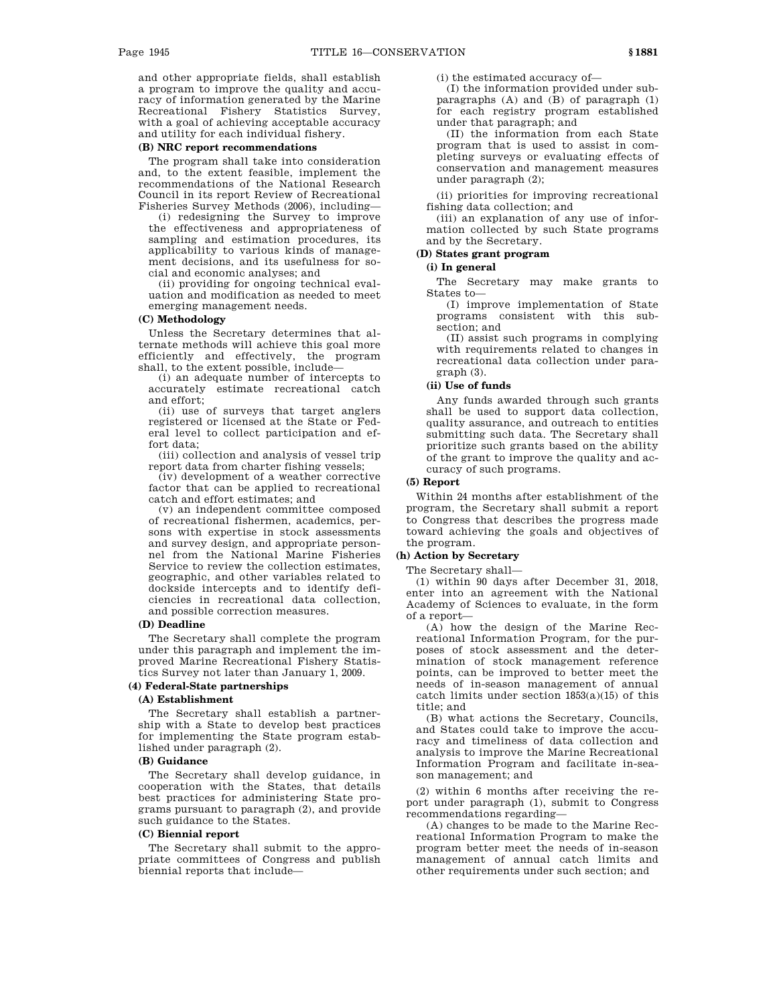and other appropriate fields, shall establish a program to improve the quality and accuracy of information generated by the Marine Recreational Fishery Statistics Survey, with a goal of achieving acceptable accuracy and utility for each individual fishery.

# **(B) NRC report recommendations**

The program shall take into consideration and, to the extent feasible, implement the recommendations of the National Research Council in its report Review of Recreational Fisheries Survey Methods (2006), including—

(i) redesigning the Survey to improve the effectiveness and appropriateness of sampling and estimation procedures, its applicability to various kinds of management decisions, and its usefulness for social and economic analyses; and

(ii) providing for ongoing technical evaluation and modification as needed to meet emerging management needs.

# **(C) Methodology**

Unless the Secretary determines that alternate methods will achieve this goal more efficiently and effectively, the program shall, to the extent possible, include—

(i) an adequate number of intercepts to accurately estimate recreational catch and effort;

(ii) use of surveys that target anglers registered or licensed at the State or Federal level to collect participation and effort data;

(iii) collection and analysis of vessel trip report data from charter fishing vessels;

(iv) development of a weather corrective factor that can be applied to recreational catch and effort estimates; and

(v) an independent committee composed of recreational fishermen, academics, persons with expertise in stock assessments and survey design, and appropriate personnel from the National Marine Fisheries Service to review the collection estimates, geographic, and other variables related to dockside intercepts and to identify deficiencies in recreational data collection, and possible correction measures.

# **(D) Deadline**

The Secretary shall complete the program under this paragraph and implement the improved Marine Recreational Fishery Statistics Survey not later than January 1, 2009.

# **(4) Federal-State partnerships**

# **(A) Establishment**

The Secretary shall establish a partnership with a State to develop best practices for implementing the State program established under paragraph (2).

# **(B) Guidance**

The Secretary shall develop guidance, in cooperation with the States, that details best practices for administering State programs pursuant to paragraph (2), and provide such guidance to the States.

# **(C) Biennial report**

The Secretary shall submit to the appropriate committees of Congress and publish biennial reports that include(i) the estimated accuracy of—

(I) the information provided under subparagraphs (A) and (B) of paragraph (1) for each registry program established under that paragraph; and

(II) the information from each State program that is used to assist in completing surveys or evaluating effects of conservation and management measures under paragraph (2);

(ii) priorities for improving recreational fishing data collection; and

(iii) an explanation of any use of information collected by such State programs and by the Secretary.

# **(D) States grant program**

# **(i) In general**

The Secretary may make grants to States to—

(I) improve implementation of State programs consistent with this subsection; and

(II) assist such programs in complying with requirements related to changes in recreational data collection under paragraph (3).

# **(ii) Use of funds**

Any funds awarded through such grants shall be used to support data collection, quality assurance, and outreach to entities submitting such data. The Secretary shall prioritize such grants based on the ability of the grant to improve the quality and accuracy of such programs.

# **(5) Report**

Within 24 months after establishment of the program, the Secretary shall submit a report to Congress that describes the progress made toward achieving the goals and objectives of the program.

# **(h) Action by Secretary**

The Secretary shall—

(1) within 90 days after December 31, 2018, enter into an agreement with the National Academy of Sciences to evaluate, in the form of a report—

(A) how the design of the Marine Recreational Information Program, for the purposes of stock assessment and the determination of stock management reference points, can be improved to better meet the needs of in-season management of annual catch limits under section 1853(a)(15) of this title; and

(B) what actions the Secretary, Councils, and States could take to improve the accuracy and timeliness of data collection and analysis to improve the Marine Recreational Information Program and facilitate in-season management; and

(2) within 6 months after receiving the report under paragraph (1), submit to Congress recommendations regarding—

(A) changes to be made to the Marine Recreational Information Program to make the program better meet the needs of in-season management of annual catch limits and other requirements under such section; and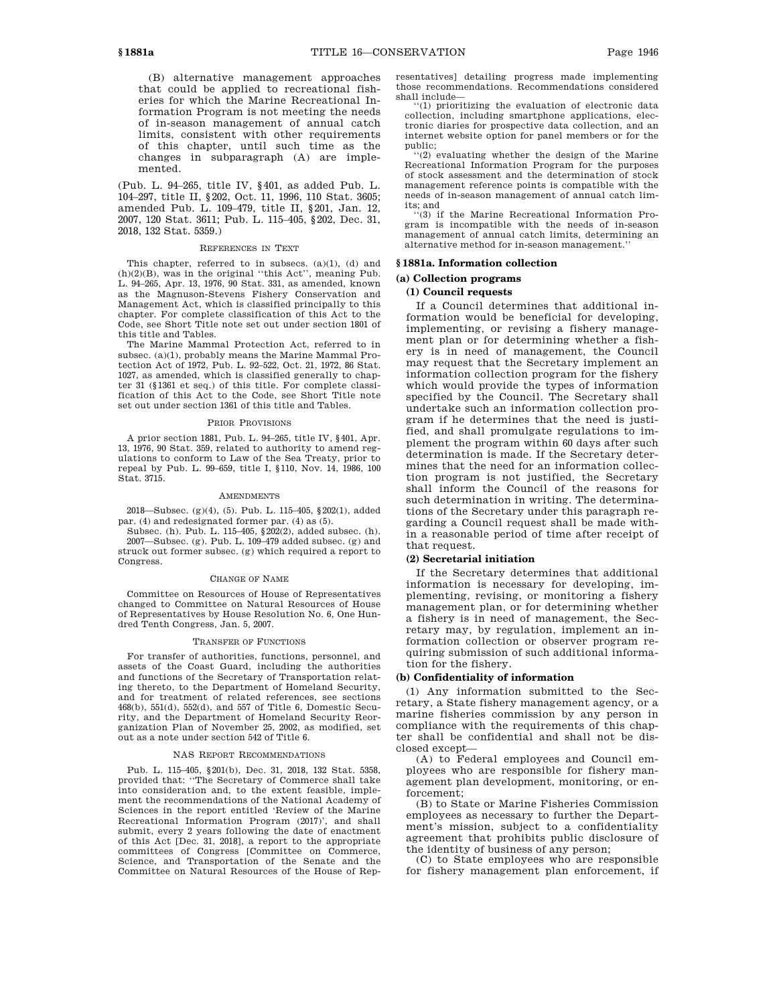(B) alternative management approaches that could be applied to recreational fisheries for which the Marine Recreational Information Program is not meeting the needs of in-season management of annual catch limits, consistent with other requirements of this chapter, until such time as the changes in subparagraph (A) are implemented.

(Pub. L. 94–265, title IV, §401, as added Pub. L. 104–297, title II, §202, Oct. 11, 1996, 110 Stat. 3605; amended Pub. L. 109–479, title II, §201, Jan. 12, 2007, 120 Stat. 3611; Pub. L. 115–405, §202, Dec. 31, 2018, 132 Stat. 5359.)

# REFERENCES IN TEXT

This chapter, referred to in subsecs. (a)(1), (d) and (h)(2)(B), was in the original ''this Act'', meaning Pub. L. 94–265, Apr. 13, 1976, 90 Stat. 331, as amended, known as the Magnuson-Stevens Fishery Conservation and Management Act, which is classified principally to this chapter. For complete classification of this Act to the Code, see Short Title note set out under section 1801 of this title and Tables.

The Marine Mammal Protection Act, referred to in subsec. (a)(1), probably means the Marine Mammal Protection Act of 1972, Pub. L. 92–522, Oct. 21, 1972, 86 Stat. 1027, as amended, which is classified generally to chapter 31 (§1361 et seq.) of this title. For complete classification of this Act to the Code, see Short Title note set out under section 1361 of this title and Tables.

#### PRIOR PROVISIONS

A prior section 1881, Pub. L. 94–265, title IV, §401, Apr. 13, 1976, 90 Stat. 359, related to authority to amend regulations to conform to Law of the Sea Treaty, prior to repeal by Pub. L. 99–659, title I, §110, Nov. 14, 1986, 100 Stat. 3715.

#### **AMENDMENTS**

2018—Subsec. (g)(4), (5). Pub. L. 115–405, §202(1), added par. (4) and redesignated former par. (4) as (5).

Subsec. (h). Pub. L. 115–405, §202(2), added subsec. (h). 2007—Subsec. (g). Pub. L. 109–479 added subsec. (g) and struck out former subsec. (g) which required a report to Congress.

#### CHANGE OF NAME

Committee on Resources of House of Representatives changed to Committee on Natural Resources of House of Representatives by House Resolution No. 6, One Hundred Tenth Congress, Jan. 5, 2007.

### TRANSFER OF FUNCTIONS

For transfer of authorities, functions, personnel, and assets of the Coast Guard, including the authorities and functions of the Secretary of Transportation relating thereto, to the Department of Homeland Security, and for treatment of related references, see sections 468(b), 551(d), 552(d), and 557 of Title 6, Domestic Security, and the Department of Homeland Security Reorganization Plan of November 25, 2002, as modified, set out as a note under section 542 of Title 6.

#### NAS REPORT RECOMMENDATIONS

Pub. L. 115–405, §201(b), Dec. 31, 2018, 132 Stat. 5358, provided that: ''The Secretary of Commerce shall take into consideration and, to the extent feasible, implement the recommendations of the National Academy of Sciences in the report entitled 'Review of the Marine Recreational Information Program (2017)', and shall submit, every 2 years following the date of enactment of this Act [Dec. 31, 2018], a report to the appropriate committees of Congress [Committee on Commerce, Science, and Transportation of the Senate and the Committee on Natural Resources of the House of Representatives] detailing progress made implementing those recommendations. Recommendations considered shall include—

''(1) prioritizing the evaluation of electronic data collection, including smartphone applications, electronic diaries for prospective data collection, and an internet website option for panel members or for the public;

 $(2)$  evaluating whether the design of the Marine Recreational Information Program for the purposes of stock assessment and the determination of stock management reference points is compatible with the needs of in-season management of annual catch limits; and

''(3) if the Marine Recreational Information Program is incompatible with the needs of in-season management of annual catch limits, determining an alternative method for in-season management.''

# **§ 1881a. Information collection**

# **(a) Collection programs**

# **(1) Council requests**

If a Council determines that additional information would be beneficial for developing, implementing, or revising a fishery management plan or for determining whether a fishery is in need of management, the Council may request that the Secretary implement an information collection program for the fishery which would provide the types of information specified by the Council. The Secretary shall undertake such an information collection program if he determines that the need is justified, and shall promulgate regulations to implement the program within 60 days after such determination is made. If the Secretary determines that the need for an information collection program is not justified, the Secretary shall inform the Council of the reasons for such determination in writing. The determinations of the Secretary under this paragraph regarding a Council request shall be made within a reasonable period of time after receipt of that request.

# **(2) Secretarial initiation**

If the Secretary determines that additional information is necessary for developing, implementing, revising, or monitoring a fishery management plan, or for determining whether a fishery is in need of management, the Secretary may, by regulation, implement an information collection or observer program requiring submission of such additional information for the fishery.

# **(b) Confidentiality of information**

(1) Any information submitted to the Secretary, a State fishery management agency, or a marine fisheries commission by any person in compliance with the requirements of this chapter shall be confidential and shall not be disclosed except—

(A) to Federal employees and Council employees who are responsible for fishery management plan development, monitoring, or enforcement;

(B) to State or Marine Fisheries Commission employees as necessary to further the Department's mission, subject to a confidentiality agreement that prohibits public disclosure of the identity of business of any person;

(C) to State employees who are responsible for fishery management plan enforcement, if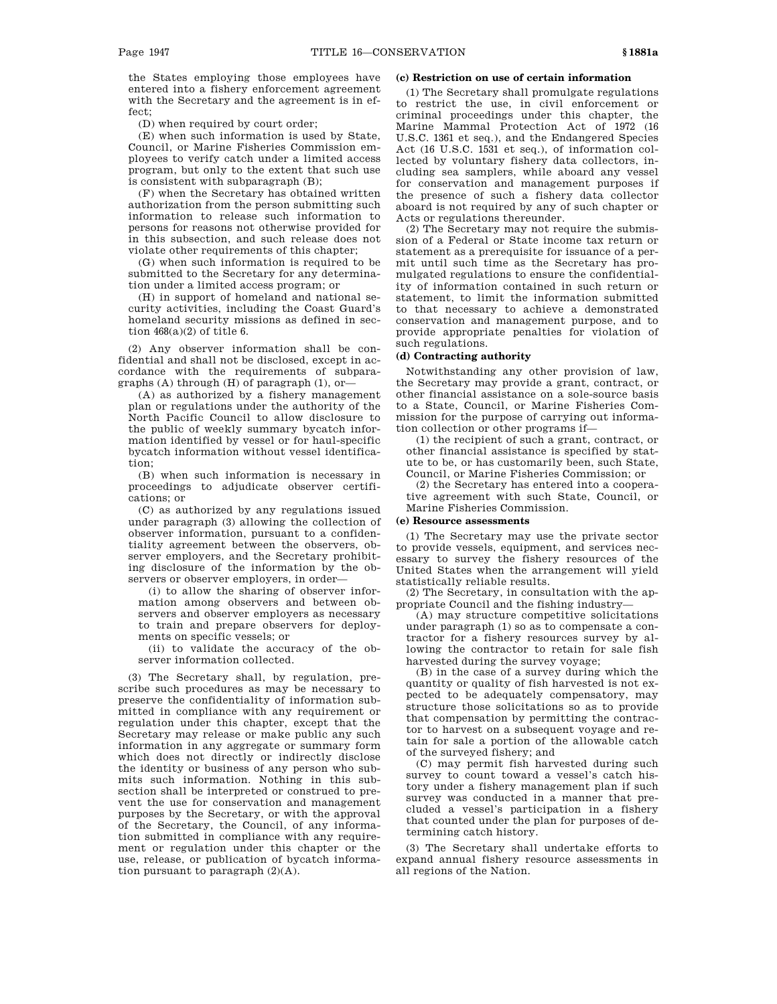the States employing those employees have entered into a fishery enforcement agreement with the Secretary and the agreement is in effect;

(D) when required by court order;

(E) when such information is used by State, Council, or Marine Fisheries Commission employees to verify catch under a limited access program, but only to the extent that such use is consistent with subparagraph (B);

(F) when the Secretary has obtained written authorization from the person submitting such information to release such information to persons for reasons not otherwise provided for in this subsection, and such release does not violate other requirements of this chapter;

(G) when such information is required to be submitted to the Secretary for any determination under a limited access program; or

(H) in support of homeland and national security activities, including the Coast Guard's homeland security missions as defined in section  $468(a)(2)$  of title 6.

(2) Any observer information shall be confidential and shall not be disclosed, except in accordance with the requirements of subparagraphs (A) through (H) of paragraph (1), or—

(A) as authorized by a fishery management plan or regulations under the authority of the North Pacific Council to allow disclosure to the public of weekly summary bycatch information identified by vessel or for haul-specific bycatch information without vessel identification;

(B) when such information is necessary in proceedings to adjudicate observer certifications; or

(C) as authorized by any regulations issued under paragraph (3) allowing the collection of observer information, pursuant to a confidentiality agreement between the observers, observer employers, and the Secretary prohibiting disclosure of the information by the observers or observer employers, in order—

(i) to allow the sharing of observer information among observers and between observers and observer employers as necessary to train and prepare observers for deployments on specific vessels; or

(ii) to validate the accuracy of the observer information collected.

(3) The Secretary shall, by regulation, prescribe such procedures as may be necessary to preserve the confidentiality of information submitted in compliance with any requirement or regulation under this chapter, except that the Secretary may release or make public any such information in any aggregate or summary form which does not directly or indirectly disclose the identity or business of any person who submits such information. Nothing in this subsection shall be interpreted or construed to prevent the use for conservation and management purposes by the Secretary, or with the approval of the Secretary, the Council, of any information submitted in compliance with any requirement or regulation under this chapter or the use, release, or publication of bycatch information pursuant to paragraph  $(2)(A)$ .

# **(c) Restriction on use of certain information**

(1) The Secretary shall promulgate regulations to restrict the use, in civil enforcement or criminal proceedings under this chapter, the Marine Mammal Protection Act of 1972 (16 U.S.C. 1361 et seq.), and the Endangered Species Act (16 U.S.C. 1531 et seq.), of information collected by voluntary fishery data collectors, including sea samplers, while aboard any vessel for conservation and management purposes if the presence of such a fishery data collector aboard is not required by any of such chapter or Acts or regulations thereunder.

(2) The Secretary may not require the submission of a Federal or State income tax return or statement as a prerequisite for issuance of a permit until such time as the Secretary has promulgated regulations to ensure the confidentiality of information contained in such return or statement, to limit the information submitted to that necessary to achieve a demonstrated conservation and management purpose, and to provide appropriate penalties for violation of such regulations.

### **(d) Contracting authority**

Notwithstanding any other provision of law, the Secretary may provide a grant, contract, or other financial assistance on a sole-source basis to a State, Council, or Marine Fisheries Commission for the purpose of carrying out information collection or other programs if—

(1) the recipient of such a grant, contract, or other financial assistance is specified by statute to be, or has customarily been, such State, Council, or Marine Fisheries Commission; or

(2) the Secretary has entered into a cooperative agreement with such State, Council, or Marine Fisheries Commission.

### **(e) Resource assessments**

(1) The Secretary may use the private sector to provide vessels, equipment, and services necessary to survey the fishery resources of the United States when the arrangement will yield statistically reliable results.

(2) The Secretary, in consultation with the appropriate Council and the fishing industry—

(A) may structure competitive solicitations under paragraph (1) so as to compensate a contractor for a fishery resources survey by allowing the contractor to retain for sale fish harvested during the survey voyage;

(B) in the case of a survey during which the quantity or quality of fish harvested is not expected to be adequately compensatory, may structure those solicitations so as to provide that compensation by permitting the contractor to harvest on a subsequent voyage and retain for sale a portion of the allowable catch of the surveyed fishery; and

(C) may permit fish harvested during such survey to count toward a vessel's catch history under a fishery management plan if such survey was conducted in a manner that precluded a vessel's participation in a fishery that counted under the plan for purposes of determining catch history.

(3) The Secretary shall undertake efforts to expand annual fishery resource assessments in all regions of the Nation.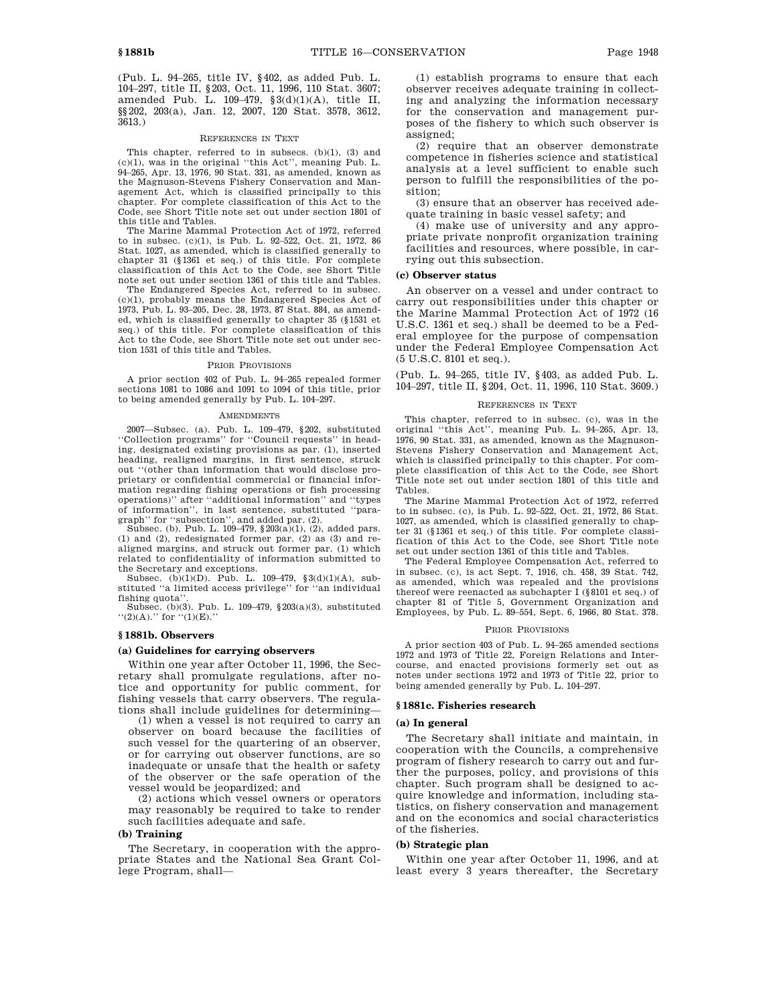(Pub. L. 94–265, title IV, §402, as added Pub. L. 104–297, title II, §203, Oct. 11, 1996, 110 Stat. 3607; amended Pub. L. 109–479, §3(d)(1)(A), title II, §§202, 203(a), Jan. 12, 2007, 120 Stat. 3578, 3612, 3613.)

#### REFERENCES IN TEXT

This chapter, referred to in subsecs. (b)(1), (3) and (c)(1), was in the original ''this Act'', meaning Pub. L. 94–265, Apr. 13, 1976, 90 Stat. 331, as amended, known as the Magnuson-Stevens Fishery Conservation and Management Act, which is classified principally to this chapter. For complete classification of this Act to the Code, see Short Title note set out under section 1801 of this title and Tables.

The Marine Mammal Protection Act of 1972, referred to in subsec. (c)(1), is Pub. L. 92–522, Oct. 21, 1972, 86 Stat. 1027, as amended, which is classified generally to chapter 31 (§1361 et seq.) of this title. For complete classification of this Act to the Code, see Short Title note set out under section 1361 of this title and Tables.

The Endangered Species Act, referred to in subsec. (c)(1), probably means the Endangered Species Act of 1973, Pub. L. 93–205, Dec. 28, 1973, 87 Stat. 884, as amended, which is classified generally to chapter 35 (§1531 et seq.) of this title. For complete classification of this Act to the Code, see Short Title note set out under section 1531 of this title and Tables.

#### PRIOR PROVISIONS

A prior section 402 of Pub. L. 94–265 repealed former sections 1081 to 1086 and 1091 to 1094 of this title, prior to being amended generally by Pub. L. 104–297.

### AMENDMENTS

2007—Subsec. (a). Pub. L. 109–479, §202, substituted ''Collection programs'' for ''Council requests'' in heading, designated existing provisions as par. (1), inserted heading, realigned margins, in first sentence, struck out ''(other than information that would disclose proprietary or confidential commercial or financial information regarding fishing operations or fish processing operations)'' after ''additional information'' and ''types of information'', in last sentence, substituted ''paragraph'' for ''subsection'', and added par. (2).

Subsec. (b). Pub. L. 109–479, §203(a)(1), (2), added pars. (1) and (2), redesignated former par. (2) as (3) and realigned margins, and struck out former par. (1) which related to confidentiality of information submitted to

the Secretary and exceptions. Subsec. (b)(1)(D). Pub. L. 109–479, §3(d)(1)(A), substituted ''a limited access privilege'' for ''an individual fishing quota''.

Subsec. (b)(3). Pub. L. 109–479, §203(a)(3), substituted  $``(2)(A)."$  for  $``(1)(E)."$ 

### **§ 1881b. Observers**

#### **(a) Guidelines for carrying observers**

Within one year after October 11, 1996, the Secretary shall promulgate regulations, after notice and opportunity for public comment, for fishing vessels that carry observers. The regulations shall include guidelines for determining—

(1) when a vessel is not required to carry an observer on board because the facilities of such vessel for the quartering of an observer, or for carrying out observer functions, are so inadequate or unsafe that the health or safety of the observer or the safe operation of the vessel would be jeopardized; and

(2) actions which vessel owners or operators may reasonably be required to take to render such facilities adequate and safe.

# **(b) Training**

The Secretary, in cooperation with the appropriate States and the National Sea Grant College Program, shall—

(1) establish programs to ensure that each observer receives adequate training in collecting and analyzing the information necessary for the conservation and management purposes of the fishery to which such observer is assigned;

(2) require that an observer demonstrate competence in fisheries science and statistical analysis at a level sufficient to enable such person to fulfill the responsibilities of the position;

(3) ensure that an observer has received adequate training in basic vessel safety; and

(4) make use of university and any appropriate private nonprofit organization training facilities and resources, where possible, in carrying out this subsection.

### **(c) Observer status**

An observer on a vessel and under contract to carry out responsibilities under this chapter or the Marine Mammal Protection Act of 1972 (16 U.S.C. 1361 et seq.) shall be deemed to be a Federal employee for the purpose of compensation under the Federal Employee Compensation Act (5 U.S.C. 8101 et seq.).

(Pub. L. 94–265, title IV, §403, as added Pub. L. 104–297, title II, §204, Oct. 11, 1996, 110 Stat. 3609.)

#### REFERENCES IN TEXT

This chapter, referred to in subsec. (c), was in the original ''this Act'', meaning Pub. L. 94–265, Apr. 13, 1976, 90 Stat. 331, as amended, known as the Magnuson-Stevens Fishery Conservation and Management Act, which is classified principally to this chapter. For complete classification of this Act to the Code, see Short Title note set out under section 1801 of this title and Tables.

The Marine Mammal Protection Act of 1972, referred to in subsec. (c), is Pub. L. 92–522, Oct. 21, 1972, 86 Stat. 1027, as amended, which is classified generally to chapter 31 (§1361 et seq.) of this title. For complete classification of this Act to the Code, see Short Title note set out under section 1361 of this title and Tables.

The Federal Employee Compensation Act, referred to in subsec. (c), is act Sept. 7, 1916, ch. 458, 39 Stat. 742, as amended, which was repealed and the provisions thereof were reenacted as subchapter I (§8101 et seq.) of chapter 81 of Title 5, Government Organization and Employees, by Pub. L. 89–554, Sept. 6, 1966, 80 Stat. 378.

### PRIOR PROVISIONS

A prior section 403 of Pub. L. 94–265 amended sections 1972 and 1973 of Title 22, Foreign Relations and Intercourse, and enacted provisions formerly set out as notes under sections 1972 and 1973 of Title 22, prior to being amended generally by Pub. L. 104–297.

# **§ 1881c. Fisheries research**

### **(a) In general**

The Secretary shall initiate and maintain, in cooperation with the Councils, a comprehensive program of fishery research to carry out and further the purposes, policy, and provisions of this chapter. Such program shall be designed to acquire knowledge and information, including statistics, on fishery conservation and management and on the economics and social characteristics of the fisheries.

### **(b) Strategic plan**

Within one year after October 11, 1996, and at least every 3 years thereafter, the Secretary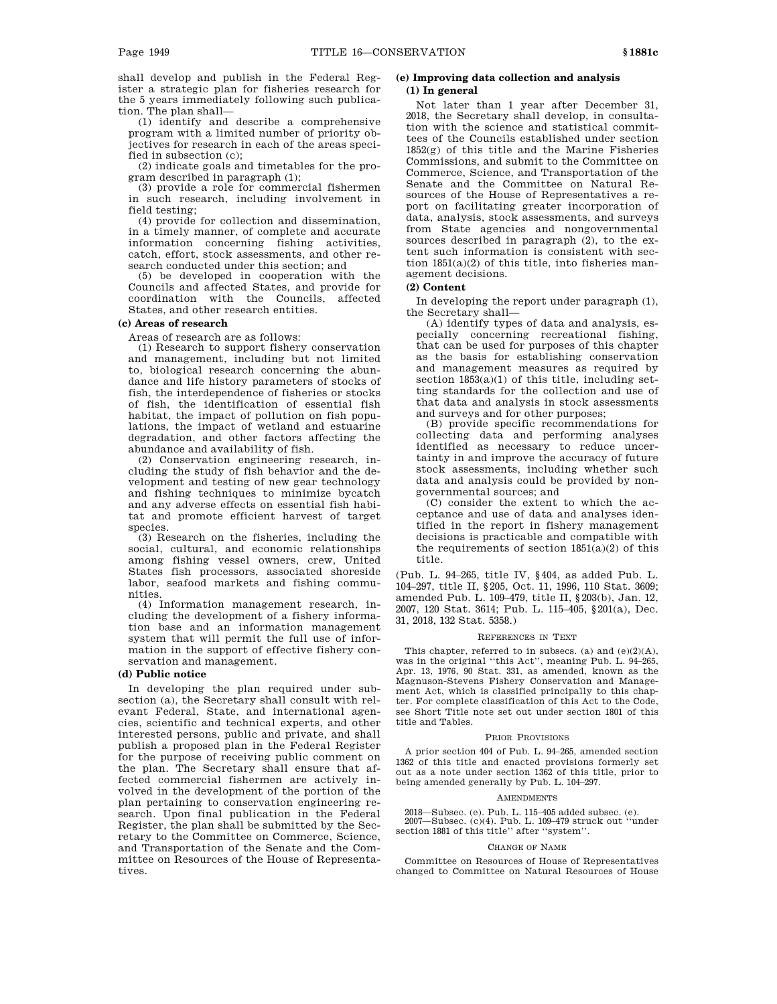shall develop and publish in the Federal Register a strategic plan for fisheries research for the 5 years immediately following such publication. The plan shall—

(1) identify and describe a comprehensive program with a limited number of priority objectives for research in each of the areas specified in subsection (c);

(2) indicate goals and timetables for the program described in paragraph (1);

(3) provide a role for commercial fishermen in such research, including involvement in field testing;

(4) provide for collection and dissemination, in a timely manner, of complete and accurate information concerning fishing activities, catch, effort, stock assessments, and other research conducted under this section; and

(5) be developed in cooperation with the Councils and affected States, and provide for coordination with the Councils, affected States, and other research entities.

### **(c) Areas of research**

Areas of research are as follows:

(1) Research to support fishery conservation and management, including but not limited to, biological research concerning the abundance and life history parameters of stocks of fish, the interdependence of fisheries or stocks of fish, the identification of essential fish habitat, the impact of pollution on fish populations, the impact of wetland and estuarine degradation, and other factors affecting the abundance and availability of fish.

(2) Conservation engineering research, including the study of fish behavior and the development and testing of new gear technology and fishing techniques to minimize bycatch and any adverse effects on essential fish habitat and promote efficient harvest of target species.

(3) Research on the fisheries, including the social, cultural, and economic relationships among fishing vessel owners, crew, United States fish processors, associated shoreside labor, seafood markets and fishing communities.

(4) Information management research, including the development of a fishery information base and an information management system that will permit the full use of information in the support of effective fishery conservation and management.

### **(d) Public notice**

In developing the plan required under subsection (a), the Secretary shall consult with relevant Federal, State, and international agencies, scientific and technical experts, and other interested persons, public and private, and shall publish a proposed plan in the Federal Register for the purpose of receiving public comment on the plan. The Secretary shall ensure that affected commercial fishermen are actively involved in the development of the portion of the plan pertaining to conservation engineering research. Upon final publication in the Federal Register, the plan shall be submitted by the Secretary to the Committee on Commerce, Science, and Transportation of the Senate and the Committee on Resources of the House of Representatives.

# **(e) Improving data collection and analysis (1) In general**

Not later than 1 year after December 31, 2018, the Secretary shall develop, in consultation with the science and statistical committees of the Councils established under section 1852(g) of this title and the Marine Fisheries Commissions, and submit to the Committee on Commerce, Science, and Transportation of the Senate and the Committee on Natural Resources of the House of Representatives a report on facilitating greater incorporation of data, analysis, stock assessments, and surveys from State agencies and nongovernmental sources described in paragraph (2), to the extent such information is consistent with section  $1851(a)(2)$  of this title, into fisheries management decisions.

### **(2) Content**

In developing the report under paragraph (1), the Secretary shall—

(A) identify types of data and analysis, especially concerning recreational fishing, that can be used for purposes of this chapter as the basis for establishing conservation and management measures as required by section  $1853(a)(1)$  of this title, including setting standards for the collection and use of that data and analysis in stock assessments and surveys and for other purposes;

(B) provide specific recommendations for collecting data and performing analyses identified as necessary to reduce uncertainty in and improve the accuracy of future stock assessments, including whether such data and analysis could be provided by nongovernmental sources; and

(C) consider the extent to which the acceptance and use of data and analyses identified in the report in fishery management decisions is practicable and compatible with the requirements of section  $1851(a)(2)$  of this title.

(Pub. L. 94–265, title IV, §404, as added Pub. L. 104–297, title II, §205, Oct. 11, 1996, 110 Stat. 3609; amended Pub. L. 109–479, title II, §203(b), Jan. 12, 2007, 120 Stat. 3614; Pub. L. 115–405, §201(a), Dec. 31, 2018, 132 Stat. 5358.)

#### REFERENCES IN TEXT

This chapter, referred to in subsecs. (a) and (e)(2)(A), was in the original ''this Act'', meaning Pub. L. 94–265, Apr. 13, 1976, 90 Stat. 331, as amended, known as the Magnuson-Stevens Fishery Conservation and Management Act, which is classified principally to this chapter. For complete classification of this Act to the Code, see Short Title note set out under section 1801 of this title and Tables.

#### PRIOR PROVISIONS

A prior section 404 of Pub. L. 94–265, amended section 1362 of this title and enacted provisions formerly set out as a note under section 1362 of this title, prior to being amended generally by Pub. L. 104–297.

#### **AMENDMENTS**

2018—Subsec. (e). Pub. L. 115–405 added subsec. (e). 2007—Subsec. (c)(4). Pub. L. 109–479 struck out ''under section 1881 of this title'' after ''system''.

### CHANGE OF NAME

Committee on Resources of House of Representatives changed to Committee on Natural Resources of House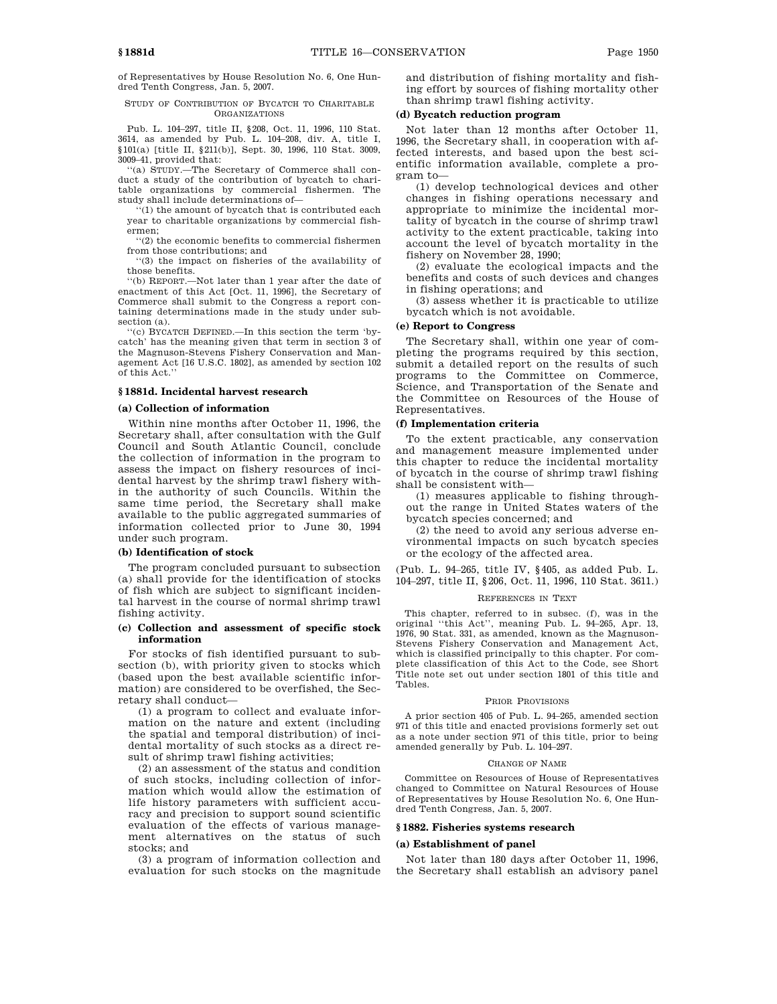of Representatives by House Resolution No. 6, One Hundred Tenth Congress, Jan. 5, 2007.

### STUDY OF CONTRIBUTION OF BYCATCH TO CHARITABLE ORGANIZATIONS

Pub. L. 104–297, title II, §208, Oct. 11, 1996, 110 Stat. 3614, as amended by Pub. L. 104–208, div. A, title I, §101(a) [title II, §211(b)], Sept. 30, 1996, 110 Stat. 3009, 3009–41, provided that:

''(a) STUDY.—The Secretary of Commerce shall conduct a study of the contribution of bycatch to charitable organizations by commercial fishermen. The study shall include determinations of—

''(1) the amount of bycatch that is contributed each year to charitable organizations by commercial fishermen;

''(2) the economic benefits to commercial fishermen from those contributions; and

''(3) the impact on fisheries of the availability of those benefits.

''(b) REPORT.—Not later than 1 year after the date of enactment of this Act [Oct. 11, 1996], the Secretary of Commerce shall submit to the Congress a report containing determinations made in the study under subsection (a).

''(c) BYCATCH DEFINED.—In this section the term 'bycatch' has the meaning given that term in section 3 of the Magnuson-Stevens Fishery Conservation and Management Act [16 U.S.C. 1802], as amended by section 102 of this Act.

# **§ 1881d. Incidental harvest research**

# **(a) Collection of information**

Within nine months after October 11, 1996, the Secretary shall, after consultation with the Gulf Council and South Atlantic Council, conclude the collection of information in the program to assess the impact on fishery resources of incidental harvest by the shrimp trawl fishery within the authority of such Councils. Within the same time period, the Secretary shall make available to the public aggregated summaries of information collected prior to June 30, 1994 under such program.

# **(b) Identification of stock**

The program concluded pursuant to subsection (a) shall provide for the identification of stocks of fish which are subject to significant incidental harvest in the course of normal shrimp trawl fishing activity.

# **(c) Collection and assessment of specific stock information**

For stocks of fish identified pursuant to subsection (b), with priority given to stocks which (based upon the best available scientific information) are considered to be overfished, the Secretary shall conduct—

(1) a program to collect and evaluate information on the nature and extent (including the spatial and temporal distribution) of incidental mortality of such stocks as a direct result of shrimp trawl fishing activities;

(2) an assessment of the status and condition of such stocks, including collection of information which would allow the estimation of life history parameters with sufficient accuracy and precision to support sound scientific evaluation of the effects of various management alternatives on the status of such stocks; and

(3) a program of information collection and evaluation for such stocks on the magnitude and distribution of fishing mortality and fishing effort by sources of fishing mortality other than shrimp trawl fishing activity.

### **(d) Bycatch reduction program**

Not later than 12 months after October 11, 1996, the Secretary shall, in cooperation with affected interests, and based upon the best scientific information available, complete a program to—

(1) develop technological devices and other changes in fishing operations necessary and appropriate to minimize the incidental mortality of bycatch in the course of shrimp trawl activity to the extent practicable, taking into account the level of bycatch mortality in the fishery on November 28, 1990;

(2) evaluate the ecological impacts and the benefits and costs of such devices and changes in fishing operations; and

(3) assess whether it is practicable to utilize bycatch which is not avoidable.

### **(e) Report to Congress**

The Secretary shall, within one year of completing the programs required by this section, submit a detailed report on the results of such programs to the Committee on Commerce, Science, and Transportation of the Senate and the Committee on Resources of the House of Representatives.

### **(f) Implementation criteria**

To the extent practicable, any conservation and management measure implemented under this chapter to reduce the incidental mortality of bycatch in the course of shrimp trawl fishing shall be consistent with—

(1) measures applicable to fishing throughout the range in United States waters of the bycatch species concerned; and

(2) the need to avoid any serious adverse environmental impacts on such bycatch species or the ecology of the affected area.

(Pub. L. 94–265, title IV, §405, as added Pub. L. 104–297, title II, §206, Oct. 11, 1996, 110 Stat. 3611.)

# REFERENCES IN TEXT

This chapter, referred to in subsec. (f), was in the original ''this Act'', meaning Pub. L. 94–265, Apr. 13, 1976, 90 Stat. 331, as amended, known as the Magnuson-Stevens Fishery Conservation and Management Act, which is classified principally to this chapter. For complete classification of this Act to the Code, see Short Title note set out under section 1801 of this title and Tables.

#### PRIOR PROVISIONS

A prior section 405 of Pub. L. 94–265, amended section 971 of this title and enacted provisions formerly set out as a note under section 971 of this title, prior to being amended generally by Pub. L. 104–297.

#### CHANGE OF NAME

Committee on Resources of House of Representatives changed to Committee on Natural Resources of House of Representatives by House Resolution No. 6, One Hundred Tenth Congress, Jan. 5, 2007.

# **§ 1882. Fisheries systems research**

### **(a) Establishment of panel**

Not later than 180 days after October 11, 1996, the Secretary shall establish an advisory panel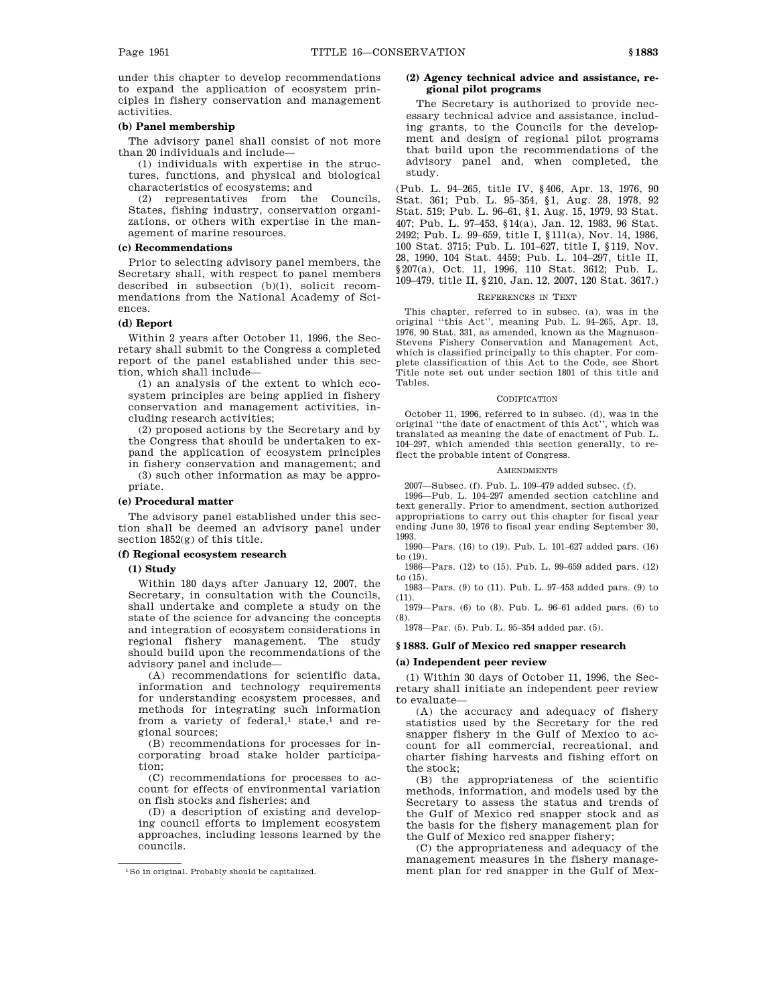under this chapter to develop recommendations to expand the application of ecosystem principles in fishery conservation and management activities.

# **(b) Panel membership**

The advisory panel shall consist of not more than 20 individuals and include—

(1) individuals with expertise in the structures, functions, and physical and biological characteristics of ecosystems; and

(2) representatives from the Councils, States, fishing industry, conservation organizations, or others with expertise in the management of marine resources.

### **(c) Recommendations**

Prior to selecting advisory panel members, the Secretary shall, with respect to panel members described in subsection (b)(1), solicit recommendations from the National Academy of Sciences.

### **(d) Report**

Within 2 years after October 11, 1996, the Secretary shall submit to the Congress a completed report of the panel established under this section, which shall include—

(1) an analysis of the extent to which ecosystem principles are being applied in fishery conservation and management activities, including research activities;

(2) proposed actions by the Secretary and by the Congress that should be undertaken to expand the application of ecosystem principles in fishery conservation and management; and

(3) such other information as may be appropriate.

### **(e) Procedural matter**

The advisory panel established under this section shall be deemed an advisory panel under section 1852(g) of this title.

#### **(f) Regional ecosystem research**

# **(1) Study**

Within 180 days after January 12, 2007, the Secretary, in consultation with the Councils, shall undertake and complete a study on the state of the science for advancing the concepts and integration of ecosystem considerations in regional fishery management. The study should build upon the recommendations of the advisory panel and include—

(A) recommendations for scientific data, information and technology requirements for understanding ecosystem processes, and methods for integrating such information from a variety of federal, $1$  state, $1$  and regional sources;

(B) recommendations for processes for incorporating broad stake holder participation;

(C) recommendations for processes to account for effects of environmental variation on fish stocks and fisheries; and

(D) a description of existing and developing council efforts to implement ecosystem approaches, including lessons learned by the councils.

# **(2) Agency technical advice and assistance, regional pilot programs**

The Secretary is authorized to provide necessary technical advice and assistance, including grants, to the Councils for the development and design of regional pilot programs that build upon the recommendations of the advisory panel and, when completed, the study.

(Pub. L. 94–265, title IV, §406, Apr. 13, 1976, 90 Stat. 361; Pub. L. 95–354, §1, Aug. 28, 1978, 92 Stat. 519; Pub. L. 96–61, §1, Aug. 15, 1979, 93 Stat. 407; Pub. L. 97–453, §14(a), Jan. 12, 1983, 96 Stat. 2492; Pub. L. 99–659, title I, §111(a), Nov. 14, 1986, 100 Stat. 3715; Pub. L. 101–627, title I, §119, Nov. 28, 1990, 104 Stat. 4459; Pub. L. 104–297, title II, §207(a), Oct. 11, 1996, 110 Stat. 3612; Pub. L. 109–479, title II, §210, Jan. 12, 2007, 120 Stat. 3617.)

#### REFERENCES IN TEXT

This chapter, referred to in subsec. (a), was in the original ''this Act'', meaning Pub. L. 94–265, Apr. 13, 1976, 90 Stat. 331, as amended, known as the Magnuson-Stevens Fishery Conservation and Management Act, which is classified principally to this chapter. For complete classification of this Act to the Code, see Short Title note set out under section 1801 of this title and Tables.

### CODIFICATION

October 11, 1996, referred to in subsec. (d), was in the original ''the date of enactment of this Act'', which was translated as meaning the date of enactment of Pub. L. 104–297, which amended this section generally, to reflect the probable intent of Congress.

#### **AMENDMENTS**

2007—Subsec. (f). Pub. L. 109–479 added subsec. (f).

1996—Pub. L. 104–297 amended section catchline and text generally. Prior to amendment, section authorized appropriations to carry out this chapter for fiscal year ending June 30, 1976 to fiscal year ending September 30, 1993.

1990—Pars. (16) to (19). Pub. L. 101–627 added pars. (16) to (19).

1986—Pars. (12) to (15). Pub. L. 99–659 added pars. (12) to (15).

1983—Pars. (9) to (11). Pub. L. 97–453 added pars. (9) to  $(11)$ 

1979—Pars. (6) to (8). Pub. L. 96–61 added pars. (6) to (8).

1978—Par. (5). Pub. L. 95–354 added par. (5).

# **§ 1883. Gulf of Mexico red snapper research**

# **(a) Independent peer review**

(1) Within 30 days of October 11, 1996, the Secretary shall initiate an independent peer review to evaluate—

(A) the accuracy and adequacy of fishery statistics used by the Secretary for the red snapper fishery in the Gulf of Mexico to account for all commercial, recreational, and charter fishing harvests and fishing effort on the stock;

(B) the appropriateness of the scientific methods, information, and models used by the Secretary to assess the status and trends of the Gulf of Mexico red snapper stock and as the basis for the fishery management plan for the Gulf of Mexico red snapper fishery;

(C) the appropriateness and adequacy of the management measures in the fishery management plan for red snapper in the Gulf of Mex-

 $^{\rm 1}\!$  So in original. Probably should be capitalized.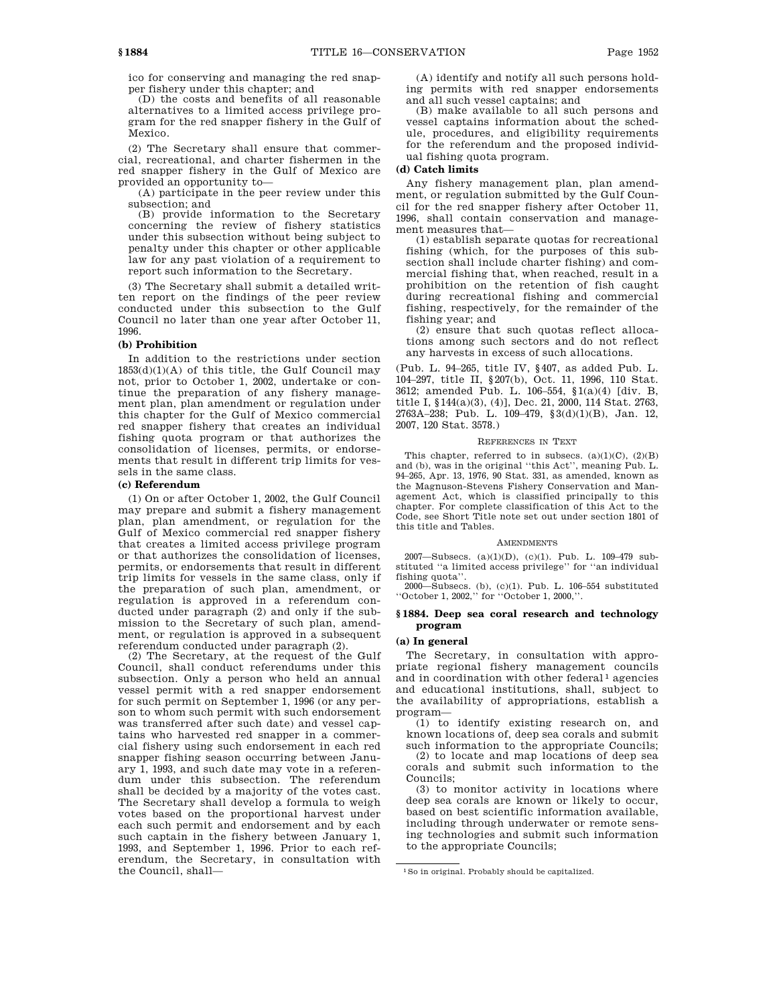ico for conserving and managing the red snapper fishery under this chapter; and

(D) the costs and benefits of all reasonable alternatives to a limited access privilege program for the red snapper fishery in the Gulf of Mexico.

(2) The Secretary shall ensure that commercial, recreational, and charter fishermen in the red snapper fishery in the Gulf of Mexico are provided an opportunity to—

(A) participate in the peer review under this subsection; and

(B) provide information to the Secretary concerning the review of fishery statistics under this subsection without being subject to penalty under this chapter or other applicable law for any past violation of a requirement to report such information to the Secretary.

(3) The Secretary shall submit a detailed written report on the findings of the peer review conducted under this subsection to the Gulf Council no later than one year after October 11, 1996.

### **(b) Prohibition**

In addition to the restrictions under section  $1853(d)(1)(A)$  of this title, the Gulf Council may not, prior to October 1, 2002, undertake or continue the preparation of any fishery management plan, plan amendment or regulation under this chapter for the Gulf of Mexico commercial red snapper fishery that creates an individual fishing quota program or that authorizes the consolidation of licenses, permits, or endorsements that result in different trip limits for vessels in the same class.

# **(c) Referendum**

(1) On or after October 1, 2002, the Gulf Council may prepare and submit a fishery management plan, plan amendment, or regulation for the Gulf of Mexico commercial red snapper fishery that creates a limited access privilege program or that authorizes the consolidation of licenses, permits, or endorsements that result in different trip limits for vessels in the same class, only if the preparation of such plan, amendment, or regulation is approved in a referendum conducted under paragraph (2) and only if the submission to the Secretary of such plan, amendment, or regulation is approved in a subsequent referendum conducted under paragraph (2).

(2) The Secretary, at the request of the Gulf Council, shall conduct referendums under this subsection. Only a person who held an annual vessel permit with a red snapper endorsement for such permit on September 1, 1996 (or any person to whom such permit with such endorsement was transferred after such date) and vessel captains who harvested red snapper in a commercial fishery using such endorsement in each red snapper fishing season occurring between January 1, 1993, and such date may vote in a referendum under this subsection. The referendum shall be decided by a majority of the votes cast. The Secretary shall develop a formula to weigh votes based on the proportional harvest under each such permit and endorsement and by each such captain in the fishery between January 1, 1993, and September 1, 1996. Prior to each referendum, the Secretary, in consultation with the Council, shall—

(A) identify and notify all such persons holding permits with red snapper endorsements and all such vessel captains; and

(B) make available to all such persons and vessel captains information about the schedule, procedures, and eligibility requirements for the referendum and the proposed individual fishing quota program.

# **(d) Catch limits**

Any fishery management plan, plan amendment, or regulation submitted by the Gulf Council for the red snapper fishery after October 11, 1996, shall contain conservation and management measures that—

(1) establish separate quotas for recreational fishing (which, for the purposes of this subsection shall include charter fishing) and commercial fishing that, when reached, result in a prohibition on the retention of fish caught during recreational fishing and commercial fishing, respectively, for the remainder of the fishing year; and

(2) ensure that such quotas reflect allocations among such sectors and do not reflect any harvests in excess of such allocations.

(Pub. L. 94–265, title IV, §407, as added Pub. L. 104–297, title II, §207(b), Oct. 11, 1996, 110 Stat. 3612; amended Pub. L. 106–554, §1(a)(4) [div. B, title I, §144(a)(3), (4)], Dec. 21, 2000, 114 Stat. 2763, 2763A–238; Pub. L. 109–479, §3(d)(1)(B), Jan. 12, 2007, 120 Stat. 3578.)

#### REFERENCES IN TEXT

This chapter, referred to in subsecs.  $(a)(1)(C)$ ,  $(2)(B)$ and (b), was in the original ''this Act'', meaning Pub. L. 94–265, Apr. 13, 1976, 90 Stat. 331, as amended, known as the Magnuson-Stevens Fishery Conservation and Management Act, which is classified principally to this chapter. For complete classification of this Act to the Code, see Short Title note set out under section 1801 of this title and Tables.

#### **AMENDMENTS**

2007—Subsecs. (a)(1)(D), (c)(1). Pub. L. 109–479 substituted ''a limited access privilege'' for ''an individual fishing quota''.

2000—Subsecs. (b), (c)(1). Pub. L. 106–554 substituted ''October 1, 2002,'' for ''October 1, 2000,''.

### **§ 1884. Deep sea coral research and technology program**

### **(a) In general**

The Secretary, in consultation with appropriate regional fishery management councils and in coordination with other federal<sup>1</sup> agencies and educational institutions, shall, subject to the availability of appropriations, establish a program—

(1) to identify existing research on, and known locations of, deep sea corals and submit such information to the appropriate Councils;

(2) to locate and map locations of deep sea corals and submit such information to the Councils;

(3) to monitor activity in locations where deep sea corals are known or likely to occur, based on best scientific information available, including through underwater or remote sensing technologies and submit such information to the appropriate Councils;

<sup>1</sup>So in original. Probably should be capitalized.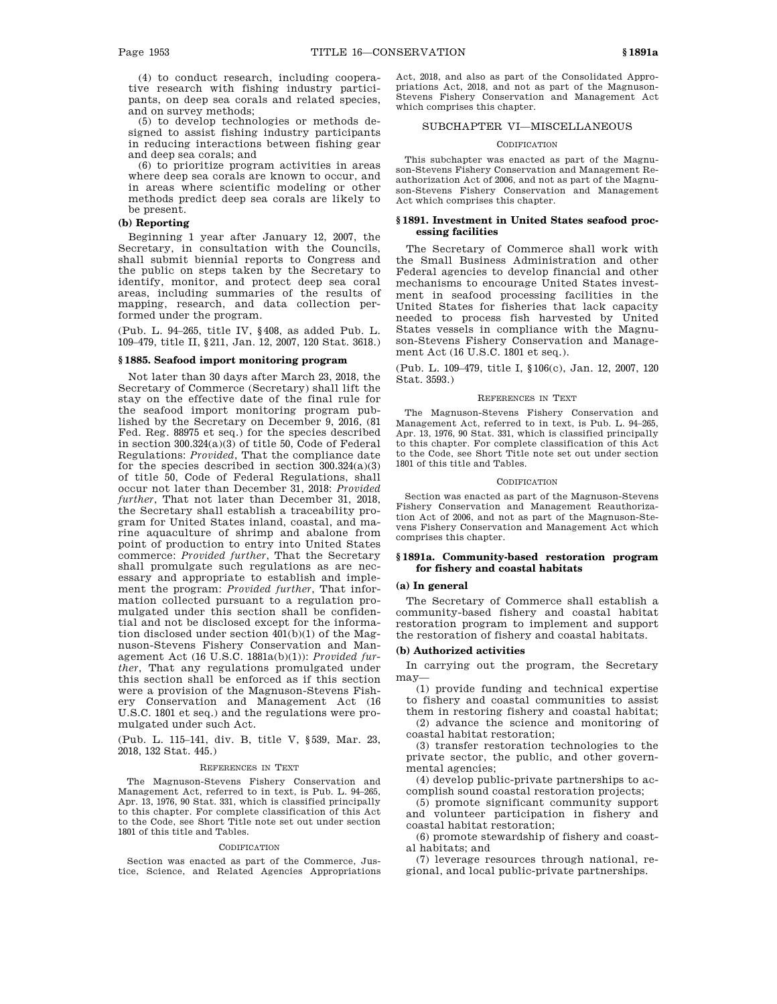(4) to conduct research, including cooperative research with fishing industry participants, on deep sea corals and related species, and on survey methods;

(5) to develop technologies or methods designed to assist fishing industry participants in reducing interactions between fishing gear and deep sea corals; and

(6) to prioritize program activities in areas where deep sea corals are known to occur, and in areas where scientific modeling or other methods predict deep sea corals are likely to be present.

### **(b) Reporting**

Beginning 1 year after January 12, 2007, the Secretary, in consultation with the Councils, shall submit biennial reports to Congress and the public on steps taken by the Secretary to identify, monitor, and protect deep sea coral areas, including summaries of the results of mapping, research, and data collection performed under the program.

(Pub. L. 94–265, title IV, §408, as added Pub. L. 109–479, title II, §211, Jan. 12, 2007, 120 Stat. 3618.)

# **§ 1885. Seafood import monitoring program**

Not later than 30 days after March 23, 2018, the Secretary of Commerce (Secretary) shall lift the stay on the effective date of the final rule for the seafood import monitoring program published by the Secretary on December 9, 2016, (81 Fed. Reg. 88975 et seq.) for the species described in section 300.324(a)(3) of title 50, Code of Federal Regulations: *Provided*, That the compliance date for the species described in section  $300.324(a)(3)$ of title 50, Code of Federal Regulations, shall occur not later than December 31, 2018: *Provided further*, That not later than December 31, 2018, the Secretary shall establish a traceability program for United States inland, coastal, and marine aquaculture of shrimp and abalone from point of production to entry into United States commerce: *Provided further*, That the Secretary shall promulgate such regulations as are necessary and appropriate to establish and implement the program: *Provided further*, That information collected pursuant to a regulation promulgated under this section shall be confidential and not be disclosed except for the information disclosed under section 401(b)(1) of the Magnuson-Stevens Fishery Conservation and Management Act (16 U.S.C. 1881a(b)(1)): *Provided further*, That any regulations promulgated under this section shall be enforced as if this section were a provision of the Magnuson-Stevens Fishery Conservation and Management Act (16 U.S.C. 1801 et seq.) and the regulations were promulgated under such Act.

(Pub. L. 115–141, div. B, title V, §539, Mar. 23, 2018, 132 Stat. 445.)

# REFERENCES IN TEXT

The Magnuson-Stevens Fishery Conservation and Management Act, referred to in text, is Pub. L. 94–265, Apr. 13, 1976, 90 Stat. 331, which is classified principally to this chapter. For complete classification of this Act to the Code, see Short Title note set out under section 1801 of this title and Tables.

#### **CODIFICATION**

Section was enacted as part of the Commerce, Justice, Science, and Related Agencies Appropriations Act, 2018, and also as part of the Consolidated Appropriations Act, 2018, and not as part of the Magnuson-Stevens Fishery Conservation and Management Act which comprises this chapter.

# SUBCHAPTER VI—MISCELLANEOUS

# **CODIFICATION**

This subchapter was enacted as part of the Magnuson-Stevens Fishery Conservation and Management Reauthorization Act of 2006, and not as part of the Magnuson-Stevens Fishery Conservation and Management Act which comprises this chapter.

### **§ 1891. Investment in United States seafood processing facilities**

The Secretary of Commerce shall work with the Small Business Administration and other Federal agencies to develop financial and other mechanisms to encourage United States investment in seafood processing facilities in the United States for fisheries that lack capacity needed to process fish harvested by United States vessels in compliance with the Magnuson-Stevens Fishery Conservation and Management Act (16 U.S.C. 1801 et seq.).

(Pub. L. 109–479, title I, §106(c), Jan. 12, 2007, 120 Stat. 3593.)

### REFERENCES IN TEXT

The Magnuson-Stevens Fishery Conservation and Management Act, referred to in text, is Pub. L. 94–265, Apr. 13, 1976, 90 Stat. 331, which is classified principally to this chapter. For complete classification of this Act to the Code, see Short Title note set out under section 1801 of this title and Tables.

### CODIFICATION

Section was enacted as part of the Magnuson-Stevens Fishery Conservation and Management Reauthorization Act of 2006, and not as part of the Magnuson-Stevens Fishery Conservation and Management Act which comprises this chapter.

### **§ 1891a. Community-based restoration program for fishery and coastal habitats**

### **(a) In general**

The Secretary of Commerce shall establish a community-based fishery and coastal habitat restoration program to implement and support the restoration of fishery and coastal habitats.

#### **(b) Authorized activities**

In carrying out the program, the Secretary may—

(1) provide funding and technical expertise to fishery and coastal communities to assist

them in restoring fishery and coastal habitat; (2) advance the science and monitoring of coastal habitat restoration;

(3) transfer restoration technologies to the private sector, the public, and other governmental agencies;

(4) develop public-private partnerships to accomplish sound coastal restoration projects;

(5) promote significant community support and volunteer participation in fishery and coastal habitat restoration;

(6) promote stewardship of fishery and coastal habitats; and

(7) leverage resources through national, regional, and local public-private partnerships.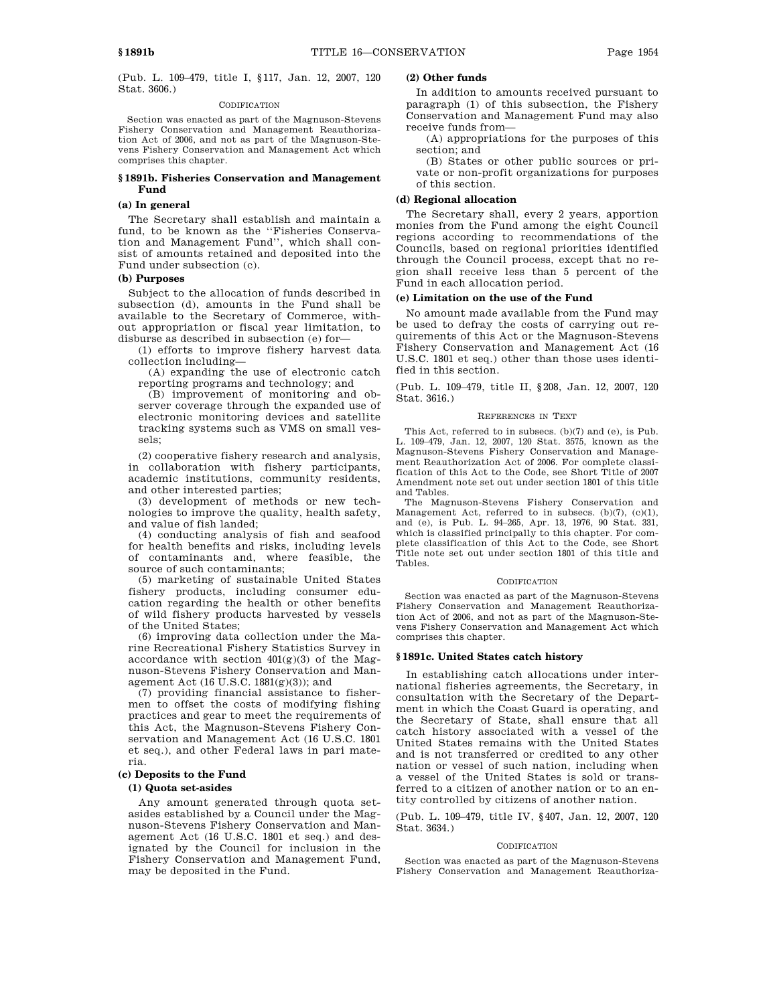(Pub. L. 109–479, title I, §117, Jan. 12, 2007, 120 Stat. 3606.)

#### CODIFICATION

Section was enacted as part of the Magnuson-Stevens Fishery Conservation and Management Reauthorization Act of 2006, and not as part of the Magnuson-Stevens Fishery Conservation and Management Act which comprises this chapter.

### **§ 1891b. Fisheries Conservation and Management Fund**

### **(a) In general**

The Secretary shall establish and maintain a fund, to be known as the ''Fisheries Conservation and Management Fund'', which shall consist of amounts retained and deposited into the Fund under subsection (c).

# **(b) Purposes**

Subject to the allocation of funds described in subsection (d), amounts in the Fund shall be available to the Secretary of Commerce, without appropriation or fiscal year limitation, to disburse as described in subsection (e) for—

(1) efforts to improve fishery harvest data collection including—

(A) expanding the use of electronic catch reporting programs and technology; and

(B) improvement of monitoring and observer coverage through the expanded use of electronic monitoring devices and satellite tracking systems such as VMS on small vessels;

(2) cooperative fishery research and analysis, in collaboration with fishery participants, academic institutions, community residents, and other interested parties;

(3) development of methods or new technologies to improve the quality, health safety, and value of fish landed;

(4) conducting analysis of fish and seafood for health benefits and risks, including levels of contaminants and, where feasible, the source of such contaminants;

(5) marketing of sustainable United States fishery products, including consumer education regarding the health or other benefits of wild fishery products harvested by vessels of the United States;

(6) improving data collection under the Marine Recreational Fishery Statistics Survey in accordance with section  $401(g)(3)$  of the Magnuson-Stevens Fishery Conservation and Management Act (16 U.S.C. 1881(g)(3)); and

(7) providing financial assistance to fishermen to offset the costs of modifying fishing practices and gear to meet the requirements of this Act, the Magnuson-Stevens Fishery Conservation and Management Act (16 U.S.C. 1801 et seq.), and other Federal laws in pari materia.

### **(c) Deposits to the Fund**

### **(1) Quota set-asides**

Any amount generated through quota setasides established by a Council under the Magnuson-Stevens Fishery Conservation and Management Act (16 U.S.C. 1801 et seq.) and designated by the Council for inclusion in the Fishery Conservation and Management Fund, may be deposited in the Fund.

# **(2) Other funds**

In addition to amounts received pursuant to paragraph (1) of this subsection, the Fishery Conservation and Management Fund may also receive funds from—

(A) appropriations for the purposes of this section; and

(B) States or other public sources or private or non-profit organizations for purposes of this section.

### **(d) Regional allocation**

The Secretary shall, every 2 years, apportion monies from the Fund among the eight Council regions according to recommendations of the Councils, based on regional priorities identified through the Council process, except that no region shall receive less than 5 percent of the Fund in each allocation period.

# **(e) Limitation on the use of the Fund**

No amount made available from the Fund may be used to defray the costs of carrying out requirements of this Act or the Magnuson-Stevens Fishery Conservation and Management Act (16 U.S.C. 1801 et seq.) other than those uses identified in this section.

(Pub. L. 109–479, title II, §208, Jan. 12, 2007, 120 Stat. 3616.)

# REFERENCES IN TEXT

This Act, referred to in subsecs. (b)(7) and (e), is Pub. L. 109–479, Jan. 12, 2007, 120 Stat. 3575, known as the Magnuson-Stevens Fishery Conservation and Management Reauthorization Act of 2006. For complete classification of this Act to the Code, see Short Title of 2007 Amendment note set out under section 1801 of this title and Tables.

The Magnuson-Stevens Fishery Conservation and Management Act, referred to in subsecs. (b)(7), (c)(1), and (e), is Pub. L. 94–265, Apr. 13, 1976, 90 Stat. 331, which is classified principally to this chapter. For complete classification of this Act to the Code, see Short Title note set out under section 1801 of this title and Tables.

#### CODIFICATION

Section was enacted as part of the Magnuson-Stevens Fishery Conservation and Management Reauthorization Act of 2006, and not as part of the Magnuson-Stevens Fishery Conservation and Management Act which comprises this chapter.

#### **§ 1891c. United States catch history**

In establishing catch allocations under international fisheries agreements, the Secretary, in consultation with the Secretary of the Department in which the Coast Guard is operating, and the Secretary of State, shall ensure that all catch history associated with a vessel of the United States remains with the United States and is not transferred or credited to any other nation or vessel of such nation, including when a vessel of the United States is sold or transferred to a citizen of another nation or to an entity controlled by citizens of another nation.

(Pub. L. 109–479, title IV, §407, Jan. 12, 2007, 120 Stat. 3634.)

### **CODIFICATION**

Section was enacted as part of the Magnuson-Stevens Fishery Conservation and Management Reauthoriza-